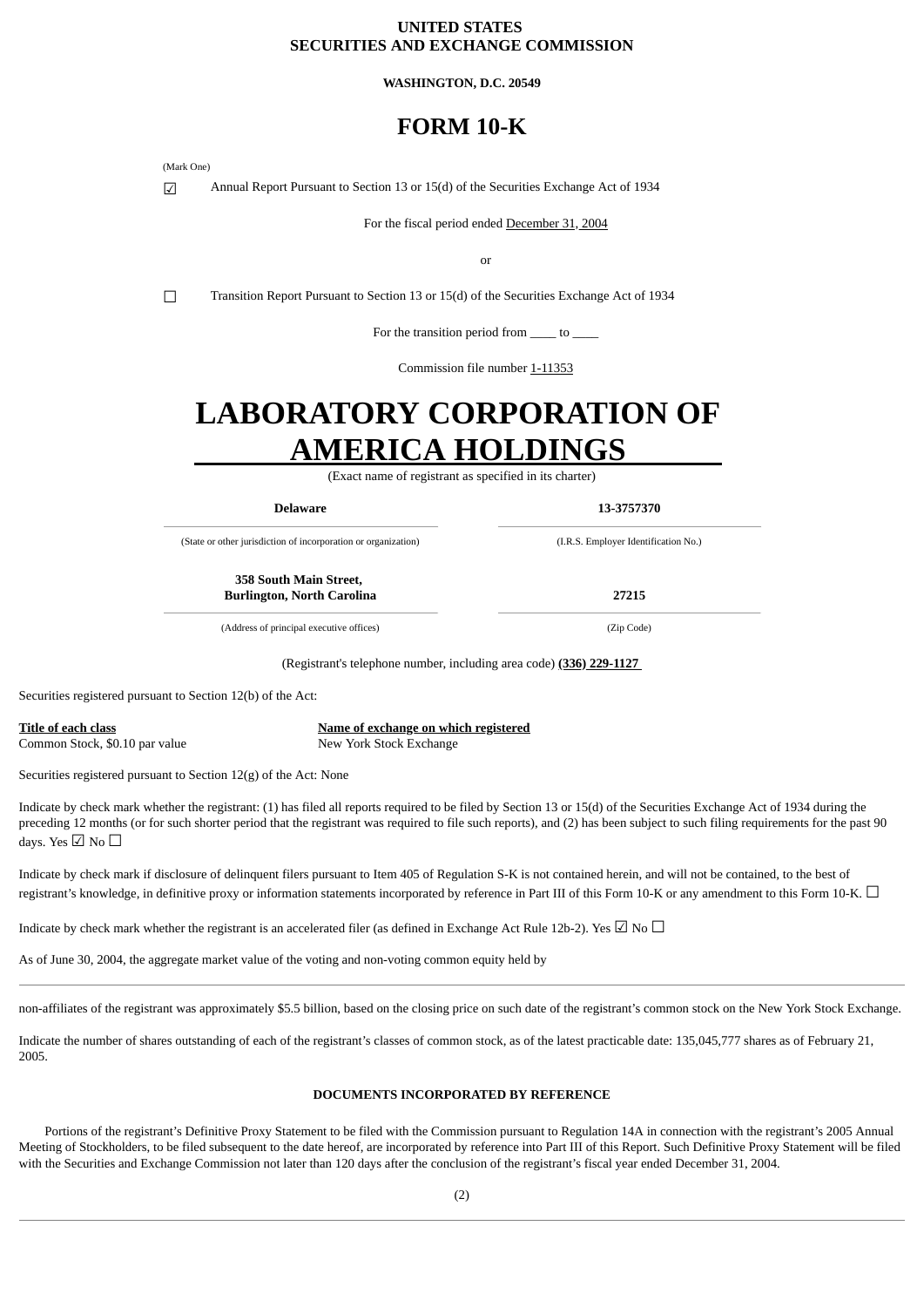### **UNITED STATES SECURITIES AND EXCHANGE COMMISSION**

#### **WASHINGTON, D.C. 20549**

## **FORM 10-K**

(Mark One)

☑ Annual Report Pursuant to Section 13 or 15(d) of the Securities Exchange Act of 1934

For the fiscal period ended December 31, 2004

or

☐ Transition Report Pursuant to Section 13 or 15(d) of the Securities Exchange Act of 1934

For the transition period from \_\_\_\_\_ to \_

Commission file number 1-11353

# **LABORATORY CORPORATION OF AMERICA HOLDINGS**

(Exact name of registrant as specified in its charter)

**Delaware 13-3757370**

(State or other jurisdiction of incorporation or organization) (I.R.S. Employer Identification No.)

**358 South Main Street, Burlington, North Carolina 27215**

(Address of principal executive offices) (Zip Code)

(Registrant's telephone number, including area code) **(336) 229-1127** 

Securities registered pursuant to Section 12(b) of the Act:

**Title of each class Name of exchange on which registered** Common Stock, \$0.10 par value New York Stock Exchange

Securities registered pursuant to Section 12(g) of the Act: None

Indicate by check mark whether the registrant: (1) has filed all reports required to be filed by Section 13 or 15(d) of the Securities Exchange Act of 1934 during the preceding 12 months (or for such shorter period that the registrant was required to file such reports), and (2) has been subject to such filing requirements for the past 90 days. Yes ☑ No ☐

Indicate by check mark if disclosure of delinquent filers pursuant to Item 405 of Regulation S-K is not contained herein, and will not be contained, to the best of registrant's knowledge, in definitive proxy or information statements incorporated by reference in Part III of this Form 10-K or any amendment to this Form 10-K.  $\Box$ 

Indicate by check mark whether the registrant is an accelerated filer (as defined in Exchange Act Rule 12b-2). Yes  $\Box$  No  $\Box$ 

As of June 30, 2004, the aggregate market value of the voting and non-voting common equity held by

non-affiliates of the registrant was approximately \$5.5 billion, based on the closing price on such date of the registrant's common stock on the New York Stock Exchange.

Indicate the number of shares outstanding of each of the registrant's classes of common stock, as of the latest practicable date: 135,045,777 shares as of February 21, 2005.

## **DOCUMENTS INCORPORATED BY REFERENCE**

 Portions of the registrant's Definitive Proxy Statement to be filed with the Commission pursuant to Regulation 14A in connection with the registrant's 2005 Annual Meeting of Stockholders, to be filed subsequent to the date hereof, are incorporated by reference into Part III of this Report. Such Definitive Proxy Statement will be filed with the Securities and Exchange Commission not later than 120 days after the conclusion of the registrant's fiscal year ended December 31, 2004.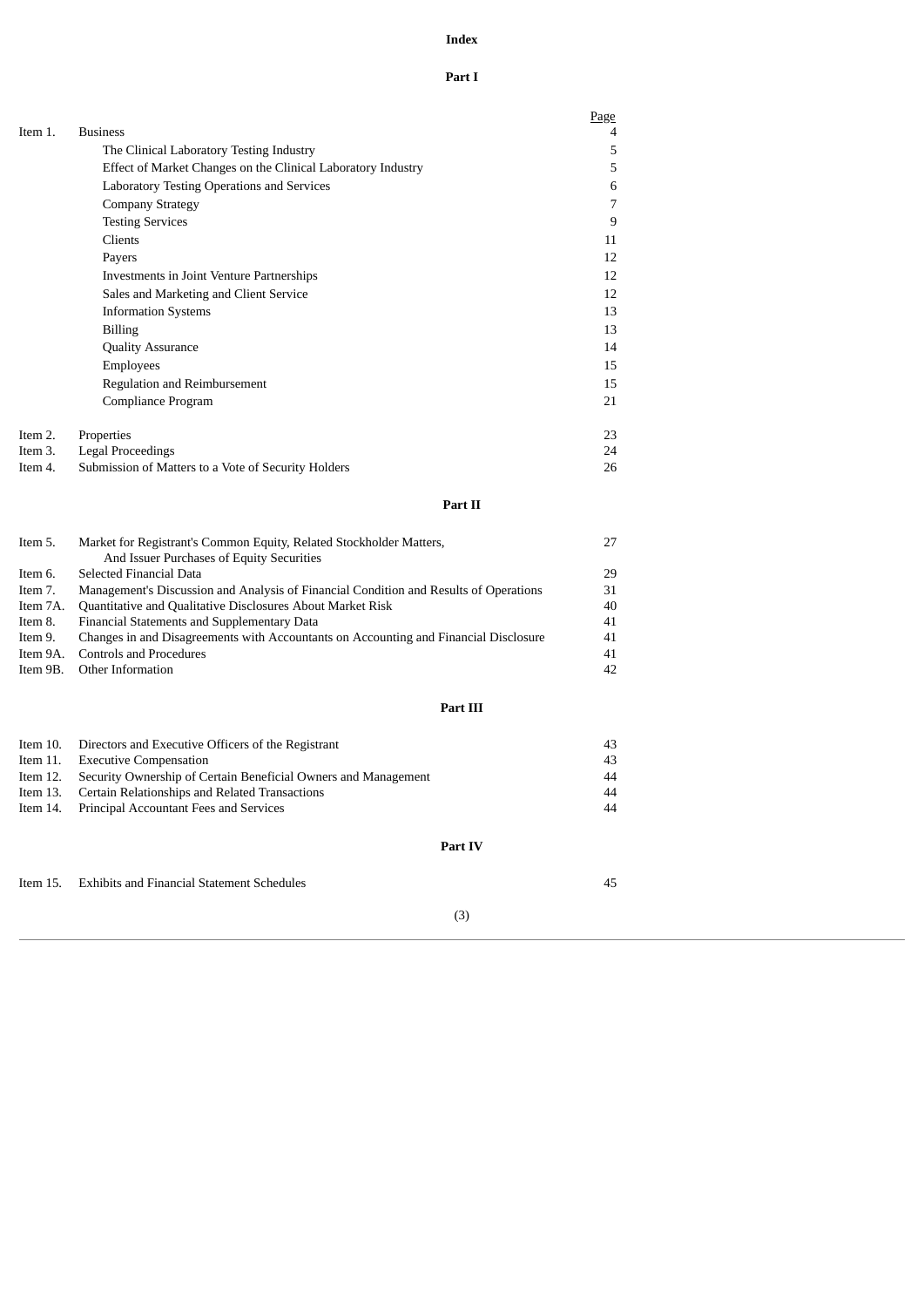## **Index**

## **Part I**

|         |                                                              | Page |
|---------|--------------------------------------------------------------|------|
| Item 1. | <b>Business</b>                                              | 4    |
|         | The Clinical Laboratory Testing Industry                     | 5    |
|         | Effect of Market Changes on the Clinical Laboratory Industry | 5    |
|         | <b>Laboratory Testing Operations and Services</b>            | 6    |
|         | Company Strategy                                             | 7    |
|         | <b>Testing Services</b>                                      | 9    |
|         | Clients                                                      | 11   |
|         | Payers                                                       | 12   |
|         | Investments in Joint Venture Partnerships                    | 12   |
|         | Sales and Marketing and Client Service                       | 12   |
|         | <b>Information Systems</b>                                   | 13   |
|         | <b>Billing</b>                                               | 13   |
|         | <b>Quality Assurance</b>                                     | 14   |
|         | Employees                                                    | 15   |
|         | Regulation and Reimbursement                                 | 15   |
|         | Compliance Program                                           | 21   |
| Item 2. | Properties                                                   | 23   |
| Item 3. | Legal Proceedings                                            | 24   |
| Item 4. | Submission of Matters to a Vote of Security Holders          | 26   |

#### **Part II**

| Item 5.  | Market for Registrant's Common Equity, Related Stockholder Matters,                   | 27 |
|----------|---------------------------------------------------------------------------------------|----|
|          | And Issuer Purchases of Equity Securities                                             |    |
| Item 6.  | Selected Financial Data                                                               | 29 |
| Item 7.  | Management's Discussion and Analysis of Financial Condition and Results of Operations | 31 |
| Item 7A. | Quantitative and Qualitative Disclosures About Market Risk                            | 40 |
| Item 8.  | Financial Statements and Supplementary Data                                           | 41 |
| Item 9.  | Changes in and Disagreements with Accountants on Accounting and Financial Disclosure  | 41 |
| Item 9A. | <b>Controls and Procedures</b>                                                        | 41 |
| Item 9B. | Other Information                                                                     | 42 |

## **Part III**

|            | Item 10. Directors and Executive Officers of the Registrant    | 43 |
|------------|----------------------------------------------------------------|----|
| Item 11.   | <b>Executive Compensation</b>                                  | 43 |
| Item $12.$ | Security Ownership of Certain Beneficial Owners and Management | 44 |
| Item 13.   | Certain Relationships and Related Transactions                 | 44 |
|            | Item 14. Principal Accountant Fees and Services                | 44 |
|            |                                                                |    |
|            | Part IV                                                        |    |

#### **Part IV**

## Item 15. Exhibits and Financial Statement Schedules 45

(3)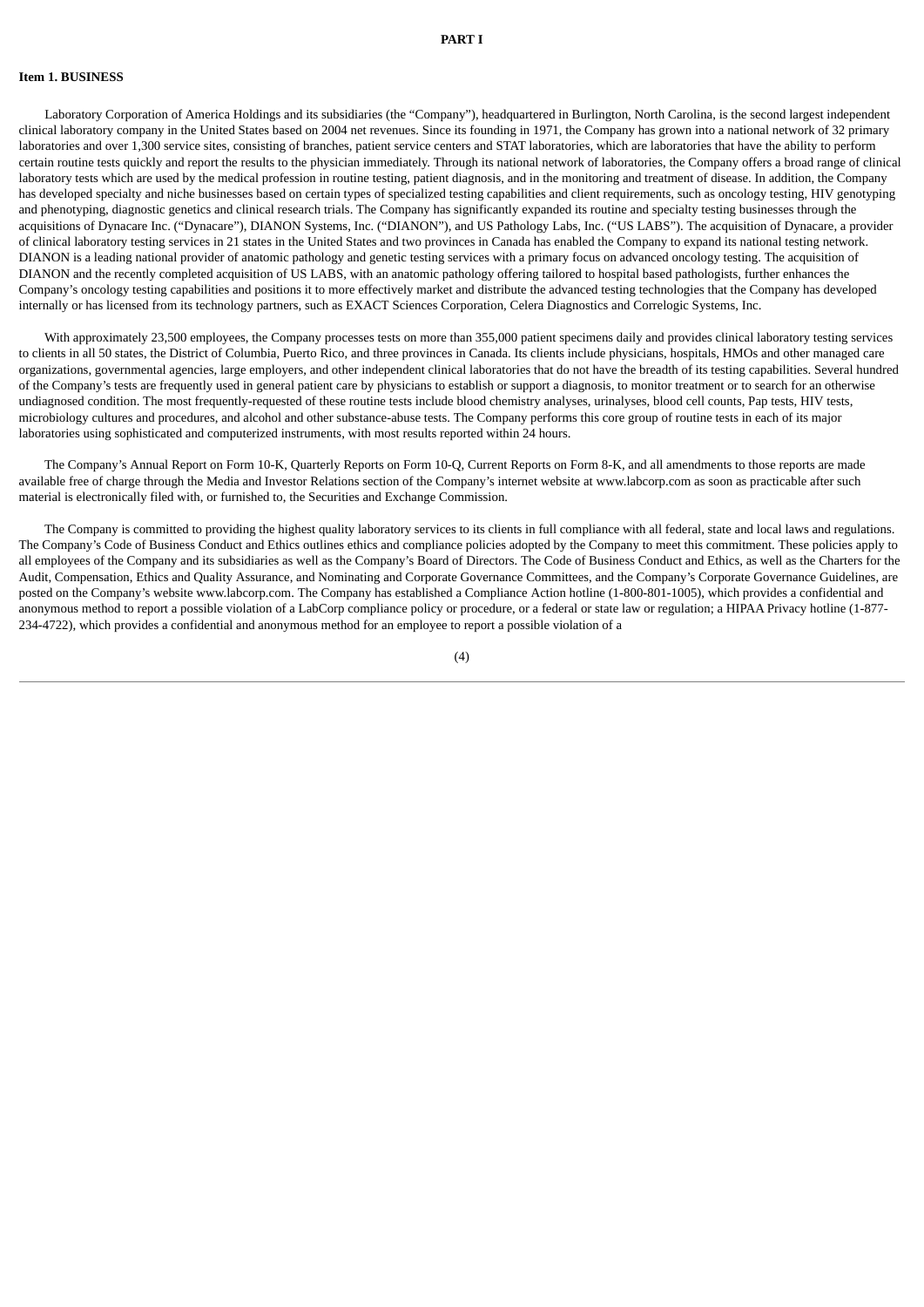#### **Item 1. BUSINESS**

 Laboratory Corporation of America Holdings and its subsidiaries (the "Company"), headquartered in Burlington, North Carolina, is the second largest independent clinical laboratory company in the United States based on 2004 net revenues. Since its founding in 1971, the Company has grown into a national network of 32 primary laboratories and over 1,300 service sites, consisting of branches, patient service centers and STAT laboratories, which are laboratories that have the ability to perform certain routine tests quickly and report the results to the physician immediately. Through its national network of laboratories, the Company offers a broad range of clinical laboratory tests which are used by the medical profession in routine testing, patient diagnosis, and in the monitoring and treatment of disease. In addition, the Company has developed specialty and niche businesses based on certain types of specialized testing capabilities and client requirements, such as oncology testing, HIV genotyping and phenotyping, diagnostic genetics and clinical research trials. The Company has significantly expanded its routine and specialty testing businesses through the acquisitions of Dynacare Inc. ("Dynacare"), DIANON Systems, Inc. ("DIANON"), and US Pathology Labs, Inc. ("US LABS"). The acquisition of Dynacare, a provider of clinical laboratory testing services in 21 states in the United States and two provinces in Canada has enabled the Company to expand its national testing network. DIANON is a leading national provider of anatomic pathology and genetic testing services with a primary focus on advanced oncology testing. The acquisition of DIANON and the recently completed acquisition of US LABS, with an anatomic pathology offering tailored to hospital based pathologists, further enhances the Company's oncology testing capabilities and positions it to more effectively market and distribute the advanced testing technologies that the Company has developed internally or has licensed from its technology partners, such as EXACT Sciences Corporation, Celera Diagnostics and Correlogic Systems, Inc.

 With approximately 23,500 employees, the Company processes tests on more than 355,000 patient specimens daily and provides clinical laboratory testing services to clients in all 50 states, the District of Columbia, Puerto Rico, and three provinces in Canada. Its clients include physicians, hospitals, HMOs and other managed care organizations, governmental agencies, large employers, and other independent clinical laboratories that do not have the breadth of its testing capabilities. Several hundred of the Company's tests are frequently used in general patient care by physicians to establish or support a diagnosis, to monitor treatment or to search for an otherwise undiagnosed condition. The most frequently-requested of these routine tests include blood chemistry analyses, urinalyses, blood cell counts, Pap tests, HIV tests, microbiology cultures and procedures, and alcohol and other substance-abuse tests. The Company performs this core group of routine tests in each of its major laboratories using sophisticated and computerized instruments, with most results reported within 24 hours.

 The Company's Annual Report on Form 10-K, Quarterly Reports on Form 10-Q, Current Reports on Form 8-K, and all amendments to those reports are made available free of charge through the Media and Investor Relations section of the Company's internet website at www.labcorp.com as soon as practicable after such material is electronically filed with, or furnished to, the Securities and Exchange Commission.

 The Company is committed to providing the highest quality laboratory services to its clients in full compliance with all federal, state and local laws and regulations. The Company's Code of Business Conduct and Ethics outlines ethics and compliance policies adopted by the Company to meet this commitment. These policies apply to all employees of the Company and its subsidiaries as well as the Company's Board of Directors. The Code of Business Conduct and Ethics, as well as the Charters for the Audit, Compensation, Ethics and Quality Assurance, and Nominating and Corporate Governance Committees, and the Company's Corporate Governance Guidelines, are posted on the Company's website www.labcorp.com. The Company has established a Compliance Action hotline (1-800-801-1005), which provides a confidential and anonymous method to report a possible violation of a LabCorp compliance policy or procedure, or a federal or state law or regulation; a HIPAA Privacy hotline (1-877- 234-4722), which provides a confidential and anonymous method for an employee to report a possible violation of a

(4)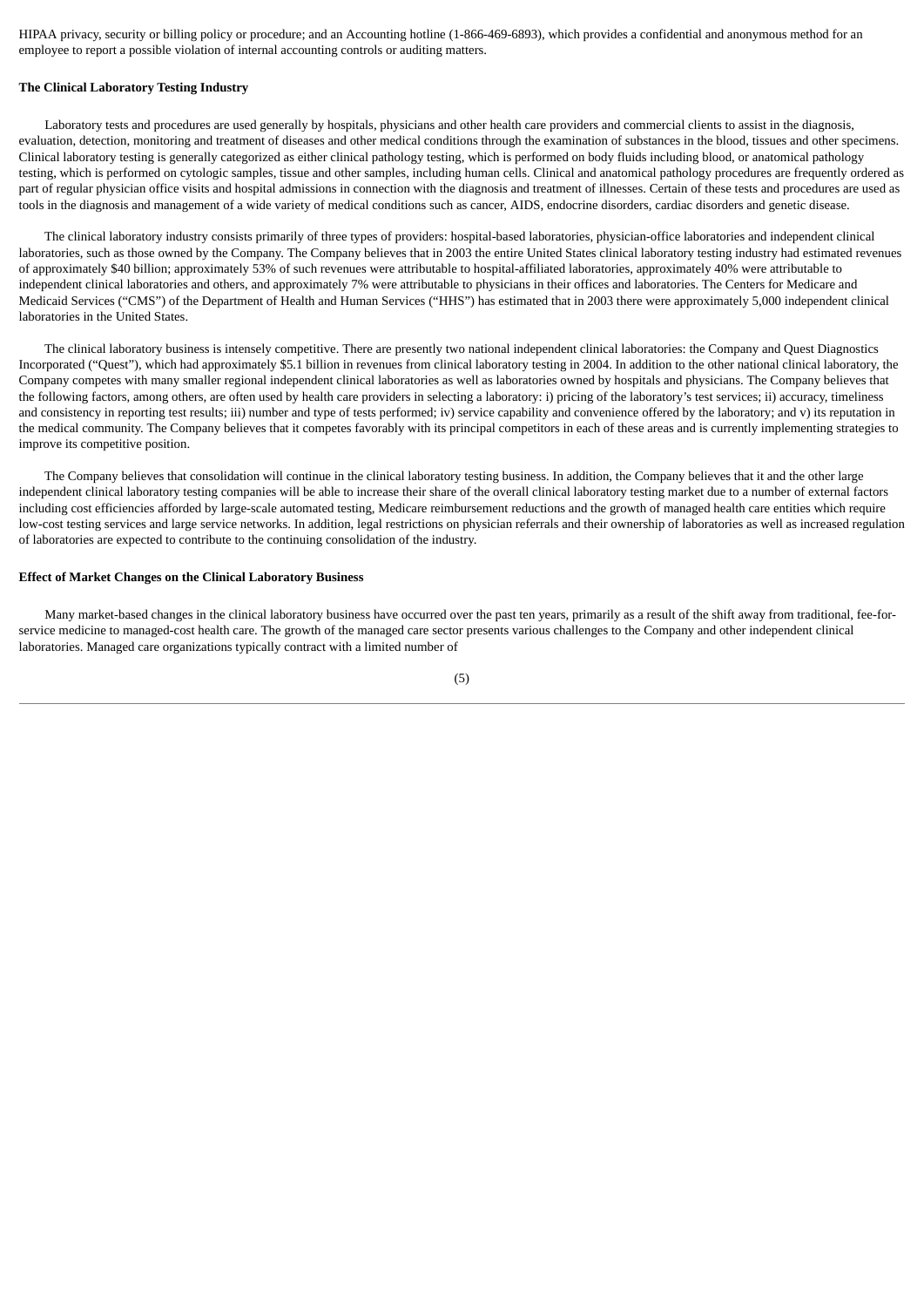HIPAA privacy, security or billing policy or procedure; and an Accounting hotline (1-866-469-6893), which provides a confidential and anonymous method for an employee to report a possible violation of internal accounting controls or auditing matters.

#### **The Clinical Laboratory Testing Industry**

 Laboratory tests and procedures are used generally by hospitals, physicians and other health care providers and commercial clients to assist in the diagnosis, evaluation, detection, monitoring and treatment of diseases and other medical conditions through the examination of substances in the blood, tissues and other specimens. Clinical laboratory testing is generally categorized as either clinical pathology testing, which is performed on body fluids including blood, or anatomical pathology testing, which is performed on cytologic samples, tissue and other samples, including human cells. Clinical and anatomical pathology procedures are frequently ordered as part of regular physician office visits and hospital admissions in connection with the diagnosis and treatment of illnesses. Certain of these tests and procedures are used as tools in the diagnosis and management of a wide variety of medical conditions such as cancer, AIDS, endocrine disorders, cardiac disorders and genetic disease.

 The clinical laboratory industry consists primarily of three types of providers: hospital-based laboratories, physician-office laboratories and independent clinical laboratories, such as those owned by the Company. The Company believes that in 2003 the entire United States clinical laboratory testing industry had estimated revenues of approximately \$40 billion; approximately 53% of such revenues were attributable to hospital-affiliated laboratories, approximately 40% were attributable to independent clinical laboratories and others, and approximately 7% were attributable to physicians in their offices and laboratories. The Centers for Medicare and Medicaid Services ("CMS") of the Department of Health and Human Services ("HHS") has estimated that in 2003 there were approximately 5,000 independent clinical laboratories in the United States.

 The clinical laboratory business is intensely competitive. There are presently two national independent clinical laboratories: the Company and Quest Diagnostics Incorporated ("Quest"), which had approximately \$5.1 billion in revenues from clinical laboratory testing in 2004. In addition to the other national clinical laboratory, the Company competes with many smaller regional independent clinical laboratories as well as laboratories owned by hospitals and physicians. The Company believes that the following factors, among others, are often used by health care providers in selecting a laboratory: i) pricing of the laboratory's test services; ii) accuracy, timeliness and consistency in reporting test results; iii) number and type of tests performed; iv) service capability and convenience offered by the laboratory; and v) its reputation in the medical community. The Company believes that it competes favorably with its principal competitors in each of these areas and is currently implementing strategies to improve its competitive position.

 The Company believes that consolidation will continue in the clinical laboratory testing business. In addition, the Company believes that it and the other large independent clinical laboratory testing companies will be able to increase their share of the overall clinical laboratory testing market due to a number of external factors including cost efficiencies afforded by large-scale automated testing, Medicare reimbursement reductions and the growth of managed health care entities which require low-cost testing services and large service networks. In addition, legal restrictions on physician referrals and their ownership of laboratories as well as increased regulation of laboratories are expected to contribute to the continuing consolidation of the industry.

#### **Effect of Market Changes on the Clinical Laboratory Business**

 Many market-based changes in the clinical laboratory business have occurred over the past ten years, primarily as a result of the shift away from traditional, fee-forservice medicine to managed-cost health care. The growth of the managed care sector presents various challenges to the Company and other independent clinical laboratories. Managed care organizations typically contract with a limited number of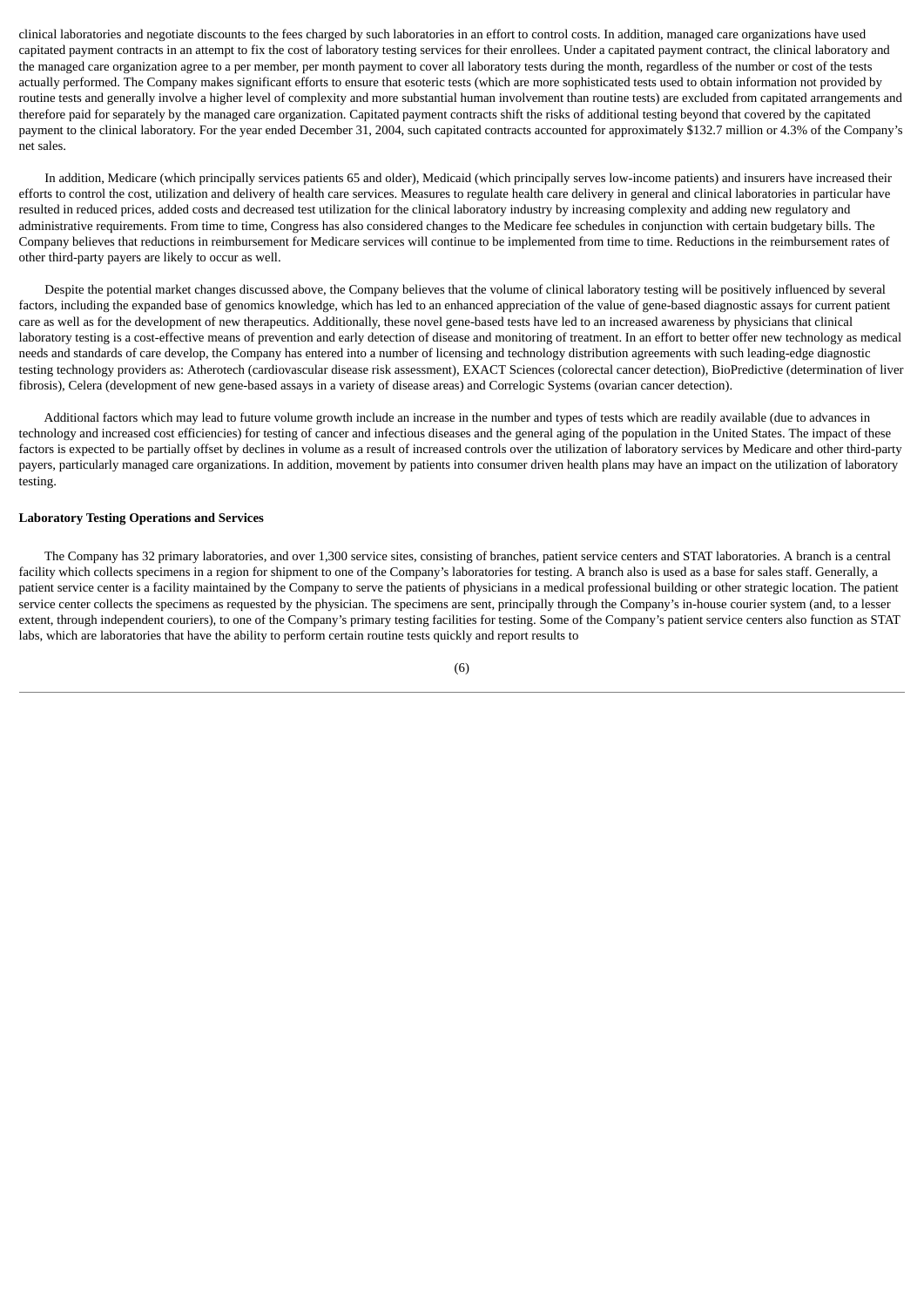clinical laboratories and negotiate discounts to the fees charged by such laboratories in an effort to control costs. In addition, managed care organizations have used capitated payment contracts in an attempt to fix the cost of laboratory testing services for their enrollees. Under a capitated payment contract, the clinical laboratory and the managed care organization agree to a per member, per month payment to cover all laboratory tests during the month, regardless of the number or cost of the tests actually performed. The Company makes significant efforts to ensure that esoteric tests (which are more sophisticated tests used to obtain information not provided by routine tests and generally involve a higher level of complexity and more substantial human involvement than routine tests) are excluded from capitated arrangements and therefore paid for separately by the managed care organization. Capitated payment contracts shift the risks of additional testing beyond that covered by the capitated payment to the clinical laboratory. For the year ended December 31, 2004, such capitated contracts accounted for approximately \$132.7 million or 4.3% of the Company's net sales.

 In addition, Medicare (which principally services patients 65 and older), Medicaid (which principally serves low-income patients) and insurers have increased their efforts to control the cost, utilization and delivery of health care services. Measures to regulate health care delivery in general and clinical laboratories in particular have resulted in reduced prices, added costs and decreased test utilization for the clinical laboratory industry by increasing complexity and adding new regulatory and administrative requirements. From time to time, Congress has also considered changes to the Medicare fee schedules in conjunction with certain budgetary bills. The Company believes that reductions in reimbursement for Medicare services will continue to be implemented from time to time. Reductions in the reimbursement rates of other third-party payers are likely to occur as well.

 Despite the potential market changes discussed above, the Company believes that the volume of clinical laboratory testing will be positively influenced by several factors, including the expanded base of genomics knowledge, which has led to an enhanced appreciation of the value of gene-based diagnostic assays for current patient care as well as for the development of new therapeutics. Additionally, these novel gene-based tests have led to an increased awareness by physicians that clinical laboratory testing is a cost-effective means of prevention and early detection of disease and monitoring of treatment. In an effort to better offer new technology as medical needs and standards of care develop, the Company has entered into a number of licensing and technology distribution agreements with such leading-edge diagnostic testing technology providers as: Atherotech (cardiovascular disease risk assessment), EXACT Sciences (colorectal cancer detection), BioPredictive (determination of liver fibrosis), Celera (development of new gene-based assays in a variety of disease areas) and Correlogic Systems (ovarian cancer detection).

 Additional factors which may lead to future volume growth include an increase in the number and types of tests which are readily available (due to advances in technology and increased cost efficiencies) for testing of cancer and infectious diseases and the general aging of the population in the United States. The impact of these factors is expected to be partially offset by declines in volume as a result of increased controls over the utilization of laboratory services by Medicare and other third-party payers, particularly managed care organizations. In addition, movement by patients into consumer driven health plans may have an impact on the utilization of laboratory testing.

#### **Laboratory Testing Operations and Services**

 The Company has 32 primary laboratories, and over 1,300 service sites, consisting of branches, patient service centers and STAT laboratories. A branch is a central facility which collects specimens in a region for shipment to one of the Company's laboratories for testing. A branch also is used as a base for sales staff. Generally, a patient service center is a facility maintained by the Company to serve the patients of physicians in a medical professional building or other strategic location. The patient service center collects the specimens as requested by the physician. The specimens are sent, principally through the Company's in-house courier system (and, to a lesser extent, through independent couriers), to one of the Company's primary testing facilities for testing. Some of the Company's patient service centers also function as STAT labs, which are laboratories that have the ability to perform certain routine tests quickly and report results to

#### (6)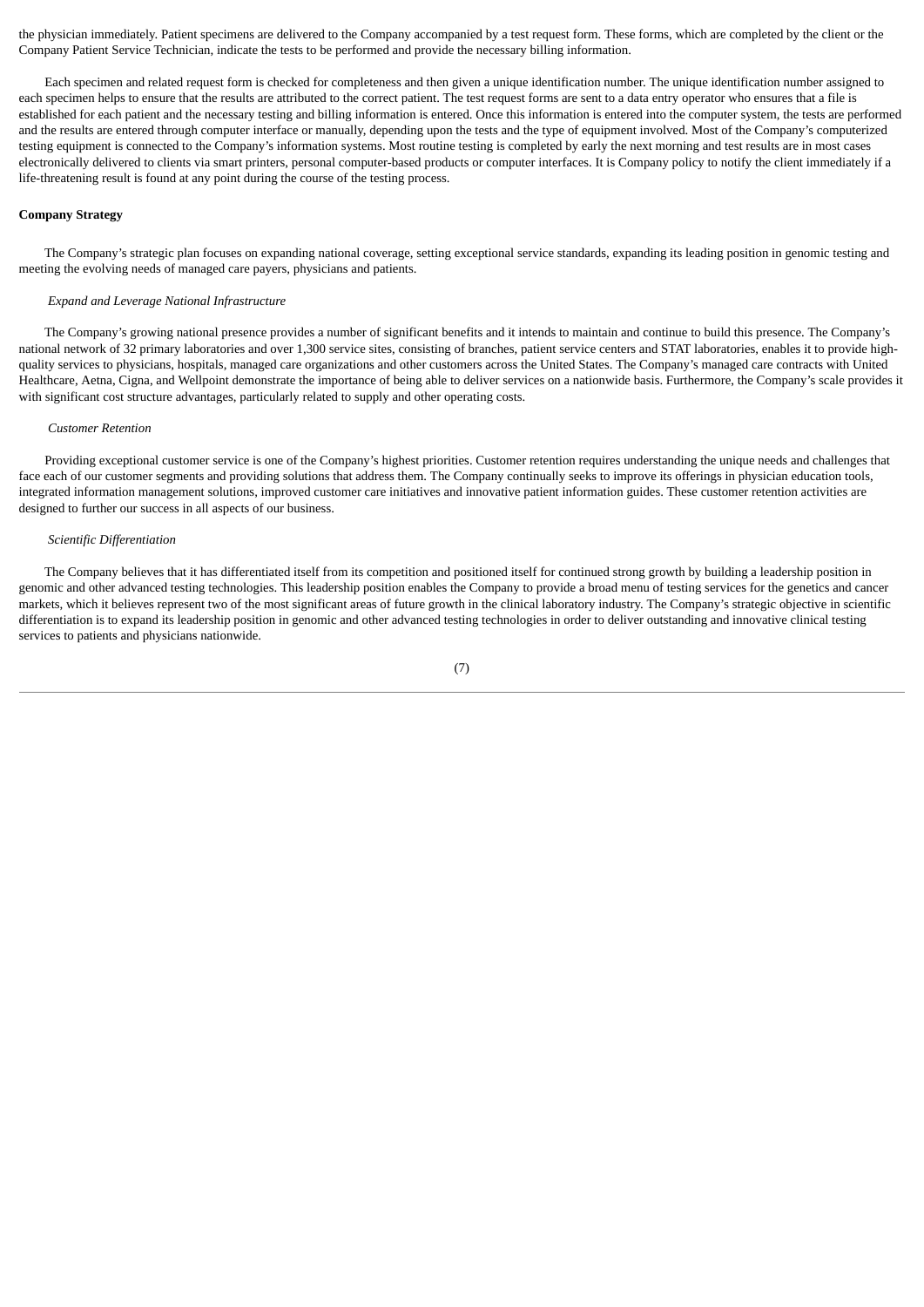the physician immediately. Patient specimens are delivered to the Company accompanied by a test request form. These forms, which are completed by the client or the Company Patient Service Technician, indicate the tests to be performed and provide the necessary billing information.

 Each specimen and related request form is checked for completeness and then given a unique identification number. The unique identification number assigned to each specimen helps to ensure that the results are attributed to the correct patient. The test request forms are sent to a data entry operator who ensures that a file is established for each patient and the necessary testing and billing information is entered. Once this information is entered into the computer system, the tests are performed and the results are entered through computer interface or manually, depending upon the tests and the type of equipment involved. Most of the Company's computerized testing equipment is connected to the Company's information systems. Most routine testing is completed by early the next morning and test results are in most cases electronically delivered to clients via smart printers, personal computer-based products or computer interfaces. It is Company policy to notify the client immediately if a life-threatening result is found at any point during the course of the testing process.

#### **Company Strategy**

 The Company's strategic plan focuses on expanding national coverage, setting exceptional service standards, expanding its leading position in genomic testing and meeting the evolving needs of managed care payers, physicians and patients.

#### *Expand and Leverage National Infrastructure*

 The Company's growing national presence provides a number of significant benefits and it intends to maintain and continue to build this presence. The Company's national network of 32 primary laboratories and over 1,300 service sites, consisting of branches, patient service centers and STAT laboratories, enables it to provide highquality services to physicians, hospitals, managed care organizations and other customers across the United States. The Company's managed care contracts with United Healthcare, Aetna, Cigna, and Wellpoint demonstrate the importance of being able to deliver services on a nationwide basis. Furthermore, the Company's scale provides it with significant cost structure advantages, particularly related to supply and other operating costs.

#### *Customer Retention*

 Providing exceptional customer service is one of the Company's highest priorities. Customer retention requires understanding the unique needs and challenges that face each of our customer segments and providing solutions that address them. The Company continually seeks to improve its offerings in physician education tools, integrated information management solutions, improved customer care initiatives and innovative patient information guides. These customer retention activities are designed to further our success in all aspects of our business.

#### *Scientific Differentiation*

 The Company believes that it has differentiated itself from its competition and positioned itself for continued strong growth by building a leadership position in genomic and other advanced testing technologies. This leadership position enables the Company to provide a broad menu of testing services for the genetics and cancer markets, which it believes represent two of the most significant areas of future growth in the clinical laboratory industry. The Company's strategic objective in scientific differentiation is to expand its leadership position in genomic and other advanced testing technologies in order to deliver outstanding and innovative clinical testing services to patients and physicians nationwide.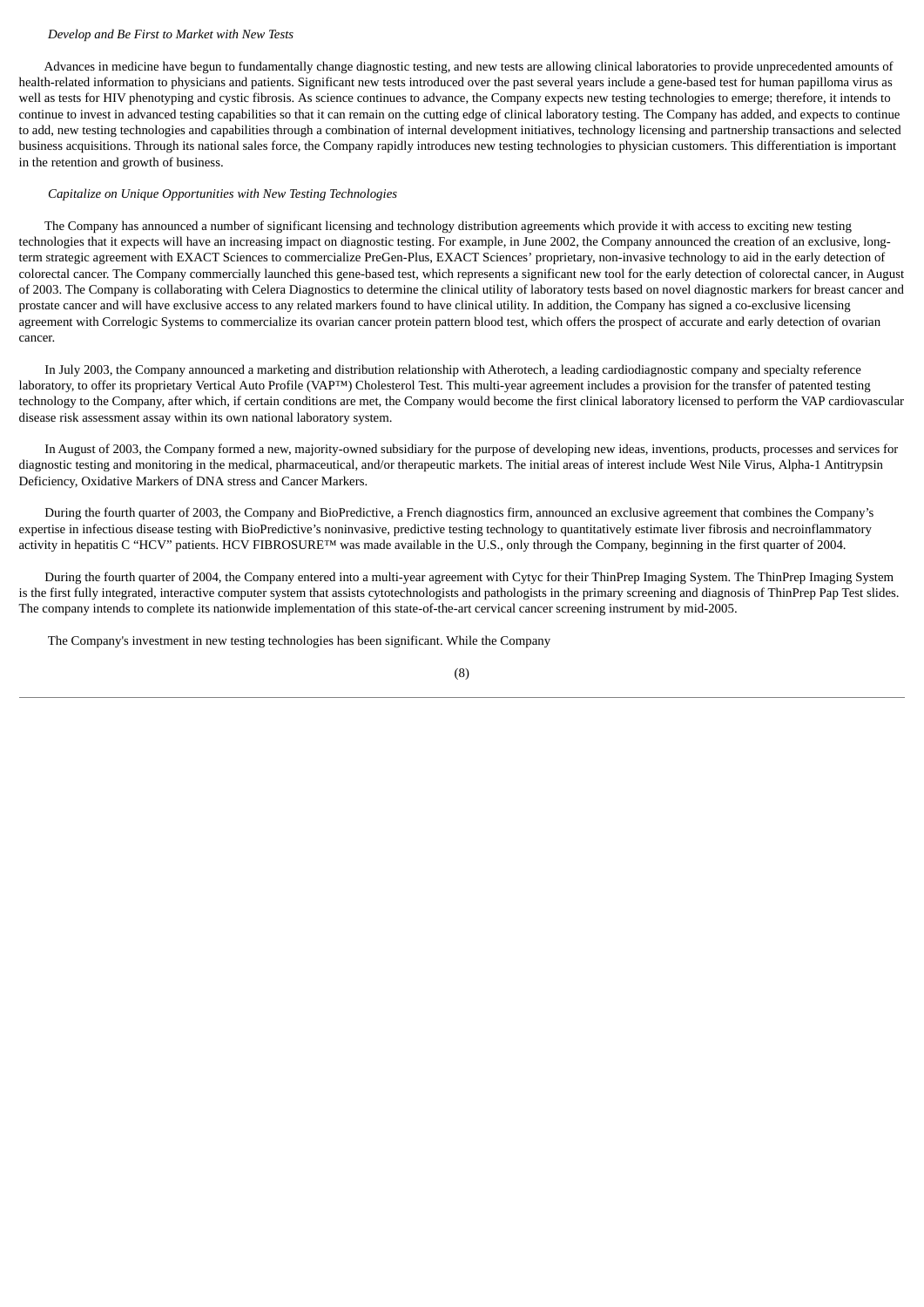#### *Develop and Be First to Market with New Tests*

 Advances in medicine have begun to fundamentally change diagnostic testing, and new tests are allowing clinical laboratories to provide unprecedented amounts of health-related information to physicians and patients. Significant new tests introduced over the past several years include a gene-based test for human papilloma virus as well as tests for HIV phenotyping and cystic fibrosis. As science continues to advance, the Company expects new testing technologies to emerge; therefore, it intends to continue to invest in advanced testing capabilities so that it can remain on the cutting edge of clinical laboratory testing. The Company has added, and expects to continue to add, new testing technologies and capabilities through a combination of internal development initiatives, technology licensing and partnership transactions and selected business acquisitions. Through its national sales force, the Company rapidly introduces new testing technologies to physician customers. This differentiation is important in the retention and growth of business.

#### *Capitalize on Unique Opportunities with New Testing Technologies*

 The Company has announced a number of significant licensing and technology distribution agreements which provide it with access to exciting new testing technologies that it expects will have an increasing impact on diagnostic testing. For example, in June 2002, the Company announced the creation of an exclusive, longterm strategic agreement with EXACT Sciences to commercialize PreGen-Plus, EXACT Sciences' proprietary, non-invasive technology to aid in the early detection of colorectal cancer. The Company commercially launched this gene-based test, which represents a significant new tool for the early detection of colorectal cancer, in August of 2003. The Company is collaborating with Celera Diagnostics to determine the clinical utility of laboratory tests based on novel diagnostic markers for breast cancer and prostate cancer and will have exclusive access to any related markers found to have clinical utility. In addition, the Company has signed a co-exclusive licensing agreement with Correlogic Systems to commercialize its ovarian cancer protein pattern blood test, which offers the prospect of accurate and early detection of ovarian cancer.

 In July 2003, the Company announced a marketing and distribution relationship with Atherotech, a leading cardiodiagnostic company and specialty reference laboratory, to offer its proprietary Vertical Auto Profile (VAP™) Cholesterol Test. This multi-year agreement includes a provision for the transfer of patented testing technology to the Company, after which, if certain conditions are met, the Company would become the first clinical laboratory licensed to perform the VAP cardiovascular disease risk assessment assay within its own national laboratory system.

 In August of 2003, the Company formed a new, majority-owned subsidiary for the purpose of developing new ideas, inventions, products, processes and services for diagnostic testing and monitoring in the medical, pharmaceutical, and/or therapeutic markets. The initial areas of interest include West Nile Virus, Alpha-1 Antitrypsin Deficiency, Oxidative Markers of DNA stress and Cancer Markers.

 During the fourth quarter of 2003, the Company and BioPredictive, a French diagnostics firm, announced an exclusive agreement that combines the Company's expertise in infectious disease testing with BioPredictive's noninvasive, predictive testing technology to quantitatively estimate liver fibrosis and necroinflammatory activity in hepatitis C "HCV" patients. HCV FIBROSURE™ was made available in the U.S., only through the Company, beginning in the first quarter of 2004.

 During the fourth quarter of 2004, the Company entered into a multi-year agreement with Cytyc for their ThinPrep Imaging System. The ThinPrep Imaging System is the first fully integrated, interactive computer system that assists cytotechnologists and pathologists in the primary screening and diagnosis of ThinPrep Pap Test slides. The company intends to complete its nationwide implementation of this state-of-the-art cervical cancer screening instrument by mid-2005.

The Company's investment in new testing technologies has been significant. While the Company

(8)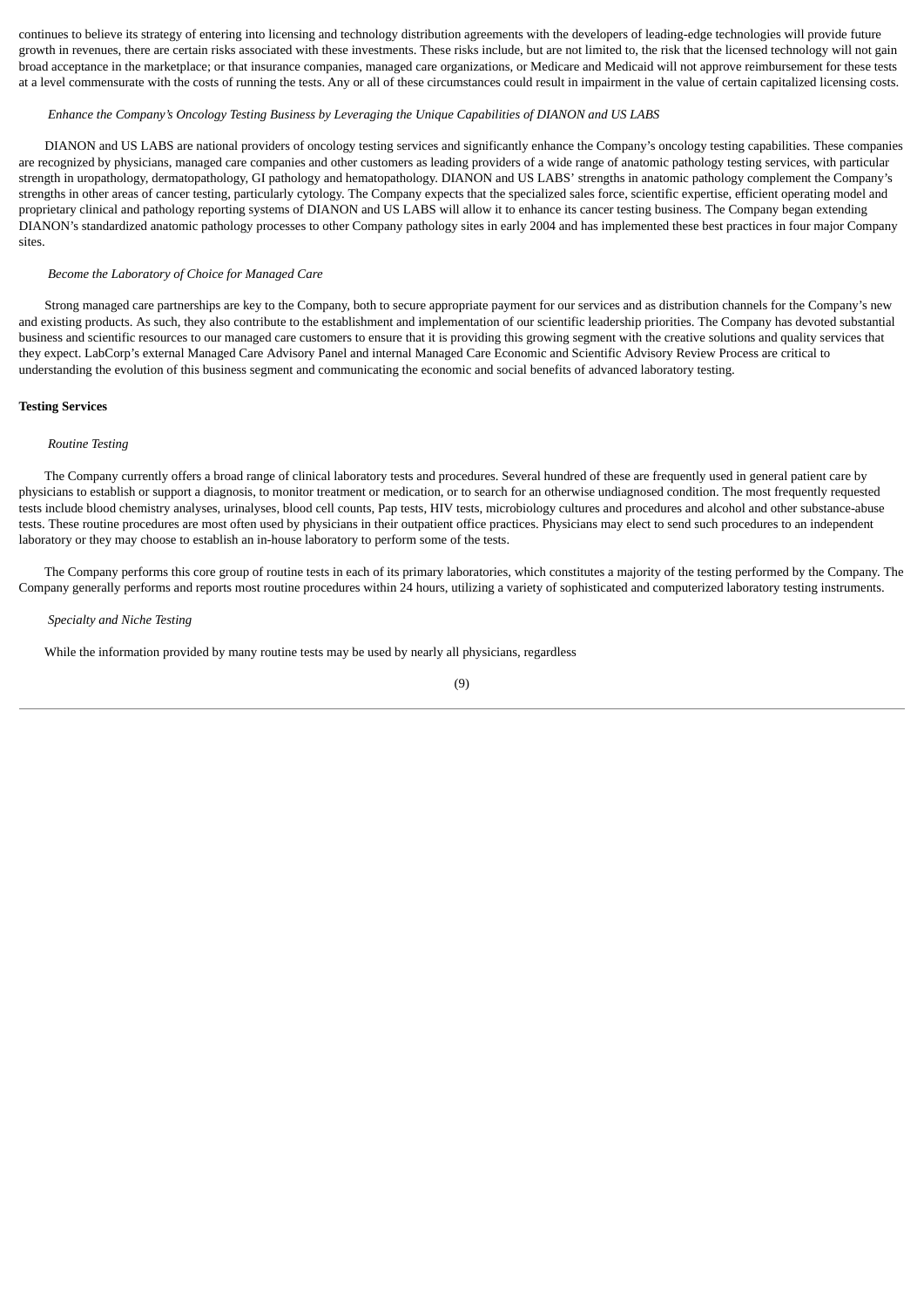continues to believe its strategy of entering into licensing and technology distribution agreements with the developers of leading-edge technologies will provide future growth in revenues, there are certain risks associated with these investments. These risks include, but are not limited to, the risk that the licensed technology will not gain broad acceptance in the marketplace; or that insurance companies, managed care organizations, or Medicare and Medicaid will not approve reimbursement for these tests at a level commensurate with the costs of running the tests. Any or all of these circumstances could result in impairment in the value of certain capitalized licensing costs.

#### *Enhance the Company's Oncology Testing Business by Leveraging the Unique Capabilities of DIANON and US LABS*

 DIANON and US LABS are national providers of oncology testing services and significantly enhance the Company's oncology testing capabilities. These companies are recognized by physicians, managed care companies and other customers as leading providers of a wide range of anatomic pathology testing services, with particular strength in uropathology, dermatopathology, GI pathology and hematopathology. DIANON and US LABS' strengths in anatomic pathology complement the Company's strengths in other areas of cancer testing, particularly cytology. The Company expects that the specialized sales force, scientific expertise, efficient operating model and proprietary clinical and pathology reporting systems of DIANON and US LABS will allow it to enhance its cancer testing business. The Company began extending DIANON's standardized anatomic pathology processes to other Company pathology sites in early 2004 and has implemented these best practices in four major Company sites.

#### *Become the Laboratory of Choice for Managed Care*

 Strong managed care partnerships are key to the Company, both to secure appropriate payment for our services and as distribution channels for the Company's new and existing products. As such, they also contribute to the establishment and implementation of our scientific leadership priorities. The Company has devoted substantial business and scientific resources to our managed care customers to ensure that it is providing this growing segment with the creative solutions and quality services that they expect. LabCorp's external Managed Care Advisory Panel and internal Managed Care Economic and Scientific Advisory Review Process are critical to understanding the evolution of this business segment and communicating the economic and social benefits of advanced laboratory testing.

#### **Testing Services**

#### *Routine Testing*

 The Company currently offers a broad range of clinical laboratory tests and procedures. Several hundred of these are frequently used in general patient care by physicians to establish or support a diagnosis, to monitor treatment or medication, or to search for an otherwise undiagnosed condition. The most frequently requested tests include blood chemistry analyses, urinalyses, blood cell counts, Pap tests, HIV tests, microbiology cultures and procedures and alcohol and other substance-abuse tests. These routine procedures are most often used by physicians in their outpatient office practices. Physicians may elect to send such procedures to an independent laboratory or they may choose to establish an in-house laboratory to perform some of the tests.

 The Company performs this core group of routine tests in each of its primary laboratories, which constitutes a majority of the testing performed by the Company. The Company generally performs and reports most routine procedures within 24 hours, utilizing a variety of sophisticated and computerized laboratory testing instruments.

#### *Specialty and Niche Testing*

While the information provided by many routine tests may be used by nearly all physicians, regardless

$$
^{(9)}
$$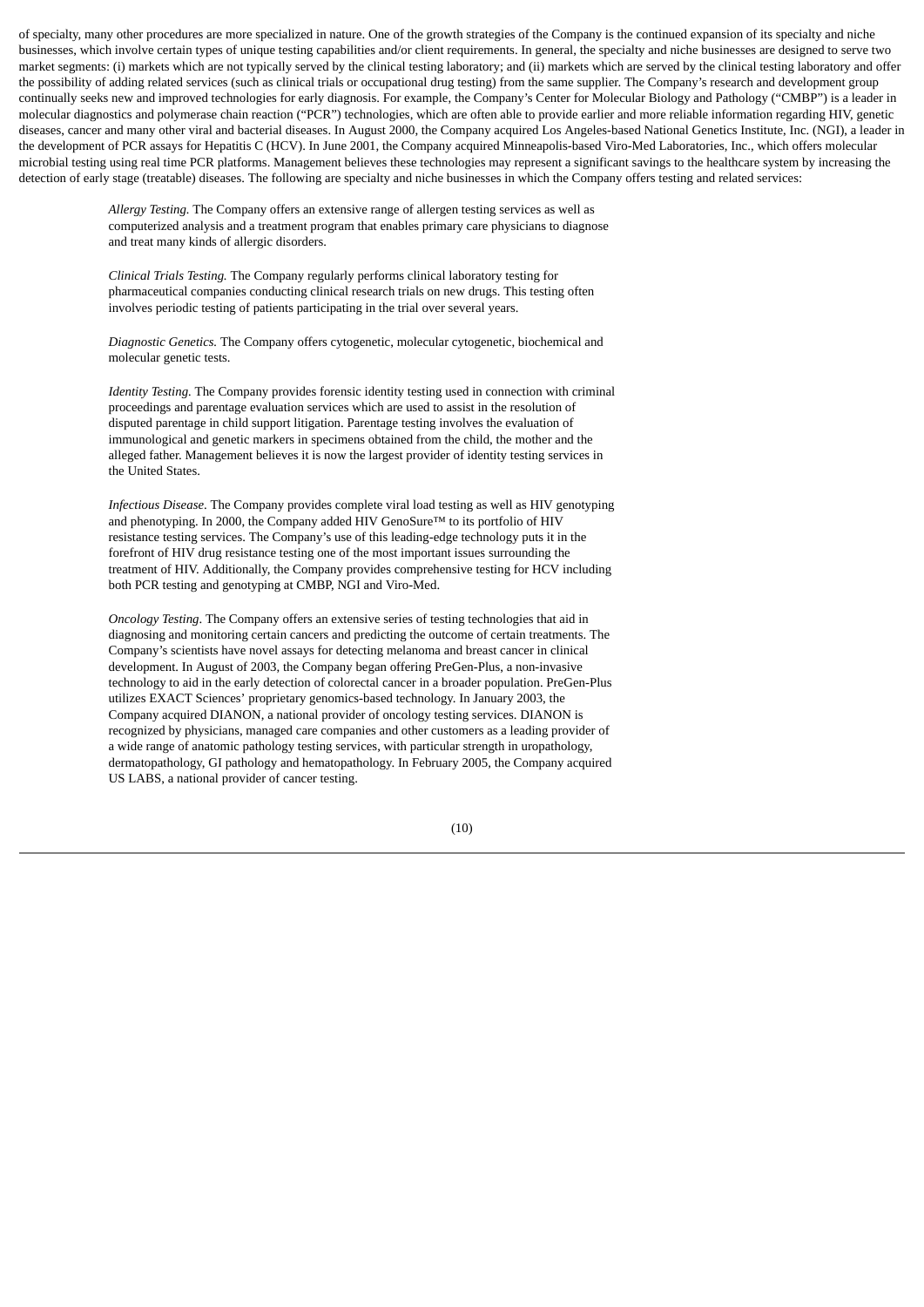of specialty, many other procedures are more specialized in nature. One of the growth strategies of the Company is the continued expansion of its specialty and niche businesses, which involve certain types of unique testing capabilities and/or client requirements. In general, the specialty and niche businesses are designed to serve two market segments: (i) markets which are not typically served by the clinical testing laboratory; and (ii) markets which are served by the clinical testing laboratory and offer the possibility of adding related services (such as clinical trials or occupational drug testing) from the same supplier. The Company's research and development group continually seeks new and improved technologies for early diagnosis. For example, the Company's Center for Molecular Biology and Pathology ("CMBP") is a leader in molecular diagnostics and polymerase chain reaction ("PCR") technologies, which are often able to provide earlier and more reliable information regarding HIV, genetic diseases, cancer and many other viral and bacterial diseases. In August 2000, the Company acquired Los Angeles-based National Genetics Institute, Inc. (NGI), a leader in the development of PCR assays for Hepatitis C (HCV). In June 2001, the Company acquired Minneapolis-based Viro-Med Laboratories, Inc., which offers molecular microbial testing using real time PCR platforms. Management believes these technologies may represent a significant savings to the healthcare system by increasing the detection of early stage (treatable) diseases. The following are specialty and niche businesses in which the Company offers testing and related services:

> *Allergy Testing.* The Company offers an extensive range of allergen testing services as well as computerized analysis and a treatment program that enables primary care physicians to diagnose and treat many kinds of allergic disorders.

*Clinical Trials Testing.* The Company regularly performs clinical laboratory testing for pharmaceutical companies conducting clinical research trials on new drugs. This testing often involves periodic testing of patients participating in the trial over several years.

*Diagnostic Genetics.* The Company offers cytogenetic, molecular cytogenetic, biochemical and molecular genetic tests.

*Identity Testing.* The Company provides forensic identity testing used in connection with criminal proceedings and parentage evaluation services which are used to assist in the resolution of disputed parentage in child support litigation. Parentage testing involves the evaluation of immunological and genetic markers in specimens obtained from the child, the mother and the alleged father. Management believes it is now the largest provider of identity testing services in the United States.

*Infectious Disease*. The Company provides complete viral load testing as well as HIV genotyping and phenotyping. In 2000, the Company added HIV GenoSure<sup>™</sup> to its portfolio of HIV resistance testing services. The Company's use of this leading-edge technology puts it in the forefront of HIV drug resistance testing one of the most important issues surrounding the treatment of HIV. Additionally, the Company provides comprehensive testing for HCV including both PCR testing and genotyping at CMBP, NGI and Viro-Med.

*Oncology Testing*. The Company offers an extensive series of testing technologies that aid in diagnosing and monitoring certain cancers and predicting the outcome of certain treatments. The Company's scientists have novel assays for detecting melanoma and breast cancer in clinical development. In August of 2003, the Company began offering PreGen-Plus, a non-invasive technology to aid in the early detection of colorectal cancer in a broader population. PreGen-Plus utilizes EXACT Sciences' proprietary genomics-based technology. In January 2003, the Company acquired DIANON, a national provider of oncology testing services. DIANON is recognized by physicians, managed care companies and other customers as a leading provider of a wide range of anatomic pathology testing services, with particular strength in uropathology, dermatopathology, GI pathology and hematopathology. In February 2005, the Company acquired US LABS, a national provider of cancer testing.

(10)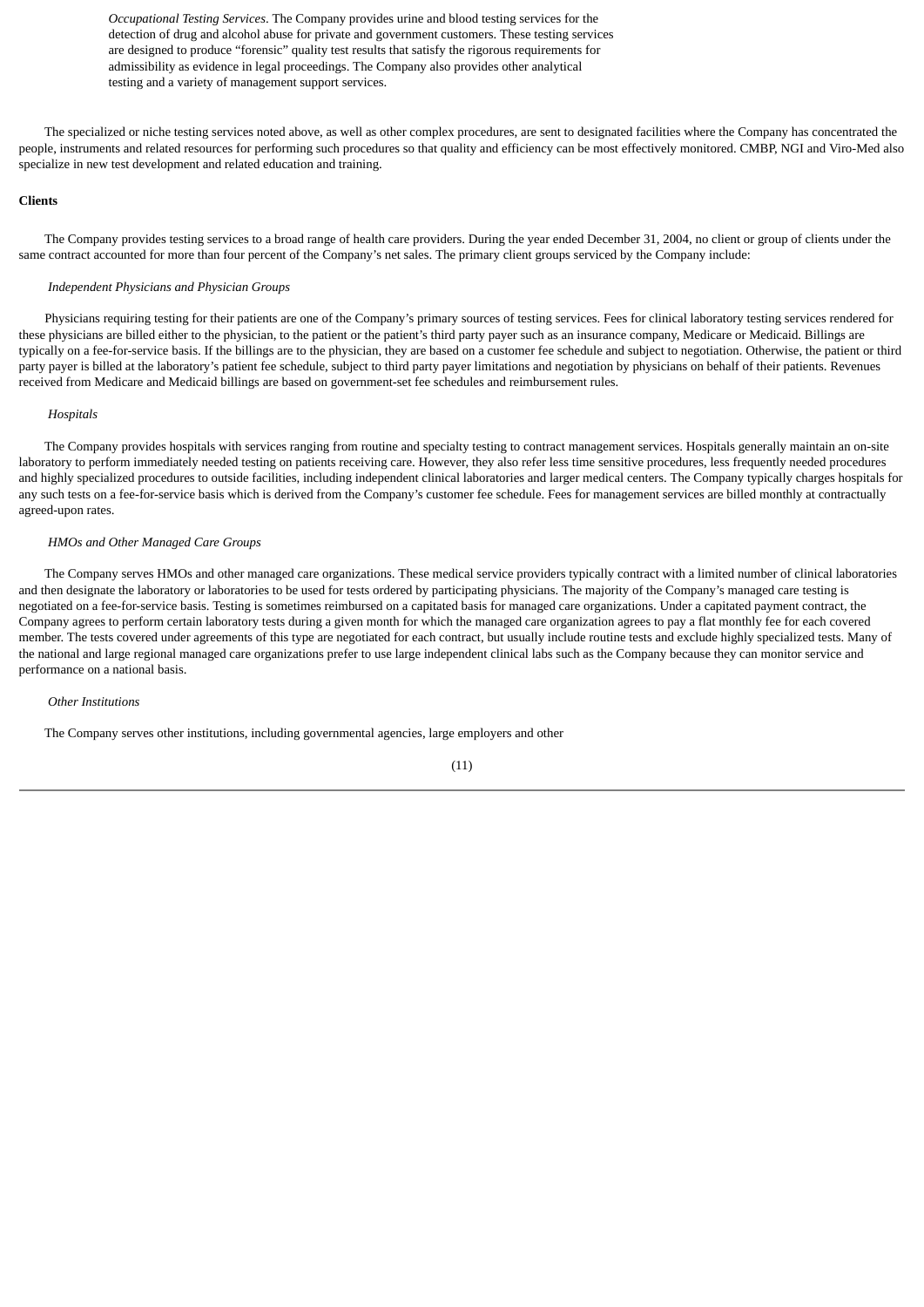*Occupational Testing Services*. The Company provides urine and blood testing services for the detection of drug and alcohol abuse for private and government customers. These testing services are designed to produce "forensic" quality test results that satisfy the rigorous requirements for admissibility as evidence in legal proceedings. The Company also provides other analytical testing and a variety of management support services.

 The specialized or niche testing services noted above, as well as other complex procedures, are sent to designated facilities where the Company has concentrated the people, instruments and related resources for performing such procedures so that quality and efficiency can be most effectively monitored. CMBP, NGI and Viro-Med also specialize in new test development and related education and training.

#### **Clients**

 The Company provides testing services to a broad range of health care providers. During the year ended December 31, 2004, no client or group of clients under the same contract accounted for more than four percent of the Company's net sales. The primary client groups serviced by the Company include:

#### *Independent Physicians and Physician Groups*

Physicians requiring testing for their patients are one of the Company's primary sources of testing services. Fees for clinical laboratory testing services rendered for these physicians are billed either to the physician, to the patient or the patient's third party payer such as an insurance company, Medicare or Medicaid. Billings are typically on a fee-for-service basis. If the billings are to the physician, they are based on a customer fee schedule and subject to negotiation. Otherwise, the patient or third party payer is billed at the laboratory's patient fee schedule, subject to third party payer limitations and negotiation by physicians on behalf of their patients. Revenues received from Medicare and Medicaid billings are based on government-set fee schedules and reimbursement rules.

#### *Hospitals*

 The Company provides hospitals with services ranging from routine and specialty testing to contract management services. Hospitals generally maintain an on-site laboratory to perform immediately needed testing on patients receiving care. However, they also refer less time sensitive procedures, less frequently needed procedures and highly specialized procedures to outside facilities, including independent clinical laboratories and larger medical centers. The Company typically charges hospitals for any such tests on a fee-for-service basis which is derived from the Company's customer fee schedule. Fees for management services are billed monthly at contractually agreed-upon rates.

#### *HMOs and Other Managed Care Groups*

 The Company serves HMOs and other managed care organizations. These medical service providers typically contract with a limited number of clinical laboratories and then designate the laboratory or laboratories to be used for tests ordered by participating physicians. The majority of the Company's managed care testing is negotiated on a fee-for-service basis. Testing is sometimes reimbursed on a capitated basis for managed care organizations. Under a capitated payment contract, the Company agrees to perform certain laboratory tests during a given month for which the managed care organization agrees to pay a flat monthly fee for each covered member. The tests covered under agreements of this type are negotiated for each contract, but usually include routine tests and exclude highly specialized tests. Many of the national and large regional managed care organizations prefer to use large independent clinical labs such as the Company because they can monitor service and performance on a national basis.

#### *Other Institutions*

The Company serves other institutions, including governmental agencies, large employers and other

(11)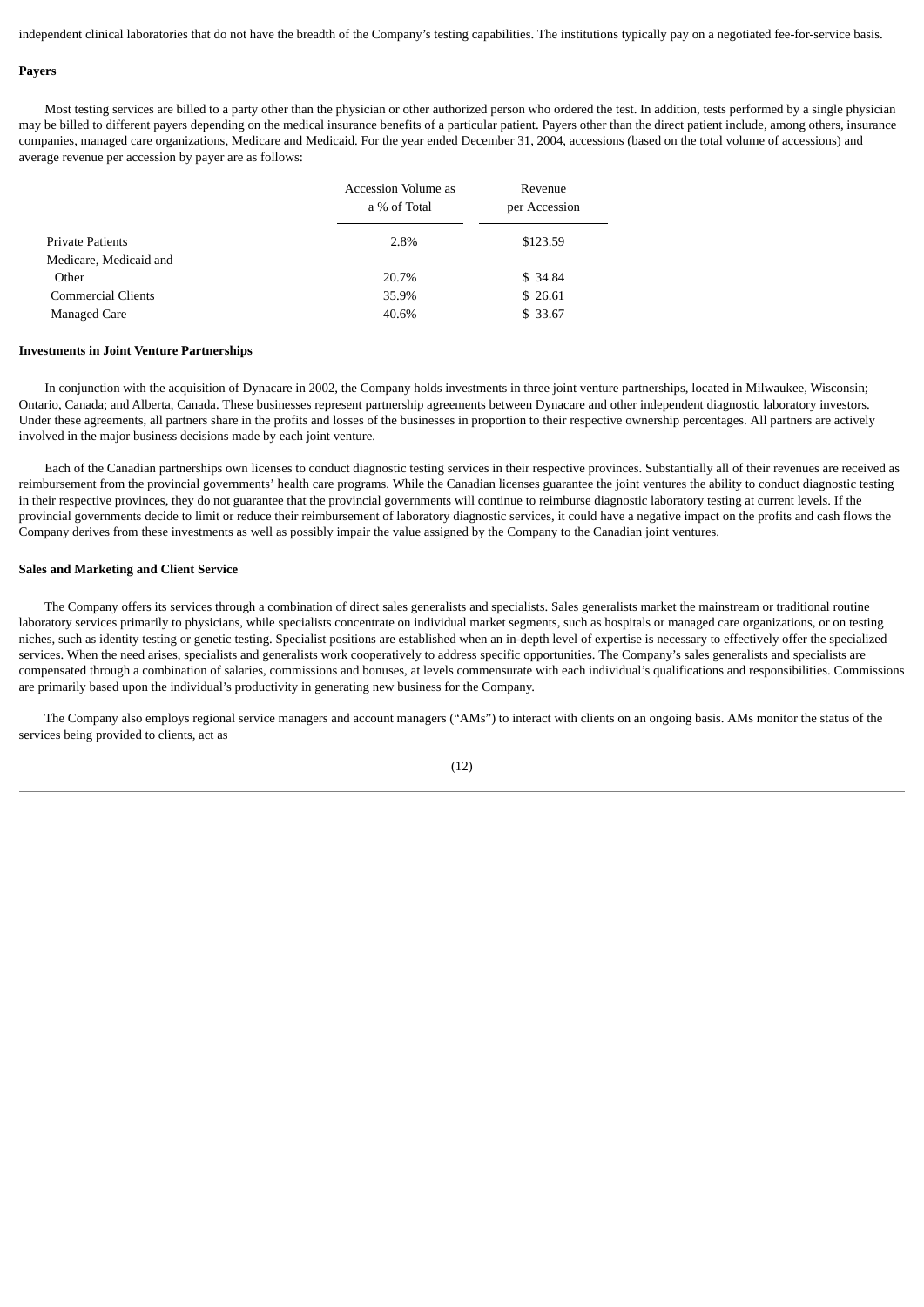independent clinical laboratories that do not have the breadth of the Company's testing capabilities. The institutions typically pay on a negotiated fee-for-service basis.

#### **Payers**

Most testing services are billed to a party other than the physician or other authorized person who ordered the test. In addition, tests performed by a single physician may be billed to different payers depending on the medical insurance benefits of a particular patient. Payers other than the direct patient include, among others, insurance companies, managed care organizations, Medicare and Medicaid. For the year ended December 31, 2004, accessions (based on the total volume of accessions) and average revenue per accession by payer are as follows:

|                           | Accession Volume as<br>a % of Total | Revenue<br>per Accession |
|---------------------------|-------------------------------------|--------------------------|
| <b>Private Patients</b>   | 2.8%                                | \$123.59                 |
| Medicare, Medicaid and    |                                     |                          |
| Other                     | 20.7%                               | \$ 34.84                 |
| <b>Commercial Clients</b> | 35.9%                               | \$26.61                  |
| Managed Care              | 40.6%                               | \$ 33.67                 |
|                           |                                     |                          |

#### **Investments in Joint Venture Partnerships**

 In conjunction with the acquisition of Dynacare in 2002, the Company holds investments in three joint venture partnerships, located in Milwaukee, Wisconsin; Ontario, Canada; and Alberta, Canada. These businesses represent partnership agreements between Dynacare and other independent diagnostic laboratory investors. Under these agreements, all partners share in the profits and losses of the businesses in proportion to their respective ownership percentages. All partners are actively involved in the major business decisions made by each joint venture.

 Each of the Canadian partnerships own licenses to conduct diagnostic testing services in their respective provinces. Substantially all of their revenues are received as reimbursement from the provincial governments' health care programs. While the Canadian licenses guarantee the joint ventures the ability to conduct diagnostic testing in their respective provinces, they do not guarantee that the provincial governments will continue to reimburse diagnostic laboratory testing at current levels. If the provincial governments decide to limit or reduce their reimbursement of laboratory diagnostic services, it could have a negative impact on the profits and cash flows the Company derives from these investments as well as possibly impair the value assigned by the Company to the Canadian joint ventures.

#### **Sales and Marketing and Client Service**

 The Company offers its services through a combination of direct sales generalists and specialists. Sales generalists market the mainstream or traditional routine laboratory services primarily to physicians, while specialists concentrate on individual market segments, such as hospitals or managed care organizations, or on testing niches, such as identity testing or genetic testing. Specialist positions are established when an in-depth level of expertise is necessary to effectively offer the specialized services. When the need arises, specialists and generalists work cooperatively to address specific opportunities. The Company's sales generalists and specialists are compensated through a combination of salaries, commissions and bonuses, at levels commensurate with each individual's qualifications and responsibilities. Commissions are primarily based upon the individual's productivity in generating new business for the Company.

 The Company also employs regional service managers and account managers ("AMs") to interact with clients on an ongoing basis. AMs monitor the status of the services being provided to clients, act as

(12)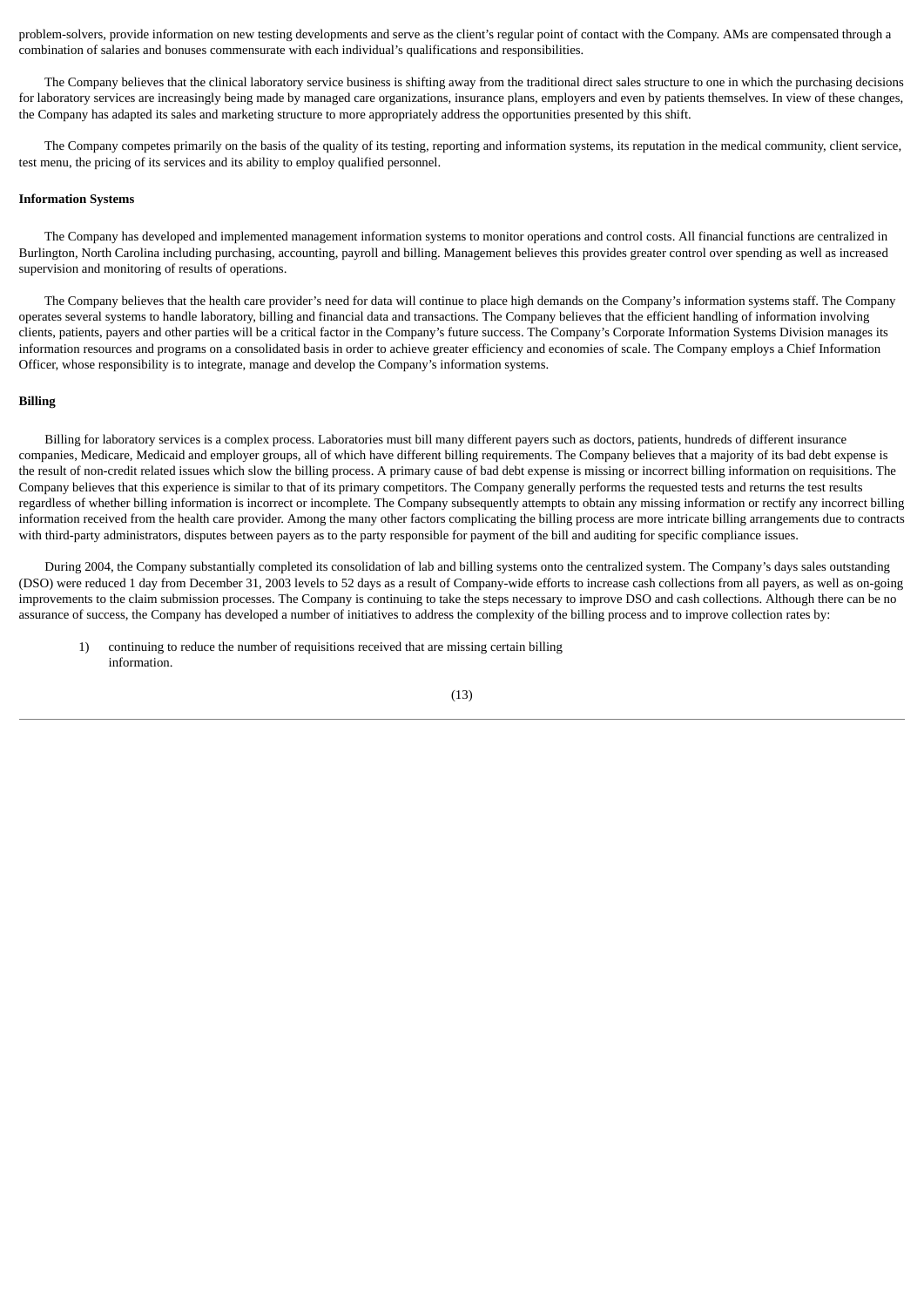problem-solvers, provide information on new testing developments and serve as the client's regular point of contact with the Company. AMs are compensated through a combination of salaries and bonuses commensurate with each individual's qualifications and responsibilities.

 The Company believes that the clinical laboratory service business is shifting away from the traditional direct sales structure to one in which the purchasing decisions for laboratory services are increasingly being made by managed care organizations, insurance plans, employers and even by patients themselves. In view of these changes, the Company has adapted its sales and marketing structure to more appropriately address the opportunities presented by this shift.

 The Company competes primarily on the basis of the quality of its testing, reporting and information systems, its reputation in the medical community, client service, test menu, the pricing of its services and its ability to employ qualified personnel.

#### **Information Systems**

 The Company has developed and implemented management information systems to monitor operations and control costs. All financial functions are centralized in Burlington, North Carolina including purchasing, accounting, payroll and billing. Management believes this provides greater control over spending as well as increased supervision and monitoring of results of operations.

 The Company believes that the health care provider's need for data will continue to place high demands on the Company's information systems staff. The Company operates several systems to handle laboratory, billing and financial data and transactions. The Company believes that the efficient handling of information involving clients, patients, payers and other parties will be a critical factor in the Company's future success. The Company's Corporate Information Systems Division manages its information resources and programs on a consolidated basis in order to achieve greater efficiency and economies of scale. The Company employs a Chief Information Officer, whose responsibility is to integrate, manage and develop the Company's information systems.

#### **Billing**

 Billing for laboratory services is a complex process. Laboratories must bill many different payers such as doctors, patients, hundreds of different insurance companies, Medicare, Medicaid and employer groups, all of which have different billing requirements. The Company believes that a majority of its bad debt expense is the result of non-credit related issues which slow the billing process. A primary cause of bad debt expense is missing or incorrect billing information on requisitions. The Company believes that this experience is similar to that of its primary competitors. The Company generally performs the requested tests and returns the test results regardless of whether billing information is incorrect or incomplete. The Company subsequently attempts to obtain any missing information or rectify any incorrect billing information received from the health care provider. Among the many other factors complicating the billing process are more intricate billing arrangements due to contracts with third-party administrators, disputes between payers as to the party responsible for payment of the bill and auditing for specific compliance issues.

 During 2004, the Company substantially completed its consolidation of lab and billing systems onto the centralized system. The Company's days sales outstanding (DSO) were reduced 1 day from December 31, 2003 levels to 52 days as a result of Company-wide efforts to increase cash collections from all payers, as well as on-going improvements to the claim submission processes. The Company is continuing to take the steps necessary to improve DSO and cash collections. Although there can be no assurance of success, the Company has developed a number of initiatives to address the complexity of the billing process and to improve collection rates by:

1) continuing to reduce the number of requisitions received that are missing certain billing information.

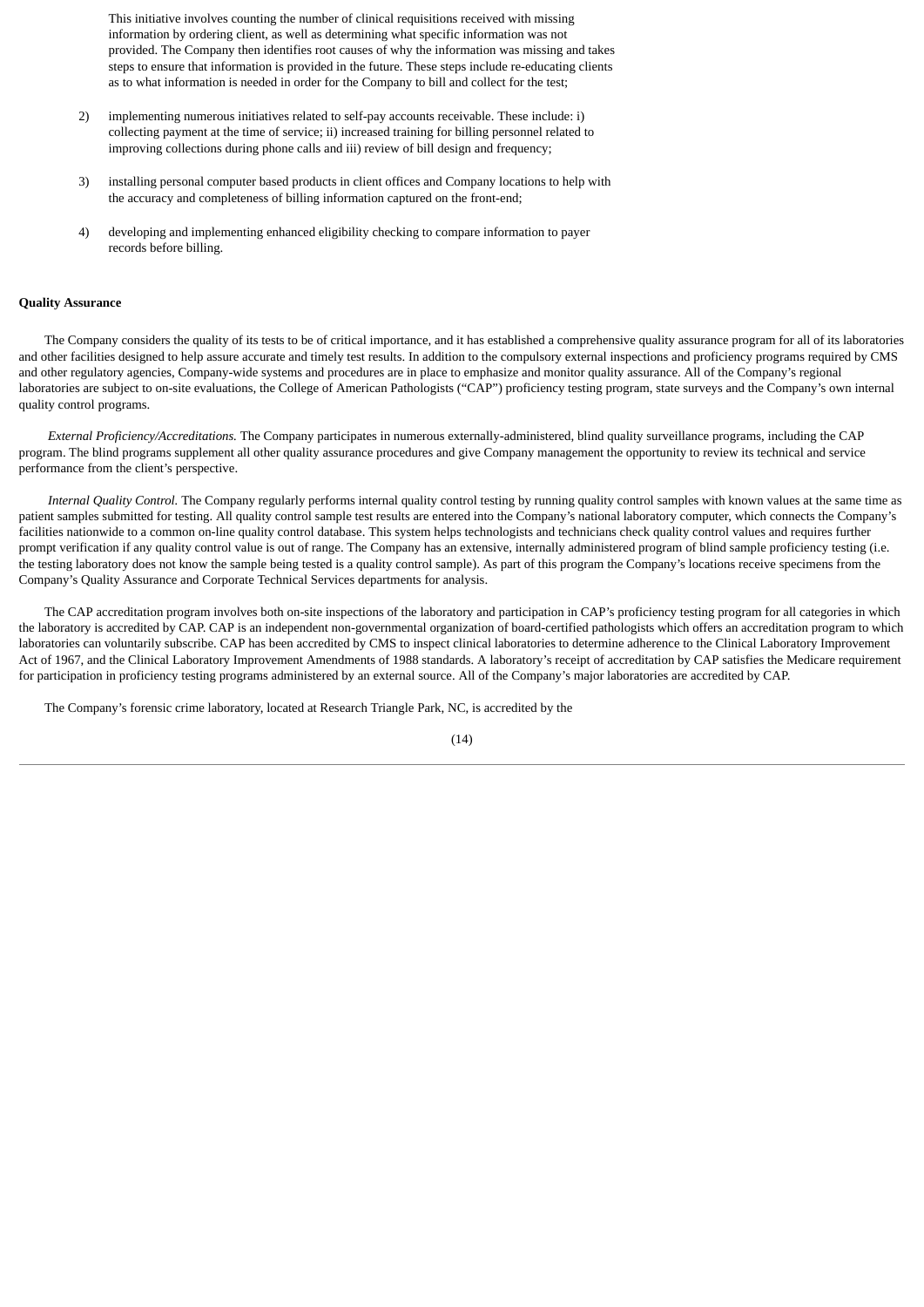This initiative involves counting the number of clinical requisitions received with missing information by ordering client, as well as determining what specific information was not provided. The Company then identifies root causes of why the information was missing and takes steps to ensure that information is provided in the future. These steps include re-educating clients as to what information is needed in order for the Company to bill and collect for the test;

- 2) implementing numerous initiatives related to self-pay accounts receivable. These include: i) collecting payment at the time of service; ii) increased training for billing personnel related to improving collections during phone calls and iii) review of bill design and frequency;
- 3) installing personal computer based products in client offices and Company locations to help with the accuracy and completeness of billing information captured on the front-end;
- 4) developing and implementing enhanced eligibility checking to compare information to payer records before billing.

#### **Quality Assurance**

 The Company considers the quality of its tests to be of critical importance, and it has established a comprehensive quality assurance program for all of its laboratories and other facilities designed to help assure accurate and timely test results. In addition to the compulsory external inspections and proficiency programs required by CMS and other regulatory agencies, Company-wide systems and procedures are in place to emphasize and monitor quality assurance. All of the Company's regional laboratories are subject to on-site evaluations, the College of American Pathologists ("CAP") proficiency testing program, state surveys and the Company's own internal quality control programs.

 *External Proficiency/Accreditations.* The Company participates in numerous externally-administered, blind quality surveillance programs, including the CAP program. The blind programs supplement all other quality assurance procedures and give Company management the opportunity to review its technical and service performance from the client's perspective.

 *Internal Quality Control.* The Company regularly performs internal quality control testing by running quality control samples with known values at the same time as patient samples submitted for testing. All quality control sample test results are entered into the Company's national laboratory computer, which connects the Company's facilities nationwide to a common on-line quality control database. This system helps technologists and technicians check quality control values and requires further prompt verification if any quality control value is out of range. The Company has an extensive, internally administered program of blind sample proficiency testing (i.e. the testing laboratory does not know the sample being tested is a quality control sample). As part of this program the Company's locations receive specimens from the Company's Quality Assurance and Corporate Technical Services departments for analysis.

 The CAP accreditation program involves both on-site inspections of the laboratory and participation in CAP's proficiency testing program for all categories in which the laboratory is accredited by CAP. CAP is an independent non-governmental organization of board-certified pathologists which offers an accreditation program to which laboratories can voluntarily subscribe. CAP has been accredited by CMS to inspect clinical laboratories to determine adherence to the Clinical Laboratory Improvement Act of 1967, and the Clinical Laboratory Improvement Amendments of 1988 standards. A laboratory's receipt of accreditation by CAP satisfies the Medicare requirement for participation in proficiency testing programs administered by an external source. All of the Company's major laboratories are accredited by CAP.

The Company's forensic crime laboratory, located at Research Triangle Park, NC, is accredited by the

$$
(14)
$$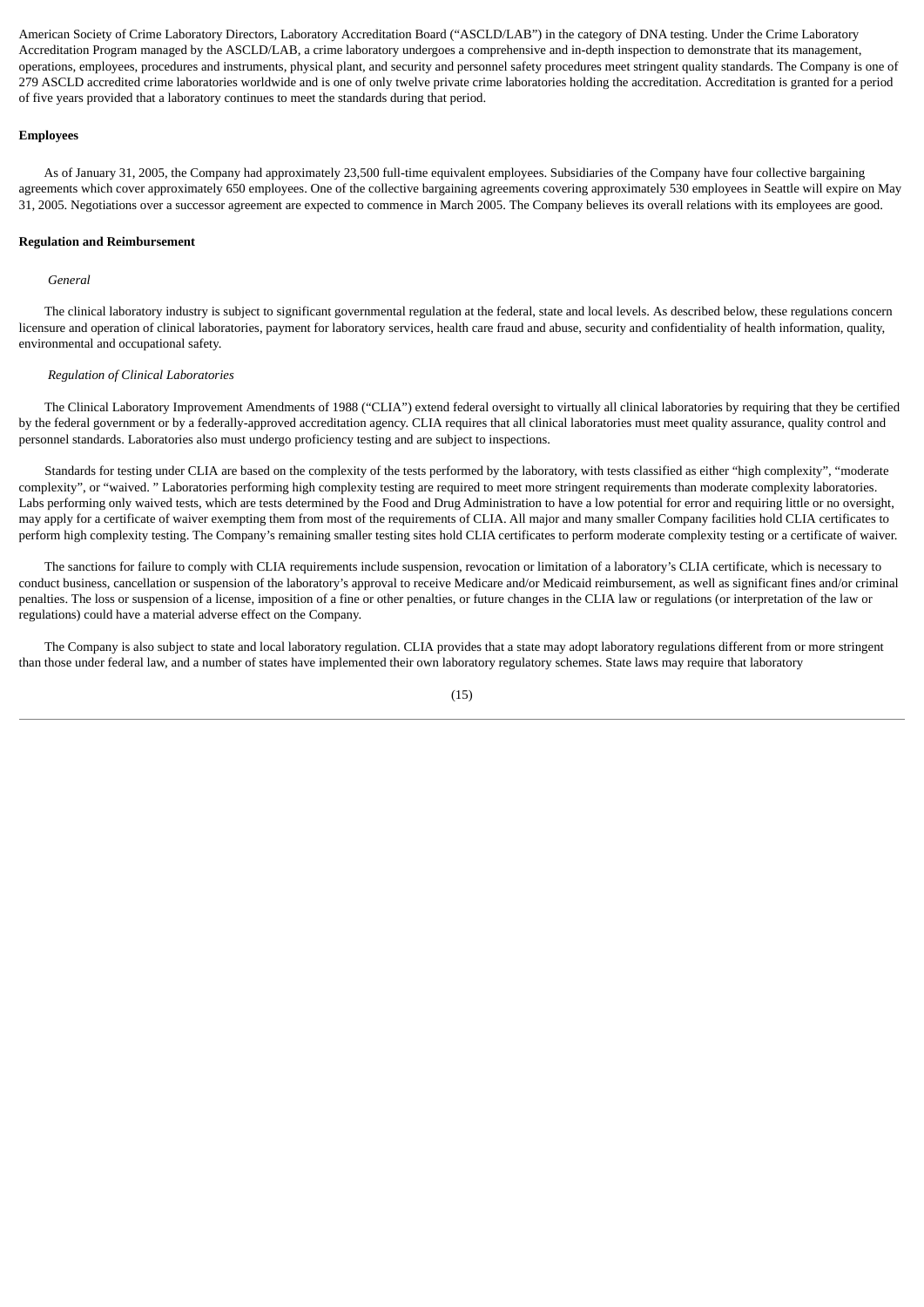American Society of Crime Laboratory Directors, Laboratory Accreditation Board ("ASCLD/LAB") in the category of DNA testing. Under the Crime Laboratory Accreditation Program managed by the ASCLD/LAB, a crime laboratory undergoes a comprehensive and in-depth inspection to demonstrate that its management, operations, employees, procedures and instruments, physical plant, and security and personnel safety procedures meet stringent quality standards. The Company is one of 279 ASCLD accredited crime laboratories worldwide and is one of only twelve private crime laboratories holding the accreditation. Accreditation is granted for a period of five years provided that a laboratory continues to meet the standards during that period.

#### **Employees**

 As of January 31, 2005, the Company had approximately 23,500 full-time equivalent employees. Subsidiaries of the Company have four collective bargaining agreements which cover approximately 650 employees. One of the collective bargaining agreements covering approximately 530 employees in Seattle will expire on May 31, 2005. Negotiations over a successor agreement are expected to commence in March 2005. The Company believes its overall relations with its employees are good.

#### **Regulation and Reimbursement**

#### *General*

 The clinical laboratory industry is subject to significant governmental regulation at the federal, state and local levels. As described below, these regulations concern licensure and operation of clinical laboratories, payment for laboratory services, health care fraud and abuse, security and confidentiality of health information, quality, environmental and occupational safety.

#### *Regulation of Clinical Laboratories*

 The Clinical Laboratory Improvement Amendments of 1988 ("CLIA") extend federal oversight to virtually all clinical laboratories by requiring that they be certified by the federal government or by a federally-approved accreditation agency. CLIA requires that all clinical laboratories must meet quality assurance, quality control and personnel standards. Laboratories also must undergo proficiency testing and are subject to inspections.

 Standards for testing under CLIA are based on the complexity of the tests performed by the laboratory, with tests classified as either "high complexity", "moderate complexity", or "waived. " Laboratories performing high complexity testing are required to meet more stringent requirements than moderate complexity laboratories. Labs performing only waived tests, which are tests determined by the Food and Drug Administration to have a low potential for error and requiring little or no oversight, may apply for a certificate of waiver exempting them from most of the requirements of CLIA. All major and many smaller Company facilities hold CLIA certificates to perform high complexity testing. The Company's remaining smaller testing sites hold CLIA certificates to perform moderate complexity testing or a certificate of waiver.

 The sanctions for failure to comply with CLIA requirements include suspension, revocation or limitation of a laboratory's CLIA certificate, which is necessary to conduct business, cancellation or suspension of the laboratory's approval to receive Medicare and/or Medicaid reimbursement, as well as significant fines and/or criminal penalties. The loss or suspension of a license, imposition of a fine or other penalties, or future changes in the CLIA law or regulations (or interpretation of the law or regulations) could have a material adverse effect on the Company.

 The Company is also subject to state and local laboratory regulation. CLIA provides that a state may adopt laboratory regulations different from or more stringent than those under federal law, and a number of states have implemented their own laboratory regulatory schemes. State laws may require that laboratory

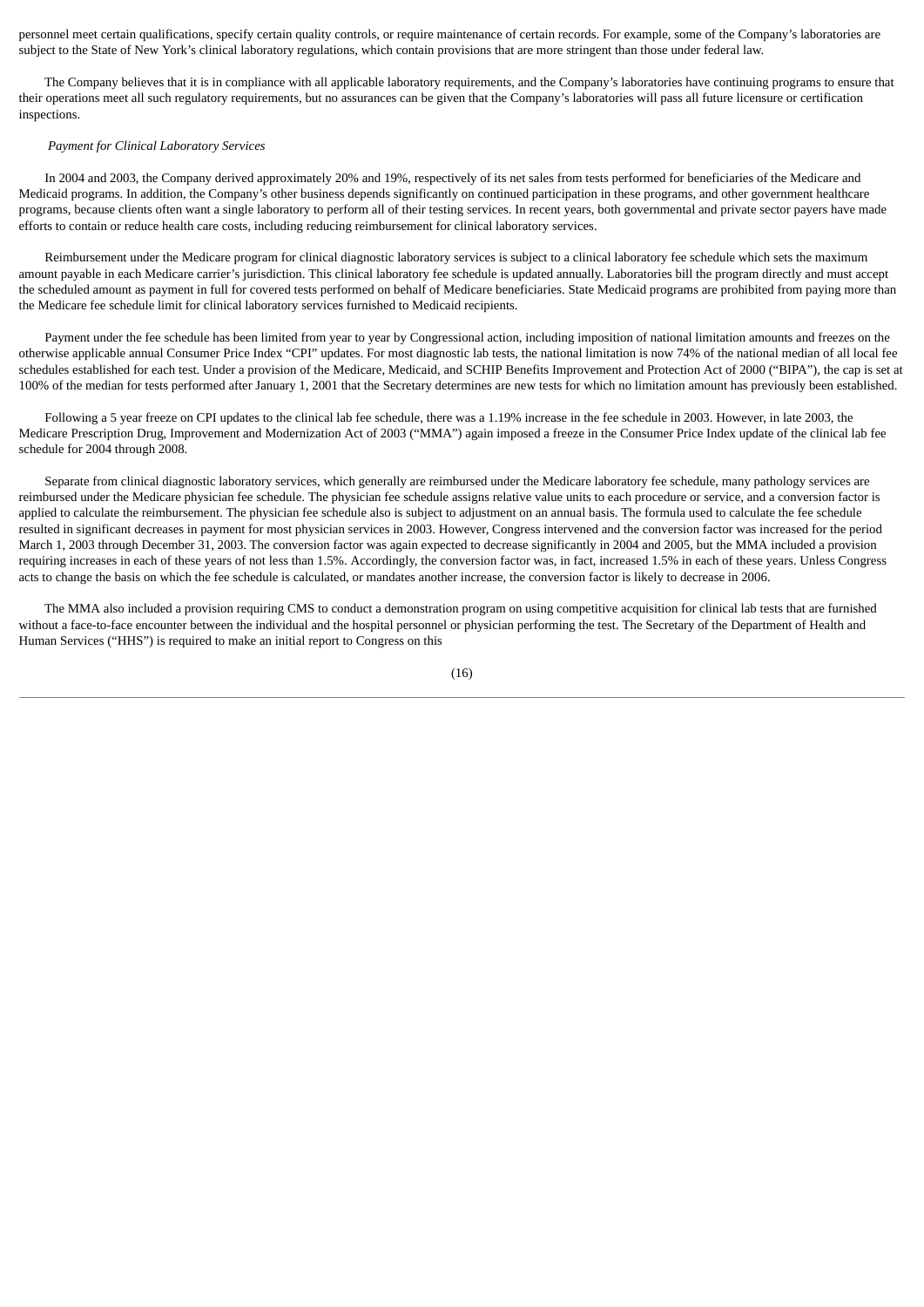personnel meet certain qualifications, specify certain quality controls, or require maintenance of certain records. For example, some of the Company's laboratories are subject to the State of New York's clinical laboratory regulations, which contain provisions that are more stringent than those under federal law.

 The Company believes that it is in compliance with all applicable laboratory requirements, and the Company's laboratories have continuing programs to ensure that their operations meet all such regulatory requirements, but no assurances can be given that the Company's laboratories will pass all future licensure or certification inspections.

#### *Payment for Clinical Laboratory Services*

 In 2004 and 2003, the Company derived approximately 20% and 19%, respectively of its net sales from tests performed for beneficiaries of the Medicare and Medicaid programs. In addition, the Company's other business depends significantly on continued participation in these programs, and other government healthcare programs, because clients often want a single laboratory to perform all of their testing services. In recent years, both governmental and private sector payers have made efforts to contain or reduce health care costs, including reducing reimbursement for clinical laboratory services.

 Reimbursement under the Medicare program for clinical diagnostic laboratory services is subject to a clinical laboratory fee schedule which sets the maximum amount payable in each Medicare carrier's jurisdiction. This clinical laboratory fee schedule is updated annually. Laboratories bill the program directly and must accept the scheduled amount as payment in full for covered tests performed on behalf of Medicare beneficiaries. State Medicaid programs are prohibited from paying more than the Medicare fee schedule limit for clinical laboratory services furnished to Medicaid recipients.

 Payment under the fee schedule has been limited from year to year by Congressional action, including imposition of national limitation amounts and freezes on the otherwise applicable annual Consumer Price Index "CPI" updates. For most diagnostic lab tests, the national limitation is now 74% of the national median of all local fee schedules established for each test. Under a provision of the Medicare, Medicaid, and SCHIP Benefits Improvement and Protection Act of 2000 ("BIPA"), the cap is set at 100% of the median for tests performed after January 1, 2001 that the Secretary determines are new tests for which no limitation amount has previously been established.

 Following a 5 year freeze on CPI updates to the clinical lab fee schedule, there was a 1.19% increase in the fee schedule in 2003. However, in late 2003, the Medicare Prescription Drug, Improvement and Modernization Act of 2003 ("MMA") again imposed a freeze in the Consumer Price Index update of the clinical lab fee schedule for 2004 through 2008.

 Separate from clinical diagnostic laboratory services, which generally are reimbursed under the Medicare laboratory fee schedule, many pathology services are reimbursed under the Medicare physician fee schedule. The physician fee schedule assigns relative value units to each procedure or service, and a conversion factor is applied to calculate the reimbursement. The physician fee schedule also is subject to adjustment on an annual basis. The formula used to calculate the fee schedule resulted in significant decreases in payment for most physician services in 2003. However, Congress intervened and the conversion factor was increased for the period March 1, 2003 through December 31, 2003. The conversion factor was again expected to decrease significantly in 2004 and 2005, but the MMA included a provision requiring increases in each of these years of not less than 1.5%. Accordingly, the conversion factor was, in fact, increased 1.5% in each of these years. Unless Congress acts to change the basis on which the fee schedule is calculated, or mandates another increase, the conversion factor is likely to decrease in 2006.

 The MMA also included a provision requiring CMS to conduct a demonstration program on using competitive acquisition for clinical lab tests that are furnished without a face-to-face encounter between the individual and the hospital personnel or physician performing the test. The Secretary of the Department of Health and Human Services ("HHS") is required to make an initial report to Congress on this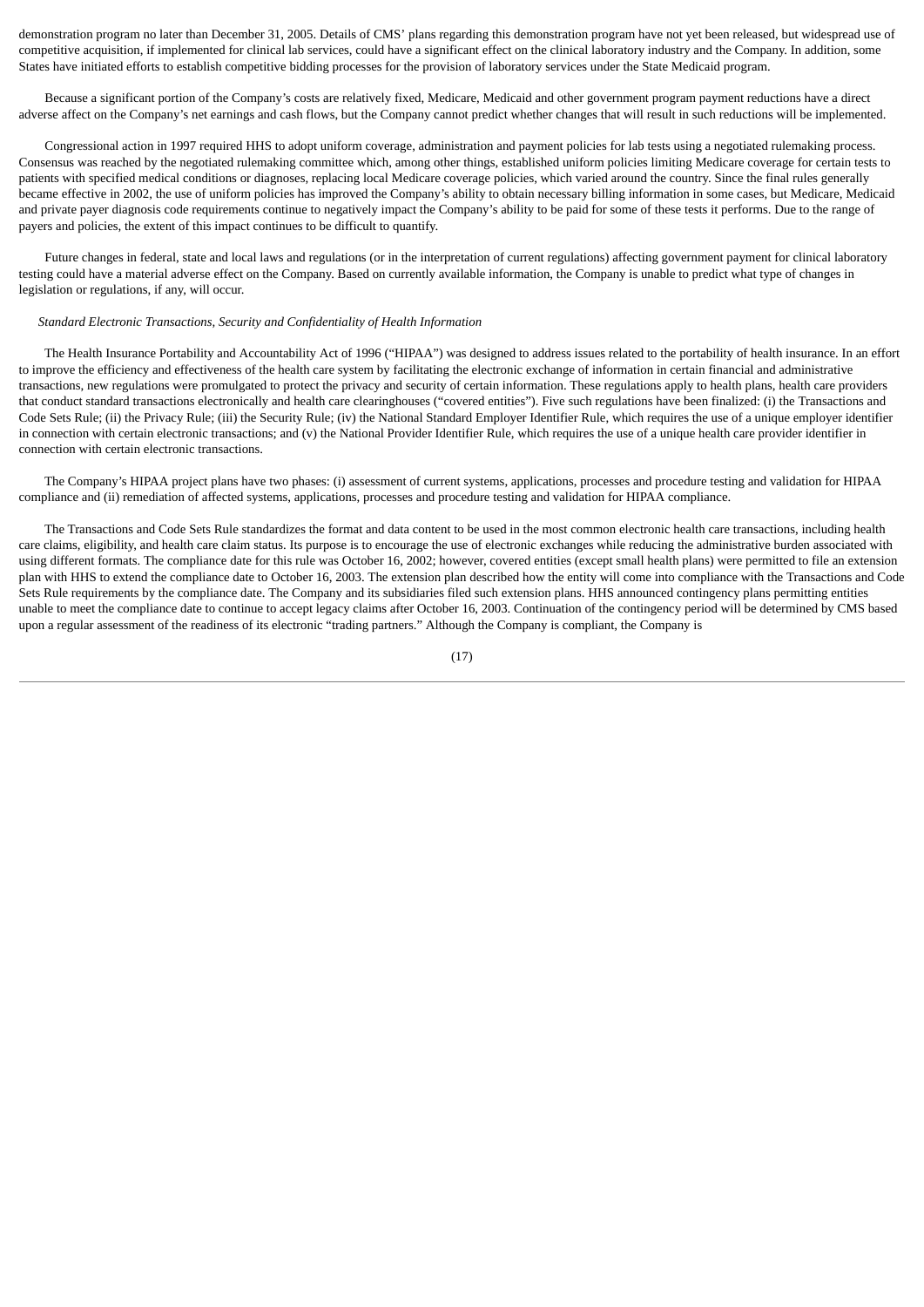demonstration program no later than December 31, 2005. Details of CMS' plans regarding this demonstration program have not yet been released, but widespread use of competitive acquisition, if implemented for clinical lab services, could have a significant effect on the clinical laboratory industry and the Company. In addition, some States have initiated efforts to establish competitive bidding processes for the provision of laboratory services under the State Medicaid program.

 Because a significant portion of the Company's costs are relatively fixed, Medicare, Medicaid and other government program payment reductions have a direct adverse affect on the Company's net earnings and cash flows, but the Company cannot predict whether changes that will result in such reductions will be implemented.

 Congressional action in 1997 required HHS to adopt uniform coverage, administration and payment policies for lab tests using a negotiated rulemaking process. Consensus was reached by the negotiated rulemaking committee which, among other things, established uniform policies limiting Medicare coverage for certain tests to patients with specified medical conditions or diagnoses, replacing local Medicare coverage policies, which varied around the country. Since the final rules generally became effective in 2002, the use of uniform policies has improved the Company's ability to obtain necessary billing information in some cases, but Medicare, Medicaid and private payer diagnosis code requirements continue to negatively impact the Company's ability to be paid for some of these tests it performs. Due to the range of payers and policies, the extent of this impact continues to be difficult to quantify.

 Future changes in federal, state and local laws and regulations (or in the interpretation of current regulations) affecting government payment for clinical laboratory testing could have a material adverse effect on the Company. Based on currently available information, the Company is unable to predict what type of changes in legislation or regulations, if any, will occur.

#### *Standard Electronic Transactions, Security and Confidentiality of Health Information*

 The Health Insurance Portability and Accountability Act of 1996 ("HIPAA") was designed to address issues related to the portability of health insurance. In an effort to improve the efficiency and effectiveness of the health care system by facilitating the electronic exchange of information in certain financial and administrative transactions, new regulations were promulgated to protect the privacy and security of certain information. These regulations apply to health plans, health care providers that conduct standard transactions electronically and health care clearinghouses ("covered entities"). Five such regulations have been finalized: (i) the Transactions and Code Sets Rule; (ii) the Privacy Rule; (iii) the Security Rule; (iv) the National Standard Employer Identifier Rule, which requires the use of a unique employer identifier in connection with certain electronic transactions; and (v) the National Provider Identifier Rule, which requires the use of a unique health care provider identifier in connection with certain electronic transactions.

 The Company's HIPAA project plans have two phases: (i) assessment of current systems, applications, processes and procedure testing and validation for HIPAA compliance and (ii) remediation of affected systems, applications, processes and procedure testing and validation for HIPAA compliance.

 The Transactions and Code Sets Rule standardizes the format and data content to be used in the most common electronic health care transactions, including health care claims, eligibility, and health care claim status. Its purpose is to encourage the use of electronic exchanges while reducing the administrative burden associated with using different formats. The compliance date for this rule was October 16, 2002; however, covered entities (except small health plans) were permitted to file an extension plan with HHS to extend the compliance date to October 16, 2003. The extension plan described how the entity will come into compliance with the Transactions and Code Sets Rule requirements by the compliance date. The Company and its subsidiaries filed such extension plans. HHS announced contingency plans permitting entities unable to meet the compliance date to continue to accept legacy claims after October 16, 2003. Continuation of the contingency period will be determined by CMS based upon a regular assessment of the readiness of its electronic "trading partners." Although the Company is compliant, the Company is

(17)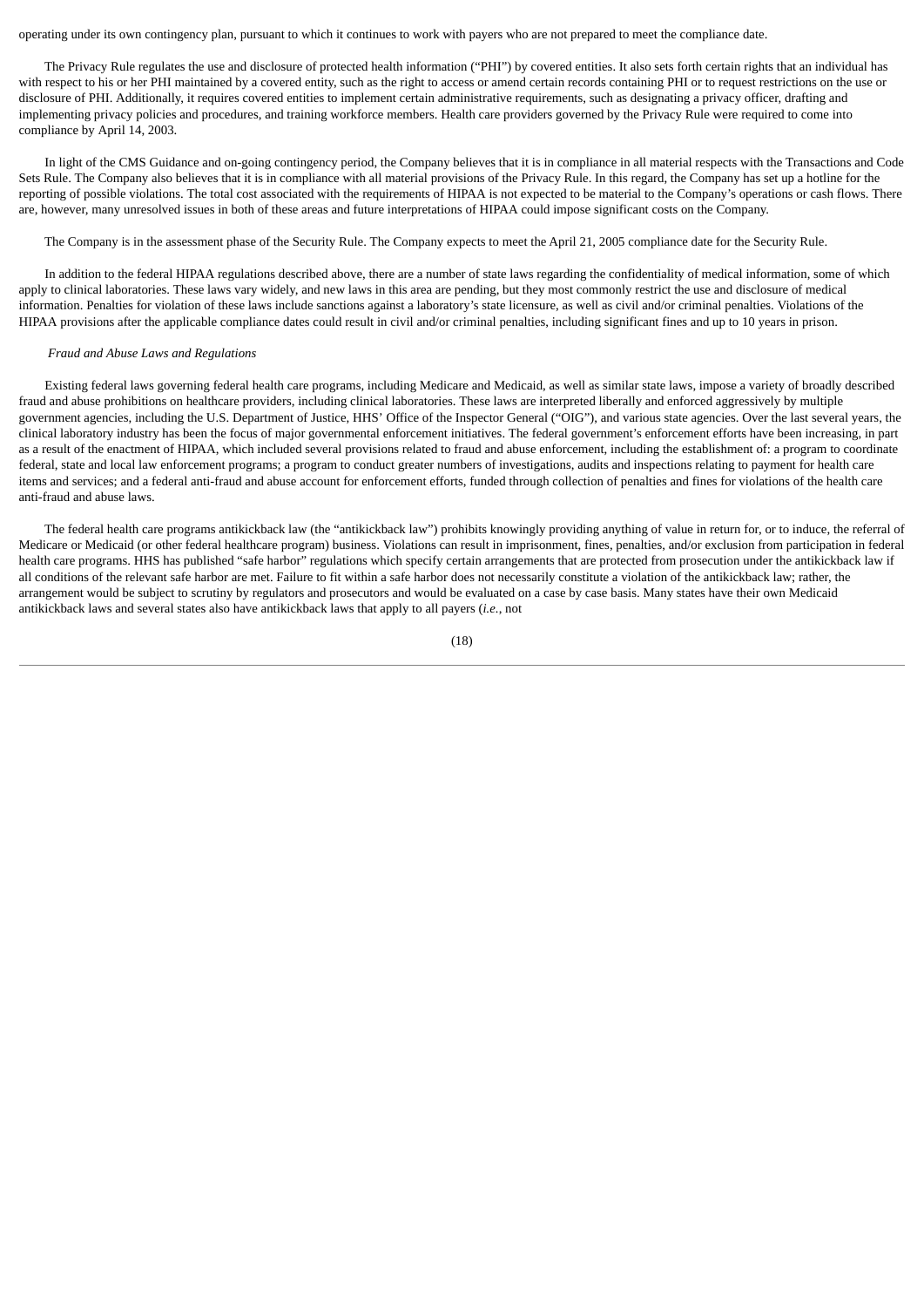operating under its own contingency plan, pursuant to which it continues to work with payers who are not prepared to meet the compliance date.

 The Privacy Rule regulates the use and disclosure of protected health information ("PHI") by covered entities. It also sets forth certain rights that an individual has with respect to his or her PHI maintained by a covered entity, such as the right to access or amend certain records containing PHI or to request restrictions on the use or disclosure of PHI. Additionally, it requires covered entities to implement certain administrative requirements, such as designating a privacy officer, drafting and implementing privacy policies and procedures, and training workforce members. Health care providers governed by the Privacy Rule were required to come into compliance by April 14, 2003.

 In light of the CMS Guidance and on-going contingency period, the Company believes that it is in compliance in all material respects with the Transactions and Code Sets Rule. The Company also believes that it is in compliance with all material provisions of the Privacy Rule. In this regard, the Company has set up a hotline for the reporting of possible violations. The total cost associated with the requirements of HIPAA is not expected to be material to the Company's operations or cash flows. There are, however, many unresolved issues in both of these areas and future interpretations of HIPAA could impose significant costs on the Company.

The Company is in the assessment phase of the Security Rule. The Company expects to meet the April 21, 2005 compliance date for the Security Rule.

 In addition to the federal HIPAA regulations described above, there are a number of state laws regarding the confidentiality of medical information, some of which apply to clinical laboratories. These laws vary widely, and new laws in this area are pending, but they most commonly restrict the use and disclosure of medical information. Penalties for violation of these laws include sanctions against a laboratory's state licensure, as well as civil and/or criminal penalties. Violations of the HIPAA provisions after the applicable compliance dates could result in civil and/or criminal penalties, including significant fines and up to 10 years in prison.

#### *Fraud and Abuse Laws and Regulations*

 Existing federal laws governing federal health care programs, including Medicare and Medicaid, as well as similar state laws, impose a variety of broadly described fraud and abuse prohibitions on healthcare providers, including clinical laboratories. These laws are interpreted liberally and enforced aggressively by multiple government agencies, including the U.S. Department of Justice, HHS' Office of the Inspector General ("OIG"), and various state agencies. Over the last several years, the clinical laboratory industry has been the focus of major governmental enforcement initiatives. The federal government's enforcement efforts have been increasing, in part as a result of the enactment of HIPAA, which included several provisions related to fraud and abuse enforcement, including the establishment of: a program to coordinate federal, state and local law enforcement programs; a program to conduct greater numbers of investigations, audits and inspections relating to payment for health care items and services; and a federal anti-fraud and abuse account for enforcement efforts, funded through collection of penalties and fines for violations of the health care anti-fraud and abuse laws.

The federal health care programs antikickback law (the "antikickback law") prohibits knowingly providing anything of value in return for, or to induce, the referral of Medicare or Medicaid (or other federal healthcare program) business. Violations can result in imprisonment, fines, penalties, and/or exclusion from participation in federal health care programs. HHS has published "safe harbor" regulations which specify certain arrangements that are protected from prosecution under the antikickback law if all conditions of the relevant safe harbor are met. Failure to fit within a safe harbor does not necessarily constitute a violation of the antikickback law; rather, the arrangement would be subject to scrutiny by regulators and prosecutors and would be evaluated on a case by case basis. Many states have their own Medicaid antikickback laws and several states also have antikickback laws that apply to all payers (*i.e.*, not

(18)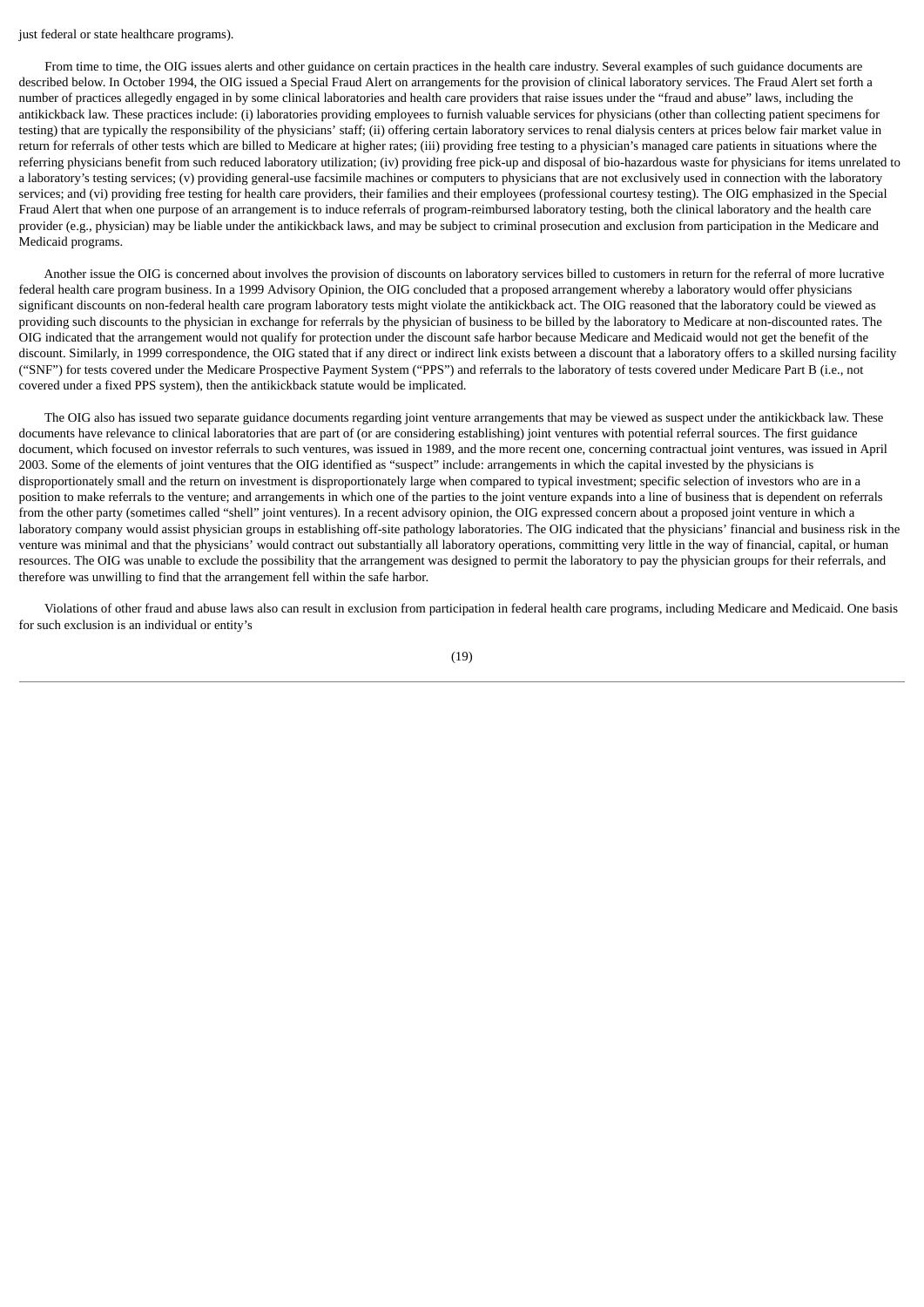just federal or state healthcare programs).

 From time to time, the OIG issues alerts and other guidance on certain practices in the health care industry. Several examples of such guidance documents are described below. In October 1994, the OIG issued a Special Fraud Alert on arrangements for the provision of clinical laboratory services. The Fraud Alert set forth a number of practices allegedly engaged in by some clinical laboratories and health care providers that raise issues under the "fraud and abuse" laws, including the antikickback law. These practices include: (i) laboratories providing employees to furnish valuable services for physicians (other than collecting patient specimens for testing) that are typically the responsibility of the physicians' staff; (ii) offering certain laboratory services to renal dialysis centers at prices below fair market value in return for referrals of other tests which are billed to Medicare at higher rates; (iii) providing free testing to a physician's managed care patients in situations where the referring physicians benefit from such reduced laboratory utilization; (iv) providing free pick-up and disposal of bio-hazardous waste for physicians for items unrelated to a laboratory's testing services; (v) providing general-use facsimile machines or computers to physicians that are not exclusively used in connection with the laboratory services; and (vi) providing free testing for health care providers, their families and their employees (professional courtesy testing). The OIG emphasized in the Special Fraud Alert that when one purpose of an arrangement is to induce referrals of program-reimbursed laboratory testing, both the clinical laboratory and the health care provider (e.g., physician) may be liable under the antikickback laws, and may be subject to criminal prosecution and exclusion from participation in the Medicare and Medicaid programs.

 Another issue the OIG is concerned about involves the provision of discounts on laboratory services billed to customers in return for the referral of more lucrative federal health care program business. In a 1999 Advisory Opinion, the OIG concluded that a proposed arrangement whereby a laboratory would offer physicians significant discounts on non-federal health care program laboratory tests might violate the antikickback act. The OIG reasoned that the laboratory could be viewed as providing such discounts to the physician in exchange for referrals by the physician of business to be billed by the laboratory to Medicare at non-discounted rates. The OIG indicated that the arrangement would not qualify for protection under the discount safe harbor because Medicare and Medicaid would not get the benefit of the discount. Similarly, in 1999 correspondence, the OIG stated that if any direct or indirect link exists between a discount that a laboratory offers to a skilled nursing facility ("SNF") for tests covered under the Medicare Prospective Payment System ("PPS") and referrals to the laboratory of tests covered under Medicare Part B (i.e., not covered under a fixed PPS system), then the antikickback statute would be implicated.

 The OIG also has issued two separate guidance documents regarding joint venture arrangements that may be viewed as suspect under the antikickback law. These documents have relevance to clinical laboratories that are part of (or are considering establishing) joint ventures with potential referral sources. The first guidance document, which focused on investor referrals to such ventures, was issued in 1989, and the more recent one, concerning contractual joint ventures, was issued in April 2003. Some of the elements of joint ventures that the OIG identified as "suspect" include: arrangements in which the capital invested by the physicians is disproportionately small and the return on investment is disproportionately large when compared to typical investment; specific selection of investors who are in a position to make referrals to the venture; and arrangements in which one of the parties to the joint venture expands into a line of business that is dependent on referrals from the other party (sometimes called "shell" joint ventures). In a recent advisory opinion, the OIG expressed concern about a proposed joint venture in which a laboratory company would assist physician groups in establishing off-site pathology laboratories. The OIG indicated that the physicians' financial and business risk in the venture was minimal and that the physicians' would contract out substantially all laboratory operations, committing very little in the way of financial, capital, or human resources. The OIG was unable to exclude the possibility that the arrangement was designed to permit the laboratory to pay the physician groups for their referrals, and therefore was unwilling to find that the arrangement fell within the safe harbor.

 Violations of other fraud and abuse laws also can result in exclusion from participation in federal health care programs, including Medicare and Medicaid. One basis for such exclusion is an individual or entity's

(19)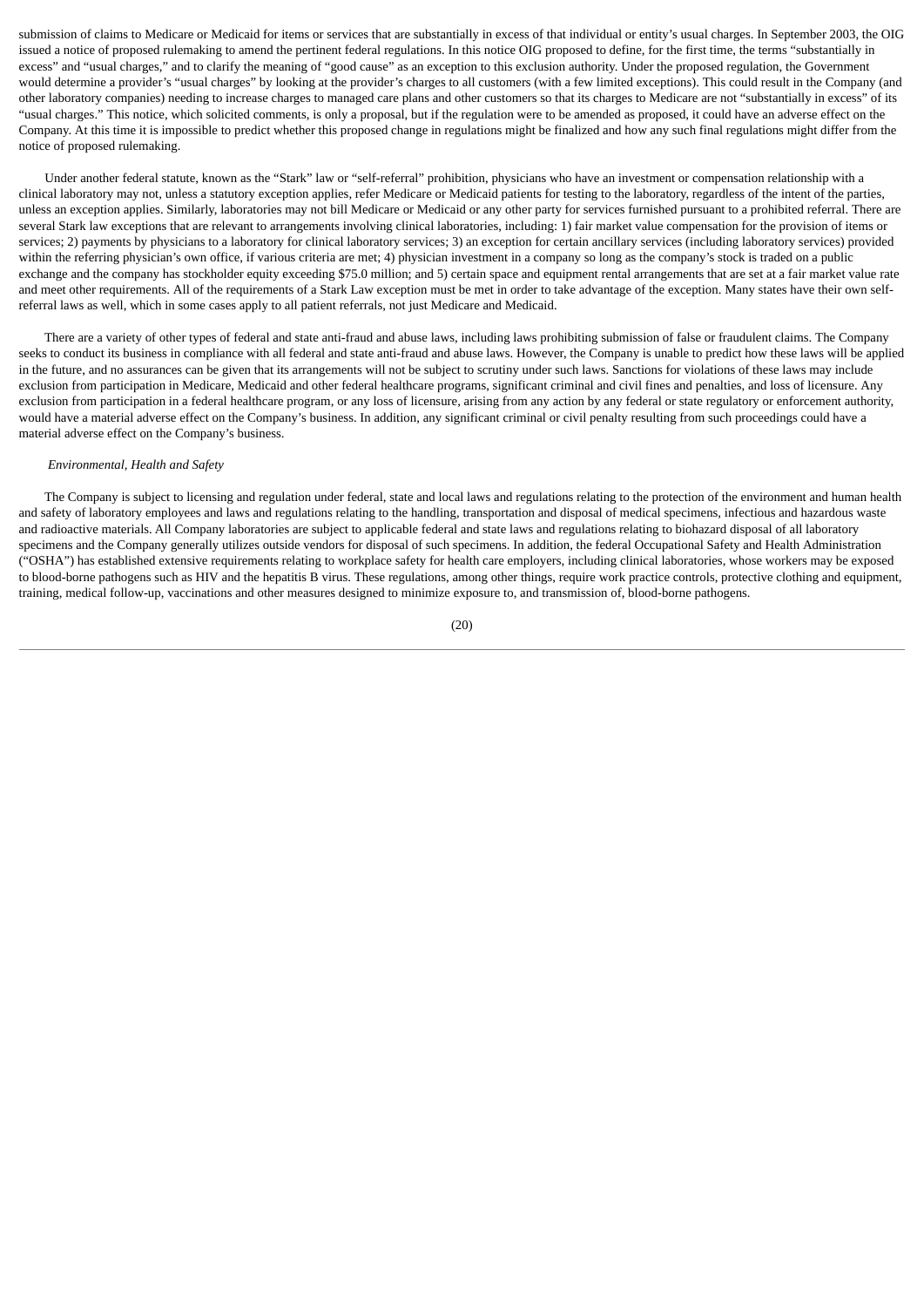submission of claims to Medicare or Medicaid for items or services that are substantially in excess of that individual or entity's usual charges. In September 2003, the OIG issued a notice of proposed rulemaking to amend the pertinent federal regulations. In this notice OIG proposed to define, for the first time, the terms "substantially in excess" and "usual charges," and to clarify the meaning of "good cause" as an exception to this exclusion authority. Under the proposed regulation, the Government would determine a provider's "usual charges" by looking at the provider's charges to all customers (with a few limited exceptions). This could result in the Company (and other laboratory companies) needing to increase charges to managed care plans and other customers so that its charges to Medicare are not "substantially in excess" of its "usual charges." This notice, which solicited comments, is only a proposal, but if the regulation were to be amended as proposed, it could have an adverse effect on the Company. At this time it is impossible to predict whether this proposed change in regulations might be finalized and how any such final regulations might differ from the notice of proposed rulemaking.

 Under another federal statute, known as the "Stark" law or "self-referral" prohibition, physicians who have an investment or compensation relationship with a clinical laboratory may not, unless a statutory exception applies, refer Medicare or Medicaid patients for testing to the laboratory, regardless of the intent of the parties, unless an exception applies. Similarly, laboratories may not bill Medicare or Medicaid or any other party for services furnished pursuant to a prohibited referral. There are several Stark law exceptions that are relevant to arrangements involving clinical laboratories, including: 1) fair market value compensation for the provision of items or services; 2) payments by physicians to a laboratory for clinical laboratory services; 3) an exception for certain ancillary services (including laboratory services) provided within the referring physician's own office, if various criteria are met; 4) physician investment in a company so long as the company's stock is traded on a public exchange and the company has stockholder equity exceeding \$75.0 million; and 5) certain space and equipment rental arrangements that are set at a fair market value rate and meet other requirements. All of the requirements of a Stark Law exception must be met in order to take advantage of the exception. Many states have their own selfreferral laws as well, which in some cases apply to all patient referrals, not just Medicare and Medicaid.

 There are a variety of other types of federal and state anti-fraud and abuse laws, including laws prohibiting submission of false or fraudulent claims. The Company seeks to conduct its business in compliance with all federal and state anti-fraud and abuse laws. However, the Company is unable to predict how these laws will be applied in the future, and no assurances can be given that its arrangements will not be subject to scrutiny under such laws. Sanctions for violations of these laws may include exclusion from participation in Medicare, Medicaid and other federal healthcare programs, significant criminal and civil fines and penalties, and loss of licensure. Any exclusion from participation in a federal healthcare program, or any loss of licensure, arising from any action by any federal or state regulatory or enforcement authority, would have a material adverse effect on the Company's business. In addition, any significant criminal or civil penalty resulting from such proceedings could have a material adverse effect on the Company's business.

#### *Environmental, Health and Safety*

 The Company is subject to licensing and regulation under federal, state and local laws and regulations relating to the protection of the environment and human health and safety of laboratory employees and laws and regulations relating to the handling, transportation and disposal of medical specimens, infectious and hazardous waste and radioactive materials. All Company laboratories are subject to applicable federal and state laws and regulations relating to biohazard disposal of all laboratory specimens and the Company generally utilizes outside vendors for disposal of such specimens. In addition, the federal Occupational Safety and Health Administration ("OSHA") has established extensive requirements relating to workplace safety for health care employers, including clinical laboratories, whose workers may be exposed to blood-borne pathogens such as HIV and the hepatitis B virus. These regulations, among other things, require work practice controls, protective clothing and equipment, training, medical follow-up, vaccinations and other measures designed to minimize exposure to, and transmission of, blood-borne pathogens.

#### (20)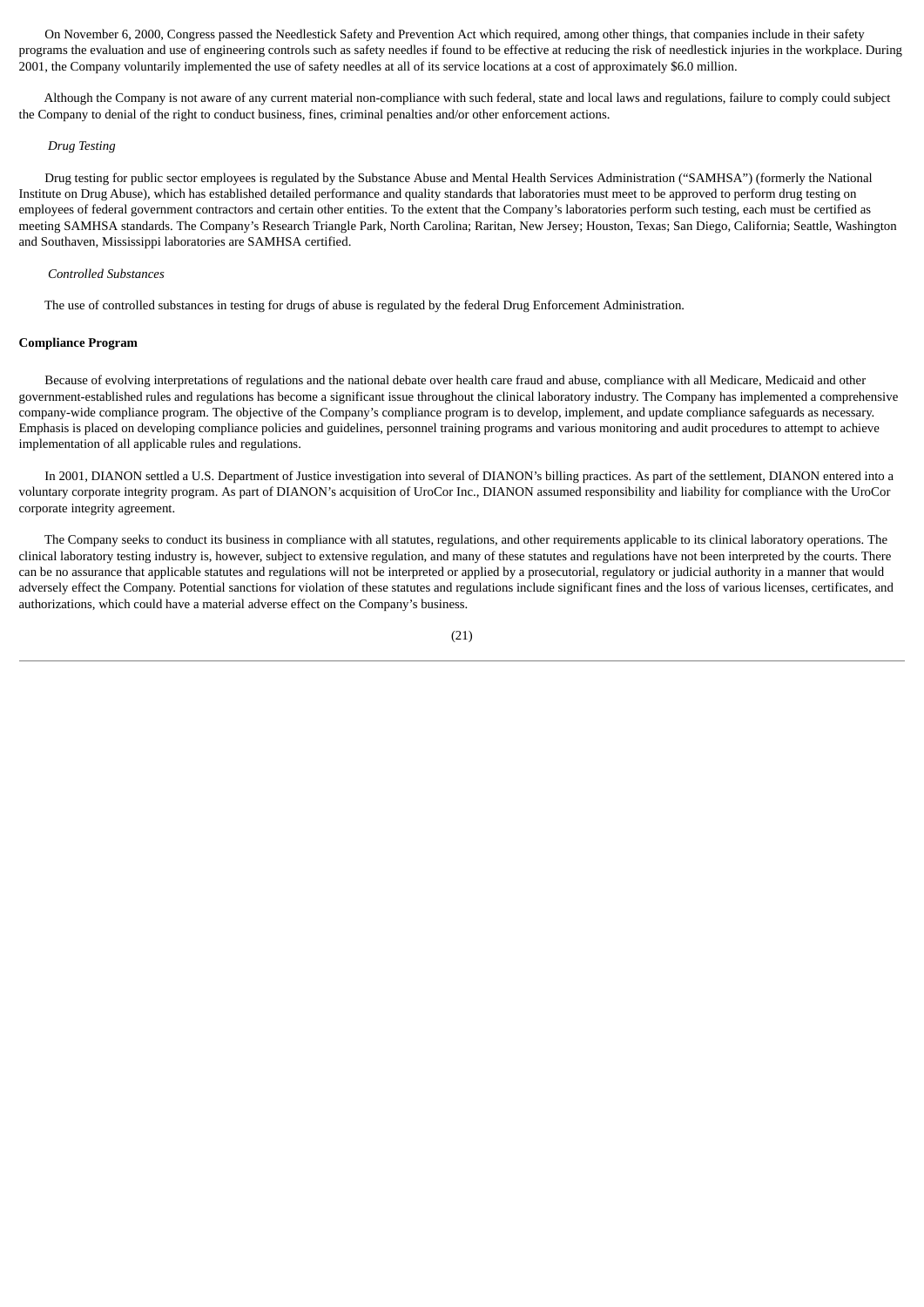On November 6, 2000, Congress passed the Needlestick Safety and Prevention Act which required, among other things, that companies include in their safety programs the evaluation and use of engineering controls such as safety needles if found to be effective at reducing the risk of needlestick injuries in the workplace. During 2001, the Company voluntarily implemented the use of safety needles at all of its service locations at a cost of approximately \$6.0 million.

 Although the Company is not aware of any current material non-compliance with such federal, state and local laws and regulations, failure to comply could subject the Company to denial of the right to conduct business, fines, criminal penalties and/or other enforcement actions.

#### *Drug Testing*

 Drug testing for public sector employees is regulated by the Substance Abuse and Mental Health Services Administration ("SAMHSA") (formerly the National Institute on Drug Abuse), which has established detailed performance and quality standards that laboratories must meet to be approved to perform drug testing on employees of federal government contractors and certain other entities. To the extent that the Company's laboratories perform such testing, each must be certified as meeting SAMHSA standards. The Company's Research Triangle Park, North Carolina; Raritan, New Jersey; Houston, Texas; San Diego, California; Seattle, Washington and Southaven, Mississippi laboratories are SAMHSA certified.

#### *Controlled Substances*

The use of controlled substances in testing for drugs of abuse is regulated by the federal Drug Enforcement Administration.

#### **Compliance Program**

 Because of evolving interpretations of regulations and the national debate over health care fraud and abuse, compliance with all Medicare, Medicaid and other government-established rules and regulations has become a significant issue throughout the clinical laboratory industry. The Company has implemented a comprehensive company-wide compliance program. The objective of the Company's compliance program is to develop, implement, and update compliance safeguards as necessary. Emphasis is placed on developing compliance policies and guidelines, personnel training programs and various monitoring and audit procedures to attempt to achieve implementation of all applicable rules and regulations.

 In 2001, DIANON settled a U.S. Department of Justice investigation into several of DIANON's billing practices. As part of the settlement, DIANON entered into a voluntary corporate integrity program. As part of DIANON's acquisition of UroCor Inc., DIANON assumed responsibility and liability for compliance with the UroCor corporate integrity agreement.

 The Company seeks to conduct its business in compliance with all statutes, regulations, and other requirements applicable to its clinical laboratory operations. The clinical laboratory testing industry is, however, subject to extensive regulation, and many of these statutes and regulations have not been interpreted by the courts. There can be no assurance that applicable statutes and regulations will not be interpreted or applied by a prosecutorial, regulatory or judicial authority in a manner that would adversely effect the Company. Potential sanctions for violation of these statutes and regulations include significant fines and the loss of various licenses, certificates, and authorizations, which could have a material adverse effect on the Company's business.

#### (21)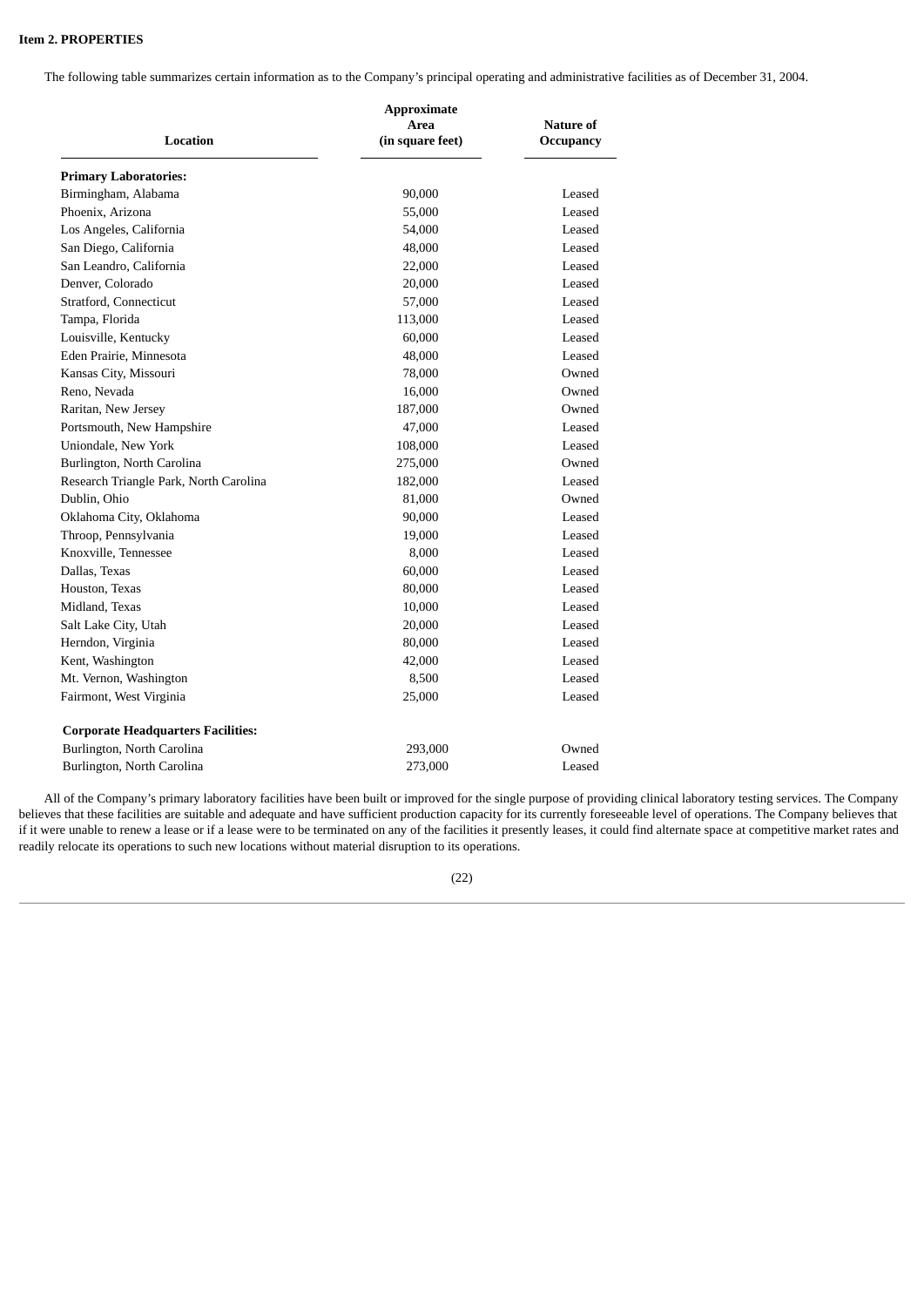#### **Item 2. PROPERTIES**

The following table summarizes certain information as to the Company's principal operating and administrative facilities as of December 31, 2004.

|                                           | Approximate      |                  |
|-------------------------------------------|------------------|------------------|
|                                           | Area             | <b>Nature of</b> |
| <b>Location</b>                           | (in square feet) | Occupancy        |
| <b>Primary Laboratories:</b>              |                  |                  |
| Birmingham, Alabama                       | 90,000           | Leased           |
| Phoenix, Arizona                          | 55,000           | Leased           |
| Los Angeles, California                   | 54,000           | Leased           |
| San Diego, California                     | 48,000           | Leased           |
| San Leandro, California                   | 22,000           | Leased           |
| Denver, Colorado                          | 20,000           | Leased           |
| Stratford, Connecticut                    | 57,000           | Leased           |
| Tampa, Florida                            | 113,000          | Leased           |
| Louisville, Kentucky                      | 60,000           | Leased           |
| Eden Prairie, Minnesota                   | 48,000           | Leased           |
| Kansas City, Missouri                     | 78,000           | Owned            |
| Reno, Nevada                              | 16,000           | Owned            |
| Raritan, New Jersey                       | 187,000          | Owned            |
| Portsmouth, New Hampshire                 | 47,000           | Leased           |
| Uniondale, New York                       | 108,000          | Leased           |
| Burlington, North Carolina                | 275,000          | Owned            |
| Research Triangle Park, North Carolina    | 182,000          | Leased           |
| Dublin, Ohio                              | 81,000           | Owned            |
| Oklahoma City, Oklahoma                   | 90,000           | Leased           |
| Throop, Pennsylvania                      | 19,000           | Leased           |
| Knoxville, Tennessee                      | 8,000            | Leased           |
| Dallas, Texas                             | 60,000           | Leased           |
| Houston, Texas                            | 80,000           | Leased           |
| Midland, Texas                            | 10,000           | Leased           |
| Salt Lake City, Utah                      | 20,000           | Leased           |
| Herndon, Virginia                         | 80,000           | Leased           |
| Kent, Washington                          | 42,000           | Leased           |
| Mt. Vernon, Washington                    | 8,500            | Leased           |
| Fairmont, West Virginia                   | 25,000           | Leased           |
| <b>Corporate Headquarters Facilities:</b> |                  |                  |
| Burlington, North Carolina                | 293,000          | Owned            |
| Burlington, North Carolina                | 273,000          | Leased           |

 All of the Company's primary laboratory facilities have been built or improved for the single purpose of providing clinical laboratory testing services. The Company believes that these facilities are suitable and adequate and have sufficient production capacity for its currently foreseeable level of operations. The Company believes that if it were unable to renew a lease or if a lease were to be terminated on any of the facilities it presently leases, it could find alternate space at competitive market rates and readily relocate its operations to such new locations without material disruption to its operations.

(22)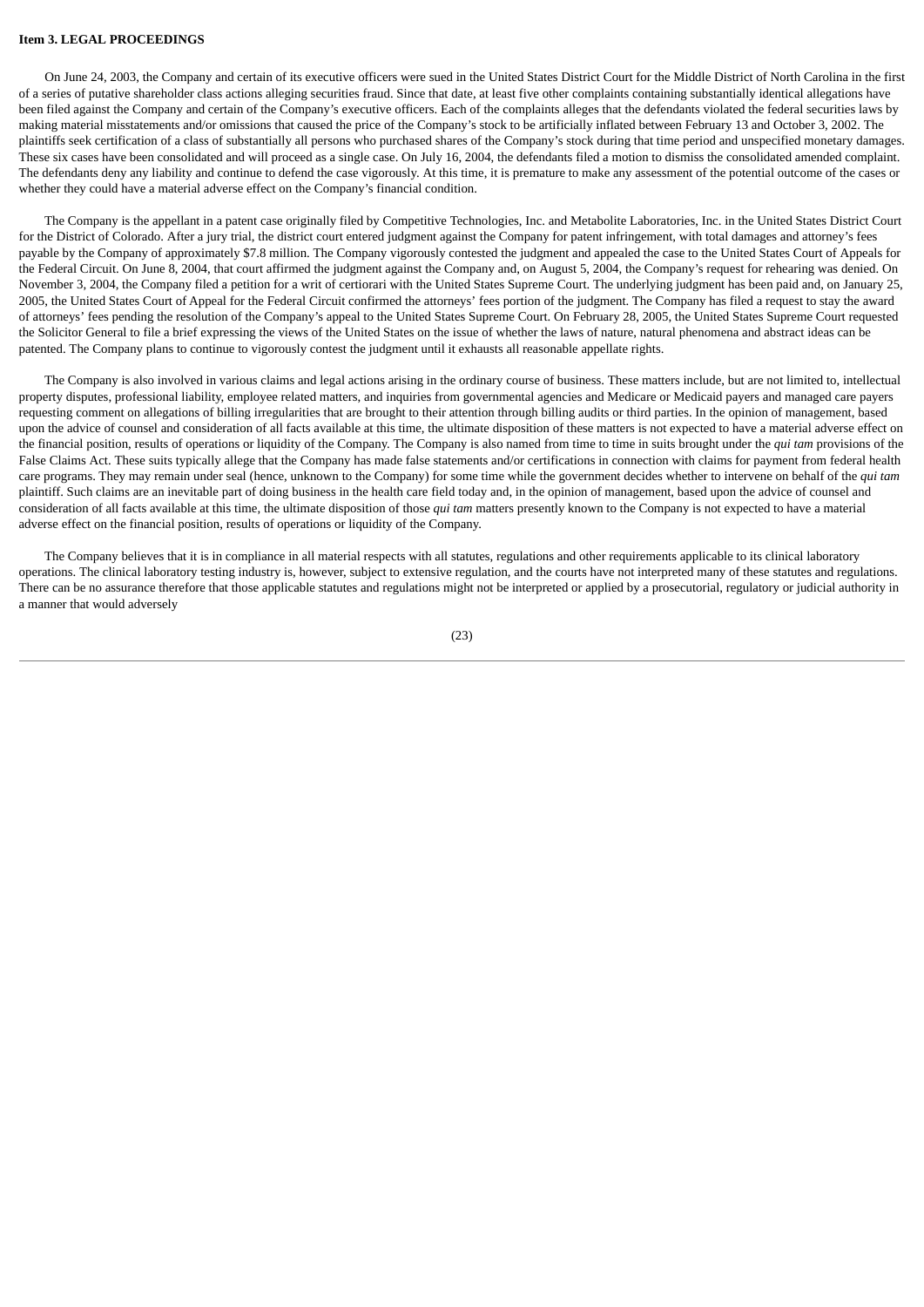#### **Item 3. LEGAL PROCEEDINGS**

 On June 24, 2003, the Company and certain of its executive officers were sued in the United States District Court for the Middle District of North Carolina in the first of a series of putative shareholder class actions alleging securities fraud. Since that date, at least five other complaints containing substantially identical allegations have been filed against the Company and certain of the Company's executive officers. Each of the complaints alleges that the defendants violated the federal securities laws by making material misstatements and/or omissions that caused the price of the Company's stock to be artificially inflated between February 13 and October 3, 2002. The plaintiffs seek certification of a class of substantially all persons who purchased shares of the Company's stock during that time period and unspecified monetary damages. These six cases have been consolidated and will proceed as a single case. On July 16, 2004, the defendants filed a motion to dismiss the consolidated amended complaint. The defendants deny any liability and continue to defend the case vigorously. At this time, it is premature to make any assessment of the potential outcome of the cases or whether they could have a material adverse effect on the Company's financial condition.

 The Company is the appellant in a patent case originally filed by Competitive Technologies, Inc. and Metabolite Laboratories, Inc. in the United States District Court for the District of Colorado. After a jury trial, the district court entered judgment against the Company for patent infringement, with total damages and attorney's fees payable by the Company of approximately \$7.8 million. The Company vigorously contested the judgment and appealed the case to the United States Court of Appeals for the Federal Circuit. On June 8, 2004, that court affirmed the judgment against the Company and, on August 5, 2004, the Company's request for rehearing was denied. On November 3, 2004, the Company filed a petition for a writ of certiorari with the United States Supreme Court. The underlying judgment has been paid and, on January 25, 2005, the United States Court of Appeal for the Federal Circuit confirmed the attorneys' fees portion of the judgment. The Company has filed a request to stay the award of attorneys' fees pending the resolution of the Company's appeal to the United States Supreme Court. On February 28, 2005, the United States Supreme Court requested the Solicitor General to file a brief expressing the views of the United States on the issue of whether the laws of nature, natural phenomena and abstract ideas can be patented. The Company plans to continue to vigorously contest the judgment until it exhausts all reasonable appellate rights.

 The Company is also involved in various claims and legal actions arising in the ordinary course of business. These matters include, but are not limited to, intellectual property disputes, professional liability, employee related matters, and inquiries from governmental agencies and Medicare or Medicaid payers and managed care payers requesting comment on allegations of billing irregularities that are brought to their attention through billing audits or third parties. In the opinion of management, based upon the advice of counsel and consideration of all facts available at this time, the ultimate disposition of these matters is not expected to have a material adverse effect on the financial position, results of operations or liquidity of the Company. The Company is also named from time to time in suits brought under the *qui tam* provisions of the False Claims Act. These suits typically allege that the Company has made false statements and/or certifications in connection with claims for payment from federal health care programs. They may remain under seal (hence, unknown to the Company) for some time while the government decides whether to intervene on behalf of the *qui tam* plaintiff. Such claims are an inevitable part of doing business in the health care field today and, in the opinion of management, based upon the advice of counsel and consideration of all facts available at this time, the ultimate disposition of those *qui tam* matters presently known to the Company is not expected to have a material adverse effect on the financial position, results of operations or liquidity of the Company.

 The Company believes that it is in compliance in all material respects with all statutes, regulations and other requirements applicable to its clinical laboratory operations. The clinical laboratory testing industry is, however, subject to extensive regulation, and the courts have not interpreted many of these statutes and regulations. There can be no assurance therefore that those applicable statutes and regulations might not be interpreted or applied by a prosecutorial, regulatory or judicial authority in a manner that would adversely

(23)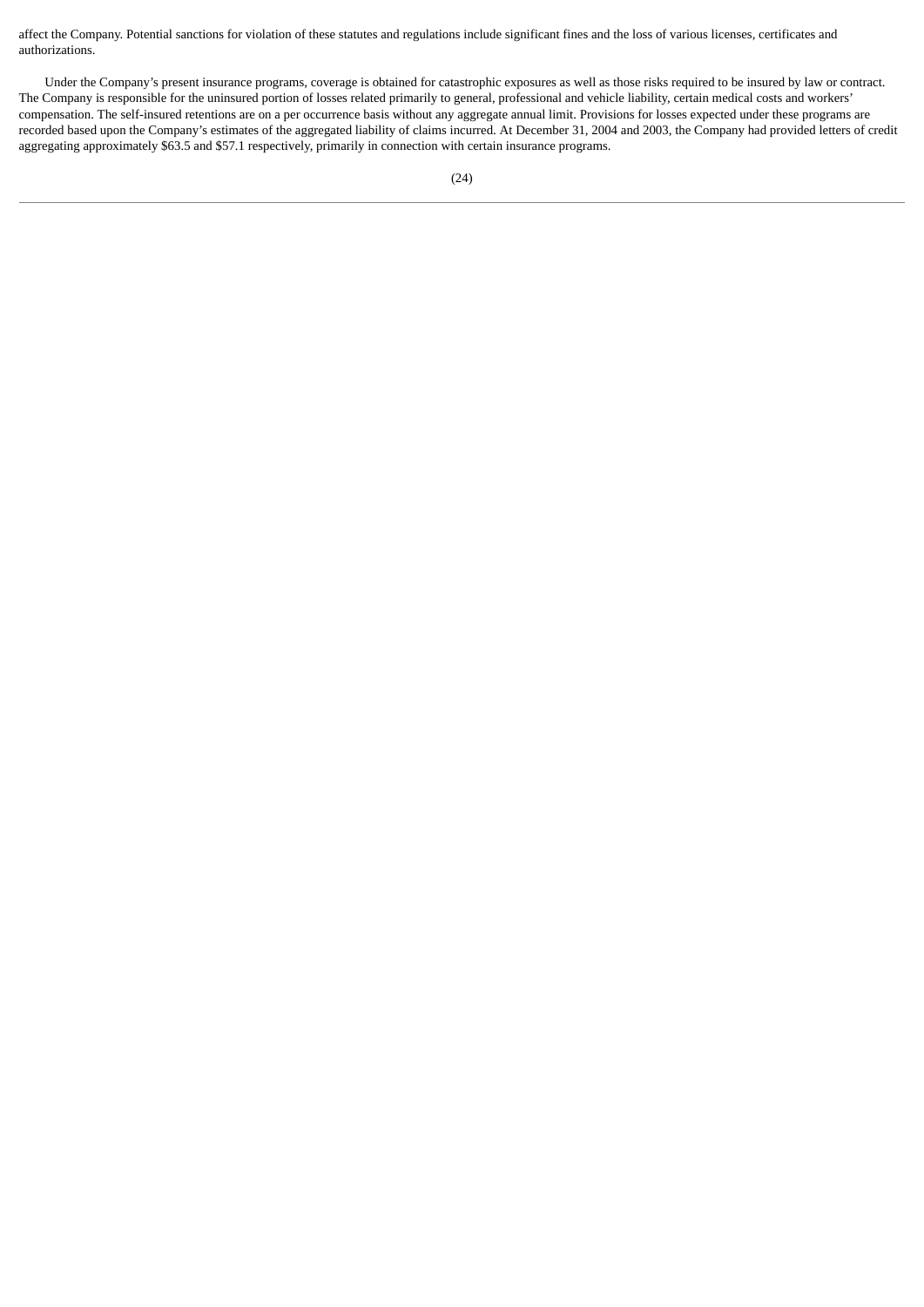affect the Company. Potential sanctions for violation of these statutes and regulations include significant fines and the loss of various licenses, certificates and authorizations.

 Under the Company's present insurance programs, coverage is obtained for catastrophic exposures as well as those risks required to be insured by law or contract. The Company is responsible for the uninsured portion of losses related primarily to general, professional and vehicle liability, certain medical costs and workers' compensation. The self-insured retentions are on a per occurrence basis without any aggregate annual limit. Provisions for losses expected under these programs are recorded based upon the Company's estimates of the aggregated liability of claims incurred. At December 31, 2004 and 2003, the Company had provided letters of credit aggregating approximately \$63.5 and \$57.1 respectively, primarily in connection with certain insurance programs.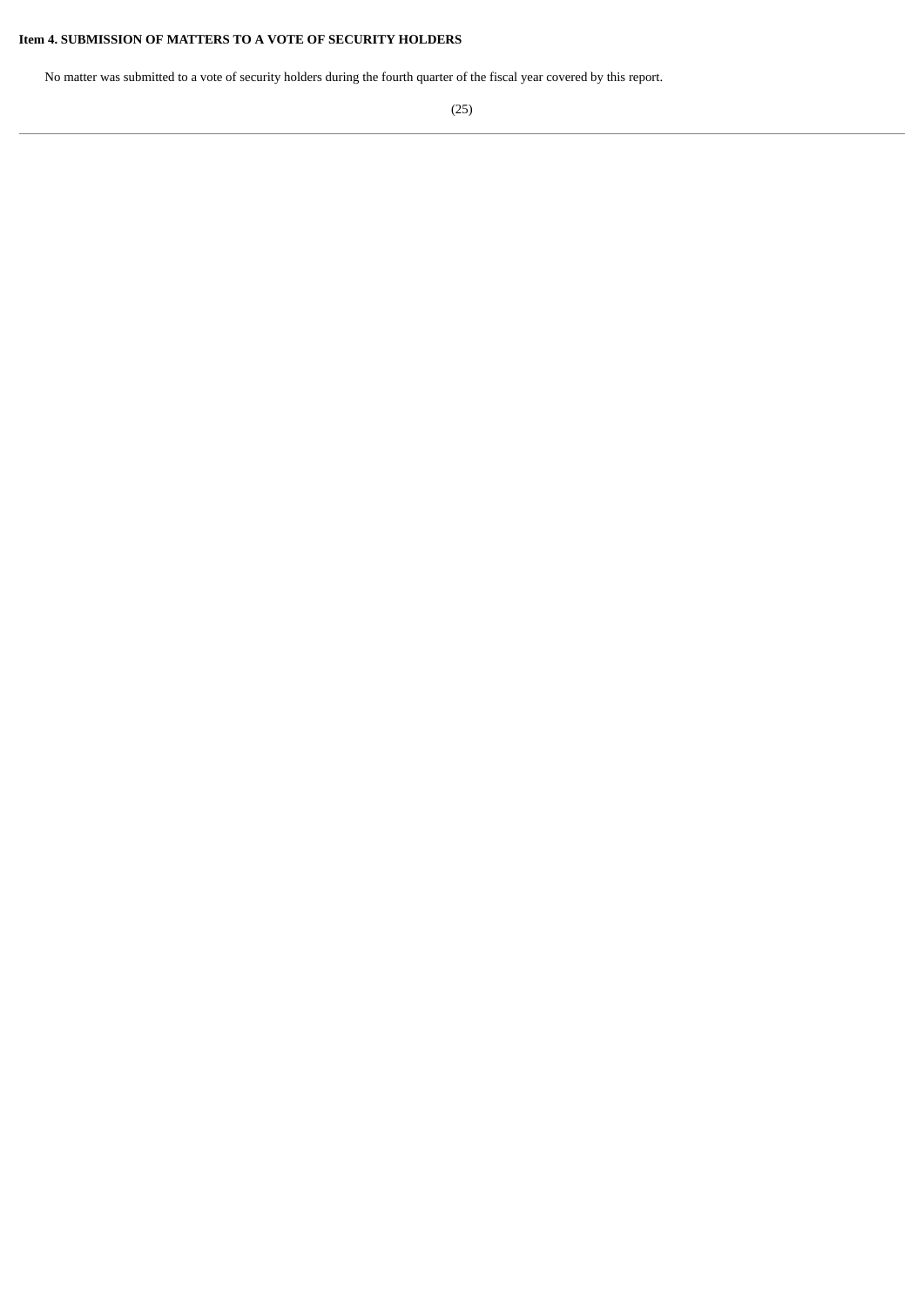## **Item 4. SUBMISSION OF MATTERS TO A VOTE OF SECURITY HOLDERS**

No matter was submitted to a vote of security holders during the fourth quarter of the fiscal year covered by this report.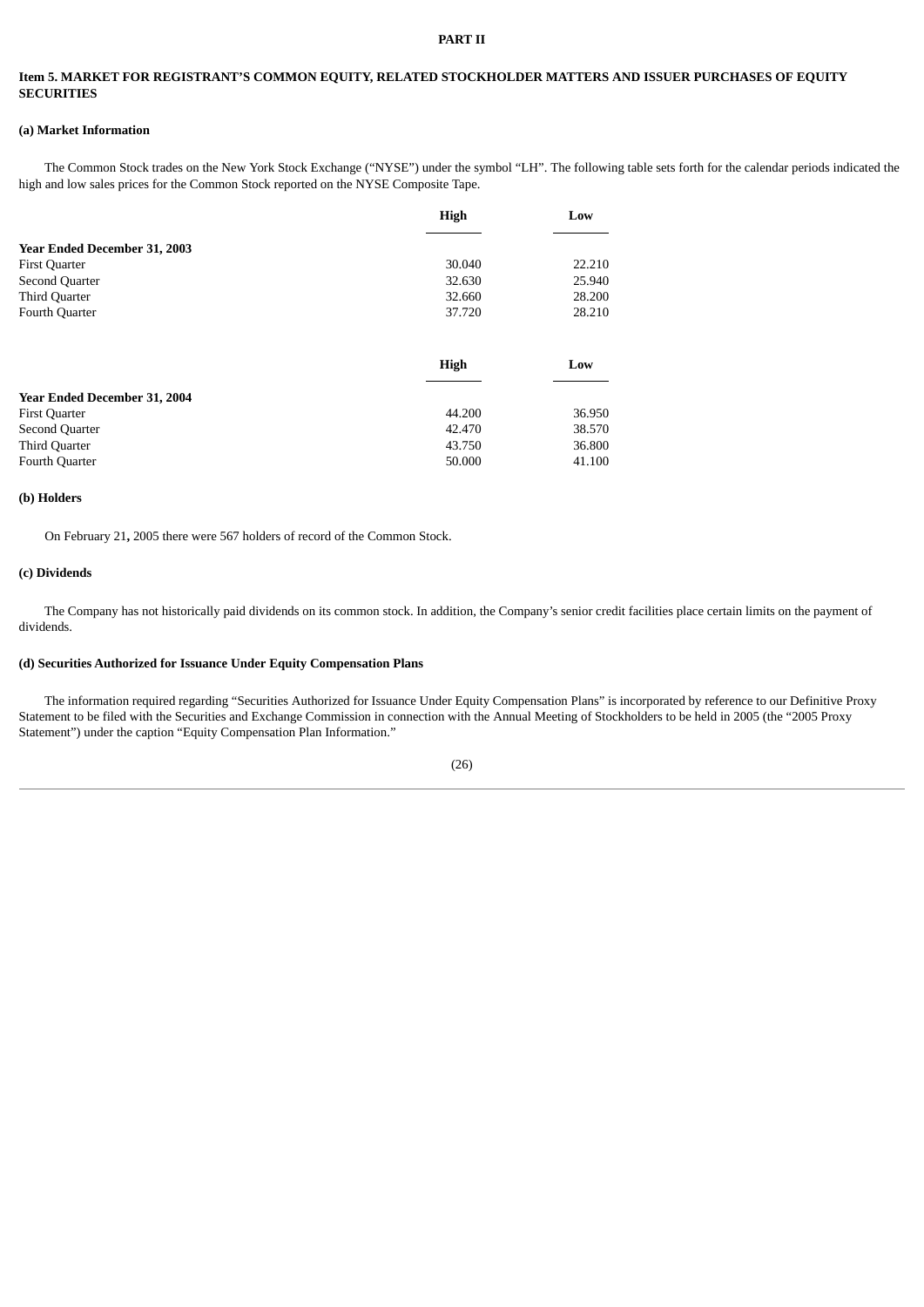#### **PART II**

## **Item 5. MARKET FOR REGISTRANT'S COMMON EQUITY, RELATED STOCKHOLDER MATTERS AND ISSUER PURCHASES OF EQUITY SECURITIES**

#### **(a) Market Information**

 The Common Stock trades on the New York Stock Exchange ("NYSE") under the symbol "LH". The following table sets forth for the calendar periods indicated the high and low sales prices for the Common Stock reported on the NYSE Composite Tape.

|                                     | <b>High</b> | Low    |
|-------------------------------------|-------------|--------|
| <b>Year Ended December 31, 2003</b> |             |        |
| <b>First Quarter</b>                | 30.040      | 22.210 |
| Second Quarter                      | 32.630      | 25.940 |
| Third Quarter                       | 32.660      | 28.200 |
| Fourth Quarter                      | 37.720      | 28.210 |
|                                     |             |        |
|                                     | <b>High</b> | Low    |
| <b>Year Ended December 31, 2004</b> |             |        |
| <b>First Quarter</b>                | 44.200      | 36.950 |
| Second Quarter                      | 42.470      | 38.570 |
| Third Quarter                       | 43.750      | 36.800 |
| Fourth Quarter                      | 50.000      | 41.100 |

#### **(b) Holders**

On February 21**,** 2005 there were 567 holders of record of the Common Stock.

#### **(c) Dividends**

 The Company has not historically paid dividends on its common stock. In addition, the Company's senior credit facilities place certain limits on the payment of dividends.

#### **(d) Securities Authorized for Issuance Under Equity Compensation Plans**

 The information required regarding "Securities Authorized for Issuance Under Equity Compensation Plans" is incorporated by reference to our Definitive Proxy Statement to be filed with the Securities and Exchange Commission in connection with the Annual Meeting of Stockholders to be held in 2005 (the "2005 Proxy Statement") under the caption "Equity Compensation Plan Information."

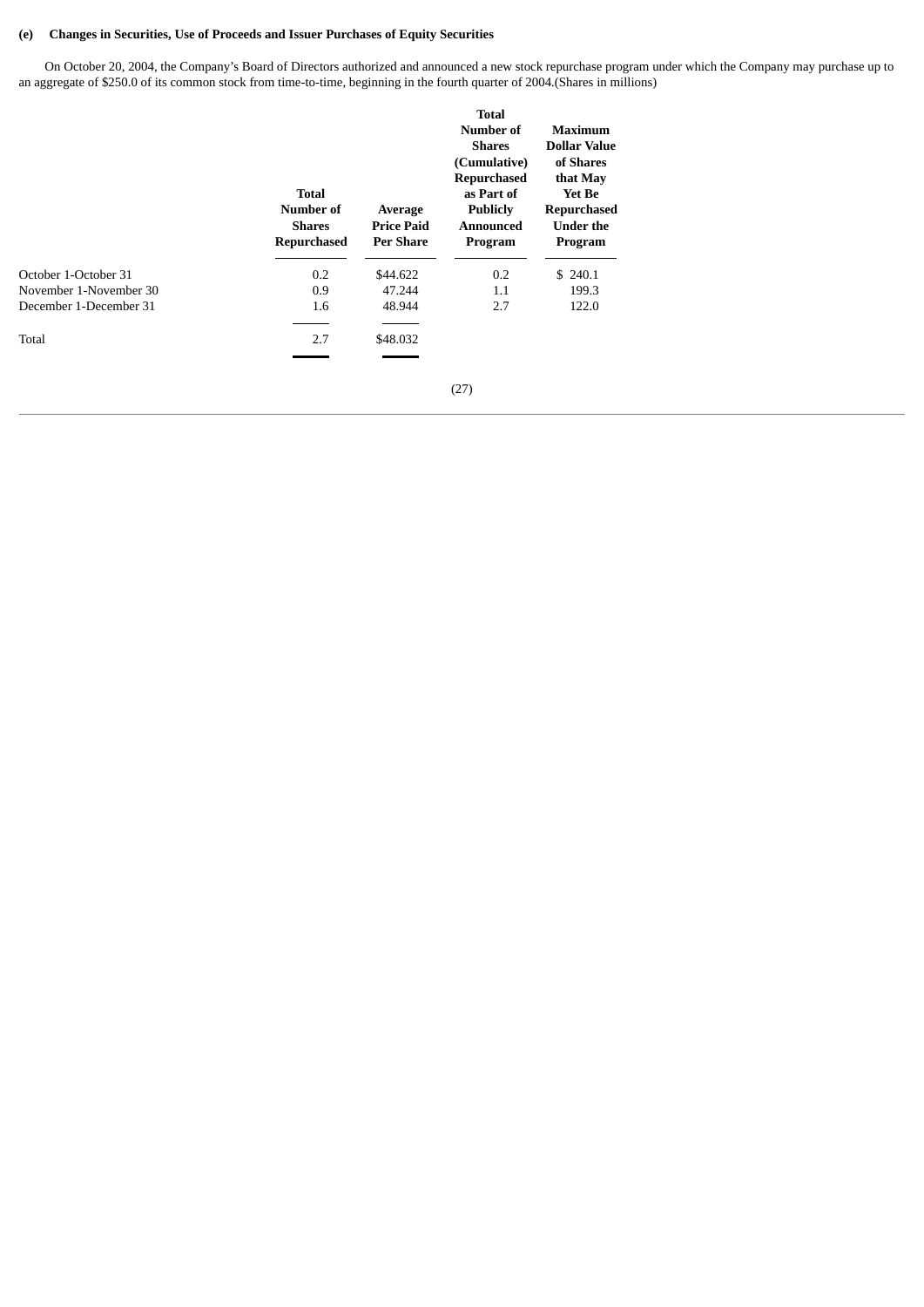#### **(e) Changes in Securities, Use of Proceeds and Issuer Purchases of Equity Securities**

 On October 20, 2004, the Company's Board of Directors authorized and announced a new stock repurchase program under which the Company may purchase up to an aggregate of \$250.0 of its common stock from time-to-time, beginning in the fourth quarter of 2004.(Shares in millions)

|                        | <b>Total</b><br>Number of<br><b>Shares</b><br>Repurchased | Average<br><b>Price Paid</b><br><b>Per Share</b> | <b>Total</b><br>Number of<br><b>Shares</b><br>(Cumulative)<br><b>Repurchased</b><br>as Part of<br><b>Publicly</b><br><b>Announced</b><br>Program | <b>Maximum</b><br><b>Dollar Value</b><br>of Shares<br>that May<br><b>Yet Be</b><br><b>Repurchased</b><br><b>Under the</b><br>Program |
|------------------------|-----------------------------------------------------------|--------------------------------------------------|--------------------------------------------------------------------------------------------------------------------------------------------------|--------------------------------------------------------------------------------------------------------------------------------------|
| October 1-October 31   | 0.2                                                       | \$44.622                                         | 0.2                                                                                                                                              | \$240.1                                                                                                                              |
| November 1-November 30 | 0.9                                                       | 47.244                                           | 1.1                                                                                                                                              | 199.3                                                                                                                                |
| December 1-December 31 | 1.6                                                       | 48.944                                           | 2.7                                                                                                                                              | 122.0                                                                                                                                |
|                        |                                                           |                                                  |                                                                                                                                                  |                                                                                                                                      |
| Total                  | 2.7                                                       | \$48.032                                         |                                                                                                                                                  |                                                                                                                                      |
|                        |                                                           |                                                  | (27)                                                                                                                                             |                                                                                                                                      |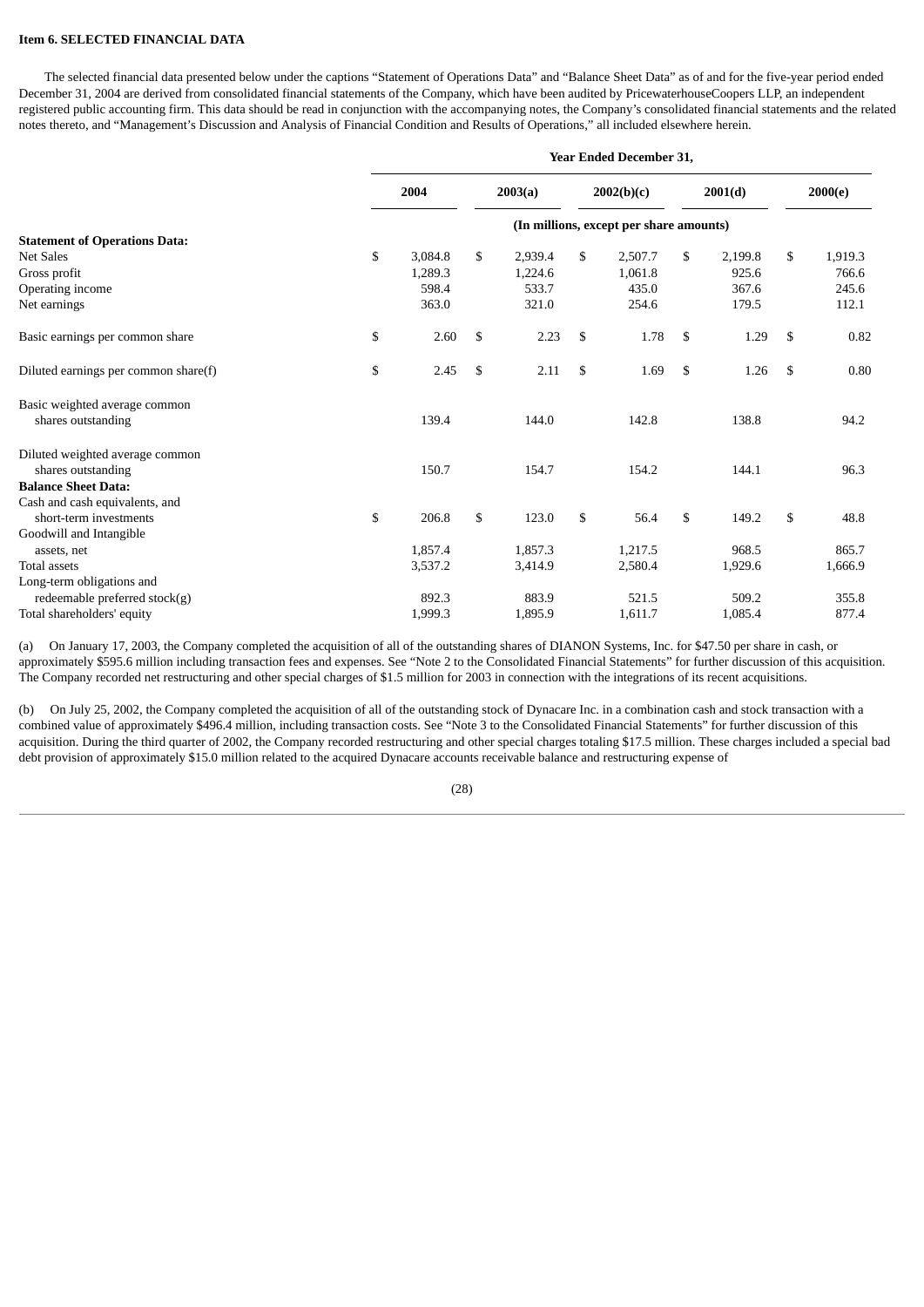#### **Item 6. SELECTED FINANCIAL DATA**

 The selected financial data presented below under the captions "Statement of Operations Data" and "Balance Sheet Data" as of and for the five-year period ended December 31, 2004 are derived from consolidated financial statements of the Company, which have been audited by PricewaterhouseCoopers LLP, an independent registered public accounting firm. This data should be read in conjunction with the accompanying notes, the Company's consolidated financial statements and the related notes thereto, and "Management's Discussion and Analysis of Financial Condition and Results of Operations," all included elsewhere herein.

|                                      | <b>Year Ended December 31,</b> |    |         |    |                                         |               |               |
|--------------------------------------|--------------------------------|----|---------|----|-----------------------------------------|---------------|---------------|
|                                      | 2004                           |    | 2003(a) |    | 2002(b)(c)                              | 2001(d)       | 2000(e)       |
|                                      |                                |    |         |    | (In millions, except per share amounts) |               |               |
| <b>Statement of Operations Data:</b> |                                |    |         |    |                                         |               |               |
| <b>Net Sales</b>                     | \$<br>3,084.8                  | \$ | 2,939.4 | \$ | 2,507.7                                 | \$<br>2,199.8 | \$<br>1,919.3 |
| Gross profit                         | 1,289.3                        |    | 1,224.6 |    | 1,061.8                                 | 925.6         | 766.6         |
| Operating income                     | 598.4                          |    | 533.7   |    | 435.0                                   | 367.6         | 245.6         |
| Net earnings                         | 363.0                          |    | 321.0   |    | 254.6                                   | 179.5         | 112.1         |
| Basic earnings per common share      | \$<br>2.60                     | \$ | 2.23    | \$ | 1.78                                    | \$<br>1.29    | \$<br>0.82    |
| Diluted earnings per common share(f) | \$<br>2.45                     | \$ | 2.11    | \$ | 1.69                                    | \$<br>1.26    | \$<br>0.80    |
| Basic weighted average common        |                                |    |         |    |                                         |               |               |
| shares outstanding                   | 139.4                          |    | 144.0   |    | 142.8                                   | 138.8         | 94.2          |
| Diluted weighted average common      |                                |    |         |    |                                         |               |               |
| shares outstanding                   | 150.7                          |    | 154.7   |    | 154.2                                   | 144.1         | 96.3          |
| <b>Balance Sheet Data:</b>           |                                |    |         |    |                                         |               |               |
| Cash and cash equivalents, and       |                                |    |         |    |                                         |               |               |
| short-term investments               | \$<br>206.8                    | \$ | 123.0   | \$ | 56.4                                    | \$<br>149.2   | \$<br>48.8    |
| Goodwill and Intangible              |                                |    |         |    |                                         |               |               |
| assets, net                          | 1,857.4                        |    | 1,857.3 |    | 1,217.5                                 | 968.5         | 865.7         |
| <b>Total assets</b>                  | 3,537.2                        |    | 3,414.9 |    | 2,580.4                                 | 1,929.6       | 1,666.9       |
| Long-term obligations and            |                                |    |         |    |                                         |               |               |
| redeemable preferred stock(g)        | 892.3                          |    | 883.9   |    | 521.5                                   | 509.2         | 355.8         |
| Total shareholders' equity           | 1,999.3                        |    | 1,895.9 |    | 1,611.7                                 | 1,085.4       | 877.4         |

(a) On January 17, 2003, the Company completed the acquisition of all of the outstanding shares of DIANON Systems, Inc. for \$47.50 per share in cash, or approximately \$595.6 million including transaction fees and expenses. See "Note 2 to the Consolidated Financial Statements" for further discussion of this acquisition. The Company recorded net restructuring and other special charges of \$1.5 million for 2003 in connection with the integrations of its recent acquisitions.

(b) On July 25, 2002, the Company completed the acquisition of all of the outstanding stock of Dynacare Inc. in a combination cash and stock transaction with a combined value of approximately \$496.4 million, including transaction costs. See "Note 3 to the Consolidated Financial Statements" for further discussion of this acquisition. During the third quarter of 2002, the Company recorded restructuring and other special charges totaling \$17.5 million. These charges included a special bad debt provision of approximately \$15.0 million related to the acquired Dynacare accounts receivable balance and restructuring expense of

#### (28)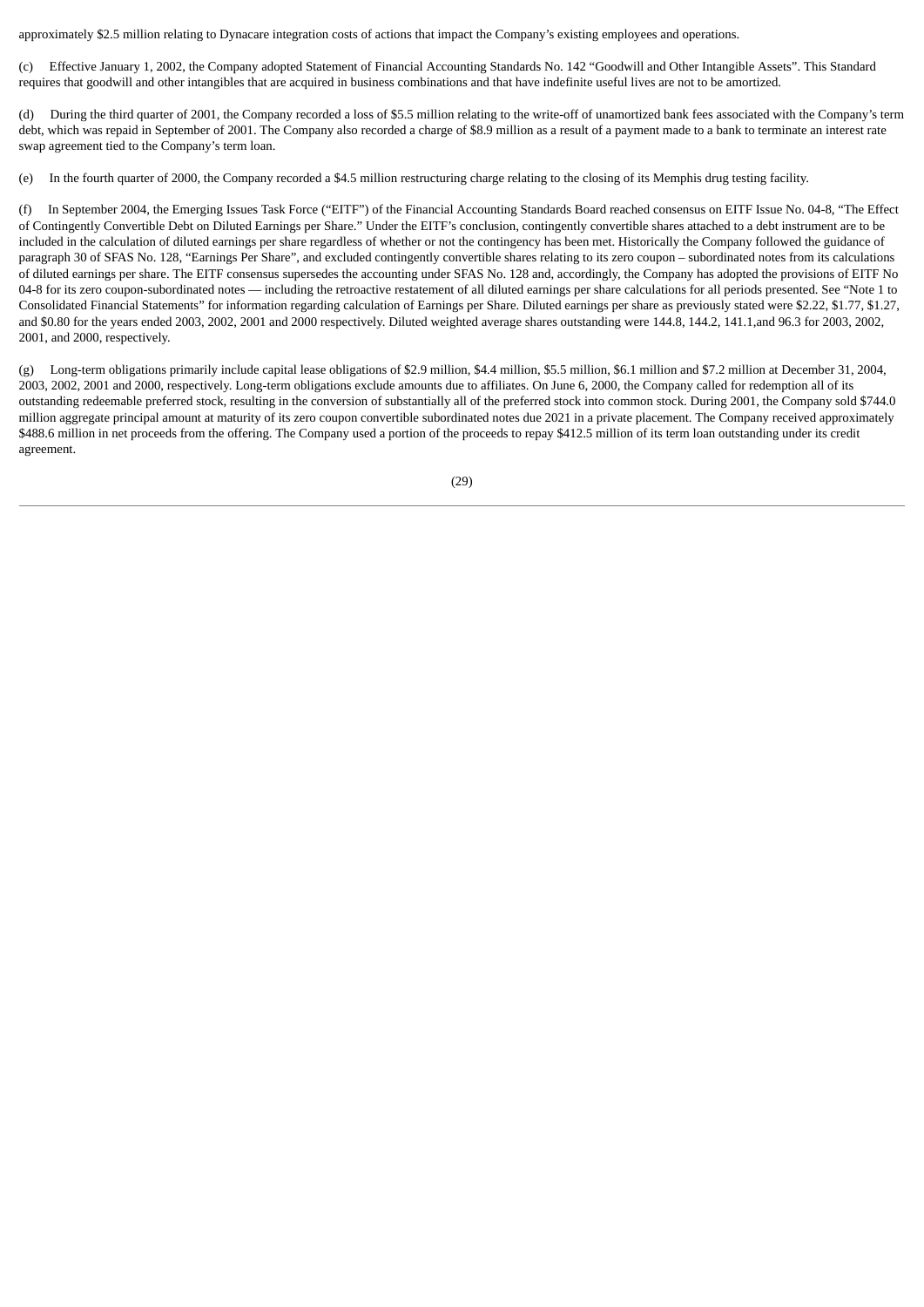approximately \$2.5 million relating to Dynacare integration costs of actions that impact the Company's existing employees and operations.

(c) Effective January 1, 2002, the Company adopted Statement of Financial Accounting Standards No. 142 "Goodwill and Other Intangible Assets". This Standard requires that goodwill and other intangibles that are acquired in business combinations and that have indefinite useful lives are not to be amortized.

(d) During the third quarter of 2001, the Company recorded a loss of \$5.5 million relating to the write-off of unamortized bank fees associated with the Company's term debt, which was repaid in September of 2001. The Company also recorded a charge of \$8.9 million as a result of a payment made to a bank to terminate an interest rate swap agreement tied to the Company's term loan.

(e) In the fourth quarter of 2000, the Company recorded a \$4.5 million restructuring charge relating to the closing of its Memphis drug testing facility.

(f) In September 2004, the Emerging Issues Task Force ("EITF") of the Financial Accounting Standards Board reached consensus on EITF Issue No. 04-8, "The Effect of Contingently Convertible Debt on Diluted Earnings per Share." Under the EITF's conclusion, contingently convertible shares attached to a debt instrument are to be included in the calculation of diluted earnings per share regardless of whether or not the contingency has been met. Historically the Company followed the guidance of paragraph 30 of SFAS No. 128, "Earnings Per Share", and excluded contingently convertible shares relating to its zero coupon – subordinated notes from its calculations of diluted earnings per share. The EITF consensus supersedes the accounting under SFAS No. 128 and, accordingly, the Company has adopted the provisions of EITF No 04-8 for its zero coupon-subordinated notes — including the retroactive restatement of all diluted earnings per share calculations for all periods presented. See "Note 1 to Consolidated Financial Statements" for information regarding calculation of Earnings per Share. Diluted earnings per share as previously stated were \$2.22, \$1.77, \$1.27, and \$0.80 for the years ended 2003, 2002, 2001 and 2000 respectively. Diluted weighted average shares outstanding were 144.8, 144.2, 141.1,and 96.3 for 2003, 2002, 2001, and 2000, respectively.

(g) Long-term obligations primarily include capital lease obligations of \$2.9 million, \$4.4 million, \$5.5 million, \$6.1 million and \$7.2 million at December 31, 2004, 2003, 2002, 2001 and 2000, respectively. Long-term obligations exclude amounts due to affiliates. On June 6, 2000, the Company called for redemption all of its outstanding redeemable preferred stock, resulting in the conversion of substantially all of the preferred stock into common stock. During 2001, the Company sold \$744.0 million aggregate principal amount at maturity of its zero coupon convertible subordinated notes due 2021 in a private placement. The Company received approximately \$488.6 million in net proceeds from the offering. The Company used a portion of the proceeds to repay \$412.5 million of its term loan outstanding under its credit agreement.

(29)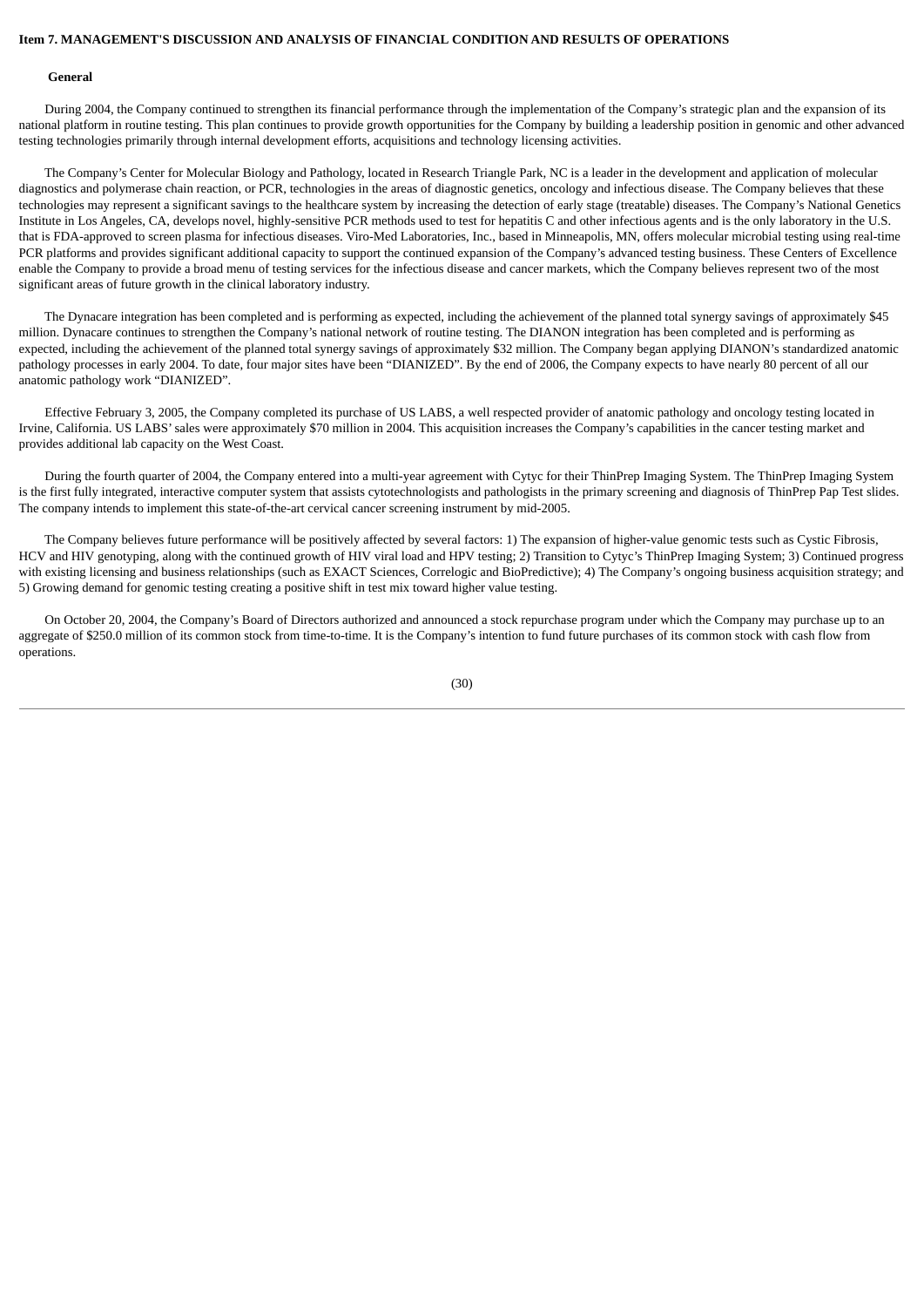#### **Item 7. MANAGEMENT'S DISCUSSION AND ANALYSIS OF FINANCIAL CONDITION AND RESULTS OF OPERATIONS**

#### **General**

 During 2004, the Company continued to strengthen its financial performance through the implementation of the Company's strategic plan and the expansion of its national platform in routine testing. This plan continues to provide growth opportunities for the Company by building a leadership position in genomic and other advanced testing technologies primarily through internal development efforts, acquisitions and technology licensing activities.

 The Company's Center for Molecular Biology and Pathology, located in Research Triangle Park, NC is a leader in the development and application of molecular diagnostics and polymerase chain reaction, or PCR, technologies in the areas of diagnostic genetics, oncology and infectious disease. The Company believes that these technologies may represent a significant savings to the healthcare system by increasing the detection of early stage (treatable) diseases. The Company's National Genetics Institute in Los Angeles, CA, develops novel, highly-sensitive PCR methods used to test for hepatitis C and other infectious agents and is the only laboratory in the U.S. that is FDA-approved to screen plasma for infectious diseases. Viro-Med Laboratories, Inc., based in Minneapolis, MN, offers molecular microbial testing using real-time PCR platforms and provides significant additional capacity to support the continued expansion of the Company's advanced testing business. These Centers of Excellence enable the Company to provide a broad menu of testing services for the infectious disease and cancer markets, which the Company believes represent two of the most significant areas of future growth in the clinical laboratory industry.

 The Dynacare integration has been completed and is performing as expected, including the achievement of the planned total synergy savings of approximately \$45 million. Dynacare continues to strengthen the Company's national network of routine testing. The DIANON integration has been completed and is performing as expected, including the achievement of the planned total synergy savings of approximately \$32 million. The Company began applying DIANON's standardized anatomic pathology processes in early 2004. To date, four major sites have been "DIANIZED". By the end of 2006, the Company expects to have nearly 80 percent of all our anatomic pathology work "DIANIZED".

 Effective February 3, 2005, the Company completed its purchase of US LABS, a well respected provider of anatomic pathology and oncology testing located in Irvine, California. US LABS' sales were approximately \$70 million in 2004. This acquisition increases the Company's capabilities in the cancer testing market and provides additional lab capacity on the West Coast.

 During the fourth quarter of 2004, the Company entered into a multi-year agreement with Cytyc for their ThinPrep Imaging System. The ThinPrep Imaging System is the first fully integrated, interactive computer system that assists cytotechnologists and pathologists in the primary screening and diagnosis of ThinPrep Pap Test slides. The company intends to implement this state-of-the-art cervical cancer screening instrument by mid-2005.

 The Company believes future performance will be positively affected by several factors: 1) The expansion of higher-value genomic tests such as Cystic Fibrosis, HCV and HIV genotyping, along with the continued growth of HIV viral load and HPV testing; 2) Transition to Cytyc's ThinPrep Imaging System; 3) Continued progress with existing licensing and business relationships (such as EXACT Sciences, Correlogic and BioPredictive); 4) The Company's ongoing business acquisition strategy; and 5) Growing demand for genomic testing creating a positive shift in test mix toward higher value testing.

 On October 20, 2004, the Company's Board of Directors authorized and announced a stock repurchase program under which the Company may purchase up to an aggregate of \$250.0 million of its common stock from time-to-time. It is the Company's intention to fund future purchases of its common stock with cash flow from operations.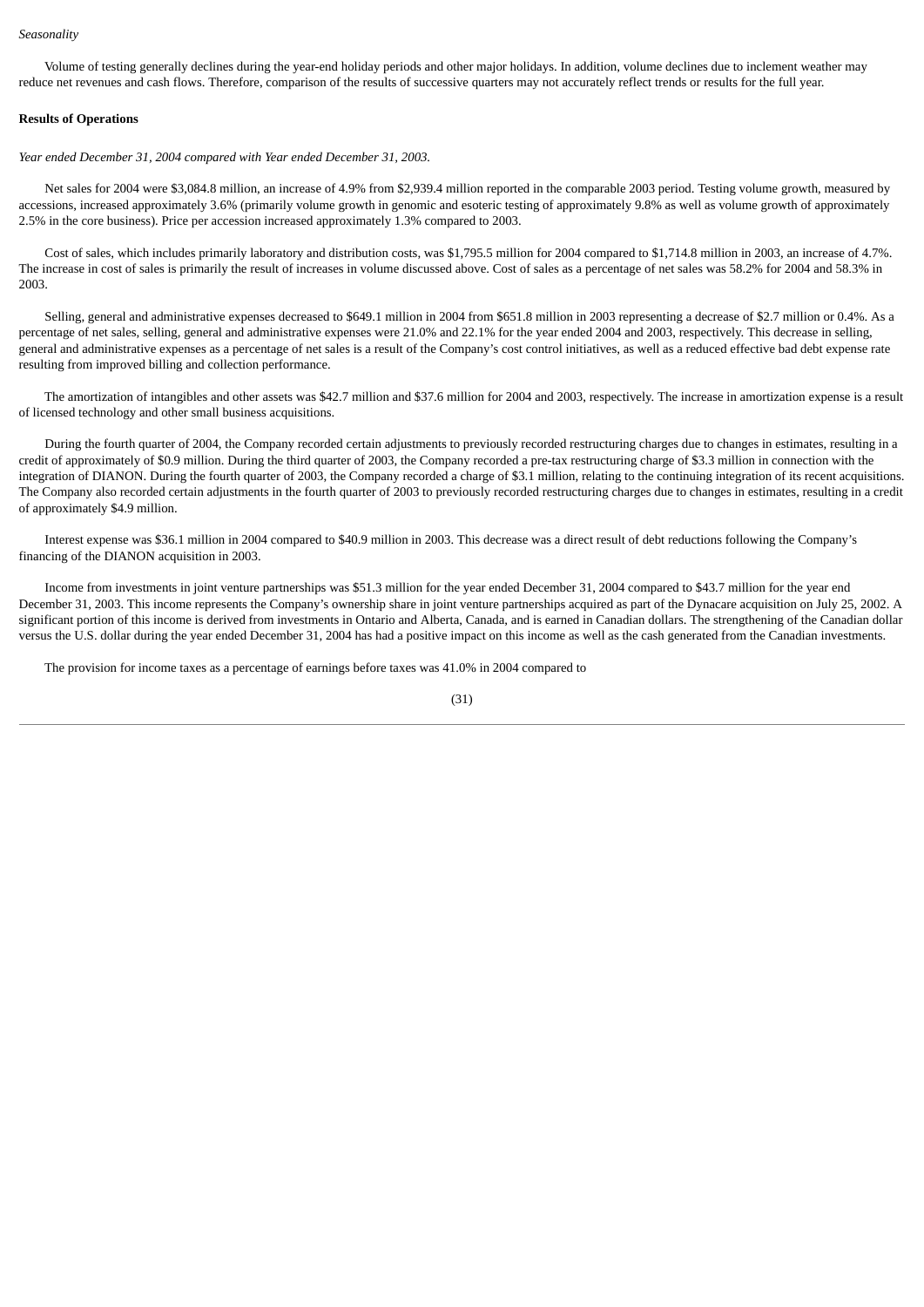#### *Seasonality*

 Volume of testing generally declines during the year-end holiday periods and other major holidays. In addition, volume declines due to inclement weather may reduce net revenues and cash flows. Therefore, comparison of the results of successive quarters may not accurately reflect trends or results for the full year.

#### **Results of Operations**

*Year ended December 31, 2004 compared with Year ended December 31, 2003.*

 Net sales for 2004 were \$3,084.8 million, an increase of 4.9% from \$2,939.4 million reported in the comparable 2003 period. Testing volume growth, measured by accessions, increased approximately 3.6% (primarily volume growth in genomic and esoteric testing of approximately 9.8% as well as volume growth of approximately 2.5% in the core business). Price per accession increased approximately 1.3% compared to 2003.

 Cost of sales, which includes primarily laboratory and distribution costs, was \$1,795.5 million for 2004 compared to \$1,714.8 million in 2003, an increase of 4.7%. The increase in cost of sales is primarily the result of increases in volume discussed above. Cost of sales as a percentage of net sales was 58.2% for 2004 and 58.3% in 2003.

 Selling, general and administrative expenses decreased to \$649.1 million in 2004 from \$651.8 million in 2003 representing a decrease of \$2.7 million or 0.4%. As a percentage of net sales, selling, general and administrative expenses were 21.0% and 22.1% for the year ended 2004 and 2003, respectively. This decrease in selling, general and administrative expenses as a percentage of net sales is a result of the Company's cost control initiatives, as well as a reduced effective bad debt expense rate resulting from improved billing and collection performance.

 The amortization of intangibles and other assets was \$42.7 million and \$37.6 million for 2004 and 2003, respectively. The increase in amortization expense is a result of licensed technology and other small business acquisitions.

 During the fourth quarter of 2004, the Company recorded certain adjustments to previously recorded restructuring charges due to changes in estimates, resulting in a credit of approximately of \$0.9 million. During the third quarter of 2003, the Company recorded a pre-tax restructuring charge of \$3.3 million in connection with the integration of DIANON. During the fourth quarter of 2003, the Company recorded a charge of \$3.1 million, relating to the continuing integration of its recent acquisitions. The Company also recorded certain adjustments in the fourth quarter of 2003 to previously recorded restructuring charges due to changes in estimates, resulting in a credit of approximately \$4.9 million.

 Interest expense was \$36.1 million in 2004 compared to \$40.9 million in 2003. This decrease was a direct result of debt reductions following the Company's financing of the DIANON acquisition in 2003.

 Income from investments in joint venture partnerships was \$51.3 million for the year ended December 31, 2004 compared to \$43.7 million for the year end December 31, 2003. This income represents the Company's ownership share in joint venture partnerships acquired as part of the Dynacare acquisition on July 25, 2002. A significant portion of this income is derived from investments in Ontario and Alberta, Canada, and is earned in Canadian dollars. The strengthening of the Canadian dollar versus the U.S. dollar during the year ended December 31, 2004 has had a positive impact on this income as well as the cash generated from the Canadian investments.

The provision for income taxes as a percentage of earnings before taxes was 41.0% in 2004 compared to

$$
^{(31)}
$$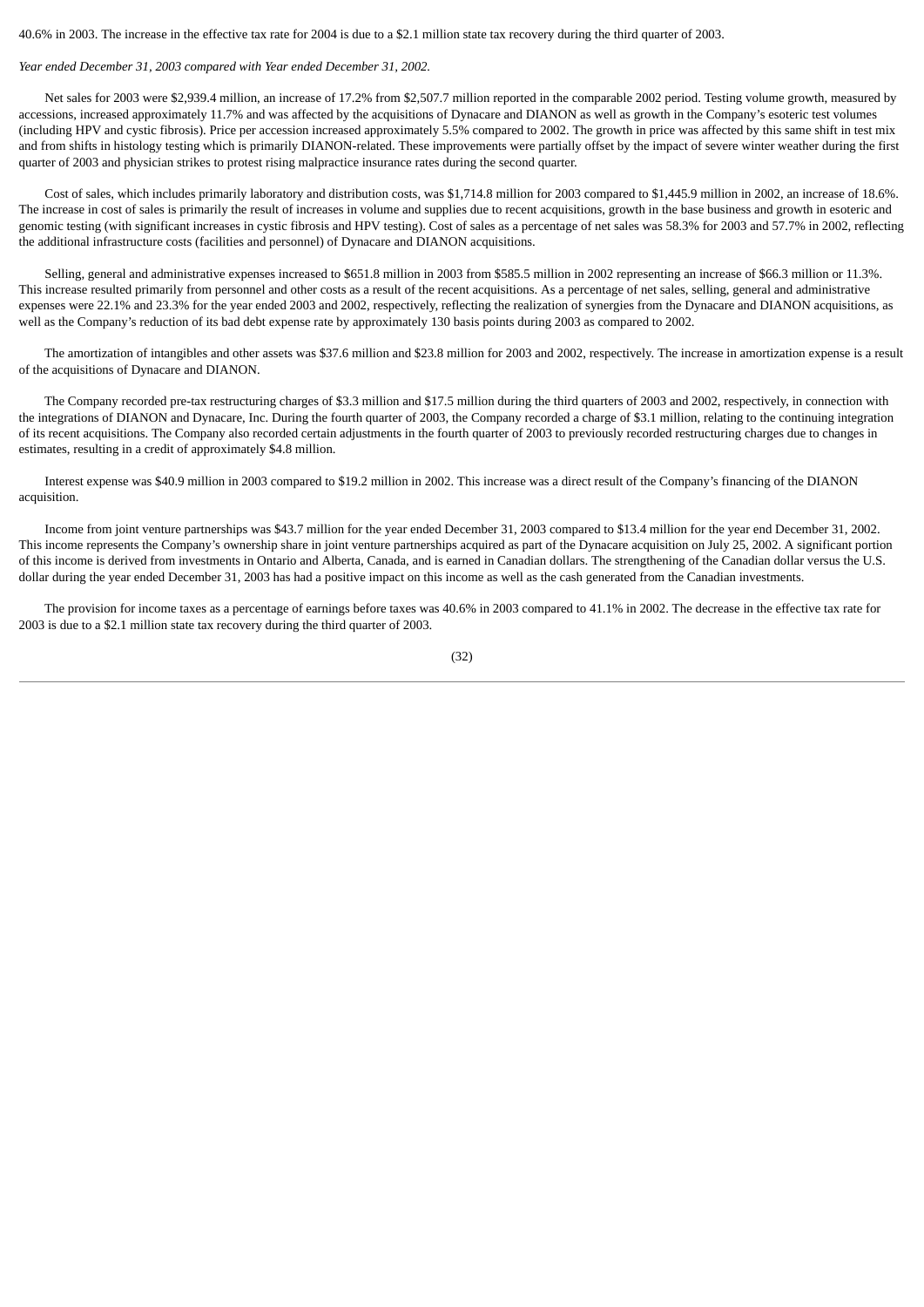40.6% in 2003. The increase in the effective tax rate for 2004 is due to a \$2.1 million state tax recovery during the third quarter of 2003.

#### *Year ended December 31, 2003 compared with Year ended December 31, 2002.*

 Net sales for 2003 were \$2,939.4 million, an increase of 17.2% from \$2,507.7 million reported in the comparable 2002 period. Testing volume growth, measured by accessions, increased approximately 11.7% and was affected by the acquisitions of Dynacare and DIANON as well as growth in the Company's esoteric test volumes (including HPV and cystic fibrosis). Price per accession increased approximately 5.5% compared to 2002. The growth in price was affected by this same shift in test mix and from shifts in histology testing which is primarily DIANON-related. These improvements were partially offset by the impact of severe winter weather during the first quarter of 2003 and physician strikes to protest rising malpractice insurance rates during the second quarter.

 Cost of sales, which includes primarily laboratory and distribution costs, was \$1,714.8 million for 2003 compared to \$1,445.9 million in 2002, an increase of 18.6%. The increase in cost of sales is primarily the result of increases in volume and supplies due to recent acquisitions, growth in the base business and growth in esoteric and genomic testing (with significant increases in cystic fibrosis and HPV testing). Cost of sales as a percentage of net sales was 58.3% for 2003 and 57.7% in 2002, reflecting the additional infrastructure costs (facilities and personnel) of Dynacare and DIANON acquisitions.

 Selling, general and administrative expenses increased to \$651.8 million in 2003 from \$585.5 million in 2002 representing an increase of \$66.3 million or 11.3%. This increase resulted primarily from personnel and other costs as a result of the recent acquisitions. As a percentage of net sales, selling, general and administrative expenses were 22.1% and 23.3% for the year ended 2003 and 2002, respectively, reflecting the realization of synergies from the Dynacare and DIANON acquisitions, as well as the Company's reduction of its bad debt expense rate by approximately 130 basis points during 2003 as compared to 2002.

 The amortization of intangibles and other assets was \$37.6 million and \$23.8 million for 2003 and 2002, respectively. The increase in amortization expense is a result of the acquisitions of Dynacare and DIANON.

 The Company recorded pre-tax restructuring charges of \$3.3 million and \$17.5 million during the third quarters of 2003 and 2002, respectively, in connection with the integrations of DIANON and Dynacare, Inc. During the fourth quarter of 2003, the Company recorded a charge of \$3.1 million, relating to the continuing integration of its recent acquisitions. The Company also recorded certain adjustments in the fourth quarter of 2003 to previously recorded restructuring charges due to changes in estimates, resulting in a credit of approximately \$4.8 million.

 Interest expense was \$40.9 million in 2003 compared to \$19.2 million in 2002. This increase was a direct result of the Company's financing of the DIANON acquisition.

 Income from joint venture partnerships was \$43.7 million for the year ended December 31, 2003 compared to \$13.4 million for the year end December 31, 2002. This income represents the Company's ownership share in joint venture partnerships acquired as part of the Dynacare acquisition on July 25, 2002. A significant portion of this income is derived from investments in Ontario and Alberta, Canada, and is earned in Canadian dollars. The strengthening of the Canadian dollar versus the U.S. dollar during the year ended December 31, 2003 has had a positive impact on this income as well as the cash generated from the Canadian investments.

 The provision for income taxes as a percentage of earnings before taxes was 40.6% in 2003 compared to 41.1% in 2002. The decrease in the effective tax rate for 2003 is due to a \$2.1 million state tax recovery during the third quarter of 2003.

(32)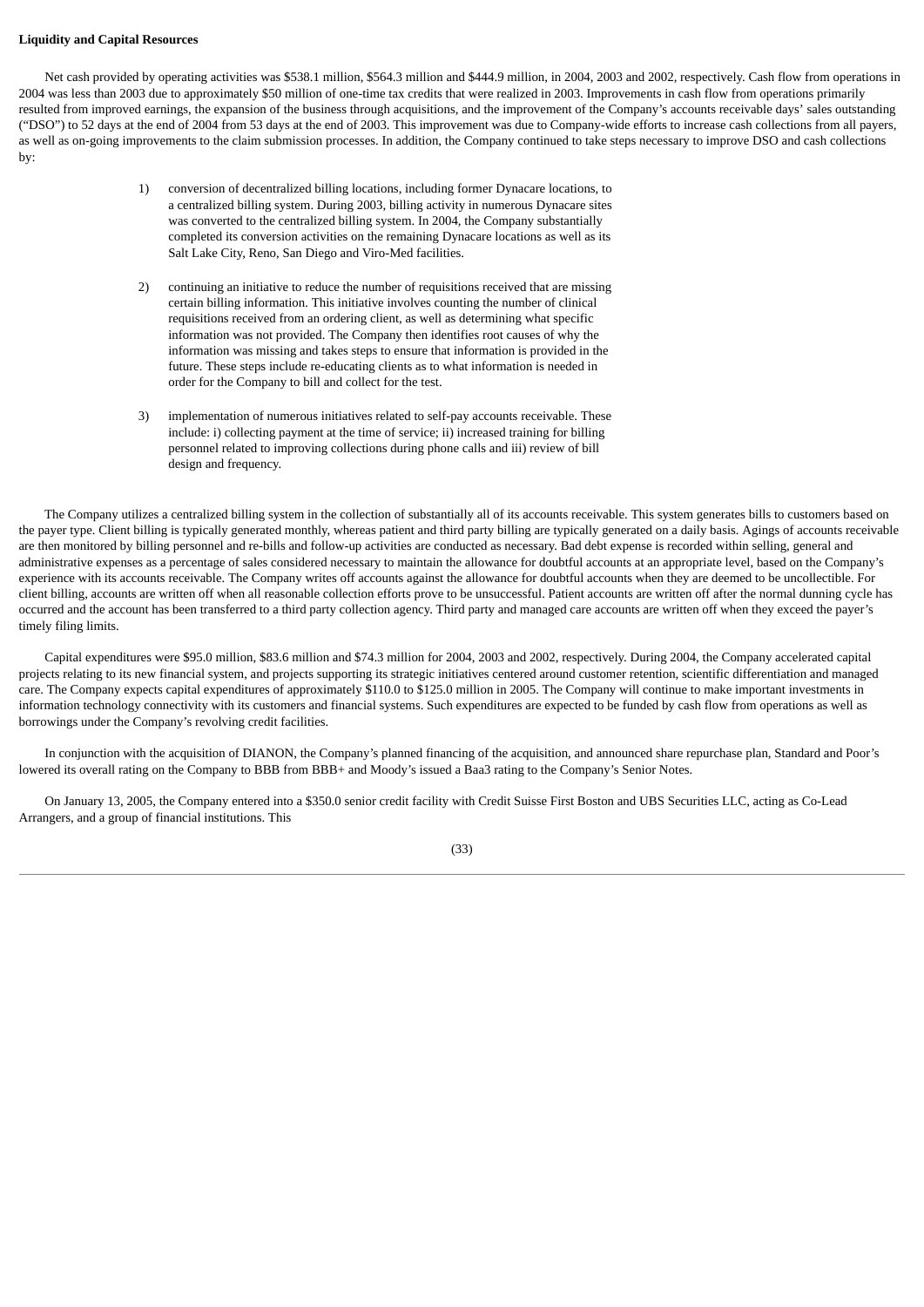#### **Liquidity and Capital Resources**

Net cash provided by operating activities was \$538.1 million, \$564.3 million and \$444.9 million, in 2004, 2003 and 2002, respectively. Cash flow from operations in 2004 was less than 2003 due to approximately \$50 million of one-time tax credits that were realized in 2003. Improvements in cash flow from operations primarily resulted from improved earnings, the expansion of the business through acquisitions, and the improvement of the Company's accounts receivable days' sales outstanding ("DSO") to 52 days at the end of 2004 from 53 days at the end of 2003. This improvement was due to Company-wide efforts to increase cash collections from all payers, as well as on-going improvements to the claim submission processes. In addition, the Company continued to take steps necessary to improve DSO and cash collections by:

- 1) conversion of decentralized billing locations, including former Dynacare locations, to a centralized billing system. During 2003, billing activity in numerous Dynacare sites was converted to the centralized billing system. In 2004, the Company substantially completed its conversion activities on the remaining Dynacare locations as well as its Salt Lake City, Reno, San Diego and Viro-Med facilities.
- 2) continuing an initiative to reduce the number of requisitions received that are missing certain billing information. This initiative involves counting the number of clinical requisitions received from an ordering client, as well as determining what specific information was not provided. The Company then identifies root causes of why the information was missing and takes steps to ensure that information is provided in the future. These steps include re-educating clients as to what information is needed in order for the Company to bill and collect for the test.
- 3) implementation of numerous initiatives related to self-pay accounts receivable. These include: i) collecting payment at the time of service; ii) increased training for billing personnel related to improving collections during phone calls and iii) review of bill design and frequency.

 The Company utilizes a centralized billing system in the collection of substantially all of its accounts receivable. This system generates bills to customers based on the payer type. Client billing is typically generated monthly, whereas patient and third party billing are typically generated on a daily basis. Agings of accounts receivable are then monitored by billing personnel and re-bills and follow-up activities are conducted as necessary. Bad debt expense is recorded within selling, general and administrative expenses as a percentage of sales considered necessary to maintain the allowance for doubtful accounts at an appropriate level, based on the Company's experience with its accounts receivable. The Company writes off accounts against the allowance for doubtful accounts when they are deemed to be uncollectible. For client billing, accounts are written off when all reasonable collection efforts prove to be unsuccessful. Patient accounts are written off after the normal dunning cycle has occurred and the account has been transferred to a third party collection agency. Third party and managed care accounts are written off when they exceed the payer's timely filing limits.

 Capital expenditures were \$95.0 million, \$83.6 million and \$74.3 million for 2004, 2003 and 2002, respectively. During 2004, the Company accelerated capital projects relating to its new financial system, and projects supporting its strategic initiatives centered around customer retention, scientific differentiation and managed care. The Company expects capital expenditures of approximately \$110.0 to \$125.0 million in 2005. The Company will continue to make important investments in information technology connectivity with its customers and financial systems. Such expenditures are expected to be funded by cash flow from operations as well as borrowings under the Company's revolving credit facilities.

 In conjunction with the acquisition of DIANON, the Company's planned financing of the acquisition, and announced share repurchase plan, Standard and Poor's lowered its overall rating on the Company to BBB from BBB+ and Moody's issued a Baa3 rating to the Company's Senior Notes.

 On January 13, 2005, the Company entered into a \$350.0 senior credit facility with Credit Suisse First Boston and UBS Securities LLC, acting as Co-Lead Arrangers, and a group of financial institutions. This

(33)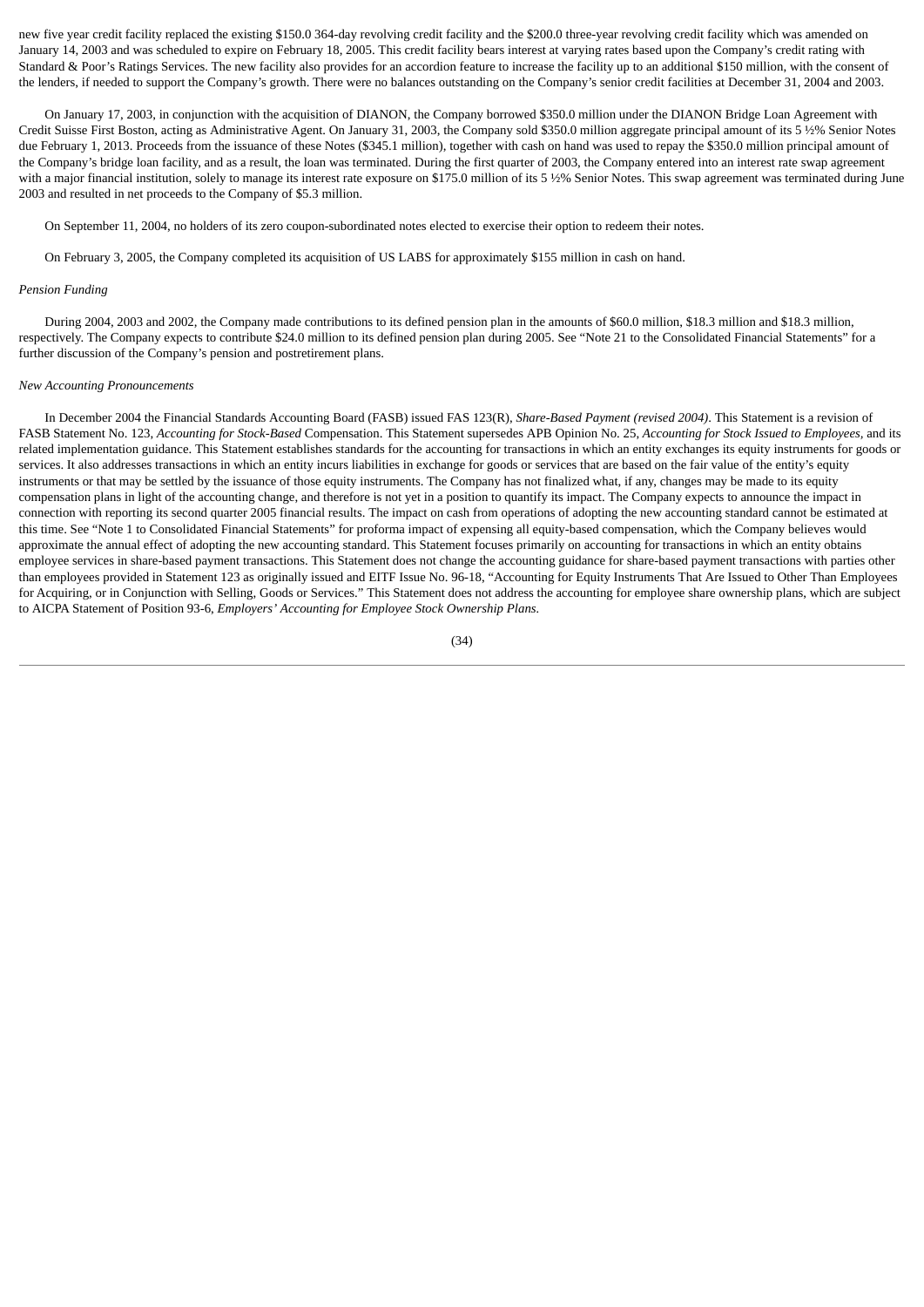new five year credit facility replaced the existing \$150.0 364-day revolving credit facility and the \$200.0 three-year revolving credit facility which was amended on January 14, 2003 and was scheduled to expire on February 18, 2005. This credit facility bears interest at varying rates based upon the Company's credit rating with Standard & Poor's Ratings Services. The new facility also provides for an accordion feature to increase the facility up to an additional \$150 million, with the consent of the lenders, if needed to support the Company's growth. There were no balances outstanding on the Company's senior credit facilities at December 31, 2004 and 2003.

 On January 17, 2003, in conjunction with the acquisition of DIANON, the Company borrowed \$350.0 million under the DIANON Bridge Loan Agreement with Credit Suisse First Boston, acting as Administrative Agent. On January 31, 2003, the Company sold \$350.0 million aggregate principal amount of its 5 ½% Senior Notes due February 1, 2013. Proceeds from the issuance of these Notes (\$345.1 million), together with cash on hand was used to repay the \$350.0 million principal amount of the Company's bridge loan facility, and as a result, the loan was terminated. During the first quarter of 2003, the Company entered into an interest rate swap agreement with a major financial institution, solely to manage its interest rate exposure on \$175.0 million of its 5 ½% Senior Notes. This swap agreement was terminated during June 2003 and resulted in net proceeds to the Company of \$5.3 million.

On September 11, 2004, no holders of its zero coupon-subordinated notes elected to exercise their option to redeem their notes.

On February 3, 2005, the Company completed its acquisition of US LABS for approximately \$155 million in cash on hand.

#### *Pension Funding*

 During 2004, 2003 and 2002, the Company made contributions to its defined pension plan in the amounts of \$60.0 million, \$18.3 million and \$18.3 million, respectively. The Company expects to contribute \$24.0 million to its defined pension plan during 2005. See "Note 21 to the Consolidated Financial Statements" for a further discussion of the Company's pension and postretirement plans.

#### *New Accounting Pronouncements*

 In December 2004 the Financial Standards Accounting Board (FASB) issued FAS 123(R), *Share-Based Payment (revised 2004)*. This Statement is a revision of FASB Statement No. 123, *Accounting for Stock-Based* Compensation. This Statement supersedes APB Opinion No. 25, *Accounting for Stock Issued to Employees,* and its related implementation guidance. This Statement establishes standards for the accounting for transactions in which an entity exchanges its equity instruments for goods or services. It also addresses transactions in which an entity incurs liabilities in exchange for goods or services that are based on the fair value of the entity's equity instruments or that may be settled by the issuance of those equity instruments. The Company has not finalized what, if any, changes may be made to its equity compensation plans in light of the accounting change, and therefore is not yet in a position to quantify its impact. The Company expects to announce the impact in connection with reporting its second quarter 2005 financial results. The impact on cash from operations of adopting the new accounting standard cannot be estimated at this time. See "Note 1 to Consolidated Financial Statements" for proforma impact of expensing all equity-based compensation, which the Company believes would approximate the annual effect of adopting the new accounting standard. This Statement focuses primarily on accounting for transactions in which an entity obtains employee services in share-based payment transactions. This Statement does not change the accounting guidance for share-based payment transactions with parties other than employees provided in Statement 123 as originally issued and EITF Issue No. 96-18, "Accounting for Equity Instruments That Are Issued to Other Than Employees for Acquiring, or in Conjunction with Selling, Goods or Services." This Statement does not address the accounting for employee share ownership plans, which are subject to AICPA Statement of Position 93-6, *Employers' Accounting for Employee Stock Ownership Plans.*

$$
(34)
$$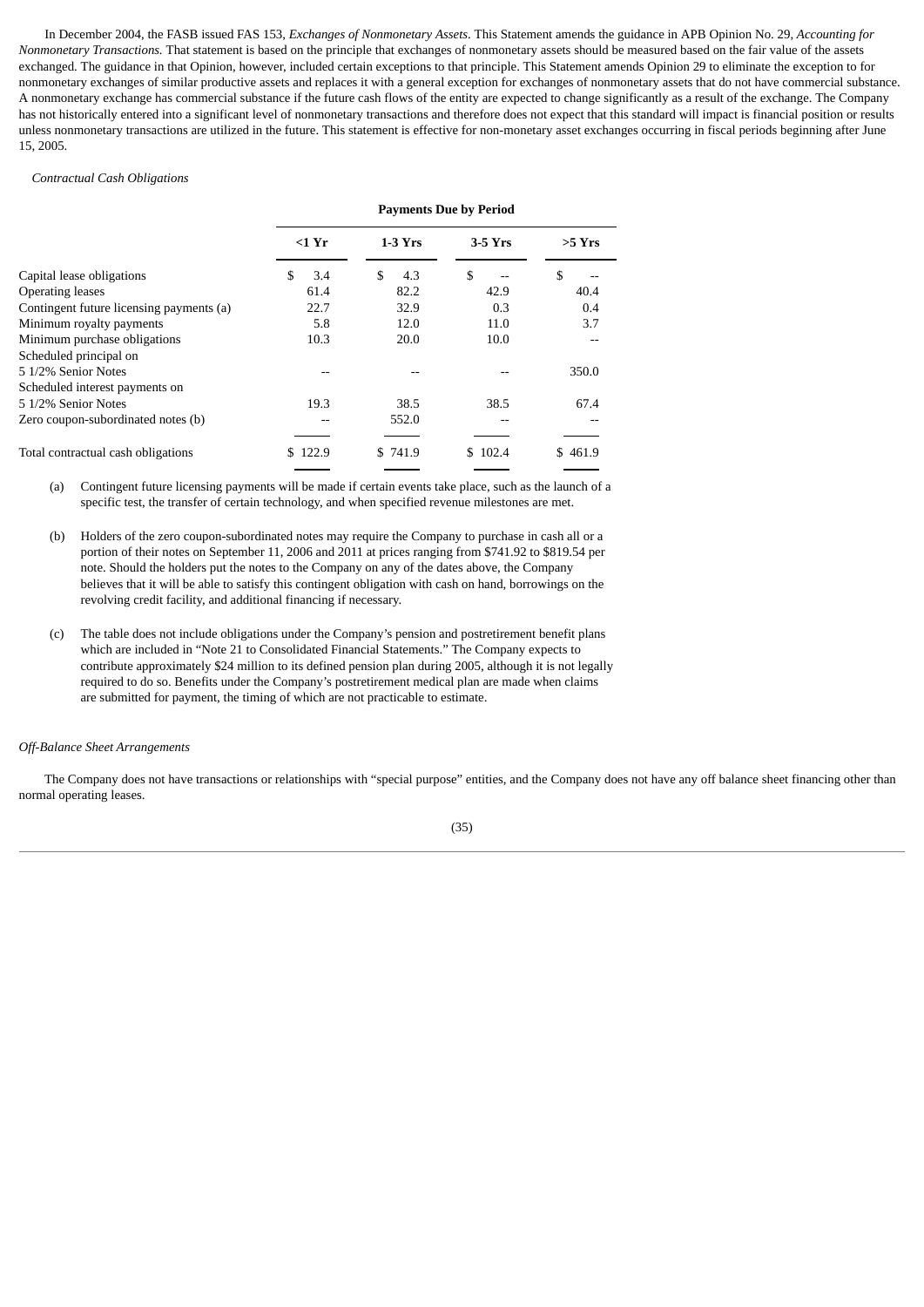In December 2004, the FASB issued FAS 153, *Exchanges of Nonmonetary Assets*. This Statement amends the guidance in APB Opinion No. 29, *Accounting for Nonmonetary Transactions.* That statement is based on the principle that exchanges of nonmonetary assets should be measured based on the fair value of the assets exchanged. The guidance in that Opinion, however, included certain exceptions to that principle. This Statement amends Opinion 29 to eliminate the exception to for nonmonetary exchanges of similar productive assets and replaces it with a general exception for exchanges of nonmonetary assets that do not have commercial substance. A nonmonetary exchange has commercial substance if the future cash flows of the entity are expected to change significantly as a result of the exchange. The Company has not historically entered into a significant level of nonmonetary transactions and therefore does not expect that this standard will impact is financial position or results unless nonmonetary transactions are utilized in the future. This statement is effective for non-monetary asset exchanges occurring in fiscal periods beginning after June 15, 2005.

#### *Contractual Cash Obligations*

|                                          | <b>Payments Due by Period</b> |            |           |          |  |
|------------------------------------------|-------------------------------|------------|-----------|----------|--|
|                                          | $<$ 1 Yr                      | $1-3$ Yrs  | $3-5$ Yrs | $>5$ Yrs |  |
| Capital lease obligations                | \$<br>3.4                     | \$.<br>4.3 | \$        | \$.      |  |
| <b>Operating leases</b>                  | 61.4                          | 82.2       | 42.9      | 40.4     |  |
| Contingent future licensing payments (a) | 22.7                          | 32.9       | 0.3       | 0.4      |  |
| Minimum royalty payments                 | 5.8                           | 12.0       | 11.0      | 3.7      |  |
| Minimum purchase obligations             | 10.3                          | 20.0       | 10.0      |          |  |
| Scheduled principal on                   |                               |            |           |          |  |
| 5 1/2% Senior Notes                      |                               |            |           | 350.0    |  |
| Scheduled interest payments on           |                               |            |           |          |  |
| 5 1/2% Senior Notes                      | 19.3                          | 38.5       | 38.5      | 67.4     |  |
| Zero coupon-subordinated notes (b)       |                               | 552.0      |           |          |  |
| Total contractual cash obligations       | \$122.9                       | \$741.9    | \$102.4   | \$461.9  |  |
|                                          |                               |            |           |          |  |

(a) Contingent future licensing payments will be made if certain events take place, such as the launch of a specific test, the transfer of certain technology, and when specified revenue milestones are met.

- (b) Holders of the zero coupon-subordinated notes may require the Company to purchase in cash all or a portion of their notes on September 11, 2006 and 2011 at prices ranging from \$741.92 to \$819.54 per note. Should the holders put the notes to the Company on any of the dates above, the Company believes that it will be able to satisfy this contingent obligation with cash on hand, borrowings on the revolving credit facility, and additional financing if necessary.
- (c) The table does not include obligations under the Company's pension and postretirement benefit plans which are included in "Note 21 to Consolidated Financial Statements." The Company expects to contribute approximately \$24 million to its defined pension plan during 2005, although it is not legally required to do so. Benefits under the Company's postretirement medical plan are made when claims are submitted for payment, the timing of which are not practicable to estimate.

#### *Off-Balance Sheet Arrangements*

 The Company does not have transactions or relationships with "special purpose" entities, and the Company does not have any off balance sheet financing other than normal operating leases.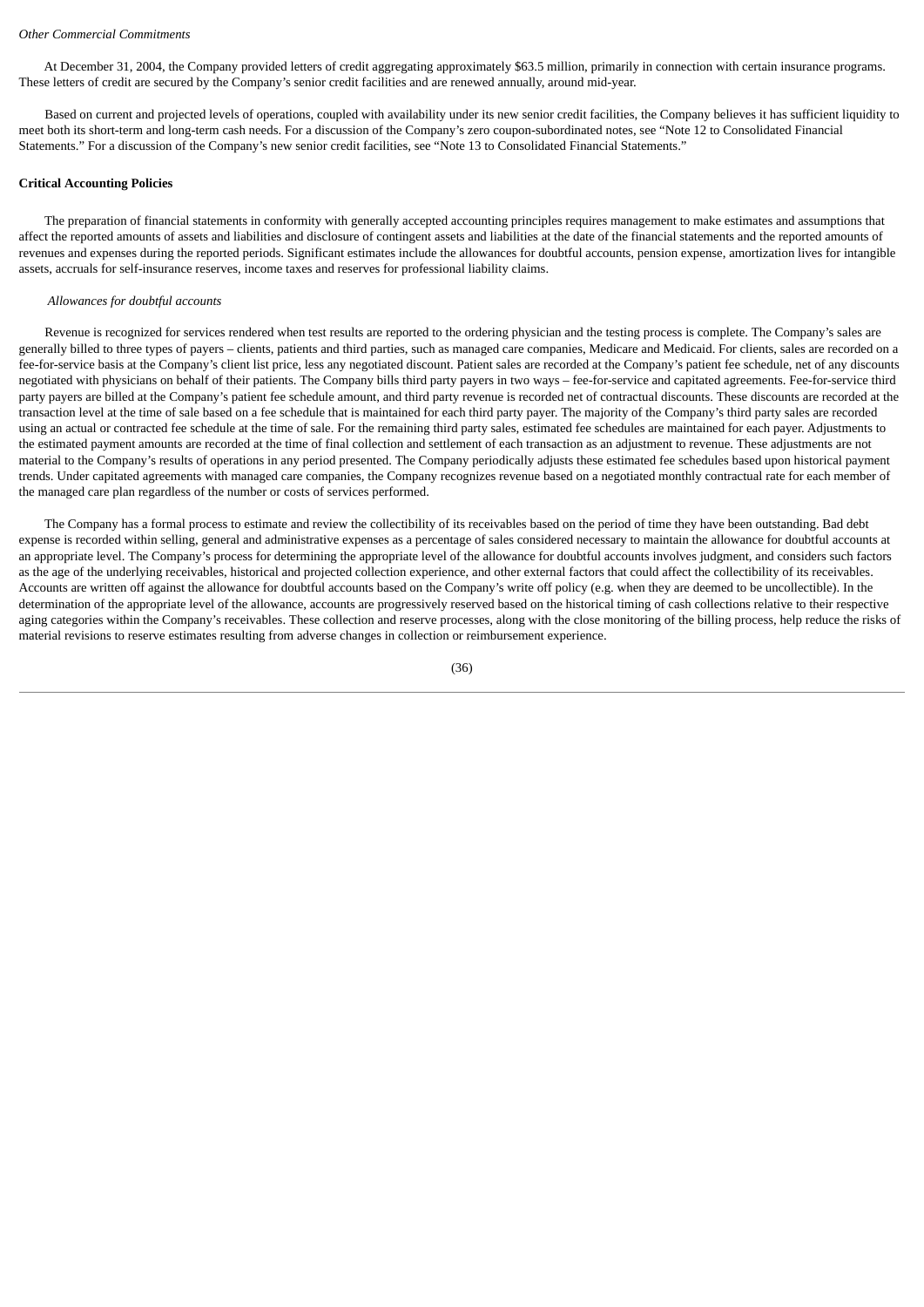#### *Other Commercial Commitments*

 At December 31, 2004, the Company provided letters of credit aggregating approximately \$63.5 million, primarily in connection with certain insurance programs. These letters of credit are secured by the Company's senior credit facilities and are renewed annually, around mid-year.

 Based on current and projected levels of operations, coupled with availability under its new senior credit facilities, the Company believes it has sufficient liquidity to meet both its short-term and long-term cash needs. For a discussion of the Company's zero coupon-subordinated notes, see "Note 12 to Consolidated Financial Statements." For a discussion of the Company's new senior credit facilities, see "Note 13 to Consolidated Financial Statements."

#### **Critical Accounting Policies**

 The preparation of financial statements in conformity with generally accepted accounting principles requires management to make estimates and assumptions that affect the reported amounts of assets and liabilities and disclosure of contingent assets and liabilities at the date of the financial statements and the reported amounts of revenues and expenses during the reported periods. Significant estimates include the allowances for doubtful accounts, pension expense, amortization lives for intangible assets, accruals for self-insurance reserves, income taxes and reserves for professional liability claims.

#### *Allowances for doubtful accounts*

 Revenue is recognized for services rendered when test results are reported to the ordering physician and the testing process is complete. The Company's sales are generally billed to three types of payers – clients, patients and third parties, such as managed care companies, Medicare and Medicaid. For clients, sales are recorded on a fee-for-service basis at the Company's client list price, less any negotiated discount. Patient sales are recorded at the Company's patient fee schedule, net of any discounts negotiated with physicians on behalf of their patients. The Company bills third party payers in two ways – fee-for-service and capitated agreements. Fee-for-service third party payers are billed at the Company's patient fee schedule amount, and third party revenue is recorded net of contractual discounts. These discounts are recorded at the transaction level at the time of sale based on a fee schedule that is maintained for each third party payer. The majority of the Company's third party sales are recorded using an actual or contracted fee schedule at the time of sale. For the remaining third party sales, estimated fee schedules are maintained for each payer. Adjustments to the estimated payment amounts are recorded at the time of final collection and settlement of each transaction as an adjustment to revenue. These adjustments are not material to the Company's results of operations in any period presented. The Company periodically adjusts these estimated fee schedules based upon historical payment trends. Under capitated agreements with managed care companies, the Company recognizes revenue based on a negotiated monthly contractual rate for each member of the managed care plan regardless of the number or costs of services performed.

 The Company has a formal process to estimate and review the collectibility of its receivables based on the period of time they have been outstanding. Bad debt expense is recorded within selling, general and administrative expenses as a percentage of sales considered necessary to maintain the allowance for doubtful accounts at an appropriate level. The Company's process for determining the appropriate level of the allowance for doubtful accounts involves judgment, and considers such factors as the age of the underlying receivables, historical and projected collection experience, and other external factors that could affect the collectibility of its receivables. Accounts are written off against the allowance for doubtful accounts based on the Company's write off policy (e.g. when they are deemed to be uncollectible). In the determination of the appropriate level of the allowance, accounts are progressively reserved based on the historical timing of cash collections relative to their respective aging categories within the Company's receivables. These collection and reserve processes, along with the close monitoring of the billing process, help reduce the risks of material revisions to reserve estimates resulting from adverse changes in collection or reimbursement experience.

#### (36)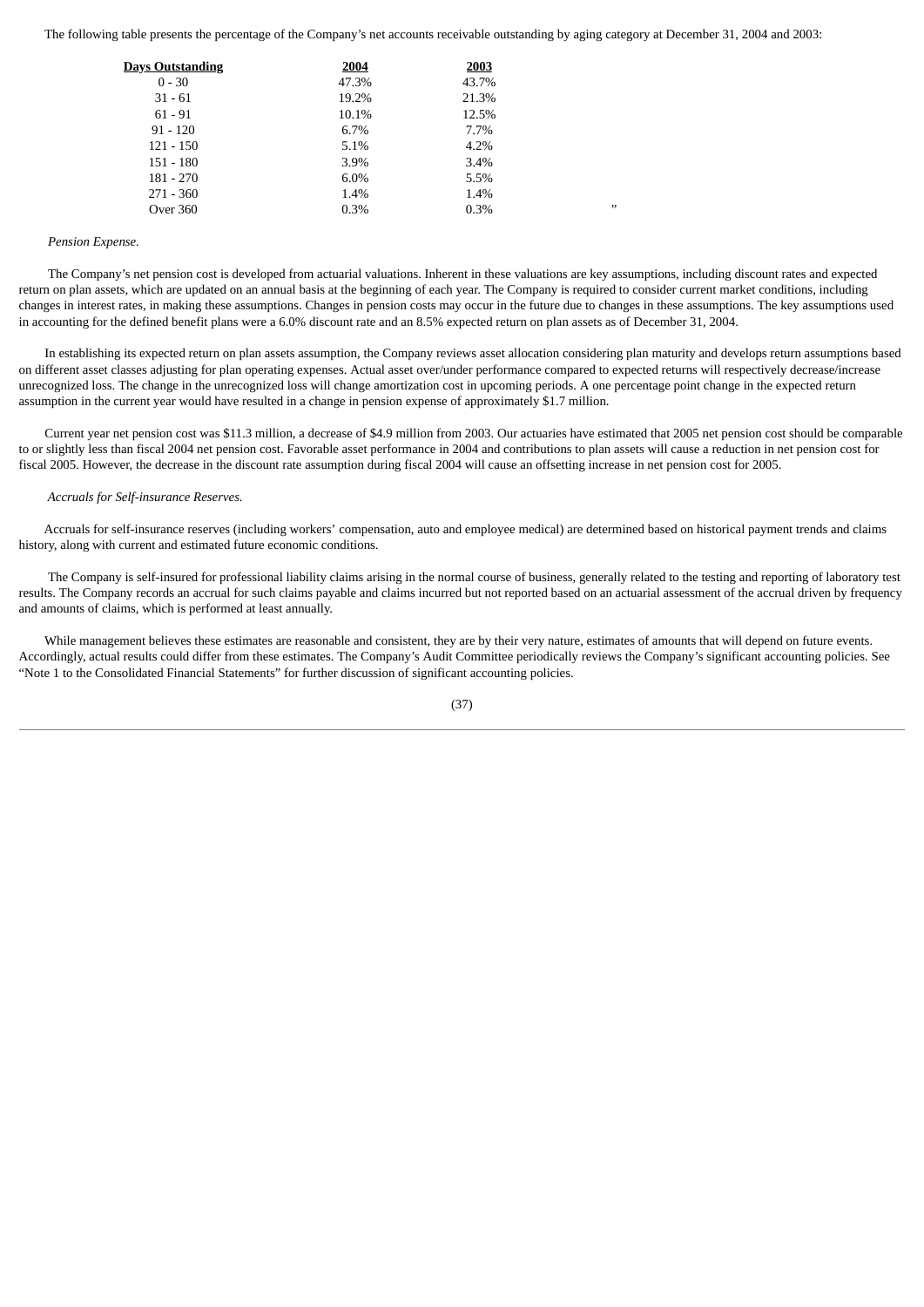The following table presents the percentage of the Company's net accounts receivable outstanding by aging category at December 31, 2004 and 2003:

| <b>Days Outstanding</b> | 2004    | 2003  |     |
|-------------------------|---------|-------|-----|
| $0 - 30$                | 47.3%   | 43.7% |     |
| $31 - 61$               | 19.2%   | 21.3% |     |
| $61 - 91$               | 10.1%   | 12.5% |     |
| $91 - 120$              | 6.7%    | 7.7%  |     |
| $121 - 150$             | 5.1%    | 4.2%  |     |
| 151 - 180               | 3.9%    | 3.4%  |     |
| 181 - 270               | $6.0\%$ | 5.5%  |     |
| 271 - 360               | 1.4%    | 1.4%  |     |
| Over 360                | 0.3%    | 0.3%  | , , |

#### *Pension Expense.*

 The Company's net pension cost is developed from actuarial valuations. Inherent in these valuations are key assumptions, including discount rates and expected return on plan assets, which are updated on an annual basis at the beginning of each year. The Company is required to consider current market conditions, including changes in interest rates, in making these assumptions. Changes in pension costs may occur in the future due to changes in these assumptions. The key assumptions used in accounting for the defined benefit plans were a 6.0% discount rate and an 8.5% expected return on plan assets as of December 31, 2004.

 In establishing its expected return on plan assets assumption, the Company reviews asset allocation considering plan maturity and develops return assumptions based on different asset classes adjusting for plan operating expenses. Actual asset over/under performance compared to expected returns will respectively decrease/increase unrecognized loss. The change in the unrecognized loss will change amortization cost in upcoming periods. A one percentage point change in the expected return assumption in the current year would have resulted in a change in pension expense of approximately \$1.7 million.

 Current year net pension cost was \$11.3 million, a decrease of \$4.9 million from 2003. Our actuaries have estimated that 2005 net pension cost should be comparable to or slightly less than fiscal 2004 net pension cost. Favorable asset performance in 2004 and contributions to plan assets will cause a reduction in net pension cost for fiscal 2005. However, the decrease in the discount rate assumption during fiscal 2004 will cause an offsetting increase in net pension cost for 2005.

#### *Accruals for Self-insurance Reserves.*

 Accruals for self-insurance reserves (including workers' compensation, auto and employee medical) are determined based on historical payment trends and claims history, along with current and estimated future economic conditions.

 The Company is self-insured for professional liability claims arising in the normal course of business, generally related to the testing and reporting of laboratory test results. The Company records an accrual for such claims payable and claims incurred but not reported based on an actuarial assessment of the accrual driven by frequency and amounts of claims, which is performed at least annually.

While management believes these estimates are reasonable and consistent, they are by their very nature, estimates of amounts that will depend on future events. Accordingly, actual results could differ from these estimates. The Company's Audit Committee periodically reviews the Company's significant accounting policies. See "Note 1 to the Consolidated Financial Statements" for further discussion of significant accounting policies.

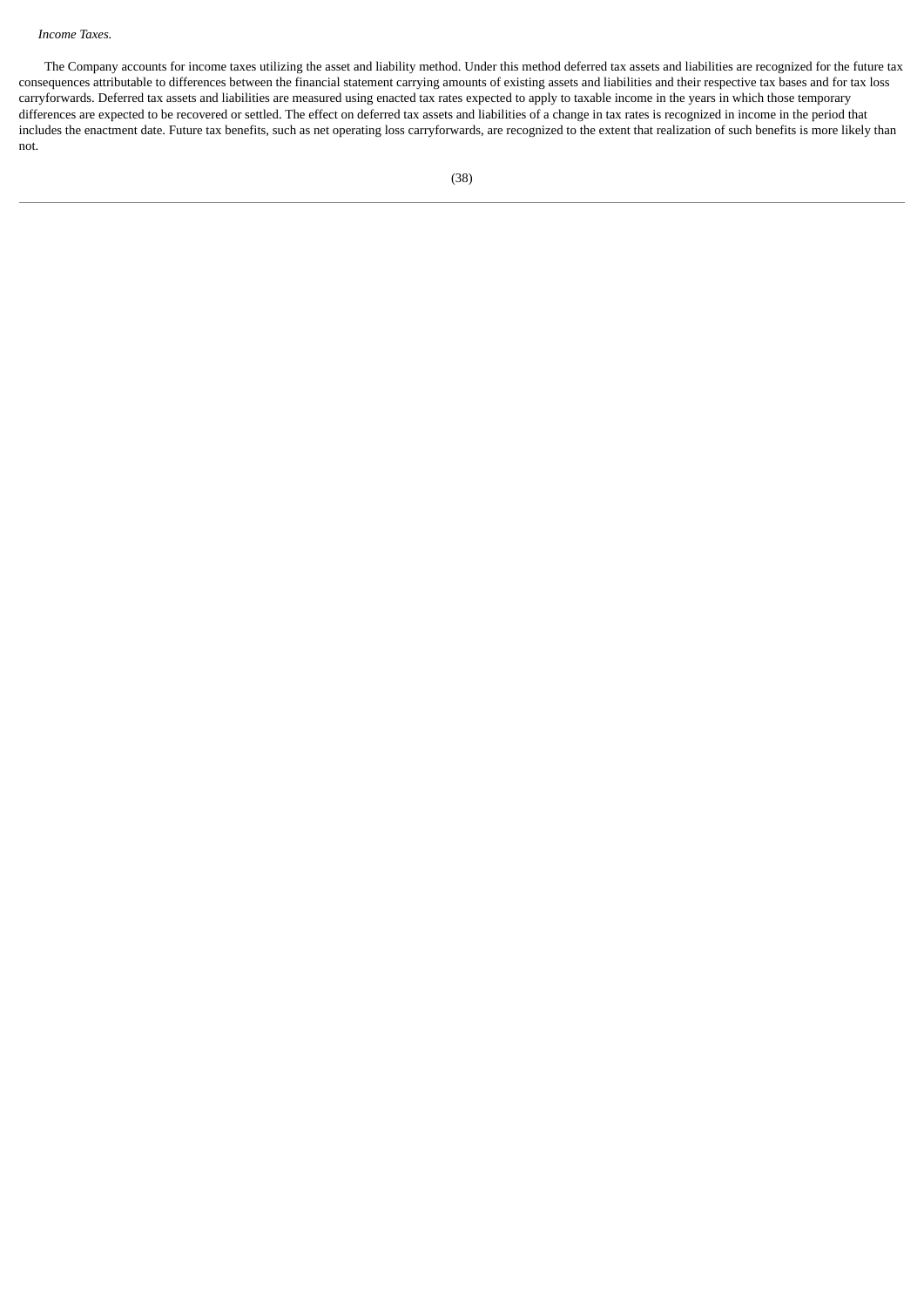#### *Income Taxes.*

 The Company accounts for income taxes utilizing the asset and liability method. Under this method deferred tax assets and liabilities are recognized for the future tax consequences attributable to differences between the financial statement carrying amounts of existing assets and liabilities and their respective tax bases and for tax loss carryforwards. Deferred tax assets and liabilities are measured using enacted tax rates expected to apply to taxable income in the years in which those temporary differences are expected to be recovered or settled. The effect on deferred tax assets and liabilities of a change in tax rates is recognized in income in the period that includes the enactment date. Future tax benefits, such as net operating loss carryforwards, are recognized to the extent that realization of such benefits is more likely than not.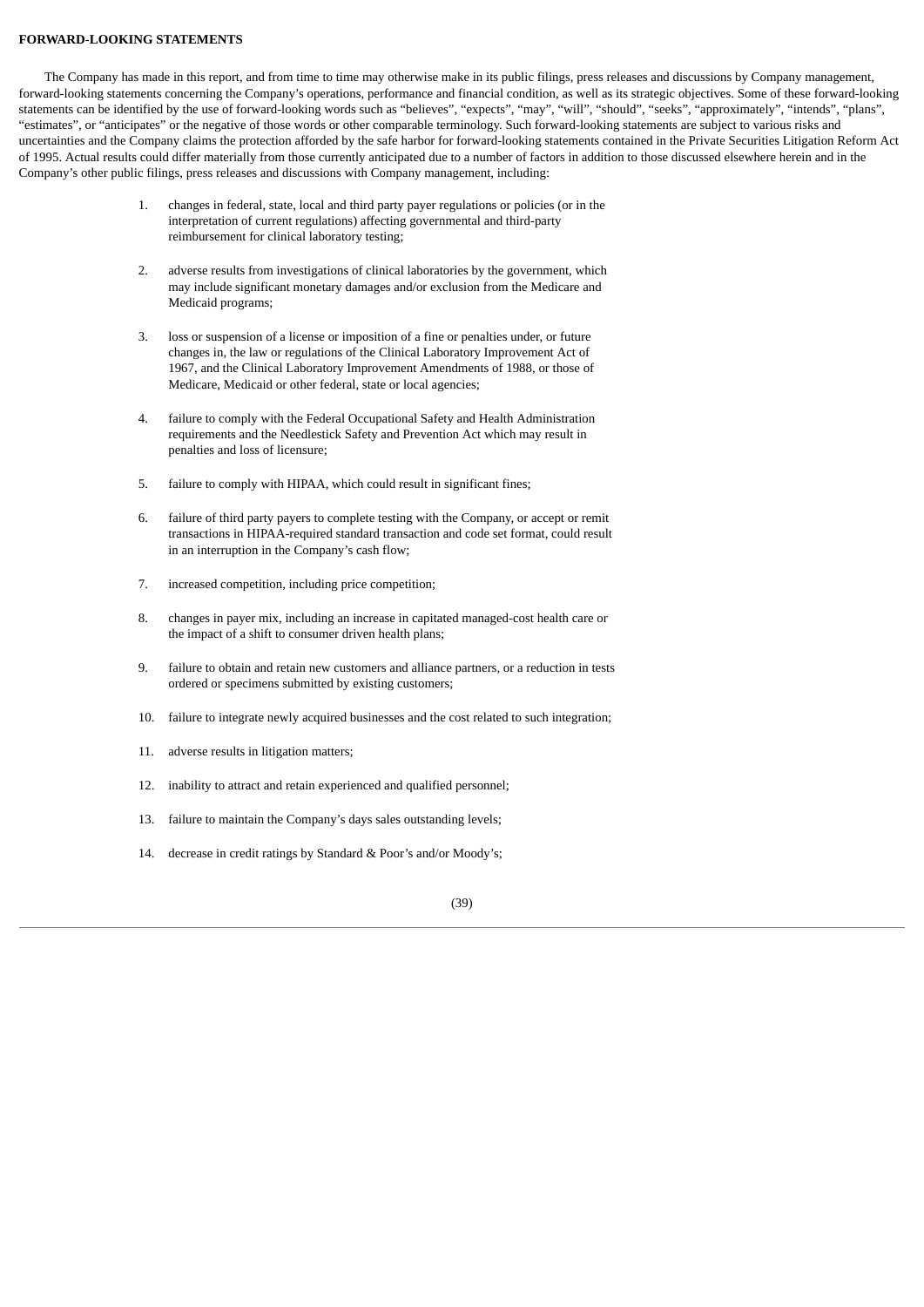#### **FORWARD-LOOKING STATEMENTS**

 The Company has made in this report, and from time to time may otherwise make in its public filings, press releases and discussions by Company management, forward-looking statements concerning the Company's operations, performance and financial condition, as well as its strategic objectives. Some of these forward-looking statements can be identified by the use of forward-looking words such as "believes", "expects", "may", "will", "should", "seeks", "approximately", "intends", "plans", "estimates", or "anticipates" or the negative of those words or other comparable terminology. Such forward-looking statements are subject to various risks and uncertainties and the Company claims the protection afforded by the safe harbor for forward-looking statements contained in the Private Securities Litigation Reform Act of 1995. Actual results could differ materially from those currently anticipated due to a number of factors in addition to those discussed elsewhere herein and in the Company's other public filings, press releases and discussions with Company management, including:

- 1. changes in federal, state, local and third party payer regulations or policies (or in the interpretation of current regulations) affecting governmental and third-party reimbursement for clinical laboratory testing;
- 2. adverse results from investigations of clinical laboratories by the government, which may include significant monetary damages and/or exclusion from the Medicare and Medicaid programs;
- 3. loss or suspension of a license or imposition of a fine or penalties under, or future changes in, the law or regulations of the Clinical Laboratory Improvement Act of 1967, and the Clinical Laboratory Improvement Amendments of 1988, or those of Medicare, Medicaid or other federal, state or local agencies;
- 4. failure to comply with the Federal Occupational Safety and Health Administration requirements and the Needlestick Safety and Prevention Act which may result in penalties and loss of licensure;
- 5. failure to comply with HIPAA, which could result in significant fines;
- 6. failure of third party payers to complete testing with the Company, or accept or remit transactions in HIPAA-required standard transaction and code set format, could result in an interruption in the Company's cash flow;
- 7. increased competition, including price competition;
- 8. changes in payer mix, including an increase in capitated managed-cost health care or the impact of a shift to consumer driven health plans;
- 9. failure to obtain and retain new customers and alliance partners, or a reduction in tests ordered or specimens submitted by existing customers;
- 10. failure to integrate newly acquired businesses and the cost related to such integration;
- 11. adverse results in litigation matters;
- 12. inability to attract and retain experienced and qualified personnel;
- 13. failure to maintain the Company's days sales outstanding levels;
- 14. decrease in credit ratings by Standard & Poor's and/or Moody's;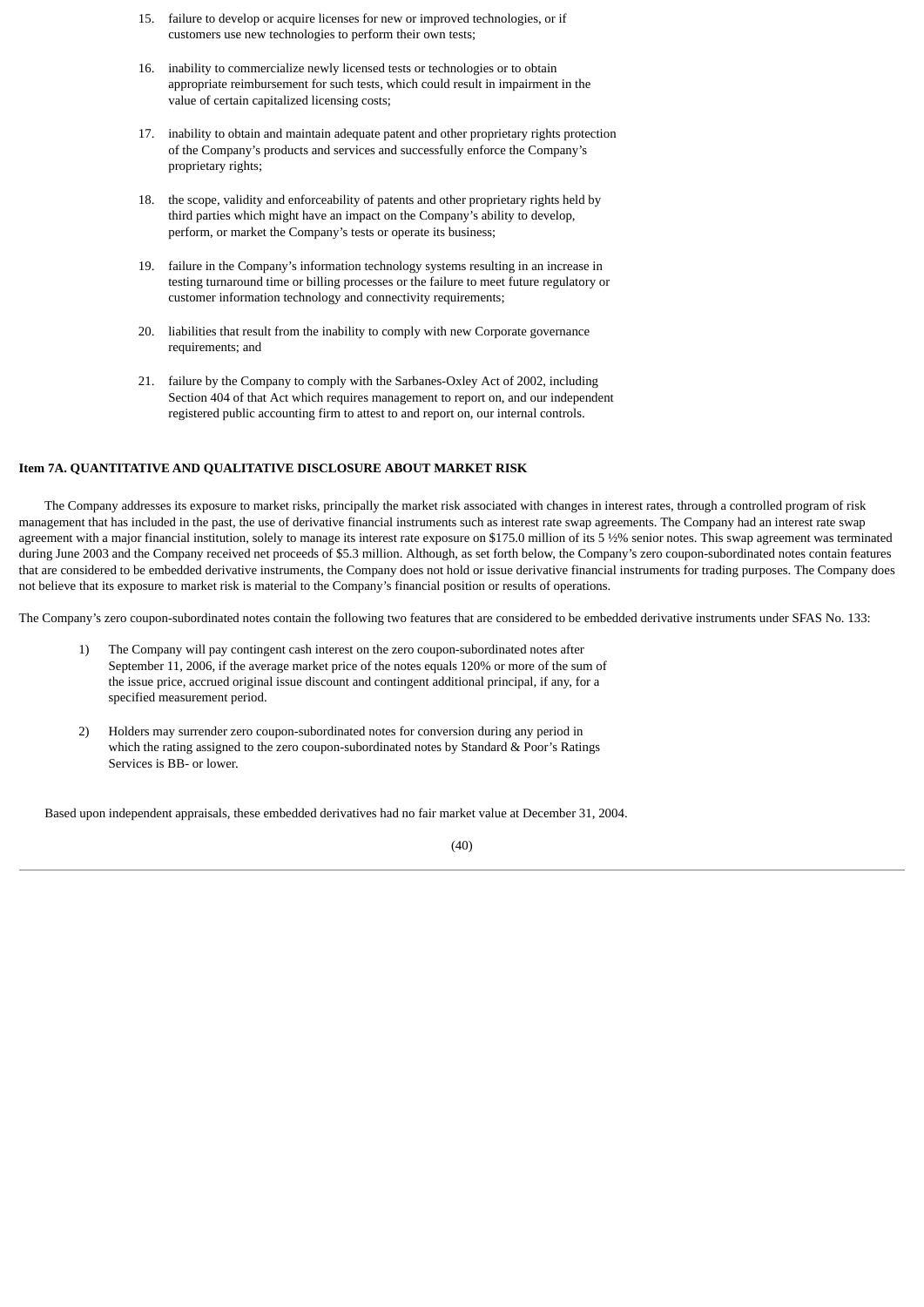- 15. failure to develop or acquire licenses for new or improved technologies, or if customers use new technologies to perform their own tests;
- 16. inability to commercialize newly licensed tests or technologies or to obtain appropriate reimbursement for such tests, which could result in impairment in the value of certain capitalized licensing costs;
- 17. inability to obtain and maintain adequate patent and other proprietary rights protection of the Company's products and services and successfully enforce the Company's proprietary rights;
- 18. the scope, validity and enforceability of patents and other proprietary rights held by third parties which might have an impact on the Company's ability to develop, perform, or market the Company's tests or operate its business;
- 19. failure in the Company's information technology systems resulting in an increase in testing turnaround time or billing processes or the failure to meet future regulatory or customer information technology and connectivity requirements;
- 20. liabilities that result from the inability to comply with new Corporate governance requirements; and
- 21. failure by the Company to comply with the Sarbanes-Oxley Act of 2002, including Section 404 of that Act which requires management to report on, and our independent registered public accounting firm to attest to and report on, our internal controls.

# **Item 7A. QUANTITATIVE AND QUALITATIVE DISCLOSURE ABOUT MARKET RISK**

 The Company addresses its exposure to market risks, principally the market risk associated with changes in interest rates, through a controlled program of risk management that has included in the past, the use of derivative financial instruments such as interest rate swap agreements. The Company had an interest rate swap agreement with a major financial institution, solely to manage its interest rate exposure on \$175.0 million of its 5 ½% senior notes. This swap agreement was terminated during June 2003 and the Company received net proceeds of \$5.3 million. Although, as set forth below, the Company's zero coupon-subordinated notes contain features that are considered to be embedded derivative instruments, the Company does not hold or issue derivative financial instruments for trading purposes. The Company does not believe that its exposure to market risk is material to the Company's financial position or results of operations.

The Company's zero coupon-subordinated notes contain the following two features that are considered to be embedded derivative instruments under SFAS No. 133:

- 1) The Company will pay contingent cash interest on the zero coupon-subordinated notes after September 11, 2006, if the average market price of the notes equals 120% or more of the sum of the issue price, accrued original issue discount and contingent additional principal, if any, for a specified measurement period.
- 2) Holders may surrender zero coupon-subordinated notes for conversion during any period in which the rating assigned to the zero coupon-subordinated notes by Standard & Poor's Ratings Services is BB- or lower.

Based upon independent appraisals, these embedded derivatives had no fair market value at December 31, 2004.

#### (40)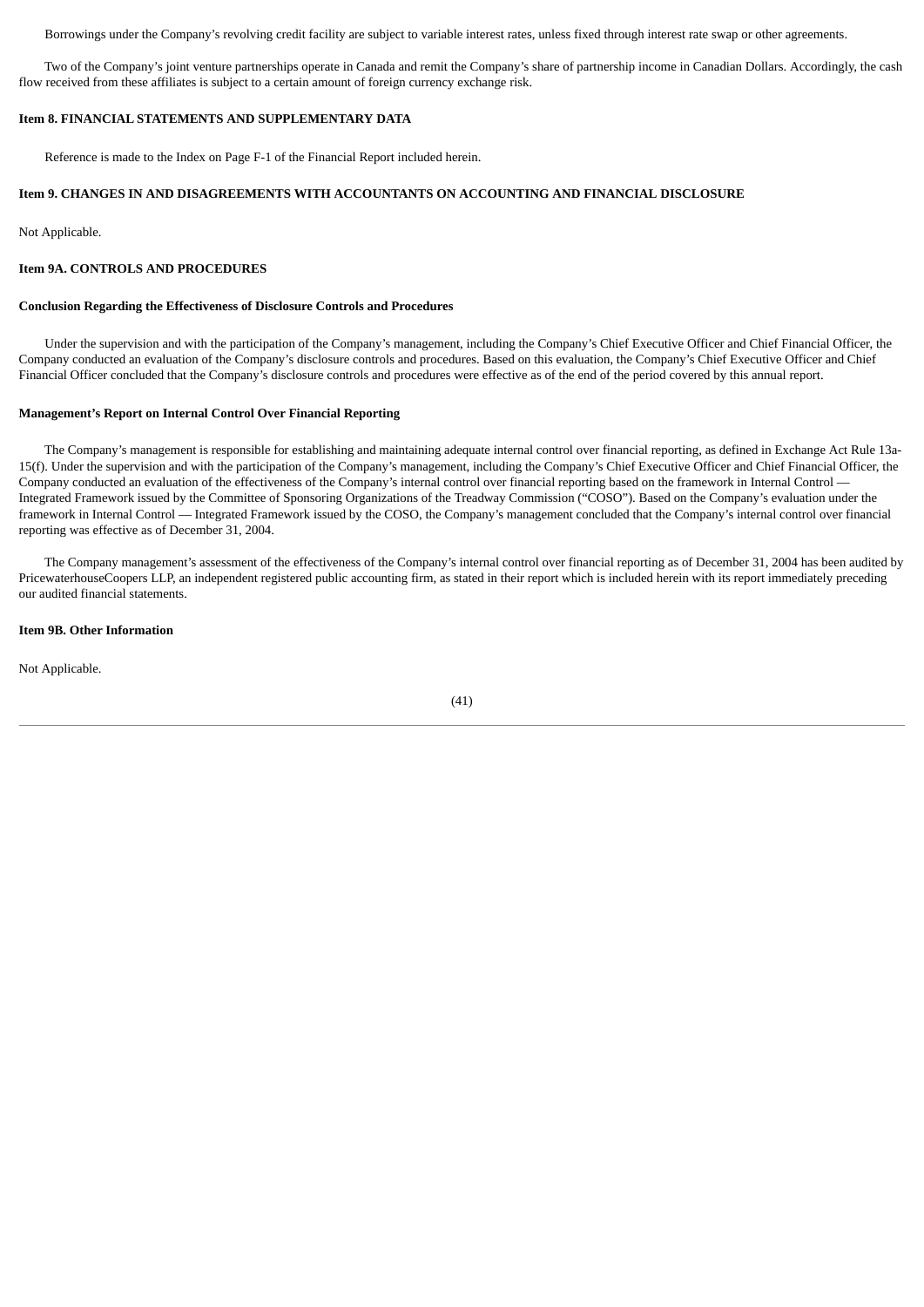Borrowings under the Company's revolving credit facility are subject to variable interest rates, unless fixed through interest rate swap or other agreements.

 Two of the Company's joint venture partnerships operate in Canada and remit the Company's share of partnership income in Canadian Dollars. Accordingly, the cash flow received from these affiliates is subject to a certain amount of foreign currency exchange risk.

## **Item 8. FINANCIAL STATEMENTS AND SUPPLEMENTARY DATA**

Reference is made to the Index on Page F-1 of the Financial Report included herein.

### **Item 9. CHANGES IN AND DISAGREEMENTS WITH ACCOUNTANTS ON ACCOUNTING AND FINANCIAL DISCLOSURE**

Not Applicable.

#### **Item 9A. CONTROLS AND PROCEDURES**

#### **Conclusion Regarding the Effectiveness of Disclosure Controls and Procedures**

 Under the supervision and with the participation of the Company's management, including the Company's Chief Executive Officer and Chief Financial Officer, the Company conducted an evaluation of the Company's disclosure controls and procedures. Based on this evaluation, the Company's Chief Executive Officer and Chief Financial Officer concluded that the Company's disclosure controls and procedures were effective as of the end of the period covered by this annual report.

#### **Management's Report on Internal Control Over Financial Reporting**

 The Company's management is responsible for establishing and maintaining adequate internal control over financial reporting, as defined in Exchange Act Rule 13a-15(f). Under the supervision and with the participation of the Company's management, including the Company's Chief Executive Officer and Chief Financial Officer, the Company conducted an evaluation of the effectiveness of the Company's internal control over financial reporting based on the framework in Internal Control -Integrated Framework issued by the Committee of Sponsoring Organizations of the Treadway Commission ("COSO"). Based on the Company's evaluation under the framework in Internal Control — Integrated Framework issued by the COSO, the Company's management concluded that the Company's internal control over financial reporting was effective as of December 31, 2004.

 The Company management's assessment of the effectiveness of the Company's internal control over financial reporting as of December 31, 2004 has been audited by PricewaterhouseCoopers LLP, an independent registered public accounting firm, as stated in their report which is included herein with its report immediately preceding our audited financial statements.

#### **Item 9B. Other Information**

Not Applicable.

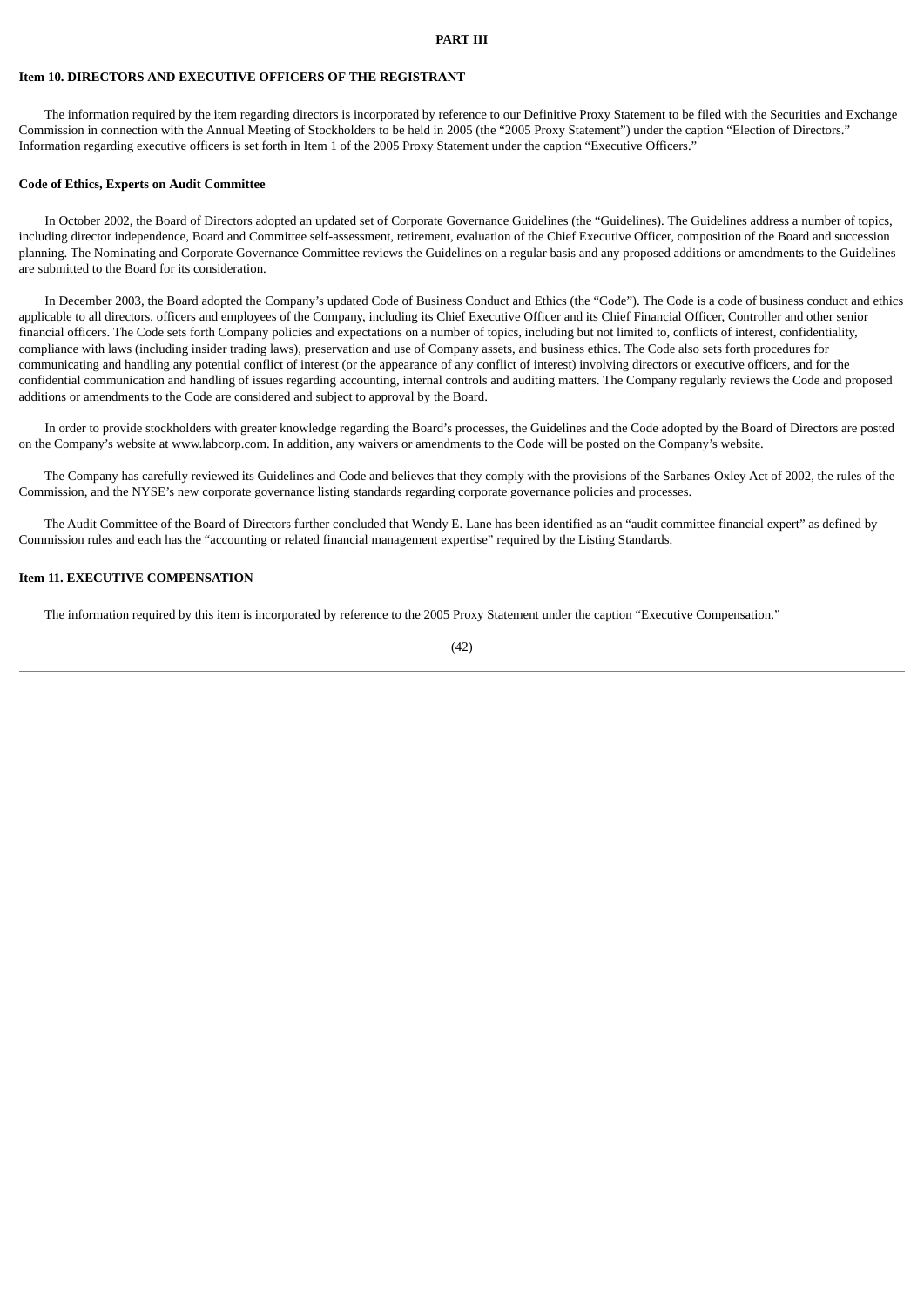# **Item 10. DIRECTORS AND EXECUTIVE OFFICERS OF THE REGISTRANT**

 The information required by the item regarding directors is incorporated by reference to our Definitive Proxy Statement to be filed with the Securities and Exchange Commission in connection with the Annual Meeting of Stockholders to be held in 2005 (the "2005 Proxy Statement") under the caption "Election of Directors." Information regarding executive officers is set forth in Item 1 of the 2005 Proxy Statement under the caption "Executive Officers."

#### **Code of Ethics, Experts on Audit Committee**

 In October 2002, the Board of Directors adopted an updated set of Corporate Governance Guidelines (the "Guidelines). The Guidelines address a number of topics, including director independence, Board and Committee self-assessment, retirement, evaluation of the Chief Executive Officer, composition of the Board and succession planning. The Nominating and Corporate Governance Committee reviews the Guidelines on a regular basis and any proposed additions or amendments to the Guidelines are submitted to the Board for its consideration.

 In December 2003, the Board adopted the Company's updated Code of Business Conduct and Ethics (the "Code"). The Code is a code of business conduct and ethics applicable to all directors, officers and employees of the Company, including its Chief Executive Officer and its Chief Financial Officer, Controller and other senior financial officers. The Code sets forth Company policies and expectations on a number of topics, including but not limited to, conflicts of interest, confidentiality, compliance with laws (including insider trading laws), preservation and use of Company assets, and business ethics. The Code also sets forth procedures for communicating and handling any potential conflict of interest (or the appearance of any conflict of interest) involving directors or executive officers, and for the confidential communication and handling of issues regarding accounting, internal controls and auditing matters. The Company regularly reviews the Code and proposed additions or amendments to the Code are considered and subject to approval by the Board.

 In order to provide stockholders with greater knowledge regarding the Board's processes, the Guidelines and the Code adopted by the Board of Directors are posted on the Company's website at www.labcorp.com. In addition, any waivers or amendments to the Code will be posted on the Company's website.

 The Company has carefully reviewed its Guidelines and Code and believes that they comply with the provisions of the Sarbanes-Oxley Act of 2002, the rules of the Commission, and the NYSE's new corporate governance listing standards regarding corporate governance policies and processes.

 The Audit Committee of the Board of Directors further concluded that Wendy E. Lane has been identified as an "audit committee financial expert" as defined by Commission rules and each has the "accounting or related financial management expertise" required by the Listing Standards.

### **Item 11. EXECUTIVE COMPENSATION**

The information required by this item is incorporated by reference to the 2005 Proxy Statement under the caption "Executive Compensation."

 $(42)$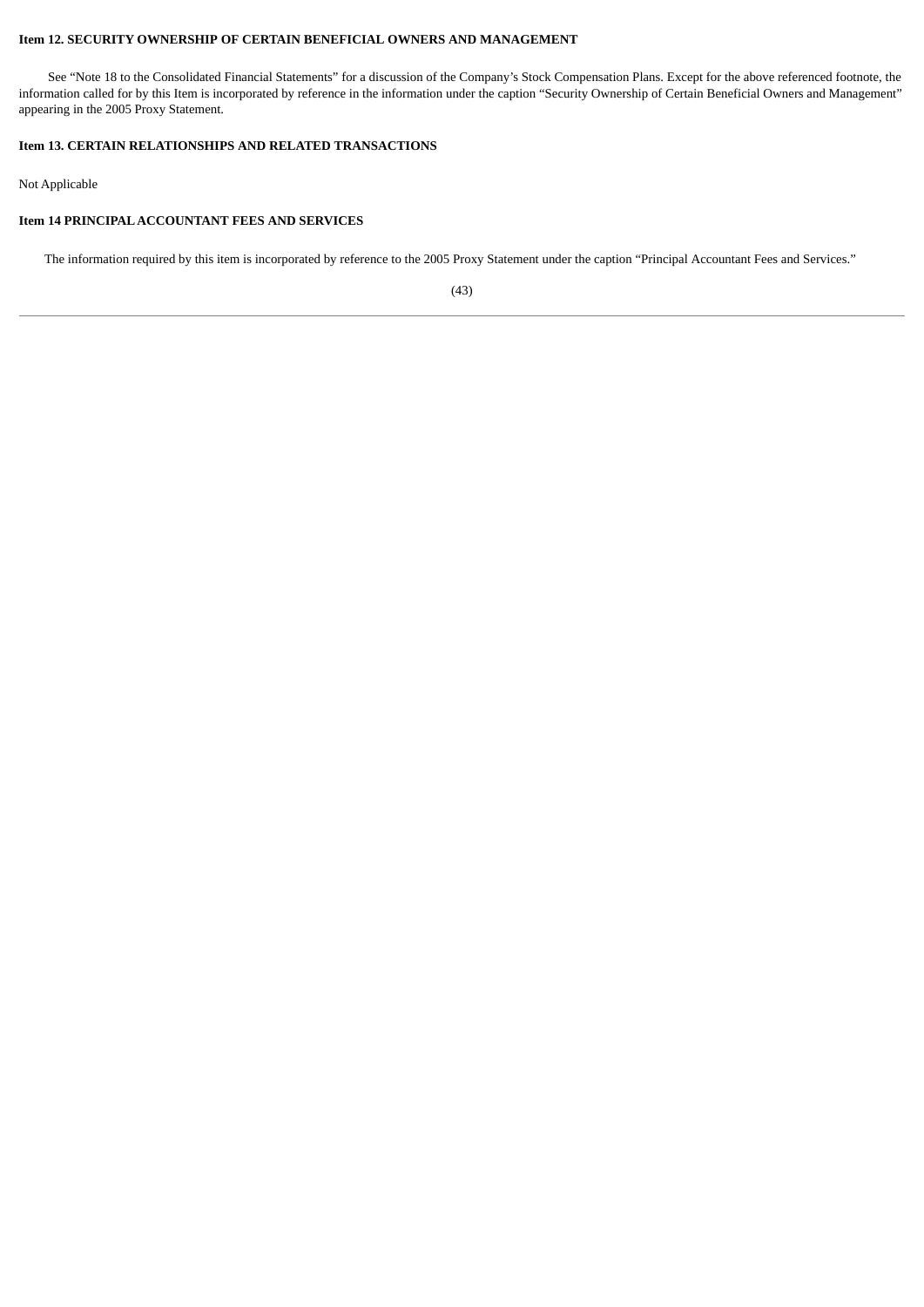## **Item 12. SECURITY OWNERSHIP OF CERTAIN BENEFICIAL OWNERS AND MANAGEMENT**

 See "Note 18 to the Consolidated Financial Statements" for a discussion of the Company's Stock Compensation Plans. Except for the above referenced footnote, the information called for by this Item is incorporated by reference in the information under the caption "Security Ownership of Certain Beneficial Owners and Management" appearing in the 2005 Proxy Statement.

# **Item 13. CERTAIN RELATIONSHIPS AND RELATED TRANSACTIONS**

Not Applicable

# **Item 14 PRINCIPALACCOUNTANT FEES AND SERVICES**

The information required by this item is incorporated by reference to the 2005 Proxy Statement under the caption "Principal Accountant Fees and Services."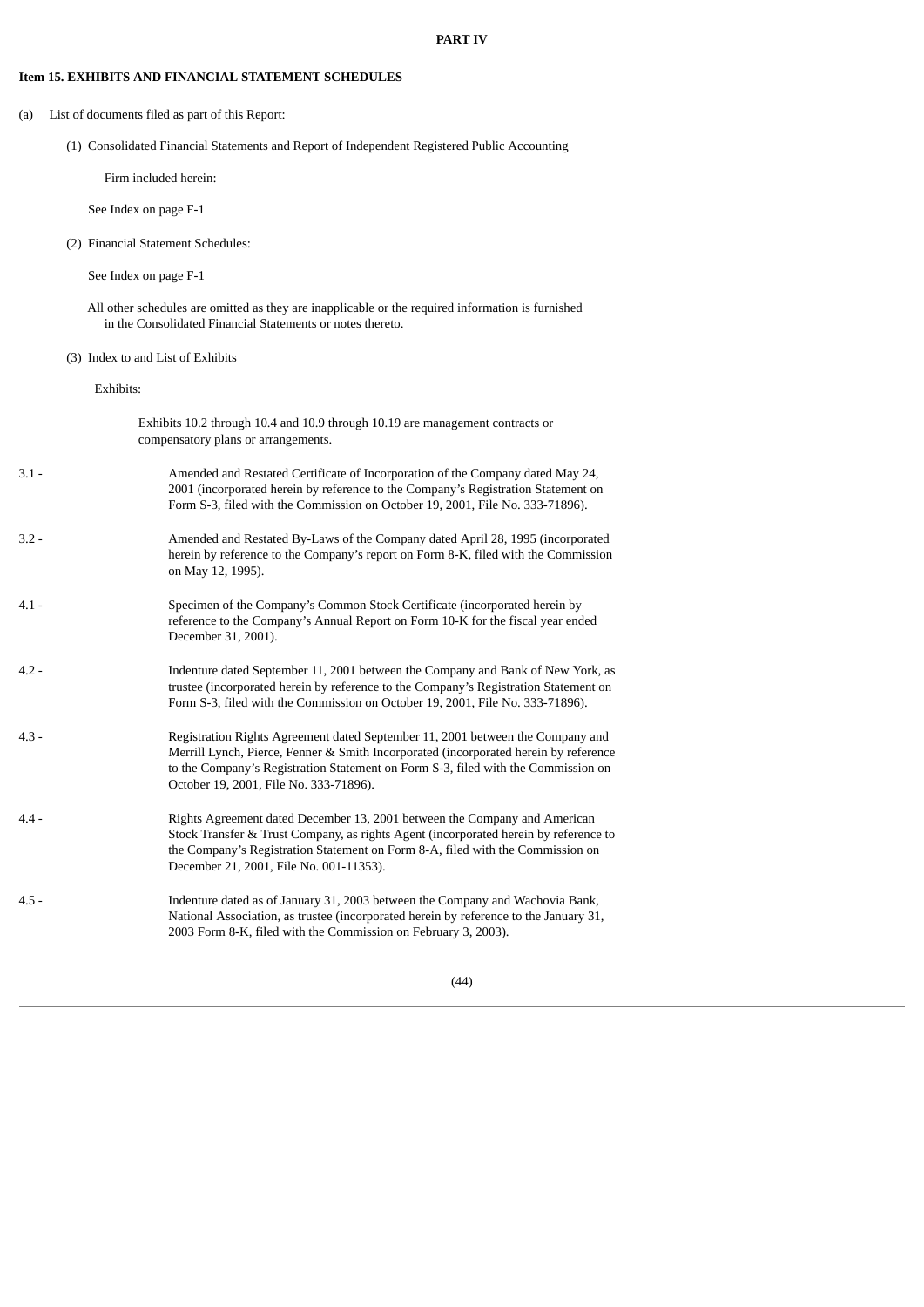# **Item 15. EXHIBITS AND FINANCIAL STATEMENT SCHEDULES**

- (a) List of documents filed as part of this Report:
	- (1) Consolidated Financial Statements and Report of Independent Registered Public Accounting

Firm included herein:

See Index on page F-1

(2) Financial Statement Schedules:

See Index on page F-1

 All other schedules are omitted as they are inapplicable or the required information is furnished in the Consolidated Financial Statements or notes thereto.

(3) Index to and List of Exhibits

Exhibits:

Exhibits 10.2 through 10.4 and 10.9 through 10.19 are management contracts or compensatory plans or arrangements.

- 3.1 Amended and Restated Certificate of Incorporation of the Company dated May 24, 2001 (incorporated herein by reference to the Company's Registration Statement on Form S-3, filed with the Commission on October 19, 2001, File No. 333-71896).
- 3.2 Amended and Restated By-Laws of the Company dated April 28, 1995 (incorporated herein by reference to the Company's report on Form 8-K, filed with the Commission on May 12, 1995).
- 4.1 Specimen of the Company's Common Stock Certificate (incorporated herein by reference to the Company's Annual Report on Form 10-K for the fiscal year ended December 31, 2001).
- 4.2 Indenture dated September 11, 2001 between the Company and Bank of New York, as trustee (incorporated herein by reference to the Company's Registration Statement on Form S-3, filed with the Commission on October 19, 2001, File No. 333-71896).
- 4.3 Registration Rights Agreement dated September 11, 2001 between the Company and Merrill Lynch, Pierce, Fenner & Smith Incorporated (incorporated herein by reference to the Company's Registration Statement on Form S-3, filed with the Commission on October 19, 2001, File No. 333-71896).
- 4.4 Rights Agreement dated December 13, 2001 between the Company and American Stock Transfer & Trust Company, as rights Agent (incorporated herein by reference to the Company's Registration Statement on Form 8-A, filed with the Commission on December 21, 2001, File No. 001-11353).
- 4.5 Indenture dated as of January 31, 2003 between the Company and Wachovia Bank, National Association, as trustee (incorporated herein by reference to the January 31, 2003 Form 8-K, filed with the Commission on February 3, 2003).

(44)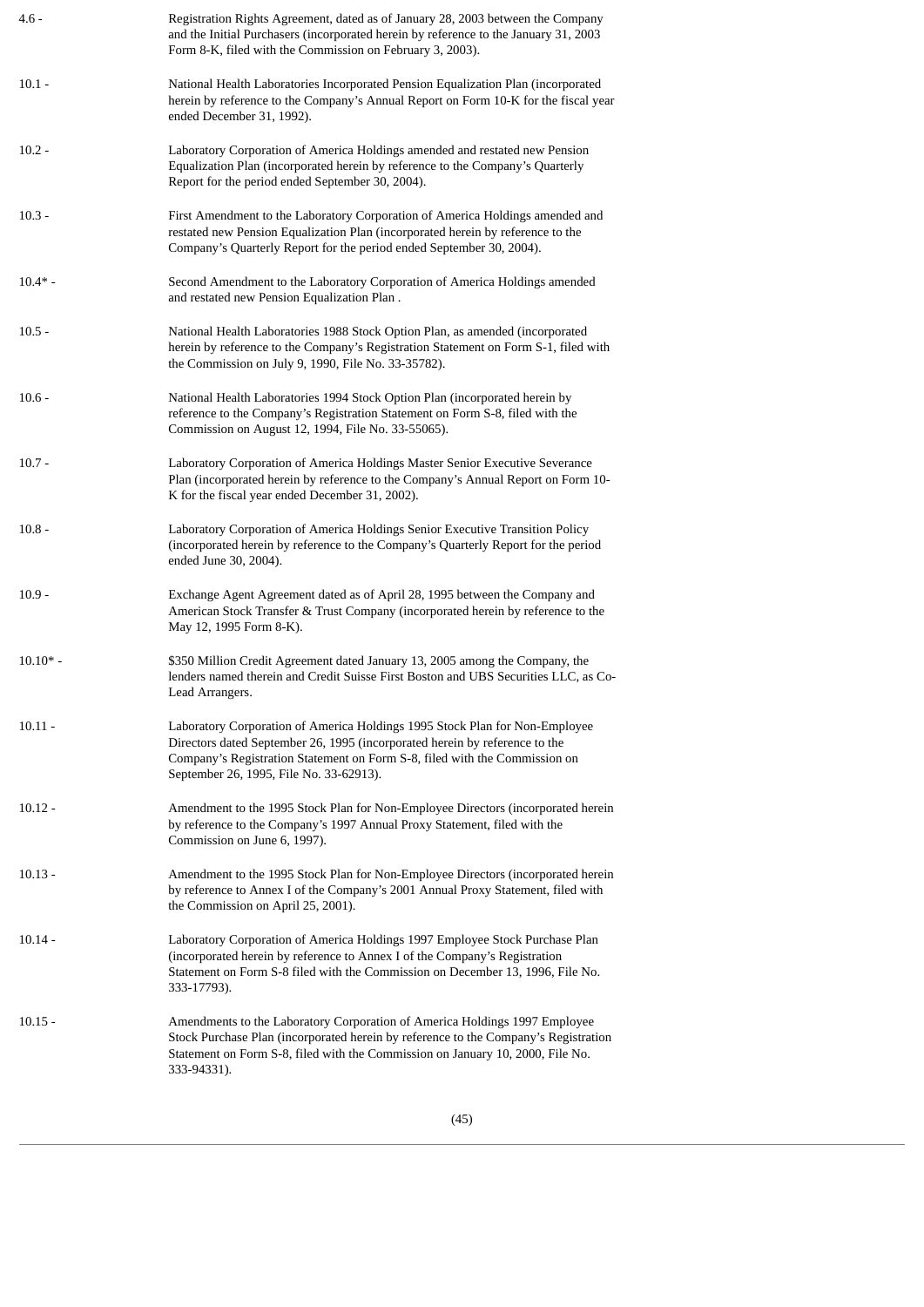| $4.6 -$    | Registration Rights Agreement, dated as of January 28, 2003 between the Company<br>and the Initial Purchasers (incorporated herein by reference to the January 31, 2003<br>Form 8-K, filed with the Commission on February 3, 2003).                                                |
|------------|-------------------------------------------------------------------------------------------------------------------------------------------------------------------------------------------------------------------------------------------------------------------------------------|
| $10.1 -$   | National Health Laboratories Incorporated Pension Equalization Plan (incorporated<br>herein by reference to the Company's Annual Report on Form 10-K for the fiscal year<br>ended December 31, 1992).                                                                               |
| $10.2 -$   | Laboratory Corporation of America Holdings amended and restated new Pension<br>Equalization Plan (incorporated herein by reference to the Company's Quarterly<br>Report for the period ended September 30, 2004).                                                                   |
| $10.3 -$   | First Amendment to the Laboratory Corporation of America Holdings amended and<br>restated new Pension Equalization Plan (incorporated herein by reference to the<br>Company's Quarterly Report for the period ended September 30, 2004).                                            |
| $10.4* -$  | Second Amendment to the Laboratory Corporation of America Holdings amended<br>and restated new Pension Equalization Plan.                                                                                                                                                           |
| $10.5 -$   | National Health Laboratories 1988 Stock Option Plan, as amended (incorporated<br>herein by reference to the Company's Registration Statement on Form S-1, filed with<br>the Commission on July 9, 1990, File No. 33-35782).                                                         |
| $10.6 -$   | National Health Laboratories 1994 Stock Option Plan (incorporated herein by<br>reference to the Company's Registration Statement on Form S-8, filed with the<br>Commission on August 12, 1994, File No. 33-55065).                                                                  |
| $10.7 -$   | Laboratory Corporation of America Holdings Master Senior Executive Severance<br>Plan (incorporated herein by reference to the Company's Annual Report on Form 10-<br>K for the fiscal year ended December 31, 2002).                                                                |
| $10.8 -$   | Laboratory Corporation of America Holdings Senior Executive Transition Policy<br>(incorporated herein by reference to the Company's Quarterly Report for the period<br>ended June 30, 2004).                                                                                        |
| $10.9 -$   | Exchange Agent Agreement dated as of April 28, 1995 between the Company and<br>American Stock Transfer & Trust Company (incorporated herein by reference to the<br>May 12, 1995 Form 8-K).                                                                                          |
| $10.10* -$ | \$350 Million Credit Agreement dated January 13, 2005 among the Company, the<br>lenders named therein and Credit Suisse First Boston and UBS Securities LLC, as Co-<br>Lead Arrangers.                                                                                              |
| $10.11 -$  | Laboratory Corporation of America Holdings 1995 Stock Plan for Non-Employee<br>Directors dated September 26, 1995 (incorporated herein by reference to the<br>Company's Registration Statement on Form S-8, filed with the Commission on<br>September 26, 1995, File No. 33-62913). |
| $10.12 -$  | Amendment to the 1995 Stock Plan for Non-Employee Directors (incorporated herein<br>by reference to the Company's 1997 Annual Proxy Statement, filed with the<br>Commission on June 6, 1997).                                                                                       |
| $10.13 -$  | Amendment to the 1995 Stock Plan for Non-Employee Directors (incorporated herein<br>by reference to Annex I of the Company's 2001 Annual Proxy Statement, filed with<br>the Commission on April 25, 2001).                                                                          |
| $10.14 -$  | Laboratory Corporation of America Holdings 1997 Employee Stock Purchase Plan<br>(incorporated herein by reference to Annex I of the Company's Registration<br>Statement on Form S-8 filed with the Commission on December 13, 1996, File No.<br>333-17793).                         |
| $10.15 -$  | Amendments to the Laboratory Corporation of America Holdings 1997 Employee<br>Stock Purchase Plan (incorporated herein by reference to the Company's Registration<br>Statement on Form S-8, filed with the Commission on January 10, 2000, File No.<br>333-94331).                  |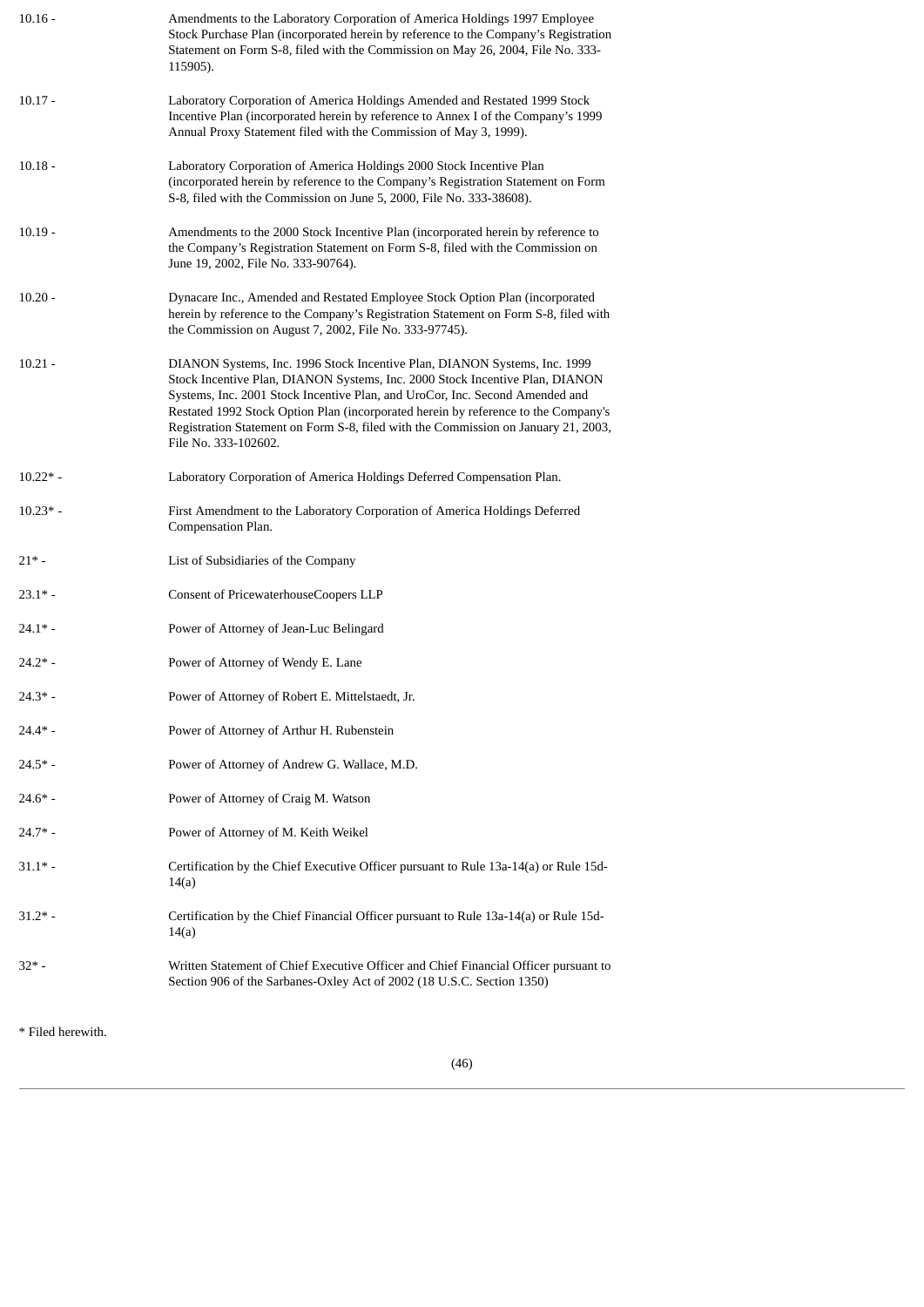| $10.16 -$  | Amendments to the Laboratory Corporation of America Holdings 1997 Employee<br>Stock Purchase Plan (incorporated herein by reference to the Company's Registration<br>Statement on Form S-8, filed with the Commission on May 26, 2004, File No. 333-<br>115905).                                                                                                                                                                              |
|------------|-----------------------------------------------------------------------------------------------------------------------------------------------------------------------------------------------------------------------------------------------------------------------------------------------------------------------------------------------------------------------------------------------------------------------------------------------|
| $10.17 -$  | Laboratory Corporation of America Holdings Amended and Restated 1999 Stock<br>Incentive Plan (incorporated herein by reference to Annex I of the Company's 1999<br>Annual Proxy Statement filed with the Commission of May 3, 1999).                                                                                                                                                                                                          |
| $10.18 -$  | Laboratory Corporation of America Holdings 2000 Stock Incentive Plan<br>(incorporated herein by reference to the Company's Registration Statement on Form<br>S-8, filed with the Commission on June 5, 2000, File No. 333-38608).                                                                                                                                                                                                             |
| $10.19 -$  | Amendments to the 2000 Stock Incentive Plan (incorporated herein by reference to<br>the Company's Registration Statement on Form S-8, filed with the Commission on<br>June 19, 2002, File No. 333-90764).                                                                                                                                                                                                                                     |
| $10.20 -$  | Dynacare Inc., Amended and Restated Employee Stock Option Plan (incorporated<br>herein by reference to the Company's Registration Statement on Form S-8, filed with<br>the Commission on August 7, 2002, File No. 333-97745).                                                                                                                                                                                                                 |
| $10.21 -$  | DIANON Systems, Inc. 1996 Stock Incentive Plan, DIANON Systems, Inc. 1999<br>Stock Incentive Plan, DIANON Systems, Inc. 2000 Stock Incentive Plan, DIANON<br>Systems, Inc. 2001 Stock Incentive Plan, and UroCor, Inc. Second Amended and<br>Restated 1992 Stock Option Plan (incorporated herein by reference to the Company's<br>Registration Statement on Form S-8, filed with the Commission on January 21, 2003,<br>File No. 333-102602. |
| $10.22* -$ | Laboratory Corporation of America Holdings Deferred Compensation Plan.                                                                                                                                                                                                                                                                                                                                                                        |
| $10.23* -$ | First Amendment to the Laboratory Corporation of America Holdings Deferred<br>Compensation Plan.                                                                                                                                                                                                                                                                                                                                              |
| $21* -$    | List of Subsidiaries of the Company                                                                                                                                                                                                                                                                                                                                                                                                           |
| $23.1* -$  | Consent of PricewaterhouseCoopers LLP                                                                                                                                                                                                                                                                                                                                                                                                         |
| $24.1* -$  | Power of Attorney of Jean-Luc Belingard                                                                                                                                                                                                                                                                                                                                                                                                       |
| $24.2* -$  | Power of Attorney of Wendy E. Lane                                                                                                                                                                                                                                                                                                                                                                                                            |
| $24.3*$    | Power of Attorney of Robert E. Mittelstaedt, Jr.                                                                                                                                                                                                                                                                                                                                                                                              |
| $24.4* -$  | Power of Attorney of Arthur H. Rubenstein                                                                                                                                                                                                                                                                                                                                                                                                     |
| $24.5* -$  | Power of Attorney of Andrew G. Wallace, M.D.                                                                                                                                                                                                                                                                                                                                                                                                  |
| $24.6* -$  | Power of Attorney of Craig M. Watson                                                                                                                                                                                                                                                                                                                                                                                                          |
| $24.7* -$  | Power of Attorney of M. Keith Weikel                                                                                                                                                                                                                                                                                                                                                                                                          |
| $31.1* -$  | Certification by the Chief Executive Officer pursuant to Rule 13a-14(a) or Rule 15d-<br>14(a)                                                                                                                                                                                                                                                                                                                                                 |
| $31.2* -$  | Certification by the Chief Financial Officer pursuant to Rule 13a-14(a) or Rule 15d-<br>14(a)                                                                                                                                                                                                                                                                                                                                                 |
| 32* -      | Written Statement of Chief Executive Officer and Chief Financial Officer pursuant to<br>Section 906 of the Sarbanes-Oxley Act of 2002 (18 U.S.C. Section 1350)                                                                                                                                                                                                                                                                                |
|            |                                                                                                                                                                                                                                                                                                                                                                                                                                               |

\* Filed herewith.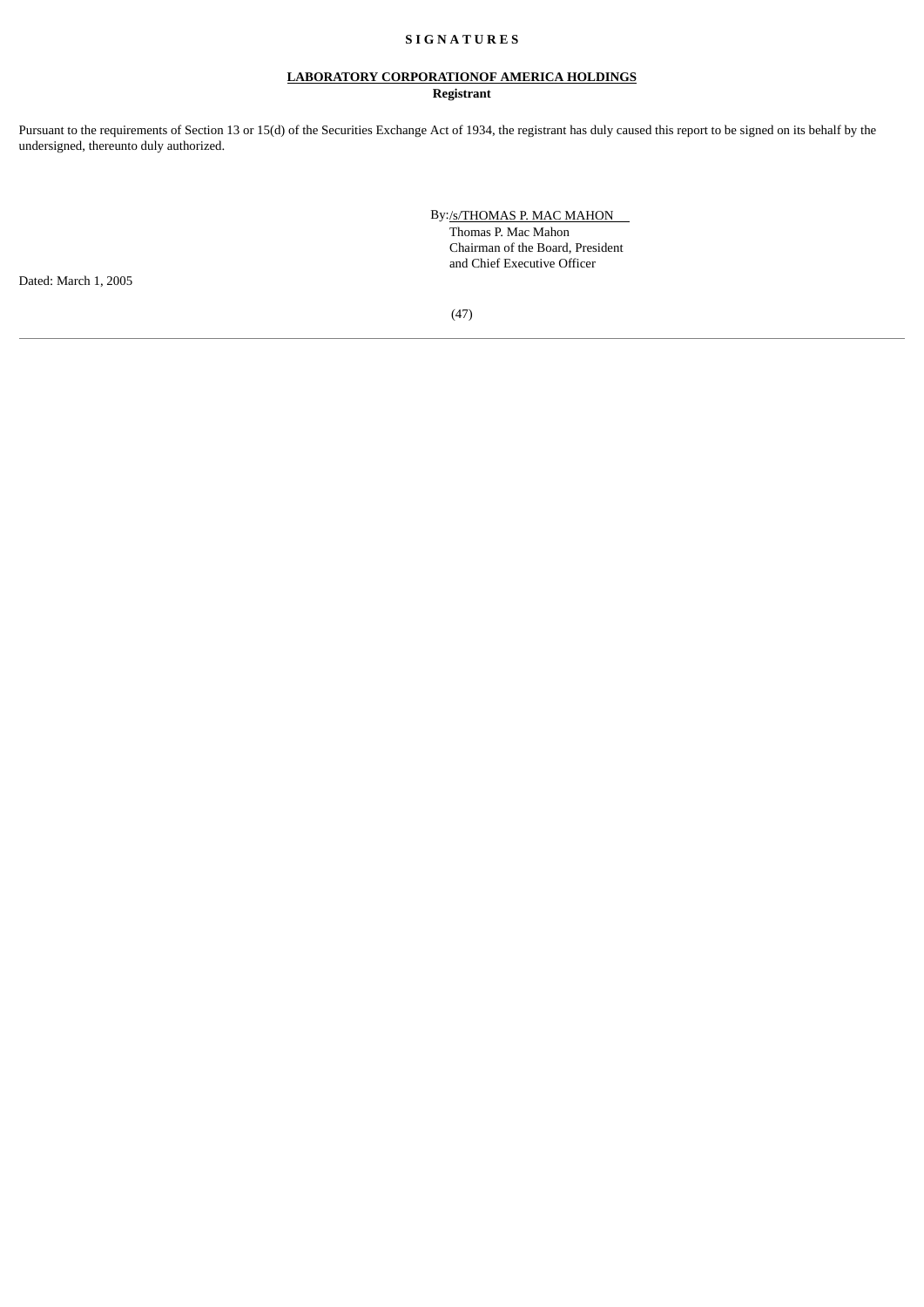## **S I G N A T U R E S**

# **LABORATORY CORPORATIONOF AMERICA HOLDINGS Registrant**

Pursuant to the requirements of Section 13 or 15(d) of the Securities Exchange Act of 1934, the registrant has duly caused this report to be signed on its behalf by the undersigned, thereunto duly authorized.

> By:/s/THOMAS P. MAC MAHON Thomas P. Mac Mahon Chairman of the Board, President and Chief Executive Officer

Dated: March 1, 2005

(47)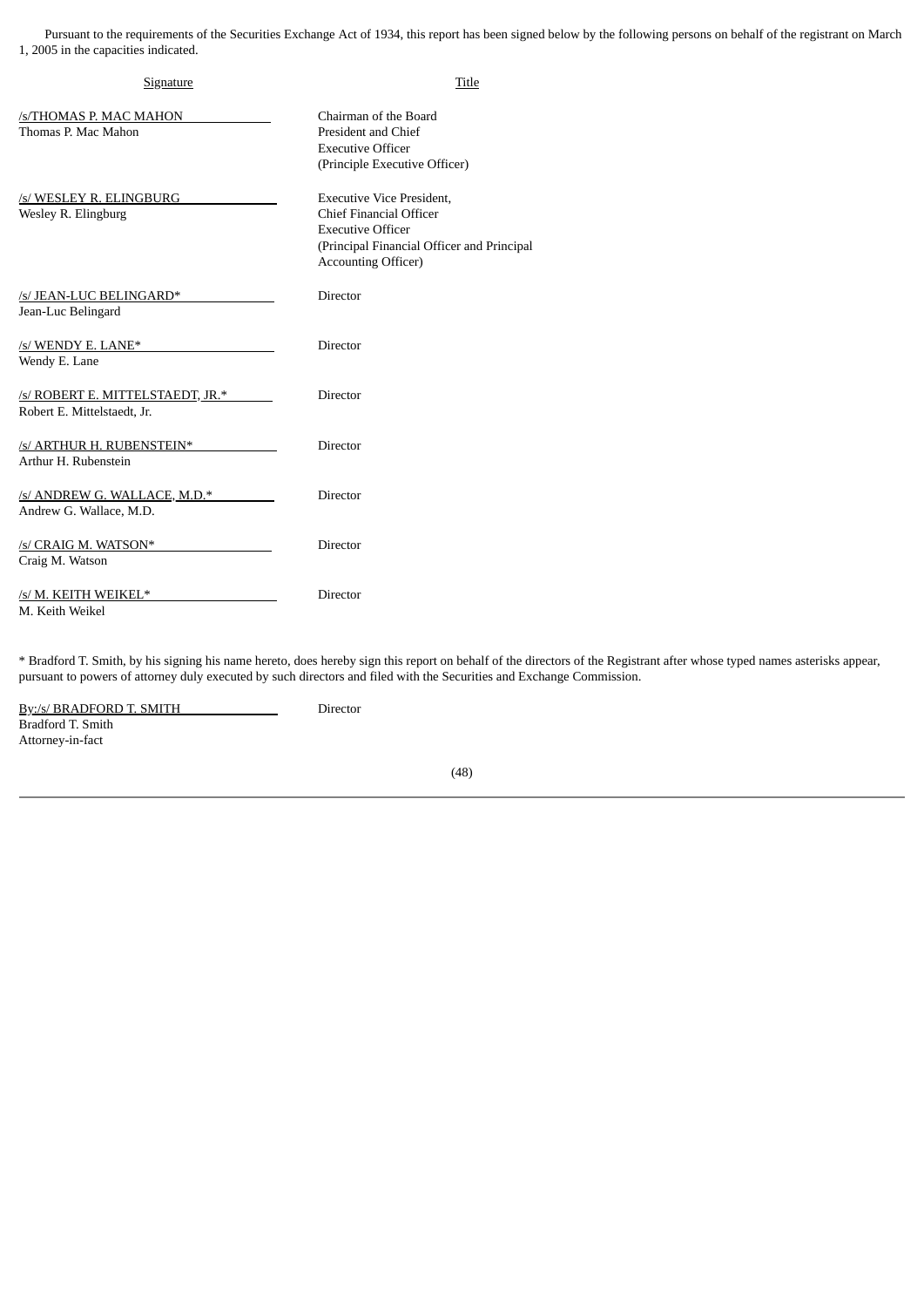Pursuant to the requirements of the Securities Exchange Act of 1934, this report has been signed below by the following persons on behalf of the registrant on March 1, 2005 in the capacities indicated.

| Signature                                                       | Title                                                                                                                                                               |
|-----------------------------------------------------------------|---------------------------------------------------------------------------------------------------------------------------------------------------------------------|
| /s/THOMAS P. MAC MAHON<br>Thomas P. Mac Mahon                   | Chairman of the Board<br>President and Chief<br><b>Executive Officer</b><br>(Principle Executive Officer)                                                           |
| /s/ WESLEY R. ELINGBURG<br>Wesley R. Elingburg                  | <b>Executive Vice President,</b><br>Chief Financial Officer<br><b>Executive Officer</b><br>(Principal Financial Officer and Principal<br><b>Accounting Officer)</b> |
| /s/ JEAN-LUC BELINGARD*<br>Jean-Luc Belingard                   | Director                                                                                                                                                            |
| /s/ WENDY E. LANE*<br>Wendy E. Lane                             | Director                                                                                                                                                            |
| /s/ ROBERT E. MITTELSTAEDT, JR.*<br>Robert E. Mittelstaedt, Jr. | <b>Director</b>                                                                                                                                                     |
| /s/ ARTHUR H. RUBENSTEIN*<br>Arthur H. Rubenstein               | Director                                                                                                                                                            |
| /s/ ANDREW G. WALLACE, M.D.*<br>Andrew G. Wallace, M.D.         | <b>Director</b>                                                                                                                                                     |
| /s/ CRAIG M. WATSON*<br>Craig M. Watson                         | <b>Director</b>                                                                                                                                                     |
| /s/ M. KEITH WEIKEL*<br>M. Keith Weikel                         | Director                                                                                                                                                            |

\* Bradford T. Smith, by his signing his name hereto, does hereby sign this report on behalf of the directors of the Registrant after whose typed names asterisks appear, pursuant to powers of attorney duly executed by such directors and filed with the Securities and Exchange Commission.

By:/s/ BRADFORD T. SMITH Bradford T. Smith Attorney-in-fact Director

(48)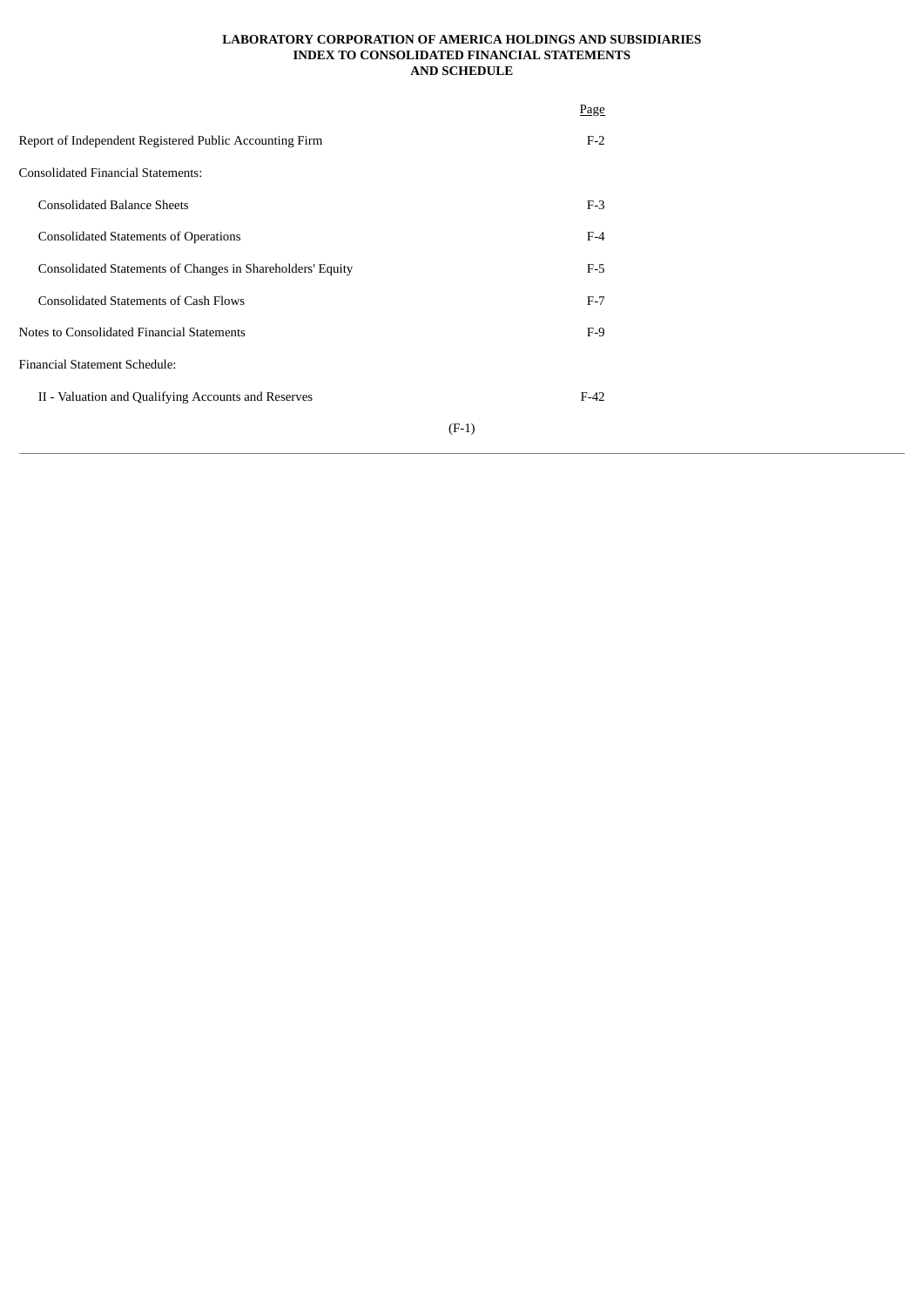#### **LABORATORY CORPORATION OF AMERICA HOLDINGS AND SUBSIDIARIES INDEX TO CONSOLIDATED FINANCIAL STATEMENTS AND SCHEDULE**

| Page   |  |
|--------|--|
| $F-2$  |  |
|        |  |
| $F-3$  |  |
| $F-4$  |  |
| $F-5$  |  |
| $F-7$  |  |
| $F-9$  |  |
|        |  |
| $F-42$ |  |
|        |  |
|        |  |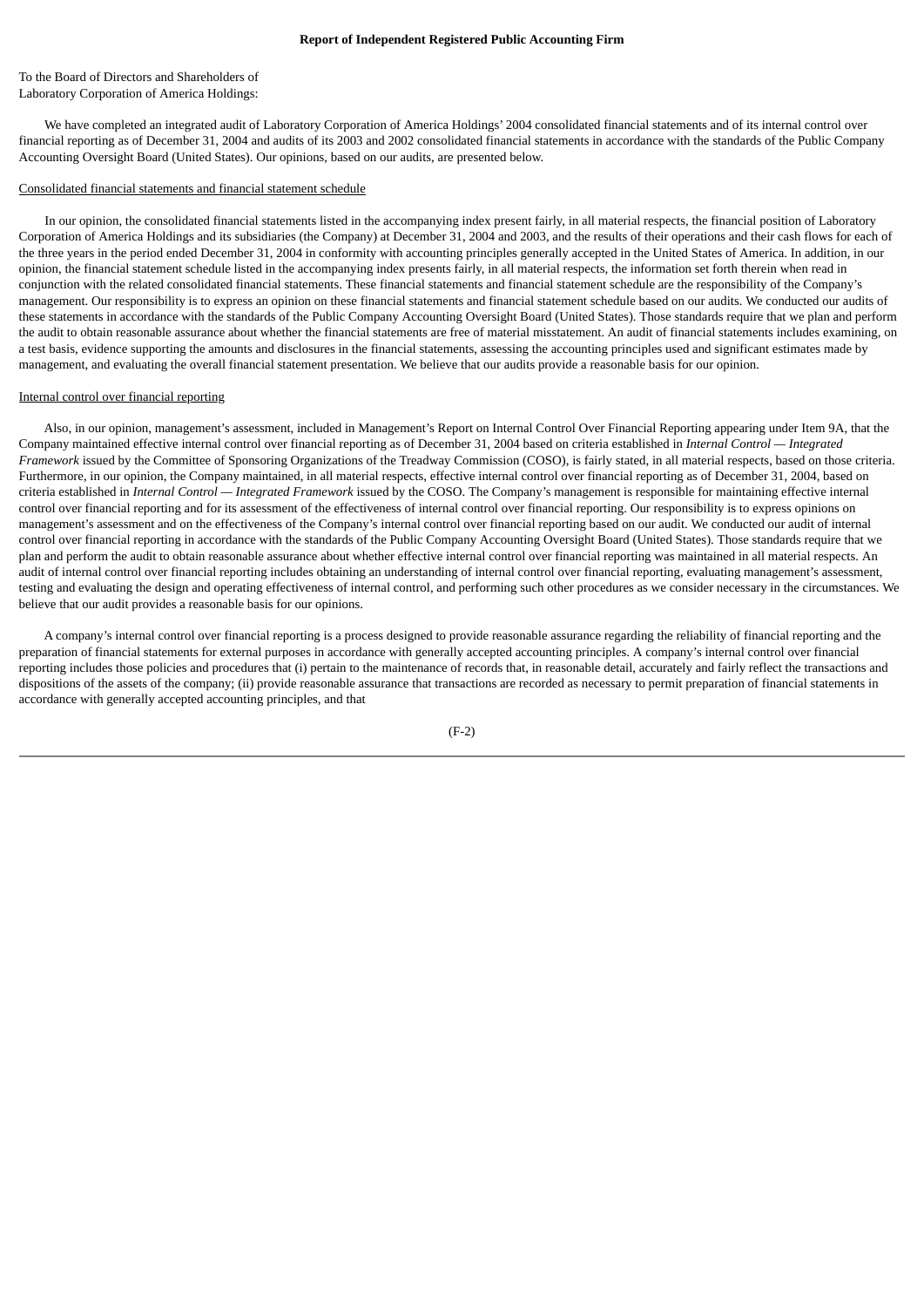To the Board of Directors and Shareholders of Laboratory Corporation of America Holdings:

 We have completed an integrated audit of Laboratory Corporation of America Holdings' 2004 consolidated financial statements and of its internal control over financial reporting as of December 31, 2004 and audits of its 2003 and 2002 consolidated financial statements in accordance with the standards of the Public Company Accounting Oversight Board (United States). Our opinions, based on our audits, are presented below.

#### Consolidated financial statements and financial statement schedule

 In our opinion, the consolidated financial statements listed in the accompanying index present fairly, in all material respects, the financial position of Laboratory Corporation of America Holdings and its subsidiaries (the Company) at December 31, 2004 and 2003, and the results of their operations and their cash flows for each of the three years in the period ended December 31, 2004 in conformity with accounting principles generally accepted in the United States of America. In addition, in our opinion, the financial statement schedule listed in the accompanying index presents fairly, in all material respects, the information set forth therein when read in conjunction with the related consolidated financial statements. These financial statements and financial statement schedule are the responsibility of the Company's management. Our responsibility is to express an opinion on these financial statements and financial statement schedule based on our audits. We conducted our audits of these statements in accordance with the standards of the Public Company Accounting Oversight Board (United States). Those standards require that we plan and perform the audit to obtain reasonable assurance about whether the financial statements are free of material misstatement. An audit of financial statements includes examining, on a test basis, evidence supporting the amounts and disclosures in the financial statements, assessing the accounting principles used and significant estimates made by management, and evaluating the overall financial statement presentation. We believe that our audits provide a reasonable basis for our opinion.

#### Internal control over financial reporting

 Also, in our opinion, management's assessment, included in Management's Report on Internal Control Over Financial Reporting appearing under Item 9A, that the Company maintained effective internal control over financial reporting as of December 31, 2004 based on criteria established in *Internal Control — Integrated Framework* issued by the Committee of Sponsoring Organizations of the Treadway Commission (COSO), is fairly stated, in all material respects, based on those criteria. Furthermore, in our opinion, the Company maintained, in all material respects, effective internal control over financial reporting as of December 31, 2004, based on criteria established in *Internal Control — Integrated Framework* issued by the COSO. The Company's management is responsible for maintaining effective internal control over financial reporting and for its assessment of the effectiveness of internal control over financial reporting. Our responsibility is to express opinions on management's assessment and on the effectiveness of the Company's internal control over financial reporting based on our audit. We conducted our audit of internal control over financial reporting in accordance with the standards of the Public Company Accounting Oversight Board (United States). Those standards require that we plan and perform the audit to obtain reasonable assurance about whether effective internal control over financial reporting was maintained in all material respects. An audit of internal control over financial reporting includes obtaining an understanding of internal control over financial reporting, evaluating management's assessment, testing and evaluating the design and operating effectiveness of internal control, and performing such other procedures as we consider necessary in the circumstances. We believe that our audit provides a reasonable basis for our opinions.

 A company's internal control over financial reporting is a process designed to provide reasonable assurance regarding the reliability of financial reporting and the preparation of financial statements for external purposes in accordance with generally accepted accounting principles. A company's internal control over financial reporting includes those policies and procedures that (i) pertain to the maintenance of records that, in reasonable detail, accurately and fairly reflect the transactions and dispositions of the assets of the company; (ii) provide reasonable assurance that transactions are recorded as necessary to permit preparation of financial statements in accordance with generally accepted accounting principles, and that

(F-2)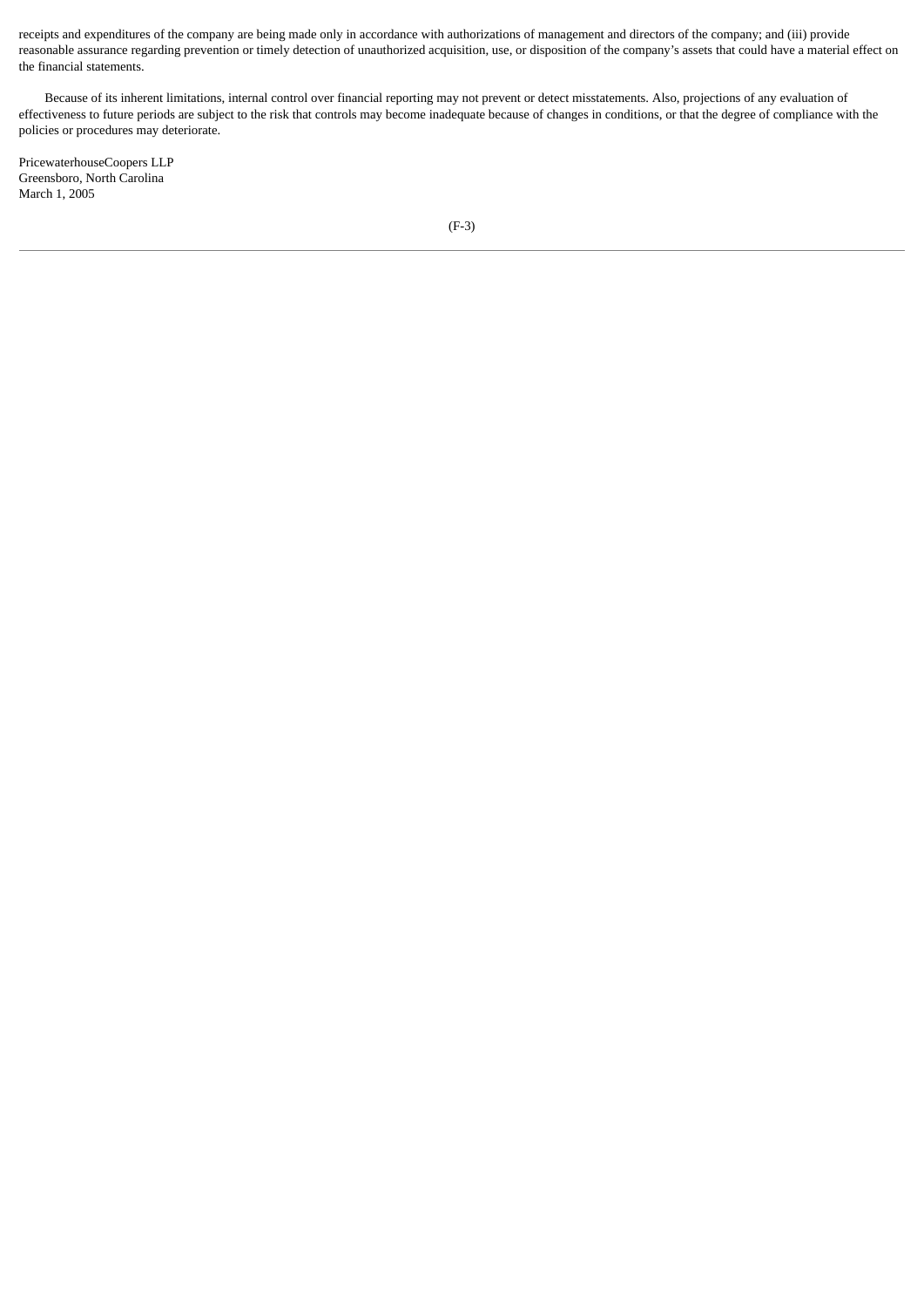receipts and expenditures of the company are being made only in accordance with authorizations of management and directors of the company; and (iii) provide reasonable assurance regarding prevention or timely detection of unauthorized acquisition, use, or disposition of the company's assets that could have a material effect on the financial statements.

 Because of its inherent limitations, internal control over financial reporting may not prevent or detect misstatements. Also, projections of any evaluation of effectiveness to future periods are subject to the risk that controls may become inadequate because of changes in conditions, or that the degree of compliance with the policies or procedures may deteriorate.

PricewaterhouseCoopers LLP Greensboro, North Carolina March 1, 2005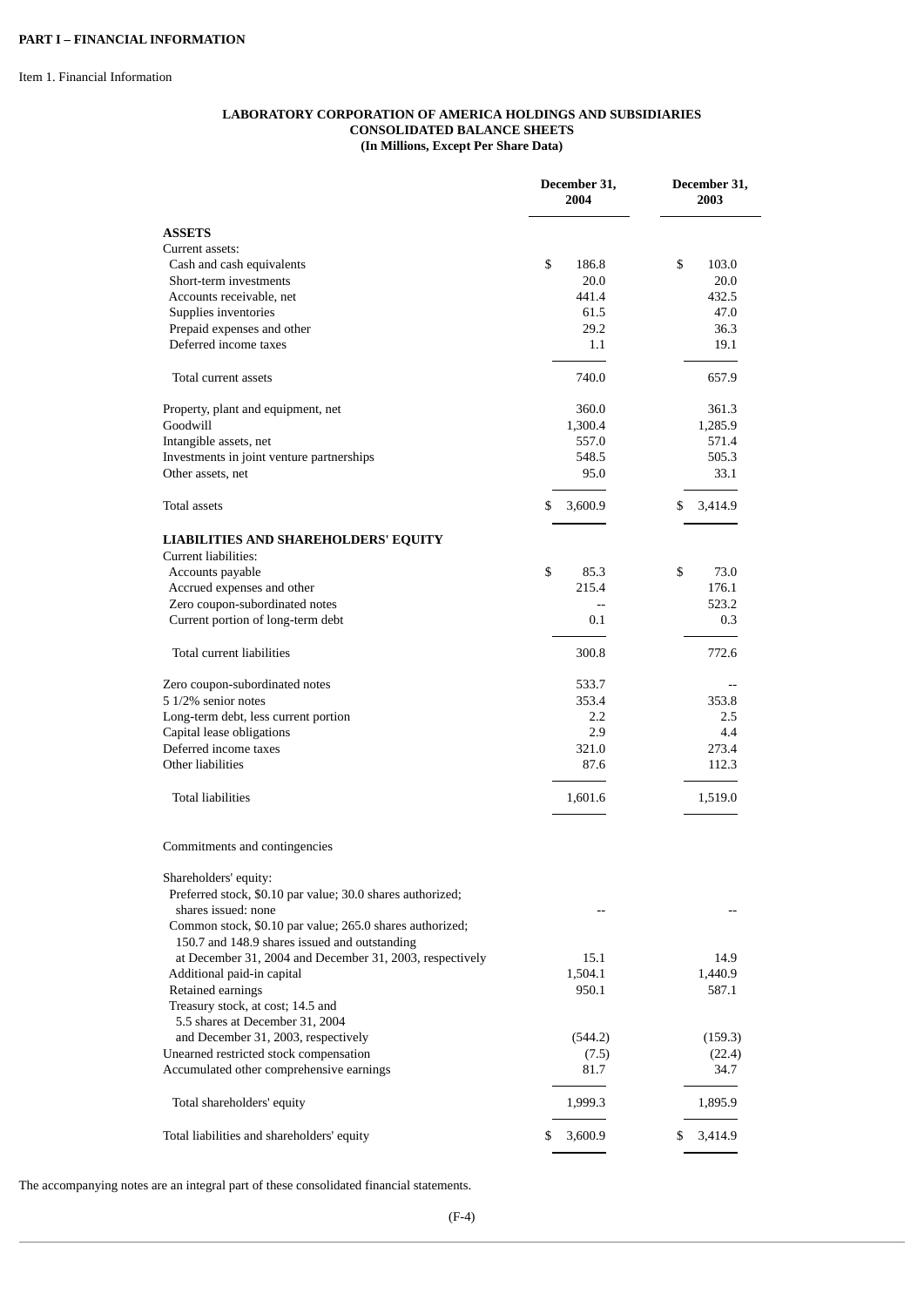Item 1. Financial Information

## **LABORATORY CORPORATION OF AMERICA HOLDINGS AND SUBSIDIARIES CONSOLIDATED BALANCE SHEETS (In Millions, Except Per Share Data)**

|                                                                                                           |    | December 31,<br>2004 |    | December 31,<br>2003 |  |  |
|-----------------------------------------------------------------------------------------------------------|----|----------------------|----|----------------------|--|--|
| <b>ASSETS</b>                                                                                             |    |                      |    |                      |  |  |
| Current assets:<br>Cash and cash equivalents                                                              | \$ | 186.8                | \$ | 103.0                |  |  |
| Short-term investments                                                                                    |    | 20.0                 |    | 20.0                 |  |  |
| Accounts receivable, net                                                                                  |    | 441.4                |    | 432.5                |  |  |
| Supplies inventories                                                                                      |    | 61.5                 |    | 47.0                 |  |  |
| Prepaid expenses and other                                                                                |    | 29.2                 |    | 36.3                 |  |  |
| Deferred income taxes                                                                                     |    | 1.1                  |    | 19.1                 |  |  |
| Total current assets                                                                                      |    | 740.0                |    | 657.9                |  |  |
| Property, plant and equipment, net                                                                        |    | 360.0                |    | 361.3                |  |  |
| Goodwill                                                                                                  |    | 1,300.4              |    | 1,285.9              |  |  |
| Intangible assets, net                                                                                    |    | 557.0                |    | 571.4                |  |  |
| Investments in joint venture partnerships                                                                 |    | 548.5                |    | 505.3                |  |  |
| Other assets, net                                                                                         |    | 95.0                 |    | 33.1                 |  |  |
| Total assets                                                                                              | \$ | 3,600.9              | \$ | 3,414.9              |  |  |
| <b>LIABILITIES AND SHAREHOLDERS' EQUITY</b><br>Current liabilities:                                       |    |                      |    |                      |  |  |
| Accounts payable                                                                                          | \$ | 85.3                 | \$ | 73.0                 |  |  |
| Accrued expenses and other                                                                                |    | 215.4                |    | 176.1                |  |  |
| Zero coupon-subordinated notes                                                                            |    |                      |    | 523.2                |  |  |
| Current portion of long-term debt                                                                         |    | 0.1                  |    | 0.3                  |  |  |
| Total current liabilities                                                                                 |    | 300.8                |    | 772.6                |  |  |
| Zero coupon-subordinated notes                                                                            |    | 533.7                |    |                      |  |  |
| 5 1/2% senior notes                                                                                       |    | 353.4                |    | 353.8                |  |  |
| Long-term debt, less current portion                                                                      |    | 2.2                  |    | 2.5                  |  |  |
| Capital lease obligations                                                                                 |    | 2.9                  |    | 4.4                  |  |  |
| Deferred income taxes                                                                                     |    | 321.0                |    | 273.4                |  |  |
| Other liabilities                                                                                         |    | 87.6                 |    | 112.3                |  |  |
| <b>Total liabilities</b>                                                                                  |    | 1,601.6              |    | 1,519.0              |  |  |
| Commitments and contingencies                                                                             |    |                      |    |                      |  |  |
| Shareholders' equity:<br>Preferred stock, \$0.10 par value; 30.0 shares authorized;                       |    |                      |    |                      |  |  |
| shares issued: none                                                                                       |    |                      |    |                      |  |  |
| Common stock, \$0.10 par value; 265.0 shares authorized;<br>150.7 and 148.9 shares issued and outstanding |    |                      |    |                      |  |  |
| at December 31, 2004 and December 31, 2003, respectively                                                  |    | 15.1                 |    | 14.9                 |  |  |
| Additional paid-in capital                                                                                |    | 1,504.1              |    | 1,440.9              |  |  |
| Retained earnings                                                                                         |    | 950.1                |    | 587.1                |  |  |
| Treasury stock, at cost; 14.5 and                                                                         |    |                      |    |                      |  |  |
| 5.5 shares at December 31, 2004                                                                           |    |                      |    |                      |  |  |
| and December 31, 2003, respectively                                                                       |    | (544.2)              |    | (159.3)              |  |  |
| Unearned restricted stock compensation                                                                    |    | (7.5)                |    | (22.4)               |  |  |
| Accumulated other comprehensive earnings                                                                  |    | 81.7                 |    | 34.7                 |  |  |
| Total shareholders' equity                                                                                |    | 1,999.3              |    | 1,895.9              |  |  |
| Total liabilities and shareholders' equity                                                                | \$ | 3,600.9              | \$ | 3,414.9              |  |  |
|                                                                                                           |    |                      |    |                      |  |  |

The accompanying notes are an integral part of these consolidated financial statements.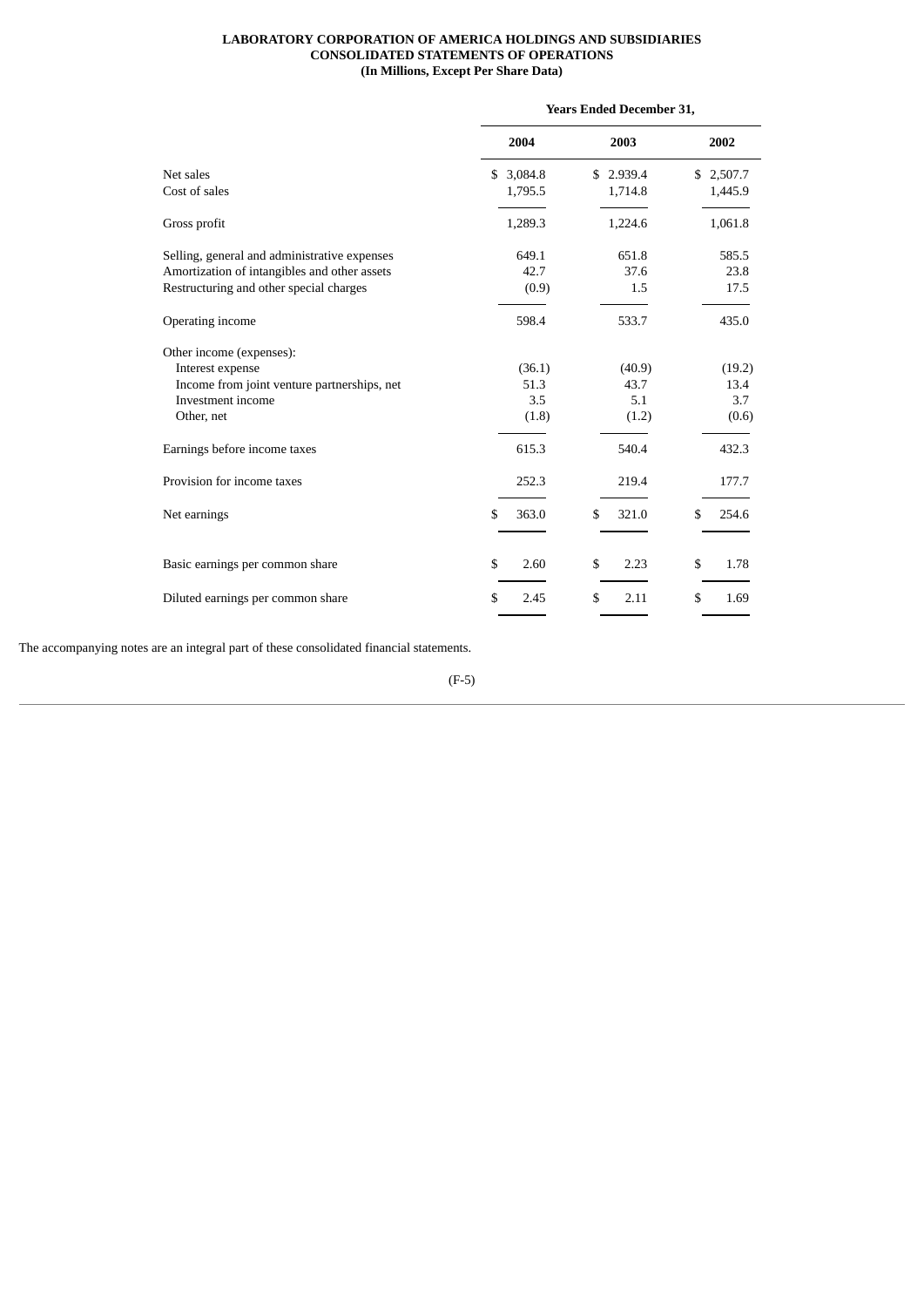### **LABORATORY CORPORATION OF AMERICA HOLDINGS AND SUBSIDIARIES CONSOLIDATED STATEMENTS OF OPERATIONS (In Millions, Except Per Share Data)**

|                                              | <b>Years Ended December 31,</b> |                      |                      |  |  |  |
|----------------------------------------------|---------------------------------|----------------------|----------------------|--|--|--|
|                                              | 2004                            |                      | 2002                 |  |  |  |
| Net sales<br>Cost of sales                   | \$3,084.8<br>1,795.5            | \$2.939.4<br>1,714.8 | \$2,507.7<br>1,445.9 |  |  |  |
|                                              |                                 |                      |                      |  |  |  |
| Gross profit                                 | 1,289.3                         | 1,224.6              | 1,061.8              |  |  |  |
| Selling, general and administrative expenses | 649.1                           | 651.8                | 585.5                |  |  |  |
| Amortization of intangibles and other assets | 42.7                            | 37.6                 | 23.8                 |  |  |  |
| Restructuring and other special charges      | (0.9)                           | 1.5                  | 17.5                 |  |  |  |
| Operating income                             | 598.4                           | 533.7                | 435.0                |  |  |  |
| Other income (expenses):                     |                                 |                      |                      |  |  |  |
| Interest expense                             | (36.1)                          | (40.9)               | (19.2)               |  |  |  |
| Income from joint venture partnerships, net  | 51.3                            | 43.7                 | 13.4                 |  |  |  |
| Investment income                            | 3.5                             | 5.1                  | 3.7                  |  |  |  |
| Other, net                                   | (1.8)                           | (1.2)                | (0.6)                |  |  |  |
| Earnings before income taxes                 | 615.3                           | 540.4                | 432.3                |  |  |  |
| Provision for income taxes                   | 252.3                           | 219.4                | 177.7                |  |  |  |
| Net earnings                                 | \$<br>363.0                     | \$<br>321.0          | \$<br>254.6          |  |  |  |
| Basic earnings per common share              | \$<br>2.60                      | \$<br>2.23           | \$<br>1.78           |  |  |  |
| Diluted earnings per common share            | \$<br>2.45                      | \$<br>2.11           | \$<br>1.69           |  |  |  |

The accompanying notes are an integral part of these consolidated financial statements.

(F-5)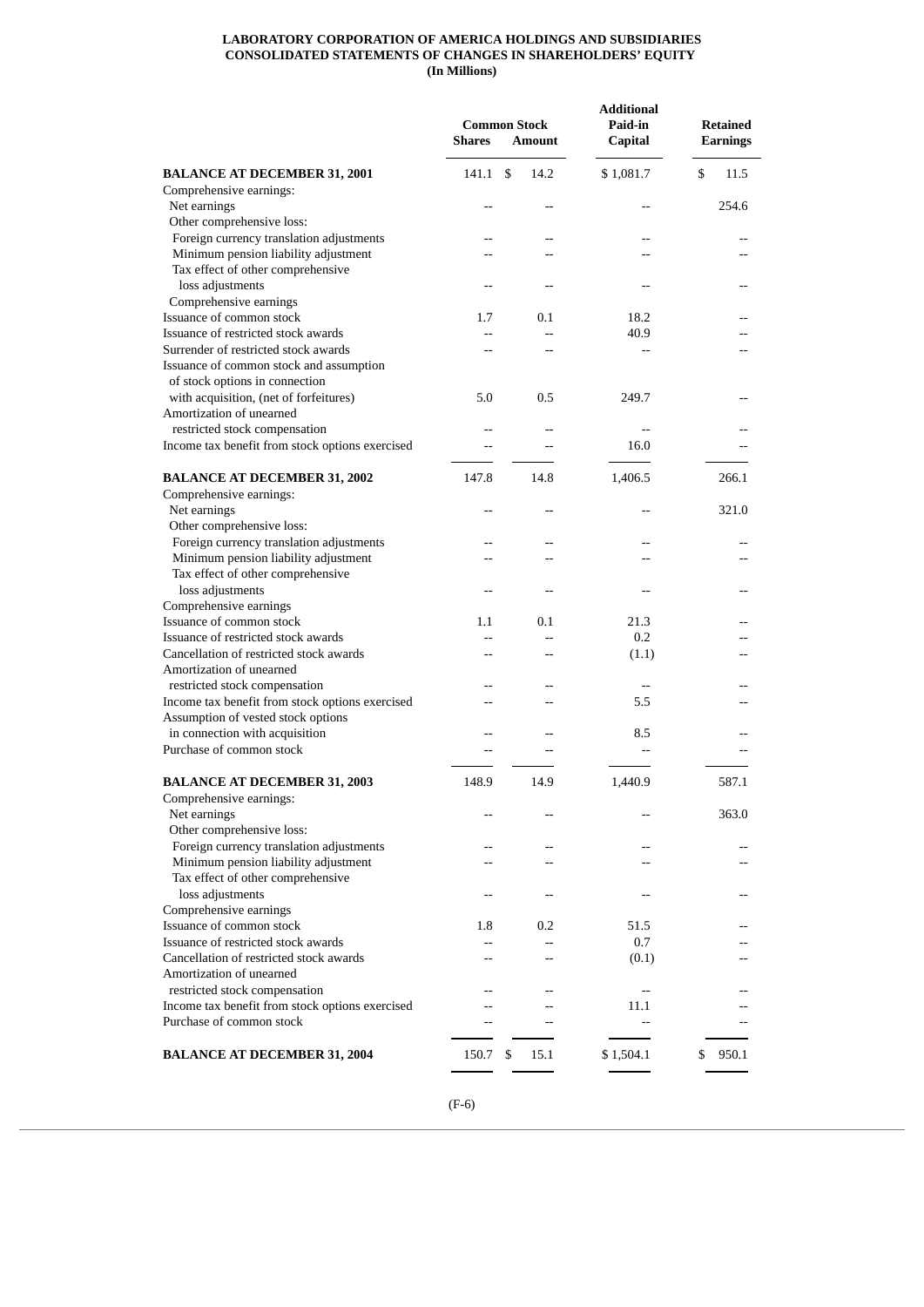### **LABORATORY CORPORATION OF AMERICA HOLDINGS AND SUBSIDIARIES CONSOLIDATED STATEMENTS OF CHANGES IN SHAREHOLDERS' EQUITY (In Millions)**

|                                                                                  | <b>Shares</b> | <b>Common Stock</b><br><b>Amount</b> | <b>Additional</b><br>Paid-in<br>Capital | <b>Retained</b><br><b>Earnings</b> |  |
|----------------------------------------------------------------------------------|---------------|--------------------------------------|-----------------------------------------|------------------------------------|--|
| <b>BALANCE AT DECEMBER 31, 2001</b>                                              | 141.1         | \$<br>14.2                           | \$1,081.7                               | \$<br>11.5                         |  |
| Comprehensive earnings:                                                          |               |                                      |                                         |                                    |  |
| Net earnings                                                                     | --            | --                                   |                                         | 254.6                              |  |
| Other comprehensive loss:                                                        |               |                                      |                                         |                                    |  |
| Foreign currency translation adjustments                                         |               |                                      |                                         |                                    |  |
| Minimum pension liability adjustment                                             |               |                                      |                                         |                                    |  |
| Tax effect of other comprehensive                                                |               |                                      |                                         |                                    |  |
| loss adjustments                                                                 |               |                                      |                                         |                                    |  |
| Comprehensive earnings                                                           |               |                                      |                                         |                                    |  |
| Issuance of common stock                                                         | 1.7           | 0.1                                  | 18.2                                    |                                    |  |
| Issuance of restricted stock awards                                              |               |                                      | 40.9                                    |                                    |  |
| Surrender of restricted stock awards                                             |               |                                      |                                         |                                    |  |
| Issuance of common stock and assumption                                          |               |                                      |                                         |                                    |  |
| of stock options in connection                                                   | 5.0           |                                      |                                         |                                    |  |
| with acquisition, (net of forfeitures)<br>Amortization of unearned               |               | 0.5                                  | 249.7                                   |                                    |  |
| restricted stock compensation                                                    |               |                                      |                                         |                                    |  |
| Income tax benefit from stock options exercised                                  |               |                                      | 16.0                                    |                                    |  |
|                                                                                  |               |                                      |                                         |                                    |  |
| <b>BALANCE AT DECEMBER 31, 2002</b>                                              | 147.8         | 14.8                                 | 1,406.5                                 | 266.1                              |  |
| Comprehensive earnings:                                                          |               |                                      |                                         |                                    |  |
| Net earnings                                                                     |               |                                      |                                         | 321.0                              |  |
| Other comprehensive loss:                                                        |               |                                      |                                         |                                    |  |
| Foreign currency translation adjustments                                         |               |                                      |                                         |                                    |  |
| Minimum pension liability adjustment                                             |               |                                      |                                         |                                    |  |
| Tax effect of other comprehensive                                                |               |                                      |                                         |                                    |  |
| loss adjustments                                                                 |               |                                      |                                         |                                    |  |
| Comprehensive earnings                                                           |               |                                      |                                         |                                    |  |
| Issuance of common stock                                                         | 1.1           | 0.1                                  | 21.3                                    |                                    |  |
| Issuance of restricted stock awards                                              |               |                                      | 0.2                                     |                                    |  |
| Cancellation of restricted stock awards<br>Amortization of unearned              |               | --                                   | (1.1)                                   |                                    |  |
| restricted stock compensation                                                    |               | --                                   |                                         |                                    |  |
| Income tax benefit from stock options exercised                                  |               | --                                   | 5.5                                     |                                    |  |
| Assumption of vested stock options                                               |               |                                      |                                         |                                    |  |
| in connection with acquisition                                                   |               |                                      | 8.5                                     |                                    |  |
| Purchase of common stock                                                         |               |                                      |                                         |                                    |  |
|                                                                                  |               |                                      |                                         |                                    |  |
| <b>BALANCE AT DECEMBER 31, 2003</b>                                              | 148.9         | 14.9                                 | 1,440.9                                 | 587.1                              |  |
| Comprehensive earnings:                                                          |               |                                      |                                         |                                    |  |
| Net earnings                                                                     |               |                                      |                                         | 363.0                              |  |
| Other comprehensive loss:                                                        |               |                                      |                                         |                                    |  |
| Foreign currency translation adjustments                                         |               |                                      |                                         |                                    |  |
| Minimum pension liability adjustment                                             |               |                                      |                                         |                                    |  |
| Tax effect of other comprehensive                                                |               |                                      |                                         |                                    |  |
| loss adjustments                                                                 |               |                                      |                                         |                                    |  |
| Comprehensive earnings                                                           |               |                                      |                                         |                                    |  |
| Issuance of common stock                                                         | 1.8           | 0.2                                  | 51.5                                    |                                    |  |
| Issuance of restricted stock awards                                              |               | $-$                                  | 0.7                                     |                                    |  |
| Cancellation of restricted stock awards                                          |               |                                      | (0.1)                                   |                                    |  |
| Amortization of unearned                                                         |               |                                      |                                         |                                    |  |
| restricted stock compensation<br>Income tax benefit from stock options exercised |               |                                      | 11.1                                    |                                    |  |
| Purchase of common stock                                                         |               |                                      |                                         |                                    |  |
|                                                                                  |               |                                      |                                         |                                    |  |
| <b>BALANCE AT DECEMBER 31, 2004</b>                                              | 150.7         | \$<br>15.1                           | \$1,504.1                               | \$<br>950.1                        |  |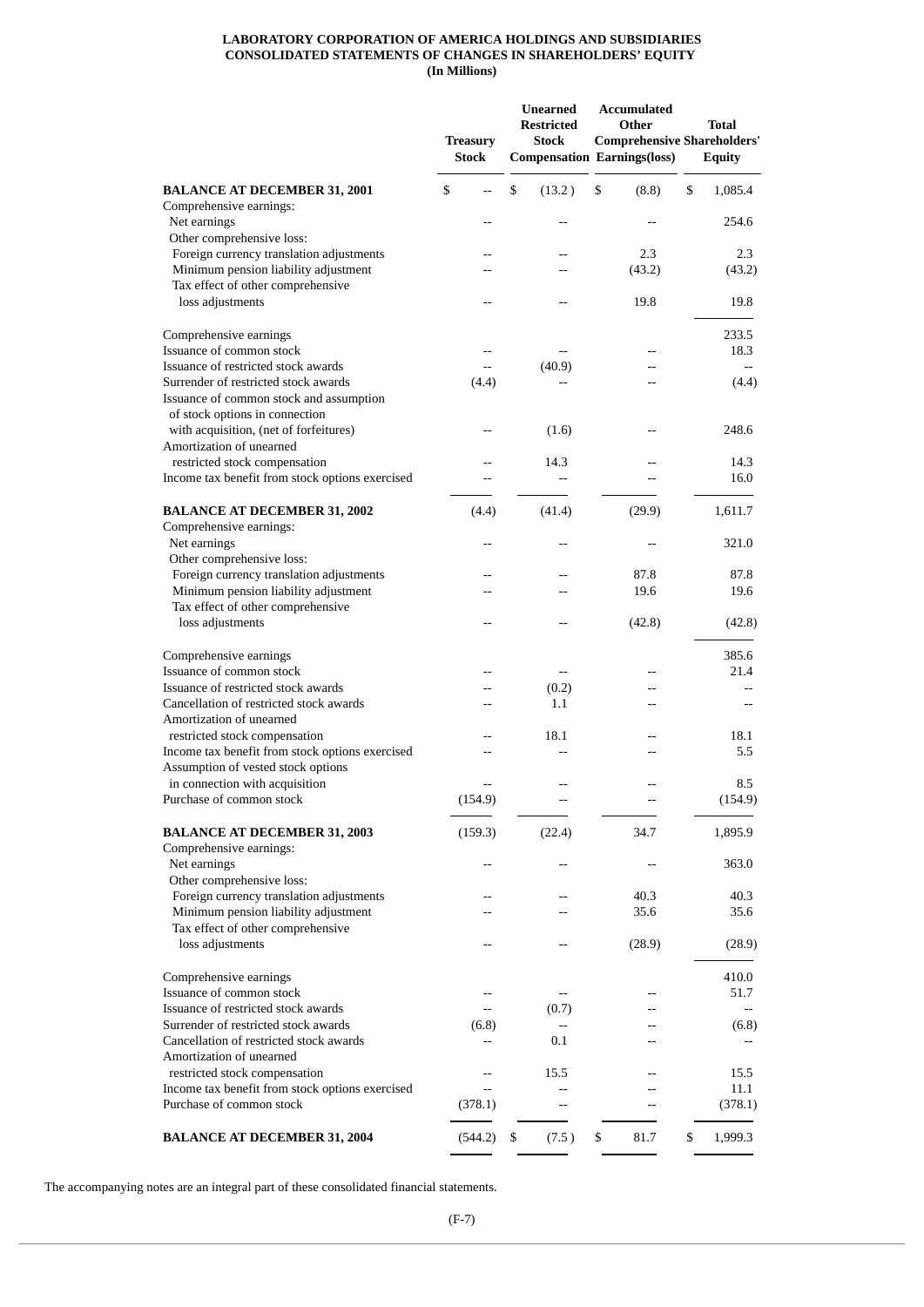#### **LABORATORY CORPORATION OF AMERICA HOLDINGS AND SUBSIDIARIES CONSOLIDATED STATEMENTS OF CHANGES IN SHAREHOLDERS' EQUITY (In Millions)**

|                                                                       | <b>Treasury</b><br><b>Stock</b> | <b>Unearned</b><br><b>Restricted</b><br><b>Stock</b> | <b>Accumulated</b><br>Other<br><b>Comprehensive Shareholders'</b><br><b>Compensation Earnings(loss)</b> | Total<br><b>Equity</b> |
|-----------------------------------------------------------------------|---------------------------------|------------------------------------------------------|---------------------------------------------------------------------------------------------------------|------------------------|
| <b>BALANCE AT DECEMBER 31, 2001</b>                                   | \$<br>$\overline{a}$            | \$<br>(13.2)                                         | \$<br>(8.8)                                                                                             | \$<br>1,085.4          |
| Comprehensive earnings:                                               |                                 |                                                      |                                                                                                         |                        |
| Net earnings                                                          | --                              |                                                      |                                                                                                         | 254.6                  |
| Other comprehensive loss:<br>Foreign currency translation adjustments |                                 |                                                      | 2.3                                                                                                     | 2.3                    |
| Minimum pension liability adjustment                                  |                                 |                                                      | (43.2)                                                                                                  | (43.2)                 |
| Tax effect of other comprehensive                                     |                                 |                                                      |                                                                                                         |                        |
| loss adjustments                                                      |                                 |                                                      | 19.8                                                                                                    | 19.8                   |
| Comprehensive earnings                                                |                                 |                                                      |                                                                                                         | 233.5                  |
| Issuance of common stock                                              | --                              |                                                      | --                                                                                                      | 18.3                   |
| Issuance of restricted stock awards                                   | Щ,                              | (40.9)                                               | --                                                                                                      |                        |
| Surrender of restricted stock awards                                  | (4.4)                           |                                                      | --                                                                                                      | (4.4)                  |
| Issuance of common stock and assumption                               |                                 |                                                      |                                                                                                         |                        |
| of stock options in connection                                        |                                 |                                                      |                                                                                                         |                        |
| with acquisition, (net of forfeitures)                                |                                 | (1.6)                                                |                                                                                                         | 248.6                  |
| Amortization of unearned                                              |                                 |                                                      |                                                                                                         |                        |
| restricted stock compensation                                         | --                              | 14.3<br>--                                           | --                                                                                                      | 14.3<br>16.0           |
| Income tax benefit from stock options exercised                       | --                              |                                                      | $\overline{a}$                                                                                          |                        |
| <b>BALANCE AT DECEMBER 31, 2002</b><br>Comprehensive earnings:        | (4.4)                           | (41.4)                                               | (29.9)                                                                                                  | 1,611.7                |
| Net earnings                                                          | --                              | --                                                   |                                                                                                         | 321.0                  |
| Other comprehensive loss:                                             |                                 |                                                      |                                                                                                         |                        |
| Foreign currency translation adjustments                              |                                 |                                                      | 87.8                                                                                                    | 87.8                   |
| Minimum pension liability adjustment                                  |                                 |                                                      | 19.6                                                                                                    | 19.6                   |
| Tax effect of other comprehensive                                     |                                 |                                                      |                                                                                                         |                        |
| loss adjustments                                                      |                                 |                                                      | (42.8)                                                                                                  | (42.8)                 |
| Comprehensive earnings                                                |                                 |                                                      |                                                                                                         | 385.6                  |
| Issuance of common stock                                              |                                 |                                                      | --                                                                                                      | 21.4                   |
| Issuance of restricted stock awards                                   |                                 | (0.2)                                                | --                                                                                                      |                        |
| Cancellation of restricted stock awards                               |                                 | 1.1                                                  | --                                                                                                      |                        |
| Amortization of unearned                                              |                                 |                                                      |                                                                                                         |                        |
| restricted stock compensation                                         |                                 | 18.1                                                 |                                                                                                         | 18.1                   |
| Income tax benefit from stock options exercised                       |                                 | --                                                   |                                                                                                         | 5.5                    |
| Assumption of vested stock options                                    |                                 |                                                      |                                                                                                         |                        |
| in connection with acquisition                                        | --                              | --                                                   | --                                                                                                      | 8.5                    |
| Purchase of common stock                                              | (154.9)                         |                                                      |                                                                                                         | (154.9)                |
|                                                                       |                                 |                                                      | 34.7                                                                                                    |                        |
| <b>BALANCE AT DECEMBER 31, 2003</b><br>Comprehensive earnings:        | (159.3)                         | (22.4)                                               |                                                                                                         | 1,895.9                |
| Net earnings                                                          | --                              |                                                      | --                                                                                                      | 363.0                  |
| Other comprehensive loss:                                             |                                 |                                                      |                                                                                                         |                        |
| Foreign currency translation adjustments                              |                                 |                                                      | 40.3                                                                                                    | 40.3                   |
| Minimum pension liability adjustment                                  |                                 |                                                      | 35.6                                                                                                    | 35.6                   |
| Tax effect of other comprehensive                                     |                                 |                                                      |                                                                                                         |                        |
| loss adjustments                                                      |                                 |                                                      | (28.9)                                                                                                  | (28.9)                 |
| Comprehensive earnings                                                |                                 |                                                      |                                                                                                         | 410.0                  |
| Issuance of common stock                                              |                                 |                                                      | --                                                                                                      | 51.7                   |
| Issuance of restricted stock awards                                   | $-$                             | (0.7)                                                |                                                                                                         | --                     |
| Surrender of restricted stock awards                                  | (6.8)                           |                                                      |                                                                                                         | (6.8)                  |
| Cancellation of restricted stock awards                               |                                 | 0.1                                                  |                                                                                                         |                        |
| Amortization of unearned                                              |                                 |                                                      |                                                                                                         |                        |
| restricted stock compensation                                         |                                 | 15.5                                                 |                                                                                                         | 15.5                   |
| Income tax benefit from stock options exercised                       |                                 |                                                      |                                                                                                         | 11.1                   |
| Purchase of common stock                                              | (378.1)                         | --                                                   |                                                                                                         | (378.1)                |
| <b>BALANCE AT DECEMBER 31, 2004</b>                                   | (544.2)                         | \$<br>(7.5)                                          | \$<br>81.7                                                                                              | \$<br>1,999.3          |
|                                                                       |                                 |                                                      |                                                                                                         |                        |

The accompanying notes are an integral part of these consolidated financial statements.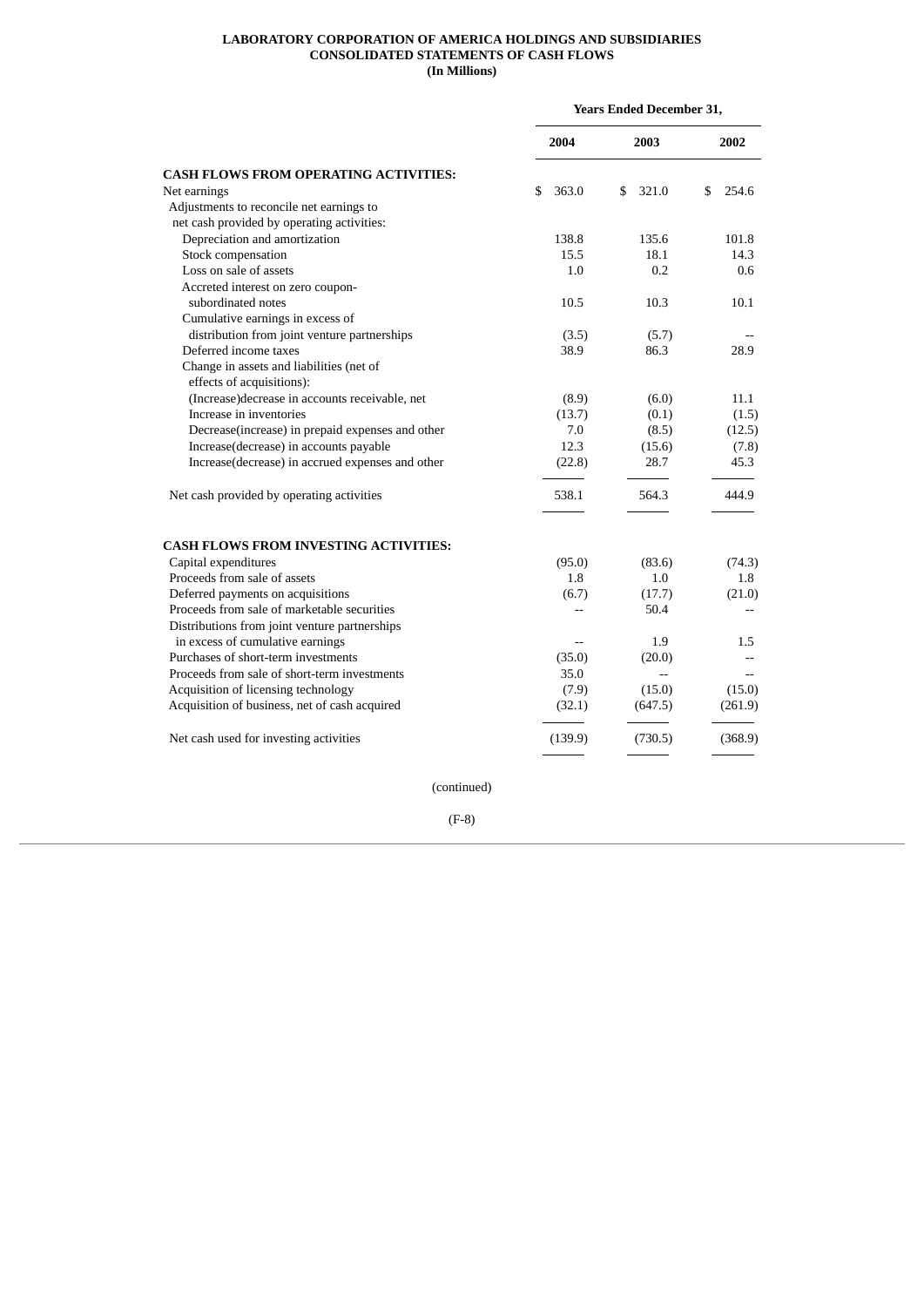### **LABORATORY CORPORATION OF AMERICA HOLDINGS AND SUBSIDIARIES CONSOLIDATED STATEMENTS OF CASH FLOWS (In Millions)**

|                                                  | <b>Years Ended December 31,</b> |              |                |  |
|--------------------------------------------------|---------------------------------|--------------|----------------|--|
|                                                  | 2004                            | 2003         | 2002           |  |
| <b>CASH FLOWS FROM OPERATING ACTIVITIES:</b>     |                                 |              |                |  |
| Net earnings                                     | 363.0<br>\$                     | 321.0<br>\$. | \$<br>254.6    |  |
| Adjustments to reconcile net earnings to         |                                 |              |                |  |
| net cash provided by operating activities:       |                                 |              |                |  |
| Depreciation and amortization                    | 138.8                           | 135.6        | 101.8          |  |
| Stock compensation                               | 15.5                            | 18.1         | 14.3           |  |
| Loss on sale of assets                           | 1.0                             | 0.2          | $0.6^{\circ}$  |  |
| Accreted interest on zero coupon-                |                                 |              |                |  |
| subordinated notes                               | 10.5                            | 10.3         | 10.1           |  |
| Cumulative earnings in excess of                 |                                 |              |                |  |
| distribution from joint venture partnerships     | (3.5)                           | (5.7)        |                |  |
| Deferred income taxes                            | 38.9                            | 86.3         | 28.9           |  |
| Change in assets and liabilities (net of         |                                 |              |                |  |
| effects of acquisitions):                        |                                 |              |                |  |
| (Increase) decrease in accounts receivable, net  | (8.9)                           | (6.0)        | 11.1           |  |
| Increase in inventories                          | (13.7)                          | (0.1)        | (1.5)          |  |
| Decrease(increase) in prepaid expenses and other | 7.0                             | (8.5)        | (12.5)         |  |
| Increase(decrease) in accounts payable           | 12.3                            | (15.6)       | (7.8)          |  |
| Increase(decrease) in accrued expenses and other | (22.8)                          | 28.7         | 45.3           |  |
| Net cash provided by operating activities        | 538.1                           | 564.3        | 444.9          |  |
| <b>CASH FLOWS FROM INVESTING ACTIVITIES:</b>     |                                 |              |                |  |
| Capital expenditures                             | (95.0)                          | (83.6)       | (74.3)         |  |
| Proceeds from sale of assets                     | 1.8                             | 1.0          | $1.8\,$        |  |
| Deferred payments on acquisitions                | (6.7)                           | (17.7)       | (21.0)         |  |
| Proceeds from sale of marketable securities      |                                 | 50.4         |                |  |
| Distributions from joint venture partnerships    |                                 |              |                |  |
| in excess of cumulative earnings                 |                                 | 1.9          | 1.5            |  |
| Purchases of short-term investments              | (35.0)                          | (20.0)       |                |  |
| Proceeds from sale of short-term investments     | 35.0                            | --           | $\overline{a}$ |  |
| Acquisition of licensing technology              | (7.9)                           | (15.0)       | (15.0)         |  |
| Acquisition of business, net of cash acquired    | (32.1)                          | (647.5)      | (261.9)        |  |
|                                                  |                                 |              |                |  |
| Net cash used for investing activities           | (139.9)                         | (730.5)      | (368.9)        |  |
|                                                  |                                 |              |                |  |

(continued)

(F-8)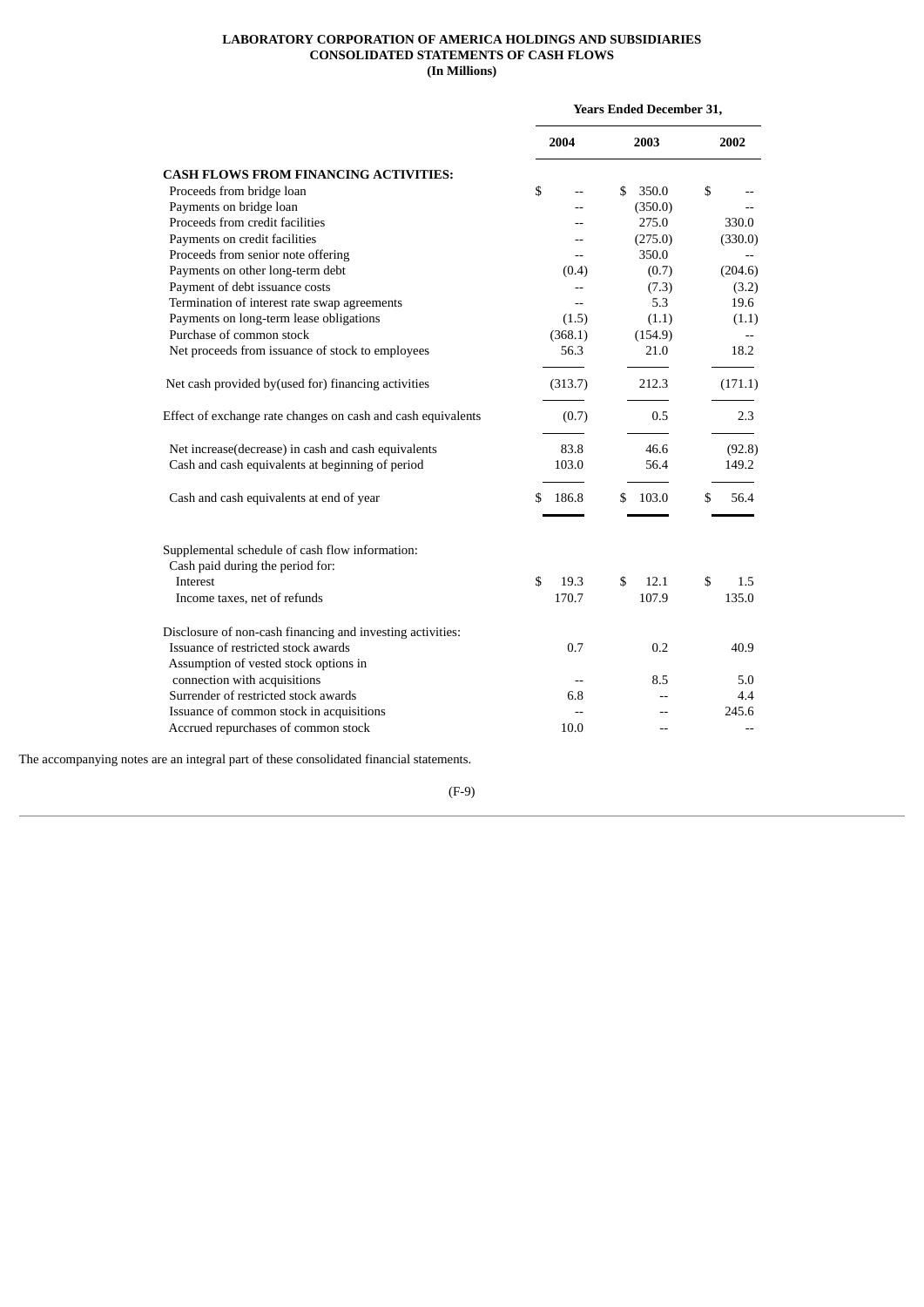### **LABORATORY CORPORATION OF AMERICA HOLDINGS AND SUBSIDIARIES CONSOLIDATED STATEMENTS OF CASH FLOWS (In Millions)**

|                                                                  | <b>Years Ended December 31,</b> |                |    |         |    |         |
|------------------------------------------------------------------|---------------------------------|----------------|----|---------|----|---------|
|                                                                  |                                 | 2004           |    | 2003    |    | 2002    |
| <b>CASH FLOWS FROM FINANCING ACTIVITIES:</b>                     |                                 |                |    |         |    |         |
| Proceeds from bridge loan                                        | \$                              |                | \$ | 350.0   | \$ |         |
| Payments on bridge loan                                          |                                 | $=$            |    | (350.0) |    |         |
| Proceeds from credit facilities                                  |                                 | --             |    | 275.0   |    | 330.0   |
| Payments on credit facilities                                    |                                 | --             |    | (275.0) |    | (330.0) |
| Proceeds from senior note offering                               |                                 | --             |    | 350.0   |    |         |
| Payments on other long-term debt                                 |                                 | (0.4)          |    | (0.7)   |    | (204.6) |
| Payment of debt issuance costs                                   |                                 | --             |    | (7.3)   |    | (3.2)   |
| Termination of interest rate swap agreements                     |                                 | $\overline{a}$ |    | 5.3     |    | 19.6    |
| Payments on long-term lease obligations                          |                                 | (1.5)          |    | (1.1)   |    | (1.1)   |
| Purchase of common stock                                         |                                 | (368.1)        |    | (154.9) |    | --      |
| Net proceeds from issuance of stock to employees                 |                                 | 56.3           |    | 21.0    |    | 18.2    |
| Net cash provided by(used for) financing activities              |                                 | (313.7)        |    | 212.3   |    | (171.1) |
| Effect of exchange rate changes on cash and cash equivalents     |                                 | (0.7)          |    | 0.5     |    | 2.3     |
| Net increase(decrease) in cash and cash equivalents              |                                 | 83.8           |    | 46.6    |    | (92.8)  |
| Cash and cash equivalents at beginning of period                 |                                 | 103.0          |    | 56.4    |    | 149.2   |
| Cash and cash equivalents at end of year                         | \$                              | 186.8          | \$ | 103.0   | \$ | 56.4    |
| Supplemental schedule of cash flow information:                  |                                 |                |    |         |    |         |
| Cash paid during the period for:                                 | \$                              |                |    |         |    |         |
| Interest                                                         |                                 | 19.3           | \$ | 12.1    | \$ | 1.5     |
| Income taxes, net of refunds                                     |                                 | 170.7          |    | 107.9   |    | 135.0   |
| Disclosure of non-cash financing and investing activities:       |                                 |                |    |         |    |         |
| Issuance of restricted stock awards                              |                                 | 0.7            |    | 0.2     |    | 40.9    |
| Assumption of vested stock options in                            |                                 |                |    |         |    |         |
| connection with acquisitions                                     |                                 | --             |    | 8.5     |    | 5.0     |
| Surrender of restricted stock awards                             |                                 | 6.8            |    |         |    | 4.4     |
| Issuance of common stock in acquisitions                         |                                 | --             |    |         |    | 245.6   |
| Accrued repurchases of common stock                              |                                 | 10.0           |    | --      |    |         |
| are an integral part of these consolidated financial statements. |                                 |                |    |         |    |         |

(F-9)

The accompanying notes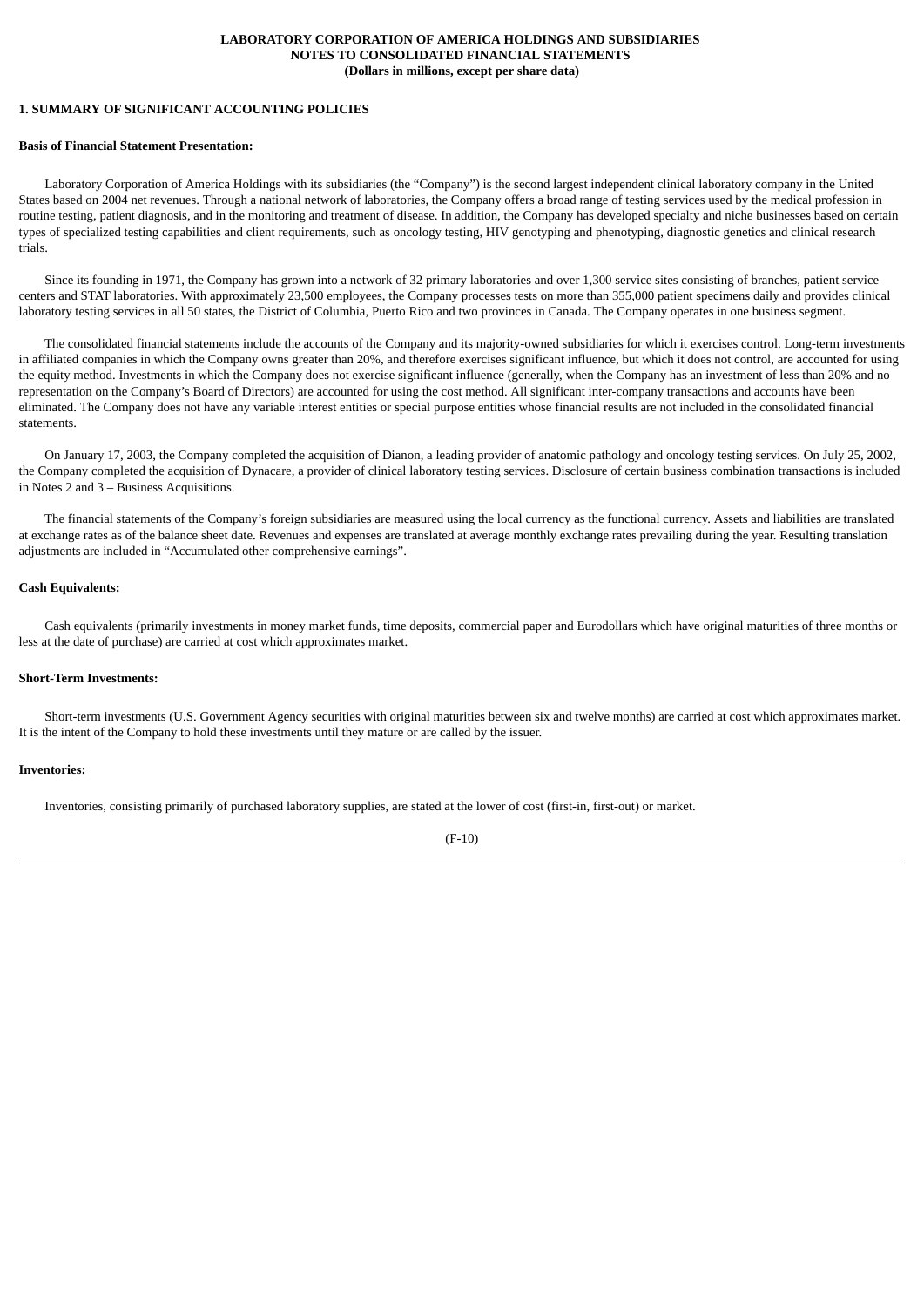# **1. SUMMARY OF SIGNIFICANT ACCOUNTING POLICIES**

### **Basis of Financial Statement Presentation:**

 Laboratory Corporation of America Holdings with its subsidiaries (the "Company") is the second largest independent clinical laboratory company in the United States based on 2004 net revenues. Through a national network of laboratories, the Company offers a broad range of testing services used by the medical profession in routine testing, patient diagnosis, and in the monitoring and treatment of disease. In addition, the Company has developed specialty and niche businesses based on certain types of specialized testing capabilities and client requirements, such as oncology testing, HIV genotyping and phenotyping, diagnostic genetics and clinical research trials.

 Since its founding in 1971, the Company has grown into a network of 32 primary laboratories and over 1,300 service sites consisting of branches, patient service centers and STAT laboratories. With approximately 23,500 employees, the Company processes tests on more than 355,000 patient specimens daily and provides clinical laboratory testing services in all 50 states, the District of Columbia, Puerto Rico and two provinces in Canada. The Company operates in one business segment.

 The consolidated financial statements include the accounts of the Company and its majority-owned subsidiaries for which it exercises control. Long-term investments in affiliated companies in which the Company owns greater than 20%, and therefore exercises significant influence, but which it does not control, are accounted for using the equity method. Investments in which the Company does not exercise significant influence (generally, when the Company has an investment of less than 20% and no representation on the Company's Board of Directors) are accounted for using the cost method. All significant inter-company transactions and accounts have been eliminated. The Company does not have any variable interest entities or special purpose entities whose financial results are not included in the consolidated financial statements.

 On January 17, 2003, the Company completed the acquisition of Dianon, a leading provider of anatomic pathology and oncology testing services. On July 25, 2002, the Company completed the acquisition of Dynacare, a provider of clinical laboratory testing services. Disclosure of certain business combination transactions is included in Notes 2 and 3 – Business Acquisitions.

 The financial statements of the Company's foreign subsidiaries are measured using the local currency as the functional currency. Assets and liabilities are translated at exchange rates as of the balance sheet date. Revenues and expenses are translated at average monthly exchange rates prevailing during the year. Resulting translation adjustments are included in "Accumulated other comprehensive earnings".

#### **Cash Equivalents:**

 Cash equivalents (primarily investments in money market funds, time deposits, commercial paper and Eurodollars which have original maturities of three months or less at the date of purchase) are carried at cost which approximates market.

#### **Short-Term Investments:**

 Short-term investments (U.S. Government Agency securities with original maturities between six and twelve months) are carried at cost which approximates market. It is the intent of the Company to hold these investments until they mature or are called by the issuer.

#### **Inventories:**

Inventories, consisting primarily of purchased laboratory supplies, are stated at the lower of cost (first-in, first-out) or market.

(F-10)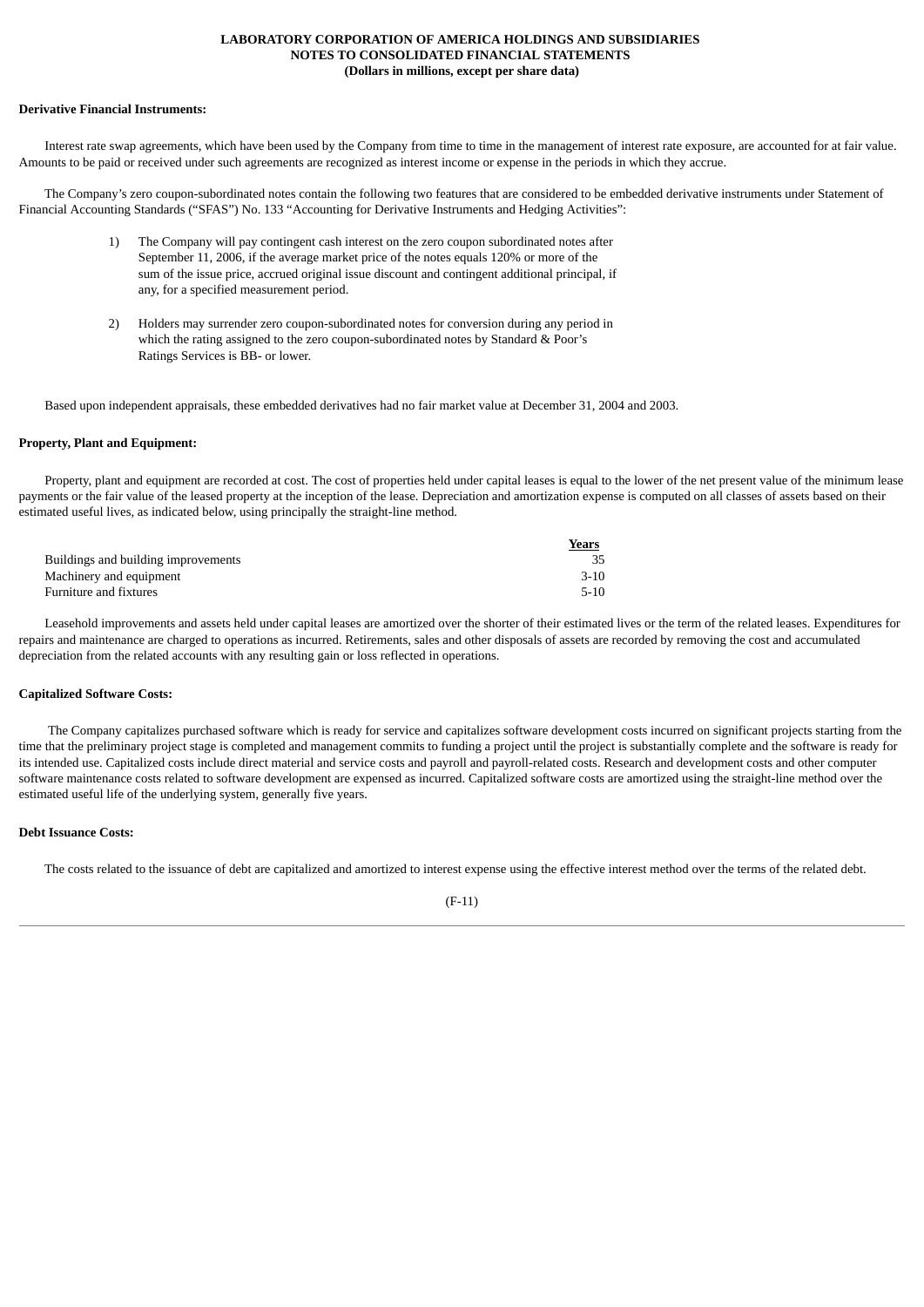### **Derivative Financial Instruments:**

 Interest rate swap agreements, which have been used by the Company from time to time in the management of interest rate exposure, are accounted for at fair value. Amounts to be paid or received under such agreements are recognized as interest income or expense in the periods in which they accrue.

 The Company's zero coupon-subordinated notes contain the following two features that are considered to be embedded derivative instruments under Statement of Financial Accounting Standards ("SFAS") No. 133 "Accounting for Derivative Instruments and Hedging Activities":

- The Company will pay contingent cash interest on the zero coupon subordinated notes after September 11, 2006, if the average market price of the notes equals 120% or more of the sum of the issue price, accrued original issue discount and contingent additional principal, if any, for a specified measurement period.
- 2) Holders may surrender zero coupon-subordinated notes for conversion during any period in which the rating assigned to the zero coupon-subordinated notes by Standard & Poor's Ratings Services is BB- or lower.

Based upon independent appraisals, these embedded derivatives had no fair market value at December 31, 2004 and 2003.

#### **Property, Plant and Equipment:**

Property, plant and equipment are recorded at cost. The cost of properties held under capital leases is equal to the lower of the net present value of the minimum lease payments or the fair value of the leased property at the inception of the lease. Depreciation and amortization expense is computed on all classes of assets based on their estimated useful lives, as indicated below, using principally the straight-line method.

|                                     | <u>Years</u> |
|-------------------------------------|--------------|
| Buildings and building improvements |              |
| Machinery and equipment             | $3-10$       |
| Furniture and fixtures              | $5-10$       |

 Leasehold improvements and assets held under capital leases are amortized over the shorter of their estimated lives or the term of the related leases. Expenditures for repairs and maintenance are charged to operations as incurred. Retirements, sales and other disposals of assets are recorded by removing the cost and accumulated depreciation from the related accounts with any resulting gain or loss reflected in operations.

#### **Capitalized Software Costs:**

 The Company capitalizes purchased software which is ready for service and capitalizes software development costs incurred on significant projects starting from the time that the preliminary project stage is completed and management commits to funding a project until the project is substantially complete and the software is ready for its intended use. Capitalized costs include direct material and service costs and payroll and payroll-related costs. Research and development costs and other computer software maintenance costs related to software development are expensed as incurred. Capitalized software costs are amortized using the straight-line method over the estimated useful life of the underlying system, generally five years.

#### **Debt Issuance Costs:**

The costs related to the issuance of debt are capitalized and amortized to interest expense using the effective interest method over the terms of the related debt.

$$
(F-11)
$$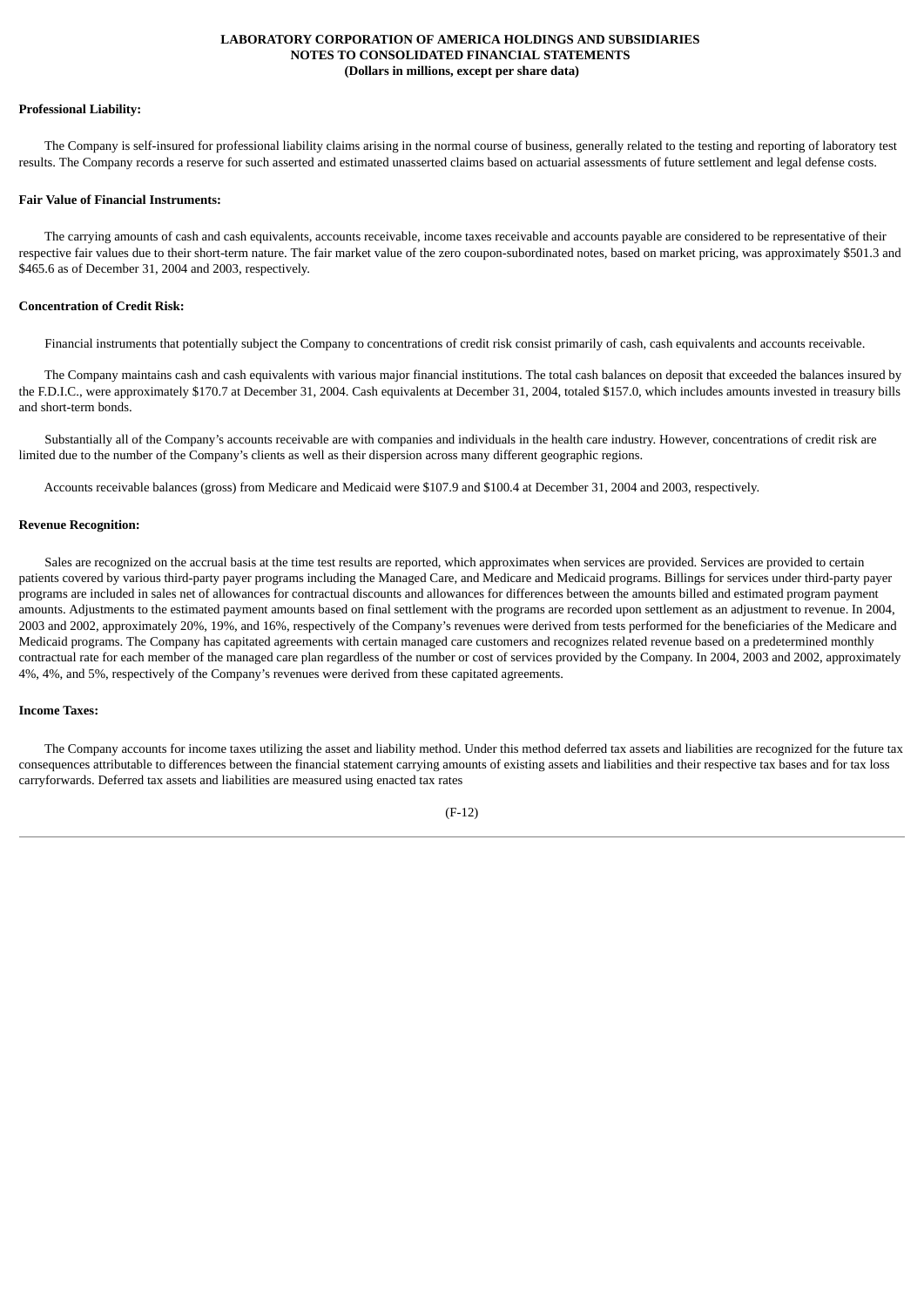#### **Professional Liability:**

 The Company is self-insured for professional liability claims arising in the normal course of business, generally related to the testing and reporting of laboratory test results. The Company records a reserve for such asserted and estimated unasserted claims based on actuarial assessments of future settlement and legal defense costs.

#### **Fair Value of Financial Instruments:**

 The carrying amounts of cash and cash equivalents, accounts receivable, income taxes receivable and accounts payable are considered to be representative of their respective fair values due to their short-term nature. The fair market value of the zero coupon-subordinated notes, based on market pricing, was approximately \$501.3 and \$465.6 as of December 31, 2004 and 2003, respectively.

### **Concentration of Credit Risk:**

Financial instruments that potentially subject the Company to concentrations of credit risk consist primarily of cash, cash equivalents and accounts receivable.

 The Company maintains cash and cash equivalents with various major financial institutions. The total cash balances on deposit that exceeded the balances insured by the F.D.I.C., were approximately \$170.7 at December 31, 2004. Cash equivalents at December 31, 2004, totaled \$157.0, which includes amounts invested in treasury bills and short-term bonds.

 Substantially all of the Company's accounts receivable are with companies and individuals in the health care industry. However, concentrations of credit risk are limited due to the number of the Company's clients as well as their dispersion across many different geographic regions.

Accounts receivable balances (gross) from Medicare and Medicaid were \$107.9 and \$100.4 at December 31, 2004 and 2003, respectively.

#### **Revenue Recognition:**

Sales are recognized on the accrual basis at the time test results are reported, which approximates when services are provided. Services are provided to certain patients covered by various third-party payer programs including the Managed Care, and Medicare and Medicaid programs. Billings for services under third-party payer programs are included in sales net of allowances for contractual discounts and allowances for differences between the amounts billed and estimated program payment amounts. Adjustments to the estimated payment amounts based on final settlement with the programs are recorded upon settlement as an adjustment to revenue. In 2004, 2003 and 2002, approximately 20%, 19%, and 16%, respectively of the Company's revenues were derived from tests performed for the beneficiaries of the Medicare and Medicaid programs. The Company has capitated agreements with certain managed care customers and recognizes related revenue based on a predetermined monthly contractual rate for each member of the managed care plan regardless of the number or cost of services provided by the Company. In 2004, 2003 and 2002, approximately 4%, 4%, and 5%, respectively of the Company's revenues were derived from these capitated agreements.

#### **Income Taxes:**

 The Company accounts for income taxes utilizing the asset and liability method. Under this method deferred tax assets and liabilities are recognized for the future tax consequences attributable to differences between the financial statement carrying amounts of existing assets and liabilities and their respective tax bases and for tax loss carryforwards. Deferred tax assets and liabilities are measured using enacted tax rates

(F-12)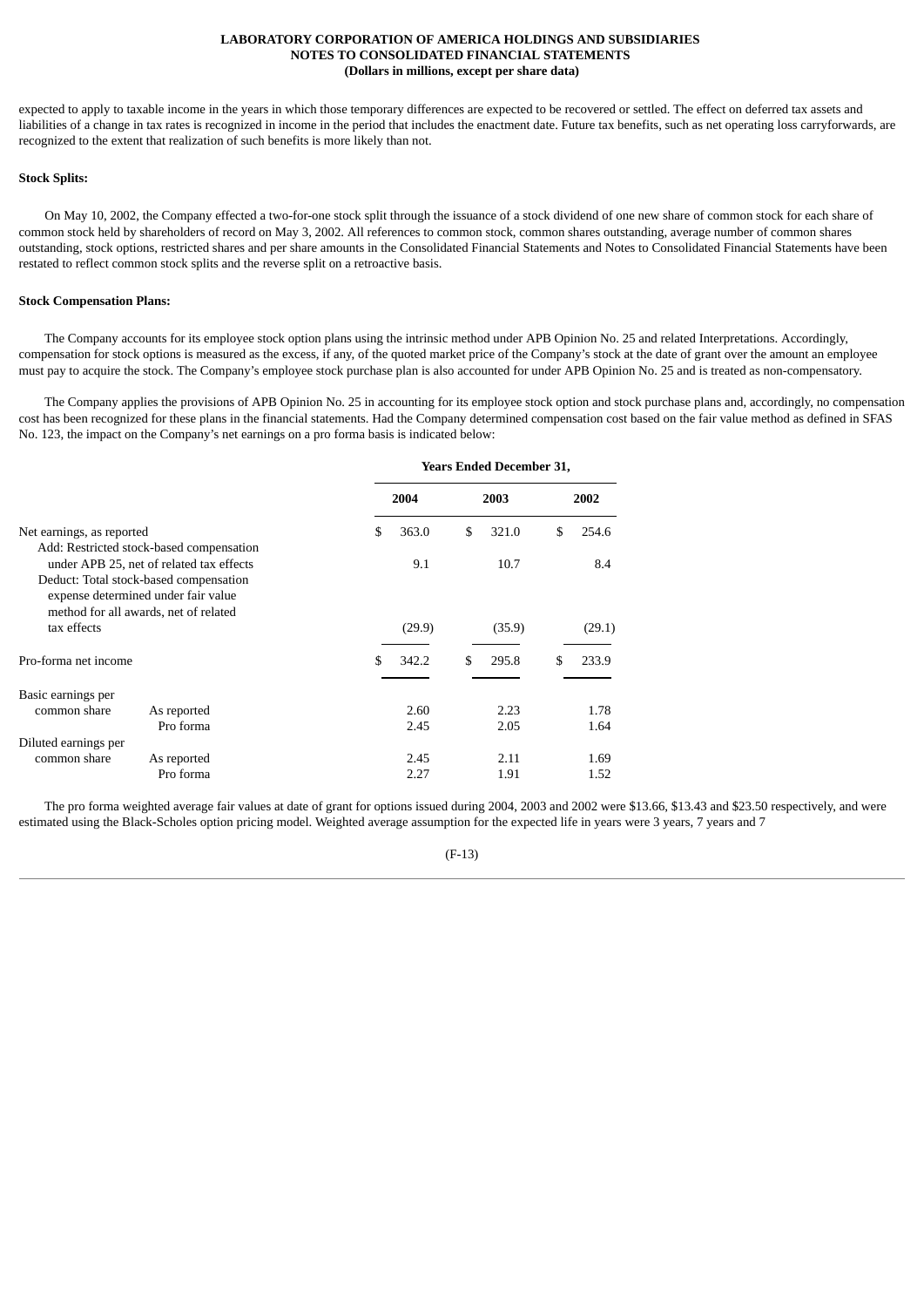expected to apply to taxable income in the years in which those temporary differences are expected to be recovered or settled. The effect on deferred tax assets and liabilities of a change in tax rates is recognized in income in the period that includes the enactment date. Future tax benefits, such as net operating loss carryforwards, are recognized to the extent that realization of such benefits is more likely than not.

### **Stock Splits:**

 On May 10, 2002, the Company effected a two-for-one stock split through the issuance of a stock dividend of one new share of common stock for each share of common stock held by shareholders of record on May 3, 2002. All references to common stock, common shares outstanding, average number of common shares outstanding, stock options, restricted shares and per share amounts in the Consolidated Financial Statements and Notes to Consolidated Financial Statements have been restated to reflect common stock splits and the reverse split on a retroactive basis.

## **Stock Compensation Plans:**

 The Company accounts for its employee stock option plans using the intrinsic method under APB Opinion No. 25 and related Interpretations. Accordingly, compensation for stock options is measured as the excess, if any, of the quoted market price of the Company's stock at the date of grant over the amount an employee must pay to acquire the stock. The Company's employee stock purchase plan is also accounted for under APB Opinion No. 25 and is treated as non-compensatory.

 The Company applies the provisions of APB Opinion No. 25 in accounting for its employee stock option and stock purchase plans and, accordingly, no compensation cost has been recognized for these plans in the financial statements. Had the Company determined compensation cost based on the fair value method as defined in SFAS No. 123, the impact on the Company's net earnings on a pro forma basis is indicated below:

|                           |                                                                                                                        |             | <b>Years Ended December 31,</b> |             |
|---------------------------|------------------------------------------------------------------------------------------------------------------------|-------------|---------------------------------|-------------|
|                           |                                                                                                                        | 2004        | 2003                            | 2002        |
| Net earnings, as reported |                                                                                                                        | \$<br>363.0 | \$<br>321.0                     | \$<br>254.6 |
|                           | Add: Restricted stock-based compensation<br>under APB 25, net of related tax effects                                   | 9.1         | 10.7                            | 8.4         |
|                           | Deduct: Total stock-based compensation<br>expense determined under fair value<br>method for all awards, net of related |             |                                 |             |
| tax effects               |                                                                                                                        | (29.9)      | (35.9)                          | (29.1)      |
| Pro-forma net income      |                                                                                                                        | \$<br>342.2 | \$<br>295.8                     | \$<br>233.9 |
| Basic earnings per        |                                                                                                                        |             |                                 |             |
| common share              | As reported                                                                                                            | 2.60        | 2.23                            | 1.78        |
|                           | Pro forma                                                                                                              | 2.45        | 2.05                            | 1.64        |
| Diluted earnings per      |                                                                                                                        |             |                                 |             |
| common share              | As reported                                                                                                            | 2.45        | 2.11                            | 1.69        |
|                           | Pro forma                                                                                                              | 2.27        | 1.91                            | 1.52        |

 The pro forma weighted average fair values at date of grant for options issued during 2004, 2003 and 2002 were \$13.66, \$13.43 and \$23.50 respectively, and were estimated using the Black-Scholes option pricing model. Weighted average assumption for the expected life in years were 3 years, 7 years and 7

#### (F-13)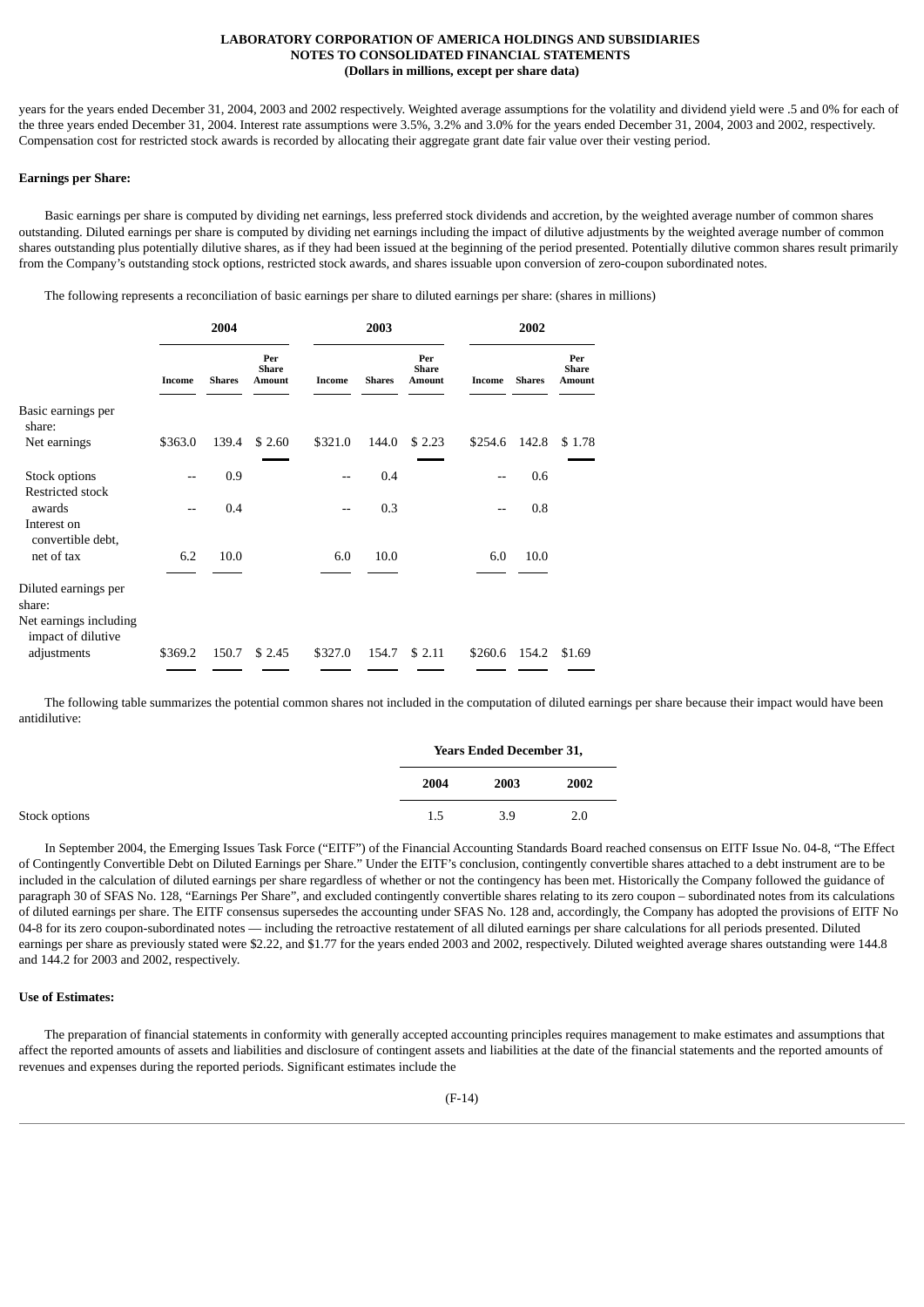years for the years ended December 31, 2004, 2003 and 2002 respectively. Weighted average assumptions for the volatility and dividend yield were .5 and 0% for each of the three years ended December 31, 2004. Interest rate assumptions were 3.5%, 3.2% and 3.0% for the years ended December 31, 2004, 2003 and 2002, respectively. Compensation cost for restricted stock awards is recorded by allocating their aggregate grant date fair value over their vesting period.

#### **Earnings per Share:**

 Basic earnings per share is computed by dividing net earnings, less preferred stock dividends and accretion, by the weighted average number of common shares outstanding. Diluted earnings per share is computed by dividing net earnings including the impact of dilutive adjustments by the weighted average number of common shares outstanding plus potentially dilutive shares, as if they had been issued at the beginning of the period presented. Potentially dilutive common shares result primarily from the Company's outstanding stock options, restricted stock awards, and shares issuable upon conversion of zero-coupon subordinated notes.

The following represents a reconciliation of basic earnings per share to diluted earnings per share: (shares in millions)

|                                              | 2004    |               |                               | 2003    |               | 2002                          |         |               |                               |
|----------------------------------------------|---------|---------------|-------------------------------|---------|---------------|-------------------------------|---------|---------------|-------------------------------|
|                                              | Income  | <b>Shares</b> | Per<br><b>Share</b><br>Amount | Income  | <b>Shares</b> | Per<br><b>Share</b><br>Amount | Income  | <b>Shares</b> | Per<br><b>Share</b><br>Amount |
| Basic earnings per<br>share:                 |         |               |                               |         |               |                               |         |               |                               |
| Net earnings                                 | \$363.0 | 139.4         | \$2.60                        | \$321.0 | 144.0         | \$2.23                        | \$254.6 | 142.8         | \$1.78                        |
| Stock options<br><b>Restricted stock</b>     |         | 0.9           |                               |         | 0.4           |                               |         | 0.6           |                               |
| awards<br>Interest on<br>convertible debt,   |         | 0.4           |                               |         | 0.3           |                               |         | 0.8           |                               |
| net of tax                                   | 6.2     | 10.0          |                               | 6.0     | 10.0          |                               | 6.0     | 10.0          |                               |
|                                              |         |               |                               |         |               |                               |         |               |                               |
| Diluted earnings per<br>share:               |         |               |                               |         |               |                               |         |               |                               |
| Net earnings including<br>impact of dilutive |         |               |                               |         |               |                               |         |               |                               |
| adjustments                                  | \$369.2 | 150.7         | \$2.45                        | \$327.0 | 154.7         | \$2.11                        | \$260.6 | 154.2         | \$1.69                        |
|                                              |         |               |                               |         |               |                               |         |               |                               |

 The following table summarizes the potential common shares not included in the computation of diluted earnings per share because their impact would have been antidilutive:

| <b>Years Ended December 31,</b> |      |      |  |
|---------------------------------|------|------|--|
| 2004                            | 2003 | 2002 |  |
| 1.5                             | 3.9  | 2.0  |  |

 In September 2004, the Emerging Issues Task Force ("EITF") of the Financial Accounting Standards Board reached consensus on EITF Issue No. 04-8, "The Effect of Contingently Convertible Debt on Diluted Earnings per Share." Under the EITF's conclusion, contingently convertible shares attached to a debt instrument are to be included in the calculation of diluted earnings per share regardless of whether or not the contingency has been met. Historically the Company followed the guidance of paragraph 30 of SFAS No. 128, "Earnings Per Share", and excluded contingently convertible shares relating to its zero coupon – subordinated notes from its calculations of diluted earnings per share. The EITF consensus supersedes the accounting under SFAS No. 128 and, accordingly, the Company has adopted the provisions of EITF No 04-8 for its zero coupon-subordinated notes — including the retroactive restatement of all diluted earnings per share calculations for all periods presented. Diluted earnings per share as previously stated were \$2.22, and \$1.77 for the years ended 2003 and 2002, respectively. Diluted weighted average shares outstanding were 144.8 and 144.2 for 2003 and 2002, respectively.

#### **Use of Estimates:**

 The preparation of financial statements in conformity with generally accepted accounting principles requires management to make estimates and assumptions that affect the reported amounts of assets and liabilities and disclosure of contingent assets and liabilities at the date of the financial statements and the reported amounts of revenues and expenses during the reported periods. Significant estimates include the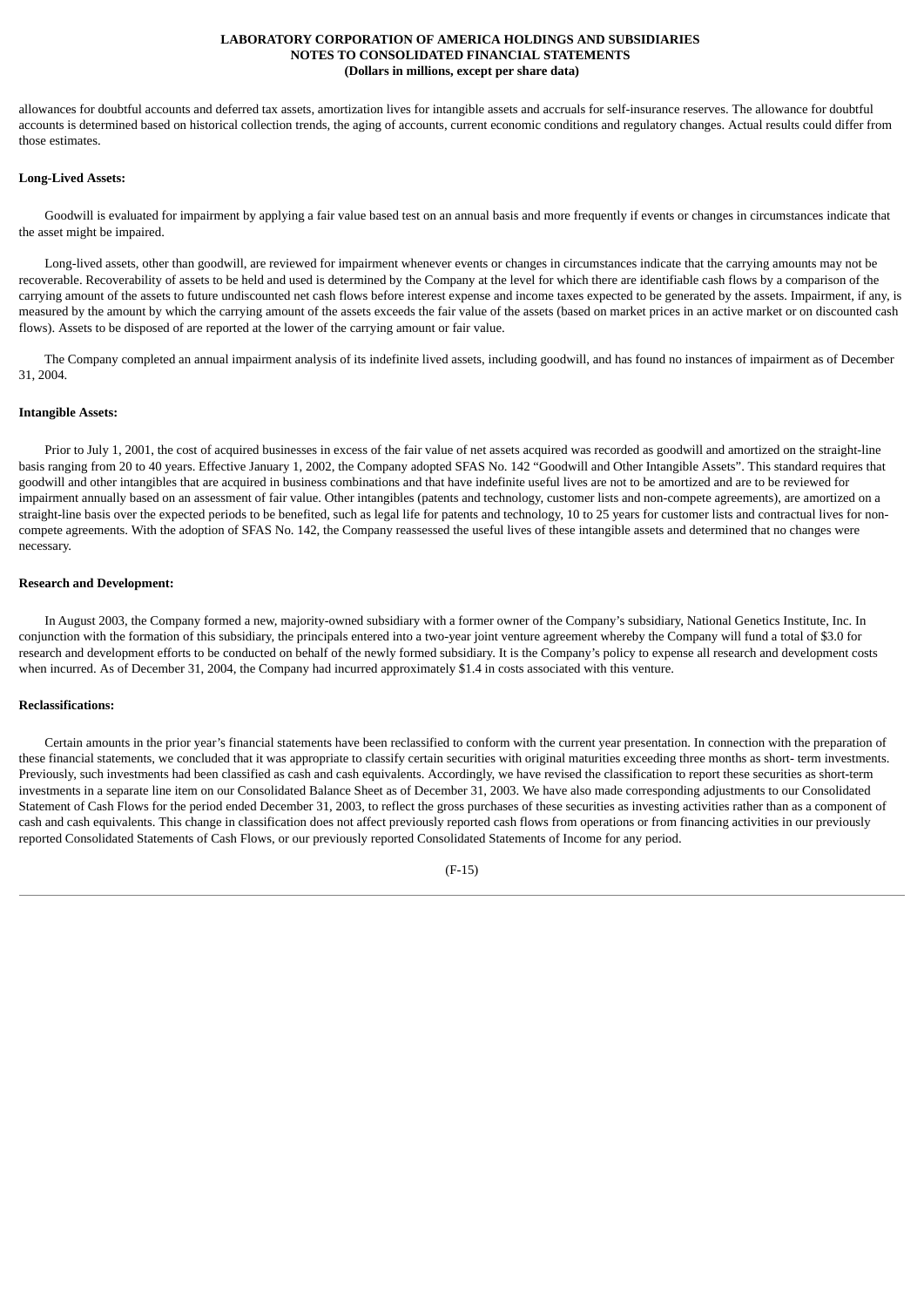allowances for doubtful accounts and deferred tax assets, amortization lives for intangible assets and accruals for self-insurance reserves. The allowance for doubtful accounts is determined based on historical collection trends, the aging of accounts, current economic conditions and regulatory changes. Actual results could differ from those estimates.

## **Long-Lived Assets:**

 Goodwill is evaluated for impairment by applying a fair value based test on an annual basis and more frequently if events or changes in circumstances indicate that the asset might be impaired.

 Long-lived assets, other than goodwill, are reviewed for impairment whenever events or changes in circumstances indicate that the carrying amounts may not be recoverable. Recoverability of assets to be held and used is determined by the Company at the level for which there are identifiable cash flows by a comparison of the carrying amount of the assets to future undiscounted net cash flows before interest expense and income taxes expected to be generated by the assets. Impairment, if any, is measured by the amount by which the carrying amount of the assets exceeds the fair value of the assets (based on market prices in an active market or on discounted cash flows). Assets to be disposed of are reported at the lower of the carrying amount or fair value.

 The Company completed an annual impairment analysis of its indefinite lived assets, including goodwill, and has found no instances of impairment as of December 31, 2004.

#### **Intangible Assets:**

 Prior to July 1, 2001, the cost of acquired businesses in excess of the fair value of net assets acquired was recorded as goodwill and amortized on the straight-line basis ranging from 20 to 40 years. Effective January 1, 2002, the Company adopted SFAS No. 142 "Goodwill and Other Intangible Assets". This standard requires that goodwill and other intangibles that are acquired in business combinations and that have indefinite useful lives are not to be amortized and are to be reviewed for impairment annually based on an assessment of fair value. Other intangibles (patents and technology, customer lists and non-compete agreements), are amortized on a straight-line basis over the expected periods to be benefited, such as legal life for patents and technology, 10 to 25 years for customer lists and contractual lives for noncompete agreements. With the adoption of SFAS No. 142, the Company reassessed the useful lives of these intangible assets and determined that no changes were necessary.

#### **Research and Development:**

 In August 2003, the Company formed a new, majority-owned subsidiary with a former owner of the Company's subsidiary, National Genetics Institute, Inc. In conjunction with the formation of this subsidiary, the principals entered into a two-year joint venture agreement whereby the Company will fund a total of \$3.0 for research and development efforts to be conducted on behalf of the newly formed subsidiary. It is the Company's policy to expense all research and development costs when incurred. As of December 31, 2004, the Company had incurred approximately \$1.4 in costs associated with this venture.

### **Reclassifications:**

 Certain amounts in the prior year's financial statements have been reclassified to conform with the current year presentation. In connection with the preparation of these financial statements, we concluded that it was appropriate to classify certain securities with original maturities exceeding three months as short- term investments. Previously, such investments had been classified as cash and cash equivalents. Accordingly, we have revised the classification to report these securities as short-term investments in a separate line item on our Consolidated Balance Sheet as of December 31, 2003. We have also made corresponding adjustments to our Consolidated Statement of Cash Flows for the period ended December 31, 2003, to reflect the gross purchases of these securities as investing activities rather than as a component of cash and cash equivalents. This change in classification does not affect previously reported cash flows from operations or from financing activities in our previously reported Consolidated Statements of Cash Flows, or our previously reported Consolidated Statements of Income for any period.

(F-15)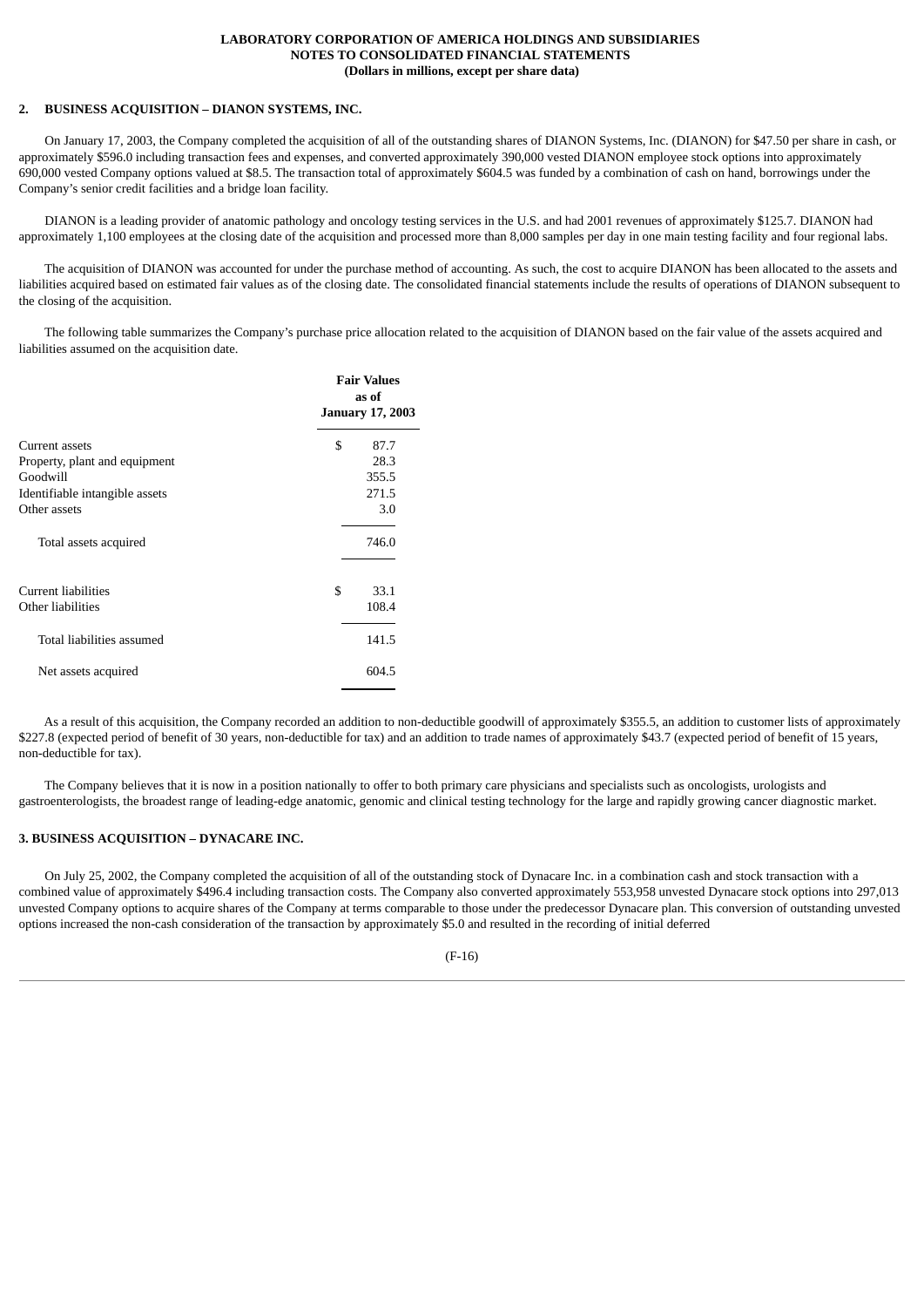# **2. BUSINESS ACQUISITION – DIANON SYSTEMS, INC.**

 On January 17, 2003, the Company completed the acquisition of all of the outstanding shares of DIANON Systems, Inc. (DIANON) for \$47.50 per share in cash, or approximately \$596.0 including transaction fees and expenses, and converted approximately 390,000 vested DIANON employee stock options into approximately 690,000 vested Company options valued at \$8.5. The transaction total of approximately \$604.5 was funded by a combination of cash on hand, borrowings under the Company's senior credit facilities and a bridge loan facility.

 DIANON is a leading provider of anatomic pathology and oncology testing services in the U.S. and had 2001 revenues of approximately \$125.7. DIANON had approximately 1,100 employees at the closing date of the acquisition and processed more than 8,000 samples per day in one main testing facility and four regional labs.

 The acquisition of DIANON was accounted for under the purchase method of accounting. As such, the cost to acquire DIANON has been allocated to the assets and liabilities acquired based on estimated fair values as of the closing date. The consolidated financial statements include the results of operations of DIANON subsequent to the closing of the acquisition.

 The following table summarizes the Company's purchase price allocation related to the acquisition of DIANON based on the fair value of the assets acquired and liabilities assumed on the acquisition date.

|                                                                                               | <b>Fair Values</b><br>as of<br><b>January 17, 2003</b> |
|-----------------------------------------------------------------------------------------------|--------------------------------------------------------|
| Current assets<br>Property, plant and equipment<br>Goodwill<br>Identifiable intangible assets | \$<br>87.7<br>28.3<br>355.5                            |
| Other assets                                                                                  | 271.5<br>3.0                                           |
| Total assets acquired                                                                         | 746.0                                                  |
| Current liabilities<br>Other liabilities                                                      | \$<br>33.1<br>108.4                                    |
| Total liabilities assumed                                                                     | 141.5                                                  |
| Net assets acquired                                                                           | 604.5                                                  |

 As a result of this acquisition, the Company recorded an addition to non-deductible goodwill of approximately \$355.5, an addition to customer lists of approximately \$227.8 (expected period of benefit of 30 years, non-deductible for tax) and an addition to trade names of approximately \$43.7 (expected period of benefit of 15 years, non-deductible for tax).

 The Company believes that it is now in a position nationally to offer to both primary care physicians and specialists such as oncologists, urologists and gastroenterologists, the broadest range of leading-edge anatomic, genomic and clinical testing technology for the large and rapidly growing cancer diagnostic market.

### **3. BUSINESS ACQUISITION – DYNACARE INC.**

 On July 25, 2002, the Company completed the acquisition of all of the outstanding stock of Dynacare Inc. in a combination cash and stock transaction with a combined value of approximately \$496.4 including transaction costs. The Company also converted approximately 553,958 unvested Dynacare stock options into 297,013 unvested Company options to acquire shares of the Company at terms comparable to those under the predecessor Dynacare plan. This conversion of outstanding unvested options increased the non-cash consideration of the transaction by approximately \$5.0 and resulted in the recording of initial deferred

$$
(F-16)
$$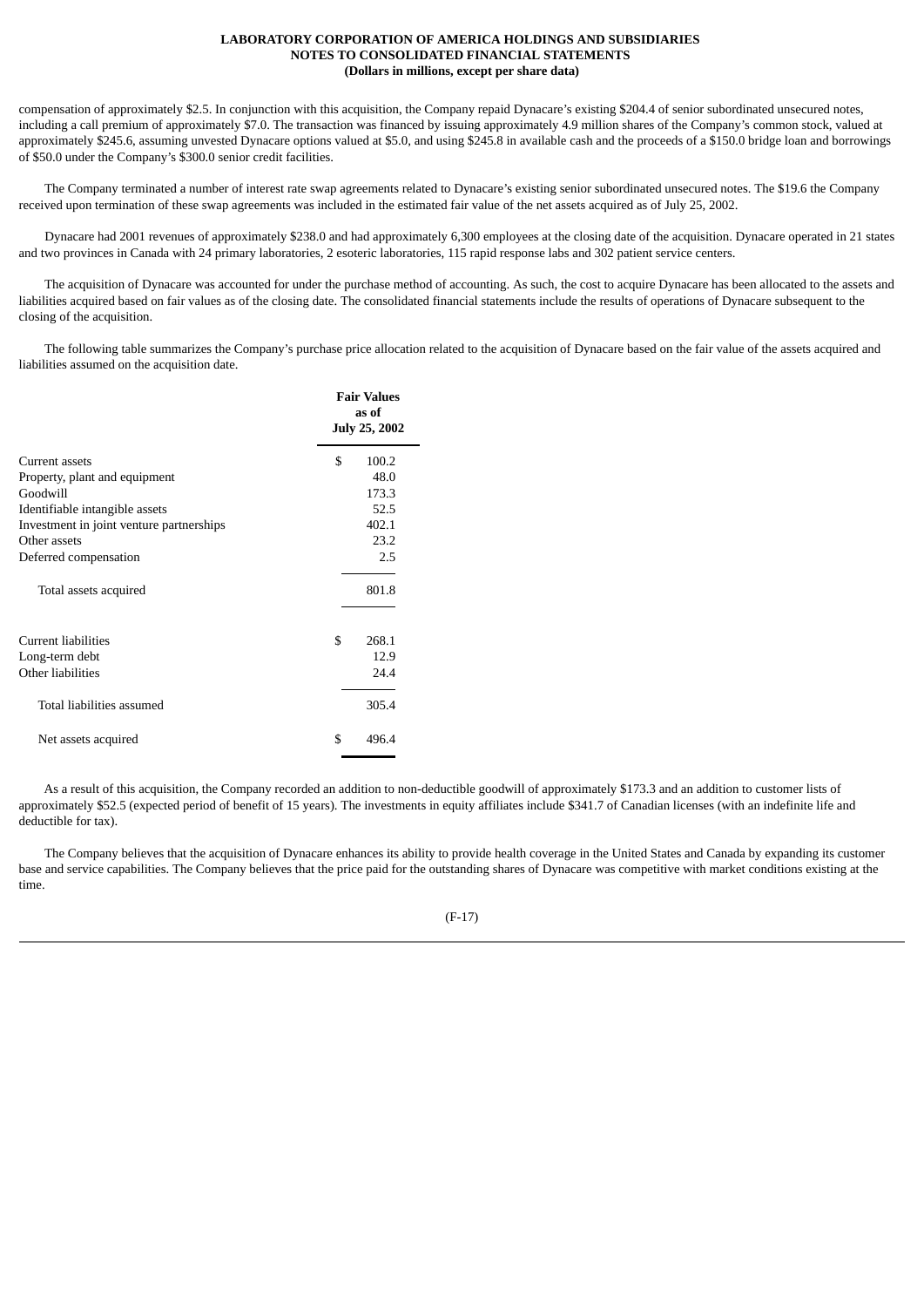compensation of approximately \$2.5. In conjunction with this acquisition, the Company repaid Dynacare's existing \$204.4 of senior subordinated unsecured notes, including a call premium of approximately \$7.0. The transaction was financed by issuing approximately 4.9 million shares of the Company's common stock, valued at approximately \$245.6, assuming unvested Dynacare options valued at \$5.0, and using \$245.8 in available cash and the proceeds of a \$150.0 bridge loan and borrowings of \$50.0 under the Company's \$300.0 senior credit facilities.

 The Company terminated a number of interest rate swap agreements related to Dynacare's existing senior subordinated unsecured notes. The \$19.6 the Company received upon termination of these swap agreements was included in the estimated fair value of the net assets acquired as of July 25, 2002.

 Dynacare had 2001 revenues of approximately \$238.0 and had approximately 6,300 employees at the closing date of the acquisition. Dynacare operated in 21 states and two provinces in Canada with 24 primary laboratories, 2 esoteric laboratories, 115 rapid response labs and 302 patient service centers.

 The acquisition of Dynacare was accounted for under the purchase method of accounting. As such, the cost to acquire Dynacare has been allocated to the assets and liabilities acquired based on fair values as of the closing date. The consolidated financial statements include the results of operations of Dynacare subsequent to the closing of the acquisition.

 The following table summarizes the Company's purchase price allocation related to the acquisition of Dynacare based on the fair value of the assets acquired and liabilities assumed on the acquisition date.

|                                                                                                                                                                                    | <b>Fair Values</b><br>as of<br><b>July 25, 2002</b> |                                                        |  |
|------------------------------------------------------------------------------------------------------------------------------------------------------------------------------------|-----------------------------------------------------|--------------------------------------------------------|--|
| Current assets<br>Property, plant and equipment<br>Goodwill<br>Identifiable intangible assets<br>Investment in joint venture partnerships<br>Other assets<br>Deferred compensation | \$                                                  | 100.2<br>48.0<br>173.3<br>52.5<br>402.1<br>23.2<br>2.5 |  |
| Total assets acquired                                                                                                                                                              |                                                     | 801.8                                                  |  |
| Current liabilities<br>Long-term debt<br>Other liabilities                                                                                                                         | \$                                                  | 268.1<br>12.9<br>24.4                                  |  |
| Total liabilities assumed                                                                                                                                                          |                                                     | 305.4                                                  |  |
| Net assets acquired                                                                                                                                                                | \$                                                  | 496.4                                                  |  |

 As a result of this acquisition, the Company recorded an addition to non-deductible goodwill of approximately \$173.3 and an addition to customer lists of approximately \$52.5 (expected period of benefit of 15 years). The investments in equity affiliates include \$341.7 of Canadian licenses (with an indefinite life and deductible for tax).

 The Company believes that the acquisition of Dynacare enhances its ability to provide health coverage in the United States and Canada by expanding its customer base and service capabilities. The Company believes that the price paid for the outstanding shares of Dynacare was competitive with market conditions existing at the time.

(F-17)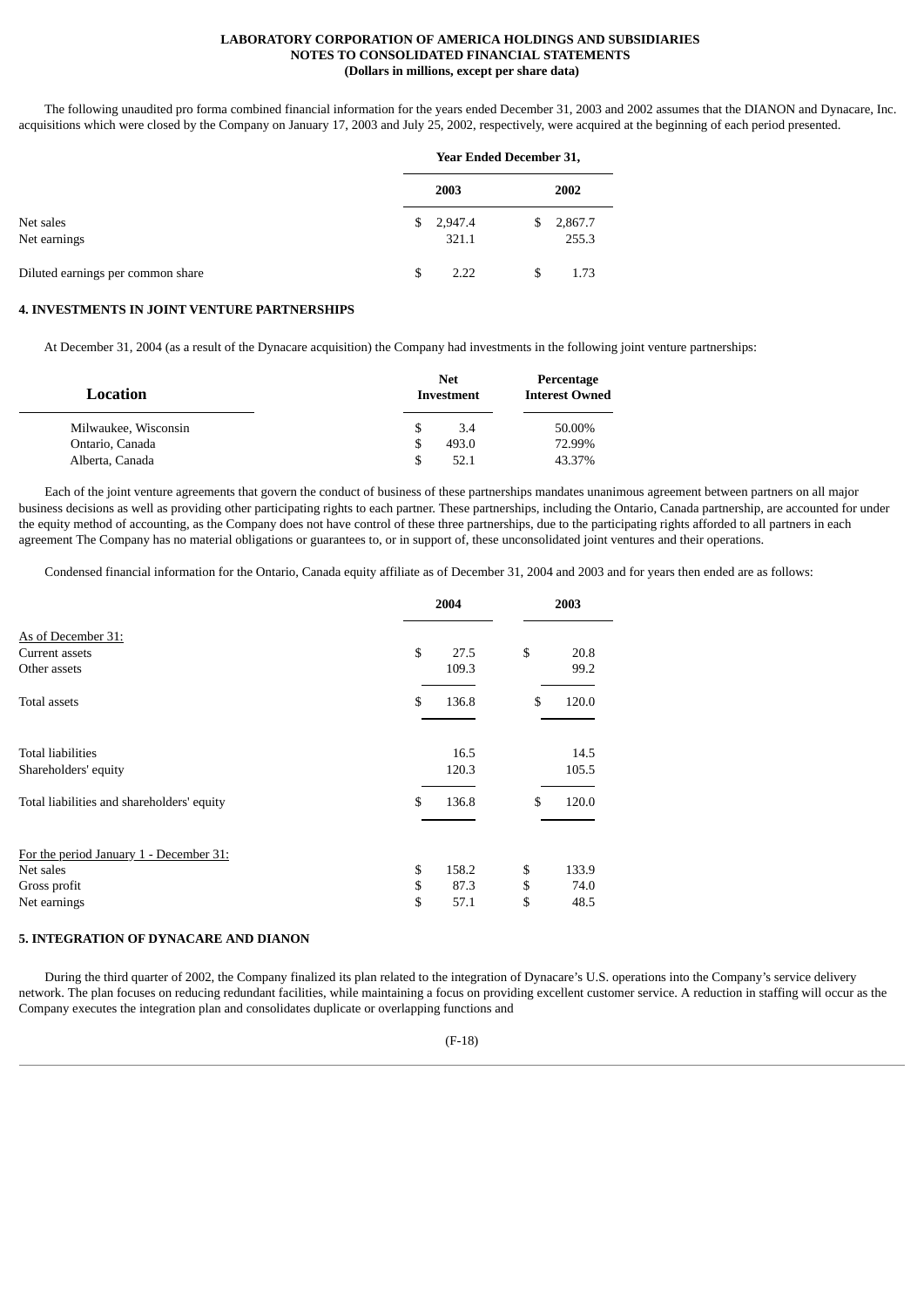The following unaudited pro forma combined financial information for the years ended December 31, 2003 and 2002 assumes that the DIANON and Dynacare, Inc. acquisitions which were closed by the Company on January 17, 2003 and July 25, 2002, respectively, were acquired at the beginning of each period presented.

|                                   | <b>Year Ended December 31,</b> |                  |    |                  |
|-----------------------------------|--------------------------------|------------------|----|------------------|
|                                   |                                | 2003             |    | 2002             |
| Net sales<br>Net earnings         | S.                             | 2,947.4<br>321.1 | \$ | 2,867.7<br>255.3 |
| Diluted earnings per common share | \$.                            | 2.22             | \$ | 1.73             |

## **4. INVESTMENTS IN JOINT VENTURE PARTNERSHIPS**

At December 31, 2004 (as a result of the Dynacare acquisition) the Company had investments in the following joint venture partnerships:

| Location             | Net<br>Investment | Percentage<br><b>Interest Owned</b> |
|----------------------|-------------------|-------------------------------------|
| Milwaukee, Wisconsin | 3.4<br>S          | 50.00%                              |
| Ontario, Canada      | 493.0<br>S        | 72.99%                              |
| Alberta, Canada      | 52.1<br>S         | 43.37%                              |

 Each of the joint venture agreements that govern the conduct of business of these partnerships mandates unanimous agreement between partners on all major business decisions as well as providing other participating rights to each partner. These partnerships, including the Ontario, Canada partnership, are accounted for under the equity method of accounting, as the Company does not have control of these three partnerships, due to the participating rights afforded to all partners in each agreement The Company has no material obligations or guarantees to, or in support of, these unconsolidated joint ventures and their operations.

Condensed financial information for the Ontario, Canada equity affiliate as of December 31, 2004 and 2003 and for years then ended are as follows:

|                                            | 2004        | 2003        |
|--------------------------------------------|-------------|-------------|
| As of December 31:                         |             |             |
| Current assets                             | \$<br>27.5  | \$<br>20.8  |
| Other assets                               | 109.3       | 99.2        |
| Total assets                               | \$<br>136.8 | \$<br>120.0 |
| <b>Total liabilities</b>                   | 16.5        | 14.5        |
| Shareholders' equity                       | 120.3       | 105.5       |
| Total liabilities and shareholders' equity | \$<br>136.8 | \$<br>120.0 |
| For the period January 1 - December 31:    |             |             |
| Net sales                                  | \$<br>158.2 | \$<br>133.9 |
| Gross profit                               | \$<br>87.3  | \$<br>74.0  |
| Net earnings                               | \$<br>57.1  | \$<br>48.5  |

# **5. INTEGRATION OF DYNACARE AND DIANON**

 During the third quarter of 2002, the Company finalized its plan related to the integration of Dynacare's U.S. operations into the Company's service delivery network. The plan focuses on reducing redundant facilities, while maintaining a focus on providing excellent customer service. A reduction in staffing will occur as the Company executes the integration plan and consolidates duplicate or overlapping functions and

(F-18)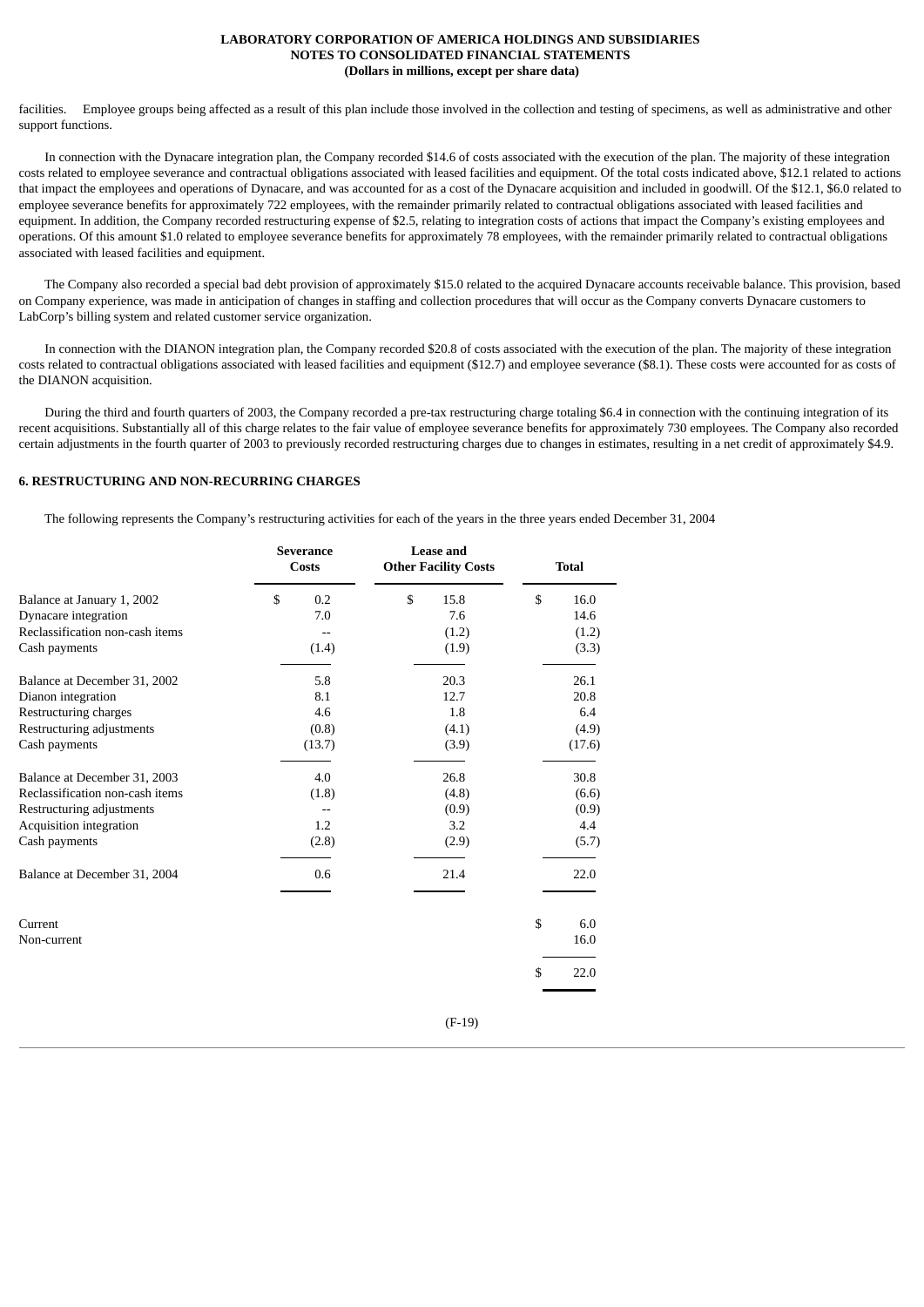facilities. Employee groups being affected as a result of this plan include those involved in the collection and testing of specimens, as well as administrative and other support functions.

 In connection with the Dynacare integration plan, the Company recorded \$14.6 of costs associated with the execution of the plan. The majority of these integration costs related to employee severance and contractual obligations associated with leased facilities and equipment. Of the total costs indicated above, \$12.1 related to actions that impact the employees and operations of Dynacare, and was accounted for as a cost of the Dynacare acquisition and included in goodwill. Of the \$12.1, \$6.0 related to employee severance benefits for approximately 722 employees, with the remainder primarily related to contractual obligations associated with leased facilities and equipment. In addition, the Company recorded restructuring expense of \$2.5, relating to integration costs of actions that impact the Company's existing employees and operations. Of this amount \$1.0 related to employee severance benefits for approximately 78 employees, with the remainder primarily related to contractual obligations associated with leased facilities and equipment.

 The Company also recorded a special bad debt provision of approximately \$15.0 related to the acquired Dynacare accounts receivable balance. This provision, based on Company experience, was made in anticipation of changes in staffing and collection procedures that will occur as the Company converts Dynacare customers to LabCorp's billing system and related customer service organization.

 In connection with the DIANON integration plan, the Company recorded \$20.8 of costs associated with the execution of the plan. The majority of these integration costs related to contractual obligations associated with leased facilities and equipment (\$12.7) and employee severance (\$8.1). These costs were accounted for as costs of the DIANON acquisition.

 During the third and fourth quarters of 2003, the Company recorded a pre-tax restructuring charge totaling \$6.4 in connection with the continuing integration of its recent acquisitions. Substantially all of this charge relates to the fair value of employee severance benefits for approximately 730 employees. The Company also recorded certain adjustments in the fourth quarter of 2003 to previously recorded restructuring charges due to changes in estimates, resulting in a net credit of approximately \$4.9.

## **6. RESTRUCTURING AND NON-RECURRING CHARGES**

The following represents the Company's restructuring activities for each of the years in the three years ended December 31, 2004

|                                 | <b>Severance</b><br><b>Costs</b> | <b>Lease and</b><br><b>Other Facility Costs</b> | <b>Total</b> |
|---------------------------------|----------------------------------|-------------------------------------------------|--------------|
| Balance at January 1, 2002      | \$<br>0.2                        | \$<br>15.8                                      | \$<br>16.0   |
| Dynacare integration            | 7.0                              | 7.6                                             | 14.6         |
| Reclassification non-cash items |                                  | (1.2)                                           | (1.2)        |
| Cash payments                   | (1.4)                            | (1.9)                                           | (3.3)        |
| Balance at December 31, 2002    | 5.8                              | 20.3                                            | 26.1         |
| Dianon integration              | 8.1                              | 12.7                                            | 20.8         |
| Restructuring charges           | 4.6                              | 1.8                                             | 6.4          |
| Restructuring adjustments       | (0.8)                            | (4.1)                                           | (4.9)        |
| Cash payments                   | (13.7)                           | (3.9)                                           | (17.6)       |
| Balance at December 31, 2003    | 4.0                              | 26.8                                            | 30.8         |
| Reclassification non-cash items | (1.8)                            | (4.8)                                           | (6.6)        |
| Restructuring adjustments       |                                  | (0.9)                                           | (0.9)        |
| Acquisition integration         | 1.2                              | 3.2                                             | 4.4          |
| Cash payments                   | (2.8)                            | (2.9)                                           | (5.7)        |
| Balance at December 31, 2004    | 0.6                              | 21.4                                            | 22.0         |
| Current                         |                                  |                                                 | \$<br>6.0    |
| Non-current                     |                                  |                                                 | 16.0         |
|                                 |                                  |                                                 | \$<br>22.0   |
|                                 |                                  |                                                 |              |

(F-19)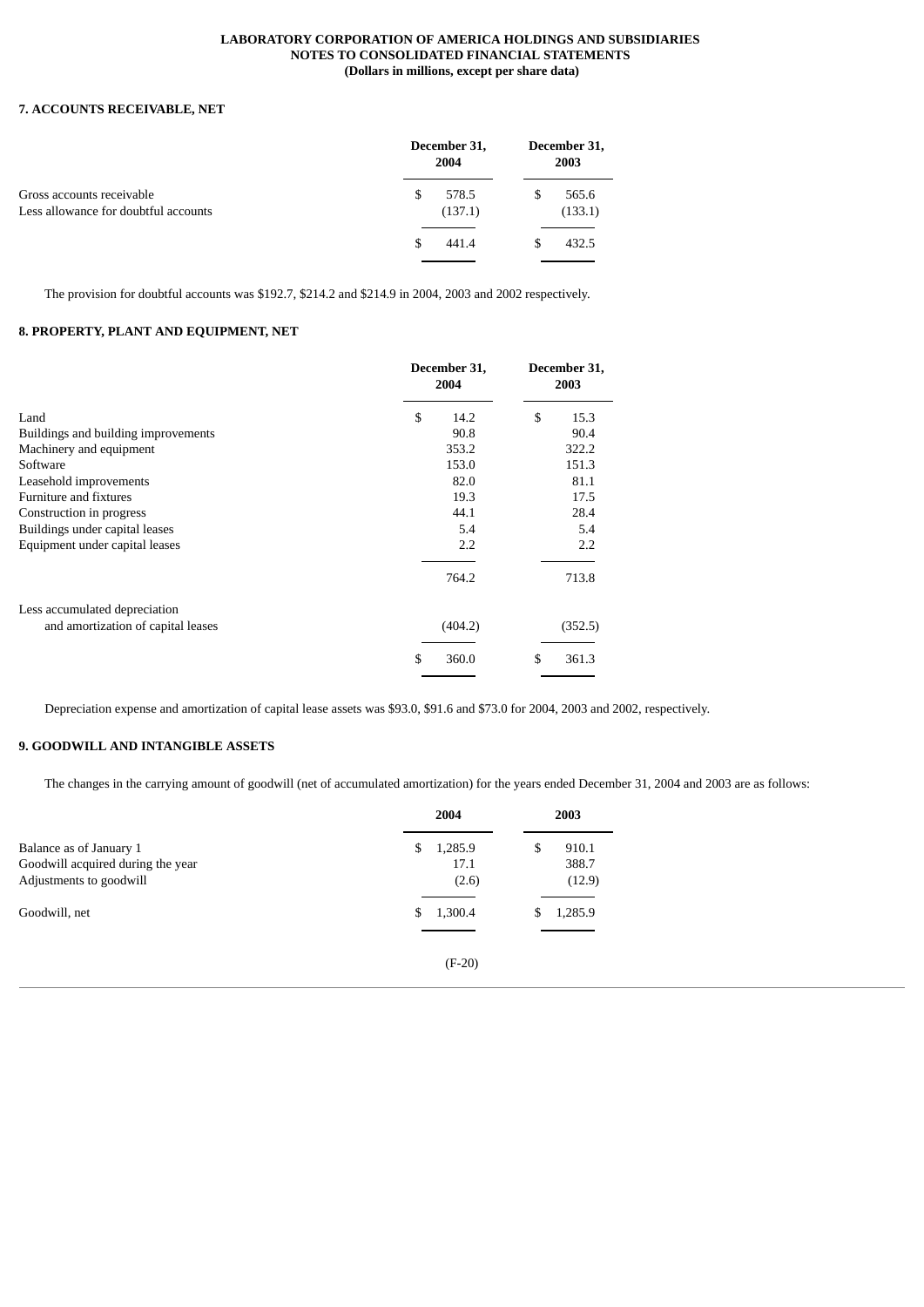# **7. ACCOUNTS RECEIVABLE, NET**

|                                                                   | December 31,<br>2004  | December 31,<br>2003  |
|-------------------------------------------------------------------|-----------------------|-----------------------|
| Gross accounts receivable<br>Less allowance for doubtful accounts | S<br>578.5<br>(137.1) | 565.6<br>S<br>(133.1) |
|                                                                   | S<br>441.4            | 432.5                 |

The provision for doubtful accounts was \$192.7, \$214.2 and \$214.9 in 2004, 2003 and 2002 respectively.

# **8. PROPERTY, PLANT AND EQUIPMENT, NET**

|                                     | December 31,<br>2004 | December 31,<br>2003 |
|-------------------------------------|----------------------|----------------------|
| Land                                | \$<br>14.2           | \$<br>15.3           |
| Buildings and building improvements | 90.8                 | 90.4                 |
| Machinery and equipment             | 353.2                | 322.2                |
| Software                            | 153.0                | 151.3                |
| Leasehold improvements              | 82.0                 | 81.1                 |
| Furniture and fixtures              | 19.3                 | 17.5                 |
| Construction in progress            | 44.1                 | 28.4                 |
| Buildings under capital leases      | 5.4                  | 5.4                  |
| Equipment under capital leases      | 2.2                  | 2.2                  |
|                                     | 764.2                | 713.8                |
| Less accumulated depreciation       |                      |                      |
| and amortization of capital leases  | (404.2)              | (352.5)              |
|                                     | \$<br>360.0          | \$<br>361.3          |
|                                     |                      |                      |

Depreciation expense and amortization of capital lease assets was \$93.0, \$91.6 and \$73.0 for 2004, 2003 and 2002, respectively.

# **9. GOODWILL AND INTANGIBLE ASSETS**

The changes in the carrying amount of goodwill (net of accumulated amortization) for the years ended December 31, 2004 and 2003 are as follows:

|                                                                                         | 2004                           | 2003                           |
|-----------------------------------------------------------------------------------------|--------------------------------|--------------------------------|
| Balance as of January 1<br>Goodwill acquired during the year<br>Adjustments to goodwill | 1,285.9<br>\$<br>17.1<br>(2.6) | \$<br>910.1<br>388.7<br>(12.9) |
| Goodwill, net                                                                           | 1,300.4<br>\$                  | 1,285.9<br>S                   |
|                                                                                         | $(F-20)$                       |                                |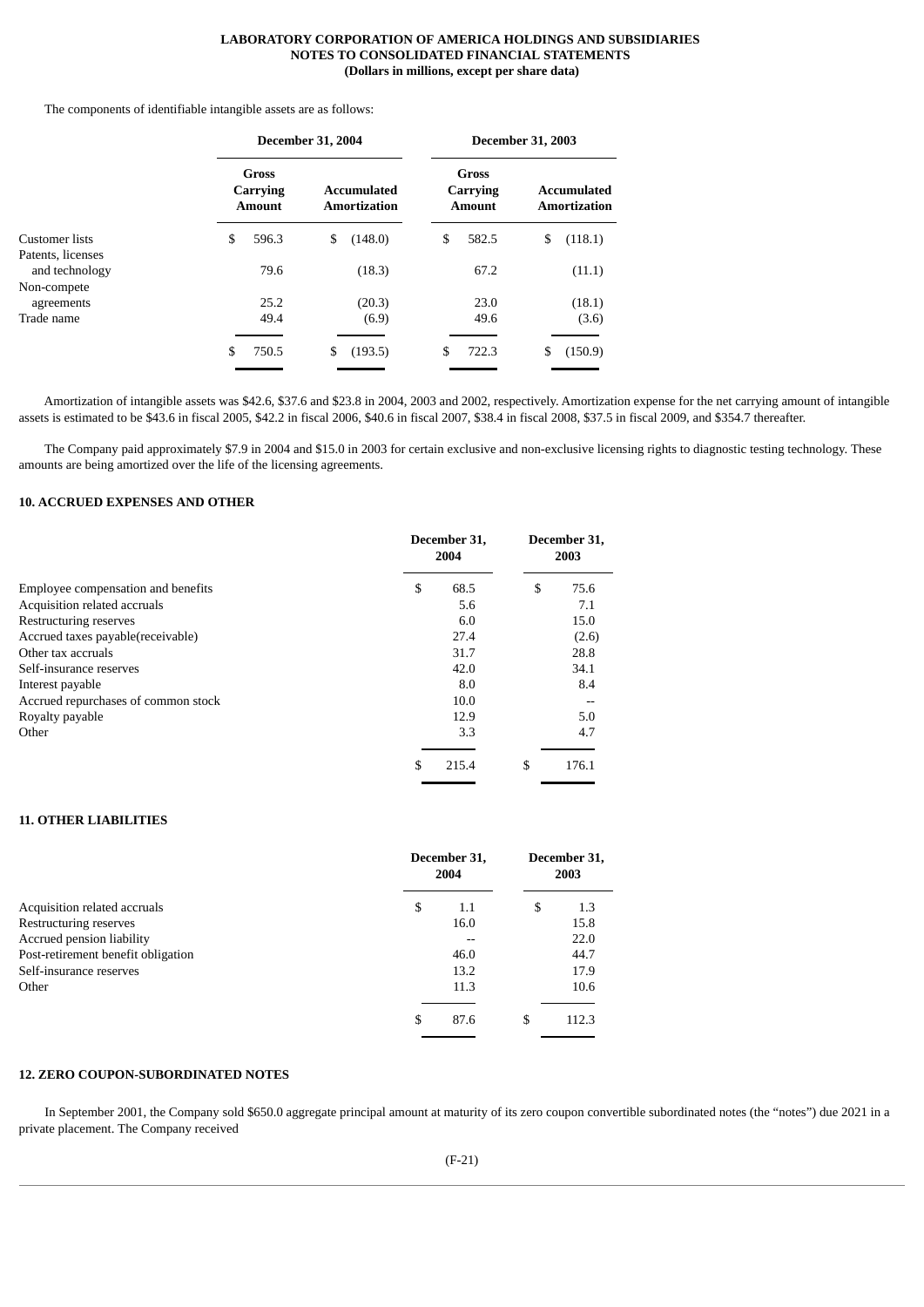The components of identifiable intangible assets are as follows:

|                   |                                    | <b>December 31, 2004</b>           | <b>December 31, 2003</b>           |                                           |  |
|-------------------|------------------------------------|------------------------------------|------------------------------------|-------------------------------------------|--|
|                   | Gross<br>Carrying<br><b>Amount</b> | Accumulated<br><b>Amortization</b> | Gross<br>Carrying<br><b>Amount</b> | <b>Accumulated</b><br><b>Amortization</b> |  |
| Customer lists    | \$<br>596.3                        | \$<br>(148.0)                      | \$<br>582.5                        | \$<br>(118.1)                             |  |
| Patents, licenses |                                    |                                    |                                    |                                           |  |
| and technology    | 79.6                               | (18.3)                             | 67.2                               | (11.1)                                    |  |
| Non-compete       |                                    |                                    |                                    |                                           |  |
| agreements        | 25.2                               | (20.3)                             | 23.0                               | (18.1)                                    |  |
| Trade name        | 49.4                               | (6.9)                              | 49.6                               | (3.6)                                     |  |
|                   |                                    |                                    |                                    |                                           |  |
|                   | \$<br>750.5                        | (193.5)<br>S                       | 722.3<br>S                         | \$<br>(150.9)                             |  |

 Amortization of intangible assets was \$42.6, \$37.6 and \$23.8 in 2004, 2003 and 2002, respectively. Amortization expense for the net carrying amount of intangible assets is estimated to be \$43.6 in fiscal 2005, \$42.2 in fiscal 2006, \$40.6 in fiscal 2007, \$38.4 in fiscal 2008, \$37.5 in fiscal 2009, and \$354.7 thereafter.

 The Company paid approximately \$7.9 in 2004 and \$15.0 in 2003 for certain exclusive and non-exclusive licensing rights to diagnostic testing technology. These amounts are being amortized over the life of the licensing agreements.

# **10. ACCRUED EXPENSES AND OTHER**

|                                     | December 31,<br>2004 | December 31,<br>2003 |
|-------------------------------------|----------------------|----------------------|
| Employee compensation and benefits  | \$<br>68.5           | \$<br>75.6           |
| Acquisition related accruals        | 5.6                  | 7.1                  |
| Restructuring reserves              | 6.0                  | 15.0                 |
| Accrued taxes payable(receivable)   | 27.4                 | (2.6)                |
| Other tax accruals                  | 31.7                 | 28.8                 |
| Self-insurance reserves             | 42.0                 | 34.1                 |
| Interest payable                    | 8.0                  | 8.4                  |
| Accrued repurchases of common stock | 10.0                 |                      |
| Royalty payable                     | 12.9                 | 5.0                  |
| Other                               | 3.3                  | 4.7                  |
|                                     | \$<br>215.4          | \$<br>176.1          |

# **11. OTHER LIABILITIES**

|                                    | December 31,<br>2004 | December 31,<br>2003 |
|------------------------------------|----------------------|----------------------|
| Acquisition related accruals       | \$<br>1.1            | \$<br>1.3            |
| Restructuring reserves             | 16.0                 | 15.8                 |
| Accrued pension liability          | --                   | 22.0                 |
| Post-retirement benefit obligation | 46.0                 | 44.7                 |
| Self-insurance reserves            | 13.2                 | 17.9                 |
| Other                              | 11.3                 | 10.6                 |
|                                    | \$<br>87.6           | \$<br>112.3          |
|                                    |                      |                      |

# **12. ZERO COUPON-SUBORDINATED NOTES**

 In September 2001, the Company sold \$650.0 aggregate principal amount at maturity of its zero coupon convertible subordinated notes (the "notes") due 2021 in a private placement. The Company received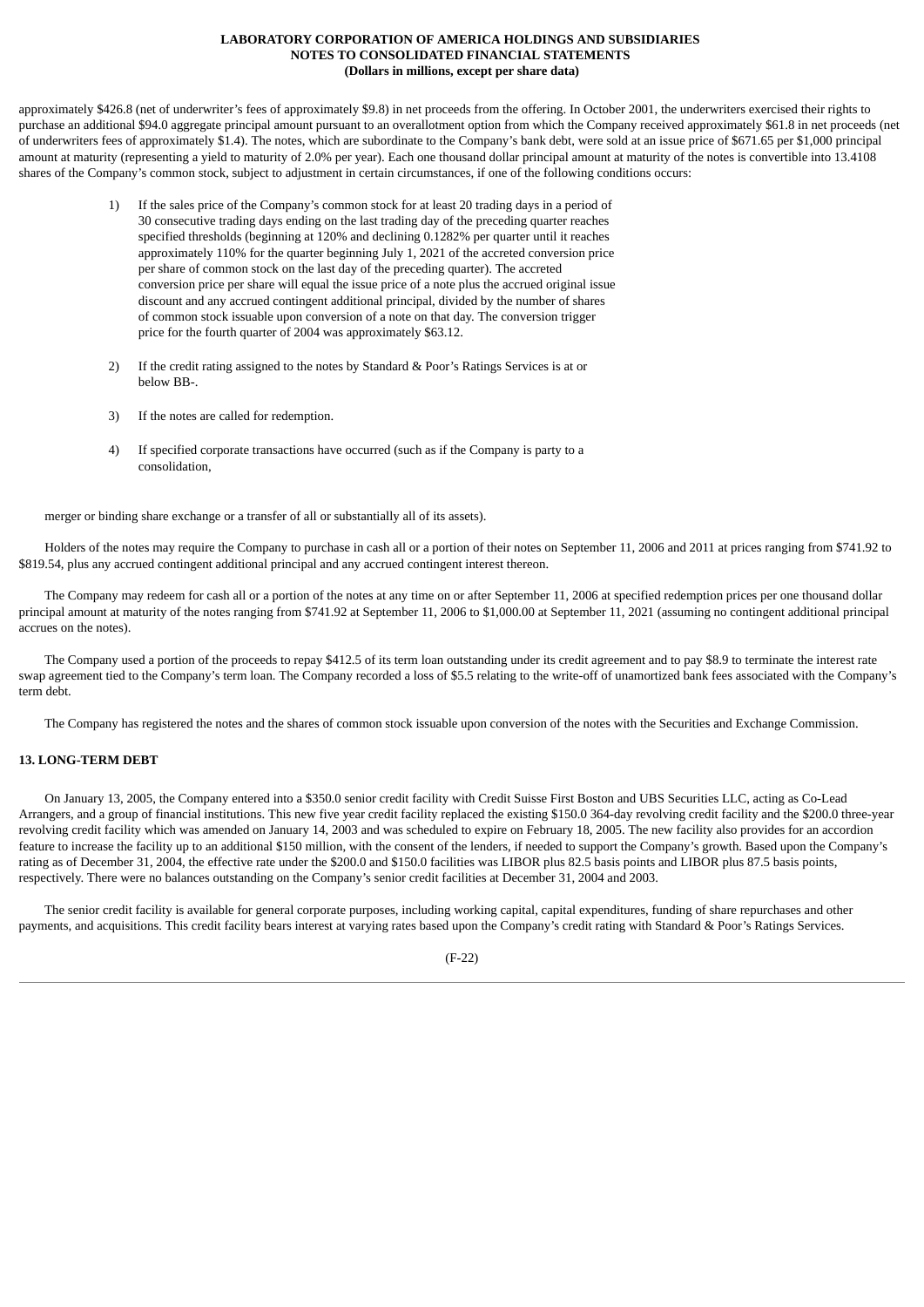approximately \$426.8 (net of underwriter's fees of approximately \$9.8) in net proceeds from the offering. In October 2001, the underwriters exercised their rights to purchase an additional \$94.0 aggregate principal amount pursuant to an overallotment option from which the Company received approximately \$61.8 in net proceeds (net of underwriters fees of approximately \$1.4). The notes, which are subordinate to the Company's bank debt, were sold at an issue price of \$671.65 per \$1,000 principal amount at maturity (representing a yield to maturity of 2.0% per year). Each one thousand dollar principal amount at maturity of the notes is convertible into 13.4108 shares of the Company's common stock, subject to adjustment in certain circumstances, if one of the following conditions occurs:

- 1) If the sales price of the Company's common stock for at least 20 trading days in a period of 30 consecutive trading days ending on the last trading day of the preceding quarter reaches specified thresholds (beginning at 120% and declining 0.1282% per quarter until it reaches approximately 110% for the quarter beginning July 1, 2021 of the accreted conversion price per share of common stock on the last day of the preceding quarter). The accreted conversion price per share will equal the issue price of a note plus the accrued original issue discount and any accrued contingent additional principal, divided by the number of shares of common stock issuable upon conversion of a note on that day. The conversion trigger price for the fourth quarter of 2004 was approximately \$63.12.
- 2) If the credit rating assigned to the notes by Standard & Poor's Ratings Services is at or below BB-.
- 3) If the notes are called for redemption.
- 4) If specified corporate transactions have occurred (such as if the Company is party to a consolidation,

merger or binding share exchange or a transfer of all or substantially all of its assets).

 Holders of the notes may require the Company to purchase in cash all or a portion of their notes on September 11, 2006 and 2011 at prices ranging from \$741.92 to \$819.54, plus any accrued contingent additional principal and any accrued contingent interest thereon.

 The Company may redeem for cash all or a portion of the notes at any time on or after September 11, 2006 at specified redemption prices per one thousand dollar principal amount at maturity of the notes ranging from \$741.92 at September 11, 2006 to \$1,000.00 at September 11, 2021 (assuming no contingent additional principal accrues on the notes).

 The Company used a portion of the proceeds to repay \$412.5 of its term loan outstanding under its credit agreement and to pay \$8.9 to terminate the interest rate swap agreement tied to the Company's term loan. The Company recorded a loss of \$5.5 relating to the write-off of unamortized bank fees associated with the Company's term debt.

The Company has registered the notes and the shares of common stock issuable upon conversion of the notes with the Securities and Exchange Commission.

### **13. LONG-TERM DEBT**

 On January 13, 2005, the Company entered into a \$350.0 senior credit facility with Credit Suisse First Boston and UBS Securities LLC, acting as Co-Lead Arrangers, and a group of financial institutions. This new five year credit facility replaced the existing \$150.0 364-day revolving credit facility and the \$200.0 three-year revolving credit facility which was amended on January 14, 2003 and was scheduled to expire on February 18, 2005. The new facility also provides for an accordion feature to increase the facility up to an additional \$150 million, with the consent of the lenders, if needed to support the Company's growth. Based upon the Company's rating as of December 31, 2004, the effective rate under the \$200.0 and \$150.0 facilities was LIBOR plus 82.5 basis points and LIBOR plus 87.5 basis points, respectively. There were no balances outstanding on the Company's senior credit facilities at December 31, 2004 and 2003.

 The senior credit facility is available for general corporate purposes, including working capital, capital expenditures, funding of share repurchases and other payments, and acquisitions. This credit facility bears interest at varying rates based upon the Company's credit rating with Standard & Poor's Ratings Services.

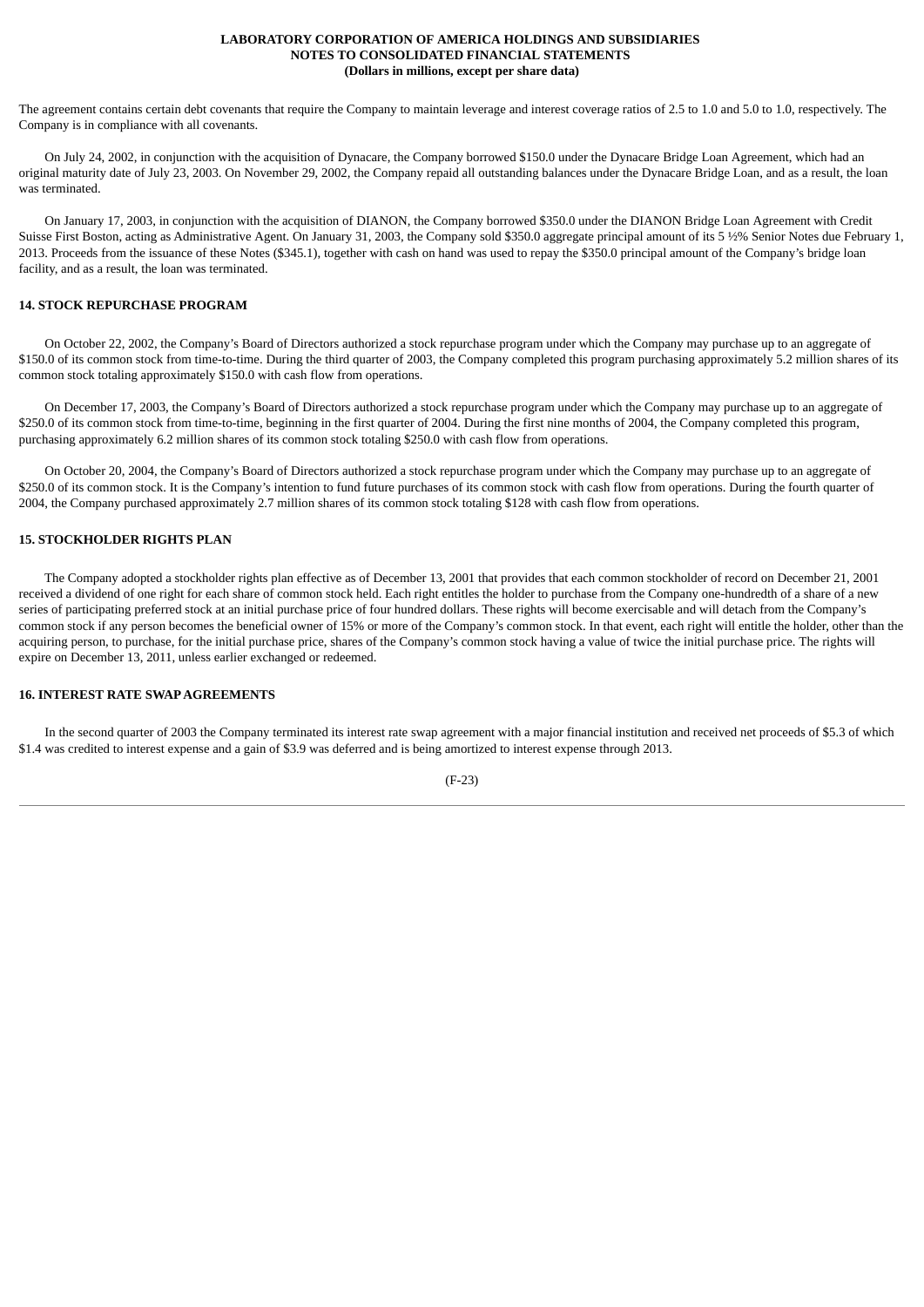The agreement contains certain debt covenants that require the Company to maintain leverage and interest coverage ratios of 2.5 to 1.0 and 5.0 to 1.0, respectively. The Company is in compliance with all covenants.

 On July 24, 2002, in conjunction with the acquisition of Dynacare, the Company borrowed \$150.0 under the Dynacare Bridge Loan Agreement, which had an original maturity date of July 23, 2003. On November 29, 2002, the Company repaid all outstanding balances under the Dynacare Bridge Loan, and as a result, the loan was terminated.

 On January 17, 2003, in conjunction with the acquisition of DIANON, the Company borrowed \$350.0 under the DIANON Bridge Loan Agreement with Credit Suisse First Boston, acting as Administrative Agent. On January 31, 2003, the Company sold \$350.0 aggregate principal amount of its 5 ½% Senior Notes due February 1, 2013. Proceeds from the issuance of these Notes (\$345.1), together with cash on hand was used to repay the \$350.0 principal amount of the Company's bridge loan facility, and as a result, the loan was terminated.

## **14. STOCK REPURCHASE PROGRAM**

 On October 22, 2002, the Company's Board of Directors authorized a stock repurchase program under which the Company may purchase up to an aggregate of \$150.0 of its common stock from time-to-time. During the third quarter of 2003, the Company completed this program purchasing approximately 5.2 million shares of its common stock totaling approximately \$150.0 with cash flow from operations.

 On December 17, 2003, the Company's Board of Directors authorized a stock repurchase program under which the Company may purchase up to an aggregate of \$250.0 of its common stock from time-to-time, beginning in the first quarter of 2004. During the first nine months of 2004, the Company completed this program, purchasing approximately 6.2 million shares of its common stock totaling \$250.0 with cash flow from operations.

 On October 20, 2004, the Company's Board of Directors authorized a stock repurchase program under which the Company may purchase up to an aggregate of \$250.0 of its common stock. It is the Company's intention to fund future purchases of its common stock with cash flow from operations. During the fourth quarter of 2004, the Company purchased approximately 2.7 million shares of its common stock totaling \$128 with cash flow from operations.

#### **15. STOCKHOLDER RIGHTS PLAN**

 The Company adopted a stockholder rights plan effective as of December 13, 2001 that provides that each common stockholder of record on December 21, 2001 received a dividend of one right for each share of common stock held. Each right entitles the holder to purchase from the Company one-hundredth of a share of a new series of participating preferred stock at an initial purchase price of four hundred dollars. These rights will become exercisable and will detach from the Company's common stock if any person becomes the beneficial owner of 15% or more of the Company's common stock. In that event, each right will entitle the holder, other than the acquiring person, to purchase, for the initial purchase price, shares of the Company's common stock having a value of twice the initial purchase price. The rights will expire on December 13, 2011, unless earlier exchanged or redeemed.

#### **16. INTEREST RATE SWAPAGREEMENTS**

 In the second quarter of 2003 the Company terminated its interest rate swap agreement with a major financial institution and received net proceeds of \$5.3 of which \$1.4 was credited to interest expense and a gain of \$3.9 was deferred and is being amortized to interest expense through 2013.

$$
(F-23)
$$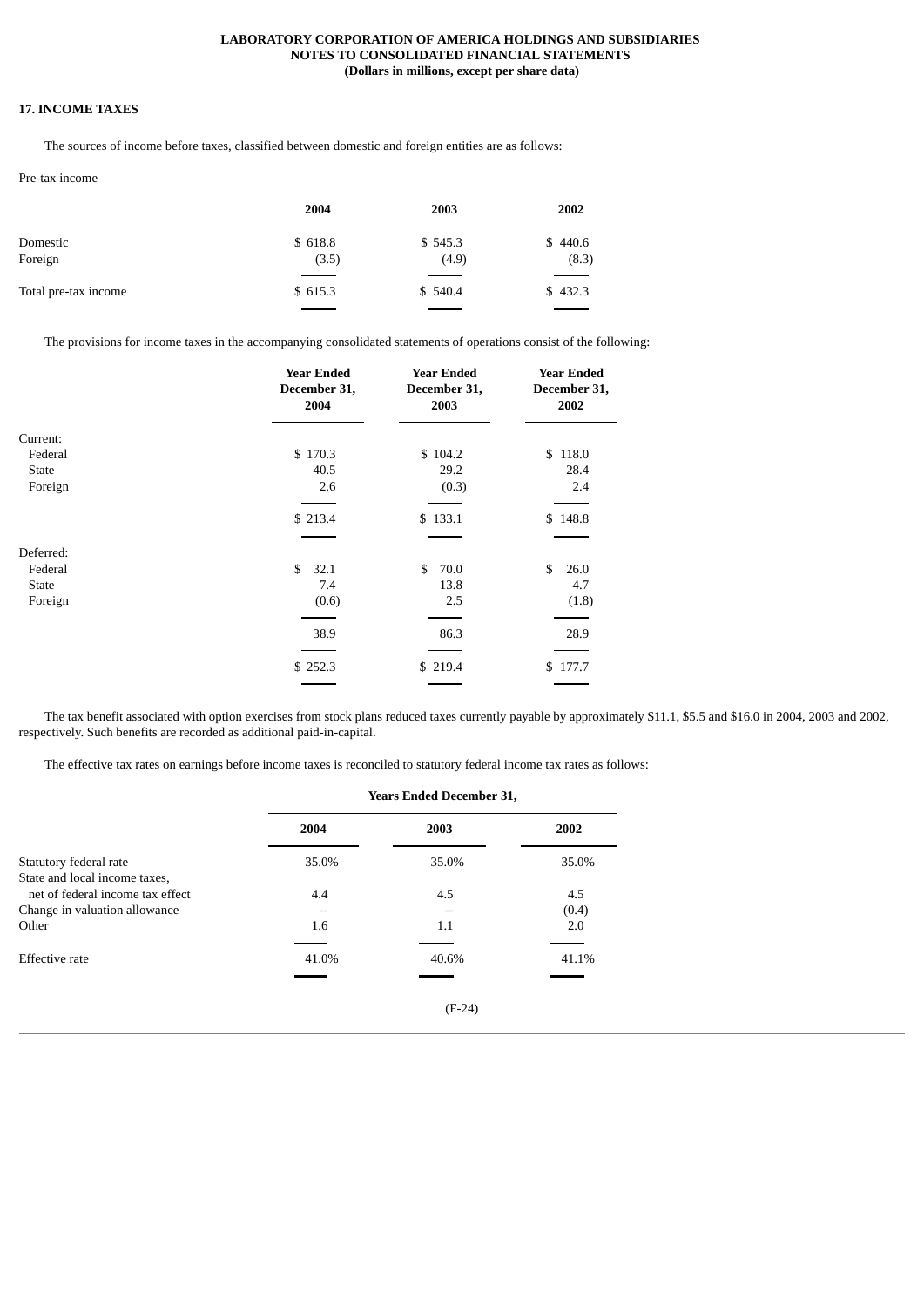# **17. INCOME TAXES**

The sources of income before taxes, classified between domestic and foreign entities are as follows:

Pre-tax income

|                      | 2004             | 2003             | 2002             |
|----------------------|------------------|------------------|------------------|
| Domestic<br>Foreign  | \$618.8<br>(3.5) | \$545.3<br>(4.9) | \$440.6<br>(8.3) |
| Total pre-tax income | \$615.3          | \$540.4          | \$432.3          |
|                      |                  |                  |                  |

The provisions for income taxes in the accompanying consolidated statements of operations consist of the following:

|              | <b>Year Ended</b><br>December 31,<br>2004 | <b>Year Ended</b><br>December 31,<br>2003 | <b>Year Ended</b><br>December 31,<br>2002 |
|--------------|-------------------------------------------|-------------------------------------------|-------------------------------------------|
| Current:     |                                           |                                           |                                           |
| Federal      | \$170.3                                   | \$104.2                                   | \$118.0                                   |
| <b>State</b> | 40.5                                      | 29.2                                      | 28.4                                      |
| Foreign      | 2.6                                       | (0.3)                                     | 2.4                                       |
|              | \$213.4                                   | \$133.1                                   | \$148.8                                   |
| Deferred:    |                                           |                                           |                                           |
| Federal      | \$<br>32.1                                | \$<br>70.0                                | \$<br>26.0                                |
| <b>State</b> | 7.4                                       | 13.8                                      | 4.7                                       |
| Foreign      | (0.6)                                     | 2.5                                       | (1.8)                                     |
|              | 38.9                                      | 86.3                                      | 28.9                                      |
|              |                                           |                                           |                                           |
|              | \$252.3                                   | \$219.4                                   | \$177.7                                   |

 The tax benefit associated with option exercises from stock plans reduced taxes currently payable by approximately \$11.1, \$5.5 and \$16.0 in 2004, 2003 and 2002, respectively. Such benefits are recorded as additional paid-in-capital.

The effective tax rates on earnings before income taxes is reconciled to statutory federal income tax rates as follows:

|                                                         | <b>Years Ended December 31,</b> |          |       |
|---------------------------------------------------------|---------------------------------|----------|-------|
|                                                         | 2004                            | 2003     | 2002  |
| Statutory federal rate<br>State and local income taxes, | 35.0%                           | 35.0%    | 35.0% |
| net of federal income tax effect                        | 4.4                             | 4.5      | 4.5   |
| Change in valuation allowance                           |                                 |          | (0.4) |
| Other                                                   | 1.6                             | 1.1      | 2.0   |
| Effective rate                                          | 41.0%                           | 40.6%    | 41.1% |
|                                                         |                                 |          |       |
|                                                         |                                 | $(F-24)$ |       |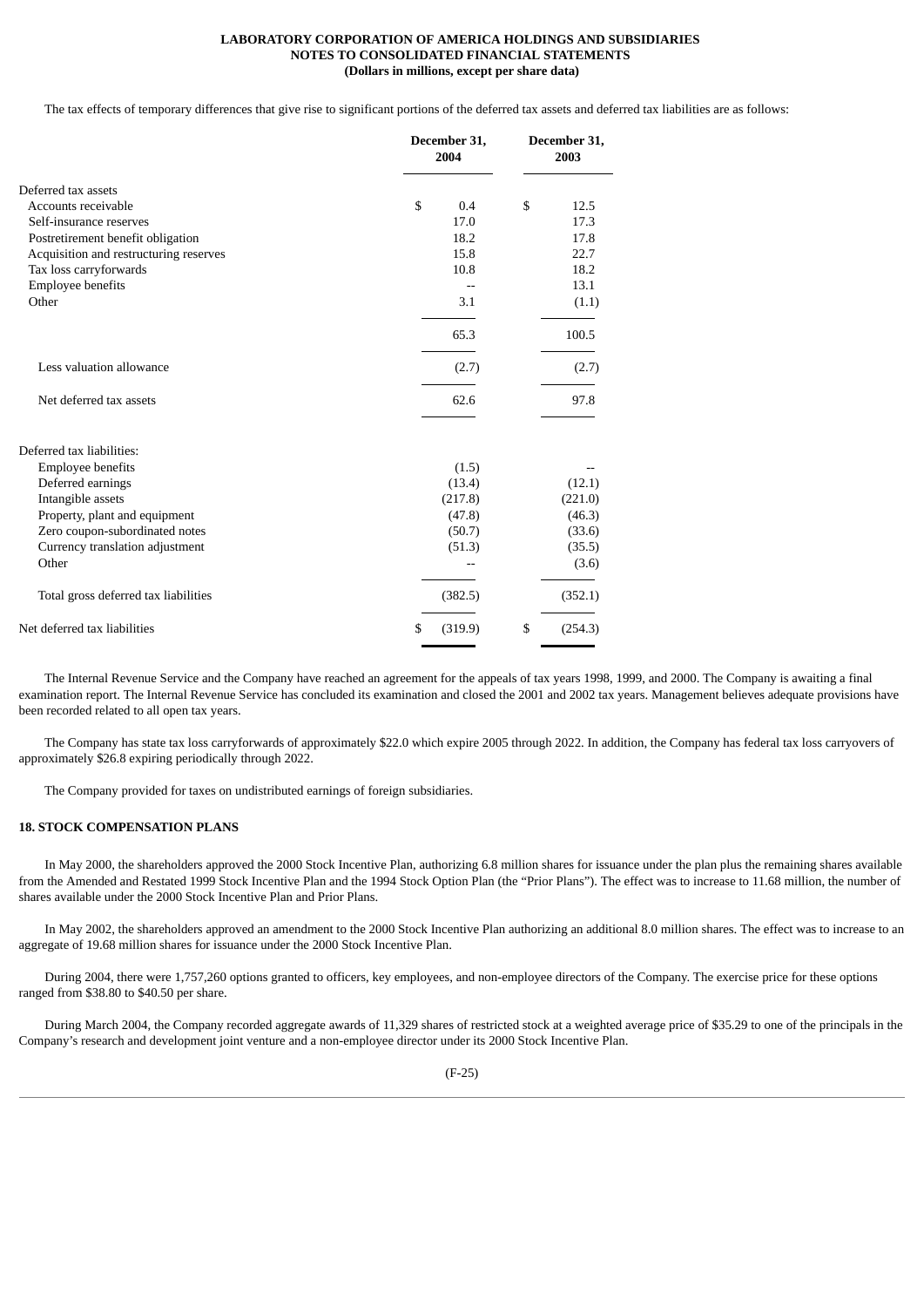The tax effects of temporary differences that give rise to significant portions of the deferred tax assets and deferred tax liabilities are as follows:

|                                        | December 31,<br>2004 |           | December 31,<br>2003 |
|----------------------------------------|----------------------|-----------|----------------------|
| Deferred tax assets                    |                      |           |                      |
| Accounts receivable                    | \$                   | \$<br>0.4 | 12.5                 |
| Self-insurance reserves                | 17.0                 |           | 17.3                 |
| Postretirement benefit obligation      | 18.2                 |           | 17.8                 |
| Acquisition and restructuring reserves | 15.8                 |           | 22.7                 |
| Tax loss carryforwards                 | 10.8                 |           | 18.2                 |
| <b>Employee benefits</b>               |                      |           | 13.1                 |
| Other                                  |                      | 3.1       | (1.1)                |
|                                        | 65.3                 |           | 100.5                |
| Less valuation allowance               |                      | (2.7)     | (2.7)                |
| Net deferred tax assets                | 62.6                 |           | 97.8                 |
| Deferred tax liabilities:              |                      |           |                      |
| <b>Employee benefits</b>               |                      | (1.5)     |                      |
| Deferred earnings                      | (13.4)               |           | (12.1)               |
| Intangible assets                      | (217.8)              |           | (221.0)              |
| Property, plant and equipment          | (47.8)               |           | (46.3)               |
| Zero coupon-subordinated notes         | (50.7)               |           | (33.6)               |
| Currency translation adjustment        | (51.3)               |           | (35.5)               |
| Other                                  |                      |           | (3.6)                |
| Total gross deferred tax liabilities   | (382.5)              |           | (352.1)              |
| Net deferred tax liabilities           | \$<br>(319.9)        | \$        | (254.3)              |

 The Internal Revenue Service and the Company have reached an agreement for the appeals of tax years 1998, 1999, and 2000. The Company is awaiting a final examination report. The Internal Revenue Service has concluded its examination and closed the 2001 and 2002 tax years. Management believes adequate provisions have been recorded related to all open tax years.

 The Company has state tax loss carryforwards of approximately \$22.0 which expire 2005 through 2022. In addition, the Company has federal tax loss carryovers of approximately \$26.8 expiring periodically through 2022.

The Company provided for taxes on undistributed earnings of foreign subsidiaries.

## **18. STOCK COMPENSATION PLANS**

 In May 2000, the shareholders approved the 2000 Stock Incentive Plan, authorizing 6.8 million shares for issuance under the plan plus the remaining shares available from the Amended and Restated 1999 Stock Incentive Plan and the 1994 Stock Option Plan (the "Prior Plans"). The effect was to increase to 11.68 million, the number of shares available under the 2000 Stock Incentive Plan and Prior Plans.

 In May 2002, the shareholders approved an amendment to the 2000 Stock Incentive Plan authorizing an additional 8.0 million shares. The effect was to increase to an aggregate of 19.68 million shares for issuance under the 2000 Stock Incentive Plan.

 During 2004, there were 1,757,260 options granted to officers, key employees, and non-employee directors of the Company. The exercise price for these options ranged from \$38.80 to \$40.50 per share.

 During March 2004, the Company recorded aggregate awards of 11,329 shares of restricted stock at a weighted average price of \$35.29 to one of the principals in the Company's research and development joint venture and a non-employee director under its 2000 Stock Incentive Plan.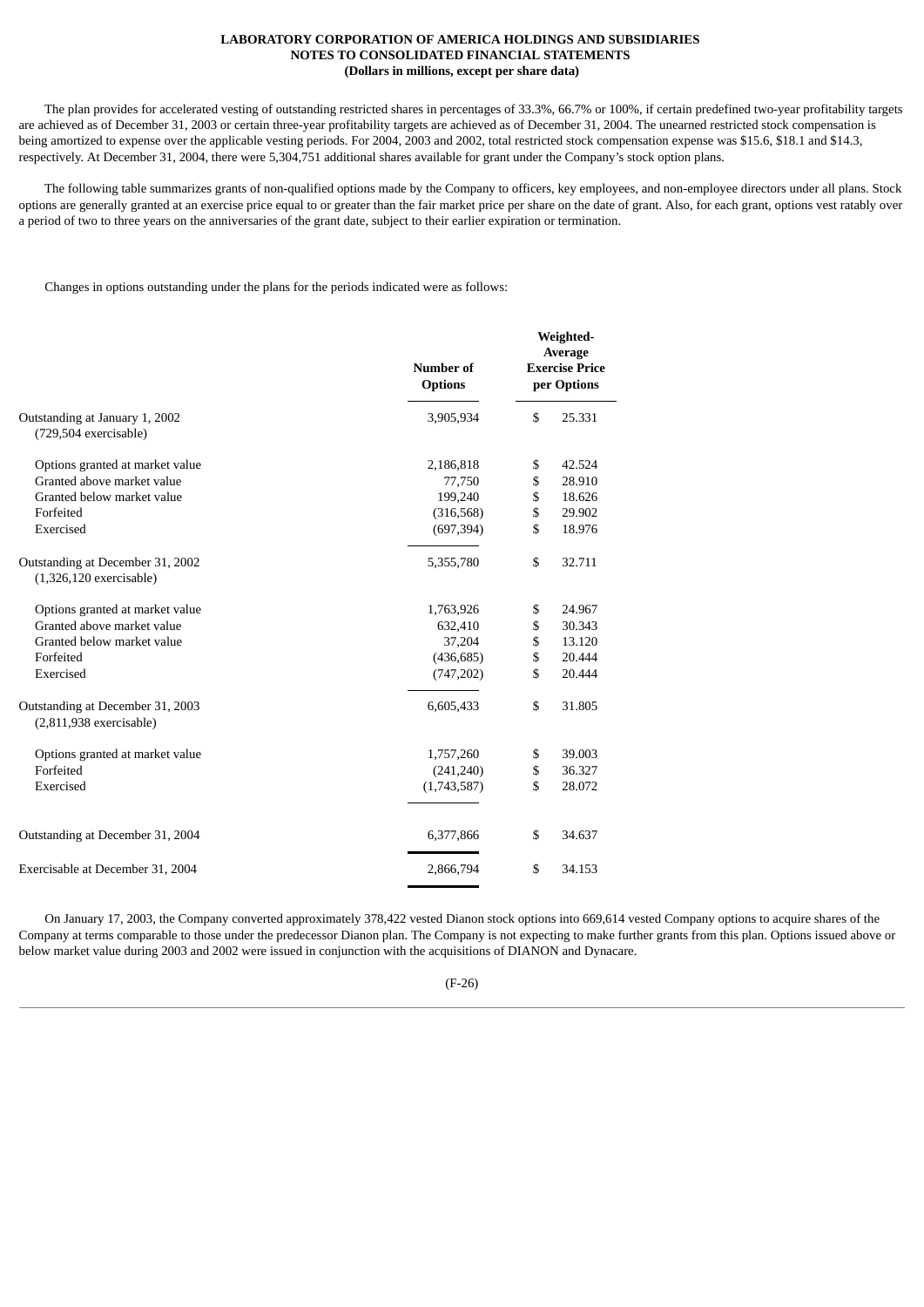The plan provides for accelerated vesting of outstanding restricted shares in percentages of 33.3%, 66.7% or 100%, if certain predefined two-year profitability targets are achieved as of December 31, 2003 or certain three-year profitability targets are achieved as of December 31, 2004. The unearned restricted stock compensation is being amortized to expense over the applicable vesting periods. For 2004, 2003 and 2002, total restricted stock compensation expense was \$15.6, \$18.1 and \$14.3, respectively. At December 31, 2004, there were 5,304,751 additional shares available for grant under the Company's stock option plans.

 The following table summarizes grants of non-qualified options made by the Company to officers, key employees, and non-employee directors under all plans. Stock options are generally granted at an exercise price equal to or greater than the fair market price per share on the date of grant. Also, for each grant, options vest ratably over a period of two to three years on the anniversaries of the grant date, subject to their earlier expiration or termination.

Changes in options outstanding under the plans for the periods indicated were as follows:

|                                                               | Number of<br><b>Options</b><br>3,905,934 |    | Weighted-<br>Average<br><b>Exercise Price</b><br>per Options |  |  |
|---------------------------------------------------------------|------------------------------------------|----|--------------------------------------------------------------|--|--|
| Outstanding at January 1, 2002<br>(729,504 exercisable)       |                                          |    | 25.331                                                       |  |  |
| Options granted at market value                               | 2,186,818                                | \$ | 42.524                                                       |  |  |
| Granted above market value                                    | 77,750                                   | \$ | 28.910                                                       |  |  |
| Granted below market value                                    | 199,240                                  | \$ | 18.626                                                       |  |  |
| Forfeited                                                     | (316, 568)                               | \$ | 29.902                                                       |  |  |
| Exercised                                                     | (697, 394)                               | \$ | 18.976                                                       |  |  |
| Outstanding at December 31, 2002<br>$(1,326,120$ exercisable) | 5,355,780                                | \$ | 32.711                                                       |  |  |
| Options granted at market value                               | 1,763,926                                | \$ | 24.967                                                       |  |  |
| Granted above market value                                    | 632,410                                  | \$ | 30.343                                                       |  |  |
| Granted below market value                                    | 37,204                                   | \$ | 13.120                                                       |  |  |
| Forfeited                                                     | (436, 685)                               | \$ | 20.444                                                       |  |  |
| Exercised                                                     | (747, 202)                               | \$ | 20.444                                                       |  |  |
| Outstanding at December 31, 2003<br>$(2,811,938$ exercisable) | 6,605,433                                | \$ | 31.805                                                       |  |  |
| Options granted at market value                               | 1,757,260                                | \$ | 39.003                                                       |  |  |
| Forfeited                                                     | (241, 240)                               | \$ | 36.327                                                       |  |  |
| Exercised                                                     | (1,743,587)                              | \$ | 28.072                                                       |  |  |
| Outstanding at December 31, 2004                              | 6,377,866                                | \$ | 34.637                                                       |  |  |
| Exercisable at December 31, 2004                              | 2,866,794                                | \$ | 34.153                                                       |  |  |

 On January 17, 2003, the Company converted approximately 378,422 vested Dianon stock options into 669,614 vested Company options to acquire shares of the Company at terms comparable to those under the predecessor Dianon plan. The Company is not expecting to make further grants from this plan. Options issued above or below market value during 2003 and 2002 were issued in conjunction with the acquisitions of DIANON and Dynacare.

(F-26)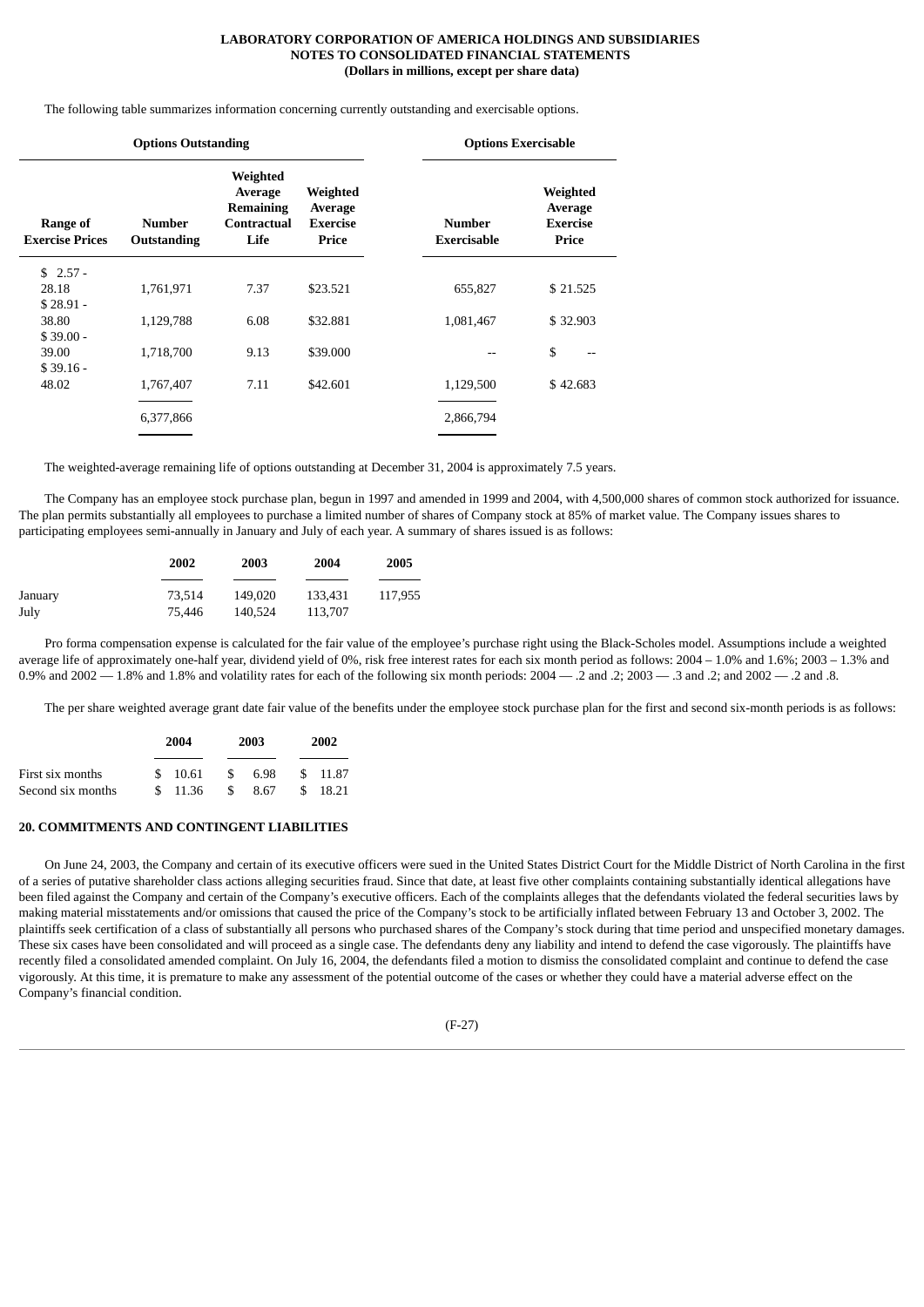The following table summarizes information concerning currently outstanding and exercisable options.

|                                           | <b>Options Outstanding</b>          |                                                                       |                                                 | <b>Options Exercisable</b>          |                                                 |
|-------------------------------------------|-------------------------------------|-----------------------------------------------------------------------|-------------------------------------------------|-------------------------------------|-------------------------------------------------|
| <b>Range of</b><br><b>Exercise Prices</b> | <b>Number</b><br><b>Outstanding</b> | Weighted<br>Average<br><b>Remaining</b><br><b>Contractual</b><br>Life | Weighted<br>Average<br><b>Exercise</b><br>Price | <b>Number</b><br><b>Exercisable</b> | Weighted<br>Average<br><b>Exercise</b><br>Price |
| $$2.57$ -                                 |                                     |                                                                       |                                                 |                                     |                                                 |
| 28.18                                     | 1,761,971                           | 7.37                                                                  | \$23.521                                        | 655,827                             | \$21.525                                        |
| $$28.91 -$                                |                                     |                                                                       |                                                 |                                     |                                                 |
| 38.80                                     | 1,129,788                           | 6.08                                                                  | \$32.881                                        | 1,081,467                           | \$32.903                                        |
| $$39.00 -$                                |                                     |                                                                       |                                                 |                                     |                                                 |
| 39.00                                     | 1,718,700                           | 9.13                                                                  | \$39,000                                        |                                     | \$                                              |
| $$39.16-$                                 |                                     |                                                                       |                                                 |                                     |                                                 |
| 48.02                                     | 1,767,407                           | 7.11                                                                  | \$42.601                                        | 1,129,500                           | \$42.683                                        |
|                                           |                                     |                                                                       |                                                 |                                     |                                                 |
|                                           | 6,377,866                           |                                                                       |                                                 | 2,866,794                           |                                                 |
|                                           |                                     |                                                                       |                                                 |                                     |                                                 |

The weighted-average remaining life of options outstanding at December 31, 2004 is approximately 7.5 years.

 The Company has an employee stock purchase plan, begun in 1997 and amended in 1999 and 2004, with 4,500,000 shares of common stock authorized for issuance. The plan permits substantially all employees to purchase a limited number of shares of Company stock at 85% of market value. The Company issues shares to participating employees semi-annually in January and July of each year. A summary of shares issued is as follows:

|         | 2002   | 2003    | 2004    | 2005    |
|---------|--------|---------|---------|---------|
| January | 73.514 | 149,020 | 133.431 | 117.955 |
| July    | 75.446 | 140.524 | 113,707 |         |

 Pro forma compensation expense is calculated for the fair value of the employee's purchase right using the Black-Scholes model. Assumptions include a weighted average life of approximately one-half year, dividend yield of 0%, risk free interest rates for each six month period as follows: 2004 – 1.0% and 1.6%; 2003 – 1.3% and  $0.9\%$  and  $2002 - 1.8\%$  and  $1.8\%$  and volatility rates for each of the following six month periods:  $2004 - 0.2$  and  $.2$ ;  $2003 - 0.3$  and  $.2$ ; and  $2002 - 0.2$  and  $.8$ .

The per share weighted average grant date fair value of the benefits under the employee stock purchase plan for the first and second six-month periods is as follows:

|                   | 2004 |         | 2003 |      | 2002 |          |
|-------------------|------|---------|------|------|------|----------|
| First six months  |      | \$10.61 | - S  | 6.98 |      | \$ 11.87 |
| Second six months |      | \$11.36 | -SS  | 8.67 | S.   | - 18.21  |

### **20. COMMITMENTS AND CONTINGENT LIABILITIES**

 On June 24, 2003, the Company and certain of its executive officers were sued in the United States District Court for the Middle District of North Carolina in the first of a series of putative shareholder class actions alleging securities fraud. Since that date, at least five other complaints containing substantially identical allegations have been filed against the Company and certain of the Company's executive officers. Each of the complaints alleges that the defendants violated the federal securities laws by making material misstatements and/or omissions that caused the price of the Company's stock to be artificially inflated between February 13 and October 3, 2002. The plaintiffs seek certification of a class of substantially all persons who purchased shares of the Company's stock during that time period and unspecified monetary damages. These six cases have been consolidated and will proceed as a single case. The defendants deny any liability and intend to defend the case vigorously. The plaintiffs have recently filed a consolidated amended complaint. On July 16, 2004, the defendants filed a motion to dismiss the consolidated complaint and continue to defend the case vigorously. At this time, it is premature to make any assessment of the potential outcome of the cases or whether they could have a material adverse effect on the Company's financial condition.

(F-27)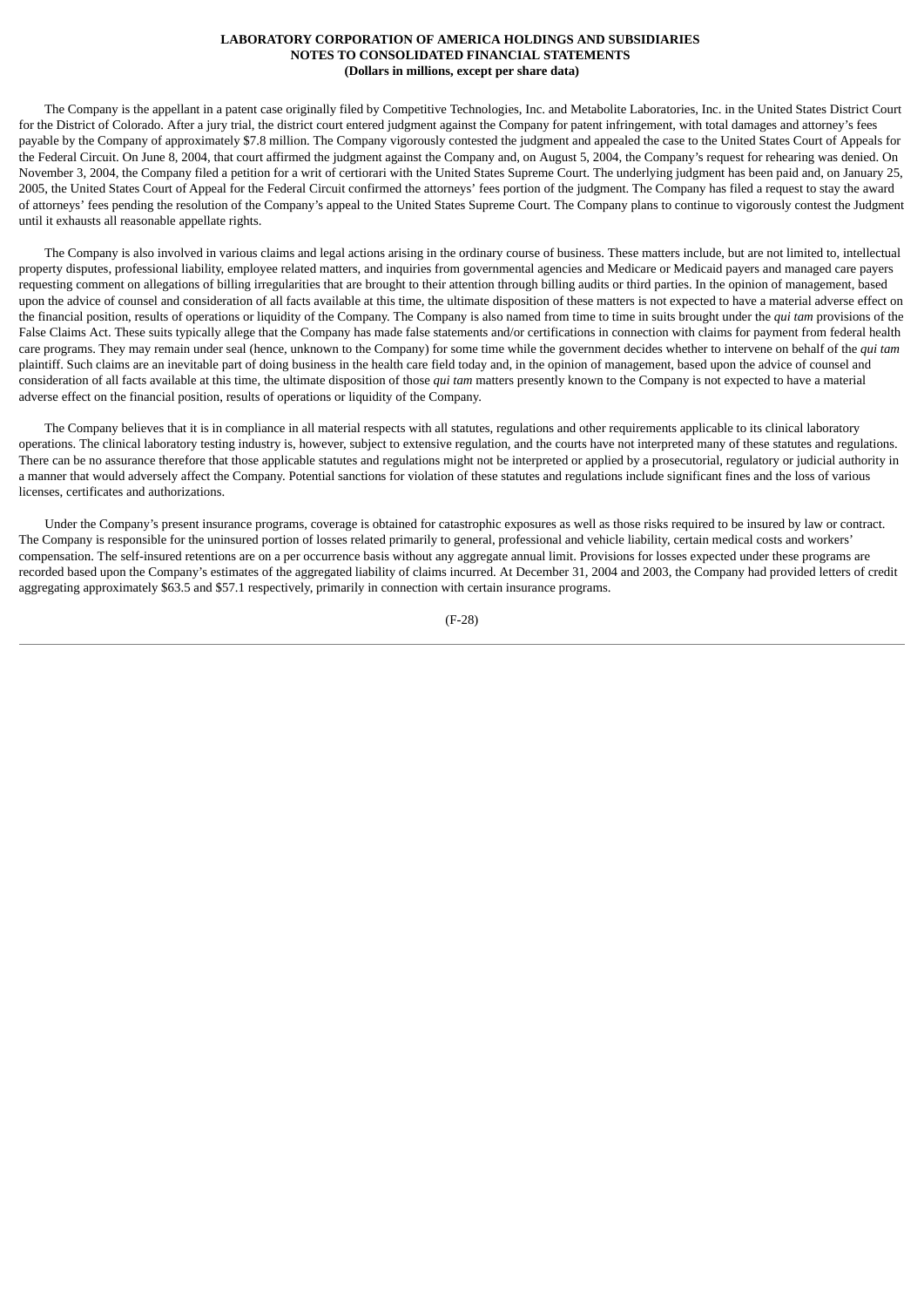The Company is the appellant in a patent case originally filed by Competitive Technologies, Inc. and Metabolite Laboratories, Inc. in the United States District Court for the District of Colorado. After a jury trial, the district court entered judgment against the Company for patent infringement, with total damages and attorney's fees payable by the Company of approximately \$7.8 million. The Company vigorously contested the judgment and appealed the case to the United States Court of Appeals for the Federal Circuit. On June 8, 2004, that court affirmed the judgment against the Company and, on August 5, 2004, the Company's request for rehearing was denied. On November 3, 2004, the Company filed a petition for a writ of certiorari with the United States Supreme Court. The underlying judgment has been paid and, on January 25, 2005, the United States Court of Appeal for the Federal Circuit confirmed the attorneys' fees portion of the judgment. The Company has filed a request to stay the award of attorneys' fees pending the resolution of the Company's appeal to the United States Supreme Court. The Company plans to continue to vigorously contest the Judgment until it exhausts all reasonable appellate rights.

 The Company is also involved in various claims and legal actions arising in the ordinary course of business. These matters include, but are not limited to, intellectual property disputes, professional liability, employee related matters, and inquiries from governmental agencies and Medicare or Medicaid payers and managed care payers requesting comment on allegations of billing irregularities that are brought to their attention through billing audits or third parties. In the opinion of management, based upon the advice of counsel and consideration of all facts available at this time, the ultimate disposition of these matters is not expected to have a material adverse effect on the financial position, results of operations or liquidity of the Company. The Company is also named from time to time in suits brought under the *qui tam* provisions of the False Claims Act. These suits typically allege that the Company has made false statements and/or certifications in connection with claims for payment from federal health care programs. They may remain under seal (hence, unknown to the Company) for some time while the government decides whether to intervene on behalf of the *qui tam* plaintiff. Such claims are an inevitable part of doing business in the health care field today and, in the opinion of management, based upon the advice of counsel and consideration of all facts available at this time, the ultimate disposition of those *qui tam* matters presently known to the Company is not expected to have a material adverse effect on the financial position, results of operations or liquidity of the Company.

 The Company believes that it is in compliance in all material respects with all statutes, regulations and other requirements applicable to its clinical laboratory operations. The clinical laboratory testing industry is, however, subject to extensive regulation, and the courts have not interpreted many of these statutes and regulations. There can be no assurance therefore that those applicable statutes and regulations might not be interpreted or applied by a prosecutorial, regulatory or judicial authority in a manner that would adversely affect the Company. Potential sanctions for violation of these statutes and regulations include significant fines and the loss of various licenses, certificates and authorizations.

 Under the Company's present insurance programs, coverage is obtained for catastrophic exposures as well as those risks required to be insured by law or contract. The Company is responsible for the uninsured portion of losses related primarily to general, professional and vehicle liability, certain medical costs and workers' compensation. The self-insured retentions are on a per occurrence basis without any aggregate annual limit. Provisions for losses expected under these programs are recorded based upon the Company's estimates of the aggregated liability of claims incurred. At December 31, 2004 and 2003, the Company had provided letters of credit aggregating approximately \$63.5 and \$57.1 respectively, primarily in connection with certain insurance programs.

$$
(F-28)
$$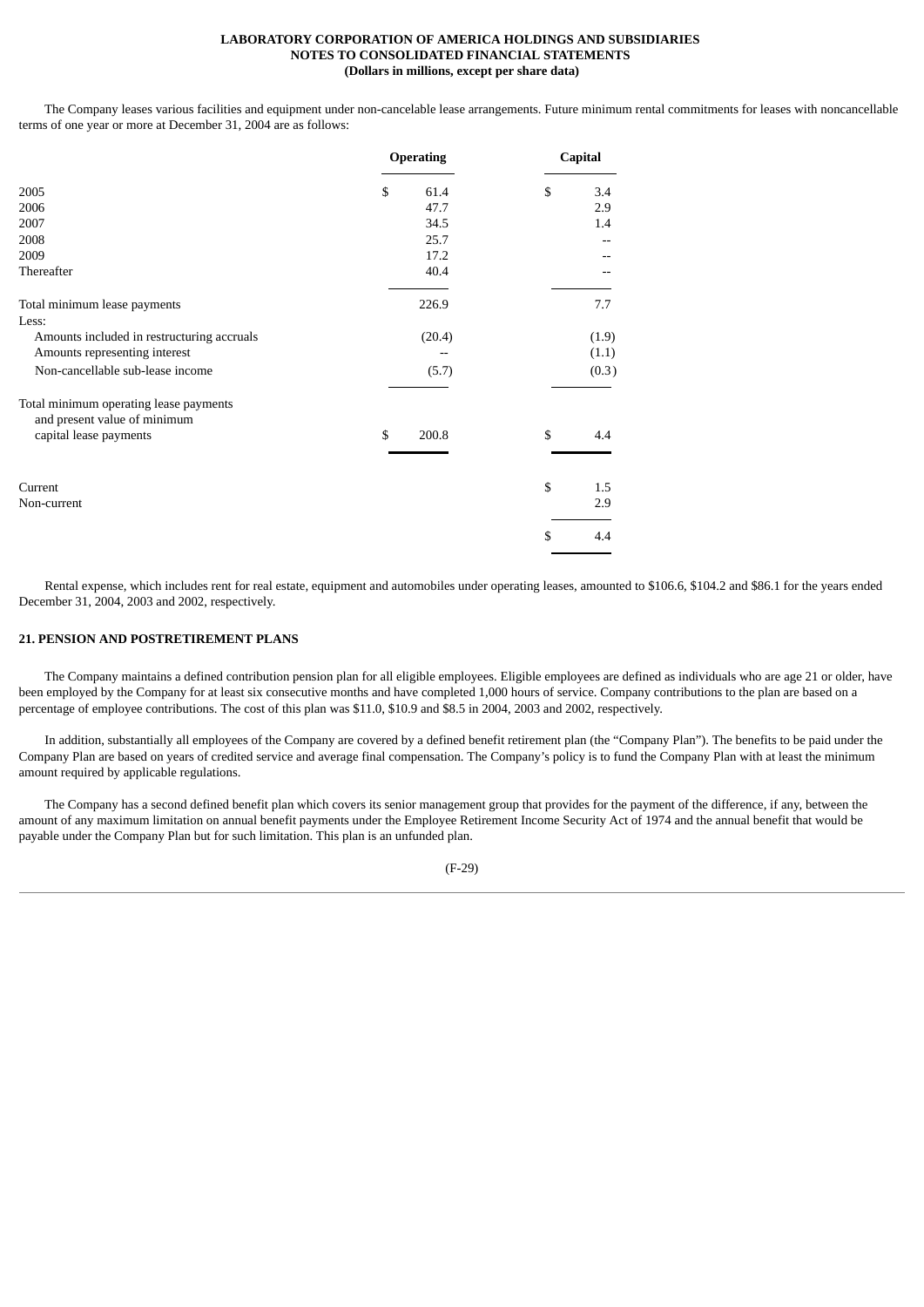The Company leases various facilities and equipment under non-cancelable lease arrangements. Future minimum rental commitments for leases with noncancellable terms of one year or more at December 31, 2004 are as follows:

|                                                                        | <b>Operating</b> | Capital   |
|------------------------------------------------------------------------|------------------|-----------|
| 2005                                                                   | \$<br>61.4       | \$<br>3.4 |
| 2006                                                                   | 47.7             | 2.9       |
| 2007                                                                   | 34.5             | 1.4       |
| 2008                                                                   | 25.7             |           |
| 2009                                                                   | 17.2             |           |
| Thereafter                                                             | 40.4             |           |
|                                                                        |                  |           |
| Total minimum lease payments                                           | 226.9            | 7.7       |
| Less:                                                                  |                  |           |
| Amounts included in restructuring accruals                             | (20.4)           | (1.9)     |
| Amounts representing interest                                          |                  | (1.1)     |
| Non-cancellable sub-lease income                                       | (5.7)            | (0.3)     |
| Total minimum operating lease payments<br>and present value of minimum |                  |           |
| capital lease payments                                                 | \$<br>200.8      | \$<br>4.4 |
| Current                                                                |                  | \$<br>1.5 |
| Non-current                                                            |                  | 2.9       |
|                                                                        |                  | \$<br>4.4 |

 Rental expense, which includes rent for real estate, equipment and automobiles under operating leases, amounted to \$106.6, \$104.2 and \$86.1 for the years ended December 31, 2004, 2003 and 2002, respectively.

## **21. PENSION AND POSTRETIREMENT PLANS**

 The Company maintains a defined contribution pension plan for all eligible employees. Eligible employees are defined as individuals who are age 21 or older, have been employed by the Company for at least six consecutive months and have completed 1,000 hours of service. Company contributions to the plan are based on a percentage of employee contributions. The cost of this plan was \$11.0, \$10.9 and \$8.5 in 2004, 2003 and 2002, respectively.

 In addition, substantially all employees of the Company are covered by a defined benefit retirement plan (the "Company Plan"). The benefits to be paid under the Company Plan are based on years of credited service and average final compensation. The Company's policy is to fund the Company Plan with at least the minimum amount required by applicable regulations.

 The Company has a second defined benefit plan which covers its senior management group that provides for the payment of the difference, if any, between the amount of any maximum limitation on annual benefit payments under the Employee Retirement Income Security Act of 1974 and the annual benefit that would be payable under the Company Plan but for such limitation. This plan is an unfunded plan.

(F-29)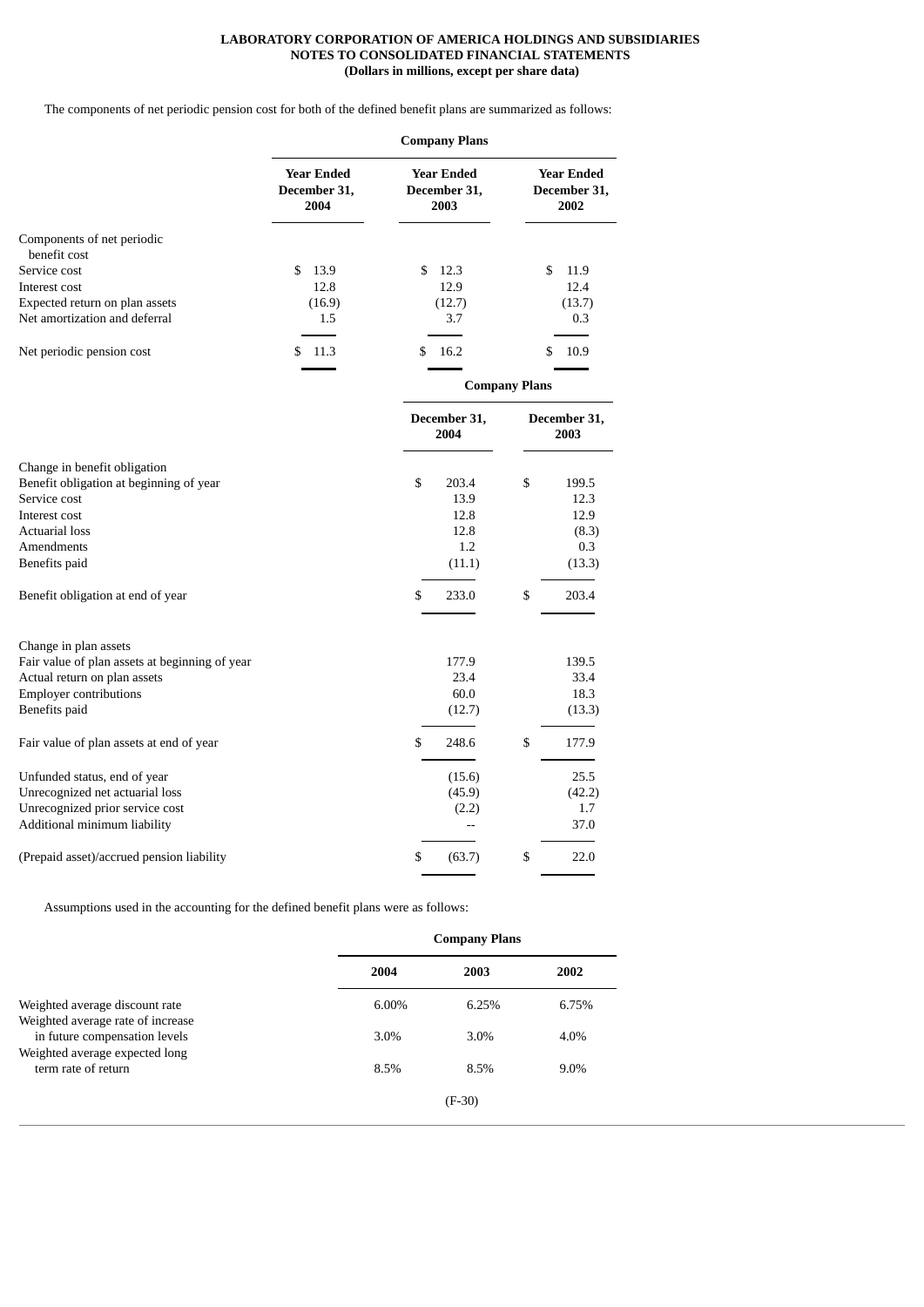The components of net periodic pension cost for both of the defined benefit plans are summarized as follows:

|                                            | <b>Company Plans</b>                      |                                           |                                           |  |
|--------------------------------------------|-------------------------------------------|-------------------------------------------|-------------------------------------------|--|
|                                            | <b>Year Ended</b><br>December 31,<br>2004 | <b>Year Ended</b><br>December 31,<br>2003 | <b>Year Ended</b><br>December 31,<br>2002 |  |
| Components of net periodic<br>benefit cost |                                           |                                           |                                           |  |
| Service cost                               | 13.9<br>\$.                               | \$.<br>12.3                               | \$.<br>11.9                               |  |
| Interest cost                              | 12.8                                      | 12.9                                      | 12.4                                      |  |
| Expected return on plan assets             | (16.9)                                    | (12.7)                                    | (13.7)                                    |  |
| Net amortization and deferral              | 1.5                                       | 3.7                                       | 0.3                                       |  |
| Net periodic pension cost                  | 11.3<br>\$.                               | 16.2<br>\$                                | 10.9<br>S                                 |  |
|                                            |                                           |                                           |                                           |  |

|                                                                                                                                                           | <b>Company Plans</b> |                                                |    |                                                 |
|-----------------------------------------------------------------------------------------------------------------------------------------------------------|----------------------|------------------------------------------------|----|-------------------------------------------------|
|                                                                                                                                                           |                      | December 31,<br>2004                           |    | December 31,<br>2003                            |
| Change in benefit obligation<br>Benefit obligation at beginning of year<br>Service cost<br>Interest cost<br>Actuarial loss<br>Amendments<br>Benefits paid | \$                   | 203.4<br>13.9<br>12.8<br>12.8<br>1.2<br>(11.1) | \$ | 199.5<br>12.3<br>12.9<br>(8.3)<br>0.3<br>(13.3) |
| Benefit obligation at end of year                                                                                                                         | \$.                  | 233.0                                          | \$ | 203.4                                           |
| Change in plan assets<br>Fair value of plan assets at beginning of year<br>Actual return on plan assets<br><b>Employer contributions</b><br>Benefits paid |                      | 177.9<br>23.4<br>60.0<br>(12.7)                |    | 139.5<br>33.4<br>18.3<br>(13.3)                 |
| Fair value of plan assets at end of year                                                                                                                  | \$                   | 248.6                                          | \$ | 177.9                                           |
| Unfunded status, end of year<br>Unrecognized net actuarial loss<br>Unrecognized prior service cost<br>Additional minimum liability                        |                      | (15.6)<br>(45.9)<br>(2.2)                      |    | 25.5<br>(42.2)<br>1.7<br>37.0                   |
| (Prepaid asset)/accrued pension liability                                                                                                                 | \$                   | (63.7)                                         | \$ | 22.0                                            |

Assumptions used in the accounting for the defined benefit plans were as follows:

|                                                                     | <b>Company Plans</b> |          |       |
|---------------------------------------------------------------------|----------------------|----------|-------|
|                                                                     | 2004                 | 2003     | 2002  |
| Weighted average discount rate<br>Weighted average rate of increase | 6.00%                | 6.25%    | 6.75% |
| in future compensation levels<br>Weighted average expected long     | 3.0%                 | 3.0%     | 4.0%  |
| term rate of return                                                 | 8.5%                 | 8.5%     | 9.0%  |
|                                                                     |                      | $(F-30)$ |       |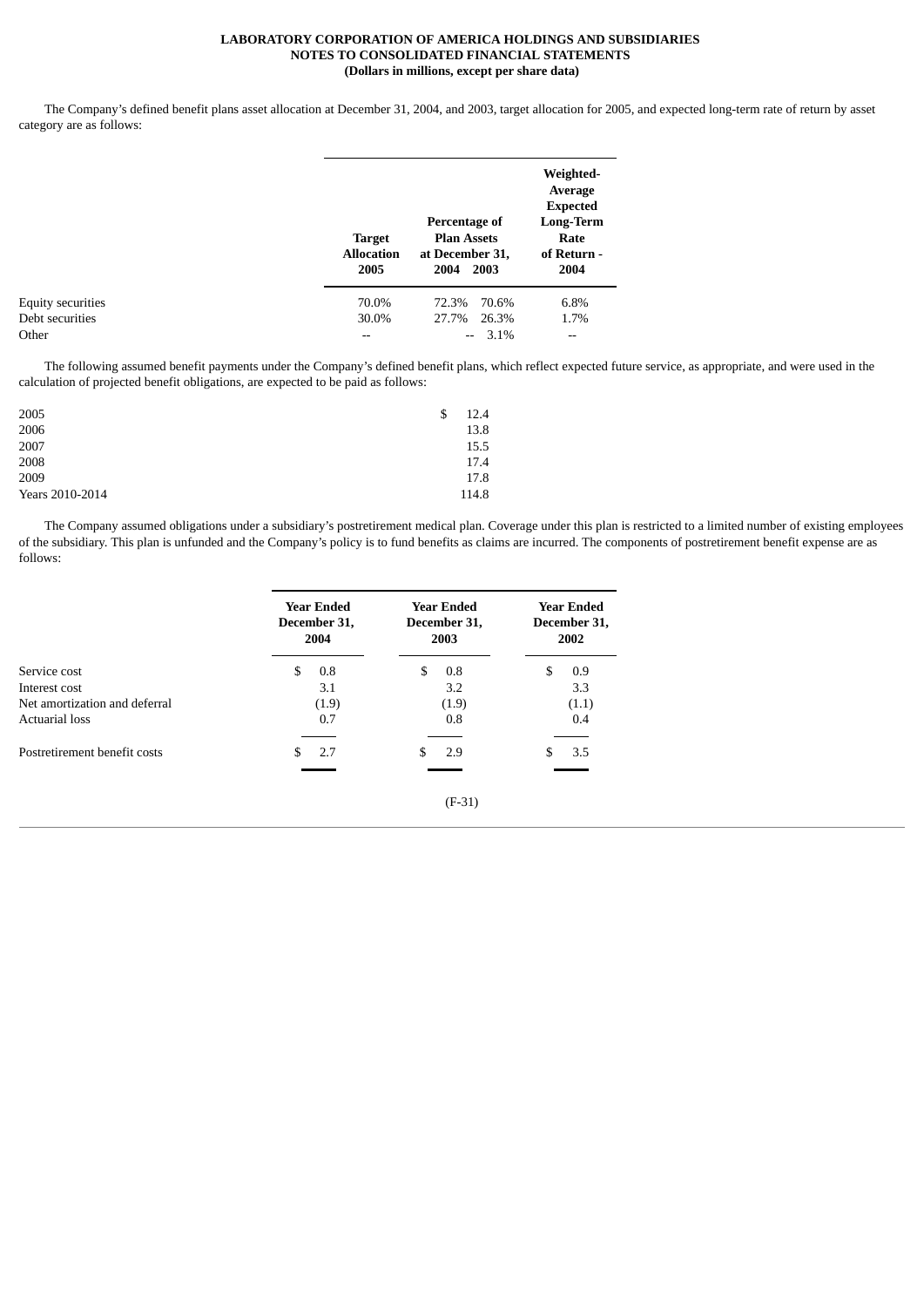The Company's defined benefit plans asset allocation at December 31, 2004, and 2003, target allocation for 2005, and expected long-term rate of return by asset category are as follows:

|                          | <b>Target</b><br><b>Allocation</b><br>2005 | Percentage of<br><b>Plan Assets</b><br>at December 31,<br>2004<br>2003 | Weighted-<br>Average<br><b>Expected</b><br><b>Long-Term</b><br>Rate<br>of Return -<br>2004 |
|--------------------------|--------------------------------------------|------------------------------------------------------------------------|--------------------------------------------------------------------------------------------|
| <b>Equity securities</b> | 70.0%                                      | 72.3%<br>70.6%                                                         | 6.8%                                                                                       |
| Debt securities          | 30.0%                                      | 27.7%<br>26.3%                                                         | 1.7%                                                                                       |
| Other                    | --                                         | 3.1%<br>$--$                                                           | $- -$                                                                                      |

 The following assumed benefit payments under the Company's defined benefit plans, which reflect expected future service, as appropriate, and were used in the calculation of projected benefit obligations, are expected to be paid as follows:

| 2005            | \$<br>12.4 |
|-----------------|------------|
| 2006            | 13.8       |
| 2007            | 15.5       |
| 2008            | 17.4       |
| 2009            | 17.8       |
| Years 2010-2014 | 114.8      |

 The Company assumed obligations under a subsidiary's postretirement medical plan. Coverage under this plan is restricted to a limited number of existing employees of the subsidiary. This plan is unfunded and the Company's policy is to fund benefits as claims are incurred. The components of postretirement benefit expense are as follows:

|                                                                                         | <b>Year Ended</b>                | <b>Year Ended</b>                | <b>Year Ended</b>                |
|-----------------------------------------------------------------------------------------|----------------------------------|----------------------------------|----------------------------------|
|                                                                                         | December 31,                     | December 31,                     | December 31,                     |
|                                                                                         | 2004                             | 2003                             | 2002                             |
| Service cost<br>Interest cost<br>Net amortization and deferral<br><b>Actuarial</b> loss | \$<br>0.8<br>3.1<br>(1.9)<br>0.7 | \$<br>0.8<br>3.2<br>(1.9)<br>0.8 | 0.9<br>\$<br>3.3<br>(1.1)<br>0.4 |
| Postretirement benefit costs                                                            | 2.7                              | \$                               | 3.5                              |
|                                                                                         | £.                               | 2.9                              | S                                |
|                                                                                         |                                  | $(F-31)$                         |                                  |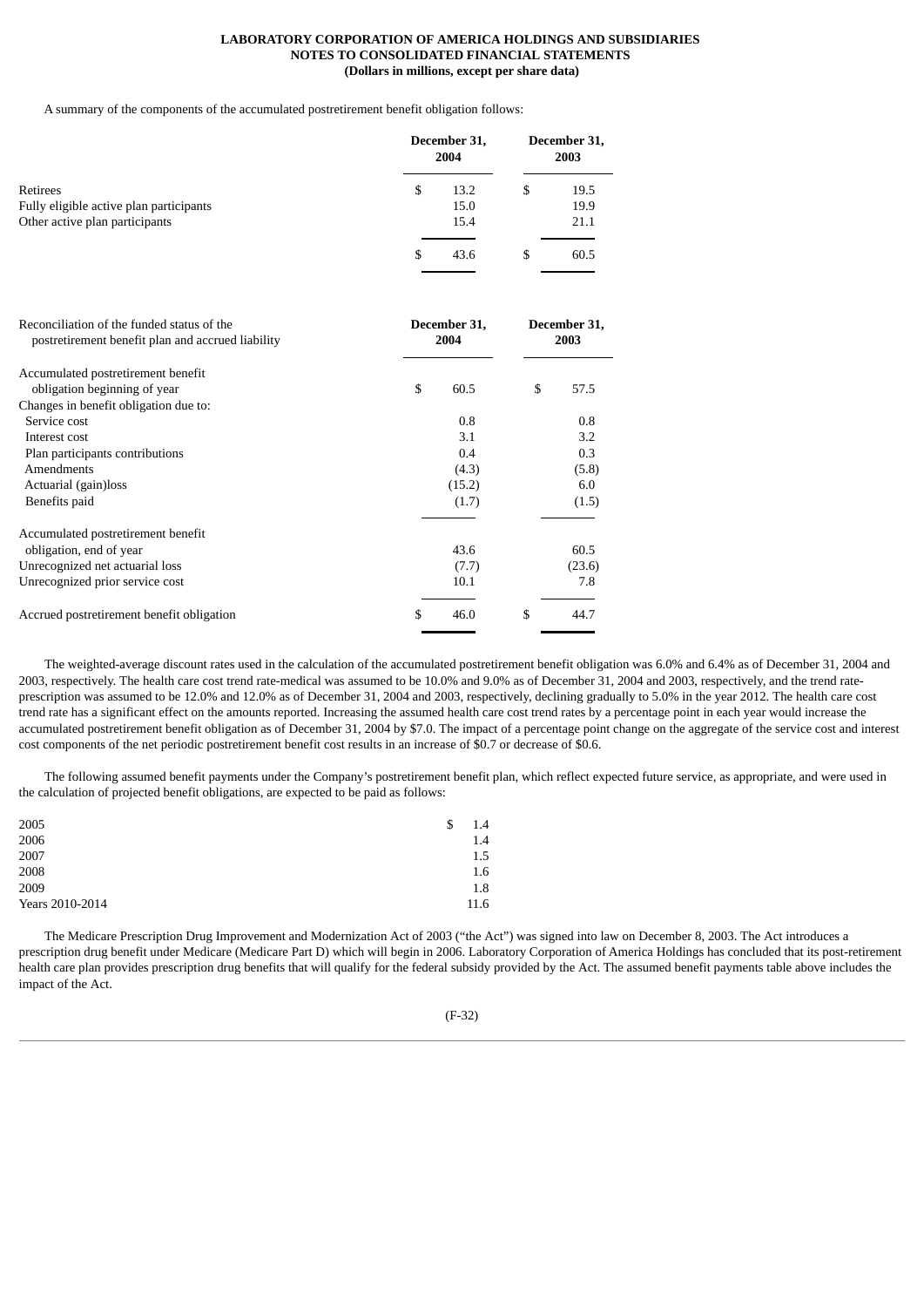A summary of the components of the accumulated postretirement benefit obligation follows:

|                                                                                                 | December 31,<br>2004 |        | December 31,<br>2003 |                      |  |
|-------------------------------------------------------------------------------------------------|----------------------|--------|----------------------|----------------------|--|
| <b>Retirees</b>                                                                                 | \$                   | 13.2   | \$                   | 19.5                 |  |
| Fully eligible active plan participants                                                         |                      | 15.0   |                      | 19.9                 |  |
| Other active plan participants                                                                  |                      | 15.4   |                      | 21.1                 |  |
|                                                                                                 | \$                   | 43.6   | \$                   | 60.5                 |  |
| Reconciliation of the funded status of the<br>postretirement benefit plan and accrued liability | December 31,<br>2004 |        |                      | December 31,<br>2003 |  |
| Accumulated postretirement benefit                                                              |                      |        |                      |                      |  |
| obligation beginning of year                                                                    | \$                   | 60.5   | \$                   | 57.5                 |  |
| Changes in benefit obligation due to:                                                           |                      |        |                      |                      |  |
| Service cost                                                                                    |                      | 0.8    |                      | 0.8                  |  |
| Interest cost                                                                                   |                      | 3.1    |                      | 3.2                  |  |
| Plan participants contributions                                                                 |                      | 0.4    |                      | 0.3                  |  |
| <b>Amendments</b>                                                                               |                      | (4.3)  |                      | (5.8)                |  |
| Actuarial (gain)loss                                                                            |                      | (15.2) |                      |                      |  |
| Benefits paid                                                                                   |                      | (1.7)  | (1.5)                |                      |  |
| Accumulated postretirement benefit                                                              |                      |        |                      |                      |  |
| obligation, end of year                                                                         |                      | 43.6   |                      | 60.5                 |  |
| Unrecognized net actuarial loss                                                                 |                      | (7.7)  |                      | (23.6)               |  |
| Unrecognized prior service cost                                                                 |                      | 10.1   |                      | 7.8                  |  |
| Accrued postretirement benefit obligation                                                       | \$                   | 46.0   | \$                   | 44.7                 |  |

 The weighted-average discount rates used in the calculation of the accumulated postretirement benefit obligation was 6.0% and 6.4% as of December 31, 2004 and 2003, respectively. The health care cost trend rate-medical was assumed to be 10.0% and 9.0% as of December 31, 2004 and 2003, respectively, and the trend rateprescription was assumed to be 12.0% and 12.0% as of December 31, 2004 and 2003, respectively, declining gradually to 5.0% in the year 2012. The health care cost trend rate has a significant effect on the amounts reported. Increasing the assumed health care cost trend rates by a percentage point in each year would increase the accumulated postretirement benefit obligation as of December 31, 2004 by \$7.0. The impact of a percentage point change on the aggregate of the service cost and interest cost components of the net periodic postretirement benefit cost results in an increase of \$0.7 or decrease of \$0.6.

 The following assumed benefit payments under the Company's postretirement benefit plan, which reflect expected future service, as appropriate, and were used in the calculation of projected benefit obligations, are expected to be paid as follows:

| 2005            | \$<br>1.4 |
|-----------------|-----------|
| 2006            | 1.4       |
| 2007            | 1.5       |
| 2008            | 1.6       |
| 2009            | 1.8       |
| Years 2010-2014 | 11.6      |

 The Medicare Prescription Drug Improvement and Modernization Act of 2003 ("the Act") was signed into law on December 8, 2003. The Act introduces a prescription drug benefit under Medicare (Medicare Part D) which will begin in 2006. Laboratory Corporation of America Holdings has concluded that its post-retirement health care plan provides prescription drug benefits that will qualify for the federal subsidy provided by the Act. The assumed benefit payments table above includes the impact of the Act.

(F-32)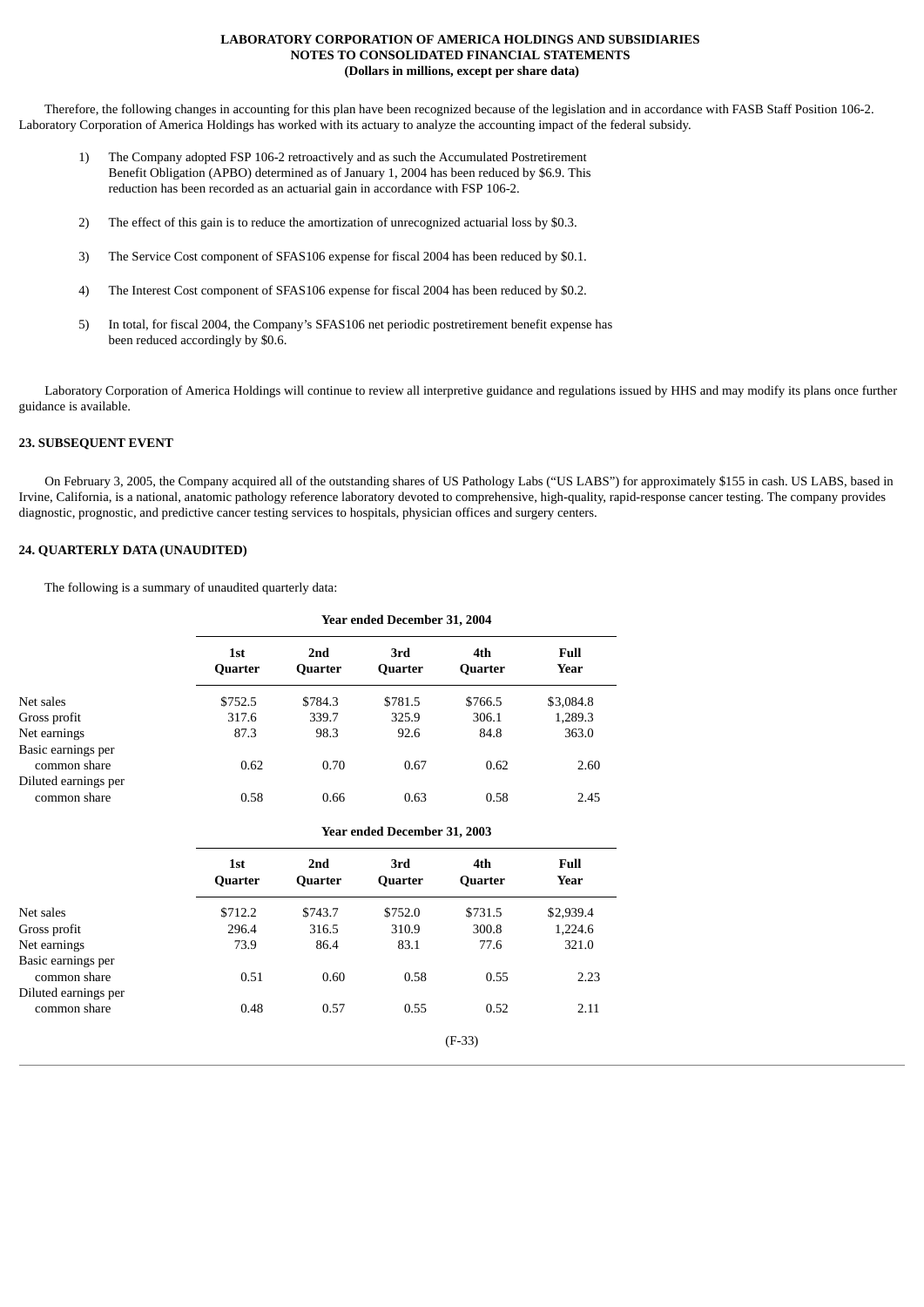Therefore, the following changes in accounting for this plan have been recognized because of the legislation and in accordance with FASB Staff Position 106-2. Laboratory Corporation of America Holdings has worked with its actuary to analyze the accounting impact of the federal subsidy.

- 1) The Company adopted FSP 106-2 retroactively and as such the Accumulated Postretirement Benefit Obligation (APBO) determined as of January 1, 2004 has been reduced by \$6.9. This reduction has been recorded as an actuarial gain in accordance with FSP 106-2.
- 2) The effect of this gain is to reduce the amortization of unrecognized actuarial loss by \$0.3.
- 3) The Service Cost component of SFAS106 expense for fiscal 2004 has been reduced by \$0.1.
- 4) The Interest Cost component of SFAS106 expense for fiscal 2004 has been reduced by \$0.2.
- 5) In total, for fiscal 2004, the Company's SFAS106 net periodic postretirement benefit expense has been reduced accordingly by \$0.6.

 Laboratory Corporation of America Holdings will continue to review all interpretive guidance and regulations issued by HHS and may modify its plans once further guidance is available.

#### **23. SUBSEQUENT EVENT**

 On February 3, 2005, the Company acquired all of the outstanding shares of US Pathology Labs ("US LABS") for approximately \$155 in cash. US LABS, based in Irvine, California, is a national, anatomic pathology reference laboratory devoted to comprehensive, high-quality, rapid-response cancer testing. The company provides diagnostic, prognostic, and predictive cancer testing services to hospitals, physician offices and surgery centers.

## **24. QUARTERLY DATA (UNAUDITED)**

The following is a summary of unaudited quarterly data:

|                                      | Year ended December 31, 2004 |                       |                       |                       |              |  |
|--------------------------------------|------------------------------|-----------------------|-----------------------|-----------------------|--------------|--|
|                                      | 1st<br><b>Quarter</b>        | 2nd<br><b>Quarter</b> | 3rd<br><b>Quarter</b> | 4th<br><b>Quarter</b> | Full<br>Year |  |
| Net sales                            | \$752.5                      | \$784.3               | \$781.5               | \$766.5               | \$3,084.8    |  |
| Gross profit                         | 317.6                        | 339.7                 | 325.9                 | 306.1                 | 1,289.3      |  |
| Net earnings                         | 87.3                         | 98.3                  | 92.6                  | 84.8                  | 363.0        |  |
| Basic earnings per<br>common share   | 0.62                         | 0.70                  | 0.67                  | 0.62                  | 2.60         |  |
| Diluted earnings per<br>common share | 0.58                         | 0.66                  | 0.63                  | 0.58                  | 2.45         |  |

|                      | Year ended December 31, 2003 |                       |                       |                       |              |  |
|----------------------|------------------------------|-----------------------|-----------------------|-----------------------|--------------|--|
|                      | 1st<br><b>Quarter</b>        | 2nd<br><b>Quarter</b> | 3rd<br><b>Quarter</b> | 4th<br><b>Quarter</b> | Full<br>Year |  |
| Net sales            | \$712.2                      | \$743.7               | \$752.0               | \$731.5               | \$2,939.4    |  |
| Gross profit         | 296.4                        | 316.5                 | 310.9                 | 300.8                 | 1,224.6      |  |
| Net earnings         | 73.9                         | 86.4                  | 83.1                  | 77.6                  | 321.0        |  |
| Basic earnings per   |                              |                       |                       |                       |              |  |
| common share         | 0.51                         | 0.60                  | 0.58                  | 0.55                  | 2.23         |  |
| Diluted earnings per |                              |                       |                       |                       |              |  |
| common share         | 0.48                         | 0.57                  | 0.55                  | 0.52                  | 2.11         |  |
|                      |                              |                       |                       | $(F-33)$              |              |  |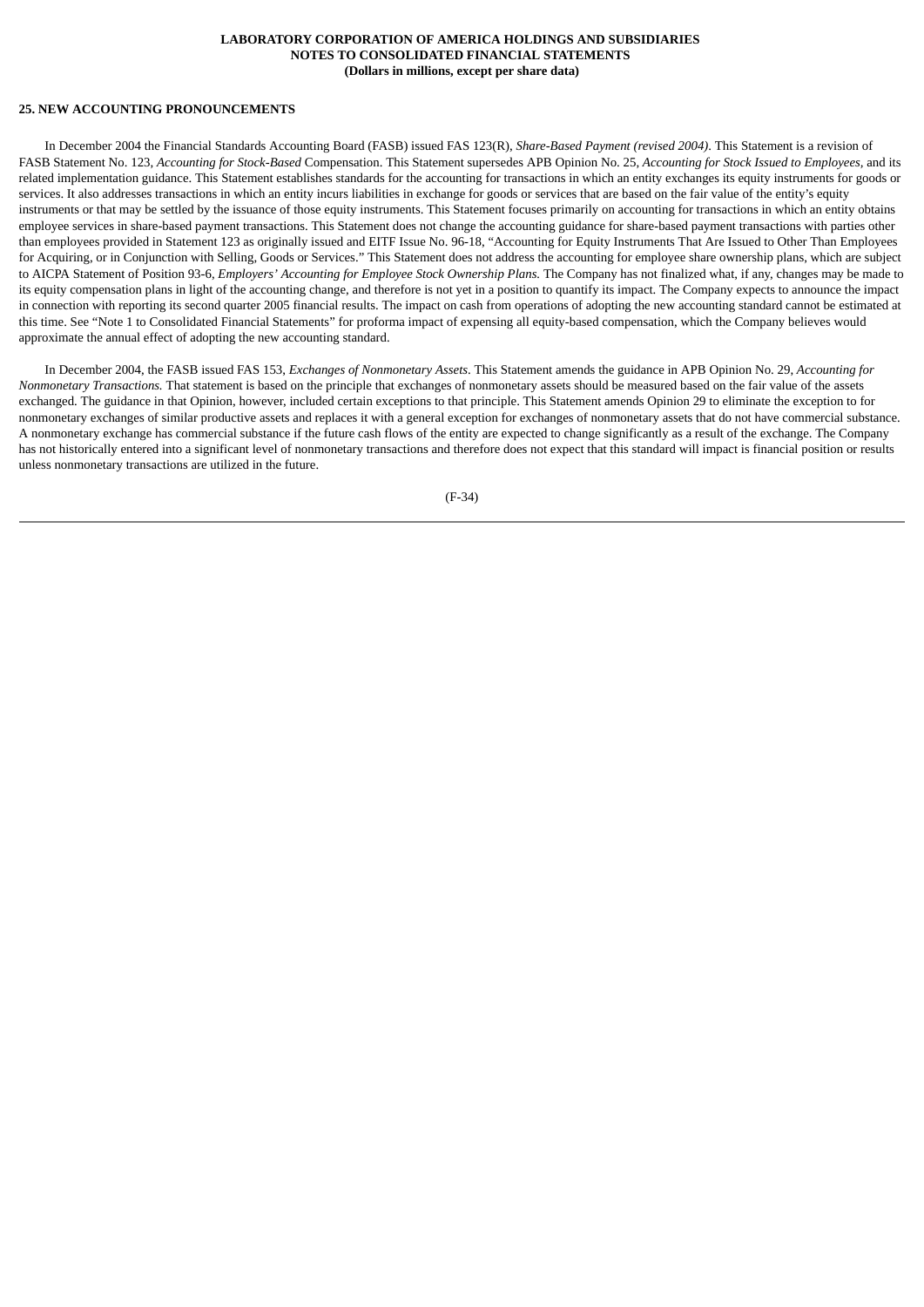## **25. NEW ACCOUNTING PRONOUNCEMENTS**

 In December 2004 the Financial Standards Accounting Board (FASB) issued FAS 123(R), *Share-Based Payment (revised 2004)*. This Statement is a revision of FASB Statement No. 123, *Accounting for Stock-Based* Compensation. This Statement supersedes APB Opinion No. 25, *Accounting for Stock Issued to Employees,* and its related implementation guidance. This Statement establishes standards for the accounting for transactions in which an entity exchanges its equity instruments for goods or services. It also addresses transactions in which an entity incurs liabilities in exchange for goods or services that are based on the fair value of the entity's equity instruments or that may be settled by the issuance of those equity instruments. This Statement focuses primarily on accounting for transactions in which an entity obtains employee services in share-based payment transactions. This Statement does not change the accounting guidance for share-based payment transactions with parties other than employees provided in Statement 123 as originally issued and EITF Issue No. 96-18, "Accounting for Equity Instruments That Are Issued to Other Than Employees for Acquiring, or in Conjunction with Selling, Goods or Services." This Statement does not address the accounting for employee share ownership plans, which are subject to AICPA Statement of Position 93-6, *Employers' Accounting for Employee Stock Ownership Plans.* The Company has not finalized what, if any, changes may be made to its equity compensation plans in light of the accounting change, and therefore is not yet in a position to quantify its impact. The Company expects to announce the impact in connection with reporting its second quarter 2005 financial results. The impact on cash from operations of adopting the new accounting standard cannot be estimated at this time. See "Note 1 to Consolidated Financial Statements" for proforma impact of expensing all equity-based compensation, which the Company believes would approximate the annual effect of adopting the new accounting standard.

 In December 2004, the FASB issued FAS 153, *Exchanges of Nonmonetary Assets*. This Statement amends the guidance in APB Opinion No. 29, *Accounting for Nonmonetary Transactions.* That statement is based on the principle that exchanges of nonmonetary assets should be measured based on the fair value of the assets exchanged. The guidance in that Opinion, however, included certain exceptions to that principle. This Statement amends Opinion 29 to eliminate the exception to for nonmonetary exchanges of similar productive assets and replaces it with a general exception for exchanges of nonmonetary assets that do not have commercial substance. A nonmonetary exchange has commercial substance if the future cash flows of the entity are expected to change significantly as a result of the exchange. The Company has not historically entered into a significant level of nonmonetary transactions and therefore does not expect that this standard will impact is financial position or results unless nonmonetary transactions are utilized in the future.

(F-34)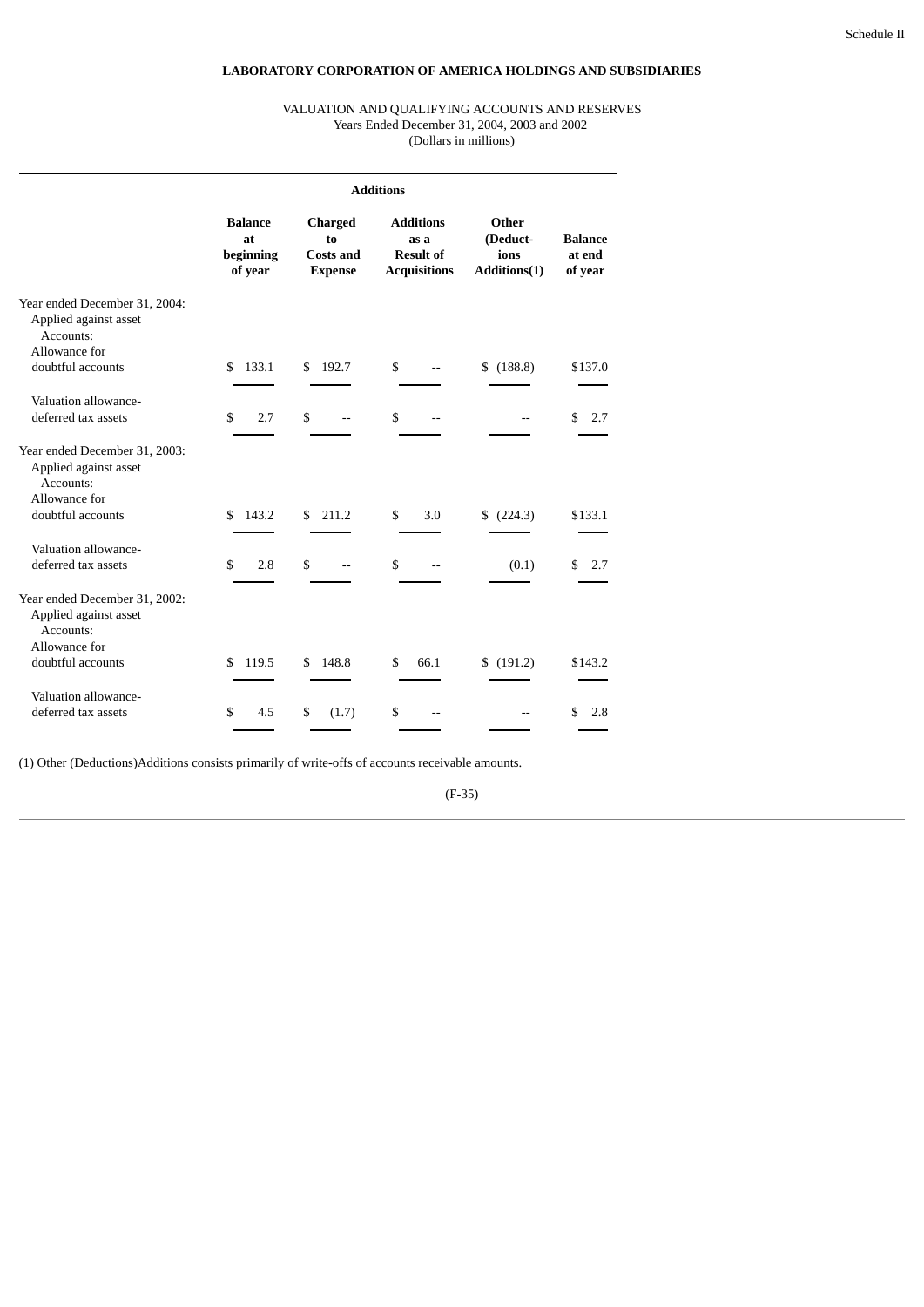## Schedule II

## **LABORATORY CORPORATION OF AMERICA HOLDINGS AND SUBSIDIARIES**

## VALUATION AND QUALIFYING ACCOUNTS AND RESERVES Years Ended December 31, 2004, 2003 and 2002 (Dollars in millions)

|                                                                                      |     |                                              |    |                                                            | <b>Additions</b> |                                                                     |                                           |                                     |
|--------------------------------------------------------------------------------------|-----|----------------------------------------------|----|------------------------------------------------------------|------------------|---------------------------------------------------------------------|-------------------------------------------|-------------------------------------|
|                                                                                      |     | <b>Balance</b><br>at<br>beginning<br>of year |    | <b>Charged</b><br>to<br><b>Costs and</b><br><b>Expense</b> |                  | <b>Additions</b><br>as a<br><b>Result of</b><br><b>Acquisitions</b> | Other<br>(Deduct-<br>ions<br>Additions(1) | <b>Balance</b><br>at end<br>of year |
| Year ended December 31, 2004:<br>Applied against asset<br>Accounts:                  |     |                                              |    |                                                            |                  |                                                                     |                                           |                                     |
| Allowance for<br>doubtful accounts                                                   | \$. | 133.1                                        | S. | 192.7                                                      | \$               |                                                                     | \$(188.8)                                 | \$137.0                             |
|                                                                                      |     |                                              |    |                                                            |                  |                                                                     |                                           |                                     |
| Valuation allowance-                                                                 |     |                                              |    |                                                            |                  |                                                                     |                                           |                                     |
| deferred tax assets                                                                  | \$  | 2.7                                          | \$ |                                                            | \$               |                                                                     |                                           | 2.7                                 |
| Year ended December 31, 2003:<br>Applied against asset<br>Accounts:<br>Allowance for |     |                                              |    |                                                            |                  |                                                                     |                                           |                                     |
| doubtful accounts                                                                    | \$  | 143.2                                        | \$ | 211.2                                                      | \$               | 3.0                                                                 | \$(224.3)                                 | \$133.1                             |
| Valuation allowance-                                                                 |     |                                              |    |                                                            |                  |                                                                     |                                           |                                     |
| deferred tax assets                                                                  | \$  | 2.8                                          | \$ |                                                            | \$               |                                                                     | (0.1)                                     | 2.7<br>\$                           |
| Year ended December 31, 2002:<br>Applied against asset<br>Accounts:                  |     |                                              |    |                                                            |                  |                                                                     |                                           |                                     |
| Allowance for                                                                        |     |                                              |    |                                                            |                  |                                                                     |                                           |                                     |
| doubtful accounts                                                                    | \$  | 119.5                                        | \$ | 148.8                                                      | \$               | 66.1                                                                | \$(191.2)                                 | \$143.2                             |
| Valuation allowance-                                                                 |     |                                              |    |                                                            |                  |                                                                     |                                           |                                     |
| deferred tax assets                                                                  | \$  | 4.5                                          | \$ | (1.7)                                                      | \$               |                                                                     |                                           | 2.8<br>S                            |
|                                                                                      |     |                                              |    |                                                            |                  |                                                                     |                                           |                                     |

(1) Other (Deductions)Additions consists primarily of write-offs of accounts receivable amounts.

## (F-35)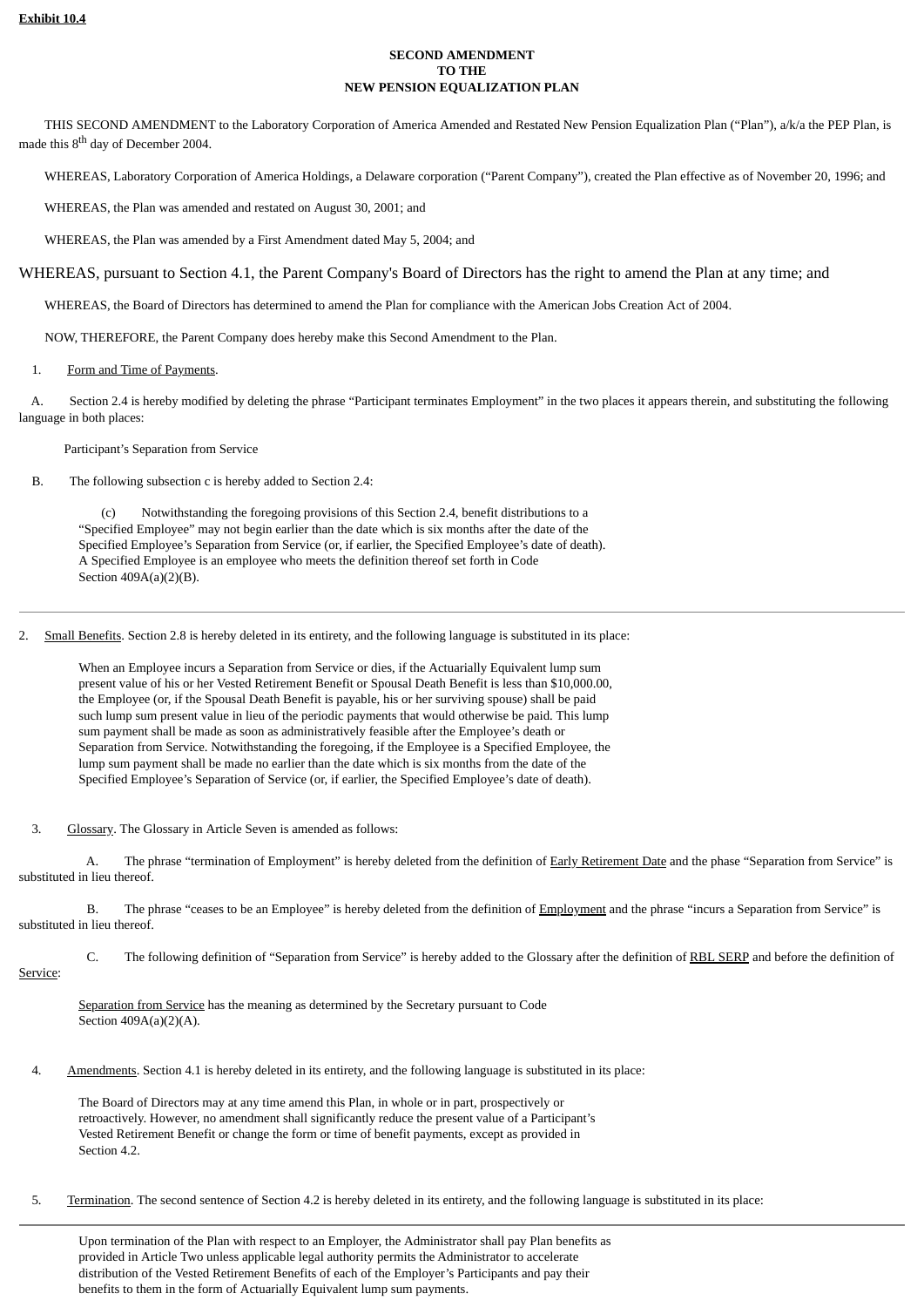### **SECOND AMENDMENT TO THE NEW PENSION EQUALIZATION PLAN**

 THIS SECOND AMENDMENT to the Laboratory Corporation of America Amended and Restated New Pension Equalization Plan ("Plan"), a/k/a the PEP Plan, is made this 8<sup>th</sup> day of December 2004.

WHEREAS, Laboratory Corporation of America Holdings, a Delaware corporation ("Parent Company"), created the Plan effective as of November 20, 1996; and

WHEREAS, the Plan was amended and restated on August 30, 2001; and

WHEREAS, the Plan was amended by a First Amendment dated May 5, 2004; and

WHEREAS, pursuant to Section 4.1, the Parent Company's Board of Directors has the right to amend the Plan at any time; and

WHEREAS, the Board of Directors has determined to amend the Plan for compliance with the American Jobs Creation Act of 2004.

NOW, THEREFORE, the Parent Company does hereby make this Second Amendment to the Plan.

### 1. Form and Time of Payments.

 A. Section 2.4 is hereby modified by deleting the phrase "Participant terminates Employment" in the two places it appears therein, and substituting the following language in both places:

Participant's Separation from Service

B. The following subsection c is hereby added to Section 2.4:

Notwithstanding the foregoing provisions of this Section 2.4, benefit distributions to a "Specified Employee" may not begin earlier than the date which is six months after the date of the Specified Employee's Separation from Service (or, if earlier, the Specified Employee's date of death). A Specified Employee is an employee who meets the definition thereof set forth in Code Section 409A(a)(2)(B).

Small Benefits. Section 2.8 is hereby deleted in its entirety, and the following language is substituted in its place:

When an Employee incurs a Separation from Service or dies, if the Actuarially Equivalent lump sum present value of his or her Vested Retirement Benefit or Spousal Death Benefit is less than \$10,000.00, the Employee (or, if the Spousal Death Benefit is payable, his or her surviving spouse) shall be paid such lump sum present value in lieu of the periodic payments that would otherwise be paid. This lump sum payment shall be made as soon as administratively feasible after the Employee's death or Separation from Service. Notwithstanding the foregoing, if the Employee is a Specified Employee, the lump sum payment shall be made no earlier than the date which is six months from the date of the Specified Employee's Separation of Service (or, if earlier, the Specified Employee's date of death).

3. Glossary. The Glossary in Article Seven is amended as follows:

A. The phrase "termination of Employment" is hereby deleted from the definition of Early Retirement Date and the phase "Separation from Service" is substituted in lieu thereof.

B. The phrase "ceases to be an Employee" is hereby deleted from the definition of Employment and the phrase "incurs a Separation from Service" is substituted in lieu thereof.

C. The following definition of "Separation from Service" is hereby added to the Glossary after the definition of RBL SERP and before the definition of Service:

Separation from Service has the meaning as determined by the Secretary pursuant to Code Section 409A(a)(2)(A).

4. Amendments. Section 4.1 is hereby deleted in its entirety, and the following language is substituted in its place:

The Board of Directors may at any time amend this Plan, in whole or in part, prospectively or retroactively. However, no amendment shall significantly reduce the present value of a Participant's Vested Retirement Benefit or change the form or time of benefit payments, except as provided in Section 4.2.

5. Termination. The second sentence of Section 4.2 is hereby deleted in its entirety, and the following language is substituted in its place:

Upon termination of the Plan with respect to an Employer, the Administrator shall pay Plan benefits as provided in Article Two unless applicable legal authority permits the Administrator to accelerate distribution of the Vested Retirement Benefits of each of the Employer's Participants and pay their benefits to them in the form of Actuarially Equivalent lump sum payments.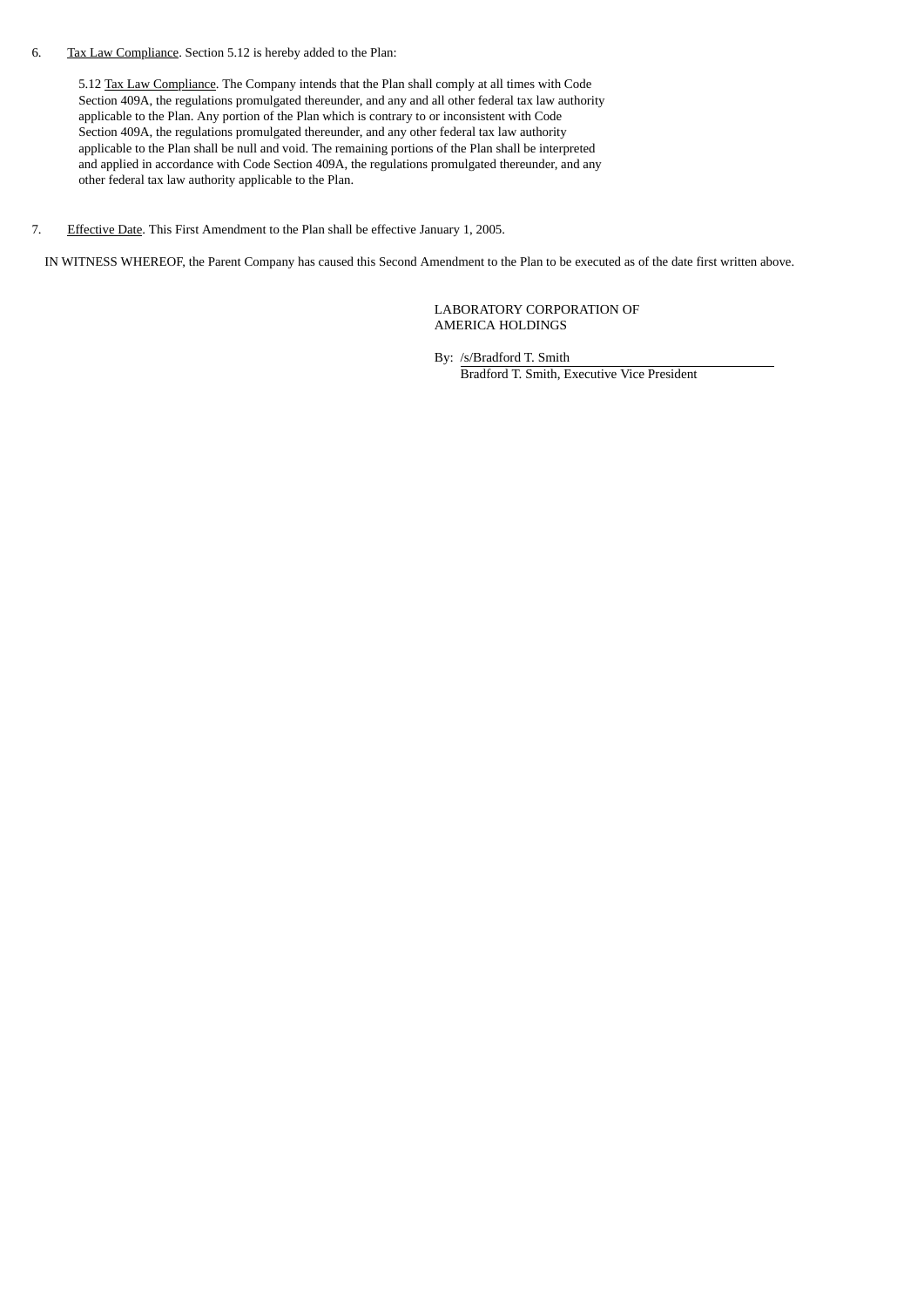### 6. Tax Law Compliance. Section 5.12 is hereby added to the Plan:

5.12 Tax Law Compliance. The Company intends that the Plan shall comply at all times with Code Section 409A, the regulations promulgated thereunder, and any and all other federal tax law authority applicable to the Plan. Any portion of the Plan which is contrary to or inconsistent with Code Section 409A, the regulations promulgated thereunder, and any other federal tax law authority applicable to the Plan shall be null and void. The remaining portions of the Plan shall be interpreted and applied in accordance with Code Section 409A, the regulations promulgated thereunder, and any other federal tax law authority applicable to the Plan.

7. Effective Date. This First Amendment to the Plan shall be effective January 1, 2005.

IN WITNESS WHEREOF, the Parent Company has caused this Second Amendment to the Plan to be executed as of the date first written above.

LABORATORY CORPORATION OF AMERICA HOLDINGS

By: /s/Bradford T. Smith Bradford T. Smith, Executive Vice President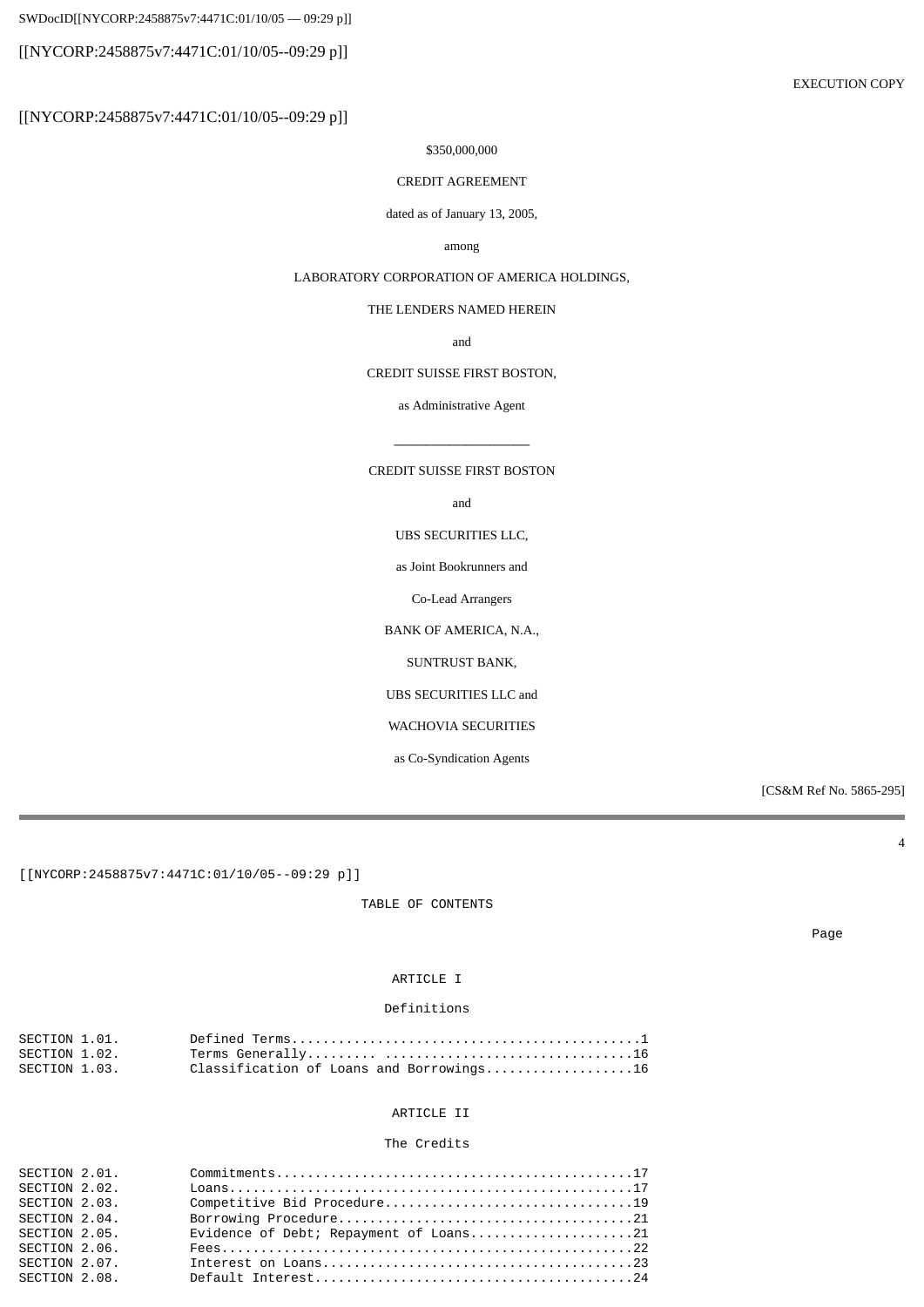SWDocID[[NYCORP:2458875v7:4471C:01/10/05 — 09:29 p]]

[[NYCORP:2458875v7:4471C:01/10/05--09:29 p]]

EXECUTION COPY

[[NYCORP:2458875v7:4471C:01/10/05--09:29 p]]

\$350,000,000

### CREDIT AGREEMENT

dated as of January 13, 2005,

### among

## LABORATORY CORPORATION OF AMERICA HOLDINGS,

### THE LENDERS NAMED HEREIN

and

### CREDIT SUISSE FIRST BOSTON,

## as Administrative Agent

\_\_\_\_\_\_\_\_\_\_\_\_\_\_\_\_\_

## CREDIT SUISSE FIRST BOSTON

and

UBS SECURITIES LLC,

as Joint Bookrunners and

Co-Lead Arrangers

BANK OF AMERICA, N.A.,

SUNTRUST BANK,

UBS SECURITIES LLC and

WACHOVIA SECURITIES

as Co-Syndication Agents

[CS&M Ref No. 5865-295]

4

[[NYCORP:2458875v7:4471C:01/10/05--09:29 p]]

## TABLE OF CONTENTS

na dia 1992 nope 2008. Page 2014 nope 2014 nope 2014 nope 2014 nope 2014 nope 2014 nope 2014 nope 2014 nope 2<br>Page 2014 nope 2014 nope 2014 nope 2014 nope 2014 nope 2014 nope 2014 nope 2014 nope 2014 nope 2014 nope 2014

### ARTICLE I

## Definitions

| SECTION 1.01. |                                          |
|---------------|------------------------------------------|
| SECTION 1.02. |                                          |
| SECTION 1.03. | Classification of Loans and Borrowings16 |

## ARTICLE II

#### The Credits

| SECTION 2.01. |                                        |
|---------------|----------------------------------------|
| SECTION 2.02. |                                        |
| SECTION 2.03. |                                        |
| SECTION 2.04. |                                        |
| SECTION 2.05. | Evidence of Debt; Repayment of Loans21 |
| SECTION 2.06. |                                        |
| SECTION 2.07. |                                        |
| SECTION 2.08. |                                        |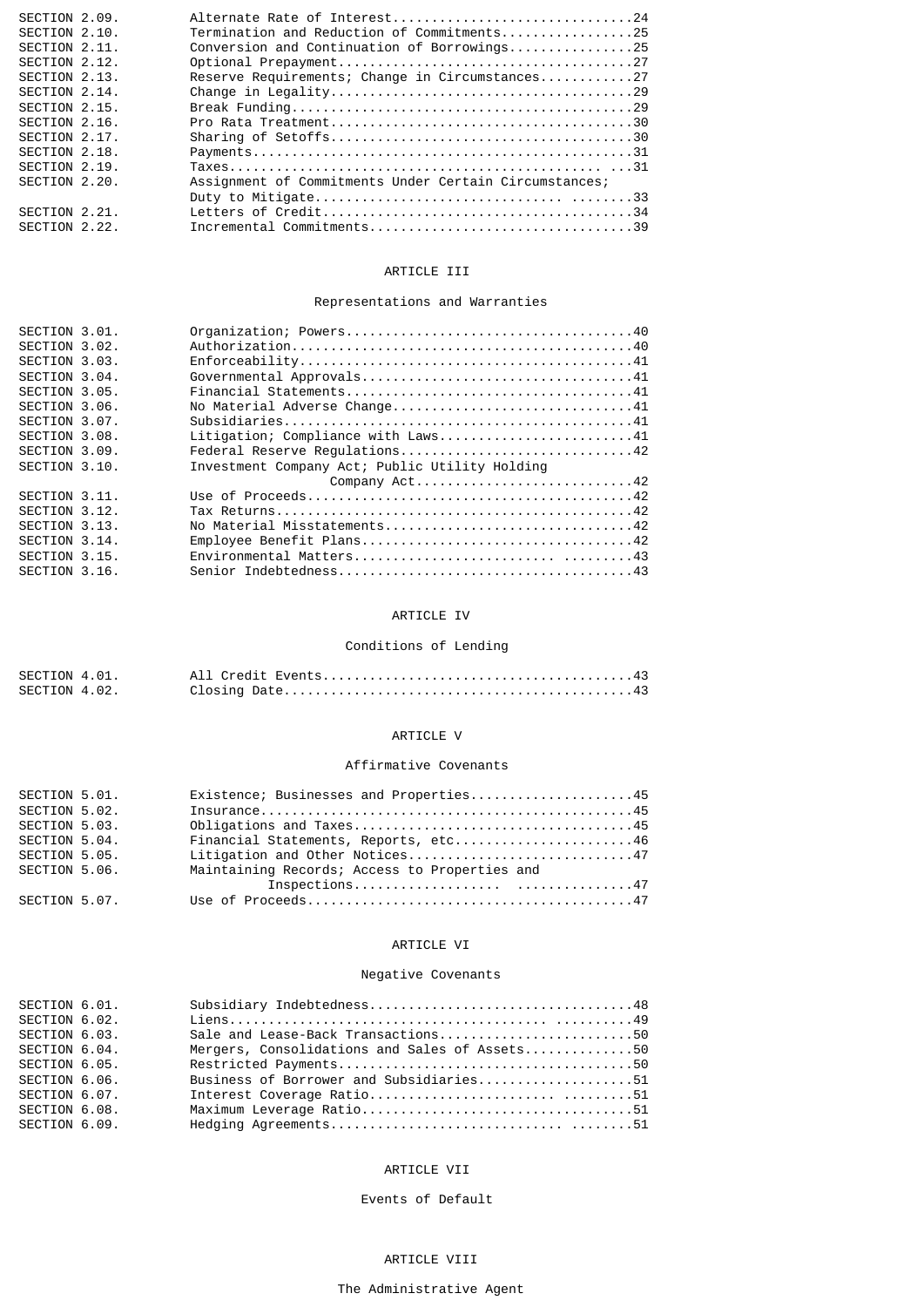| SECTION 2.09.<br>SECTION 2.10.<br>SECTION 2.11. | Alternate Rate of Interest24<br>Termination and Reduction of Commitments25<br>Conversion and Continuation of Borrowings25 |
|-------------------------------------------------|---------------------------------------------------------------------------------------------------------------------------|
| SECTION 2.12.                                   |                                                                                                                           |
| SECTION 2.13.                                   | Reserve Requirements; Change in Circumstances27                                                                           |
| SECTION 2.14.                                   |                                                                                                                           |
| SECTION 2.15.                                   |                                                                                                                           |
| SECTION 2.16.                                   |                                                                                                                           |
| SECTION 2.17.                                   |                                                                                                                           |
| SECTION 2.18.                                   |                                                                                                                           |
| SECTION 2.19.                                   |                                                                                                                           |
| SECTION 2.20.                                   | Assignment of Commitments Under Certain Circumstances;                                                                    |
|                                                 |                                                                                                                           |
| SECTION 2.21.                                   |                                                                                                                           |
| SECTION 2.22.                                   |                                                                                                                           |

## ARTICLE III

## Representations and Warranties

| SECTION 3.01. |                                                |
|---------------|------------------------------------------------|
| SECTION 3.02. |                                                |
| SECTION 3.03. |                                                |
| SECTION 3.04. |                                                |
| SECTION 3.05. |                                                |
| SECTION 3.06. | No Material Adverse Change41                   |
| SECTION 3.07. |                                                |
| SECTION 3.08. | Litigation; Compliance with Laws41             |
| SECTION 3.09. | Federal Reserve Requlations42                  |
| SECTION 3.10. | Investment Company Act; Public Utility Holding |
|               | Company Act42                                  |
| SECTION 3.11. |                                                |
| SECTION 3.12. |                                                |
| SECTION 3.13. | No Material Misstatements42                    |
| SECTION 3.14. |                                                |
| SECTION 3.15. |                                                |
| SECTION 3.16. |                                                |
|               |                                                |

## ARTICLE IV

# Conditions of Lending

| SECTION 4.01. |  |
|---------------|--|
|               |  |

## ARTICLE V

# Affirmative Covenants

| SECTION 5.01. | Existence; Businesses and Properties45        |
|---------------|-----------------------------------------------|
| SECTION 5.02. |                                               |
| SECTION 5.03. |                                               |
| SECTION 5.04. | Financial Statements, Reports, etc46          |
| SECTION 5.05. | Litigation and Other Notices47                |
| SECTION 5.06. | Maintaining Records; Access to Properties and |
|               |                                               |
| SECTION 5.07. |                                               |

## ARTICLE VI

# Negative Covenants

| SECTION 6.01. |                                               |
|---------------|-----------------------------------------------|
| SECTION 6.02. |                                               |
| SECTION 6.03. |                                               |
| SECTION 6.04. | Mergers, Consolidations and Sales of Assets50 |
| SECTION 6.05. |                                               |
| SECTION 6.06. | Business of Borrower and Subsidiaries51       |
| SECTION 6.07. |                                               |
| SECTION 6.08. |                                               |
| SECTION 6.09. |                                               |

## ARTICLE VII

## Events of Default

## ARTICLE VIII

## The Administrative Agent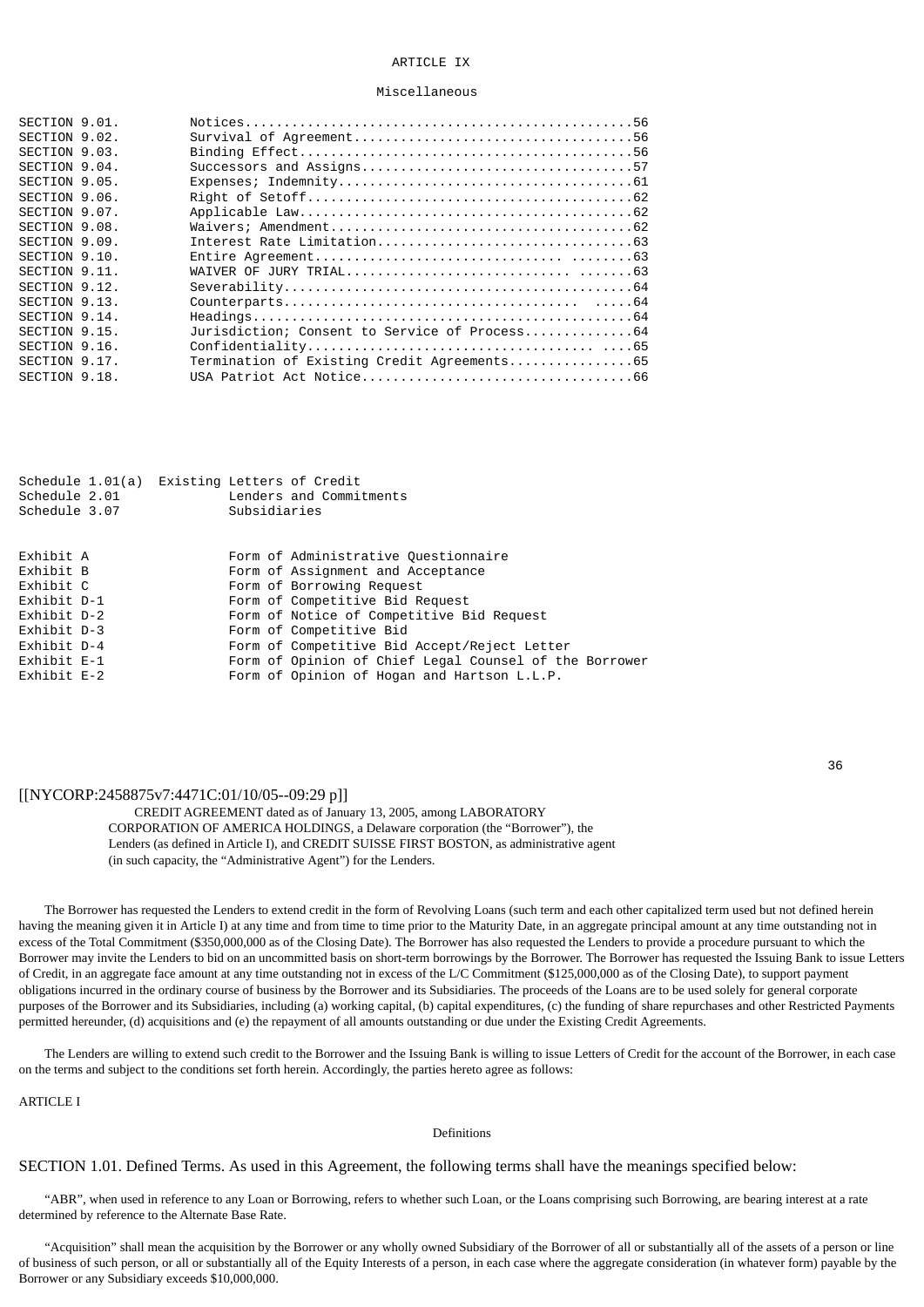### ARTICLE IX

#### Miscellaneous

| SECTION 9.01. |                                               |
|---------------|-----------------------------------------------|
| SECTION 9.02. |                                               |
| SECTION 9.03. |                                               |
| SECTION 9.04. |                                               |
| SECTION 9.05. |                                               |
| SECTION 9.06. |                                               |
| SECTION 9.07. |                                               |
| SECTION 9.08. |                                               |
| SECTION 9.09. |                                               |
| SECTION 9.10. |                                               |
| SECTION 9.11. |                                               |
| SECTION 9.12. |                                               |
| SECTION 9.13. |                                               |
| SECTION 9.14. |                                               |
| SECTION 9.15. | Jurisdiction; Consent to Service of Process64 |
| SECTION 9.16. |                                               |
| SECTION 9.17. |                                               |
| SECTION 9.18. |                                               |

| Schedule 1.01(a) Existing Letters of Credit<br>Schedule 2.01<br>Schedule 3.07 | Subsidiaries | Lenders and Commitments                                |
|-------------------------------------------------------------------------------|--------------|--------------------------------------------------------|
| Exhibit A                                                                     |              | Form of Administrative Questionnaire                   |
| Exhibit B                                                                     |              | Form of Assignment and Acceptance                      |
| Exhibit C                                                                     |              | Form of Borrowing Request                              |
| Exhibit D-1                                                                   |              | Form of Competitive Bid Request                        |
| Exhibit D-2                                                                   |              | Form of Notice of Competitive Bid Request              |
| Exhibit D-3                                                                   |              | Form of Competitive Bid                                |
| Exhibit D-4                                                                   |              | Form of Competitive Bid Accept/Reject Letter           |
| Exhibit E-1                                                                   |              | Form of Opinion of Chief Legal Counsel of the Borrower |
| Exhibit E-2                                                                   |              | Form of Opinion of Hogan and Hartson L.L.P.            |
|                                                                               |              |                                                        |

#### [[NYCORP:2458875v7:4471C:01/10/05--09:29 p]]

 CREDIT AGREEMENT dated as of January 13, 2005, among LABORATORY CORPORATION OF AMERICA HOLDINGS, a Delaware corporation (the "Borrower"), the Lenders (as defined in Article I), and CREDIT SUISSE FIRST BOSTON, as administrative agent (in such capacity, the "Administrative Agent") for the Lenders.

 The Borrower has requested the Lenders to extend credit in the form of Revolving Loans (such term and each other capitalized term used but not defined herein having the meaning given it in Article I) at any time and from time to time prior to the Maturity Date, in an aggregate principal amount at any time outstanding not in excess of the Total Commitment (\$350,000,000 as of the Closing Date). The Borrower has also requested the Lenders to provide a procedure pursuant to which the Borrower may invite the Lenders to bid on an uncommitted basis on short-term borrowings by the Borrower. The Borrower has requested the Issuing Bank to issue Letters of Credit, in an aggregate face amount at any time outstanding not in excess of the L/C Commitment (\$125,000,000 as of the Closing Date), to support payment obligations incurred in the ordinary course of business by the Borrower and its Subsidiaries. The proceeds of the Loans are to be used solely for general corporate purposes of the Borrower and its Subsidiaries, including (a) working capital, (b) capital expenditures, (c) the funding of share repurchases and other Restricted Payments permitted hereunder, (d) acquisitions and (e) the repayment of all amounts outstanding or due under the Existing Credit Agreements.

 The Lenders are willing to extend such credit to the Borrower and the Issuing Bank is willing to issue Letters of Credit for the account of the Borrower, in each case on the terms and subject to the conditions set forth herein. Accordingly, the parties hereto agree as follows:

ARTICLE I

#### Definitions

#### SECTION 1.01. Defined Terms. As used in this Agreement, the following terms shall have the meanings specified below:

 "ABR", when used in reference to any Loan or Borrowing, refers to whether such Loan, or the Loans comprising such Borrowing, are bearing interest at a rate determined by reference to the Alternate Base Rate.

 "Acquisition" shall mean the acquisition by the Borrower or any wholly owned Subsidiary of the Borrower of all or substantially all of the assets of a person or line of business of such person, or all or substantially all of the Equity Interests of a person, in each case where the aggregate consideration (in whatever form) payable by the Borrower or any Subsidiary exceeds \$10,000,000.

<u>36 and 2001 and 2001 and 2001 and 2001 and 2001 and 2001 and 2001 and 2001 and 2001 and 2001 and 2001 and 200</u>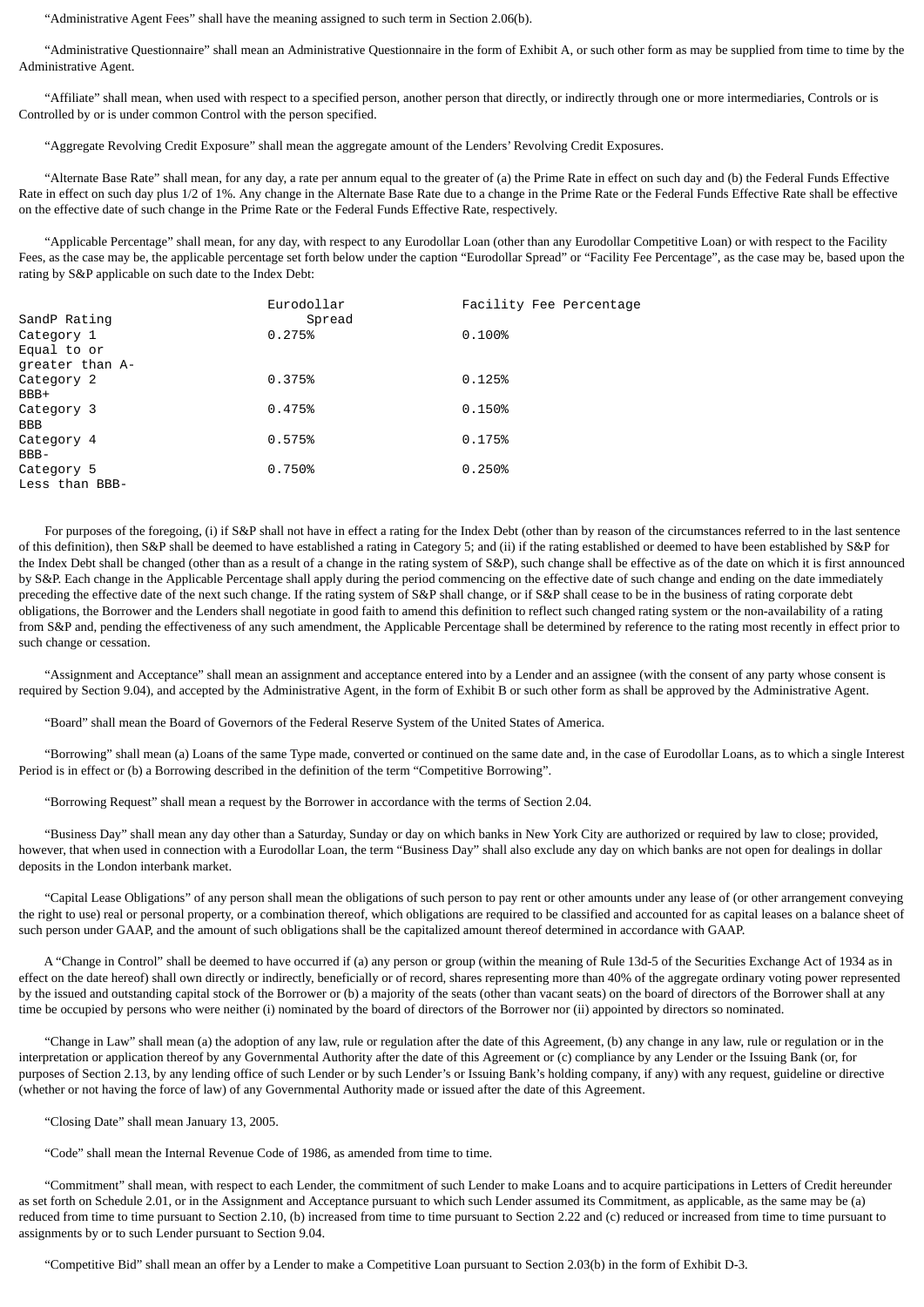"Administrative Agent Fees" shall have the meaning assigned to such term in Section 2.06(b).

 "Administrative Questionnaire" shall mean an Administrative Questionnaire in the form of Exhibit A, or such other form as may be supplied from time to time by the Administrative Agent.

 "Affiliate" shall mean, when used with respect to a specified person, another person that directly, or indirectly through one or more intermediaries, Controls or is Controlled by or is under common Control with the person specified.

"Aggregate Revolving Credit Exposure" shall mean the aggregate amount of the Lenders' Revolving Credit Exposures.

 "Alternate Base Rate" shall mean, for any day, a rate per annum equal to the greater of (a) the Prime Rate in effect on such day and (b) the Federal Funds Effective Rate in effect on such day plus 1/2 of 1%. Any change in the Alternate Base Rate due to a change in the Prime Rate or the Federal Funds Effective Rate shall be effective on the effective date of such change in the Prime Rate or the Federal Funds Effective Rate, respectively.

 "Applicable Percentage" shall mean, for any day, with respect to any Eurodollar Loan (other than any Eurodollar Competitive Loan) or with respect to the Facility Fees, as the case may be, the applicable percentage set forth below under the caption "Eurodollar Spread" or "Facility Fee Percentage", as the case may be, based upon the rating by S&P applicable on such date to the Index Debt:

|                 | Eurodollar | Facility Fee Percentage |
|-----------------|------------|-------------------------|
| SandP Rating    | Spread     |                         |
| Category 1      | 0.275%     | 0.100%                  |
| Equal to or     |            |                         |
| greater than A- |            |                         |
| Category 2      | 0.375%     | 0.125%                  |
| BBB+            |            |                         |
| Category 3      | 0.475%     | 0.150%                  |
| <b>BBB</b>      |            |                         |
| Category 4      | 0.575%     | 0.175%                  |
| BBB-            |            |                         |
| Category 5      | 0.750%     | 0.250%                  |
| Less than BBB-  |            |                         |

For purposes of the foregoing, (i) if S&P shall not have in effect a rating for the Index Debt (other than by reason of the circumstances referred to in the last sentence of this definition), then S&P shall be deemed to have established a rating in Category 5; and (ii) if the rating established or deemed to have been established by S&P for the Index Debt shall be changed (other than as a result of a change in the rating system of S&P), such change shall be effective as of the date on which it is first announced by S&P. Each change in the Applicable Percentage shall apply during the period commencing on the effective date of such change and ending on the date immediately preceding the effective date of the next such change. If the rating system of S&P shall change, or if S&P shall cease to be in the business of rating corporate debt obligations, the Borrower and the Lenders shall negotiate in good faith to amend this definition to reflect such changed rating system or the non-availability of a rating from S&P and, pending the effectiveness of any such amendment, the Applicable Percentage shall be determined by reference to the rating most recently in effect prior to such change or cessation.

 "Assignment and Acceptance" shall mean an assignment and acceptance entered into by a Lender and an assignee (with the consent of any party whose consent is required by Section 9.04), and accepted by the Administrative Agent, in the form of Exhibit B or such other form as shall be approved by the Administrative Agent.

"Board" shall mean the Board of Governors of the Federal Reserve System of the United States of America.

 "Borrowing" shall mean (a) Loans of the same Type made, converted or continued on the same date and, in the case of Eurodollar Loans, as to which a single Interest Period is in effect or (b) a Borrowing described in the definition of the term "Competitive Borrowing".

"Borrowing Request" shall mean a request by the Borrower in accordance with the terms of Section 2.04.

 "Business Day" shall mean any day other than a Saturday, Sunday or day on which banks in New York City are authorized or required by law to close; provided, however, that when used in connection with a Eurodollar Loan, the term "Business Day" shall also exclude any day on which banks are not open for dealings in dollar deposits in the London interbank market.

 "Capital Lease Obligations" of any person shall mean the obligations of such person to pay rent or other amounts under any lease of (or other arrangement conveying the right to use) real or personal property, or a combination thereof, which obligations are required to be classified and accounted for as capital leases on a balance sheet of such person under GAAP, and the amount of such obligations shall be the capitalized amount thereof determined in accordance with GAAP.

 A "Change in Control" shall be deemed to have occurred if (a) any person or group (within the meaning of Rule 13d-5 of the Securities Exchange Act of 1934 as in effect on the date hereof) shall own directly or indirectly, beneficially or of record, shares representing more than 40% of the aggregate ordinary voting power represented by the issued and outstanding capital stock of the Borrower or (b) a majority of the seats (other than vacant seats) on the board of directors of the Borrower shall at any time be occupied by persons who were neither (i) nominated by the board of directors of the Borrower nor (ii) appointed by directors so nominated.

"Change in Law" shall mean (a) the adoption of any law, rule or regulation after the date of this Agreement, (b) any change in any law, rule or regulation or in the interpretation or application thereof by any Governmental Authority after the date of this Agreement or (c) compliance by any Lender or the Issuing Bank (or, for purposes of Section 2.13, by any lending office of such Lender or by such Lender's or Issuing Bank's holding company, if any) with any request, guideline or directive (whether or not having the force of law) of any Governmental Authority made or issued after the date of this Agreement.

"Closing Date" shall mean January 13, 2005.

"Code" shall mean the Internal Revenue Code of 1986, as amended from time to time.

 "Commitment" shall mean, with respect to each Lender, the commitment of such Lender to make Loans and to acquire participations in Letters of Credit hereunder as set forth on Schedule 2.01, or in the Assignment and Acceptance pursuant to which such Lender assumed its Commitment, as applicable, as the same may be (a) reduced from time to time pursuant to Section 2.10, (b) increased from time to time pursuant to Section 2.22 and (c) reduced or increased from time to time pursuant to assignments by or to such Lender pursuant to Section 9.04.

"Competitive Bid" shall mean an offer by a Lender to make a Competitive Loan pursuant to Section 2.03(b) in the form of Exhibit D-3.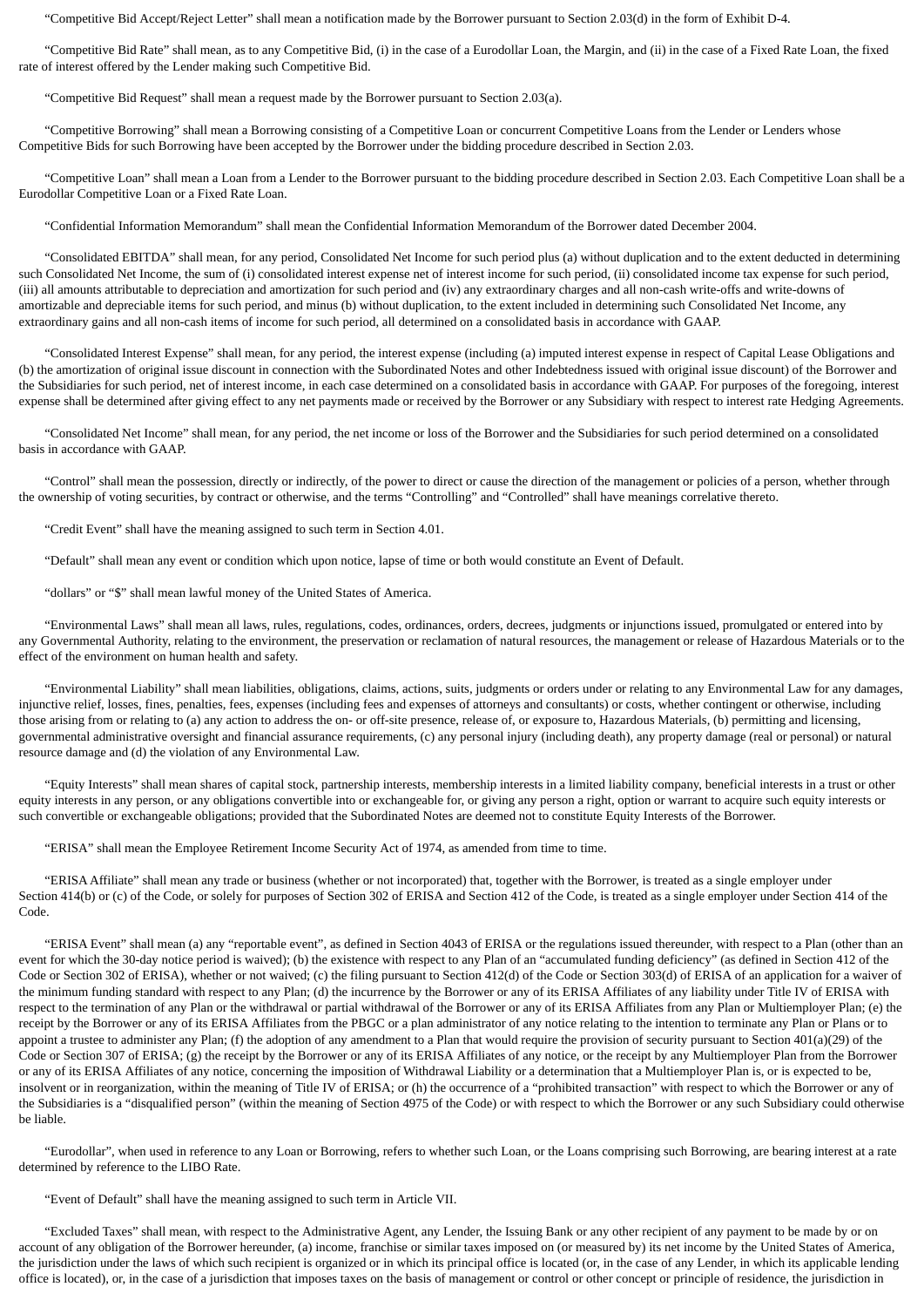"Competitive Bid Accept/Reject Letter" shall mean a notification made by the Borrower pursuant to Section 2.03(d) in the form of Exhibit D-4.

 "Competitive Bid Rate" shall mean, as to any Competitive Bid, (i) in the case of a Eurodollar Loan, the Margin, and (ii) in the case of a Fixed Rate Loan, the fixed rate of interest offered by the Lender making such Competitive Bid.

"Competitive Bid Request" shall mean a request made by the Borrower pursuant to Section 2.03(a).

 "Competitive Borrowing" shall mean a Borrowing consisting of a Competitive Loan or concurrent Competitive Loans from the Lender or Lenders whose Competitive Bids for such Borrowing have been accepted by the Borrower under the bidding procedure described in Section 2.03.

 "Competitive Loan" shall mean a Loan from a Lender to the Borrower pursuant to the bidding procedure described in Section 2.03. Each Competitive Loan shall be a Eurodollar Competitive Loan or a Fixed Rate Loan.

"Confidential Information Memorandum" shall mean the Confidential Information Memorandum of the Borrower dated December 2004.

 "Consolidated EBITDA" shall mean, for any period, Consolidated Net Income for such period plus (a) without duplication and to the extent deducted in determining such Consolidated Net Income, the sum of (i) consolidated interest expense net of interest income for such period, (ii) consolidated income tax expense for such period, (iii) all amounts attributable to depreciation and amortization for such period and (iv) any extraordinary charges and all non-cash write-offs and write-downs of amortizable and depreciable items for such period, and minus (b) without duplication, to the extent included in determining such Consolidated Net Income, any extraordinary gains and all non-cash items of income for such period, all determined on a consolidated basis in accordance with GAAP.

 "Consolidated Interest Expense" shall mean, for any period, the interest expense (including (a) imputed interest expense in respect of Capital Lease Obligations and (b) the amortization of original issue discount in connection with the Subordinated Notes and other Indebtedness issued with original issue discount) of the Borrower and the Subsidiaries for such period, net of interest income, in each case determined on a consolidated basis in accordance with GAAP. For purposes of the foregoing, interest expense shall be determined after giving effect to any net payments made or received by the Borrower or any Subsidiary with respect to interest rate Hedging Agreements.

 "Consolidated Net Income" shall mean, for any period, the net income or loss of the Borrower and the Subsidiaries for such period determined on a consolidated basis in accordance with GAAP.

"Control" shall mean the possession, directly or indirectly, of the power to direct or cause the direction of the management or policies of a person, whether through the ownership of voting securities, by contract or otherwise, and the terms "Controlling" and "Controlled" shall have meanings correlative thereto.

"Credit Event" shall have the meaning assigned to such term in Section 4.01.

"Default" shall mean any event or condition which upon notice, lapse of time or both would constitute an Event of Default.

"dollars" or "\$" shall mean lawful money of the United States of America.

 "Environmental Laws" shall mean all laws, rules, regulations, codes, ordinances, orders, decrees, judgments or injunctions issued, promulgated or entered into by any Governmental Authority, relating to the environment, the preservation or reclamation of natural resources, the management or release of Hazardous Materials or to the effect of the environment on human health and safety.

 "Environmental Liability" shall mean liabilities, obligations, claims, actions, suits, judgments or orders under or relating to any Environmental Law for any damages, injunctive relief, losses, fines, penalties, fees, expenses (including fees and expenses of attorneys and consultants) or costs, whether contingent or otherwise, including those arising from or relating to (a) any action to address the on- or off-site presence, release of, or exposure to, Hazardous Materials, (b) permitting and licensing, governmental administrative oversight and financial assurance requirements, (c) any personal injury (including death), any property damage (real or personal) or natural resource damage and (d) the violation of any Environmental Law.

 "Equity Interests" shall mean shares of capital stock, partnership interests, membership interests in a limited liability company, beneficial interests in a trust or other equity interests in any person, or any obligations convertible into or exchangeable for, or giving any person a right, option or warrant to acquire such equity interests or such convertible or exchangeable obligations; provided that the Subordinated Notes are deemed not to constitute Equity Interests of the Borrower.

"ERISA" shall mean the Employee Retirement Income Security Act of 1974, as amended from time to time.

 "ERISAAffiliate" shall mean any trade or business (whether or not incorporated) that, together with the Borrower, is treated as a single employer under Section 414(b) or (c) of the Code, or solely for purposes of Section 302 of ERISA and Section 412 of the Code, is treated as a single employer under Section 414 of the Code.

 "ERISA Event" shall mean (a) any "reportable event", as defined in Section 4043 of ERISA or the regulations issued thereunder, with respect to a Plan (other than an event for which the 30-day notice period is waived); (b) the existence with respect to any Plan of an "accumulated funding deficiency" (as defined in Section 412 of the Code or Section 302 of ERISA), whether or not waived; (c) the filing pursuant to Section 412(d) of the Code or Section 303(d) of ERISA of an application for a waiver of the minimum funding standard with respect to any Plan; (d) the incurrence by the Borrower or any of its ERISA Affiliates of any liability under Title IV of ERISA with respect to the termination of any Plan or the withdrawal or partial withdrawal of the Borrower or any of its ERISA Affiliates from any Plan or Multiemployer Plan; (e) the receipt by the Borrower or any of its ERISA Affiliates from the PBGC or a plan administrator of any notice relating to the intention to terminate any Plan or Plans or to appoint a trustee to administer any Plan; (f) the adoption of any amendment to a Plan that would require the provision of security pursuant to Section  $401(a)(29)$  of the Code or Section 307 of ERISA; (g) the receipt by the Borrower or any of its ERISA Affiliates of any notice, or the receipt by any Multiemployer Plan from the Borrower or any of its ERISA Affiliates of any notice, concerning the imposition of Withdrawal Liability or a determination that a Multiemployer Plan is, or is expected to be, insolvent or in reorganization, within the meaning of Title IV of ERISA; or (h) the occurrence of a "prohibited transaction" with respect to which the Borrower or any of the Subsidiaries is a "disqualified person" (within the meaning of Section 4975 of the Code) or with respect to which the Borrower or any such Subsidiary could otherwise be liable.

 "Eurodollar", when used in reference to any Loan or Borrowing, refers to whether such Loan, or the Loans comprising such Borrowing, are bearing interest at a rate determined by reference to the LIBO Rate.

"Event of Default" shall have the meaning assigned to such term in Article VII.

 "Excluded Taxes" shall mean, with respect to the Administrative Agent, any Lender, the Issuing Bank or any other recipient of any payment to be made by or on account of any obligation of the Borrower hereunder, (a) income, franchise or similar taxes imposed on (or measured by) its net income by the United States of America, the jurisdiction under the laws of which such recipient is organized or in which its principal office is located (or, in the case of any Lender, in which its applicable lending office is located), or, in the case of a jurisdiction that imposes taxes on the basis of management or control or other concept or principle of residence, the jurisdiction in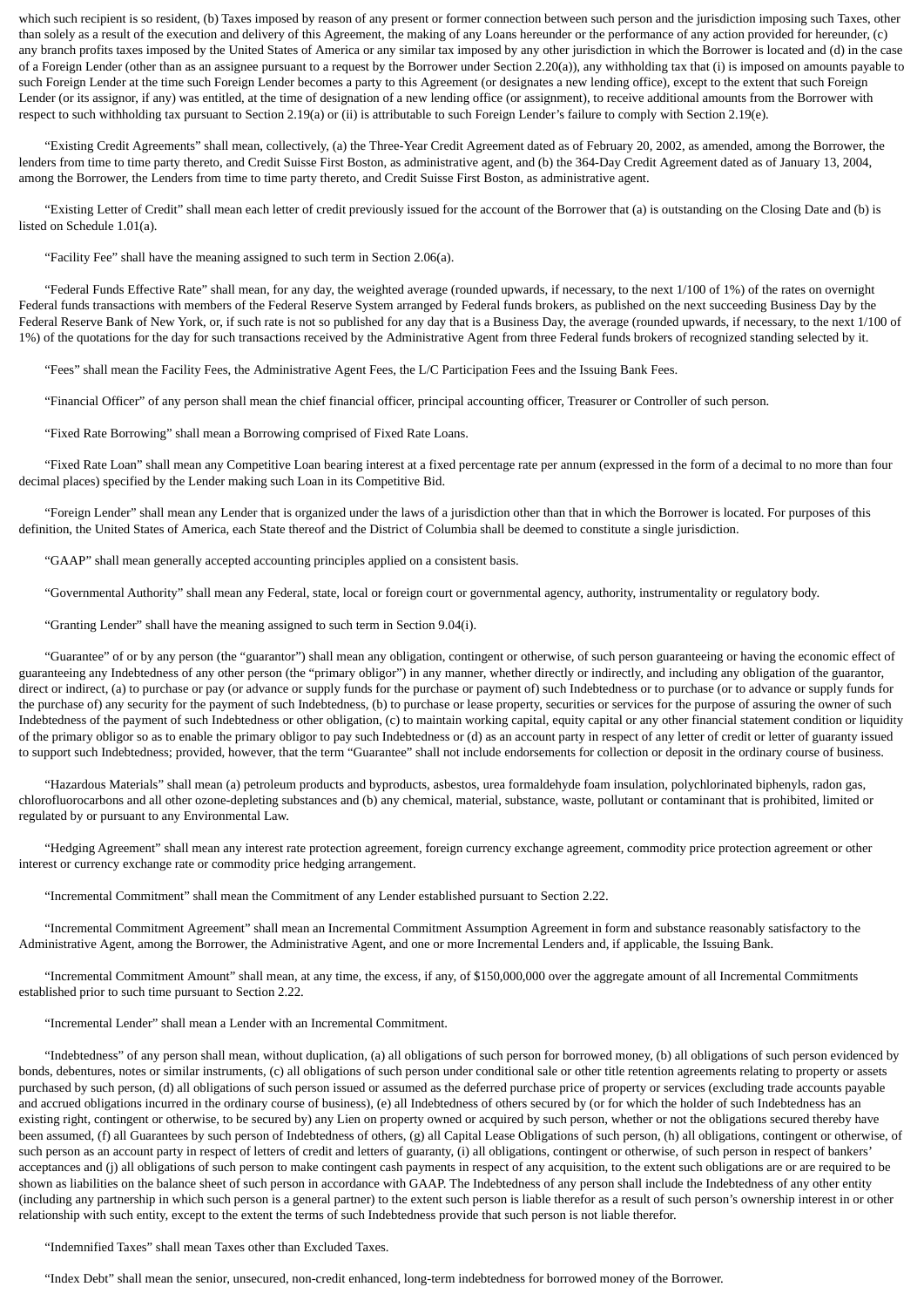which such recipient is so resident, (b) Taxes imposed by reason of any present or former connection between such person and the jurisdiction imposing such Taxes, other than solely as a result of the execution and delivery of this Agreement, the making of any Loans hereunder or the performance of any action provided for hereunder, (c) any branch profits taxes imposed by the United States of America or any similar tax imposed by any other jurisdiction in which the Borrower is located and (d) in the case of a Foreign Lender (other than as an assignee pursuant to a request by the Borrower under Section 2.20(a)), any withholding tax that (i) is imposed on amounts payable to such Foreign Lender at the time such Foreign Lender becomes a party to this Agreement (or designates a new lending office), except to the extent that such Foreign Lender (or its assignor, if any) was entitled, at the time of designation of a new lending office (or assignment), to receive additional amounts from the Borrower with respect to such withholding tax pursuant to Section 2.19(a) or (ii) is attributable to such Foreign Lender's failure to comply with Section 2.19(e).

 "Existing Credit Agreements" shall mean, collectively, (a) the Three-Year Credit Agreement dated as of February 20, 2002, as amended, among the Borrower, the lenders from time to time party thereto, and Credit Suisse First Boston, as administrative agent, and (b) the 364-Day Credit Agreement dated as of January 13, 2004, among the Borrower, the Lenders from time to time party thereto, and Credit Suisse First Boston, as administrative agent.

 "Existing Letter of Credit" shall mean each letter of credit previously issued for the account of the Borrower that (a) is outstanding on the Closing Date and (b) is listed on Schedule 1.01(a).

"Facility Fee" shall have the meaning assigned to such term in Section 2.06(a).

 "Federal Funds Effective Rate" shall mean, for any day, the weighted average (rounded upwards, if necessary, to the next 1/100 of 1%) of the rates on overnight Federal funds transactions with members of the Federal Reserve System arranged by Federal funds brokers, as published on the next succeeding Business Day by the Federal Reserve Bank of New York, or, if such rate is not so published for any day that is a Business Day, the average (rounded upwards, if necessary, to the next 1/100 of 1%) of the quotations for the day for such transactions received by the Administrative Agent from three Federal funds brokers of recognized standing selected by it.

"Fees" shall mean the Facility Fees, the Administrative Agent Fees, the L/C Participation Fees and the Issuing Bank Fees.

"Financial Officer" of any person shall mean the chief financial officer, principal accounting officer, Treasurer or Controller of such person.

"Fixed Rate Borrowing" shall mean a Borrowing comprised of Fixed Rate Loans.

 "Fixed Rate Loan" shall mean any Competitive Loan bearing interest at a fixed percentage rate per annum (expressed in the form of a decimal to no more than four decimal places) specified by the Lender making such Loan in its Competitive Bid.

 "Foreign Lender" shall mean any Lender that is organized under the laws of a jurisdiction other than that in which the Borrower is located. For purposes of this definition, the United States of America, each State thereof and the District of Columbia shall be deemed to constitute a single jurisdiction.

"GAAP" shall mean generally accepted accounting principles applied on a consistent basis.

"Governmental Authority" shall mean any Federal, state, local or foreign court or governmental agency, authority, instrumentality or regulatory body.

"Granting Lender" shall have the meaning assigned to such term in Section 9.04(i).

 "Guarantee" of or by any person (the "guarantor") shall mean any obligation, contingent or otherwise, of such person guaranteeing or having the economic effect of guaranteeing any Indebtedness of any other person (the "primary obligor") in any manner, whether directly or indirectly, and including any obligation of the guarantor, direct or indirect, (a) to purchase or pay (or advance or supply funds for the purchase or payment of) such Indebtedness or to purchase (or to advance or supply funds for the purchase of) any security for the payment of such Indebtedness, (b) to purchase or lease property, securities or services for the purpose of assuring the owner of such Indebtedness of the payment of such Indebtedness or other obligation, (c) to maintain working capital, equity capital or any other financial statement condition or liquidity of the primary obligor so as to enable the primary obligor to pay such Indebtedness or (d) as an account party in respect of any letter of credit or letter of guaranty issued to support such Indebtedness; provided, however, that the term "Guarantee" shall not include endorsements for collection or deposit in the ordinary course of business.

 "Hazardous Materials" shall mean (a) petroleum products and byproducts, asbestos, urea formaldehyde foam insulation, polychlorinated biphenyls, radon gas, chlorofluorocarbons and all other ozone-depleting substances and (b) any chemical, material, substance, waste, pollutant or contaminant that is prohibited, limited or regulated by or pursuant to any Environmental Law.

 "Hedging Agreement" shall mean any interest rate protection agreement, foreign currency exchange agreement, commodity price protection agreement or other interest or currency exchange rate or commodity price hedging arrangement.

"Incremental Commitment" shall mean the Commitment of any Lender established pursuant to Section 2.22.

 "Incremental Commitment Agreement" shall mean an Incremental Commitment Assumption Agreement in form and substance reasonably satisfactory to the Administrative Agent, among the Borrower, the Administrative Agent, and one or more Incremental Lenders and, if applicable, the Issuing Bank.

 "Incremental Commitment Amount" shall mean, at any time, the excess, if any, of \$150,000,000 over the aggregate amount of all Incremental Commitments established prior to such time pursuant to Section 2.22.

"Incremental Lender" shall mean a Lender with an Incremental Commitment.

 "Indebtedness" of any person shall mean, without duplication, (a) all obligations of such person for borrowed money, (b) all obligations of such person evidenced by bonds, debentures, notes or similar instruments, (c) all obligations of such person under conditional sale or other title retention agreements relating to property or assets purchased by such person, (d) all obligations of such person issued or assumed as the deferred purchase price of property or services (excluding trade accounts payable and accrued obligations incurred in the ordinary course of business), (e) all Indebtedness of others secured by (or for which the holder of such Indebtedness has an existing right, contingent or otherwise, to be secured by) any Lien on property owned or acquired by such person, whether or not the obligations secured thereby have been assumed, (f) all Guarantees by such person of Indebtedness of others, (g) all Capital Lease Obligations of such person, (h) all obligations, contingent or otherwise, of such person as an account party in respect of letters of credit and letters of guaranty, (i) all obligations, contingent or otherwise, of such person in respect of bankers' acceptances and (j) all obligations of such person to make contingent cash payments in respect of any acquisition, to the extent such obligations are or are required to be shown as liabilities on the balance sheet of such person in accordance with GAAP. The Indebtedness of any person shall include the Indebtedness of any other entity (including any partnership in which such person is a general partner) to the extent such person is liable therefor as a result of such person's ownership interest in or other relationship with such entity, except to the extent the terms of such Indebtedness provide that such person is not liable therefor.

"Indemnified Taxes" shall mean Taxes other than Excluded Taxes.

"Index Debt" shall mean the senior, unsecured, non-credit enhanced, long-term indebtedness for borrowed money of the Borrower.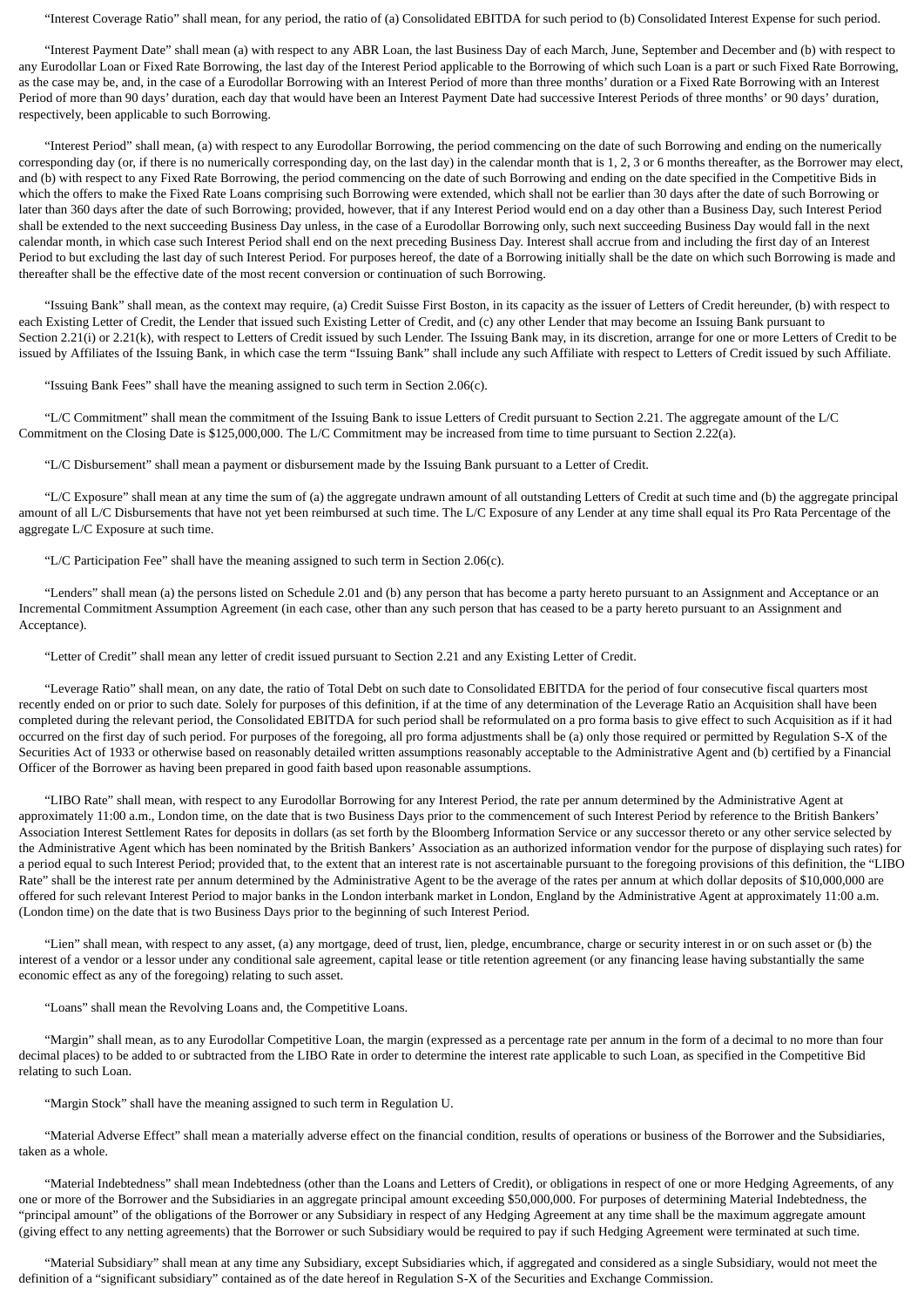"Interest Coverage Ratio" shall mean, for any period, the ratio of (a) Consolidated EBITDA for such period to (b) Consolidated Interest Expense for such period.

 "Interest Payment Date" shall mean (a) with respect to any ABR Loan, the last Business Day of each March, June, September and December and (b) with respect to any Eurodollar Loan or Fixed Rate Borrowing, the last day of the Interest Period applicable to the Borrowing of which such Loan is a part or such Fixed Rate Borrowing, as the case may be, and, in the case of a Eurodollar Borrowing with an Interest Period of more than three months' duration or a Fixed Rate Borrowing with an Interest Period of more than 90 days' duration, each day that would have been an Interest Payment Date had successive Interest Periods of three months' or 90 days' duration, respectively, been applicable to such Borrowing.

 "Interest Period" shall mean, (a) with respect to any Eurodollar Borrowing, the period commencing on the date of such Borrowing and ending on the numerically corresponding day (or, if there is no numerically corresponding day, on the last day) in the calendar month that is 1, 2, 3 or 6 months thereafter, as the Borrower may elect, and (b) with respect to any Fixed Rate Borrowing, the period commencing on the date of such Borrowing and ending on the date specified in the Competitive Bids in which the offers to make the Fixed Rate Loans comprising such Borrowing were extended, which shall not be earlier than 30 days after the date of such Borrowing or later than 360 days after the date of such Borrowing; provided, however, that if any Interest Period would end on a day other than a Business Day, such Interest Period shall be extended to the next succeeding Business Day unless, in the case of a Eurodollar Borrowing only, such next succeeding Business Day would fall in the next calendar month, in which case such Interest Period shall end on the next preceding Business Day. Interest shall accrue from and including the first day of an Interest Period to but excluding the last day of such Interest Period. For purposes hereof, the date of a Borrowing initially shall be the date on which such Borrowing is made and thereafter shall be the effective date of the most recent conversion or continuation of such Borrowing.

 "Issuing Bank" shall mean, as the context may require, (a) Credit Suisse First Boston, in its capacity as the issuer of Letters of Credit hereunder, (b) with respect to each Existing Letter of Credit, the Lender that issued such Existing Letter of Credit, and (c) any other Lender that may become an Issuing Bank pursuant to Section 2.21(i) or 2.21(k), with respect to Letters of Credit issued by such Lender. The Issuing Bank may, in its discretion, arrange for one or more Letters of Credit to be issued by Affiliates of the Issuing Bank, in which case the term "Issuing Bank" shall include any such Affiliate with respect to Letters of Credit issued by such Affiliate.

"Issuing Bank Fees" shall have the meaning assigned to such term in Section 2.06(c).

 "L/C Commitment" shall mean the commitment of the Issuing Bank to issue Letters of Credit pursuant to Section 2.21. The aggregate amount of the L/C Commitment on the Closing Date is \$125,000,000. The L/C Commitment may be increased from time to time pursuant to Section 2.22(a).

"L/C Disbursement" shall mean a payment or disbursement made by the Issuing Bank pursuant to a Letter of Credit.

 "L/C Exposure" shall mean at any time the sum of (a) the aggregate undrawn amount of all outstanding Letters of Credit at such time and (b) the aggregate principal amount of all L/C Disbursements that have not yet been reimbursed at such time. The L/C Exposure of any Lender at any time shall equal its Pro Rata Percentage of the aggregate L/C Exposure at such time.

"L/C Participation Fee" shall have the meaning assigned to such term in Section 2.06(c).

 "Lenders" shall mean (a) the persons listed on Schedule 2.01 and (b) any person that has become a party hereto pursuant to an Assignment and Acceptance or an Incremental Commitment Assumption Agreement (in each case, other than any such person that has ceased to be a party hereto pursuant to an Assignment and Acceptance).

"Letter of Credit" shall mean any letter of credit issued pursuant to Section 2.21 and any Existing Letter of Credit.

 "Leverage Ratio" shall mean, on any date, the ratio of Total Debt on such date to Consolidated EBITDA for the period of four consecutive fiscal quarters most recently ended on or prior to such date. Solely for purposes of this definition, if at the time of any determination of the Leverage Ratio an Acquisition shall have been completed during the relevant period, the Consolidated EBITDA for such period shall be reformulated on a pro forma basis to give effect to such Acquisition as if it had occurred on the first day of such period. For purposes of the foregoing, all pro forma adjustments shall be (a) only those required or permitted by Regulation S-X of the Securities Act of 1933 or otherwise based on reasonably detailed written assumptions reasonably acceptable to the Administrative Agent and (b) certified by a Financial Officer of the Borrower as having been prepared in good faith based upon reasonable assumptions.

 "LIBO Rate" shall mean, with respect to any Eurodollar Borrowing for any Interest Period, the rate per annum determined by the Administrative Agent at approximately 11:00 a.m., London time, on the date that is two Business Days prior to the commencement of such Interest Period by reference to the British Bankers' Association Interest Settlement Rates for deposits in dollars (as set forth by the Bloomberg Information Service or any successor thereto or any other service selected by the Administrative Agent which has been nominated by the British Bankers' Association as an authorized information vendor for the purpose of displaying such rates) for a period equal to such Interest Period; provided that, to the extent that an interest rate is not ascertainable pursuant to the foregoing provisions of this definition, the "LIBO Rate" shall be the interest rate per annum determined by the Administrative Agent to be the average of the rates per annum at which dollar deposits of \$10,000,000 are offered for such relevant Interest Period to major banks in the London interbank market in London, England by the Administrative Agent at approximately 11:00 a.m. (London time) on the date that is two Business Days prior to the beginning of such Interest Period.

 "Lien" shall mean, with respect to any asset, (a) any mortgage, deed of trust, lien, pledge, encumbrance, charge or security interest in or on such asset or (b) the interest of a vendor or a lessor under any conditional sale agreement, capital lease or title retention agreement (or any financing lease having substantially the same economic effect as any of the foregoing) relating to such asset.

"Loans" shall mean the Revolving Loans and, the Competitive Loans.

 "Margin" shall mean, as to any Eurodollar Competitive Loan, the margin (expressed as a percentage rate per annum in the form of a decimal to no more than four decimal places) to be added to or subtracted from the LIBO Rate in order to determine the interest rate applicable to such Loan, as specified in the Competitive Bid relating to such Loan.

"Margin Stock" shall have the meaning assigned to such term in Regulation U.

 "Material Adverse Effect" shall mean a materially adverse effect on the financial condition, results of operations or business of the Borrower and the Subsidiaries, taken as a whole.

 "Material Indebtedness" shall mean Indebtedness (other than the Loans and Letters of Credit), or obligations in respect of one or more Hedging Agreements, of any one or more of the Borrower and the Subsidiaries in an aggregate principal amount exceeding \$50,000,000. For purposes of determining Material Indebtedness, the "principal amount" of the obligations of the Borrower or any Subsidiary in respect of any Hedging Agreement at any time shall be the maximum aggregate amount (giving effect to any netting agreements) that the Borrower or such Subsidiary would be required to pay if such Hedging Agreement were terminated at such time.

 "Material Subsidiary" shall mean at any time any Subsidiary, except Subsidiaries which, if aggregated and considered as a single Subsidiary, would not meet the definition of a "significant subsidiary" contained as of the date hereof in Regulation S-X of the Securities and Exchange Commission.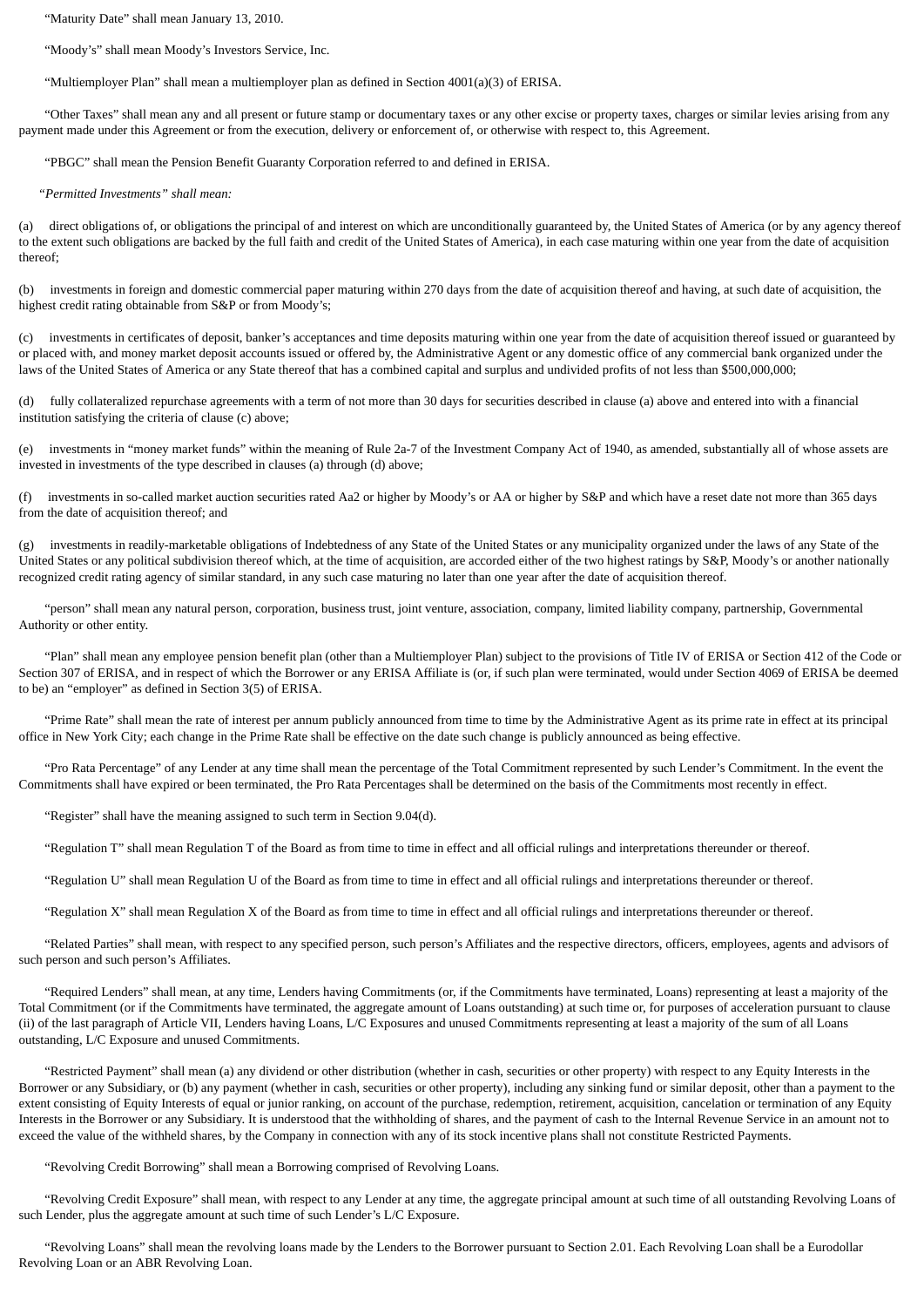"Maturity Date" shall mean January 13, 2010.

"Moody's" shall mean Moody's Investors Service, Inc.

"Multiemployer Plan" shall mean a multiemployer plan as defined in Section 4001(a)(3) of ERISA.

 "Other Taxes" shall mean any and all present or future stamp or documentary taxes or any other excise or property taxes, charges or similar levies arising from any payment made under this Agreement or from the execution, delivery or enforcement of, or otherwise with respect to, this Agreement.

"PBGC" shall mean the Pension Benefit Guaranty Corporation referred to and defined in ERISA.

 *"Permitted Investments" shall mean:*

(a) direct obligations of, or obligations the principal of and interest on which are unconditionally guaranteed by, the United States of America (or by any agency thereof to the extent such obligations are backed by the full faith and credit of the United States of America), in each case maturing within one year from the date of acquisition thereof;

(b) investments in foreign and domestic commercial paper maturing within 270 days from the date of acquisition thereof and having, at such date of acquisition, the highest credit rating obtainable from S&P or from Moody's;

(c) investments in certificates of deposit, banker's acceptances and time deposits maturing within one year from the date of acquisition thereof issued or guaranteed by or placed with, and money market deposit accounts issued or offered by, the Administrative Agent or any domestic office of any commercial bank organized under the laws of the United States of America or any State thereof that has a combined capital and surplus and undivided profits of not less than \$500,000,000;

(d) fully collateralized repurchase agreements with a term of not more than 30 days for securities described in clause (a) above and entered into with a financial institution satisfying the criteria of clause (c) above;

(e) investments in "money market funds" within the meaning of Rule 2a-7 of the Investment Company Act of 1940, as amended, substantially all of whose assets are invested in investments of the type described in clauses (a) through (d) above;

(f) investments in so-called market auction securities rated Aa2 or higher by Moody's or AA or higher by S&P and which have a reset date not more than 365 days from the date of acquisition thereof; and

(g) investments in readily-marketable obligations of Indebtedness of any State of the United States or any municipality organized under the laws of any State of the United States or any political subdivision thereof which, at the time of acquisition, are accorded either of the two highest ratings by S&P, Moody's or another nationally recognized credit rating agency of similar standard, in any such case maturing no later than one year after the date of acquisition thereof.

 "person" shall mean any natural person, corporation, business trust, joint venture, association, company, limited liability company, partnership, Governmental Authority or other entity.

 "Plan" shall mean any employee pension benefit plan (other than a Multiemployer Plan) subject to the provisions of Title IV of ERISA or Section 412 of the Code or Section 307 of ERISA, and in respect of which the Borrower or any ERISA Affiliate is (or, if such plan were terminated, would under Section 4069 of ERISA be deemed to be) an "employer" as defined in Section 3(5) of ERISA.

 "Prime Rate" shall mean the rate of interest per annum publicly announced from time to time by the Administrative Agent as its prime rate in effect at its principal office in New York City; each change in the Prime Rate shall be effective on the date such change is publicly announced as being effective.

 "Pro Rata Percentage" of any Lender at any time shall mean the percentage of the Total Commitment represented by such Lender's Commitment. In the event the Commitments shall have expired or been terminated, the Pro Rata Percentages shall be determined on the basis of the Commitments most recently in effect.

"Register" shall have the meaning assigned to such term in Section 9.04(d).

"Regulation T" shall mean Regulation T of the Board as from time to time in effect and all official rulings and interpretations thereunder or thereof.

"Regulation U" shall mean Regulation U of the Board as from time to time in effect and all official rulings and interpretations thereunder or thereof.

"Regulation X" shall mean Regulation X of the Board as from time to time in effect and all official rulings and interpretations thereunder or thereof.

 "Related Parties" shall mean, with respect to any specified person, such person's Affiliates and the respective directors, officers, employees, agents and advisors of such person and such person's Affiliates.

 "Required Lenders" shall mean, at any time, Lenders having Commitments (or, if the Commitments have terminated, Loans) representing at least a majority of the Total Commitment (or if the Commitments have terminated, the aggregate amount of Loans outstanding) at such time or, for purposes of acceleration pursuant to clause (ii) of the last paragraph of Article VII, Lenders having Loans, L/C Exposures and unused Commitments representing at least a majority of the sum of all Loans outstanding, L/C Exposure and unused Commitments.

 "Restricted Payment" shall mean (a) any dividend or other distribution (whether in cash, securities or other property) with respect to any Equity Interests in the Borrower or any Subsidiary, or (b) any payment (whether in cash, securities or other property), including any sinking fund or similar deposit, other than a payment to the extent consisting of Equity Interests of equal or junior ranking, on account of the purchase, redemption, retirement, acquisition, cancelation or termination of any Equity Interests in the Borrower or any Subsidiary. It is understood that the withholding of shares, and the payment of cash to the Internal Revenue Service in an amount not to exceed the value of the withheld shares, by the Company in connection with any of its stock incentive plans shall not constitute Restricted Payments.

"Revolving Credit Borrowing" shall mean a Borrowing comprised of Revolving Loans.

 "Revolving Credit Exposure" shall mean, with respect to any Lender at any time, the aggregate principal amount at such time of all outstanding Revolving Loans of such Lender, plus the aggregate amount at such time of such Lender's L/C Exposure.

 "Revolving Loans" shall mean the revolving loans made by the Lenders to the Borrower pursuant to Section 2.01. Each Revolving Loan shall be a Eurodollar Revolving Loan or an ABR Revolving Loan.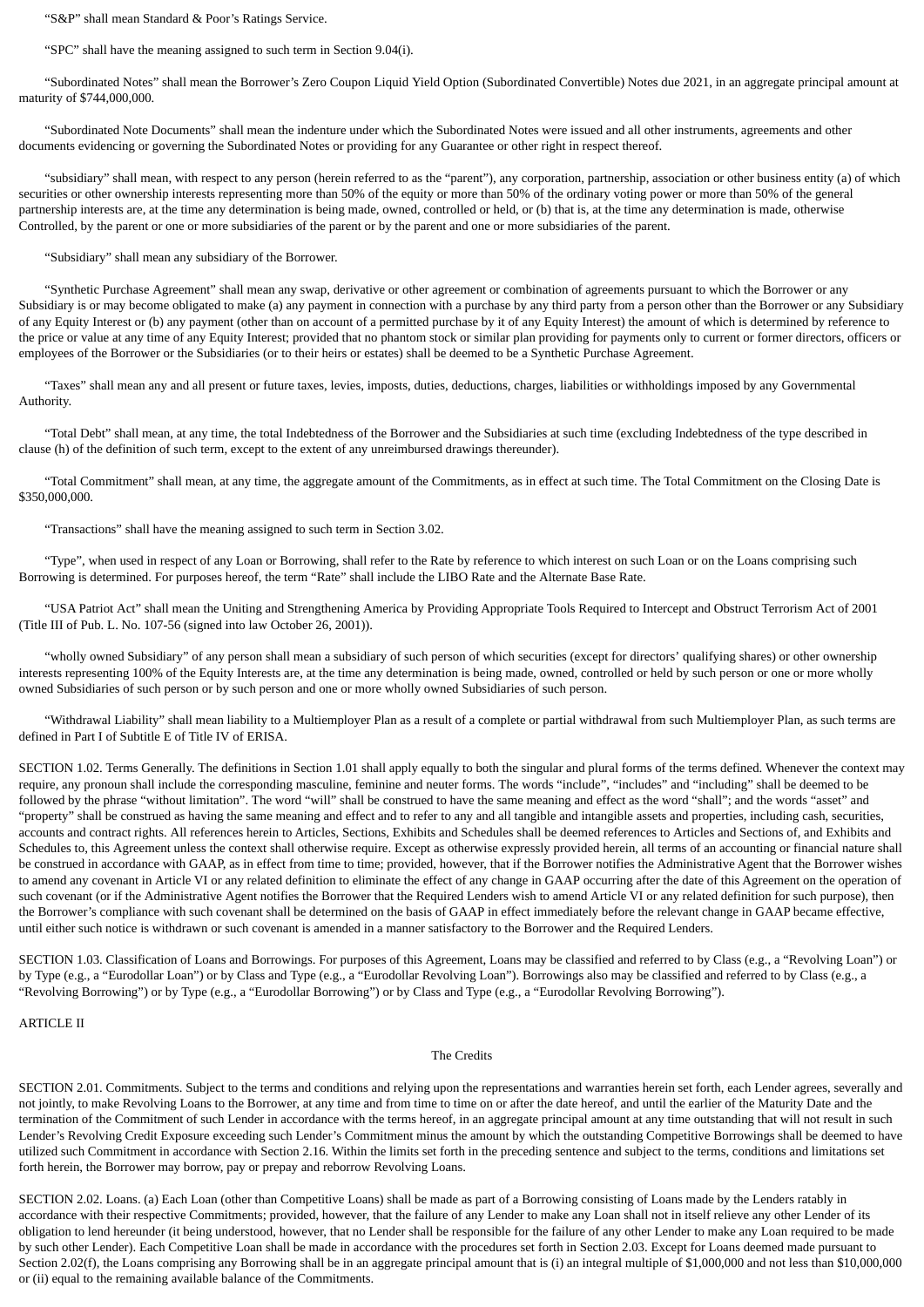"S&P" shall mean Standard & Poor's Ratings Service.

"SPC" shall have the meaning assigned to such term in Section 9.04(i).

 "Subordinated Notes" shall mean the Borrower's Zero Coupon Liquid Yield Option (Subordinated Convertible) Notes due 2021, in an aggregate principal amount at maturity of \$744,000,000.

 "Subordinated Note Documents" shall mean the indenture under which the Subordinated Notes were issued and all other instruments, agreements and other documents evidencing or governing the Subordinated Notes or providing for any Guarantee or other right in respect thereof.

 "subsidiary" shall mean, with respect to any person (herein referred to as the "parent"), any corporation, partnership, association or other business entity (a) of which securities or other ownership interests representing more than 50% of the equity or more than 50% of the ordinary voting power or more than 50% of the general partnership interests are, at the time any determination is being made, owned, controlled or held, or (b) that is, at the time any determination is made, otherwise Controlled, by the parent or one or more subsidiaries of the parent or by the parent and one or more subsidiaries of the parent.

"Subsidiary" shall mean any subsidiary of the Borrower.

 "Synthetic Purchase Agreement" shall mean any swap, derivative or other agreement or combination of agreements pursuant to which the Borrower or any Subsidiary is or may become obligated to make (a) any payment in connection with a purchase by any third party from a person other than the Borrower or any Subsidiary of any Equity Interest or (b) any payment (other than on account of a permitted purchase by it of any Equity Interest) the amount of which is determined by reference to the price or value at any time of any Equity Interest; provided that no phantom stock or similar plan providing for payments only to current or former directors, officers or employees of the Borrower or the Subsidiaries (or to their heirs or estates) shall be deemed to be a Synthetic Purchase Agreement.

 "Taxes" shall mean any and all present or future taxes, levies, imposts, duties, deductions, charges, liabilities or withholdings imposed by any Governmental Authority.

 "Total Debt" shall mean, at any time, the total Indebtedness of the Borrower and the Subsidiaries at such time (excluding Indebtedness of the type described in clause (h) of the definition of such term, except to the extent of any unreimbursed drawings thereunder).

 "Total Commitment" shall mean, at any time, the aggregate amount of the Commitments, as in effect at such time. The Total Commitment on the Closing Date is \$350,000,000.

"Transactions" shall have the meaning assigned to such term in Section 3.02.

 "Type", when used in respect of any Loan or Borrowing, shall refer to the Rate by reference to which interest on such Loan or on the Loans comprising such Borrowing is determined. For purposes hereof, the term "Rate" shall include the LIBO Rate and the Alternate Base Rate.

 "USA Patriot Act" shall mean the Uniting and Strengthening America by Providing Appropriate Tools Required to Intercept and Obstruct Terrorism Act of 2001 (Title III of Pub. L. No. 107-56 (signed into law October 26, 2001)).

 "wholly owned Subsidiary" of any person shall mean a subsidiary of such person of which securities (except for directors' qualifying shares) or other ownership interests representing 100% of the Equity Interests are, at the time any determination is being made, owned, controlled or held by such person or one or more wholly owned Subsidiaries of such person or by such person and one or more wholly owned Subsidiaries of such person.

 "Withdrawal Liability" shall mean liability to a Multiemployer Plan as a result of a complete or partial withdrawal from such Multiemployer Plan, as such terms are defined in Part I of Subtitle E of Title IV of ERISA.

SECTION 1.02. Terms Generally. The definitions in Section 1.01 shall apply equally to both the singular and plural forms of the terms defined. Whenever the context may require, any pronoun shall include the corresponding masculine, feminine and neuter forms. The words "include", "includes" and "including" shall be deemed to be followed by the phrase "without limitation". The word "will" shall be construed to have the same meaning and effect as the word "shall"; and the words "asset" and "property" shall be construed as having the same meaning and effect and to refer to any and all tangible and intangible assets and properties, including cash, securities, accounts and contract rights. All references herein to Articles, Sections, Exhibits and Schedules shall be deemed references to Articles and Sections of, and Exhibits and Schedules to, this Agreement unless the context shall otherwise require. Except as otherwise expressly provided herein, all terms of an accounting or financial nature shall be construed in accordance with GAAP, as in effect from time to time; provided, however, that if the Borrower notifies the Administrative Agent that the Borrower wishes to amend any covenant in Article VI or any related definition to eliminate the effect of any change in GAAP occurring after the date of this Agreement on the operation of such covenant (or if the Administrative Agent notifies the Borrower that the Required Lenders wish to amend Article VI or any related definition for such purpose), then the Borrower's compliance with such covenant shall be determined on the basis of GAAP in effect immediately before the relevant change in GAAP became effective, until either such notice is withdrawn or such covenant is amended in a manner satisfactory to the Borrower and the Required Lenders.

SECTION 1.03. Classification of Loans and Borrowings. For purposes of this Agreement, Loans may be classified and referred to by Class (e.g., a "Revolving Loan") or by Type (e.g., a "Eurodollar Loan") or by Class and Type (e.g., a "Eurodollar Revolving Loan"). Borrowings also may be classified and referred to by Class (e.g., a "Revolving Borrowing") or by Type (e.g., a "Eurodollar Borrowing") or by Class and Type (e.g., a "Eurodollar Revolving Borrowing").

#### ARTICLE II

### The Credits

SECTION 2.01. Commitments. Subject to the terms and conditions and relying upon the representations and warranties herein set forth, each Lender agrees, severally and not jointly, to make Revolving Loans to the Borrower, at any time and from time to time on or after the date hereof, and until the earlier of the Maturity Date and the termination of the Commitment of such Lender in accordance with the terms hereof, in an aggregate principal amount at any time outstanding that will not result in such Lender's Revolving Credit Exposure exceeding such Lender's Commitment minus the amount by which the outstanding Competitive Borrowings shall be deemed to have utilized such Commitment in accordance with Section 2.16. Within the limits set forth in the preceding sentence and subject to the terms, conditions and limitations set forth herein, the Borrower may borrow, pay or prepay and reborrow Revolving Loans.

SECTION 2.02. Loans. (a) Each Loan (other than Competitive Loans) shall be made as part of a Borrowing consisting of Loans made by the Lenders ratably in accordance with their respective Commitments; provided, however, that the failure of any Lender to make any Loan shall not in itself relieve any other Lender of its obligation to lend hereunder (it being understood, however, that no Lender shall be responsible for the failure of any other Lender to make any Loan required to be made by such other Lender). Each Competitive Loan shall be made in accordance with the procedures set forth in Section 2.03. Except for Loans deemed made pursuant to Section 2.02(f), the Loans comprising any Borrowing shall be in an aggregate principal amount that is (i) an integral multiple of \$1,000,000 and not less than \$10,000,000 or (ii) equal to the remaining available balance of the Commitments.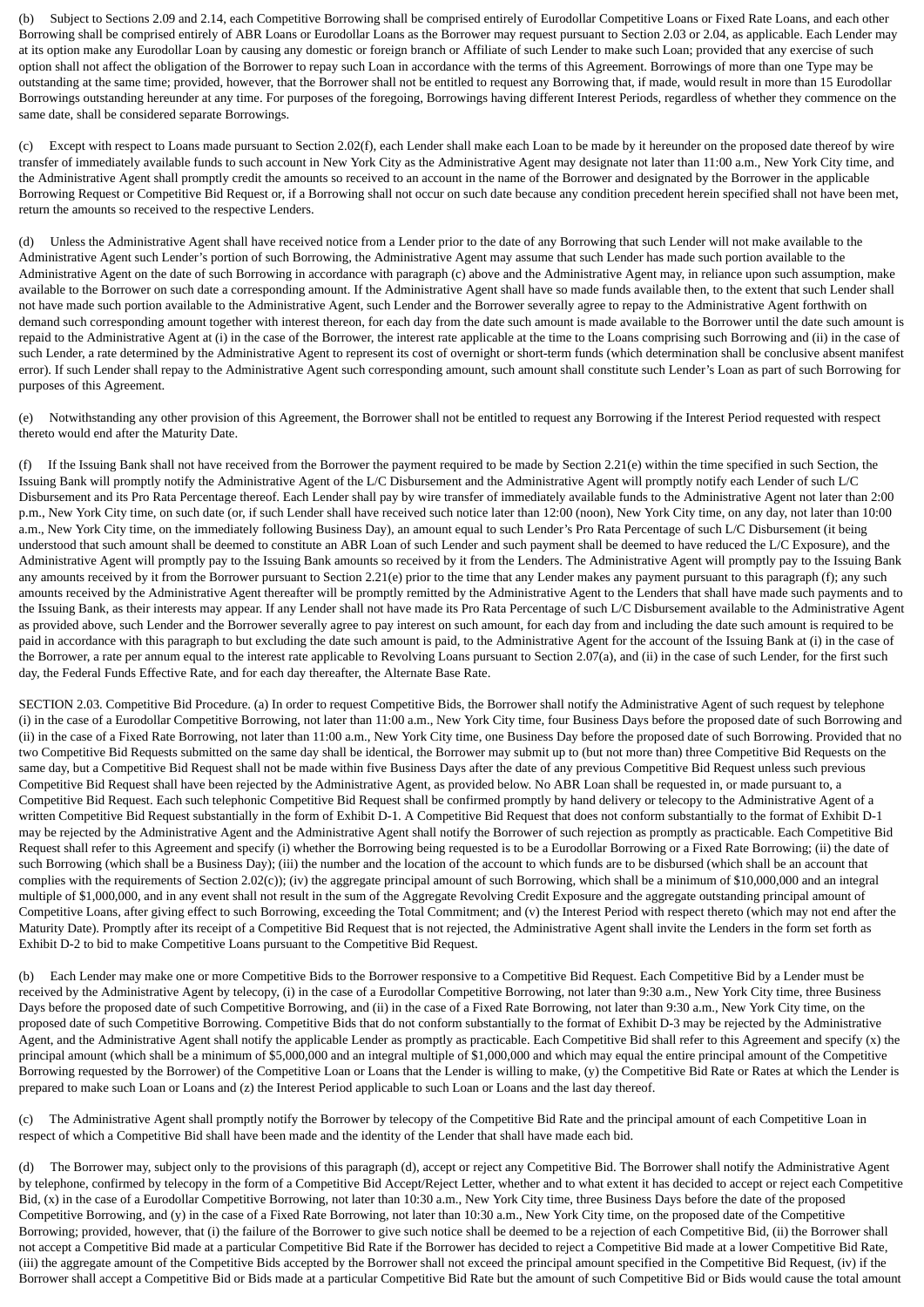(b) Subject to Sections 2.09 and 2.14, each Competitive Borrowing shall be comprised entirely of Eurodollar Competitive Loans or Fixed Rate Loans, and each other Borrowing shall be comprised entirely of ABR Loans or Eurodollar Loans as the Borrower may request pursuant to Section 2.03 or 2.04, as applicable. Each Lender may at its option make any Eurodollar Loan by causing any domestic or foreign branch or Affiliate of such Lender to make such Loan; provided that any exercise of such option shall not affect the obligation of the Borrower to repay such Loan in accordance with the terms of this Agreement. Borrowings of more than one Type may be outstanding at the same time; provided, however, that the Borrower shall not be entitled to request any Borrowing that, if made, would result in more than 15 Eurodollar Borrowings outstanding hereunder at any time. For purposes of the foregoing, Borrowings having different Interest Periods, regardless of whether they commence on the same date, shall be considered separate Borrowings.

(c) Except with respect to Loans made pursuant to Section 2.02(f), each Lender shall make each Loan to be made by it hereunder on the proposed date thereof by wire transfer of immediately available funds to such account in New York City as the Administrative Agent may designate not later than 11:00 a.m., New York City time, and the Administrative Agent shall promptly credit the amounts so received to an account in the name of the Borrower and designated by the Borrower in the applicable Borrowing Request or Competitive Bid Request or, if a Borrowing shall not occur on such date because any condition precedent herein specified shall not have been met, return the amounts so received to the respective Lenders.

(d) Unless the Administrative Agent shall have received notice from a Lender prior to the date of any Borrowing that such Lender will not make available to the Administrative Agent such Lender's portion of such Borrowing, the Administrative Agent may assume that such Lender has made such portion available to the Administrative Agent on the date of such Borrowing in accordance with paragraph (c) above and the Administrative Agent may, in reliance upon such assumption, make available to the Borrower on such date a corresponding amount. If the Administrative Agent shall have so made funds available then, to the extent that such Lender shall not have made such portion available to the Administrative Agent, such Lender and the Borrower severally agree to repay to the Administrative Agent forthwith on demand such corresponding amount together with interest thereon, for each day from the date such amount is made available to the Borrower until the date such amount is repaid to the Administrative Agent at (i) in the case of the Borrower, the interest rate applicable at the time to the Loans comprising such Borrowing and (ii) in the case of such Lender, a rate determined by the Administrative Agent to represent its cost of overnight or short-term funds (which determination shall be conclusive absent manifest error). If such Lender shall repay to the Administrative Agent such corresponding amount, such amount shall constitute such Lender's Loan as part of such Borrowing for purposes of this Agreement.

(e) Notwithstanding any other provision of this Agreement, the Borrower shall not be entitled to request any Borrowing if the Interest Period requested with respect thereto would end after the Maturity Date.

(f) If the Issuing Bank shall not have received from the Borrower the payment required to be made by Section 2.21(e) within the time specified in such Section, the Issuing Bank will promptly notify the Administrative Agent of the L/C Disbursement and the Administrative Agent will promptly notify each Lender of such L/C Disbursement and its Pro Rata Percentage thereof. Each Lender shall pay by wire transfer of immediately available funds to the Administrative Agent not later than 2:00 p.m., New York City time, on such date (or, if such Lender shall have received such notice later than 12:00 (noon), New York City time, on any day, not later than 10:00 a.m., New York City time, on the immediately following Business Day), an amount equal to such Lender's Pro Rata Percentage of such L/C Disbursement (it being understood that such amount shall be deemed to constitute an ABR Loan of such Lender and such payment shall be deemed to have reduced the L/C Exposure), and the Administrative Agent will promptly pay to the Issuing Bank amounts so received by it from the Lenders. The Administrative Agent will promptly pay to the Issuing Bank any amounts received by it from the Borrower pursuant to Section 2.21(e) prior to the time that any Lender makes any payment pursuant to this paragraph (f); any such amounts received by the Administrative Agent thereafter will be promptly remitted by the Administrative Agent to the Lenders that shall have made such payments and to the Issuing Bank, as their interests may appear. If any Lender shall not have made its Pro Rata Percentage of such L/C Disbursement available to the Administrative Agent as provided above, such Lender and the Borrower severally agree to pay interest on such amount, for each day from and including the date such amount is required to be paid in accordance with this paragraph to but excluding the date such amount is paid, to the Administrative Agent for the account of the Issuing Bank at (i) in the case of the Borrower, a rate per annum equal to the interest rate applicable to Revolving Loans pursuant to Section 2.07(a), and (ii) in the case of such Lender, for the first such day, the Federal Funds Effective Rate, and for each day thereafter, the Alternate Base Rate.

SECTION 2.03. Competitive Bid Procedure. (a) In order to request Competitive Bids, the Borrower shall notify the Administrative Agent of such request by telephone (i) in the case of a Eurodollar Competitive Borrowing, not later than 11:00 a.m., New York City time, four Business Days before the proposed date of such Borrowing and (ii) in the case of a Fixed Rate Borrowing, not later than 11:00 a.m., New York City time, one Business Day before the proposed date of such Borrowing. Provided that no two Competitive Bid Requests submitted on the same day shall be identical, the Borrower may submit up to (but not more than) three Competitive Bid Requests on the same day, but a Competitive Bid Request shall not be made within five Business Days after the date of any previous Competitive Bid Request unless such previous Competitive Bid Request shall have been rejected by the Administrative Agent, as provided below. No ABR Loan shall be requested in, or made pursuant to, a Competitive Bid Request. Each such telephonic Competitive Bid Request shall be confirmed promptly by hand delivery or telecopy to the Administrative Agent of a written Competitive Bid Request substantially in the form of Exhibit D-1. A Competitive Bid Request that does not conform substantially to the format of Exhibit D-1 may be rejected by the Administrative Agent and the Administrative Agent shall notify the Borrower of such rejection as promptly as practicable. Each Competitive Bid Request shall refer to this Agreement and specify (i) whether the Borrowing being requested is to be a Eurodollar Borrowing or a Fixed Rate Borrowing; (ii) the date of such Borrowing (which shall be a Business Day); (iii) the number and the location of the account to which funds are to be disbursed (which shall be an account that complies with the requirements of Section 2.02(c)); (iv) the aggregate principal amount of such Borrowing, which shall be a minimum of \$10,000,000 and an integral multiple of \$1,000,000, and in any event shall not result in the sum of the Aggregate Revolving Credit Exposure and the aggregate outstanding principal amount of Competitive Loans, after giving effect to such Borrowing, exceeding the Total Commitment; and (v) the Interest Period with respect thereto (which may not end after the Maturity Date). Promptly after its receipt of a Competitive Bid Request that is not rejected, the Administrative Agent shall invite the Lenders in the form set forth as Exhibit D-2 to bid to make Competitive Loans pursuant to the Competitive Bid Request.

(b) Each Lender may make one or more Competitive Bids to the Borrower responsive to a Competitive Bid Request. Each Competitive Bid by a Lender must be received by the Administrative Agent by telecopy, (i) in the case of a Eurodollar Competitive Borrowing, not later than 9:30 a.m., New York City time, three Business Days before the proposed date of such Competitive Borrowing, and (ii) in the case of a Fixed Rate Borrowing, not later than 9:30 a.m., New York City time, on the proposed date of such Competitive Borrowing. Competitive Bids that do not conform substantially to the format of Exhibit D-3 may be rejected by the Administrative Agent, and the Administrative Agent shall notify the applicable Lender as promptly as practicable. Each Competitive Bid shall refer to this Agreement and specify (x) the principal amount (which shall be a minimum of \$5,000,000 and an integral multiple of \$1,000,000 and which may equal the entire principal amount of the Competitive Borrowing requested by the Borrower) of the Competitive Loan or Loans that the Lender is willing to make, (y) the Competitive Bid Rate or Rates at which the Lender is prepared to make such Loan or Loans and (z) the Interest Period applicable to such Loan or Loans and the last day thereof.

(c) The Administrative Agent shall promptly notify the Borrower by telecopy of the Competitive Bid Rate and the principal amount of each Competitive Loan in respect of which a Competitive Bid shall have been made and the identity of the Lender that shall have made each bid.

(d) The Borrower may, subject only to the provisions of this paragraph (d), accept or reject any Competitive Bid. The Borrower shall notify the Administrative Agent by telephone, confirmed by telecopy in the form of a Competitive Bid Accept/Reject Letter, whether and to what extent it has decided to accept or reject each Competitive Bid, (x) in the case of a Eurodollar Competitive Borrowing, not later than 10:30 a.m., New York City time, three Business Days before the date of the proposed Competitive Borrowing, and (y) in the case of a Fixed Rate Borrowing, not later than 10:30 a.m., New York City time, on the proposed date of the Competitive Borrowing; provided, however, that (i) the failure of the Borrower to give such notice shall be deemed to be a rejection of each Competitive Bid, (ii) the Borrower shall not accept a Competitive Bid made at a particular Competitive Bid Rate if the Borrower has decided to reject a Competitive Bid made at a lower Competitive Bid Rate, (iii) the aggregate amount of the Competitive Bids accepted by the Borrower shall not exceed the principal amount specified in the Competitive Bid Request, (iv) if the Borrower shall accept a Competitive Bid or Bids made at a particular Competitive Bid Rate but the amount of such Competitive Bid or Bids would cause the total amount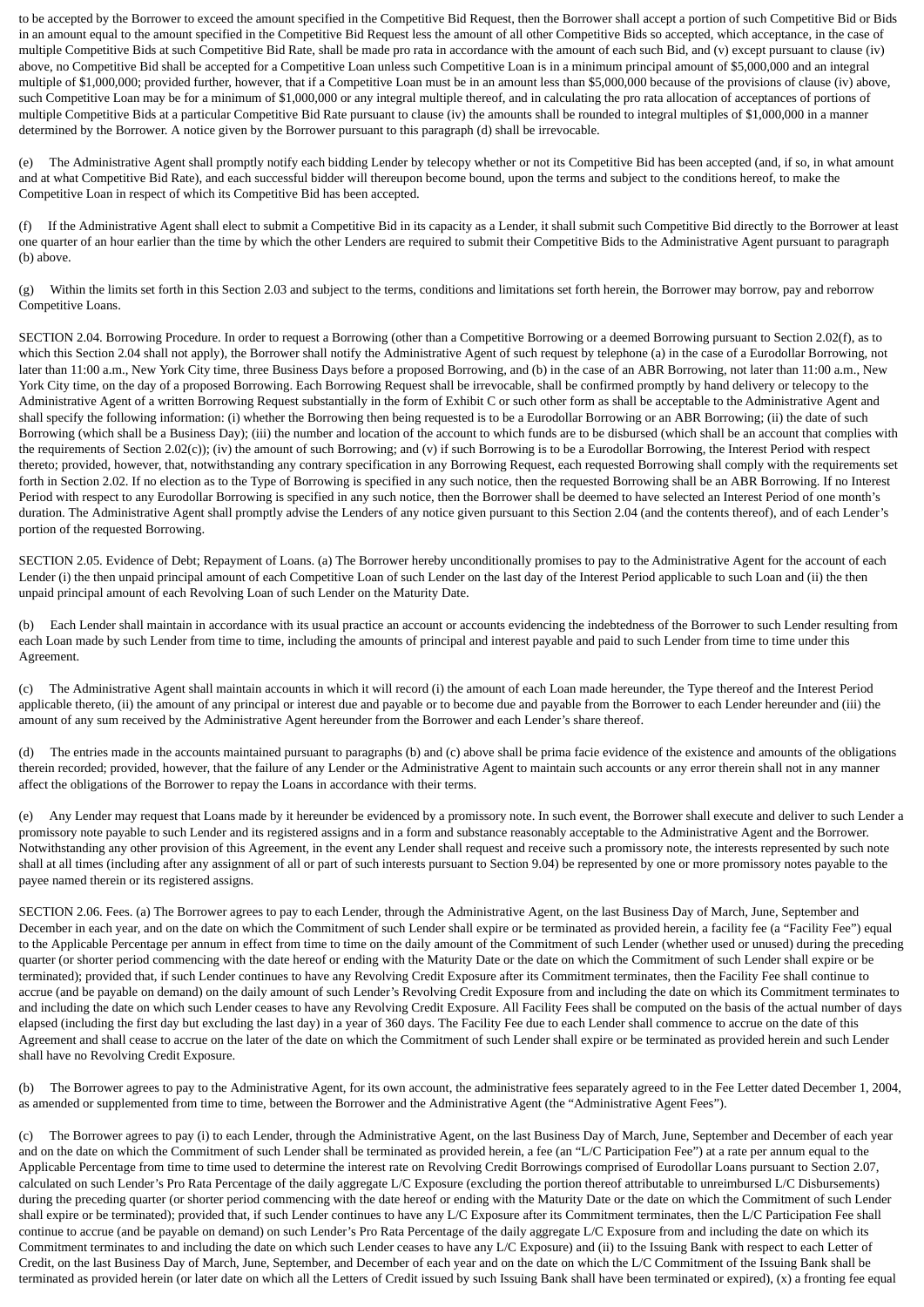to be accepted by the Borrower to exceed the amount specified in the Competitive Bid Request, then the Borrower shall accept a portion of such Competitive Bid or Bids in an amount equal to the amount specified in the Competitive Bid Request less the amount of all other Competitive Bids so accepted, which acceptance, in the case of multiple Competitive Bids at such Competitive Bid Rate, shall be made pro rata in accordance with the amount of each such Bid, and (v) except pursuant to clause (iv) above, no Competitive Bid shall be accepted for a Competitive Loan unless such Competitive Loan is in a minimum principal amount of \$5,000,000 and an integral multiple of \$1,000,000; provided further, however, that if a Competitive Loan must be in an amount less than \$5,000,000 because of the provisions of clause (iv) above, such Competitive Loan may be for a minimum of \$1,000,000 or any integral multiple thereof, and in calculating the pro rata allocation of acceptances of portions of multiple Competitive Bids at a particular Competitive Bid Rate pursuant to clause (iv) the amounts shall be rounded to integral multiples of \$1,000,000 in a manner determined by the Borrower. A notice given by the Borrower pursuant to this paragraph (d) shall be irrevocable.

(e) The Administrative Agent shall promptly notify each bidding Lender by telecopy whether or not its Competitive Bid has been accepted (and, if so, in what amount and at what Competitive Bid Rate), and each successful bidder will thereupon become bound, upon the terms and subject to the conditions hereof, to make the Competitive Loan in respect of which its Competitive Bid has been accepted.

(f) If the Administrative Agent shall elect to submit a Competitive Bid in its capacity as a Lender, it shall submit such Competitive Bid directly to the Borrower at least one quarter of an hour earlier than the time by which the other Lenders are required to submit their Competitive Bids to the Administrative Agent pursuant to paragraph (b) above.

(g) Within the limits set forth in this Section 2.03 and subject to the terms, conditions and limitations set forth herein, the Borrower may borrow, pay and reborrow Competitive Loans.

SECTION 2.04. Borrowing Procedure. In order to request a Borrowing (other than a Competitive Borrowing or a deemed Borrowing pursuant to Section 2.02(f), as to which this Section 2.04 shall not apply), the Borrower shall notify the Administrative Agent of such request by telephone (a) in the case of a Eurodollar Borrowing, not later than 11:00 a.m., New York City time, three Business Days before a proposed Borrowing, and (b) in the case of an ABR Borrowing, not later than 11:00 a.m., New York City time, on the day of a proposed Borrowing. Each Borrowing Request shall be irrevocable, shall be confirmed promptly by hand delivery or telecopy to the Administrative Agent of a written Borrowing Request substantially in the form of Exhibit C or such other form as shall be acceptable to the Administrative Agent and shall specify the following information: (i) whether the Borrowing then being requested is to be a Eurodollar Borrowing or an ABR Borrowing; (ii) the date of such Borrowing (which shall be a Business Day); (iii) the number and location of the account to which funds are to be disbursed (which shall be an account that complies with the requirements of Section 2.02(c)); (iv) the amount of such Borrowing; and (v) if such Borrowing is to be a Eurodollar Borrowing, the Interest Period with respect thereto; provided, however, that, notwithstanding any contrary specification in any Borrowing Request, each requested Borrowing shall comply with the requirements set forth in Section 2.02. If no election as to the Type of Borrowing is specified in any such notice, then the requested Borrowing shall be an ABR Borrowing. If no Interest Period with respect to any Eurodollar Borrowing is specified in any such notice, then the Borrower shall be deemed to have selected an Interest Period of one month's duration. The Administrative Agent shall promptly advise the Lenders of any notice given pursuant to this Section 2.04 (and the contents thereof), and of each Lender's portion of the requested Borrowing.

SECTION 2.05. Evidence of Debt; Repayment of Loans. (a) The Borrower hereby unconditionally promises to pay to the Administrative Agent for the account of each Lender (i) the then unpaid principal amount of each Competitive Loan of such Lender on the last day of the Interest Period applicable to such Loan and (ii) the then unpaid principal amount of each Revolving Loan of such Lender on the Maturity Date.

(b) Each Lender shall maintain in accordance with its usual practice an account or accounts evidencing the indebtedness of the Borrower to such Lender resulting from each Loan made by such Lender from time to time, including the amounts of principal and interest payable and paid to such Lender from time to time under this Agreement.

(c) The Administrative Agent shall maintain accounts in which it will record (i) the amount of each Loan made hereunder, the Type thereof and the Interest Period applicable thereto, (ii) the amount of any principal or interest due and payable or to become due and payable from the Borrower to each Lender hereunder and (iii) the amount of any sum received by the Administrative Agent hereunder from the Borrower and each Lender's share thereof.

(d) The entries made in the accounts maintained pursuant to paragraphs (b) and (c) above shall be prima facie evidence of the existence and amounts of the obligations therein recorded; provided, however, that the failure of any Lender or the Administrative Agent to maintain such accounts or any error therein shall not in any manner affect the obligations of the Borrower to repay the Loans in accordance with their terms.

(e) Any Lender may request that Loans made by it hereunder be evidenced by a promissory note. In such event, the Borrower shall execute and deliver to such Lender a promissory note payable to such Lender and its registered assigns and in a form and substance reasonably acceptable to the Administrative Agent and the Borrower. Notwithstanding any other provision of this Agreement, in the event any Lender shall request and receive such a promissory note, the interests represented by such note shall at all times (including after any assignment of all or part of such interests pursuant to Section 9.04) be represented by one or more promissory notes payable to the payee named therein or its registered assigns.

SECTION 2.06. Fees. (a) The Borrower agrees to pay to each Lender, through the Administrative Agent, on the last Business Day of March, June, September and December in each year, and on the date on which the Commitment of such Lender shall expire or be terminated as provided herein, a facility fee (a "Facility Fee") equal to the Applicable Percentage per annum in effect from time to time on the daily amount of the Commitment of such Lender (whether used or unused) during the preceding quarter (or shorter period commencing with the date hereof or ending with the Maturity Date or the date on which the Commitment of such Lender shall expire or be terminated); provided that, if such Lender continues to have any Revolving Credit Exposure after its Commitment terminates, then the Facility Fee shall continue to accrue (and be payable on demand) on the daily amount of such Lender's Revolving Credit Exposure from and including the date on which its Commitment terminates to and including the date on which such Lender ceases to have any Revolving Credit Exposure. All Facility Fees shall be computed on the basis of the actual number of days elapsed (including the first day but excluding the last day) in a year of 360 days. The Facility Fee due to each Lender shall commence to accrue on the date of this Agreement and shall cease to accrue on the later of the date on which the Commitment of such Lender shall expire or be terminated as provided herein and such Lender shall have no Revolving Credit Exposure.

(b) The Borrower agrees to pay to the Administrative Agent, for its own account, the administrative fees separately agreed to in the Fee Letter dated December 1, 2004, as amended or supplemented from time to time, between the Borrower and the Administrative Agent (the "Administrative Agent Fees").

(c) The Borrower agrees to pay (i) to each Lender, through the Administrative Agent, on the last Business Day of March, June, September and December of each year and on the date on which the Commitment of such Lender shall be terminated as provided herein, a fee (an "L/C Participation Fee") at a rate per annum equal to the Applicable Percentage from time to time used to determine the interest rate on Revolving Credit Borrowings comprised of Eurodollar Loans pursuant to Section 2.07, calculated on such Lender's Pro Rata Percentage of the daily aggregate L/C Exposure (excluding the portion thereof attributable to unreimbursed L/C Disbursements) during the preceding quarter (or shorter period commencing with the date hereof or ending with the Maturity Date or the date on which the Commitment of such Lender shall expire or be terminated); provided that, if such Lender continues to have any L/C Exposure after its Commitment terminates, then the L/C Participation Fee shall continue to accrue (and be payable on demand) on such Lender's Pro Rata Percentage of the daily aggregate L/C Exposure from and including the date on which its Commitment terminates to and including the date on which such Lender ceases to have any L/C Exposure) and (ii) to the Issuing Bank with respect to each Letter of Credit, on the last Business Day of March, June, September, and December of each year and on the date on which the L/C Commitment of the Issuing Bank shall be terminated as provided herein (or later date on which all the Letters of Credit issued by such Issuing Bank shall have been terminated or expired), (x) a fronting fee equal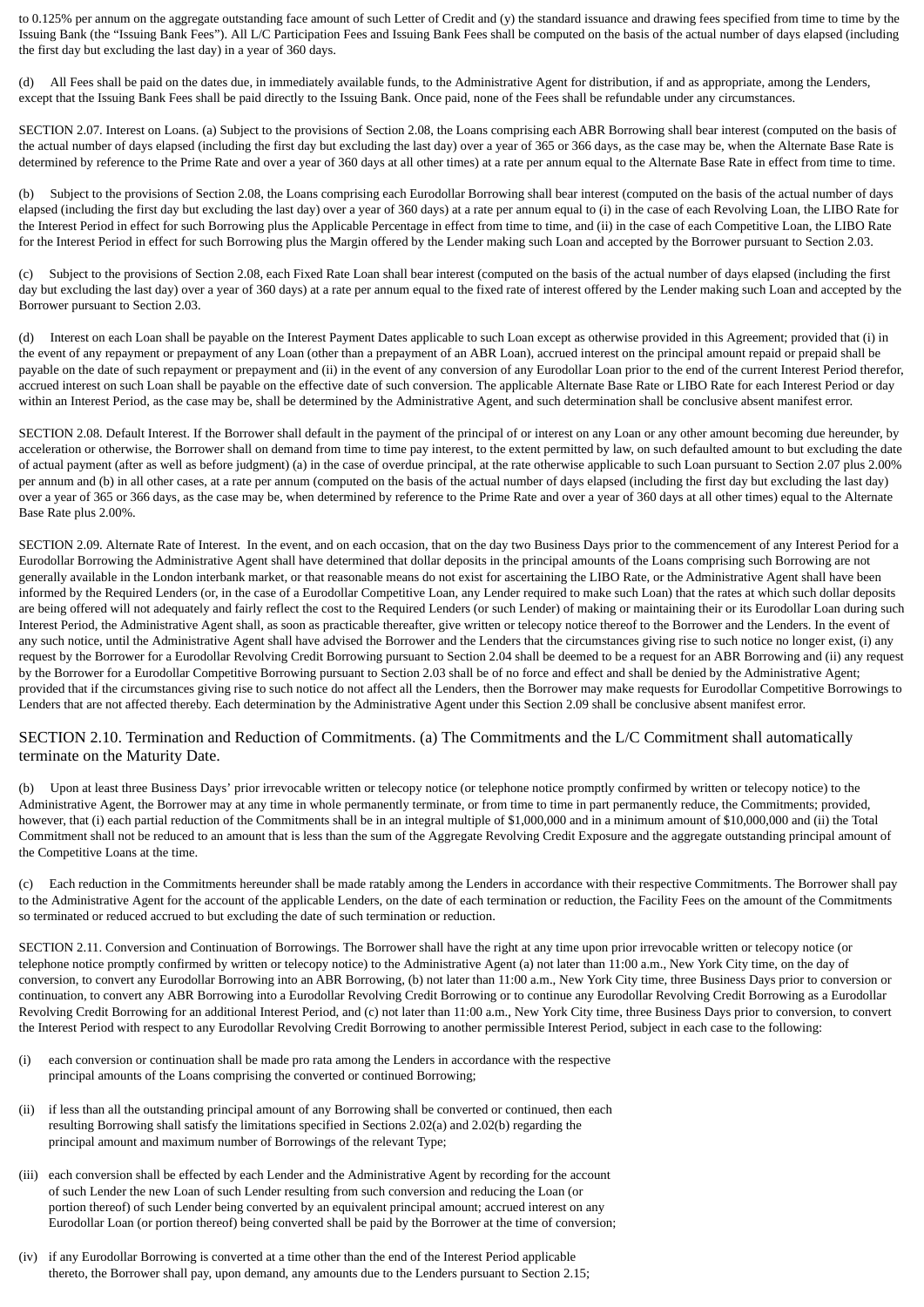to 0.125% per annum on the aggregate outstanding face amount of such Letter of Credit and (y) the standard issuance and drawing fees specified from time to time by the Issuing Bank (the "Issuing Bank Fees"). All L/C Participation Fees and Issuing Bank Fees shall be computed on the basis of the actual number of days elapsed (including the first day but excluding the last day) in a year of 360 days.

(d) All Fees shall be paid on the dates due, in immediately available funds, to the Administrative Agent for distribution, if and as appropriate, among the Lenders, except that the Issuing Bank Fees shall be paid directly to the Issuing Bank. Once paid, none of the Fees shall be refundable under any circumstances.

SECTION 2.07. Interest on Loans. (a) Subject to the provisions of Section 2.08, the Loans comprising each ABR Borrowing shall bear interest (computed on the basis of the actual number of days elapsed (including the first day but excluding the last day) over a year of 365 or 366 days, as the case may be, when the Alternate Base Rate is determined by reference to the Prime Rate and over a year of 360 days at all other times) at a rate per annum equal to the Alternate Base Rate in effect from time to time.

(b) Subject to the provisions of Section 2.08, the Loans comprising each Eurodollar Borrowing shall bear interest (computed on the basis of the actual number of days elapsed (including the first day but excluding the last day) over a year of 360 days) at a rate per annum equal to (i) in the case of each Revolving Loan, the LIBO Rate for the Interest Period in effect for such Borrowing plus the Applicable Percentage in effect from time to time, and (ii) in the case of each Competitive Loan, the LIBO Rate for the Interest Period in effect for such Borrowing plus the Margin offered by the Lender making such Loan and accepted by the Borrower pursuant to Section 2.03.

(c) Subject to the provisions of Section 2.08, each Fixed Rate Loan shall bear interest (computed on the basis of the actual number of days elapsed (including the first day but excluding the last day) over a year of 360 days) at a rate per annum equal to the fixed rate of interest offered by the Lender making such Loan and accepted by the Borrower pursuant to Section 2.03.

(d) Interest on each Loan shall be payable on the Interest Payment Dates applicable to such Loan except as otherwise provided in this Agreement; provided that (i) in the event of any repayment or prepayment of any Loan (other than a prepayment of an ABR Loan), accrued interest on the principal amount repaid or prepaid shall be payable on the date of such repayment or prepayment and (ii) in the event of any conversion of any Eurodollar Loan prior to the end of the current Interest Period therefor, accrued interest on such Loan shall be payable on the effective date of such conversion. The applicable Alternate Base Rate or LIBO Rate for each Interest Period or day within an Interest Period, as the case may be, shall be determined by the Administrative Agent, and such determination shall be conclusive absent manifest error.

SECTION 2.08. Default Interest. If the Borrower shall default in the payment of the principal of or interest on any Loan or any other amount becoming due hereunder, by acceleration or otherwise, the Borrower shall on demand from time to time pay interest, to the extent permitted by law, on such defaulted amount to but excluding the date of actual payment (after as well as before judgment) (a) in the case of overdue principal, at the rate otherwise applicable to such Loan pursuant to Section 2.07 plus 2.00% per annum and (b) in all other cases, at a rate per annum (computed on the basis of the actual number of days elapsed (including the first day but excluding the last day) over a year of 365 or 366 days, as the case may be, when determined by reference to the Prime Rate and over a year of 360 days at all other times) equal to the Alternate Base Rate plus 2.00%.

SECTION 2.09. Alternate Rate of Interest. In the event, and on each occasion, that on the day two Business Days prior to the commencement of any Interest Period for a Eurodollar Borrowing the Administrative Agent shall have determined that dollar deposits in the principal amounts of the Loans comprising such Borrowing are not generally available in the London interbank market, or that reasonable means do not exist for ascertaining the LIBO Rate, or the Administrative Agent shall have been informed by the Required Lenders (or, in the case of a Eurodollar Competitive Loan, any Lender required to make such Loan) that the rates at which such dollar deposits are being offered will not adequately and fairly reflect the cost to the Required Lenders (or such Lender) of making or maintaining their or its Eurodollar Loan during such Interest Period, the Administrative Agent shall, as soon as practicable thereafter, give written or telecopy notice thereof to the Borrower and the Lenders. In the event of any such notice, until the Administrative Agent shall have advised the Borrower and the Lenders that the circumstances giving rise to such notice no longer exist, (i) any request by the Borrower for a Eurodollar Revolving Credit Borrowing pursuant to Section 2.04 shall be deemed to be a request for an ABR Borrowing and (ii) any request by the Borrower for a Eurodollar Competitive Borrowing pursuant to Section 2.03 shall be of no force and effect and shall be denied by the Administrative Agent; provided that if the circumstances giving rise to such notice do not affect all the Lenders, then the Borrower may make requests for Eurodollar Competitive Borrowings to Lenders that are not affected thereby. Each determination by the Administrative Agent under this Section 2.09 shall be conclusive absent manifest error.

## SECTION 2.10. Termination and Reduction of Commitments. (a) The Commitments and the L/C Commitment shall automatically terminate on the Maturity Date.

(b) Upon at least three Business Days' prior irrevocable written or telecopy notice (or telephone notice promptly confirmed by written or telecopy notice) to the Administrative Agent, the Borrower may at any time in whole permanently terminate, or from time to time in part permanently reduce, the Commitments; provided, however, that (i) each partial reduction of the Commitments shall be in an integral multiple of \$1,000,000 and in a minimum amount of \$10,000,000 and (ii) the Total Commitment shall not be reduced to an amount that is less than the sum of the Aggregate Revolving Credit Exposure and the aggregate outstanding principal amount of the Competitive Loans at the time.

(c) Each reduction in the Commitments hereunder shall be made ratably among the Lenders in accordance with their respective Commitments. The Borrower shall pay to the Administrative Agent for the account of the applicable Lenders, on the date of each termination or reduction, the Facility Fees on the amount of the Commitments so terminated or reduced accrued to but excluding the date of such termination or reduction.

SECTION 2.11. Conversion and Continuation of Borrowings. The Borrower shall have the right at any time upon prior irrevocable written or telecopy notice (or telephone notice promptly confirmed by written or telecopy notice) to the Administrative Agent (a) not later than 11:00 a.m., New York City time, on the day of conversion, to convert any Eurodollar Borrowing into an ABR Borrowing, (b) not later than 11:00 a.m., New York City time, three Business Days prior to conversion or continuation, to convert any ABR Borrowing into a Eurodollar Revolving Credit Borrowing or to continue any Eurodollar Revolving Credit Borrowing as a Eurodollar Revolving Credit Borrowing for an additional Interest Period, and (c) not later than 11:00 a.m., New York City time, three Business Days prior to conversion, to convert the Interest Period with respect to any Eurodollar Revolving Credit Borrowing to another permissible Interest Period, subject in each case to the following:

- (i) each conversion or continuation shall be made pro rata among the Lenders in accordance with the respective principal amounts of the Loans comprising the converted or continued Borrowing;
- (ii) if less than all the outstanding principal amount of any Borrowing shall be converted or continued, then each resulting Borrowing shall satisfy the limitations specified in Sections 2.02(a) and 2.02(b) regarding the principal amount and maximum number of Borrowings of the relevant Type;
- (iii) each conversion shall be effected by each Lender and the Administrative Agent by recording for the account of such Lender the new Loan of such Lender resulting from such conversion and reducing the Loan (or portion thereof) of such Lender being converted by an equivalent principal amount; accrued interest on any Eurodollar Loan (or portion thereof) being converted shall be paid by the Borrower at the time of conversion;
- (iv) if any Eurodollar Borrowing is converted at a time other than the end of the Interest Period applicable thereto, the Borrower shall pay, upon demand, any amounts due to the Lenders pursuant to Section 2.15;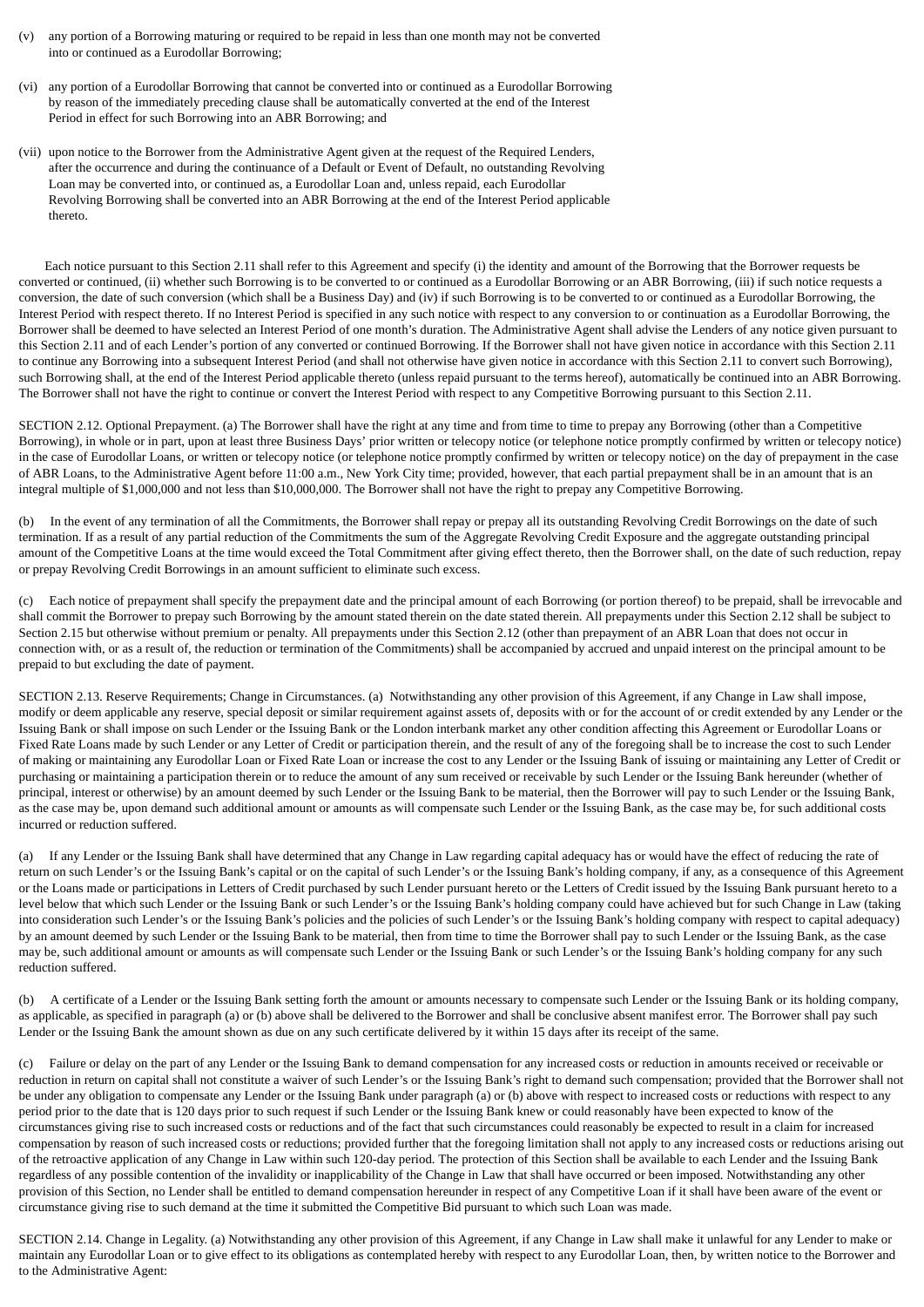- any portion of a Borrowing maturing or required to be repaid in less than one month may not be converted into or continued as a Eurodollar Borrowing;
- (vi) any portion of a Eurodollar Borrowing that cannot be converted into or continued as a Eurodollar Borrowing by reason of the immediately preceding clause shall be automatically converted at the end of the Interest Period in effect for such Borrowing into an ABR Borrowing; and
- (vii) upon notice to the Borrower from the Administrative Agent given at the request of the Required Lenders, after the occurrence and during the continuance of a Default or Event of Default, no outstanding Revolving Loan may be converted into, or continued as, a Eurodollar Loan and, unless repaid, each Eurodollar Revolving Borrowing shall be converted into an ABR Borrowing at the end of the Interest Period applicable thereto.

 Each notice pursuant to this Section 2.11 shall refer to this Agreement and specify (i) the identity and amount of the Borrowing that the Borrower requests be converted or continued, (ii) whether such Borrowing is to be converted to or continued as a Eurodollar Borrowing or an ABR Borrowing, (iii) if such notice requests a conversion, the date of such conversion (which shall be a Business Day) and (iv) if such Borrowing is to be converted to or continued as a Eurodollar Borrowing, the Interest Period with respect thereto. If no Interest Period is specified in any such notice with respect to any conversion to or continuation as a Eurodollar Borrowing, the Borrower shall be deemed to have selected an Interest Period of one month's duration. The Administrative Agent shall advise the Lenders of any notice given pursuant to this Section 2.11 and of each Lender's portion of any converted or continued Borrowing. If the Borrower shall not have given notice in accordance with this Section 2.11 to continue any Borrowing into a subsequent Interest Period (and shall not otherwise have given notice in accordance with this Section 2.11 to convert such Borrowing), such Borrowing shall, at the end of the Interest Period applicable thereto (unless repaid pursuant to the terms hereof), automatically be continued into an ABR Borrowing. The Borrower shall not have the right to continue or convert the Interest Period with respect to any Competitive Borrowing pursuant to this Section 2.11.

SECTION 2.12. Optional Prepayment. (a) The Borrower shall have the right at any time and from time to time to prepay any Borrowing (other than a Competitive Borrowing), in whole or in part, upon at least three Business Days' prior written or telecopy notice (or telephone notice promptly confirmed by written or telecopy notice) in the case of Eurodollar Loans, or written or telecopy notice (or telephone notice promptly confirmed by written or telecopy notice) on the day of prepayment in the case of ABR Loans, to the Administrative Agent before 11:00 a.m., New York City time; provided, however, that each partial prepayment shall be in an amount that is an integral multiple of \$1,000,000 and not less than \$10,000,000. The Borrower shall not have the right to prepay any Competitive Borrowing.

(b) In the event of any termination of all the Commitments, the Borrower shall repay or prepay all its outstanding Revolving Credit Borrowings on the date of such termination. If as a result of any partial reduction of the Commitments the sum of the Aggregate Revolving Credit Exposure and the aggregate outstanding principal amount of the Competitive Loans at the time would exceed the Total Commitment after giving effect thereto, then the Borrower shall, on the date of such reduction, repay or prepay Revolving Credit Borrowings in an amount sufficient to eliminate such excess.

(c) Each notice of prepayment shall specify the prepayment date and the principal amount of each Borrowing (or portion thereof) to be prepaid, shall be irrevocable and shall commit the Borrower to prepay such Borrowing by the amount stated therein on the date stated therein. All prepayments under this Section 2.12 shall be subject to Section 2.15 but otherwise without premium or penalty. All prepayments under this Section 2.12 (other than prepayment of an ABR Loan that does not occur in connection with, or as a result of, the reduction or termination of the Commitments) shall be accompanied by accrued and unpaid interest on the principal amount to be prepaid to but excluding the date of payment.

SECTION 2.13. Reserve Requirements; Change in Circumstances. (a) Notwithstanding any other provision of this Agreement, if any Change in Law shall impose, modify or deem applicable any reserve, special deposit or similar requirement against assets of, deposits with or for the account of or credit extended by any Lender or the Issuing Bank or shall impose on such Lender or the Issuing Bank or the London interbank market any other condition affecting this Agreement or Eurodollar Loans or Fixed Rate Loans made by such Lender or any Letter of Credit or participation therein, and the result of any of the foregoing shall be to increase the cost to such Lender of making or maintaining any Eurodollar Loan or Fixed Rate Loan or increase the cost to any Lender or the Issuing Bank of issuing or maintaining any Letter of Credit or purchasing or maintaining a participation therein or to reduce the amount of any sum received or receivable by such Lender or the Issuing Bank hereunder (whether of principal, interest or otherwise) by an amount deemed by such Lender or the Issuing Bank to be material, then the Borrower will pay to such Lender or the Issuing Bank, as the case may be, upon demand such additional amount or amounts as will compensate such Lender or the Issuing Bank, as the case may be, for such additional costs incurred or reduction suffered.

(a) If any Lender or the Issuing Bank shall have determined that any Change in Law regarding capital adequacy has or would have the effect of reducing the rate of return on such Lender's or the Issuing Bank's capital or on the capital of such Lender's or the Issuing Bank's holding company, if any, as a consequence of this Agreement or the Loans made or participations in Letters of Credit purchased by such Lender pursuant hereto or the Letters of Credit issued by the Issuing Bank pursuant hereto to a level below that which such Lender or the Issuing Bank or such Lender's or the Issuing Bank's holding company could have achieved but for such Change in Law (taking into consideration such Lender's or the Issuing Bank's policies and the policies of such Lender's or the Issuing Bank's holding company with respect to capital adequacy) by an amount deemed by such Lender or the Issuing Bank to be material, then from time to time the Borrower shall pay to such Lender or the Issuing Bank, as the case may be, such additional amount or amounts as will compensate such Lender or the Issuing Bank or such Lender's or the Issuing Bank's holding company for any such reduction suffered.

(b) A certificate of a Lender or the Issuing Bank setting forth the amount or amounts necessary to compensate such Lender or the Issuing Bank or its holding company, as applicable, as specified in paragraph (a) or (b) above shall be delivered to the Borrower and shall be conclusive absent manifest error. The Borrower shall pay such Lender or the Issuing Bank the amount shown as due on any such certificate delivered by it within 15 days after its receipt of the same.

(c) Failure or delay on the part of any Lender or the Issuing Bank to demand compensation for any increased costs or reduction in amounts received or receivable or reduction in return on capital shall not constitute a waiver of such Lender's or the Issuing Bank's right to demand such compensation; provided that the Borrower shall not be under any obligation to compensate any Lender or the Issuing Bank under paragraph (a) or (b) above with respect to increased costs or reductions with respect to any period prior to the date that is 120 days prior to such request if such Lender or the Issuing Bank knew or could reasonably have been expected to know of the circumstances giving rise to such increased costs or reductions and of the fact that such circumstances could reasonably be expected to result in a claim for increased compensation by reason of such increased costs or reductions; provided further that the foregoing limitation shall not apply to any increased costs or reductions arising out of the retroactive application of any Change in Law within such 120-day period. The protection of this Section shall be available to each Lender and the Issuing Bank regardless of any possible contention of the invalidity or inapplicability of the Change in Law that shall have occurred or been imposed. Notwithstanding any other provision of this Section, no Lender shall be entitled to demand compensation hereunder in respect of any Competitive Loan if it shall have been aware of the event or circumstance giving rise to such demand at the time it submitted the Competitive Bid pursuant to which such Loan was made.

SECTION 2.14. Change in Legality. (a) Notwithstanding any other provision of this Agreement, if any Change in Law shall make it unlawful for any Lender to make or maintain any Eurodollar Loan or to give effect to its obligations as contemplated hereby with respect to any Eurodollar Loan, then, by written notice to the Borrower and to the Administrative Agent: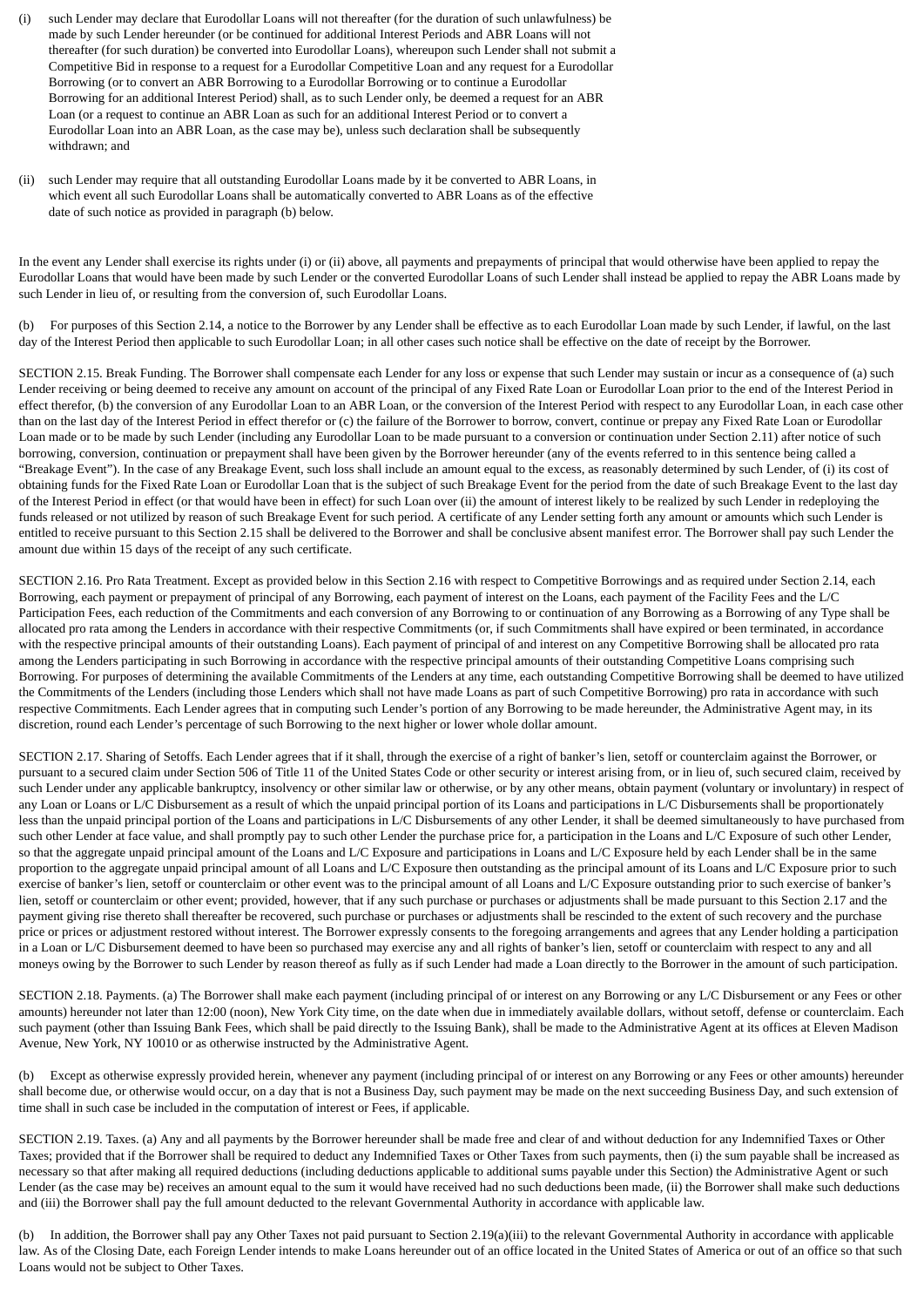- (i) such Lender may declare that Eurodollar Loans will not thereafter (for the duration of such unlawfulness) be made by such Lender hereunder (or be continued for additional Interest Periods and ABR Loans will not thereafter (for such duration) be converted into Eurodollar Loans), whereupon such Lender shall not submit a Competitive Bid in response to a request for a Eurodollar Competitive Loan and any request for a Eurodollar Borrowing (or to convert an ABR Borrowing to a Eurodollar Borrowing or to continue a Eurodollar Borrowing for an additional Interest Period) shall, as to such Lender only, be deemed a request for an ABR Loan (or a request to continue an ABR Loan as such for an additional Interest Period or to convert a Eurodollar Loan into an ABR Loan, as the case may be), unless such declaration shall be subsequently withdrawn; and
- (ii) such Lender may require that all outstanding Eurodollar Loans made by it be converted to ABR Loans, in which event all such Eurodollar Loans shall be automatically converted to ABR Loans as of the effective date of such notice as provided in paragraph (b) below.

In the event any Lender shall exercise its rights under (i) or (ii) above, all payments and prepayments of principal that would otherwise have been applied to repay the Eurodollar Loans that would have been made by such Lender or the converted Eurodollar Loans of such Lender shall instead be applied to repay the ABR Loans made by such Lender in lieu of, or resulting from the conversion of, such Eurodollar Loans.

(b) For purposes of this Section 2.14, a notice to the Borrower by any Lender shall be effective as to each Eurodollar Loan made by such Lender, if lawful, on the last day of the Interest Period then applicable to such Eurodollar Loan; in all other cases such notice shall be effective on the date of receipt by the Borrower.

SECTION 2.15. Break Funding. The Borrower shall compensate each Lender for any loss or expense that such Lender may sustain or incur as a consequence of (a) such Lender receiving or being deemed to receive any amount on account of the principal of any Fixed Rate Loan or Eurodollar Loan prior to the end of the Interest Period in effect therefor, (b) the conversion of any Eurodollar Loan to an ABR Loan, or the conversion of the Interest Period with respect to any Eurodollar Loan, in each case other than on the last day of the Interest Period in effect therefor or (c) the failure of the Borrower to borrow, convert, continue or prepay any Fixed Rate Loan or Eurodollar Loan made or to be made by such Lender (including any Eurodollar Loan to be made pursuant to a conversion or continuation under Section 2.11) after notice of such borrowing, conversion, continuation or prepayment shall have been given by the Borrower hereunder (any of the events referred to in this sentence being called a "Breakage Event"). In the case of any Breakage Event, such loss shall include an amount equal to the excess, as reasonably determined by such Lender, of (i) its cost of obtaining funds for the Fixed Rate Loan or Eurodollar Loan that is the subject of such Breakage Event for the period from the date of such Breakage Event to the last day of the Interest Period in effect (or that would have been in effect) for such Loan over (ii) the amount of interest likely to be realized by such Lender in redeploying the funds released or not utilized by reason of such Breakage Event for such period. A certificate of any Lender setting forth any amount or amounts which such Lender is entitled to receive pursuant to this Section 2.15 shall be delivered to the Borrower and shall be conclusive absent manifest error. The Borrower shall pay such Lender the amount due within 15 days of the receipt of any such certificate.

SECTION 2.16. Pro Rata Treatment. Except as provided below in this Section 2.16 with respect to Competitive Borrowings and as required under Section 2.14, each Borrowing, each payment or prepayment of principal of any Borrowing, each payment of interest on the Loans, each payment of the Facility Fees and the L/C Participation Fees, each reduction of the Commitments and each conversion of any Borrowing to or continuation of any Borrowing as a Borrowing of any Type shall be allocated pro rata among the Lenders in accordance with their respective Commitments (or, if such Commitments shall have expired or been terminated, in accordance with the respective principal amounts of their outstanding Loans). Each payment of principal of and interest on any Competitive Borrowing shall be allocated pro rata among the Lenders participating in such Borrowing in accordance with the respective principal amounts of their outstanding Competitive Loans comprising such Borrowing. For purposes of determining the available Commitments of the Lenders at any time, each outstanding Competitive Borrowing shall be deemed to have utilized the Commitments of the Lenders (including those Lenders which shall not have made Loans as part of such Competitive Borrowing) pro rata in accordance with such respective Commitments. Each Lender agrees that in computing such Lender's portion of any Borrowing to be made hereunder, the Administrative Agent may, in its discretion, round each Lender's percentage of such Borrowing to the next higher or lower whole dollar amount.

SECTION 2.17. Sharing of Setoffs. Each Lender agrees that if it shall, through the exercise of a right of banker's lien, setoff or counterclaim against the Borrower, or pursuant to a secured claim under Section 506 of Title 11 of the United States Code or other security or interest arising from, or in lieu of, such secured claim, received by such Lender under any applicable bankruptcy, insolvency or other similar law or otherwise, or by any other means, obtain payment (voluntary or involuntary) in respect of any Loan or Loans or L/C Disbursement as a result of which the unpaid principal portion of its Loans and participations in L/C Disbursements shall be proportionately less than the unpaid principal portion of the Loans and participations in L/C Disbursements of any other Lender, it shall be deemed simultaneously to have purchased from such other Lender at face value, and shall promptly pay to such other Lender the purchase price for, a participation in the Loans and L/C Exposure of such other Lender, so that the aggregate unpaid principal amount of the Loans and L/C Exposure and participations in Loans and L/C Exposure held by each Lender shall be in the same proportion to the aggregate unpaid principal amount of all Loans and L/C Exposure then outstanding as the principal amount of its Loans and L/C Exposure prior to such exercise of banker's lien, setoff or counterclaim or other event was to the principal amount of all Loans and L/C Exposure outstanding prior to such exercise of banker's lien, setoff or counterclaim or other event; provided, however, that if any such purchase or purchases or adjustments shall be made pursuant to this Section 2.17 and the payment giving rise thereto shall thereafter be recovered, such purchase or purchases or adjustments shall be rescinded to the extent of such recovery and the purchase price or prices or adjustment restored without interest. The Borrower expressly consents to the foregoing arrangements and agrees that any Lender holding a participation in a Loan or L/C Disbursement deemed to have been so purchased may exercise any and all rights of banker's lien, setoff or counterclaim with respect to any and all moneys owing by the Borrower to such Lender by reason thereof as fully as if such Lender had made a Loan directly to the Borrower in the amount of such participation.

SECTION 2.18. Payments. (a) The Borrower shall make each payment (including principal of or interest on any Borrowing or any L/C Disbursement or any Fees or other amounts) hereunder not later than 12:00 (noon), New York City time, on the date when due in immediately available dollars, without setoff, defense or counterclaim. Each such payment (other than Issuing Bank Fees, which shall be paid directly to the Issuing Bank), shall be made to the Administrative Agent at its offices at Eleven Madison Avenue, New York, NY 10010 or as otherwise instructed by the Administrative Agent.

(b) Except as otherwise expressly provided herein, whenever any payment (including principal of or interest on any Borrowing or any Fees or other amounts) hereunder shall become due, or otherwise would occur, on a day that is not a Business Day, such payment may be made on the next succeeding Business Day, and such extension of time shall in such case be included in the computation of interest or Fees, if applicable.

SECTION 2.19. Taxes. (a) Any and all payments by the Borrower hereunder shall be made free and clear of and without deduction for any Indemnified Taxes or Other Taxes; provided that if the Borrower shall be required to deduct any Indemnified Taxes or Other Taxes from such payments, then (i) the sum payable shall be increased as necessary so that after making all required deductions (including deductions applicable to additional sums payable under this Section) the Administrative Agent or such Lender (as the case may be) receives an amount equal to the sum it would have received had no such deductions been made, (ii) the Borrower shall make such deductions and (iii) the Borrower shall pay the full amount deducted to the relevant Governmental Authority in accordance with applicable law.

(b) In addition, the Borrower shall pay any Other Taxes not paid pursuant to Section 2.19(a)(iii) to the relevant Governmental Authority in accordance with applicable law. As of the Closing Date, each Foreign Lender intends to make Loans hereunder out of an office located in the United States of America or out of an office so that such Loans would not be subject to Other Taxes.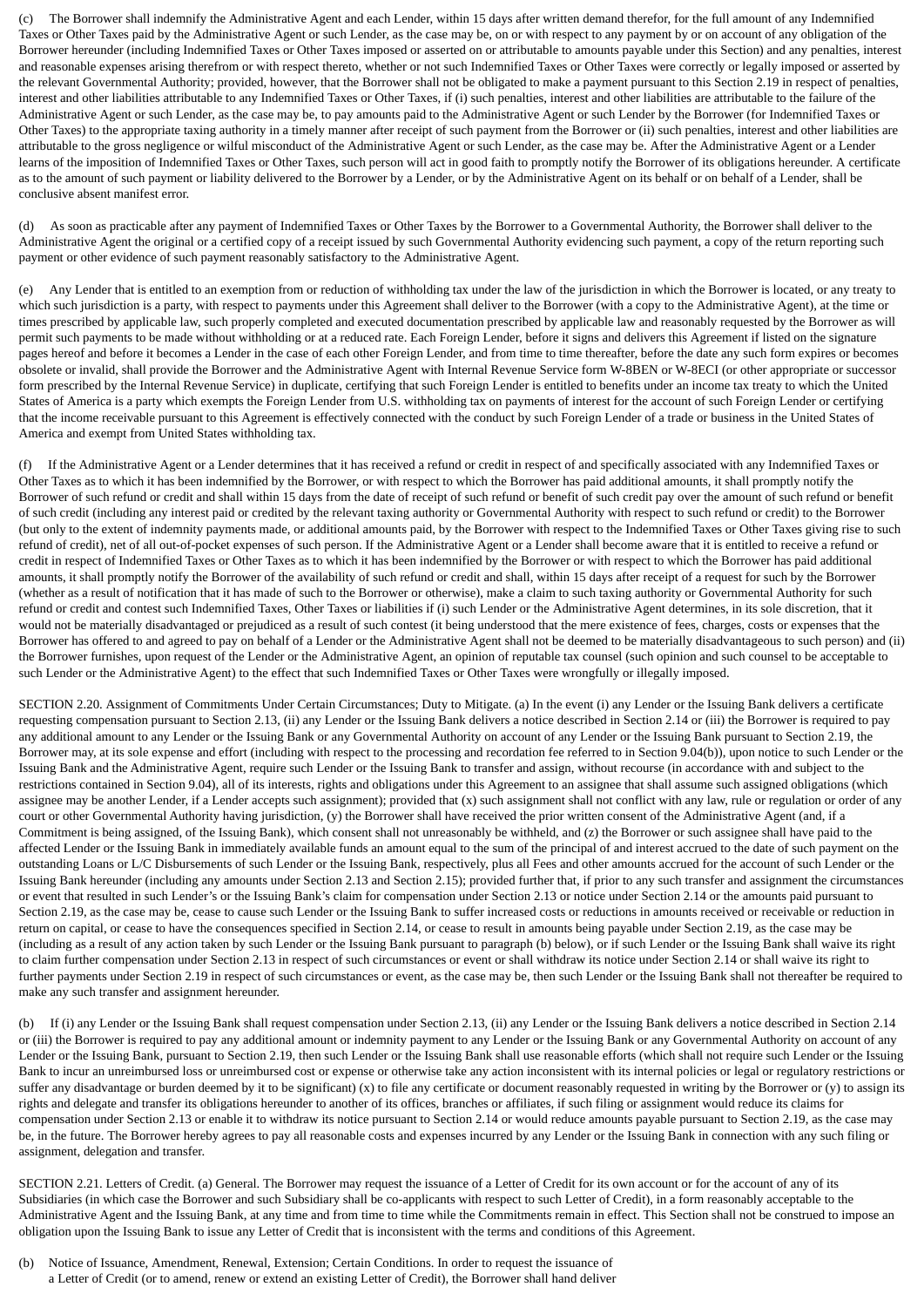(c) The Borrower shall indemnify the Administrative Agent and each Lender, within 15 days after written demand therefor, for the full amount of any Indemnified Taxes or Other Taxes paid by the Administrative Agent or such Lender, as the case may be, on or with respect to any payment by or on account of any obligation of the Borrower hereunder (including Indemnified Taxes or Other Taxes imposed or asserted on or attributable to amounts payable under this Section) and any penalties, interest and reasonable expenses arising therefrom or with respect thereto, whether or not such Indemnified Taxes or Other Taxes were correctly or legally imposed or asserted by the relevant Governmental Authority; provided, however, that the Borrower shall not be obligated to make a payment pursuant to this Section 2.19 in respect of penalties, interest and other liabilities attributable to any Indemnified Taxes or Other Taxes, if (i) such penalties, interest and other liabilities are attributable to the failure of the Administrative Agent or such Lender, as the case may be, to pay amounts paid to the Administrative Agent or such Lender by the Borrower (for Indemnified Taxes or Other Taxes) to the appropriate taxing authority in a timely manner after receipt of such payment from the Borrower or (ii) such penalties, interest and other liabilities are attributable to the gross negligence or wilful misconduct of the Administrative Agent or such Lender, as the case may be. After the Administrative Agent or a Lender learns of the imposition of Indemnified Taxes or Other Taxes, such person will act in good faith to promptly notify the Borrower of its obligations hereunder. A certificate as to the amount of such payment or liability delivered to the Borrower by a Lender, or by the Administrative Agent on its behalf or on behalf of a Lender, shall be conclusive absent manifest error.

(d) As soon as practicable after any payment of Indemnified Taxes or Other Taxes by the Borrower to a Governmental Authority, the Borrower shall deliver to the Administrative Agent the original or a certified copy of a receipt issued by such Governmental Authority evidencing such payment, a copy of the return reporting such payment or other evidence of such payment reasonably satisfactory to the Administrative Agent.

(e) Any Lender that is entitled to an exemption from or reduction of withholding tax under the law of the jurisdiction in which the Borrower is located, or any treaty to which such jurisdiction is a party, with respect to payments under this Agreement shall deliver to the Borrower (with a copy to the Administrative Agent), at the time or times prescribed by applicable law, such properly completed and executed documentation prescribed by applicable law and reasonably requested by the Borrower as will permit such payments to be made without withholding or at a reduced rate. Each Foreign Lender, before it signs and delivers this Agreement if listed on the signature pages hereof and before it becomes a Lender in the case of each other Foreign Lender, and from time to time thereafter, before the date any such form expires or becomes obsolete or invalid, shall provide the Borrower and the Administrative Agent with Internal Revenue Service form W-8BEN or W-8ECI (or other appropriate or successor form prescribed by the Internal Revenue Service) in duplicate, certifying that such Foreign Lender is entitled to benefits under an income tax treaty to which the United States of America is a party which exempts the Foreign Lender from U.S. withholding tax on payments of interest for the account of such Foreign Lender or certifying that the income receivable pursuant to this Agreement is effectively connected with the conduct by such Foreign Lender of a trade or business in the United States of America and exempt from United States withholding tax.

(f) If the Administrative Agent or a Lender determines that it has received a refund or credit in respect of and specifically associated with any Indemnified Taxes or Other Taxes as to which it has been indemnified by the Borrower, or with respect to which the Borrower has paid additional amounts, it shall promptly notify the Borrower of such refund or credit and shall within 15 days from the date of receipt of such refund or benefit of such credit pay over the amount of such refund or benefit of such credit (including any interest paid or credited by the relevant taxing authority or Governmental Authority with respect to such refund or credit) to the Borrower (but only to the extent of indemnity payments made, or additional amounts paid, by the Borrower with respect to the Indemnified Taxes or Other Taxes giving rise to such refund of credit), net of all out-of-pocket expenses of such person. If the Administrative Agent or a Lender shall become aware that it is entitled to receive a refund or credit in respect of Indemnified Taxes or Other Taxes as to which it has been indemnified by the Borrower or with respect to which the Borrower has paid additional amounts, it shall promptly notify the Borrower of the availability of such refund or credit and shall, within 15 days after receipt of a request for such by the Borrower (whether as a result of notification that it has made of such to the Borrower or otherwise), make a claim to such taxing authority or Governmental Authority for such refund or credit and contest such Indemnified Taxes, Other Taxes or liabilities if (i) such Lender or the Administrative Agent determines, in its sole discretion, that it would not be materially disadvantaged or prejudiced as a result of such contest (it being understood that the mere existence of fees, charges, costs or expenses that the Borrower has offered to and agreed to pay on behalf of a Lender or the Administrative Agent shall not be deemed to be materially disadvantageous to such person) and (ii) the Borrower furnishes, upon request of the Lender or the Administrative Agent, an opinion of reputable tax counsel (such opinion and such counsel to be acceptable to such Lender or the Administrative Agent) to the effect that such Indemnified Taxes or Other Taxes were wrongfully or illegally imposed.

SECTION 2.20. Assignment of Commitments Under Certain Circumstances; Duty to Mitigate. (a) In the event (i) any Lender or the Issuing Bank delivers a certificate requesting compensation pursuant to Section 2.13, (ii) any Lender or the Issuing Bank delivers a notice described in Section 2.14 or (iii) the Borrower is required to pay any additional amount to any Lender or the Issuing Bank or any Governmental Authority on account of any Lender or the Issuing Bank pursuant to Section 2.19, the Borrower may, at its sole expense and effort (including with respect to the processing and recordation fee referred to in Section 9.04(b)), upon notice to such Lender or the Issuing Bank and the Administrative Agent, require such Lender or the Issuing Bank to transfer and assign, without recourse (in accordance with and subject to the restrictions contained in Section 9.04), all of its interests, rights and obligations under this Agreement to an assignee that shall assume such assigned obligations (which assignee may be another Lender, if a Lender accepts such assignment); provided that (x) such assignment shall not conflict with any law, rule or regulation or order of any court or other Governmental Authority having jurisdiction, (y) the Borrower shall have received the prior written consent of the Administrative Agent (and, if a Commitment is being assigned, of the Issuing Bank), which consent shall not unreasonably be withheld, and (z) the Borrower or such assignee shall have paid to the affected Lender or the Issuing Bank in immediately available funds an amount equal to the sum of the principal of and interest accrued to the date of such payment on the outstanding Loans or L/C Disbursements of such Lender or the Issuing Bank, respectively, plus all Fees and other amounts accrued for the account of such Lender or the Issuing Bank hereunder (including any amounts under Section 2.13 and Section 2.15); provided further that, if prior to any such transfer and assignment the circumstances or event that resulted in such Lender's or the Issuing Bank's claim for compensation under Section 2.13 or notice under Section 2.14 or the amounts paid pursuant to Section 2.19, as the case may be, cease to cause such Lender or the Issuing Bank to suffer increased costs or reductions in amounts received or receivable or reduction in return on capital, or cease to have the consequences specified in Section 2.14, or cease to result in amounts being payable under Section 2.19, as the case may be (including as a result of any action taken by such Lender or the Issuing Bank pursuant to paragraph (b) below), or if such Lender or the Issuing Bank shall waive its right to claim further compensation under Section 2.13 in respect of such circumstances or event or shall withdraw its notice under Section 2.14 or shall waive its right to further payments under Section 2.19 in respect of such circumstances or event, as the case may be, then such Lender or the Issuing Bank shall not thereafter be required to make any such transfer and assignment hereunder.

(b) If (i) any Lender or the Issuing Bank shall request compensation under Section 2.13, (ii) any Lender or the Issuing Bank delivers a notice described in Section 2.14 or (iii) the Borrower is required to pay any additional amount or indemnity payment to any Lender or the Issuing Bank or any Governmental Authority on account of any Lender or the Issuing Bank, pursuant to Section 2.19, then such Lender or the Issuing Bank shall use reasonable efforts (which shall not require such Lender or the Issuing Bank to incur an unreimbursed loss or unreimbursed cost or expense or otherwise take any action inconsistent with its internal policies or legal or regulatory restrictions or suffer any disadvantage or burden deemed by it to be significant) (x) to file any certificate or document reasonably requested in writing by the Borrower or (y) to assign its rights and delegate and transfer its obligations hereunder to another of its offices, branches or affiliates, if such filing or assignment would reduce its claims for compensation under Section 2.13 or enable it to withdraw its notice pursuant to Section 2.14 or would reduce amounts payable pursuant to Section 2.19, as the case may be, in the future. The Borrower hereby agrees to pay all reasonable costs and expenses incurred by any Lender or the Issuing Bank in connection with any such filing or assignment, delegation and transfer.

SECTION 2.21. Letters of Credit. (a) General. The Borrower may request the issuance of a Letter of Credit for its own account or for the account of any of its Subsidiaries (in which case the Borrower and such Subsidiary shall be co-applicants with respect to such Letter of Credit), in a form reasonably acceptable to the Administrative Agent and the Issuing Bank, at any time and from time to time while the Commitments remain in effect. This Section shall not be construed to impose an obligation upon the Issuing Bank to issue any Letter of Credit that is inconsistent with the terms and conditions of this Agreement.

Notice of Issuance, Amendment, Renewal, Extension; Certain Conditions. In order to request the issuance of a Letter of Credit (or to amend, renew or extend an existing Letter of Credit), the Borrower shall hand deliver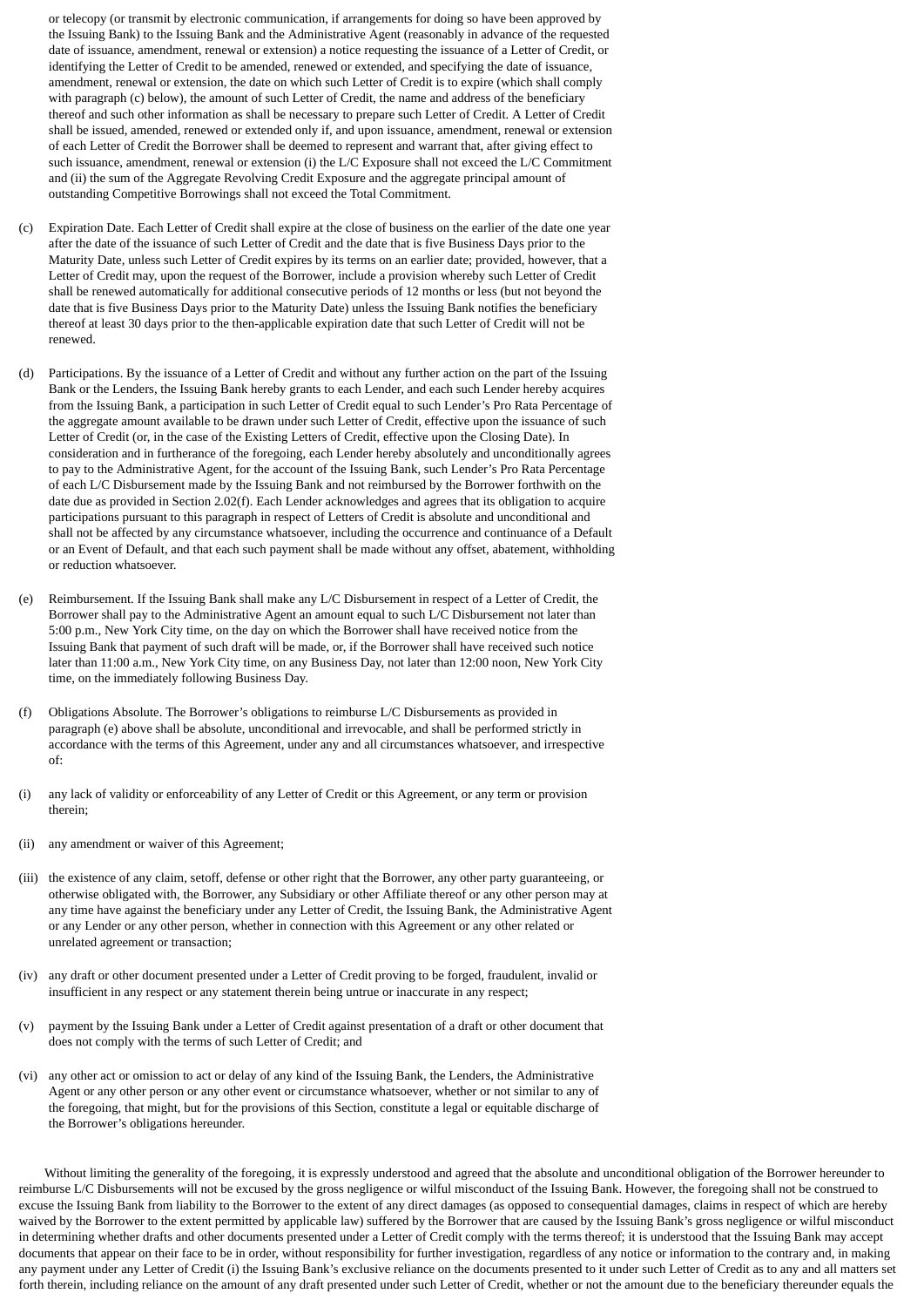or telecopy (or transmit by electronic communication, if arrangements for doing so have been approved by the Issuing Bank) to the Issuing Bank and the Administrative Agent (reasonably in advance of the requested date of issuance, amendment, renewal or extension) a notice requesting the issuance of a Letter of Credit, or identifying the Letter of Credit to be amended, renewed or extended, and specifying the date of issuance, amendment, renewal or extension, the date on which such Letter of Credit is to expire (which shall comply with paragraph (c) below), the amount of such Letter of Credit, the name and address of the beneficiary thereof and such other information as shall be necessary to prepare such Letter of Credit. A Letter of Credit shall be issued, amended, renewed or extended only if, and upon issuance, amendment, renewal or extension of each Letter of Credit the Borrower shall be deemed to represent and warrant that, after giving effect to such issuance, amendment, renewal or extension (i) the L/C Exposure shall not exceed the L/C Commitment and (ii) the sum of the Aggregate Revolving Credit Exposure and the aggregate principal amount of outstanding Competitive Borrowings shall not exceed the Total Commitment.

- (c) Expiration Date. Each Letter of Credit shall expire at the close of business on the earlier of the date one year after the date of the issuance of such Letter of Credit and the date that is five Business Days prior to the Maturity Date, unless such Letter of Credit expires by its terms on an earlier date; provided, however, that a Letter of Credit may, upon the request of the Borrower, include a provision whereby such Letter of Credit shall be renewed automatically for additional consecutive periods of 12 months or less (but not beyond the date that is five Business Days prior to the Maturity Date) unless the Issuing Bank notifies the beneficiary thereof at least 30 days prior to the then-applicable expiration date that such Letter of Credit will not be renewed.
- (d) Participations. By the issuance of a Letter of Credit and without any further action on the part of the Issuing Bank or the Lenders, the Issuing Bank hereby grants to each Lender, and each such Lender hereby acquires from the Issuing Bank, a participation in such Letter of Credit equal to such Lender's Pro Rata Percentage of the aggregate amount available to be drawn under such Letter of Credit, effective upon the issuance of such Letter of Credit (or, in the case of the Existing Letters of Credit, effective upon the Closing Date). In consideration and in furtherance of the foregoing, each Lender hereby absolutely and unconditionally agrees to pay to the Administrative Agent, for the account of the Issuing Bank, such Lender's Pro Rata Percentage of each L/C Disbursement made by the Issuing Bank and not reimbursed by the Borrower forthwith on the date due as provided in Section 2.02(f). Each Lender acknowledges and agrees that its obligation to acquire participations pursuant to this paragraph in respect of Letters of Credit is absolute and unconditional and shall not be affected by any circumstance whatsoever, including the occurrence and continuance of a Default or an Event of Default, and that each such payment shall be made without any offset, abatement, withholding or reduction whatsoever.
- (e) Reimbursement. If the Issuing Bank shall make any L/C Disbursement in respect of a Letter of Credit, the Borrower shall pay to the Administrative Agent an amount equal to such L/C Disbursement not later than 5:00 p.m., New York City time, on the day on which the Borrower shall have received notice from the Issuing Bank that payment of such draft will be made, or, if the Borrower shall have received such notice later than 11:00 a.m., New York City time, on any Business Day, not later than 12:00 noon, New York City time, on the immediately following Business Day.
- (f) Obligations Absolute. The Borrower's obligations to reimburse L/C Disbursements as provided in paragraph (e) above shall be absolute, unconditional and irrevocable, and shall be performed strictly in accordance with the terms of this Agreement, under any and all circumstances whatsoever, and irrespective of:
- (i) any lack of validity or enforceability of any Letter of Credit or this Agreement, or any term or provision therein;
- (ii) any amendment or waiver of this Agreement;
- (iii) the existence of any claim, setoff, defense or other right that the Borrower, any other party guaranteeing, or otherwise obligated with, the Borrower, any Subsidiary or other Affiliate thereof or any other person may at any time have against the beneficiary under any Letter of Credit, the Issuing Bank, the Administrative Agent or any Lender or any other person, whether in connection with this Agreement or any other related or unrelated agreement or transaction;
- (iv) any draft or other document presented under a Letter of Credit proving to be forged, fraudulent, invalid or insufficient in any respect or any statement therein being untrue or inaccurate in any respect;
- (v) payment by the Issuing Bank under a Letter of Credit against presentation of a draft or other document that does not comply with the terms of such Letter of Credit; and
- (vi) any other act or omission to act or delay of any kind of the Issuing Bank, the Lenders, the Administrative Agent or any other person or any other event or circumstance whatsoever, whether or not similar to any of the foregoing, that might, but for the provisions of this Section, constitute a legal or equitable discharge of the Borrower's obligations hereunder.

 Without limiting the generality of the foregoing, it is expressly understood and agreed that the absolute and unconditional obligation of the Borrower hereunder to reimburse L/C Disbursements will not be excused by the gross negligence or wilful misconduct of the Issuing Bank. However, the foregoing shall not be construed to excuse the Issuing Bank from liability to the Borrower to the extent of any direct damages (as opposed to consequential damages, claims in respect of which are hereby waived by the Borrower to the extent permitted by applicable law) suffered by the Borrower that are caused by the Issuing Bank's gross negligence or wilful misconduct in determining whether drafts and other documents presented under a Letter of Credit comply with the terms thereof; it is understood that the Issuing Bank may accept documents that appear on their face to be in order, without responsibility for further investigation, regardless of any notice or information to the contrary and, in making any payment under any Letter of Credit (i) the Issuing Bank's exclusive reliance on the documents presented to it under such Letter of Credit as to any and all matters set forth therein, including reliance on the amount of any draft presented under such Letter of Credit, whether or not the amount due to the beneficiary thereunder equals the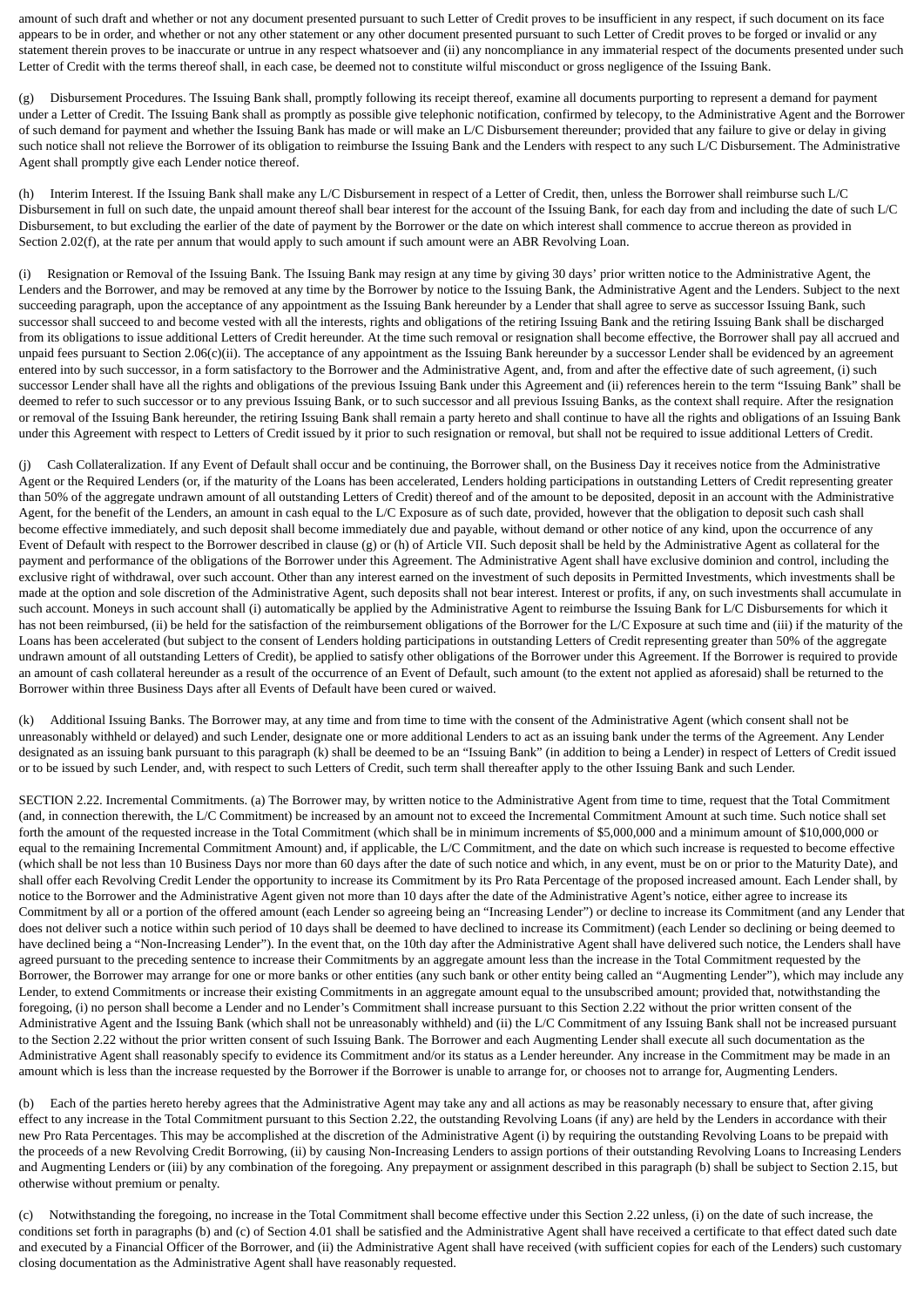amount of such draft and whether or not any document presented pursuant to such Letter of Credit proves to be insufficient in any respect, if such document on its face appears to be in order, and whether or not any other statement or any other document presented pursuant to such Letter of Credit proves to be forged or invalid or any statement therein proves to be inaccurate or untrue in any respect whatsoever and (ii) any noncompliance in any immaterial respect of the documents presented under such Letter of Credit with the terms thereof shall, in each case, be deemed not to constitute wilful misconduct or gross negligence of the Issuing Bank.

(g) Disbursement Procedures. The Issuing Bank shall, promptly following its receipt thereof, examine all documents purporting to represent a demand for payment under a Letter of Credit. The Issuing Bank shall as promptly as possible give telephonic notification, confirmed by telecopy, to the Administrative Agent and the Borrower of such demand for payment and whether the Issuing Bank has made or will make an L/C Disbursement thereunder; provided that any failure to give or delay in giving such notice shall not relieve the Borrower of its obligation to reimburse the Issuing Bank and the Lenders with respect to any such L/C Disbursement. The Administrative Agent shall promptly give each Lender notice thereof.

(h) Interim Interest. If the Issuing Bank shall make any L/C Disbursement in respect of a Letter of Credit, then, unless the Borrower shall reimburse such L/C Disbursement in full on such date, the unpaid amount thereof shall bear interest for the account of the Issuing Bank, for each day from and including the date of such L/C Disbursement, to but excluding the earlier of the date of payment by the Borrower or the date on which interest shall commence to accrue thereon as provided in Section 2.02(f), at the rate per annum that would apply to such amount if such amount were an ABR Revolving Loan.

(i) Resignation or Removal of the Issuing Bank. The Issuing Bank may resign at any time by giving 30 days' prior written notice to the Administrative Agent, the Lenders and the Borrower, and may be removed at any time by the Borrower by notice to the Issuing Bank, the Administrative Agent and the Lenders. Subject to the next succeeding paragraph, upon the acceptance of any appointment as the Issuing Bank hereunder by a Lender that shall agree to serve as successor Issuing Bank, such successor shall succeed to and become vested with all the interests, rights and obligations of the retiring Issuing Bank and the retiring Issuing Bank shall be discharged from its obligations to issue additional Letters of Credit hereunder. At the time such removal or resignation shall become effective, the Borrower shall pay all accrued and unpaid fees pursuant to Section 2.06(c)(ii). The acceptance of any appointment as the Issuing Bank hereunder by a successor Lender shall be evidenced by an agreement entered into by such successor, in a form satisfactory to the Borrower and the Administrative Agent, and, from and after the effective date of such agreement, (i) such successor Lender shall have all the rights and obligations of the previous Issuing Bank under this Agreement and (ii) references herein to the term "Issuing Bank" shall be deemed to refer to such successor or to any previous Issuing Bank, or to such successor and all previous Issuing Banks, as the context shall require. After the resignation or removal of the Issuing Bank hereunder, the retiring Issuing Bank shall remain a party hereto and shall continue to have all the rights and obligations of an Issuing Bank under this Agreement with respect to Letters of Credit issued by it prior to such resignation or removal, but shall not be required to issue additional Letters of Credit.

Cash Collateralization. If any Event of Default shall occur and be continuing, the Borrower shall, on the Business Day it receives notice from the Administrative Agent or the Required Lenders (or, if the maturity of the Loans has been accelerated, Lenders holding participations in outstanding Letters of Credit representing greater than 50% of the aggregate undrawn amount of all outstanding Letters of Credit) thereof and of the amount to be deposited, deposit in an account with the Administrative Agent, for the benefit of the Lenders, an amount in cash equal to the L/C Exposure as of such date, provided, however that the obligation to deposit such cash shall become effective immediately, and such deposit shall become immediately due and payable, without demand or other notice of any kind, upon the occurrence of any Event of Default with respect to the Borrower described in clause (g) or (h) of Article VII. Such deposit shall be held by the Administrative Agent as collateral for the payment and performance of the obligations of the Borrower under this Agreement. The Administrative Agent shall have exclusive dominion and control, including the exclusive right of withdrawal, over such account. Other than any interest earned on the investment of such deposits in Permitted Investments, which investments shall be made at the option and sole discretion of the Administrative Agent, such deposits shall not bear interest. Interest or profits, if any, on such investments shall accumulate in such account. Moneys in such account shall (i) automatically be applied by the Administrative Agent to reimburse the Issuing Bank for L/C Disbursements for which it has not been reimbursed, (ii) be held for the satisfaction of the reimbursement obligations of the Borrower for the L/C Exposure at such time and (iii) if the maturity of the Loans has been accelerated (but subject to the consent of Lenders holding participations in outstanding Letters of Credit representing greater than 50% of the aggregate undrawn amount of all outstanding Letters of Credit), be applied to satisfy other obligations of the Borrower under this Agreement. If the Borrower is required to provide an amount of cash collateral hereunder as a result of the occurrence of an Event of Default, such amount (to the extent not applied as aforesaid) shall be returned to the Borrower within three Business Days after all Events of Default have been cured or waived.

(k) Additional Issuing Banks. The Borrower may, at any time and from time to time with the consent of the Administrative Agent (which consent shall not be unreasonably withheld or delayed) and such Lender, designate one or more additional Lenders to act as an issuing bank under the terms of the Agreement. Any Lender designated as an issuing bank pursuant to this paragraph (k) shall be deemed to be an "Issuing Bank" (in addition to being a Lender) in respect of Letters of Credit issued or to be issued by such Lender, and, with respect to such Letters of Credit, such term shall thereafter apply to the other Issuing Bank and such Lender.

SECTION 2.22. Incremental Commitments. (a) The Borrower may, by written notice to the Administrative Agent from time to time, request that the Total Commitment (and, in connection therewith, the L/C Commitment) be increased by an amount not to exceed the Incremental Commitment Amount at such time. Such notice shall set forth the amount of the requested increase in the Total Commitment (which shall be in minimum increments of \$5,000,000 and a minimum amount of \$10,000,000 or equal to the remaining Incremental Commitment Amount) and, if applicable, the L/C Commitment, and the date on which such increase is requested to become effective (which shall be not less than 10 Business Days nor more than 60 days after the date of such notice and which, in any event, must be on or prior to the Maturity Date), and shall offer each Revolving Credit Lender the opportunity to increase its Commitment by its Pro Rata Percentage of the proposed increased amount. Each Lender shall, by notice to the Borrower and the Administrative Agent given not more than 10 days after the date of the Administrative Agent's notice, either agree to increase its Commitment by all or a portion of the offered amount (each Lender so agreeing being an "Increasing Lender") or decline to increase its Commitment (and any Lender that does not deliver such a notice within such period of 10 days shall be deemed to have declined to increase its Commitment) (each Lender so declining or being deemed to have declined being a "Non-Increasing Lender"). In the event that, on the 10th day after the Administrative Agent shall have delivered such notice, the Lenders shall have agreed pursuant to the preceding sentence to increase their Commitments by an aggregate amount less than the increase in the Total Commitment requested by the Borrower, the Borrower may arrange for one or more banks or other entities (any such bank or other entity being called an "Augmenting Lender"), which may include any Lender, to extend Commitments or increase their existing Commitments in an aggregate amount equal to the unsubscribed amount; provided that, notwithstanding the foregoing, (i) no person shall become a Lender and no Lender's Commitment shall increase pursuant to this Section 2.22 without the prior written consent of the Administrative Agent and the Issuing Bank (which shall not be unreasonably withheld) and (ii) the L/C Commitment of any Issuing Bank shall not be increased pursuant to the Section 2.22 without the prior written consent of such Issuing Bank. The Borrower and each Augmenting Lender shall execute all such documentation as the Administrative Agent shall reasonably specify to evidence its Commitment and/or its status as a Lender hereunder. Any increase in the Commitment may be made in an amount which is less than the increase requested by the Borrower if the Borrower is unable to arrange for, or chooses not to arrange for, Augmenting Lenders.

(b) Each of the parties hereto hereby agrees that the Administrative Agent may take any and all actions as may be reasonably necessary to ensure that, after giving effect to any increase in the Total Commitment pursuant to this Section 2.22, the outstanding Revolving Loans (if any) are held by the Lenders in accordance with their new Pro Rata Percentages. This may be accomplished at the discretion of the Administrative Agent (i) by requiring the outstanding Revolving Loans to be prepaid with the proceeds of a new Revolving Credit Borrowing, (ii) by causing Non-Increasing Lenders to assign portions of their outstanding Revolving Loans to Increasing Lenders and Augmenting Lenders or (iii) by any combination of the foregoing. Any prepayment or assignment described in this paragraph (b) shall be subject to Section 2.15, but otherwise without premium or penalty.

(c) Notwithstanding the foregoing, no increase in the Total Commitment shall become effective under this Section 2.22 unless, (i) on the date of such increase, the conditions set forth in paragraphs (b) and (c) of Section 4.01 shall be satisfied and the Administrative Agent shall have received a certificate to that effect dated such date and executed by a Financial Officer of the Borrower, and (ii) the Administrative Agent shall have received (with sufficient copies for each of the Lenders) such customary closing documentation as the Administrative Agent shall have reasonably requested.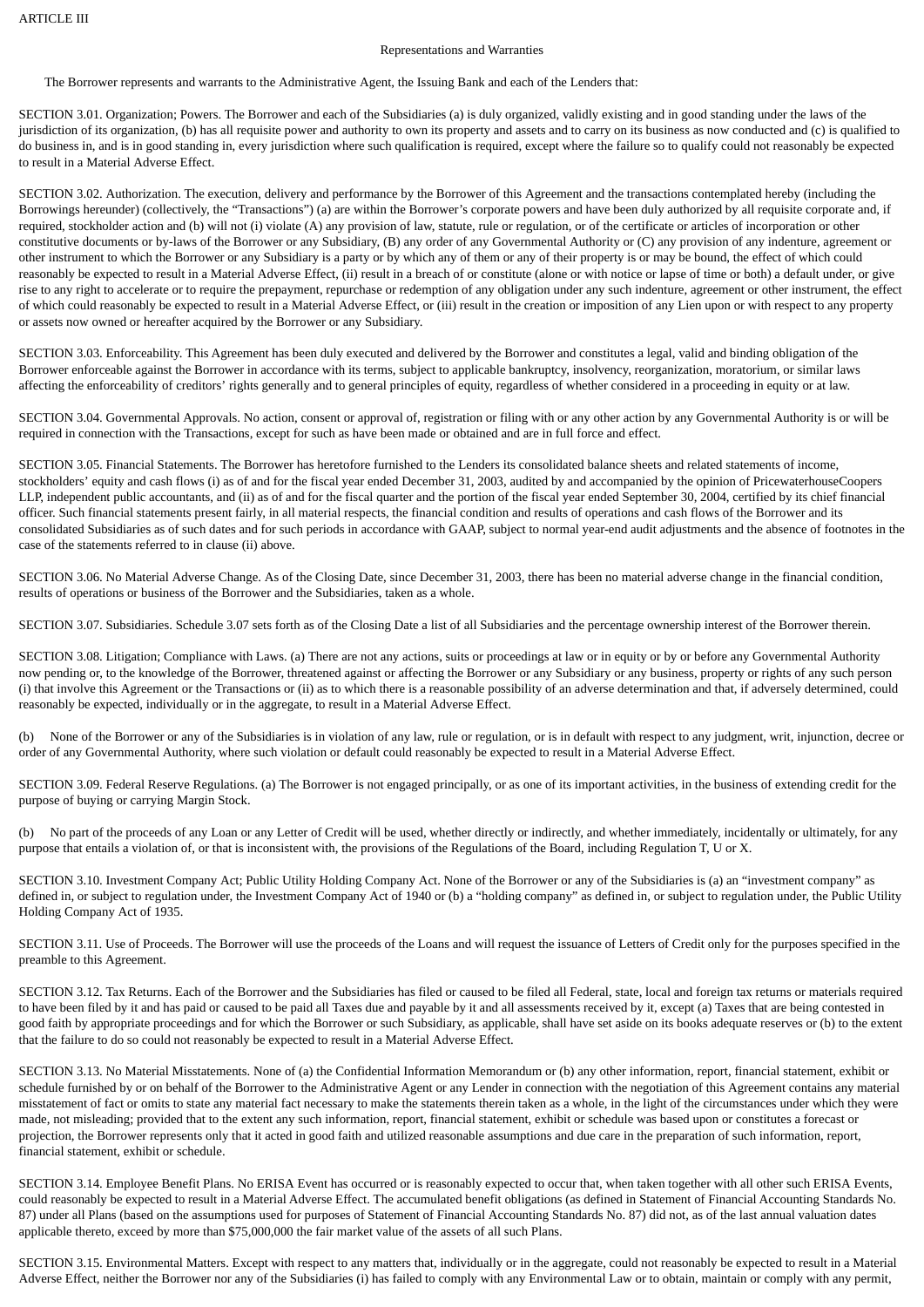#### Representations and Warranties

The Borrower represents and warrants to the Administrative Agent, the Issuing Bank and each of the Lenders that:

SECTION 3.01. Organization; Powers. The Borrower and each of the Subsidiaries (a) is duly organized, validly existing and in good standing under the laws of the jurisdiction of its organization, (b) has all requisite power and authority to own its property and assets and to carry on its business as now conducted and (c) is qualified to do business in, and is in good standing in, every jurisdiction where such qualification is required, except where the failure so to qualify could not reasonably be expected to result in a Material Adverse Effect.

SECTION 3.02. Authorization. The execution, delivery and performance by the Borrower of this Agreement and the transactions contemplated hereby (including the Borrowings hereunder) (collectively, the "Transactions") (a) are within the Borrower's corporate powers and have been duly authorized by all requisite corporate and, if required, stockholder action and (b) will not (i) violate (A) any provision of law, statute, rule or regulation, or of the certificate or articles of incorporation or other constitutive documents or by-laws of the Borrower or any Subsidiary, (B) any order of any Governmental Authority or (C) any provision of any indenture, agreement or other instrument to which the Borrower or any Subsidiary is a party or by which any of them or any of their property is or may be bound, the effect of which could reasonably be expected to result in a Material Adverse Effect, (ii) result in a breach of or constitute (alone or with notice or lapse of time or both) a default under, or give rise to any right to accelerate or to require the prepayment, repurchase or redemption of any obligation under any such indenture, agreement or other instrument, the effect of which could reasonably be expected to result in a Material Adverse Effect, or (iii) result in the creation or imposition of any Lien upon or with respect to any property or assets now owned or hereafter acquired by the Borrower or any Subsidiary.

SECTION 3.03. Enforceability. This Agreement has been duly executed and delivered by the Borrower and constitutes a legal, valid and binding obligation of the Borrower enforceable against the Borrower in accordance with its terms, subject to applicable bankruptcy, insolvency, reorganization, moratorium, or similar laws affecting the enforceability of creditors' rights generally and to general principles of equity, regardless of whether considered in a proceeding in equity or at law.

SECTION 3.04. Governmental Approvals. No action, consent or approval of, registration or filing with or any other action by any Governmental Authority is or will be required in connection with the Transactions, except for such as have been made or obtained and are in full force and effect.

SECTION 3.05. Financial Statements. The Borrower has heretofore furnished to the Lenders its consolidated balance sheets and related statements of income, stockholders' equity and cash flows (i) as of and for the fiscal year ended December 31, 2003, audited by and accompanied by the opinion of PricewaterhouseCoopers LLP, independent public accountants, and (ii) as of and for the fiscal quarter and the portion of the fiscal year ended September 30, 2004, certified by its chief financial officer. Such financial statements present fairly, in all material respects, the financial condition and results of operations and cash flows of the Borrower and its consolidated Subsidiaries as of such dates and for such periods in accordance with GAAP, subject to normal year-end audit adjustments and the absence of footnotes in the case of the statements referred to in clause (ii) above.

SECTION 3.06. No Material Adverse Change. As of the Closing Date, since December 31, 2003, there has been no material adverse change in the financial condition, results of operations or business of the Borrower and the Subsidiaries, taken as a whole.

SECTION 3.07. Subsidiaries. Schedule 3.07 sets forth as of the Closing Date a list of all Subsidiaries and the percentage ownership interest of the Borrower therein.

SECTION 3.08. Litigation; Compliance with Laws. (a) There are not any actions, suits or proceedings at law or in equity or by or before any Governmental Authority now pending or, to the knowledge of the Borrower, threatened against or affecting the Borrower or any Subsidiary or any business, property or rights of any such person (i) that involve this Agreement or the Transactions or (ii) as to which there is a reasonable possibility of an adverse determination and that, if adversely determined, could reasonably be expected, individually or in the aggregate, to result in a Material Adverse Effect.

(b) None of the Borrower or any of the Subsidiaries is in violation of any law, rule or regulation, or is in default with respect to any judgment, writ, injunction, decree or order of any Governmental Authority, where such violation or default could reasonably be expected to result in a Material Adverse Effect.

SECTION 3.09. Federal Reserve Regulations. (a) The Borrower is not engaged principally, or as one of its important activities, in the business of extending credit for the purpose of buying or carrying Margin Stock.

(b) No part of the proceeds of any Loan or any Letter of Credit will be used, whether directly or indirectly, and whether immediately, incidentally or ultimately, for any purpose that entails a violation of, or that is inconsistent with, the provisions of the Regulations of the Board, including Regulation T, U or X.

SECTION 3.10. Investment Company Act; Public Utility Holding Company Act. None of the Borrower or any of the Subsidiaries is (a) an "investment company" as defined in, or subject to regulation under, the Investment Company Act of 1940 or (b) a "holding company" as defined in, or subject to regulation under, the Public Utility Holding Company Act of 1935.

SECTION 3.11. Use of Proceeds. The Borrower will use the proceeds of the Loans and will request the issuance of Letters of Credit only for the purposes specified in the preamble to this Agreement.

SECTION 3.12. Tax Returns. Each of the Borrower and the Subsidiaries has filed or caused to be filed all Federal, state, local and foreign tax returns or materials required to have been filed by it and has paid or caused to be paid all Taxes due and payable by it and all assessments received by it, except (a) Taxes that are being contested in good faith by appropriate proceedings and for which the Borrower or such Subsidiary, as applicable, shall have set aside on its books adequate reserves or (b) to the extent that the failure to do so could not reasonably be expected to result in a Material Adverse Effect.

SECTION 3.13. No Material Misstatements. None of (a) the Confidential Information Memorandum or (b) any other information, report, financial statement, exhibit or schedule furnished by or on behalf of the Borrower to the Administrative Agent or any Lender in connection with the negotiation of this Agreement contains any material misstatement of fact or omits to state any material fact necessary to make the statements therein taken as a whole, in the light of the circumstances under which they were made, not misleading; provided that to the extent any such information, report, financial statement, exhibit or schedule was based upon or constitutes a forecast or projection, the Borrower represents only that it acted in good faith and utilized reasonable assumptions and due care in the preparation of such information, report, financial statement, exhibit or schedule.

SECTION 3.14. Employee Benefit Plans. No ERISA Event has occurred or is reasonably expected to occur that, when taken together with all other such ERISA Events, could reasonably be expected to result in a Material Adverse Effect. The accumulated benefit obligations (as defined in Statement of Financial Accounting Standards No. 87) under all Plans (based on the assumptions used for purposes of Statement of Financial Accounting Standards No. 87) did not, as of the last annual valuation dates applicable thereto, exceed by more than \$75,000,000 the fair market value of the assets of all such Plans.

SECTION 3.15. Environmental Matters. Except with respect to any matters that, individually or in the aggregate, could not reasonably be expected to result in a Material Adverse Effect, neither the Borrower nor any of the Subsidiaries (i) has failed to comply with any Environmental Law or to obtain, maintain or comply with any permit,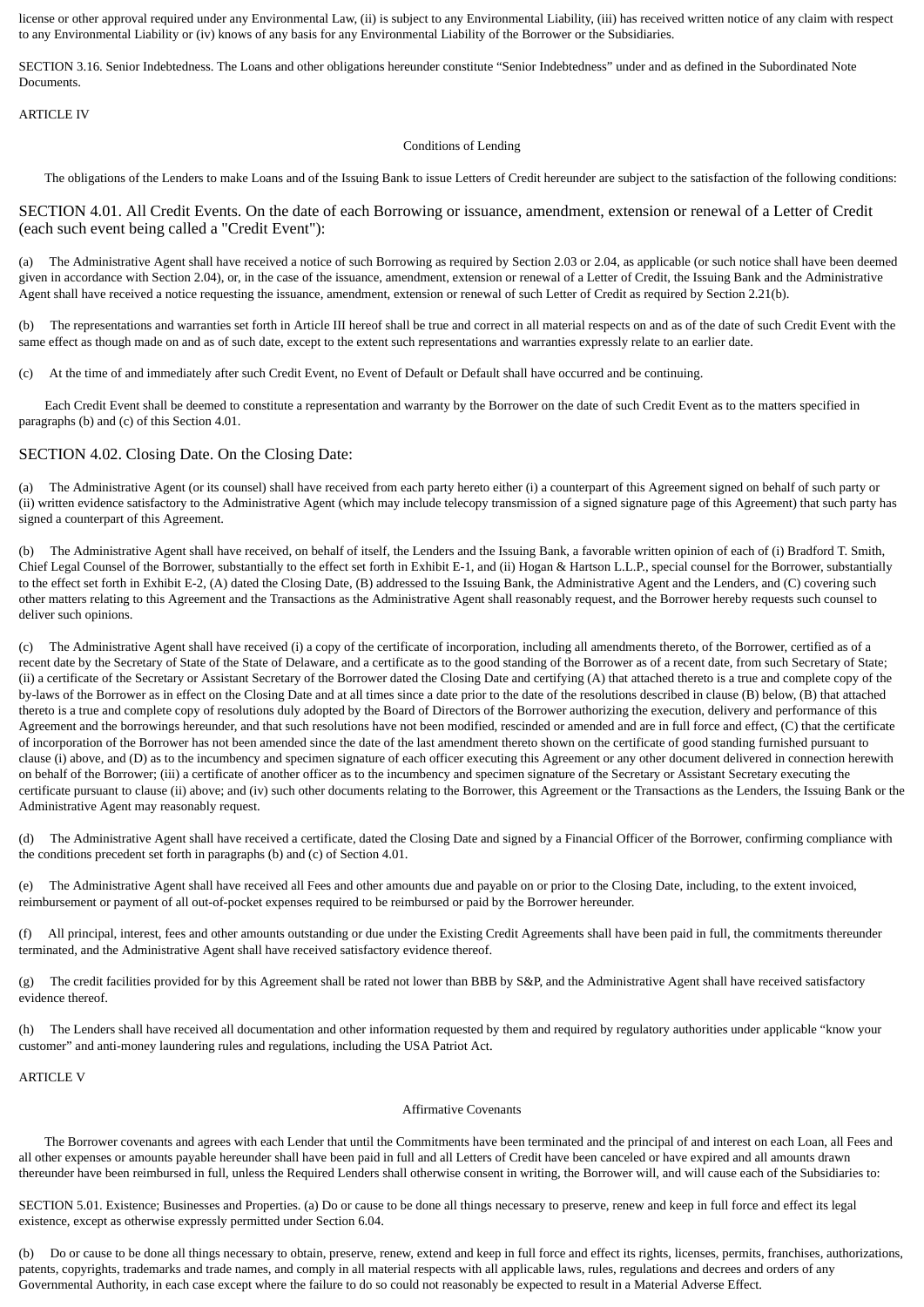license or other approval required under any Environmental Law, (ii) is subject to any Environmental Liability, (iii) has received written notice of any claim with respect to any Environmental Liability or (iv) knows of any basis for any Environmental Liability of the Borrower or the Subsidiaries.

SECTION 3.16. Senior Indebtedness. The Loans and other obligations hereunder constitute "Senior Indebtedness" under and as defined in the Subordinated Note Documents.

## ARTICLE IV

#### Conditions of Lending

The obligations of the Lenders to make Loans and of the Issuing Bank to issue Letters of Credit hereunder are subject to the satisfaction of the following conditions:

SECTION 4.01. All Credit Events. On the date of each Borrowing or issuance, amendment, extension or renewal of a Letter of Credit (each such event being called a "Credit Event"):

(a) The Administrative Agent shall have received a notice of such Borrowing as required by Section 2.03 or 2.04, as applicable (or such notice shall have been deemed given in accordance with Section 2.04), or, in the case of the issuance, amendment, extension or renewal of a Letter of Credit, the Issuing Bank and the Administrative Agent shall have received a notice requesting the issuance, amendment, extension or renewal of such Letter of Credit as required by Section 2.21(b).

(b) The representations and warranties set forth in Article III hereof shall be true and correct in all material respects on and as of the date of such Credit Event with the same effect as though made on and as of such date, except to the extent such representations and warranties expressly relate to an earlier date.

(c) At the time of and immediately after such Credit Event, no Event of Default or Default shall have occurred and be continuing.

 Each Credit Event shall be deemed to constitute a representation and warranty by the Borrower on the date of such Credit Event as to the matters specified in paragraphs (b) and (c) of this Section 4.01.

## SECTION 4.02. Closing Date. On the Closing Date:

(a) The Administrative Agent (or its counsel) shall have received from each party hereto either (i) a counterpart of this Agreement signed on behalf of such party or (ii) written evidence satisfactory to the Administrative Agent (which may include telecopy transmission of a signed signature page of this Agreement) that such party has signed a counterpart of this Agreement.

(b) The Administrative Agent shall have received, on behalf of itself, the Lenders and the Issuing Bank, a favorable written opinion of each of (i) Bradford T. Smith, Chief Legal Counsel of the Borrower, substantially to the effect set forth in Exhibit E-1, and (ii) Hogan & Hartson L.L.P., special counsel for the Borrower, substantially to the effect set forth in Exhibit E-2, (A) dated the Closing Date, (B) addressed to the Issuing Bank, the Administrative Agent and the Lenders, and (C) covering such other matters relating to this Agreement and the Transactions as the Administrative Agent shall reasonably request, and the Borrower hereby requests such counsel to deliver such opinions.

(c) The Administrative Agent shall have received (i) a copy of the certificate of incorporation, including all amendments thereto, of the Borrower, certified as of a recent date by the Secretary of State of the State of Delaware, and a certificate as to the good standing of the Borrower as of a recent date, from such Secretary of State; (ii) a certificate of the Secretary or Assistant Secretary of the Borrower dated the Closing Date and certifying (A) that attached thereto is a true and complete copy of the by-laws of the Borrower as in effect on the Closing Date and at all times since a date prior to the date of the resolutions described in clause (B) below, (B) that attached thereto is a true and complete copy of resolutions duly adopted by the Board of Directors of the Borrower authorizing the execution, delivery and performance of this Agreement and the borrowings hereunder, and that such resolutions have not been modified, rescinded or amended and are in full force and effect, (C) that the certificate of incorporation of the Borrower has not been amended since the date of the last amendment thereto shown on the certificate of good standing furnished pursuant to clause (i) above, and (D) as to the incumbency and specimen signature of each officer executing this Agreement or any other document delivered in connection herewith on behalf of the Borrower; (iii) a certificate of another officer as to the incumbency and specimen signature of the Secretary or Assistant Secretary executing the certificate pursuant to clause (ii) above; and (iv) such other documents relating to the Borrower, this Agreement or the Transactions as the Lenders, the Issuing Bank or the Administrative Agent may reasonably request.

(d) The Administrative Agent shall have received a certificate, dated the Closing Date and signed by a Financial Officer of the Borrower, confirming compliance with the conditions precedent set forth in paragraphs (b) and (c) of Section 4.01.

(e) The Administrative Agent shall have received all Fees and other amounts due and payable on or prior to the Closing Date, including, to the extent invoiced, reimbursement or payment of all out-of-pocket expenses required to be reimbursed or paid by the Borrower hereunder.

(f) All principal, interest, fees and other amounts outstanding or due under the Existing Credit Agreements shall have been paid in full, the commitments thereunder terminated, and the Administrative Agent shall have received satisfactory evidence thereof.

(g) The credit facilities provided for by this Agreement shall be rated not lower than BBB by S&P, and the Administrative Agent shall have received satisfactory evidence thereof.

(h) The Lenders shall have received all documentation and other information requested by them and required by regulatory authorities under applicable "know your customer" and anti-money laundering rules and regulations, including the USA Patriot Act.

ARTICLE V

### Affirmative Covenants

 The Borrower covenants and agrees with each Lender that until the Commitments have been terminated and the principal of and interest on each Loan, all Fees and all other expenses or amounts payable hereunder shall have been paid in full and all Letters of Credit have been canceled or have expired and all amounts drawn thereunder have been reimbursed in full, unless the Required Lenders shall otherwise consent in writing, the Borrower will, and will cause each of the Subsidiaries to:

SECTION 5.01. Existence; Businesses and Properties. (a) Do or cause to be done all things necessary to preserve, renew and keep in full force and effect its legal existence, except as otherwise expressly permitted under Section 6.04.

(b) Do or cause to be done all things necessary to obtain, preserve, renew, extend and keep in full force and effect its rights, licenses, permits, franchises, authorizations, patents, copyrights, trademarks and trade names, and comply in all material respects with all applicable laws, rules, regulations and decrees and orders of any Governmental Authority, in each case except where the failure to do so could not reasonably be expected to result in a Material Adverse Effect.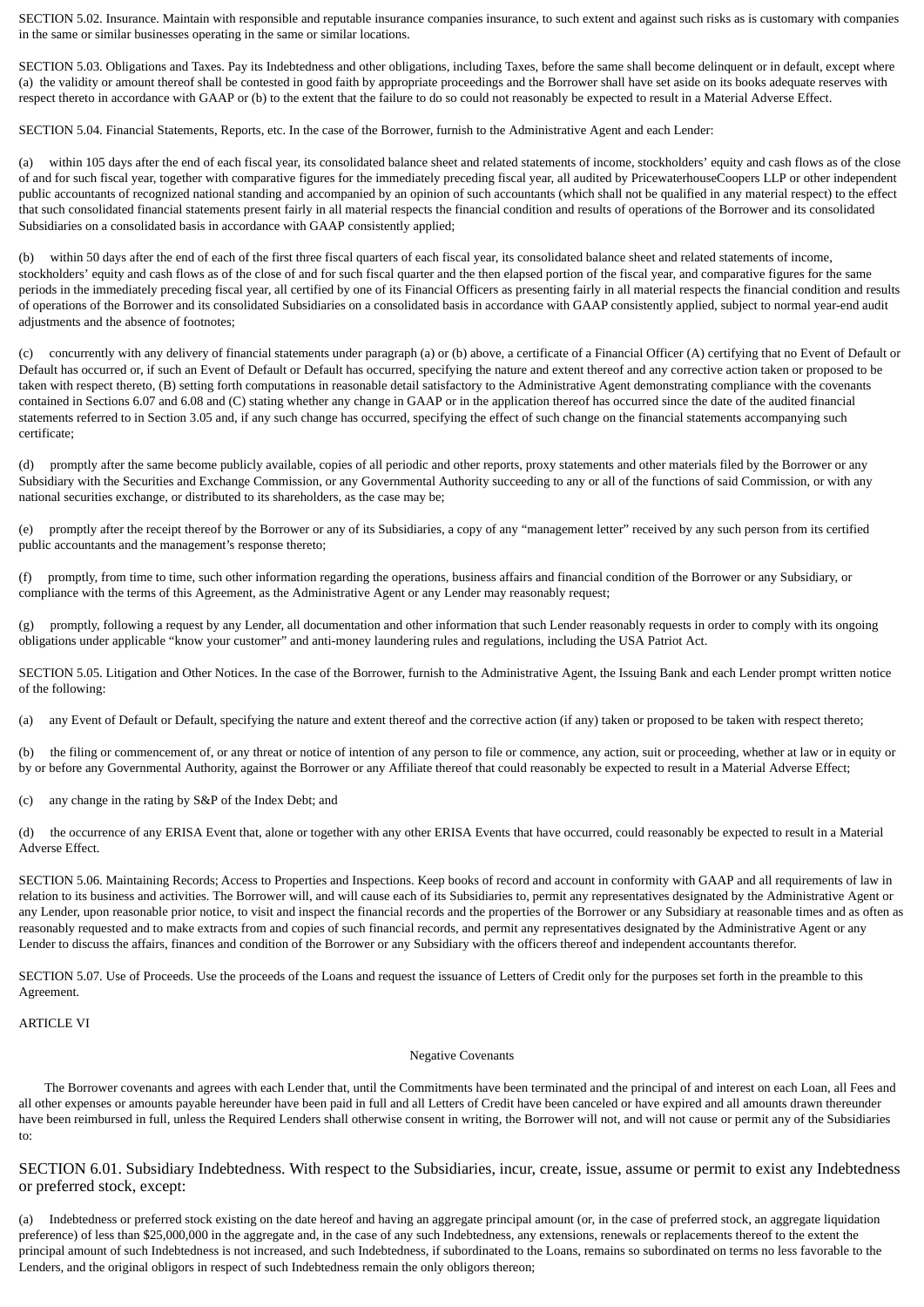SECTION 5.02. Insurance. Maintain with responsible and reputable insurance companies insurance, to such extent and against such risks as is customary with companies in the same or similar businesses operating in the same or similar locations.

SECTION 5.03. Obligations and Taxes. Pay its Indebtedness and other obligations, including Taxes, before the same shall become delinquent or in default, except where (a) the validity or amount thereof shall be contested in good faith by appropriate proceedings and the Borrower shall have set aside on its books adequate reserves with respect thereto in accordance with GAAP or (b) to the extent that the failure to do so could not reasonably be expected to result in a Material Adverse Effect.

SECTION 5.04. Financial Statements, Reports, etc. In the case of the Borrower, furnish to the Administrative Agent and each Lender:

(a) within 105 days after the end of each fiscal year, its consolidated balance sheet and related statements of income, stockholders' equity and cash flows as of the close of and for such fiscal year, together with comparative figures for the immediately preceding fiscal year, all audited by PricewaterhouseCoopers LLP or other independent public accountants of recognized national standing and accompanied by an opinion of such accountants (which shall not be qualified in any material respect) to the effect that such consolidated financial statements present fairly in all material respects the financial condition and results of operations of the Borrower and its consolidated Subsidiaries on a consolidated basis in accordance with GAAP consistently applied;

(b) within 50 days after the end of each of the first three fiscal quarters of each fiscal year, its consolidated balance sheet and related statements of income, stockholders' equity and cash flows as of the close of and for such fiscal quarter and the then elapsed portion of the fiscal year, and comparative figures for the same periods in the immediately preceding fiscal year, all certified by one of its Financial Officers as presenting fairly in all material respects the financial condition and results of operations of the Borrower and its consolidated Subsidiaries on a consolidated basis in accordance with GAAP consistently applied, subject to normal year-end audit adjustments and the absence of footnotes;

(c) concurrently with any delivery of financial statements under paragraph (a) or (b) above, a certificate of a Financial Officer (A) certifying that no Event of Default or Default has occurred or, if such an Event of Default or Default has occurred, specifying the nature and extent thereof and any corrective action taken or proposed to be taken with respect thereto, (B) setting forth computations in reasonable detail satisfactory to the Administrative Agent demonstrating compliance with the covenants contained in Sections 6.07 and 6.08 and (C) stating whether any change in GAAP or in the application thereof has occurred since the date of the audited financial statements referred to in Section 3.05 and, if any such change has occurred, specifying the effect of such change on the financial statements accompanying such certificate;

(d) promptly after the same become publicly available, copies of all periodic and other reports, proxy statements and other materials filed by the Borrower or any Subsidiary with the Securities and Exchange Commission, or any Governmental Authority succeeding to any or all of the functions of said Commission, or with any national securities exchange, or distributed to its shareholders, as the case may be;

(e) promptly after the receipt thereof by the Borrower or any of its Subsidiaries, a copy of any "management letter" received by any such person from its certified public accountants and the management's response thereto;

(f) promptly, from time to time, such other information regarding the operations, business affairs and financial condition of the Borrower or any Subsidiary, or compliance with the terms of this Agreement, as the Administrative Agent or any Lender may reasonably request;

(g) promptly, following a request by any Lender, all documentation and other information that such Lender reasonably requests in order to comply with its ongoing obligations under applicable "know your customer" and anti-money laundering rules and regulations, including the USA Patriot Act.

SECTION 5.05. Litigation and Other Notices. In the case of the Borrower, furnish to the Administrative Agent, the Issuing Bank and each Lender prompt written notice of the following:

(a) any Event of Default or Default, specifying the nature and extent thereof and the corrective action (if any) taken or proposed to be taken with respect thereto;

(b) the filing or commencement of, or any threat or notice of intention of any person to file or commence, any action, suit or proceeding, whether at law or in equity or by or before any Governmental Authority, against the Borrower or any Affiliate thereof that could reasonably be expected to result in a Material Adverse Effect;

(c) any change in the rating by S&P of the Index Debt; and

(d) the occurrence of any ERISA Event that, alone or together with any other ERISA Events that have occurred, could reasonably be expected to result in a Material Adverse Effect.

SECTION 5.06. Maintaining Records; Access to Properties and Inspections. Keep books of record and account in conformity with GAAP and all requirements of law in relation to its business and activities. The Borrower will, and will cause each of its Subsidiaries to, permit any representatives designated by the Administrative Agent or any Lender, upon reasonable prior notice, to visit and inspect the financial records and the properties of the Borrower or any Subsidiary at reasonable times and as often as reasonably requested and to make extracts from and copies of such financial records, and permit any representatives designated by the Administrative Agent or any Lender to discuss the affairs, finances and condition of the Borrower or any Subsidiary with the officers thereof and independent accountants therefor.

SECTION 5.07. Use of Proceeds. Use the proceeds of the Loans and request the issuance of Letters of Credit only for the purposes set forth in the preamble to this Agreement.

### ARTICLE VI

#### Negative Covenants

 The Borrower covenants and agrees with each Lender that, until the Commitments have been terminated and the principal of and interest on each Loan, all Fees and all other expenses or amounts payable hereunder have been paid in full and all Letters of Credit have been canceled or have expired and all amounts drawn thereunder have been reimbursed in full, unless the Required Lenders shall otherwise consent in writing, the Borrower will not, and will not cause or permit any of the Subsidiaries to:

SECTION 6.01. Subsidiary Indebtedness. With respect to the Subsidiaries, incur, create, issue, assume or permit to exist any Indebtedness or preferred stock, except:

(a) Indebtedness or preferred stock existing on the date hereof and having an aggregate principal amount (or, in the case of preferred stock, an aggregate liquidation preference) of less than \$25,000,000 in the aggregate and, in the case of any such Indebtedness, any extensions, renewals or replacements thereof to the extent the principal amount of such Indebtedness is not increased, and such Indebtedness, if subordinated to the Loans, remains so subordinated on terms no less favorable to the Lenders, and the original obligors in respect of such Indebtedness remain the only obligors thereon;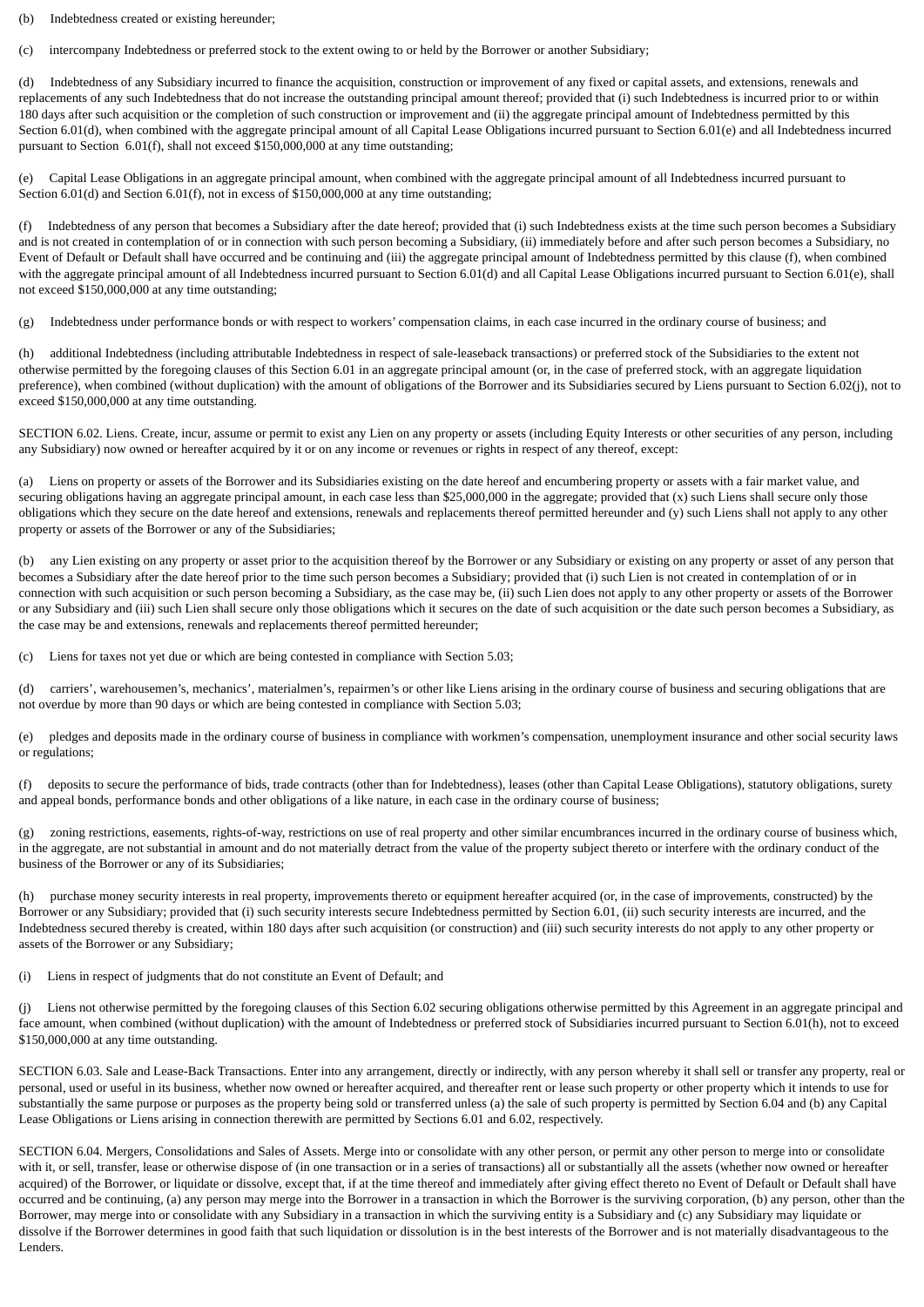(b) Indebtedness created or existing hereunder;

(c) intercompany Indebtedness or preferred stock to the extent owing to or held by the Borrower or another Subsidiary;

(d) Indebtedness of any Subsidiary incurred to finance the acquisition, construction or improvement of any fixed or capital assets, and extensions, renewals and replacements of any such Indebtedness that do not increase the outstanding principal amount thereof; provided that (i) such Indebtedness is incurred prior to or within 180 days after such acquisition or the completion of such construction or improvement and (ii) the aggregate principal amount of Indebtedness permitted by this Section 6.01(d), when combined with the aggregate principal amount of all Capital Lease Obligations incurred pursuant to Section 6.01(e) and all Indebtedness incurred pursuant to Section 6.01(f), shall not exceed \$150,000,000 at any time outstanding;

(e) Capital Lease Obligations in an aggregate principal amount, when combined with the aggregate principal amount of all Indebtedness incurred pursuant to Section 6.01(d) and Section 6.01(f), not in excess of \$150,000,000 at any time outstanding;

(f) Indebtedness of any person that becomes a Subsidiary after the date hereof; provided that (i) such Indebtedness exists at the time such person becomes a Subsidiary and is not created in contemplation of or in connection with such person becoming a Subsidiary, (ii) immediately before and after such person becomes a Subsidiary, no Event of Default or Default shall have occurred and be continuing and (iii) the aggregate principal amount of Indebtedness permitted by this clause (f), when combined with the aggregate principal amount of all Indebtedness incurred pursuant to Section 6.01(d) and all Capital Lease Obligations incurred pursuant to Section 6.01(e), shall not exceed \$150,000,000 at any time outstanding;

(g) Indebtedness under performance bonds or with respect to workers' compensation claims, in each case incurred in the ordinary course of business; and

(h) additional Indebtedness (including attributable Indebtedness in respect of sale-leaseback transactions) or preferred stock of the Subsidiaries to the extent not otherwise permitted by the foregoing clauses of this Section 6.01 in an aggregate principal amount (or, in the case of preferred stock, with an aggregate liquidation preference), when combined (without duplication) with the amount of obligations of the Borrower and its Subsidiaries secured by Liens pursuant to Section 6.02(j), not to exceed \$150,000,000 at any time outstanding.

SECTION 6.02. Liens. Create, incur, assume or permit to exist any Lien on any property or assets (including Equity Interests or other securities of any person, including any Subsidiary) now owned or hereafter acquired by it or on any income or revenues or rights in respect of any thereof, except:

(a) Liens on property or assets of the Borrower and its Subsidiaries existing on the date hereof and encumbering property or assets with a fair market value, and securing obligations having an aggregate principal amount, in each case less than \$25,000,000 in the aggregate; provided that (x) such Liens shall secure only those obligations which they secure on the date hereof and extensions, renewals and replacements thereof permitted hereunder and (y) such Liens shall not apply to any other property or assets of the Borrower or any of the Subsidiaries;

(b) any Lien existing on any property or asset prior to the acquisition thereof by the Borrower or any Subsidiary or existing on any property or asset of any person that becomes a Subsidiary after the date hereof prior to the time such person becomes a Subsidiary; provided that (i) such Lien is not created in contemplation of or in connection with such acquisition or such person becoming a Subsidiary, as the case may be, (ii) such Lien does not apply to any other property or assets of the Borrower or any Subsidiary and (iii) such Lien shall secure only those obligations which it secures on the date of such acquisition or the date such person becomes a Subsidiary, as the case may be and extensions, renewals and replacements thereof permitted hereunder;

(c) Liens for taxes not yet due or which are being contested in compliance with Section 5.03;

(d) carriers', warehousemen's, mechanics', materialmen's, repairmen's or other like Liens arising in the ordinary course of business and securing obligations that are not overdue by more than 90 days or which are being contested in compliance with Section 5.03;

(e) pledges and deposits made in the ordinary course of business in compliance with workmen's compensation, unemployment insurance and other social security laws or regulations;

(f) deposits to secure the performance of bids, trade contracts (other than for Indebtedness), leases (other than Capital Lease Obligations), statutory obligations, surety and appeal bonds, performance bonds and other obligations of a like nature, in each case in the ordinary course of business;

(g) zoning restrictions, easements, rights-of-way, restrictions on use of real property and other similar encumbrances incurred in the ordinary course of business which, in the aggregate, are not substantial in amount and do not materially detract from the value of the property subject thereto or interfere with the ordinary conduct of the business of the Borrower or any of its Subsidiaries;

(h) purchase money security interests in real property, improvements thereto or equipment hereafter acquired (or, in the case of improvements, constructed) by the Borrower or any Subsidiary; provided that (i) such security interests secure Indebtedness permitted by Section 6.01, (ii) such security interests are incurred, and the Indebtedness secured thereby is created, within 180 days after such acquisition (or construction) and (iii) such security interests do not apply to any other property or assets of the Borrower or any Subsidiary;

(i) Liens in respect of judgments that do not constitute an Event of Default; and

(j) Liens not otherwise permitted by the foregoing clauses of this Section 6.02 securing obligations otherwise permitted by this Agreement in an aggregate principal and face amount, when combined (without duplication) with the amount of Indebtedness or preferred stock of Subsidiaries incurred pursuant to Section 6.01(h), not to exceed \$150,000,000 at any time outstanding.

SECTION 6.03. Sale and Lease-Back Transactions. Enter into any arrangement, directly or indirectly, with any person whereby it shall sell or transfer any property, real or personal, used or useful in its business, whether now owned or hereafter acquired, and thereafter rent or lease such property or other property which it intends to use for substantially the same purpose or purposes as the property being sold or transferred unless (a) the sale of such property is permitted by Section 6.04 and (b) any Capital Lease Obligations or Liens arising in connection therewith are permitted by Sections 6.01 and 6.02, respectively.

SECTION 6.04. Mergers, Consolidations and Sales of Assets. Merge into or consolidate with any other person, or permit any other person to merge into or consolidate with it, or sell, transfer, lease or otherwise dispose of (in one transaction or in a series of transactions) all or substantially all the assets (whether now owned or hereafter acquired) of the Borrower, or liquidate or dissolve, except that, if at the time thereof and immediately after giving effect thereto no Event of Default or Default shall have occurred and be continuing, (a) any person may merge into the Borrower in a transaction in which the Borrower is the surviving corporation, (b) any person, other than the Borrower, may merge into or consolidate with any Subsidiary in a transaction in which the surviving entity is a Subsidiary and (c) any Subsidiary may liquidate or dissolve if the Borrower determines in good faith that such liquidation or dissolution is in the best interests of the Borrower and is not materially disadvantageous to the Lenders.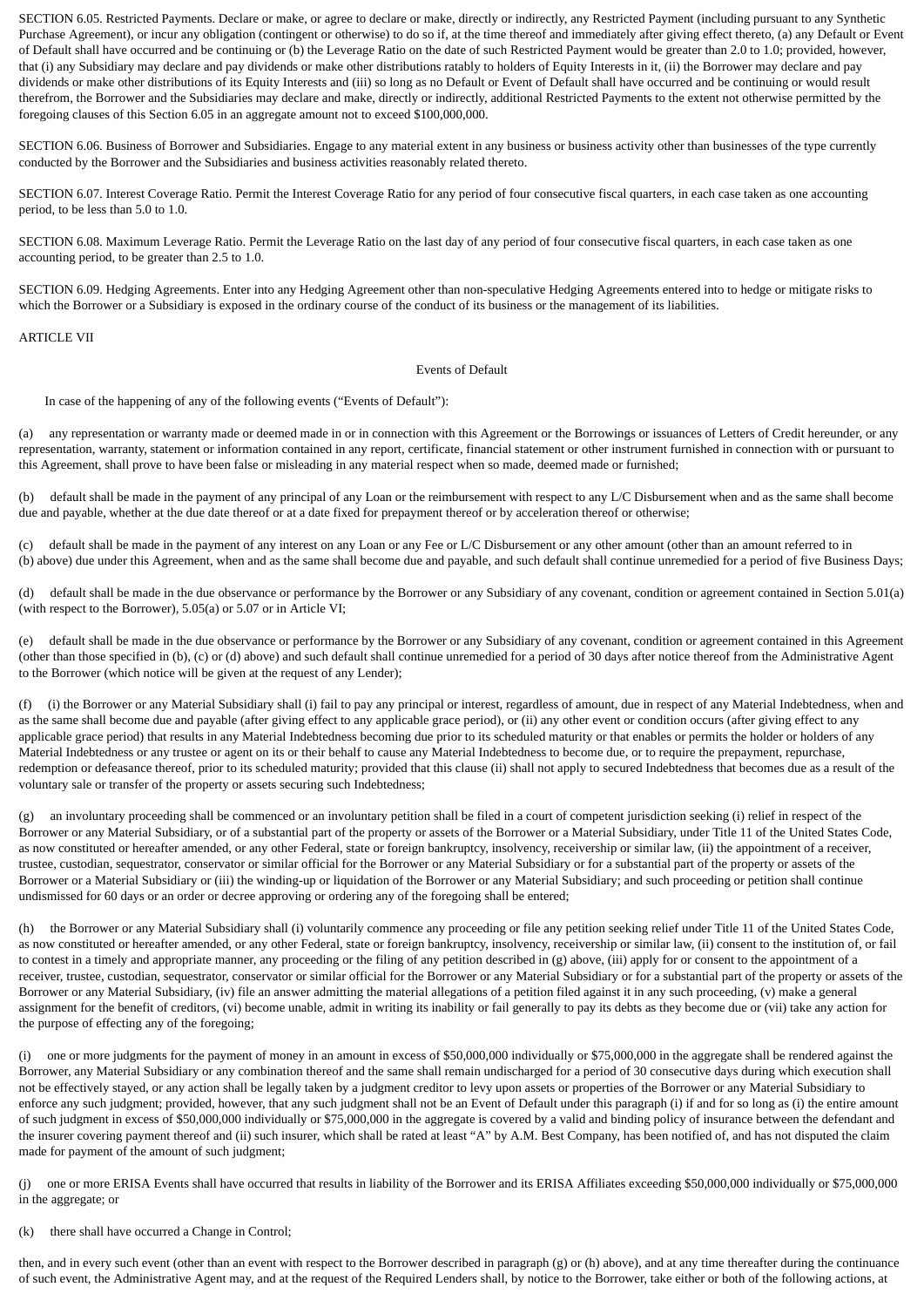SECTION 6.05. Restricted Payments. Declare or make, or agree to declare or make, directly or indirectly, any Restricted Payment (including pursuant to any Synthetic Purchase Agreement), or incur any obligation (contingent or otherwise) to do so if, at the time thereof and immediately after giving effect thereto, (a) any Default or Event of Default shall have occurred and be continuing or (b) the Leverage Ratio on the date of such Restricted Payment would be greater than 2.0 to 1.0; provided, however, that (i) any Subsidiary may declare and pay dividends or make other distributions ratably to holders of Equity Interests in it, (ii) the Borrower may declare and pay dividends or make other distributions of its Equity Interests and (iii) so long as no Default or Event of Default shall have occurred and be continuing or would result therefrom, the Borrower and the Subsidiaries may declare and make, directly or indirectly, additional Restricted Payments to the extent not otherwise permitted by the foregoing clauses of this Section 6.05 in an aggregate amount not to exceed \$100,000,000.

SECTION 6.06. Business of Borrower and Subsidiaries. Engage to any material extent in any business or business activity other than businesses of the type currently conducted by the Borrower and the Subsidiaries and business activities reasonably related thereto.

SECTION 6.07. Interest Coverage Ratio. Permit the Interest Coverage Ratio for any period of four consecutive fiscal quarters, in each case taken as one accounting period, to be less than 5.0 to 1.0.

SECTION 6.08. Maximum Leverage Ratio. Permit the Leverage Ratio on the last day of any period of four consecutive fiscal quarters, in each case taken as one accounting period, to be greater than 2.5 to 1.0.

SECTION 6.09. Hedging Agreements. Enter into any Hedging Agreement other than non-speculative Hedging Agreements entered into to hedge or mitigate risks to which the Borrower or a Subsidiary is exposed in the ordinary course of the conduct of its business or the management of its liabilities.

### ARTICLE VII

### Events of Default

In case of the happening of any of the following events ("Events of Default"):

(a) any representation or warranty made or deemed made in or in connection with this Agreement or the Borrowings or issuances of Letters of Credit hereunder, or any representation, warranty, statement or information contained in any report, certificate, financial statement or other instrument furnished in connection with or pursuant to this Agreement, shall prove to have been false or misleading in any material respect when so made, deemed made or furnished;

(b) default shall be made in the payment of any principal of any Loan or the reimbursement with respect to any L/C Disbursement when and as the same shall become due and payable, whether at the due date thereof or at a date fixed for prepayment thereof or by acceleration thereof or otherwise;

(c) default shall be made in the payment of any interest on any Loan or any Fee or L/C Disbursement or any other amount (other than an amount referred to in (b) above) due under this Agreement, when and as the same shall become due and payable, and such default shall continue unremedied for a period of five Business Days;

(d) default shall be made in the due observance or performance by the Borrower or any Subsidiary of any covenant, condition or agreement contained in Section 5.01(a) (with respect to the Borrower), 5.05(a) or 5.07 or in Article VI;

(e) default shall be made in the due observance or performance by the Borrower or any Subsidiary of any covenant, condition or agreement contained in this Agreement (other than those specified in (b), (c) or (d) above) and such default shall continue unremedied for a period of 30 days after notice thereof from the Administrative Agent to the Borrower (which notice will be given at the request of any Lender);

(f) (i) the Borrower or any Material Subsidiary shall (i) fail to pay any principal or interest, regardless of amount, due in respect of any Material Indebtedness, when and as the same shall become due and payable (after giving effect to any applicable grace period), or (ii) any other event or condition occurs (after giving effect to any applicable grace period) that results in any Material Indebtedness becoming due prior to its scheduled maturity or that enables or permits the holder or holders of any Material Indebtedness or any trustee or agent on its or their behalf to cause any Material Indebtedness to become due, or to require the prepayment, repurchase, redemption or defeasance thereof, prior to its scheduled maturity; provided that this clause (ii) shall not apply to secured Indebtedness that becomes due as a result of the voluntary sale or transfer of the property or assets securing such Indebtedness;

(g) an involuntary proceeding shall be commenced or an involuntary petition shall be filed in a court of competent jurisdiction seeking (i) relief in respect of the Borrower or any Material Subsidiary, or of a substantial part of the property or assets of the Borrower or a Material Subsidiary, under Title 11 of the United States Code, as now constituted or hereafter amended, or any other Federal, state or foreign bankruptcy, insolvency, receivership or similar law, (ii) the appointment of a receiver, trustee, custodian, sequestrator, conservator or similar official for the Borrower or any Material Subsidiary or for a substantial part of the property or assets of the Borrower or a Material Subsidiary or (iii) the winding-up or liquidation of the Borrower or any Material Subsidiary; and such proceeding or petition shall continue undismissed for 60 days or an order or decree approving or ordering any of the foregoing shall be entered;

(h) the Borrower or any Material Subsidiary shall (i) voluntarily commence any proceeding or file any petition seeking relief under Title 11 of the United States Code, as now constituted or hereafter amended, or any other Federal, state or foreign bankruptcy, insolvency, receivership or similar law, (ii) consent to the institution of, or fail to contest in a timely and appropriate manner, any proceeding or the filing of any petition described in (g) above, (iii) apply for or consent to the appointment of a receiver, trustee, custodian, sequestrator, conservator or similar official for the Borrower or any Material Subsidiary or for a substantial part of the property or assets of the Borrower or any Material Subsidiary, (iv) file an answer admitting the material allegations of a petition filed against it in any such proceeding, (v) make a general assignment for the benefit of creditors, (vi) become unable, admit in writing its inability or fail generally to pay its debts as they become due or (vii) take any action for the purpose of effecting any of the foregoing;

(i) one or more judgments for the payment of money in an amount in excess of \$50,000,000 individually or \$75,000,000 in the aggregate shall be rendered against the Borrower, any Material Subsidiary or any combination thereof and the same shall remain undischarged for a period of 30 consecutive days during which execution shall not be effectively stayed, or any action shall be legally taken by a judgment creditor to levy upon assets or properties of the Borrower or any Material Subsidiary to enforce any such judgment; provided, however, that any such judgment shall not be an Event of Default under this paragraph (i) if and for so long as (i) the entire amount of such judgment in excess of \$50,000,000 individually or \$75,000,000 in the aggregate is covered by a valid and binding policy of insurance between the defendant and the insurer covering payment thereof and (ii) such insurer, which shall be rated at least "A" by A.M. Best Company, has been notified of, and has not disputed the claim made for payment of the amount of such judgment;

(j) one or more ERISA Events shall have occurred that results in liability of the Borrower and its ERISA Affiliates exceeding \$50,000,000 individually or \$75,000,000 in the aggregate; or

(k) there shall have occurred a Change in Control;

then, and in every such event (other than an event with respect to the Borrower described in paragraph (g) or (h) above), and at any time thereafter during the continuance of such event, the Administrative Agent may, and at the request of the Required Lenders shall, by notice to the Borrower, take either or both of the following actions, at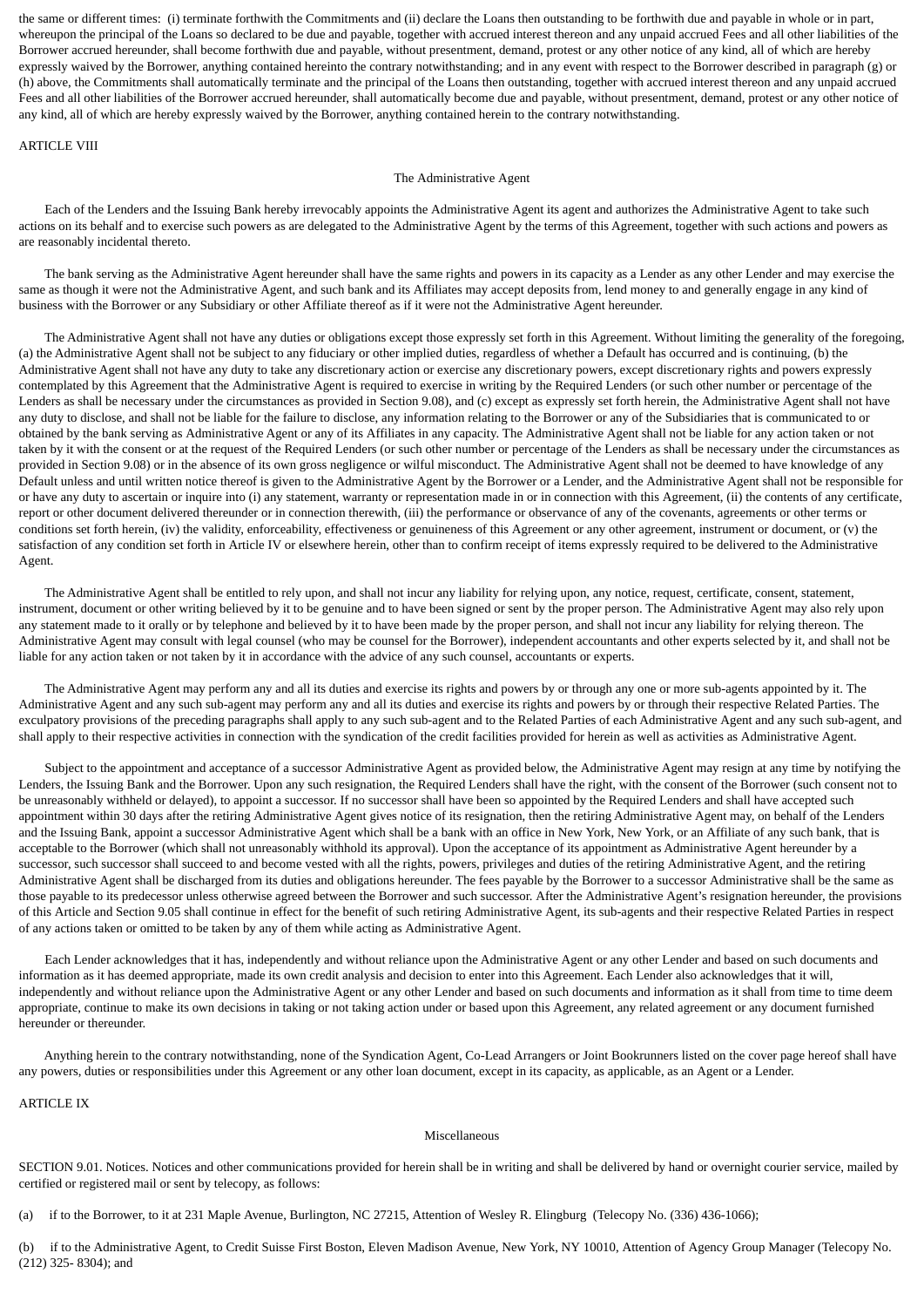the same or different times: (i) terminate forthwith the Commitments and (ii) declare the Loans then outstanding to be forthwith due and payable in whole or in part, whereupon the principal of the Loans so declared to be due and payable, together with accrued interest thereon and any unpaid accrued Fees and all other liabilities of the Borrower accrued hereunder, shall become forthwith due and payable, without presentment, demand, protest or any other notice of any kind, all of which are hereby expressly waived by the Borrower, anything contained hereinto the contrary notwithstanding; and in any event with respect to the Borrower described in paragraph (g) or (h) above, the Commitments shall automatically terminate and the principal of the Loans then outstanding, together with accrued interest thereon and any unpaid accrued Fees and all other liabilities of the Borrower accrued hereunder, shall automatically become due and payable, without presentment, demand, protest or any other notice of any kind, all of which are hereby expressly waived by the Borrower, anything contained herein to the contrary notwithstanding.

#### ARTICLE VIII

### The Administrative Agent

 Each of the Lenders and the Issuing Bank hereby irrevocably appoints the Administrative Agent its agent and authorizes the Administrative Agent to take such actions on its behalf and to exercise such powers as are delegated to the Administrative Agent by the terms of this Agreement, together with such actions and powers as are reasonably incidental thereto.

 The bank serving as the Administrative Agent hereunder shall have the same rights and powers in its capacity as a Lender as any other Lender and may exercise the same as though it were not the Administrative Agent, and such bank and its Affiliates may accept deposits from, lend money to and generally engage in any kind of business with the Borrower or any Subsidiary or other Affiliate thereof as if it were not the Administrative Agent hereunder.

 The Administrative Agent shall not have any duties or obligations except those expressly set forth in this Agreement. Without limiting the generality of the foregoing, (a) the Administrative Agent shall not be subject to any fiduciary or other implied duties, regardless of whether a Default has occurred and is continuing, (b) the Administrative Agent shall not have any duty to take any discretionary action or exercise any discretionary powers, except discretionary rights and powers expressly contemplated by this Agreement that the Administrative Agent is required to exercise in writing by the Required Lenders (or such other number or percentage of the Lenders as shall be necessary under the circumstances as provided in Section 9.08), and (c) except as expressly set forth herein, the Administrative Agent shall not have any duty to disclose, and shall not be liable for the failure to disclose, any information relating to the Borrower or any of the Subsidiaries that is communicated to or obtained by the bank serving as Administrative Agent or any of its Affiliates in any capacity. The Administrative Agent shall not be liable for any action taken or not taken by it with the consent or at the request of the Required Lenders (or such other number or percentage of the Lenders as shall be necessary under the circumstances as provided in Section 9.08) or in the absence of its own gross negligence or wilful misconduct. The Administrative Agent shall not be deemed to have knowledge of any Default unless and until written notice thereof is given to the Administrative Agent by the Borrower or a Lender, and the Administrative Agent shall not be responsible for or have any duty to ascertain or inquire into (i) any statement, warranty or representation made in or in connection with this Agreement, (ii) the contents of any certificate, report or other document delivered thereunder or in connection therewith, (iii) the performance or observance of any of the covenants, agreements or other terms or conditions set forth herein, (iv) the validity, enforceability, effectiveness or genuineness of this Agreement or any other agreement, instrument or document, or (v) the satisfaction of any condition set forth in Article IV or elsewhere herein, other than to confirm receipt of items expressly required to be delivered to the Administrative Agent.

 The Administrative Agent shall be entitled to rely upon, and shall not incur any liability for relying upon, any notice, request, certificate, consent, statement, instrument, document or other writing believed by it to be genuine and to have been signed or sent by the proper person. The Administrative Agent may also rely upon any statement made to it orally or by telephone and believed by it to have been made by the proper person, and shall not incur any liability for relying thereon. The Administrative Agent may consult with legal counsel (who may be counsel for the Borrower), independent accountants and other experts selected by it, and shall not be liable for any action taken or not taken by it in accordance with the advice of any such counsel, accountants or experts.

 The Administrative Agent may perform any and all its duties and exercise its rights and powers by or through any one or more sub-agents appointed by it. The Administrative Agent and any such sub-agent may perform any and all its duties and exercise its rights and powers by or through their respective Related Parties. The exculpatory provisions of the preceding paragraphs shall apply to any such sub-agent and to the Related Parties of each Administrative Agent and any such sub-agent, and shall apply to their respective activities in connection with the syndication of the credit facilities provided for herein as well as activities as Administrative Agent.

Subject to the appointment and acceptance of a successor Administrative Agent as provided below, the Administrative Agent may resign at any time by notifying the Lenders, the Issuing Bank and the Borrower. Upon any such resignation, the Required Lenders shall have the right, with the consent of the Borrower (such consent not to be unreasonably withheld or delayed), to appoint a successor. If no successor shall have been so appointed by the Required Lenders and shall have accepted such appointment within 30 days after the retiring Administrative Agent gives notice of its resignation, then the retiring Administrative Agent may, on behalf of the Lenders and the Issuing Bank, appoint a successor Administrative Agent which shall be a bank with an office in New York, New York, or an Affiliate of any such bank, that is acceptable to the Borrower (which shall not unreasonably withhold its approval). Upon the acceptance of its appointment as Administrative Agent hereunder by a successor, such successor shall succeed to and become vested with all the rights, powers, privileges and duties of the retiring Administrative Agent, and the retiring Administrative Agent shall be discharged from its duties and obligations hereunder. The fees payable by the Borrower to a successor Administrative shall be the same as those payable to its predecessor unless otherwise agreed between the Borrower and such successor. After the Administrative Agent's resignation hereunder, the provisions of this Article and Section 9.05 shall continue in effect for the benefit of such retiring Administrative Agent, its sub-agents and their respective Related Parties in respect of any actions taken or omitted to be taken by any of them while acting as Administrative Agent.

 Each Lender acknowledges that it has, independently and without reliance upon the Administrative Agent or any other Lender and based on such documents and information as it has deemed appropriate, made its own credit analysis and decision to enter into this Agreement. Each Lender also acknowledges that it will, independently and without reliance upon the Administrative Agent or any other Lender and based on such documents and information as it shall from time to time deem appropriate, continue to make its own decisions in taking or not taking action under or based upon this Agreement, any related agreement or any document furnished hereunder or thereunder.

 Anything herein to the contrary notwithstanding, none of the Syndication Agent, Co-Lead Arrangers or Joint Bookrunners listed on the cover page hereof shall have any powers, duties or responsibilities under this Agreement or any other loan document, except in its capacity, as applicable, as an Agent or a Lender.

ARTICLE IX

#### Miscellaneous

SECTION 9.01. Notices. Notices and other communications provided for herein shall be in writing and shall be delivered by hand or overnight courier service, mailed by certified or registered mail or sent by telecopy, as follows:

(a) if to the Borrower, to it at 231 Maple Avenue, Burlington, NC 27215, Attention of Wesley R. Elingburg (Telecopy No. (336) 436-1066);

(b) if to the Administrative Agent, to Credit Suisse First Boston, Eleven Madison Avenue, New York, NY 10010, Attention of Agency Group Manager (Telecopy No. (212) 325- 8304); and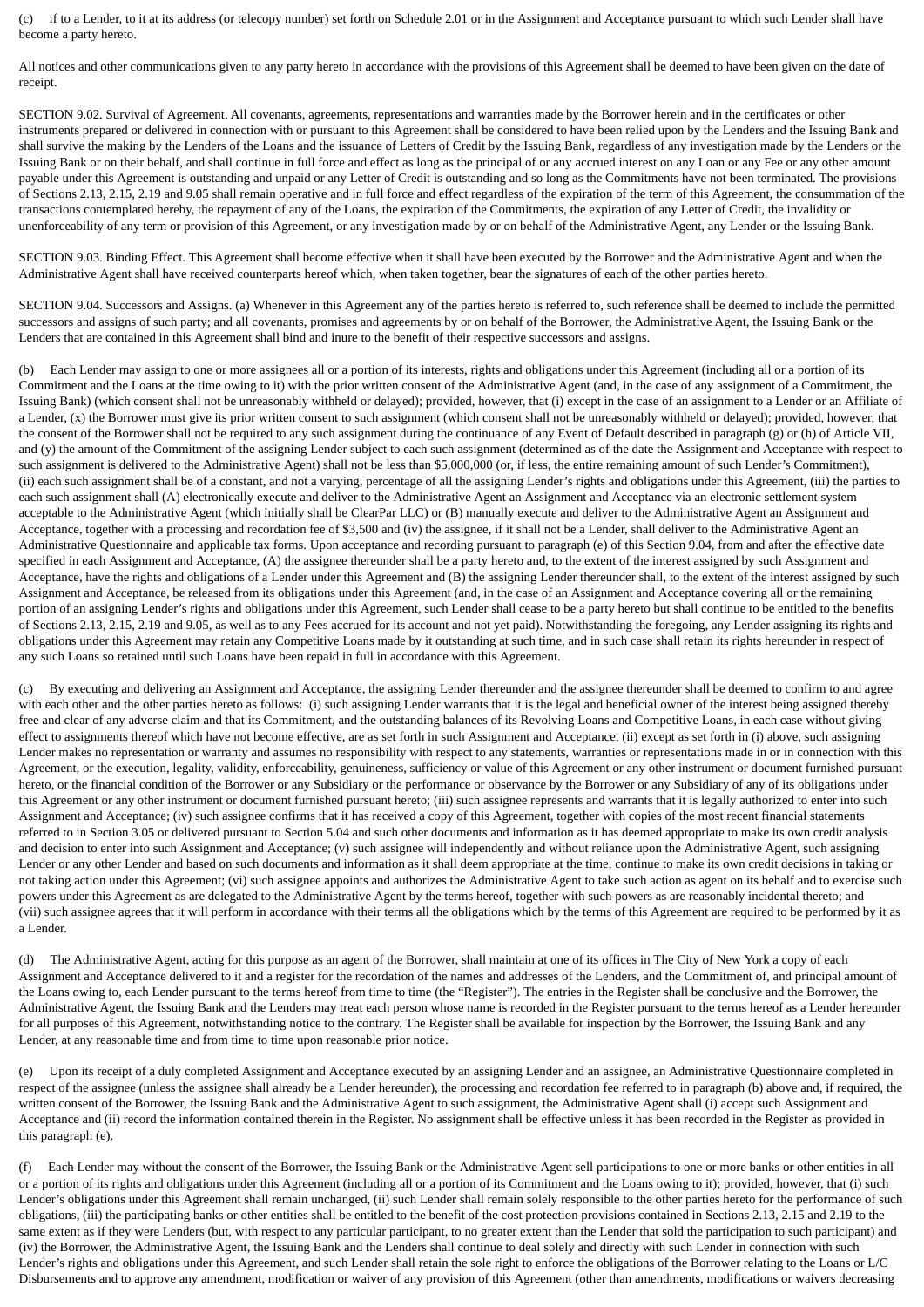(c) if to a Lender, to it at its address (or telecopy number) set forth on Schedule 2.01 or in the Assignment and Acceptance pursuant to which such Lender shall have become a party hereto.

All notices and other communications given to any party hereto in accordance with the provisions of this Agreement shall be deemed to have been given on the date of receipt.

SECTION 9.02. Survival of Agreement. All covenants, agreements, representations and warranties made by the Borrower herein and in the certificates or other instruments prepared or delivered in connection with or pursuant to this Agreement shall be considered to have been relied upon by the Lenders and the Issuing Bank and shall survive the making by the Lenders of the Loans and the issuance of Letters of Credit by the Issuing Bank, regardless of any investigation made by the Lenders or the Issuing Bank or on their behalf, and shall continue in full force and effect as long as the principal of or any accrued interest on any Loan or any Fee or any other amount payable under this Agreement is outstanding and unpaid or any Letter of Credit is outstanding and so long as the Commitments have not been terminated. The provisions of Sections 2.13, 2.15, 2.19 and 9.05 shall remain operative and in full force and effect regardless of the expiration of the term of this Agreement, the consummation of the transactions contemplated hereby, the repayment of any of the Loans, the expiration of the Commitments, the expiration of any Letter of Credit, the invalidity or unenforceability of any term or provision of this Agreement, or any investigation made by or on behalf of the Administrative Agent, any Lender or the Issuing Bank.

SECTION 9.03. Binding Effect. This Agreement shall become effective when it shall have been executed by the Borrower and the Administrative Agent and when the Administrative Agent shall have received counterparts hereof which, when taken together, bear the signatures of each of the other parties hereto.

SECTION 9.04. Successors and Assigns. (a) Whenever in this Agreement any of the parties hereto is referred to, such reference shall be deemed to include the permitted successors and assigns of such party; and all covenants, promises and agreements by or on behalf of the Borrower, the Administrative Agent, the Issuing Bank or the Lenders that are contained in this Agreement shall bind and inure to the benefit of their respective successors and assigns.

(b) Each Lender may assign to one or more assignees all or a portion of its interests, rights and obligations under this Agreement (including all or a portion of its Commitment and the Loans at the time owing to it) with the prior written consent of the Administrative Agent (and, in the case of any assignment of a Commitment, the Issuing Bank) (which consent shall not be unreasonably withheld or delayed); provided, however, that (i) except in the case of an assignment to a Lender or an Affiliate of a Lender, (x) the Borrower must give its prior written consent to such assignment (which consent shall not be unreasonably withheld or delayed); provided, however, that the consent of the Borrower shall not be required to any such assignment during the continuance of any Event of Default described in paragraph (g) or (h) of Article VII, and (y) the amount of the Commitment of the assigning Lender subject to each such assignment (determined as of the date the Assignment and Acceptance with respect to such assignment is delivered to the Administrative Agent) shall not be less than \$5,000,000 (or, if less, the entire remaining amount of such Lender's Commitment), (ii) each such assignment shall be of a constant, and not a varying, percentage of all the assigning Lender's rights and obligations under this Agreement, (iii) the parties to each such assignment shall (A) electronically execute and deliver to the Administrative Agent an Assignment and Acceptance via an electronic settlement system acceptable to the Administrative Agent (which initially shall be ClearPar LLC) or (B) manually execute and deliver to the Administrative Agent an Assignment and Acceptance, together with a processing and recordation fee of \$3,500 and (iv) the assignee, if it shall not be a Lender, shall deliver to the Administrative Agent an Administrative Questionnaire and applicable tax forms. Upon acceptance and recording pursuant to paragraph (e) of this Section 9.04, from and after the effective date specified in each Assignment and Acceptance, (A) the assignee thereunder shall be a party hereto and, to the extent of the interest assigned by such Assignment and Acceptance, have the rights and obligations of a Lender under this Agreement and (B) the assigning Lender thereunder shall, to the extent of the interest assigned by such Assignment and Acceptance, be released from its obligations under this Agreement (and, in the case of an Assignment and Acceptance covering all or the remaining portion of an assigning Lender's rights and obligations under this Agreement, such Lender shall cease to be a party hereto but shall continue to be entitled to the benefits of Sections 2.13, 2.15, 2.19 and 9.05, as well as to any Fees accrued for its account and not yet paid). Notwithstanding the foregoing, any Lender assigning its rights and obligations under this Agreement may retain any Competitive Loans made by it outstanding at such time, and in such case shall retain its rights hereunder in respect of any such Loans so retained until such Loans have been repaid in full in accordance with this Agreement.

(c) By executing and delivering an Assignment and Acceptance, the assigning Lender thereunder and the assignee thereunder shall be deemed to confirm to and agree with each other and the other parties hereto as follows: (i) such assigning Lender warrants that it is the legal and beneficial owner of the interest being assigned thereby free and clear of any adverse claim and that its Commitment, and the outstanding balances of its Revolving Loans and Competitive Loans, in each case without giving effect to assignments thereof which have not become effective, are as set forth in such Assignment and Acceptance, (ii) except as set forth in (i) above, such assigning Lender makes no representation or warranty and assumes no responsibility with respect to any statements, warranties or representations made in or in connection with this Agreement, or the execution, legality, validity, enforceability, genuineness, sufficiency or value of this Agreement or any other instrument or document furnished pursuant hereto, or the financial condition of the Borrower or any Subsidiary or the performance or observance by the Borrower or any Subsidiary of any of its obligations under this Agreement or any other instrument or document furnished pursuant hereto; (iii) such assignee represents and warrants that it is legally authorized to enter into such Assignment and Acceptance; (iv) such assignee confirms that it has received a copy of this Agreement, together with copies of the most recent financial statements referred to in Section 3.05 or delivered pursuant to Section 5.04 and such other documents and information as it has deemed appropriate to make its own credit analysis and decision to enter into such Assignment and Acceptance; (v) such assignee will independently and without reliance upon the Administrative Agent, such assigning Lender or any other Lender and based on such documents and information as it shall deem appropriate at the time, continue to make its own credit decisions in taking or not taking action under this Agreement; (vi) such assignee appoints and authorizes the Administrative Agent to take such action as agent on its behalf and to exercise such powers under this Agreement as are delegated to the Administrative Agent by the terms hereof, together with such powers as are reasonably incidental thereto; and (vii) such assignee agrees that it will perform in accordance with their terms all the obligations which by the terms of this Agreement are required to be performed by it as a Lender.

(d) The Administrative Agent, acting for this purpose as an agent of the Borrower, shall maintain at one of its offices in The City of New York a copy of each Assignment and Acceptance delivered to it and a register for the recordation of the names and addresses of the Lenders, and the Commitment of, and principal amount of the Loans owing to, each Lender pursuant to the terms hereof from time to time (the "Register"). The entries in the Register shall be conclusive and the Borrower, the Administrative Agent, the Issuing Bank and the Lenders may treat each person whose name is recorded in the Register pursuant to the terms hereof as a Lender hereunder for all purposes of this Agreement, notwithstanding notice to the contrary. The Register shall be available for inspection by the Borrower, the Issuing Bank and any Lender, at any reasonable time and from time to time upon reasonable prior notice.

(e) Upon its receipt of a duly completed Assignment and Acceptance executed by an assigning Lender and an assignee, an Administrative Questionnaire completed in respect of the assignee (unless the assignee shall already be a Lender hereunder), the processing and recordation fee referred to in paragraph (b) above and, if required, the written consent of the Borrower, the Issuing Bank and the Administrative Agent to such assignment, the Administrative Agent shall (i) accept such Assignment and Acceptance and (ii) record the information contained therein in the Register. No assignment shall be effective unless it has been recorded in the Register as provided in this paragraph (e).

(f) Each Lender may without the consent of the Borrower, the Issuing Bank or the Administrative Agent sell participations to one or more banks or other entities in all or a portion of its rights and obligations under this Agreement (including all or a portion of its Commitment and the Loans owing to it); provided, however, that (i) such Lender's obligations under this Agreement shall remain unchanged, (ii) such Lender shall remain solely responsible to the other parties hereto for the performance of such obligations, (iii) the participating banks or other entities shall be entitled to the benefit of the cost protection provisions contained in Sections 2.13, 2.15 and 2.19 to the same extent as if they were Lenders (but, with respect to any particular participant, to no greater extent than the Lender that sold the participation to such participant) and (iv) the Borrower, the Administrative Agent, the Issuing Bank and the Lenders shall continue to deal solely and directly with such Lender in connection with such Lender's rights and obligations under this Agreement, and such Lender shall retain the sole right to enforce the obligations of the Borrower relating to the Loans or L/C Disbursements and to approve any amendment, modification or waiver of any provision of this Agreement (other than amendments, modifications or waivers decreasing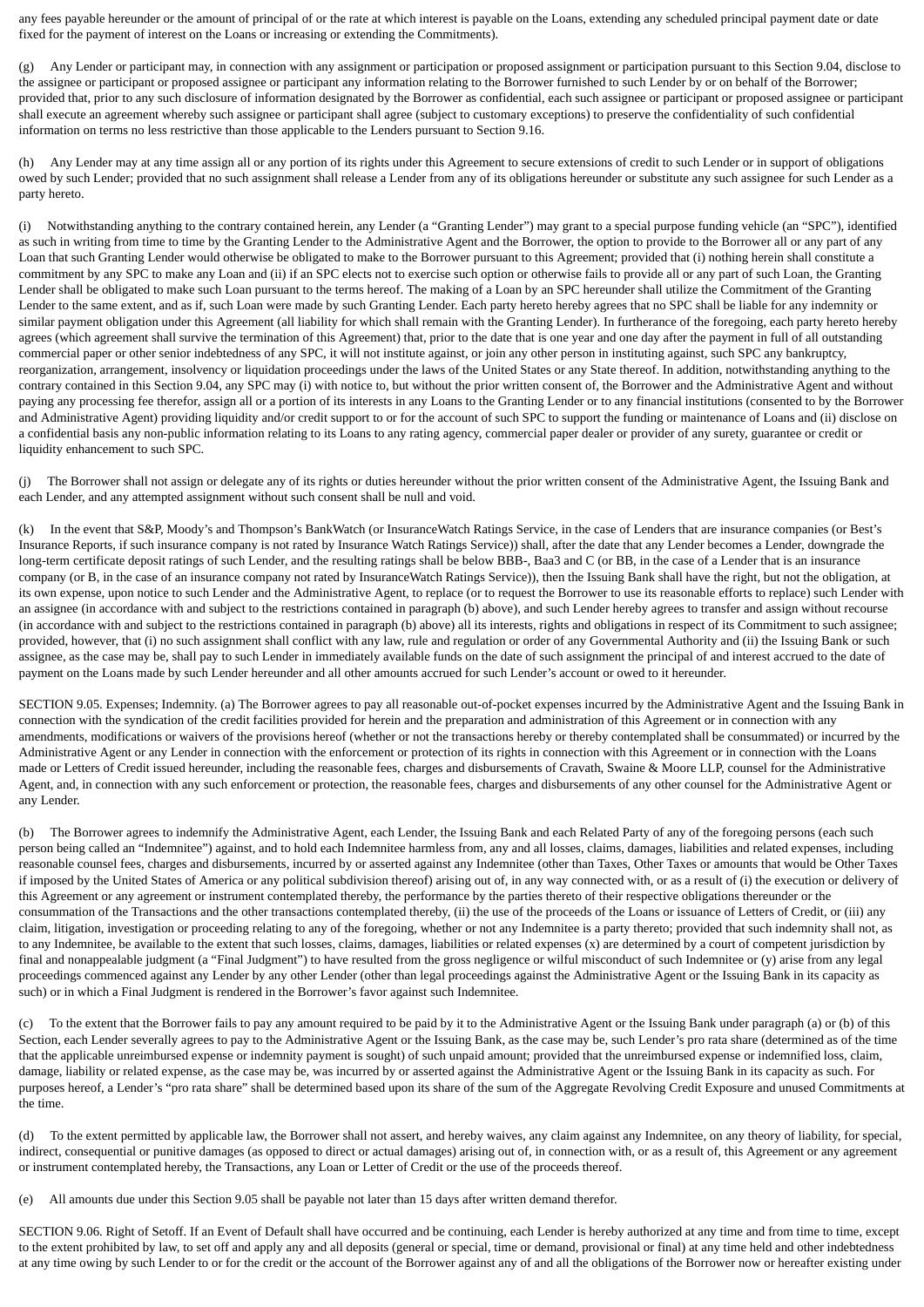any fees payable hereunder or the amount of principal of or the rate at which interest is payable on the Loans, extending any scheduled principal payment date or date fixed for the payment of interest on the Loans or increasing or extending the Commitments).

(g) Any Lender or participant may, in connection with any assignment or participation or proposed assignment or participation pursuant to this Section 9.04, disclose to the assignee or participant or proposed assignee or participant any information relating to the Borrower furnished to such Lender by or on behalf of the Borrower; provided that, prior to any such disclosure of information designated by the Borrower as confidential, each such assignee or participant or proposed assignee or participant shall execute an agreement whereby such assignee or participant shall agree (subject to customary exceptions) to preserve the confidentiality of such confidential information on terms no less restrictive than those applicable to the Lenders pursuant to Section 9.16.

(h) Any Lender may at any time assign all or any portion of its rights under this Agreement to secure extensions of credit to such Lender or in support of obligations owed by such Lender; provided that no such assignment shall release a Lender from any of its obligations hereunder or substitute any such assignee for such Lender as a party hereto.

(i) Notwithstanding anything to the contrary contained herein, any Lender (a "Granting Lender") may grant to a special purpose funding vehicle (an "SPC"), identified as such in writing from time to time by the Granting Lender to the Administrative Agent and the Borrower, the option to provide to the Borrower all or any part of any Loan that such Granting Lender would otherwise be obligated to make to the Borrower pursuant to this Agreement; provided that (i) nothing herein shall constitute a commitment by any SPC to make any Loan and (ii) if an SPC elects not to exercise such option or otherwise fails to provide all or any part of such Loan, the Granting Lender shall be obligated to make such Loan pursuant to the terms hereof. The making of a Loan by an SPC hereunder shall utilize the Commitment of the Granting Lender to the same extent, and as if, such Loan were made by such Granting Lender. Each party hereto hereby agrees that no SPC shall be liable for any indemnity or similar payment obligation under this Agreement (all liability for which shall remain with the Granting Lender). In furtherance of the foregoing, each party hereto hereby agrees (which agreement shall survive the termination of this Agreement) that, prior to the date that is one year and one day after the payment in full of all outstanding commercial paper or other senior indebtedness of any SPC, it will not institute against, or join any other person in instituting against, such SPC any bankruptcy, reorganization, arrangement, insolvency or liquidation proceedings under the laws of the United States or any State thereof. In addition, notwithstanding anything to the contrary contained in this Section 9.04, any SPC may (i) with notice to, but without the prior written consent of, the Borrower and the Administrative Agent and without paying any processing fee therefor, assign all or a portion of its interests in any Loans to the Granting Lender or to any financial institutions (consented to by the Borrower and Administrative Agent) providing liquidity and/or credit support to or for the account of such SPC to support the funding or maintenance of Loans and (ii) disclose on a confidential basis any non-public information relating to its Loans to any rating agency, commercial paper dealer or provider of any surety, guarantee or credit or liquidity enhancement to such SPC.

(j) The Borrower shall not assign or delegate any of its rights or duties hereunder without the prior written consent of the Administrative Agent, the Issuing Bank and each Lender, and any attempted assignment without such consent shall be null and void.

(k) In the event that S&P, Moody's and Thompson's BankWatch (or InsuranceWatch Ratings Service, in the case of Lenders that are insurance companies (or Best's Insurance Reports, if such insurance company is not rated by Insurance Watch Ratings Service)) shall, after the date that any Lender becomes a Lender, downgrade the long-term certificate deposit ratings of such Lender, and the resulting ratings shall be below BBB-, Baa3 and C (or BB, in the case of a Lender that is an insurance company (or B, in the case of an insurance company not rated by InsuranceWatch Ratings Service)), then the Issuing Bank shall have the right, but not the obligation, at its own expense, upon notice to such Lender and the Administrative Agent, to replace (or to request the Borrower to use its reasonable efforts to replace) such Lender with an assignee (in accordance with and subject to the restrictions contained in paragraph (b) above), and such Lender hereby agrees to transfer and assign without recourse (in accordance with and subject to the restrictions contained in paragraph (b) above) all its interests, rights and obligations in respect of its Commitment to such assignee; provided, however, that (i) no such assignment shall conflict with any law, rule and regulation or order of any Governmental Authority and (ii) the Issuing Bank or such assignee, as the case may be, shall pay to such Lender in immediately available funds on the date of such assignment the principal of and interest accrued to the date of payment on the Loans made by such Lender hereunder and all other amounts accrued for such Lender's account or owed to it hereunder.

SECTION 9.05. Expenses; Indemnity. (a) The Borrower agrees to pay all reasonable out-of-pocket expenses incurred by the Administrative Agent and the Issuing Bank in connection with the syndication of the credit facilities provided for herein and the preparation and administration of this Agreement or in connection with any amendments, modifications or waivers of the provisions hereof (whether or not the transactions hereby or thereby contemplated shall be consummated) or incurred by the Administrative Agent or any Lender in connection with the enforcement or protection of its rights in connection with this Agreement or in connection with the Loans made or Letters of Credit issued hereunder, including the reasonable fees, charges and disbursements of Cravath, Swaine & Moore LLP, counsel for the Administrative Agent, and, in connection with any such enforcement or protection, the reasonable fees, charges and disbursements of any other counsel for the Administrative Agent or any Lender.

(b) The Borrower agrees to indemnify the Administrative Agent, each Lender, the Issuing Bank and each Related Party of any of the foregoing persons (each such person being called an "Indemnitee") against, and to hold each Indemnitee harmless from, any and all losses, claims, damages, liabilities and related expenses, including reasonable counsel fees, charges and disbursements, incurred by or asserted against any Indemnitee (other than Taxes, Other Taxes or amounts that would be Other Taxes if imposed by the United States of America or any political subdivision thereof) arising out of, in any way connected with, or as a result of (i) the execution or delivery of this Agreement or any agreement or instrument contemplated thereby, the performance by the parties thereto of their respective obligations thereunder or the consummation of the Transactions and the other transactions contemplated thereby, (ii) the use of the proceeds of the Loans or issuance of Letters of Credit, or (iii) any claim, litigation, investigation or proceeding relating to any of the foregoing, whether or not any Indemnitee is a party thereto; provided that such indemnity shall not, as to any Indemnitee, be available to the extent that such losses, claims, damages, liabilities or related expenses (x) are determined by a court of competent jurisdiction by final and nonappealable judgment (a "Final Judgment") to have resulted from the gross negligence or wilful misconduct of such Indemnitee or (y) arise from any legal proceedings commenced against any Lender by any other Lender (other than legal proceedings against the Administrative Agent or the Issuing Bank in its capacity as such) or in which a Final Judgment is rendered in the Borrower's favor against such Indemnitee.

(c) To the extent that the Borrower fails to pay any amount required to be paid by it to the Administrative Agent or the Issuing Bank under paragraph (a) or (b) of this Section, each Lender severally agrees to pay to the Administrative Agent or the Issuing Bank, as the case may be, such Lender's pro rata share (determined as of the time that the applicable unreimbursed expense or indemnity payment is sought) of such unpaid amount; provided that the unreimbursed expense or indemnified loss, claim, damage, liability or related expense, as the case may be, was incurred by or asserted against the Administrative Agent or the Issuing Bank in its capacity as such. For purposes hereof, a Lender's "pro rata share" shall be determined based upon its share of the sum of the Aggregate Revolving Credit Exposure and unused Commitments at the time.

(d) To the extent permitted by applicable law, the Borrower shall not assert, and hereby waives, any claim against any Indemnitee, on any theory of liability, for special, indirect, consequential or punitive damages (as opposed to direct or actual damages) arising out of, in connection with, or as a result of, this Agreement or any agreement or instrument contemplated hereby, the Transactions, any Loan or Letter of Credit or the use of the proceeds thereof.

(e) All amounts due under this Section 9.05 shall be payable not later than 15 days after written demand therefor.

SECTION 9.06. Right of Setoff. If an Event of Default shall have occurred and be continuing, each Lender is hereby authorized at any time and from time to time, except to the extent prohibited by law, to set off and apply any and all deposits (general or special, time or demand, provisional or final) at any time held and other indebtedness at any time owing by such Lender to or for the credit or the account of the Borrower against any of and all the obligations of the Borrower now or hereafter existing under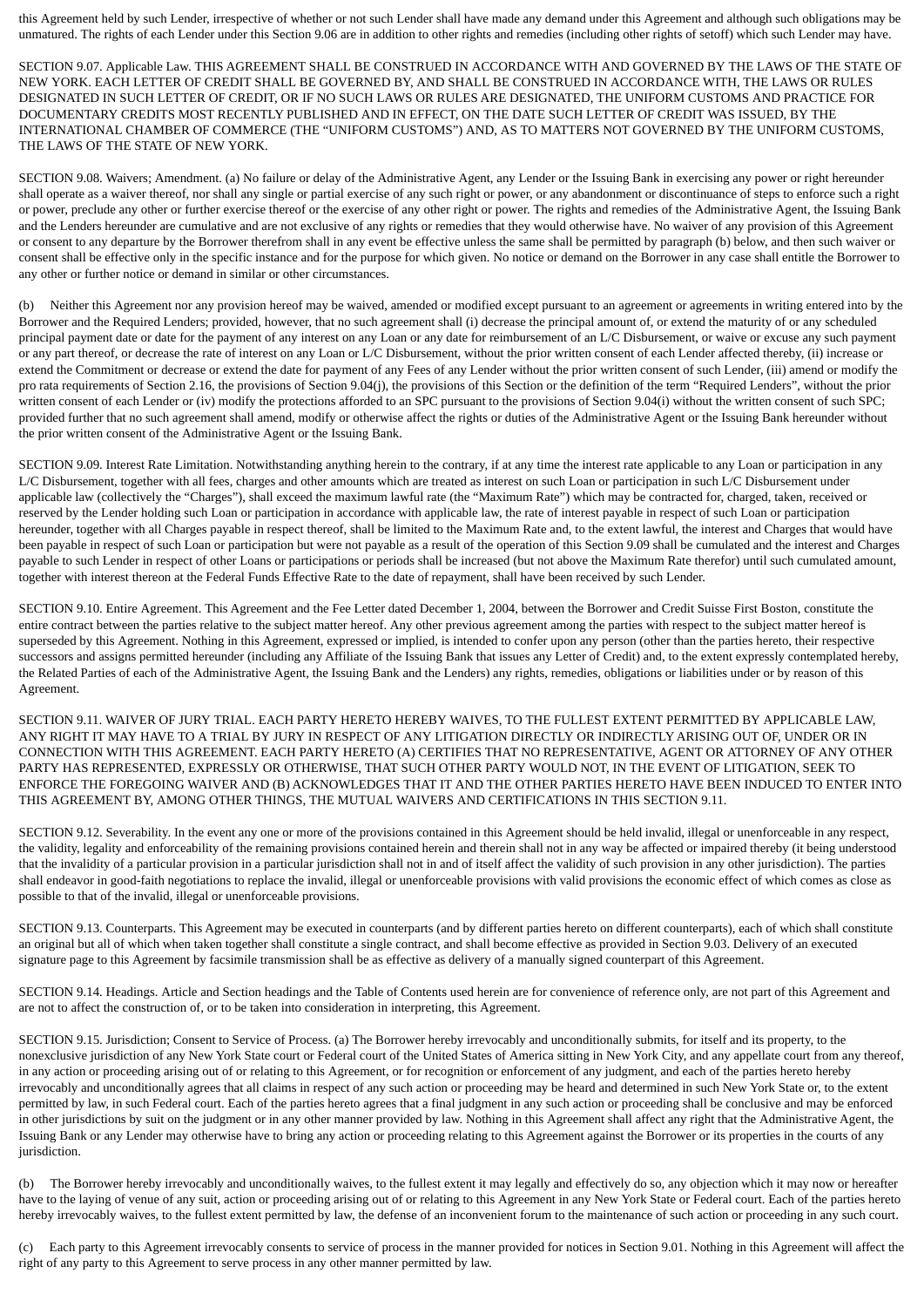this Agreement held by such Lender, irrespective of whether or not such Lender shall have made any demand under this Agreement and although such obligations may be unmatured. The rights of each Lender under this Section 9.06 are in addition to other rights and remedies (including other rights of setoff) which such Lender may have.

SECTION 9.07. Applicable Law. THIS AGREEMENT SHALL BE CONSTRUED IN ACCORDANCE WITH AND GOVERNED BY THE LAWS OF THE STATE OF NEW YORK. EACH LETTER OF CREDIT SHALL BE GOVERNED BY, AND SHALL BE CONSTRUED IN ACCORDANCE WITH, THE LAWS OR RULES DESIGNATED IN SUCH LETTER OF CREDIT, OR IF NO SUCH LAWS OR RULES ARE DESIGNATED, THE UNIFORM CUSTOMS AND PRACTICE FOR DOCUMENTARY CREDITS MOST RECENTLY PUBLISHED AND IN EFFECT, ON THE DATE SUCH LETTER OF CREDIT WAS ISSUED, BY THE INTERNATIONAL CHAMBER OF COMMERCE (THE "UNIFORM CUSTOMS") AND, AS TO MATTERS NOT GOVERNED BY THE UNIFORM CUSTOMS, THE LAWS OF THE STATE OF NEW YORK.

SECTION 9.08. Waivers; Amendment. (a) No failure or delay of the Administrative Agent, any Lender or the Issuing Bank in exercising any power or right hereunder shall operate as a waiver thereof, nor shall any single or partial exercise of any such right or power, or any abandonment or discontinuance of steps to enforce such a right or power, preclude any other or further exercise thereof or the exercise of any other right or power. The rights and remedies of the Administrative Agent, the Issuing Bank and the Lenders hereunder are cumulative and are not exclusive of any rights or remedies that they would otherwise have. No waiver of any provision of this Agreement or consent to any departure by the Borrower therefrom shall in any event be effective unless the same shall be permitted by paragraph (b) below, and then such waiver or consent shall be effective only in the specific instance and for the purpose for which given. No notice or demand on the Borrower in any case shall entitle the Borrower to any other or further notice or demand in similar or other circumstances.

(b) Neither this Agreement nor any provision hereof may be waived, amended or modified except pursuant to an agreement or agreements in writing entered into by the Borrower and the Required Lenders; provided, however, that no such agreement shall (i) decrease the principal amount of, or extend the maturity of or any scheduled principal payment date or date for the payment of any interest on any Loan or any date for reimbursement of an L/C Disbursement, or waive or excuse any such payment or any part thereof, or decrease the rate of interest on any Loan or L/C Disbursement, without the prior written consent of each Lender affected thereby, (ii) increase or extend the Commitment or decrease or extend the date for payment of any Fees of any Lender without the prior written consent of such Lender, (iii) amend or modify the pro rata requirements of Section 2.16, the provisions of Section 9.04(j), the provisions of this Section or the definition of the term "Required Lenders", without the prior written consent of each Lender or (iv) modify the protections afforded to an SPC pursuant to the provisions of Section 9.04(i) without the written consent of such SPC; provided further that no such agreement shall amend, modify or otherwise affect the rights or duties of the Administrative Agent or the Issuing Bank hereunder without the prior written consent of the Administrative Agent or the Issuing Bank.

SECTION 9.09. Interest Rate Limitation. Notwithstanding anything herein to the contrary, if at any time the interest rate applicable to any Loan or participation in any L/C Disbursement, together with all fees, charges and other amounts which are treated as interest on such Loan or participation in such L/C Disbursement under applicable law (collectively the "Charges"), shall exceed the maximum lawful rate (the "Maximum Rate") which may be contracted for, charged, taken, received or reserved by the Lender holding such Loan or participation in accordance with applicable law, the rate of interest payable in respect of such Loan or participation hereunder, together with all Charges payable in respect thereof, shall be limited to the Maximum Rate and, to the extent lawful, the interest and Charges that would have been payable in respect of such Loan or participation but were not payable as a result of the operation of this Section 9.09 shall be cumulated and the interest and Charges payable to such Lender in respect of other Loans or participations or periods shall be increased (but not above the Maximum Rate therefor) until such cumulated amount, together with interest thereon at the Federal Funds Effective Rate to the date of repayment, shall have been received by such Lender.

SECTION 9.10. Entire Agreement. This Agreement and the Fee Letter dated December 1, 2004, between the Borrower and Credit Suisse First Boston, constitute the entire contract between the parties relative to the subject matter hereof. Any other previous agreement among the parties with respect to the subject matter hereof is superseded by this Agreement. Nothing in this Agreement, expressed or implied, is intended to confer upon any person (other than the parties hereto, their respective successors and assigns permitted hereunder (including any Affiliate of the Issuing Bank that issues any Letter of Credit) and, to the extent expressly contemplated hereby, the Related Parties of each of the Administrative Agent, the Issuing Bank and the Lenders) any rights, remedies, obligations or liabilities under or by reason of this Agreement.

SECTION 9.11. WAIVER OF JURY TRIAL. EACH PARTY HERETO HEREBY WAIVES, TO THE FULLEST EXTENT PERMITTED BY APPLICABLE LAW, ANY RIGHT IT MAY HAVE TO A TRIAL BY JURY IN RESPECT OF ANY LITIGATION DIRECTLY OR INDIRECTLY ARISING OUT OF, UNDER OR IN CONNECTION WITH THIS AGREEMENT. EACH PARTY HERETO (A) CERTIFIES THAT NO REPRESENTATIVE, AGENT OR ATTORNEY OF ANY OTHER PARTY HAS REPRESENTED, EXPRESSLY OR OTHERWISE, THAT SUCH OTHER PARTY WOULD NOT, IN THE EVENT OF LITIGATION, SEEK TO ENFORCE THE FOREGOING WAIVER AND (B) ACKNOWLEDGES THAT IT AND THE OTHER PARTIES HERETO HAVE BEEN INDUCED TO ENTER INTO THIS AGREEMENT BY, AMONG OTHER THINGS, THE MUTUAL WAIVERS AND CERTIFICATIONS IN THIS SECTION 9.11.

SECTION 9.12. Severability. In the event any one or more of the provisions contained in this Agreement should be held invalid, illegal or unenforceable in any respect, the validity, legality and enforceability of the remaining provisions contained herein and therein shall not in any way be affected or impaired thereby (it being understood that the invalidity of a particular provision in a particular jurisdiction shall not in and of itself affect the validity of such provision in any other jurisdiction). The parties shall endeavor in good-faith negotiations to replace the invalid, illegal or unenforceable provisions with valid provisions the economic effect of which comes as close as possible to that of the invalid, illegal or unenforceable provisions.

SECTION 9.13. Counterparts. This Agreement may be executed in counterparts (and by different parties hereto on different counterparts), each of which shall constitute an original but all of which when taken together shall constitute a single contract, and shall become effective as provided in Section 9.03. Delivery of an executed signature page to this Agreement by facsimile transmission shall be as effective as delivery of a manually signed counterpart of this Agreement.

SECTION 9.14. Headings. Article and Section headings and the Table of Contents used herein are for convenience of reference only, are not part of this Agreement and are not to affect the construction of, or to be taken into consideration in interpreting, this Agreement.

SECTION 9.15. Jurisdiction; Consent to Service of Process. (a) The Borrower hereby irrevocably and unconditionally submits, for itself and its property, to the nonexclusive jurisdiction of any New York State court or Federal court of the United States of America sitting in New York City, and any appellate court from any thereof, in any action or proceeding arising out of or relating to this Agreement, or for recognition or enforcement of any judgment, and each of the parties hereto hereby irrevocably and unconditionally agrees that all claims in respect of any such action or proceeding may be heard and determined in such New York State or, to the extent permitted by law, in such Federal court. Each of the parties hereto agrees that a final judgment in any such action or proceeding shall be conclusive and may be enforced in other jurisdictions by suit on the judgment or in any other manner provided by law. Nothing in this Agreement shall affect any right that the Administrative Agent, the Issuing Bank or any Lender may otherwise have to bring any action or proceeding relating to this Agreement against the Borrower or its properties in the courts of any jurisdiction.

(b) The Borrower hereby irrevocably and unconditionally waives, to the fullest extent it may legally and effectively do so, any objection which it may now or hereafter have to the laying of venue of any suit, action or proceeding arising out of or relating to this Agreement in any New York State or Federal court. Each of the parties hereto hereby irrevocably waives, to the fullest extent permitted by law, the defense of an inconvenient forum to the maintenance of such action or proceeding in any such court.

(c) Each party to this Agreement irrevocably consents to service of process in the manner provided for notices in Section 9.01. Nothing in this Agreement will affect the right of any party to this Agreement to serve process in any other manner permitted by law.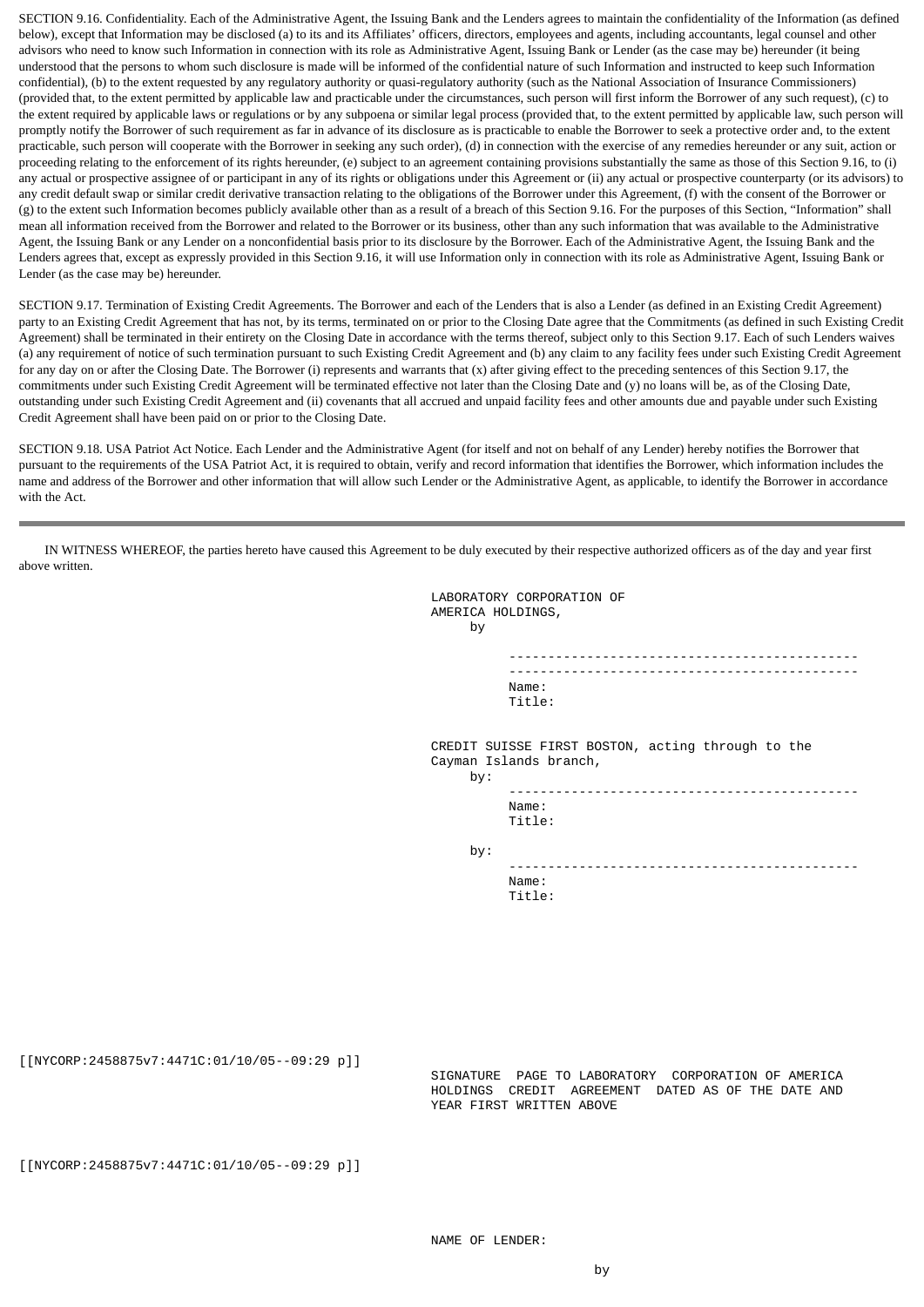SECTION 9.16. Confidentiality. Each of the Administrative Agent, the Issuing Bank and the Lenders agrees to maintain the confidentiality of the Information (as defined below), except that Information may be disclosed (a) to its and its Affiliates' officers, directors, employees and agents, including accountants, legal counsel and other advisors who need to know such Information in connection with its role as Administrative Agent, Issuing Bank or Lender (as the case may be) hereunder (it being understood that the persons to whom such disclosure is made will be informed of the confidential nature of such Information and instructed to keep such Information confidential), (b) to the extent requested by any regulatory authority or quasi-regulatory authority (such as the National Association of Insurance Commissioners) (provided that, to the extent permitted by applicable law and practicable under the circumstances, such person will first inform the Borrower of any such request), (c) to the extent required by applicable laws or regulations or by any subpoena or similar legal process (provided that, to the extent permitted by applicable law, such person will promptly notify the Borrower of such requirement as far in advance of its disclosure as is practicable to enable the Borrower to seek a protective order and, to the extent practicable, such person will cooperate with the Borrower in seeking any such order), (d) in connection with the exercise of any remedies hereunder or any suit, action or proceeding relating to the enforcement of its rights hereunder, (e) subject to an agreement containing provisions substantially the same as those of this Section 9.16, to (i) any actual or prospective assignee of or participant in any of its rights or obligations under this Agreement or (ii) any actual or prospective counterparty (or its advisors) to any credit default swap or similar credit derivative transaction relating to the obligations of the Borrower under this Agreement, (f) with the consent of the Borrower or (g) to the extent such Information becomes publicly available other than as a result of a breach of this Section 9.16. For the purposes of this Section, "Information" shall mean all information received from the Borrower and related to the Borrower or its business, other than any such information that was available to the Administrative Agent, the Issuing Bank or any Lender on a nonconfidential basis prior to its disclosure by the Borrower. Each of the Administrative Agent, the Issuing Bank and the Lenders agrees that, except as expressly provided in this Section 9.16, it will use Information only in connection with its role as Administrative Agent, Issuing Bank or Lender (as the case may be) hereunder.

SECTION 9.17. Termination of Existing Credit Agreements. The Borrower and each of the Lenders that is also a Lender (as defined in an Existing Credit Agreement) party to an Existing Credit Agreement that has not, by its terms, terminated on or prior to the Closing Date agree that the Commitments (as defined in such Existing Credit Agreement) shall be terminated in their entirety on the Closing Date in accordance with the terms thereof, subject only to this Section 9.17. Each of such Lenders waives (a) any requirement of notice of such termination pursuant to such Existing Credit Agreement and (b) any claim to any facility fees under such Existing Credit Agreement for any day on or after the Closing Date. The Borrower (i) represents and warrants that (x) after giving effect to the preceding sentences of this Section 9.17, the commitments under such Existing Credit Agreement will be terminated effective not later than the Closing Date and (y) no loans will be, as of the Closing Date, outstanding under such Existing Credit Agreement and (ii) covenants that all accrued and unpaid facility fees and other amounts due and payable under such Existing Credit Agreement shall have been paid on or prior to the Closing Date.

SECTION 9.18. USA Patriot Act Notice. Each Lender and the Administrative Agent (for itself and not on behalf of any Lender) hereby notifies the Borrower that pursuant to the requirements of the USA Patriot Act, it is required to obtain, verify and record information that identifies the Borrower, which information includes the name and address of the Borrower and other information that will allow such Lender or the Administrative Agent, as applicable, to identify the Borrower in accordance with the Act.

 IN WITNESS WHEREOF, the parties hereto have caused this Agreement to be duly executed by their respective authorized officers as of the day and year first above written.

| LABORATORY CORPORATION OF                         |
|---------------------------------------------------|
| AMERICA HOLDINGS,                                 |
| by                                                |
|                                                   |
|                                                   |
|                                                   |
| Name:                                             |
| Title:                                            |
|                                                   |
|                                                   |
| CREDIT SUISSE FIRST BOSTON, acting through to the |
| Cayman Islands branch,                            |
| by:                                               |
|                                                   |
| Name:                                             |
| Title:                                            |
|                                                   |
| by:                                               |
|                                                   |
| Name:                                             |
| Title:                                            |
|                                                   |

 SIGNATURE PAGE TO LABORATORY CORPORATION OF AMERICA HOLDINGS CREDIT AGREEMENT DATED AS OF THE DATE AND YEAR FIRST WRITTEN ABOVE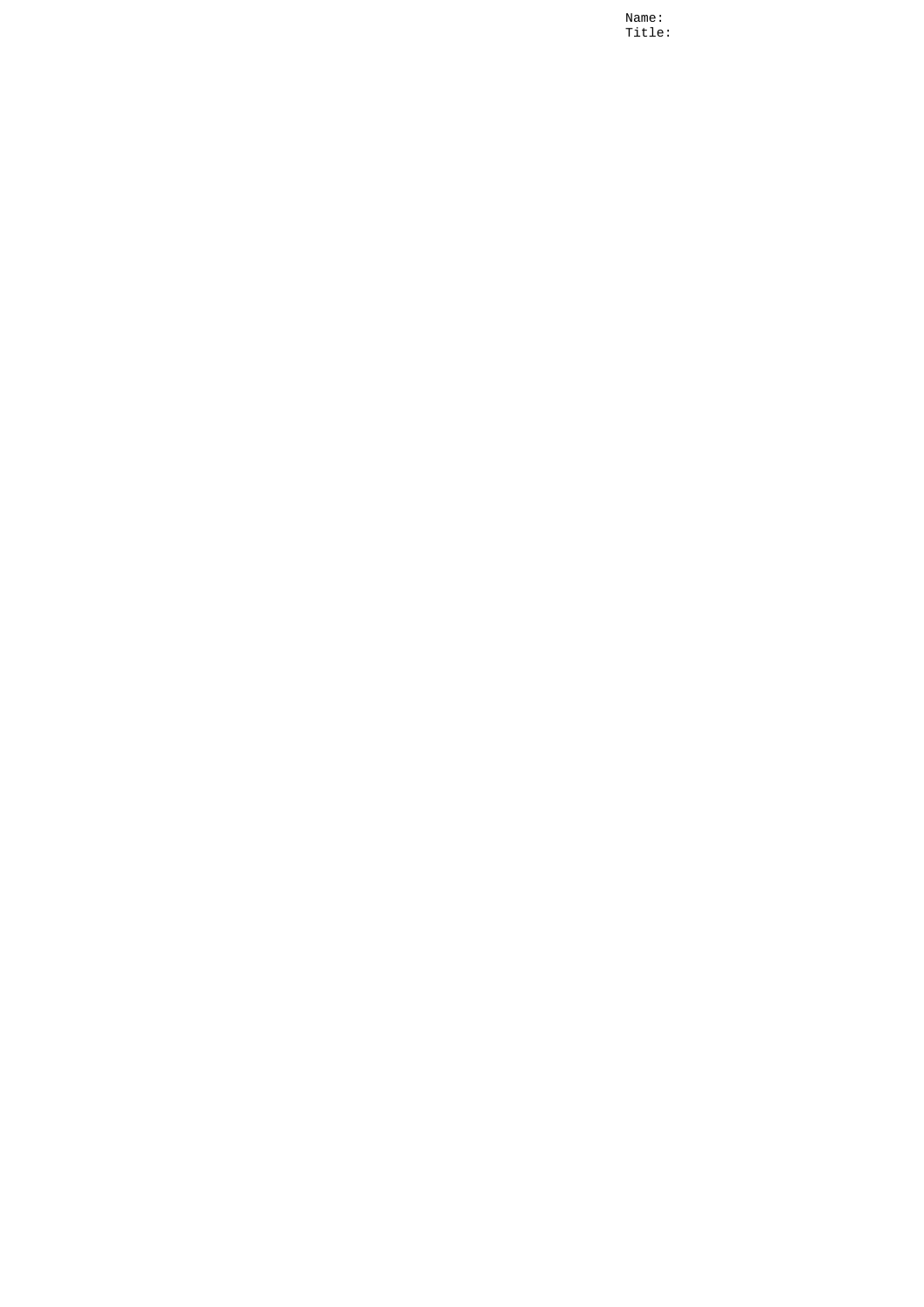Name:  $\blacksquare$ Title: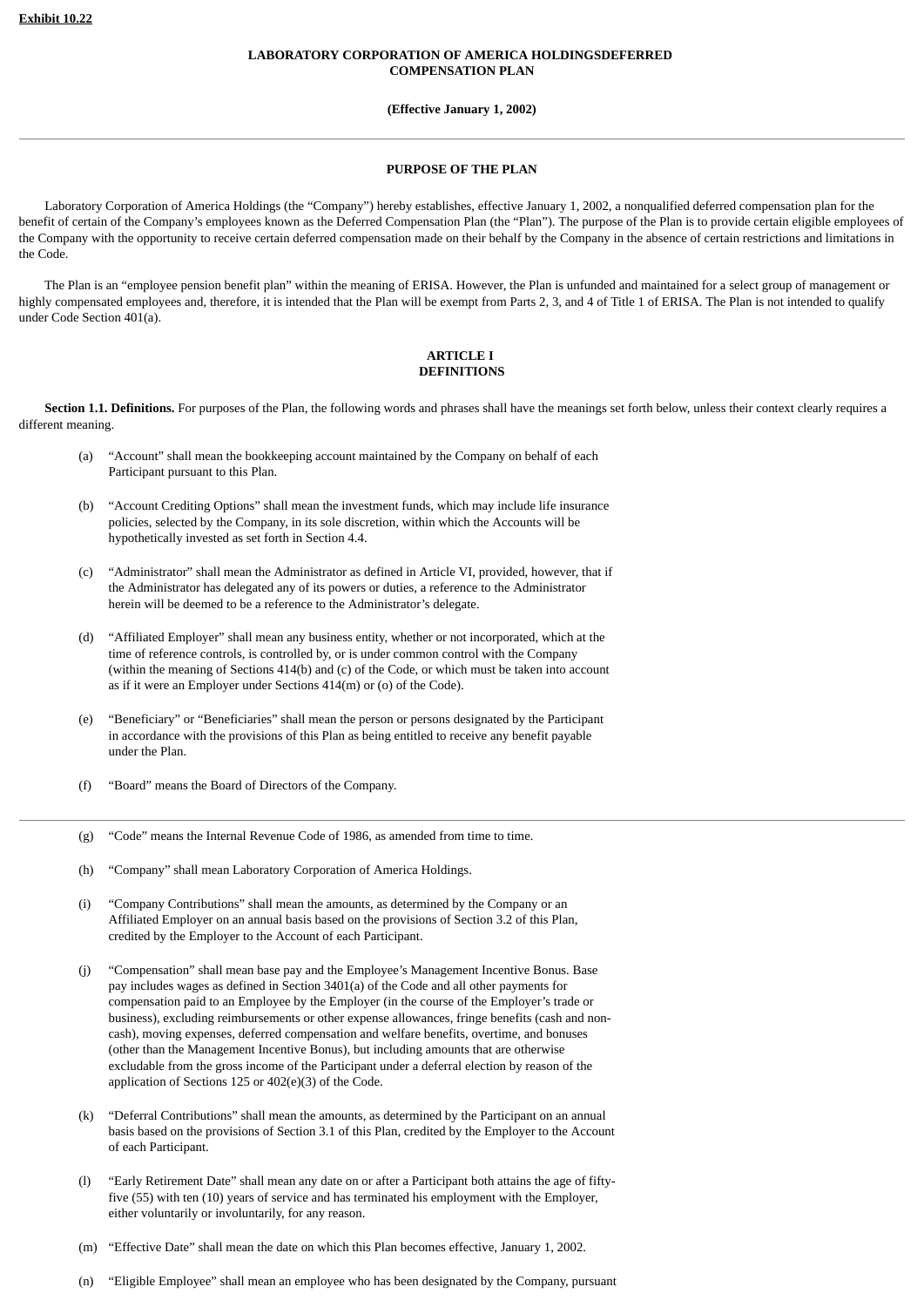## **LABORATORY CORPORATION OF AMERICA HOLDINGSDEFERRED COMPENSATION PLAN**

### **(Effective January 1, 2002)**

### **PURPOSE OF THE PLAN**

 Laboratory Corporation of America Holdings (the "Company") hereby establishes, effective January 1, 2002, a nonqualified deferred compensation plan for the benefit of certain of the Company's employees known as the Deferred Compensation Plan (the "Plan"). The purpose of the Plan is to provide certain eligible employees of the Company with the opportunity to receive certain deferred compensation made on their behalf by the Company in the absence of certain restrictions and limitations in the Code.

 The Plan is an "employee pension benefit plan" within the meaning of ERISA. However, the Plan is unfunded and maintained for a select group of management or highly compensated employees and, therefore, it is intended that the Plan will be exempt from Parts 2, 3, and 4 of Title 1 of ERISA. The Plan is not intended to qualify under Code Section 401(a).

### **ARTICLE I DEFINITIONS**

Section 1.1. Definitions. For purposes of the Plan, the following words and phrases shall have the meanings set forth below, unless their context clearly requires a different meaning.

- (a) "Account" shall mean the bookkeeping account maintained by the Company on behalf of each Participant pursuant to this Plan.
- (b) "Account Crediting Options" shall mean the investment funds, which may include life insurance policies, selected by the Company, in its sole discretion, within which the Accounts will be hypothetically invested as set forth in Section 4.4.
- (c) "Administrator" shall mean the Administrator as defined in Article VI, provided, however, that if the Administrator has delegated any of its powers or duties, a reference to the Administrator herein will be deemed to be a reference to the Administrator's delegate.
- (d) "Affiliated Employer" shall mean any business entity, whether or not incorporated, which at the time of reference controls, is controlled by, or is under common control with the Company (within the meaning of Sections 414(b) and (c) of the Code, or which must be taken into account as if it were an Employer under Sections 414(m) or (o) of the Code).
- (e) "Beneficiary" or "Beneficiaries" shall mean the person or persons designated by the Participant in accordance with the provisions of this Plan as being entitled to receive any benefit payable under the Plan.
- (f) "Board" means the Board of Directors of the Company.
- (g) "Code" means the Internal Revenue Code of 1986, as amended from time to time.
- (h) "Company" shall mean Laboratory Corporation of America Holdings.
- (i) "Company Contributions" shall mean the amounts, as determined by the Company or an Affiliated Employer on an annual basis based on the provisions of Section 3.2 of this Plan, credited by the Employer to the Account of each Participant.
- (j) "Compensation" shall mean base pay and the Employee's Management Incentive Bonus. Base pay includes wages as defined in Section 3401(a) of the Code and all other payments for compensation paid to an Employee by the Employer (in the course of the Employer's trade or business), excluding reimbursements or other expense allowances, fringe benefits (cash and noncash), moving expenses, deferred compensation and welfare benefits, overtime, and bonuses (other than the Management Incentive Bonus), but including amounts that are otherwise excludable from the gross income of the Participant under a deferral election by reason of the application of Sections 125 or 402(e)(3) of the Code.
- (k) "Deferral Contributions" shall mean the amounts, as determined by the Participant on an annual basis based on the provisions of Section 3.1 of this Plan, credited by the Employer to the Account of each Participant.
- (l) "Early Retirement Date" shall mean any date on or after a Participant both attains the age of fiftyfive (55) with ten (10) years of service and has terminated his employment with the Employer, either voluntarily or involuntarily, for any reason.
- (m) "Effective Date" shall mean the date on which this Plan becomes effective, January 1, 2002.
- (n) "Eligible Employee" shall mean an employee who has been designated by the Company, pursuant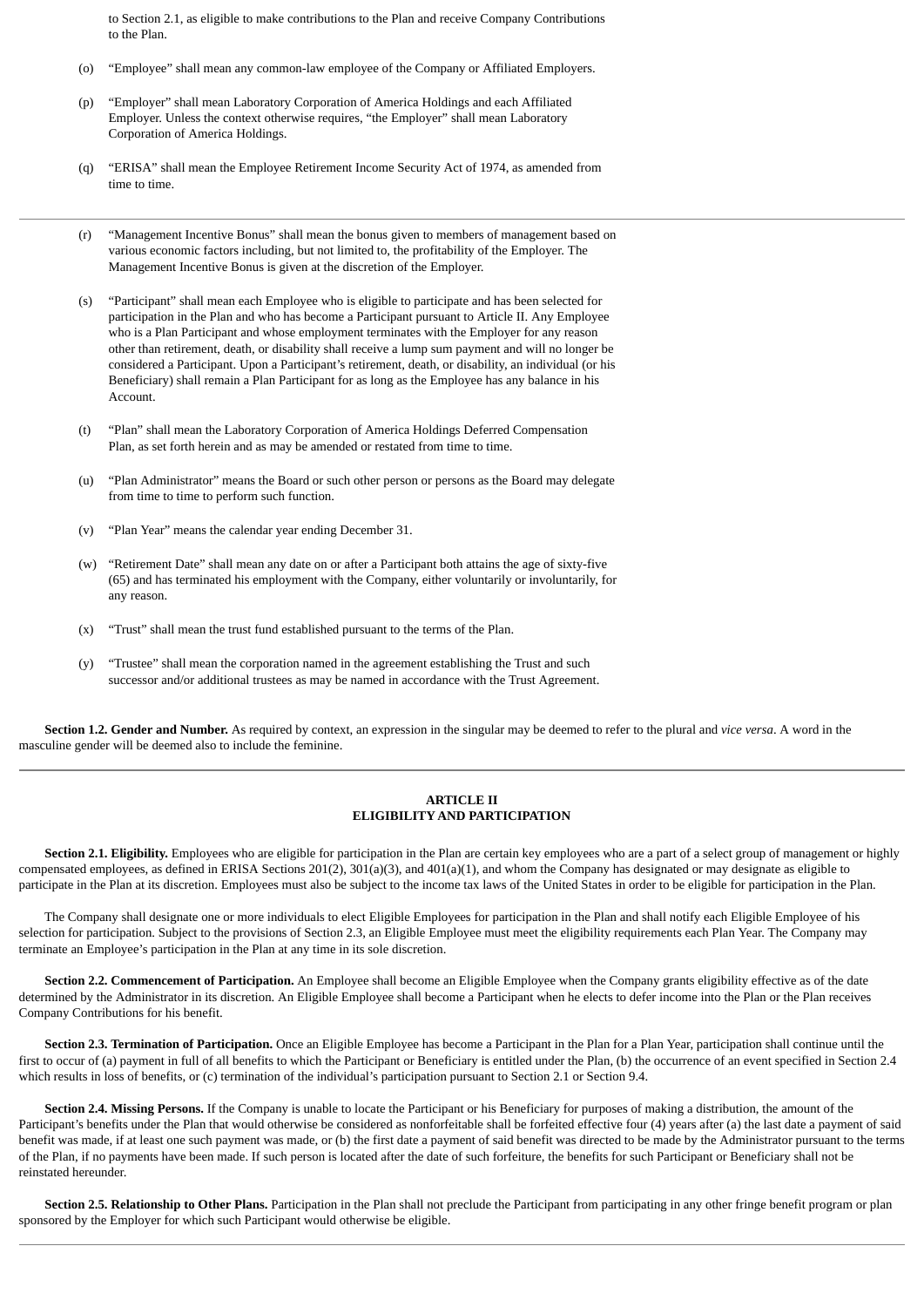to Section 2.1, as eligible to make contributions to the Plan and receive Company Contributions to the Plan.

- (o) "Employee" shall mean any common-law employee of the Company or Affiliated Employers.
- (p) "Employer" shall mean Laboratory Corporation of America Holdings and each Affiliated Employer. Unless the context otherwise requires, "the Employer" shall mean Laboratory Corporation of America Holdings.
- (q) "ERISA" shall mean the Employee Retirement Income Security Act of 1974, as amended from time to time.
- (r) "Management Incentive Bonus" shall mean the bonus given to members of management based on various economic factors including, but not limited to, the profitability of the Employer. The Management Incentive Bonus is given at the discretion of the Employer.
- (s) "Participant" shall mean each Employee who is eligible to participate and has been selected for participation in the Plan and who has become a Participant pursuant to Article II. Any Employee who is a Plan Participant and whose employment terminates with the Employer for any reason other than retirement, death, or disability shall receive a lump sum payment and will no longer be considered a Participant. Upon a Participant's retirement, death, or disability, an individual (or his Beneficiary) shall remain a Plan Participant for as long as the Employee has any balance in his Account.
- (t) "Plan" shall mean the Laboratory Corporation of America Holdings Deferred Compensation Plan, as set forth herein and as may be amended or restated from time to time.
- (u) "Plan Administrator" means the Board or such other person or persons as the Board may delegate from time to time to perform such function.
- (v) "Plan Year" means the calendar year ending December 31.
- (w) "Retirement Date" shall mean any date on or after a Participant both attains the age of sixty-five (65) and has terminated his employment with the Company, either voluntarily or involuntarily, for any reason.
- (x) "Trust" shall mean the trust fund established pursuant to the terms of the Plan.
- (y) "Trustee" shall mean the corporation named in the agreement establishing the Trust and such successor and/or additional trustees as may be named in accordance with the Trust Agreement.

 **Section 1.2. Gender and Number.** As required by context, an expression in the singular may be deemed to refer to the plural and *vice versa*. A word in the masculine gender will be deemed also to include the feminine.

#### **ARTICLE II ELIGIBILITY AND PARTICIPATION**

Section 2.1. Eligibility. Employees who are eligible for participation in the Plan are certain key employees who are a part of a select group of management or highly compensated employees, as defined in ERISA Sections 201(2), 301(a)(3), and 401(a)(1), and whom the Company has designated or may designate as eligible to participate in the Plan at its discretion. Employees must also be subject to the income tax laws of the United States in order to be eligible for participation in the Plan.

 The Company shall designate one or more individuals to elect Eligible Employees for participation in the Plan and shall notify each Eligible Employee of his selection for participation. Subject to the provisions of Section 2.3, an Eligible Employee must meet the eligibility requirements each Plan Year. The Company may terminate an Employee's participation in the Plan at any time in its sole discretion.

 **Section 2.2. Commencement of Participation.** An Employee shall become an Eligible Employee when the Company grants eligibility effective as of the date determined by the Administrator in its discretion. An Eligible Employee shall become a Participant when he elects to defer income into the Plan or the Plan receives Company Contributions for his benefit.

 **Section 2.3. Termination of Participation.** Once an Eligible Employee has become a Participant in the Plan for a Plan Year, participation shall continue until the first to occur of (a) payment in full of all benefits to which the Participant or Beneficiary is entitled under the Plan, (b) the occurrence of an event specified in Section 2.4 which results in loss of benefits, or (c) termination of the individual's participation pursuant to Section 2.1 or Section 9.4.

 **Section 2.4. Missing Persons.** If the Company is unable to locate the Participant or his Beneficiary for purposes of making a distribution, the amount of the Participant's benefits under the Plan that would otherwise be considered as nonforfeitable shall be forfeited effective four (4) years after (a) the last date a payment of said benefit was made, if at least one such payment was made, or (b) the first date a payment of said benefit was directed to be made by the Administrator pursuant to the terms of the Plan, if no payments have been made. If such person is located after the date of such forfeiture, the benefits for such Participant or Beneficiary shall not be reinstated hereunder.

 **Section 2.5. Relationship to Other Plans.** Participation in the Plan shall not preclude the Participant from participating in any other fringe benefit program or plan sponsored by the Employer for which such Participant would otherwise be eligible.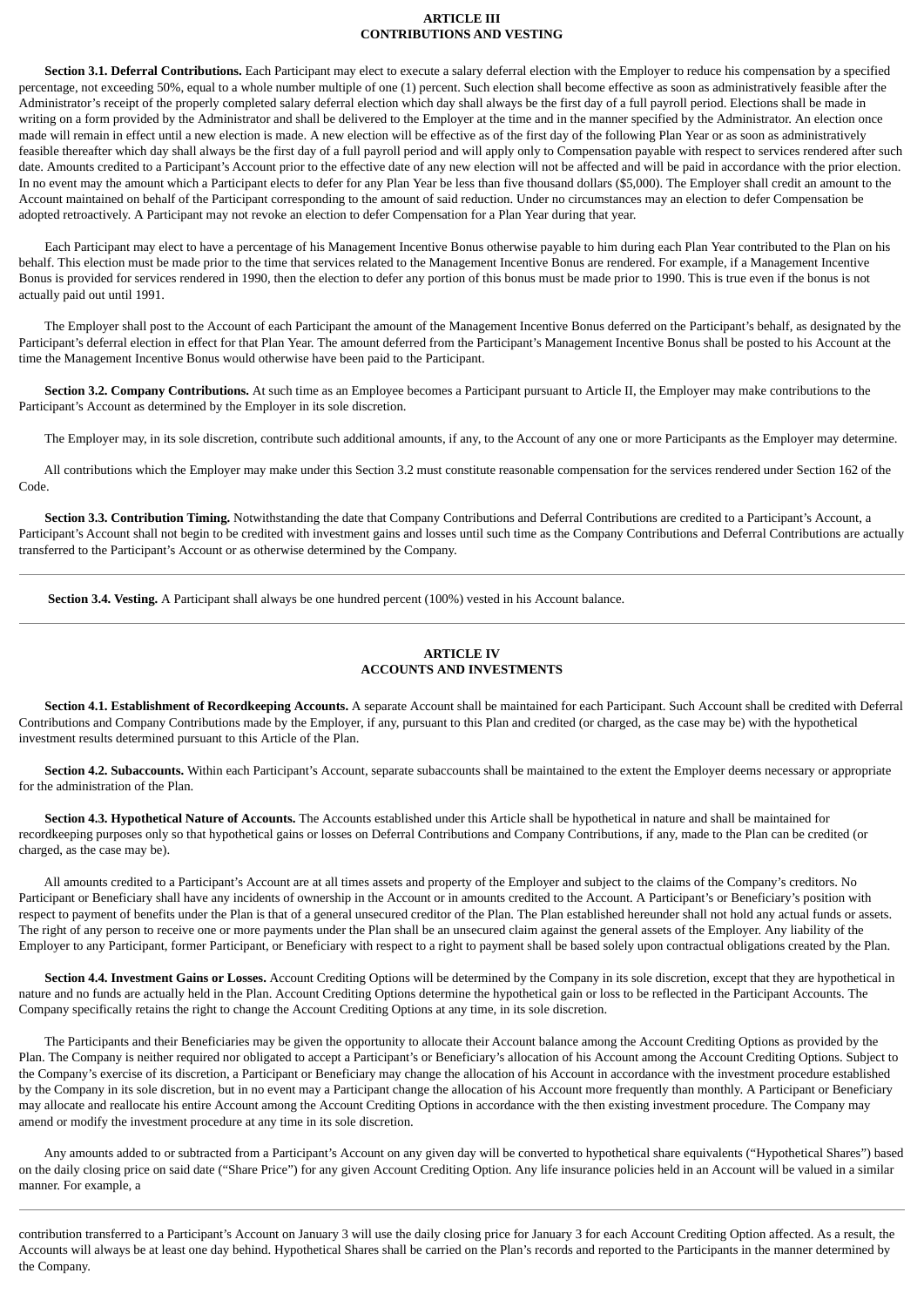### **ARTICLE III CONTRIBUTIONS AND VESTING**

 **Section 3.1. Deferral Contributions.** Each Participant may elect to execute a salary deferral election with the Employer to reduce his compensation by a specified percentage, not exceeding 50%, equal to a whole number multiple of one (1) percent. Such election shall become effective as soon as administratively feasible after the Administrator's receipt of the properly completed salary deferral election which day shall always be the first day of a full payroll period. Elections shall be made in writing on a form provided by the Administrator and shall be delivered to the Employer at the time and in the manner specified by the Administrator. An election once made will remain in effect until a new election is made. A new election will be effective as of the first day of the following Plan Year or as soon as administratively feasible thereafter which day shall always be the first day of a full payroll period and will apply only to Compensation payable with respect to services rendered after such date. Amounts credited to a Participant's Account prior to the effective date of any new election will not be affected and will be paid in accordance with the prior election. In no event may the amount which a Participant elects to defer for any Plan Year be less than five thousand dollars (\$5,000). The Employer shall credit an amount to the Account maintained on behalf of the Participant corresponding to the amount of said reduction. Under no circumstances may an election to defer Compensation be adopted retroactively. A Participant may not revoke an election to defer Compensation for a Plan Year during that year.

 Each Participant may elect to have a percentage of his Management Incentive Bonus otherwise payable to him during each Plan Year contributed to the Plan on his behalf. This election must be made prior to the time that services related to the Management Incentive Bonus are rendered. For example, if a Management Incentive Bonus is provided for services rendered in 1990, then the election to defer any portion of this bonus must be made prior to 1990. This is true even if the bonus is not actually paid out until 1991.

 The Employer shall post to the Account of each Participant the amount of the Management Incentive Bonus deferred on the Participant's behalf, as designated by the Participant's deferral election in effect for that Plan Year. The amount deferred from the Participant's Management Incentive Bonus shall be posted to his Account at the time the Management Incentive Bonus would otherwise have been paid to the Participant.

 **Section 3.2. Company Contributions.** At such time as an Employee becomes a Participant pursuant to Article II, the Employer may make contributions to the Participant's Account as determined by the Employer in its sole discretion.

The Employer may, in its sole discretion, contribute such additional amounts, if any, to the Account of any one or more Participants as the Employer may determine.

 All contributions which the Employer may make under this Section 3.2 must constitute reasonable compensation for the services rendered under Section 162 of the Code.

Section 3.3. Contribution Timing. Notwithstanding the date that Company Contributions and Deferral Contributions are credited to a Participant's Account, a Participant's Account shall not begin to be credited with investment gains and losses until such time as the Company Contributions and Deferral Contributions are actually transferred to the Participant's Account or as otherwise determined by the Company.

**Section 3.4. Vesting.** A Participant shall always be one hundred percent (100%) vested in his Account balance.

# **ARTICLE IV ACCOUNTS AND INVESTMENTS**

 **Section 4.1. Establishment of Recordkeeping Accounts.** A separate Account shall be maintained for each Participant. Such Account shall be credited with Deferral Contributions and Company Contributions made by the Employer, if any, pursuant to this Plan and credited (or charged, as the case may be) with the hypothetical investment results determined pursuant to this Article of the Plan.

Section 4.2. Subaccounts. Within each Participant's Account, separate subaccounts shall be maintained to the extent the Employer deems necessary or appropriate for the administration of the Plan.

 **Section 4.3. Hypothetical Nature of Accounts.** The Accounts established under this Article shall be hypothetical in nature and shall be maintained for recordkeeping purposes only so that hypothetical gains or losses on Deferral Contributions and Company Contributions, if any, made to the Plan can be credited (or charged, as the case may be).

 All amounts credited to a Participant's Account are at all times assets and property of the Employer and subject to the claims of the Company's creditors. No Participant or Beneficiary shall have any incidents of ownership in the Account or in amounts credited to the Account. A Participant's or Beneficiary's position with respect to payment of benefits under the Plan is that of a general unsecured creditor of the Plan. The Plan established hereunder shall not hold any actual funds or assets. The right of any person to receive one or more payments under the Plan shall be an unsecured claim against the general assets of the Employer. Any liability of the Employer to any Participant, former Participant, or Beneficiary with respect to a right to payment shall be based solely upon contractual obligations created by the Plan.

Section 4.4. Investment Gains or Losses. Account Crediting Options will be determined by the Company in its sole discretion, except that they are hypothetical in nature and no funds are actually held in the Plan. Account Crediting Options determine the hypothetical gain or loss to be reflected in the Participant Accounts. The Company specifically retains the right to change the Account Crediting Options at any time, in its sole discretion.

 The Participants and their Beneficiaries may be given the opportunity to allocate their Account balance among the Account Crediting Options as provided by the Plan. The Company is neither required nor obligated to accept a Participant's or Beneficiary's allocation of his Account among the Account Crediting Options. Subject to the Company's exercise of its discretion, a Participant or Beneficiary may change the allocation of his Account in accordance with the investment procedure established by the Company in its sole discretion, but in no event may a Participant change the allocation of his Account more frequently than monthly. A Participant or Beneficiary may allocate and reallocate his entire Account among the Account Crediting Options in accordance with the then existing investment procedure. The Company may amend or modify the investment procedure at any time in its sole discretion.

 Any amounts added to or subtracted from a Participant's Account on any given day will be converted to hypothetical share equivalents ("Hypothetical Shares") based on the daily closing price on said date ("Share Price") for any given Account Crediting Option. Any life insurance policies held in an Account will be valued in a similar manner. For example, a

contribution transferred to a Participant's Account on January 3 will use the daily closing price for January 3 for each Account Crediting Option affected. As a result, the Accounts will always be at least one day behind. Hypothetical Shares shall be carried on the Plan's records and reported to the Participants in the manner determined by the Company.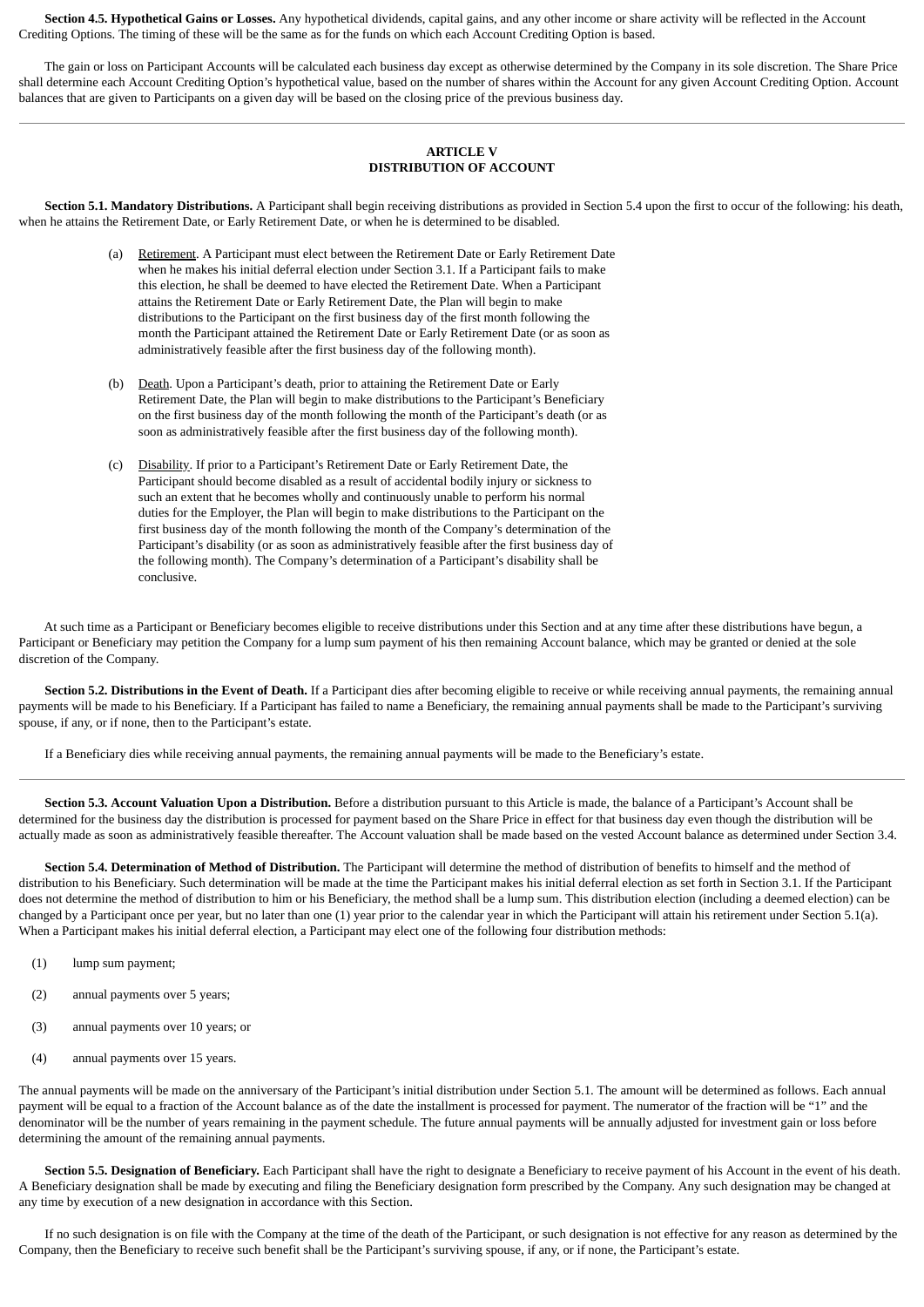**Section 4.5. Hypothetical Gains or Losses.** Any hypothetical dividends, capital gains, and any other income or share activity will be reflected in the Account Crediting Options. The timing of these will be the same as for the funds on which each Account Crediting Option is based.

 The gain or loss on Participant Accounts will be calculated each business day except as otherwise determined by the Company in its sole discretion. The Share Price shall determine each Account Crediting Option's hypothetical value, based on the number of shares within the Account for any given Account Crediting Option. Account balances that are given to Participants on a given day will be based on the closing price of the previous business day.

### **ARTICLE V DISTRIBUTION OF ACCOUNT**

Section 5.1. Mandatory Distributions. A Participant shall begin receiving distributions as provided in Section 5.4 upon the first to occur of the following: his death, when he attains the Retirement Date, or Early Retirement Date, or when he is determined to be disabled.

- (a) Retirement. A Participant must elect between the Retirement Date or Early Retirement Date when he makes his initial deferral election under Section 3.1. If a Participant fails to make this election, he shall be deemed to have elected the Retirement Date. When a Participant attains the Retirement Date or Early Retirement Date, the Plan will begin to make distributions to the Participant on the first business day of the first month following the month the Participant attained the Retirement Date or Early Retirement Date (or as soon as administratively feasible after the first business day of the following month).
- (b) Death. Upon a Participant's death, prior to attaining the Retirement Date or Early Retirement Date, the Plan will begin to make distributions to the Participant's Beneficiary on the first business day of the month following the month of the Participant's death (or as soon as administratively feasible after the first business day of the following month).
- (c) Disability. If prior to a Participant's Retirement Date or Early Retirement Date, the Participant should become disabled as a result of accidental bodily injury or sickness to such an extent that he becomes wholly and continuously unable to perform his normal duties for the Employer, the Plan will begin to make distributions to the Participant on the first business day of the month following the month of the Company's determination of the Participant's disability (or as soon as administratively feasible after the first business day of the following month). The Company's determination of a Participant's disability shall be conclusive.

 At such time as a Participant or Beneficiary becomes eligible to receive distributions under this Section and at any time after these distributions have begun, a Participant or Beneficiary may petition the Company for a lump sum payment of his then remaining Account balance, which may be granted or denied at the sole discretion of the Company.

Section 5.2. Distributions in the Event of Death. If a Participant dies after becoming eligible to receive or while receiving annual payments, the remaining annual payments will be made to his Beneficiary. If a Participant has failed to name a Beneficiary, the remaining annual payments shall be made to the Participant's surviving spouse, if any, or if none, then to the Participant's estate.

If a Beneficiary dies while receiving annual payments, the remaining annual payments will be made to the Beneficiary's estate.

 **Section 5.3. Account Valuation Upon a Distribution.** Before a distribution pursuant to this Article is made, the balance of a Participant's Account shall be determined for the business day the distribution is processed for payment based on the Share Price in effect for that business day even though the distribution will be actually made as soon as administratively feasible thereafter. The Account valuation shall be made based on the vested Account balance as determined under Section 3.4.

 **Section 5.4. Determination of Method of Distribution.** The Participant will determine the method of distribution of benefits to himself and the method of distribution to his Beneficiary. Such determination will be made at the time the Participant makes his initial deferral election as set forth in Section 3.1. If the Participant does not determine the method of distribution to him or his Beneficiary, the method shall be a lump sum. This distribution election (including a deemed election) can be changed by a Participant once per year, but no later than one (1) year prior to the calendar year in which the Participant will attain his retirement under Section 5.1(a). When a Participant makes his initial deferral election, a Participant may elect one of the following four distribution methods:

- (1) lump sum payment;
- (2) annual payments over 5 years;
- (3) annual payments over 10 years; or
- (4) annual payments over 15 years.

The annual payments will be made on the anniversary of the Participant's initial distribution under Section 5.1. The amount will be determined as follows. Each annual payment will be equal to a fraction of the Account balance as of the date the installment is processed for payment. The numerator of the fraction will be "1" and the denominator will be the number of years remaining in the payment schedule. The future annual payments will be annually adjusted for investment gain or loss before determining the amount of the remaining annual payments.

Section 5.5. Designation of Beneficiary. Each Participant shall have the right to designate a Beneficiary to receive payment of his Account in the event of his death. A Beneficiary designation shall be made by executing and filing the Beneficiary designation form prescribed by the Company. Any such designation may be changed at any time by execution of a new designation in accordance with this Section.

 If no such designation is on file with the Company at the time of the death of the Participant, or such designation is not effective for any reason as determined by the Company, then the Beneficiary to receive such benefit shall be the Participant's surviving spouse, if any, or if none, the Participant's estate.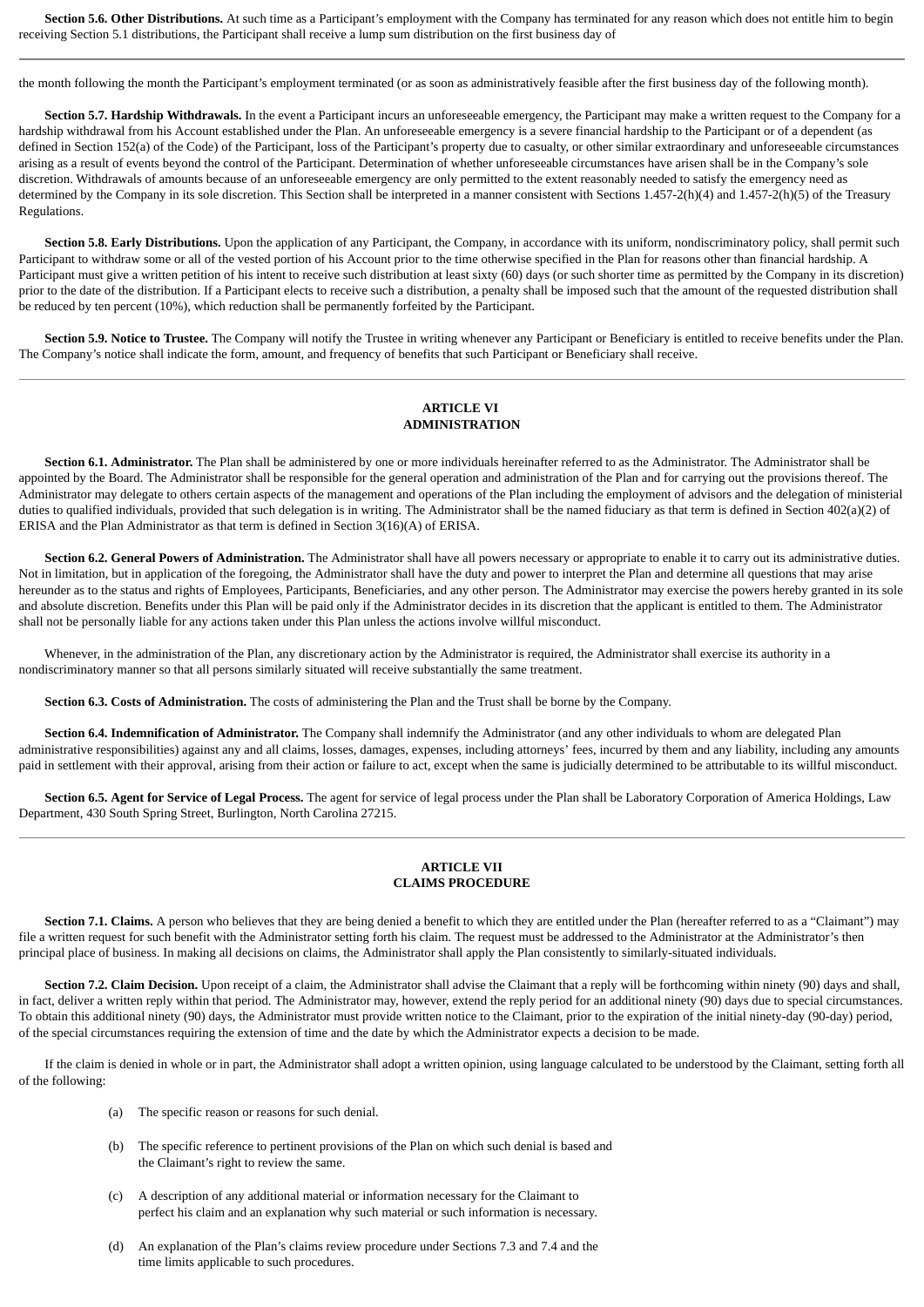Section 5.6. Other Distributions. At such time as a Participant's employment with the Company has terminated for any reason which does not entitle him to begin receiving Section 5.1 distributions, the Participant shall receive a lump sum distribution on the first business day of

the month following the month the Participant's employment terminated (or as soon as administratively feasible after the first business day of the following month).

Section 5.7. Hardship Withdrawals. In the event a Participant incurs an unforeseeable emergency, the Participant may make a written request to the Company for a hardship withdrawal from his Account established under the Plan. An unforeseeable emergency is a severe financial hardship to the Participant or of a dependent (as defined in Section 152(a) of the Code) of the Participant, loss of the Participant's property due to casualty, or other similar extraordinary and unforeseeable circumstances arising as a result of events beyond the control of the Participant. Determination of whether unforeseeable circumstances have arisen shall be in the Company's sole discretion. Withdrawals of amounts because of an unforeseeable emergency are only permitted to the extent reasonably needed to satisfy the emergency need as determined by the Company in its sole discretion. This Section shall be interpreted in a manner consistent with Sections 1.457-2(h)(4) and 1.457-2(h)(5) of the Treasury Regulations.

**Section 5.8. Early Distributions.** Upon the application of any Participant, the Company, in accordance with its uniform, nondiscriminatory policy, shall permit such Participant to withdraw some or all of the vested portion of his Account prior to the time otherwise specified in the Plan for reasons other than financial hardship. A Participant must give a written petition of his intent to receive such distribution at least sixty (60) days (or such shorter time as permitted by the Company in its discretion) prior to the date of the distribution. If a Participant elects to receive such a distribution, a penalty shall be imposed such that the amount of the requested distribution shall be reduced by ten percent (10%), which reduction shall be permanently forfeited by the Participant.

 **Section 5.9. Notice to Trustee.** The Company will notify the Trustee in writing whenever any Participant or Beneficiary is entitled to receive benefits under the Plan. The Company's notice shall indicate the form, amount, and frequency of benefits that such Participant or Beneficiary shall receive.

### **ARTICLE VI ADMINISTRATION**

 **Section 6.1. Administrator.** The Plan shall be administered by one or more individuals hereinafter referred to as the Administrator. The Administrator shall be appointed by the Board. The Administrator shall be responsible for the general operation and administration of the Plan and for carrying out the provisions thereof. The Administrator may delegate to others certain aspects of the management and operations of the Plan including the employment of advisors and the delegation of ministerial duties to qualified individuals, provided that such delegation is in writing. The Administrator shall be the named fiduciary as that term is defined in Section 402(a)(2) of ERISA and the Plan Administrator as that term is defined in Section 3(16)(A) of ERISA.

Section 6.2. General Powers of Administration. The Administrator shall have all powers necessary or appropriate to enable it to carry out its administrative duties. Not in limitation, but in application of the foregoing, the Administrator shall have the duty and power to interpret the Plan and determine all questions that may arise hereunder as to the status and rights of Employees, Participants, Beneficiaries, and any other person. The Administrator may exercise the powers hereby granted in its sole and absolute discretion. Benefits under this Plan will be paid only if the Administrator decides in its discretion that the applicant is entitled to them. The Administrator shall not be personally liable for any actions taken under this Plan unless the actions involve willful misconduct.

 Whenever, in the administration of the Plan, any discretionary action by the Administrator is required, the Administrator shall exercise its authority in a nondiscriminatory manner so that all persons similarly situated will receive substantially the same treatment.

**Section 6.3. Costs of Administration.** The costs of administering the Plan and the Trust shall be borne by the Company.

 **Section 6.4. Indemnification of Administrator.** The Company shall indemnify the Administrator (and any other individuals to whom are delegated Plan administrative responsibilities) against any and all claims, losses, damages, expenses, including attorneys' fees, incurred by them and any liability, including any amounts paid in settlement with their approval, arising from their action or failure to act, except when the same is judicially determined to be attributable to its willful misconduct.

 **Section 6.5. Agent for Service of Legal Process.** The agent for service of legal process under the Plan shall be Laboratory Corporation of America Holdings, Law Department, 430 South Spring Street, Burlington, North Carolina 27215.

### **ARTICLE VII CLAIMS PROCEDURE**

Section 7.1. Claims. A person who believes that they are being denied a benefit to which they are entitled under the Plan (hereafter referred to as a "Claimant") may file a written request for such benefit with the Administrator setting forth his claim. The request must be addressed to the Administrator at the Administrator's then principal place of business. In making all decisions on claims, the Administrator shall apply the Plan consistently to similarly-situated individuals.

Section 7.2. Claim Decision. Upon receipt of a claim, the Administrator shall advise the Claimant that a reply will be forthcoming within ninety (90) days and shall, in fact, deliver a written reply within that period. The Administrator may, however, extend the reply period for an additional ninety (90) days due to special circumstances. To obtain this additional ninety (90) days, the Administrator must provide written notice to the Claimant, prior to the expiration of the initial ninety-day (90-day) period, of the special circumstances requiring the extension of time and the date by which the Administrator expects a decision to be made.

 If the claim is denied in whole or in part, the Administrator shall adopt a written opinion, using language calculated to be understood by the Claimant, setting forth all of the following:

- (a) The specific reason or reasons for such denial.
- (b) The specific reference to pertinent provisions of the Plan on which such denial is based and the Claimant's right to review the same.
- (c) A description of any additional material or information necessary for the Claimant to perfect his claim and an explanation why such material or such information is necessary.
- (d) An explanation of the Plan's claims review procedure under Sections 7.3 and 7.4 and the time limits applicable to such procedures.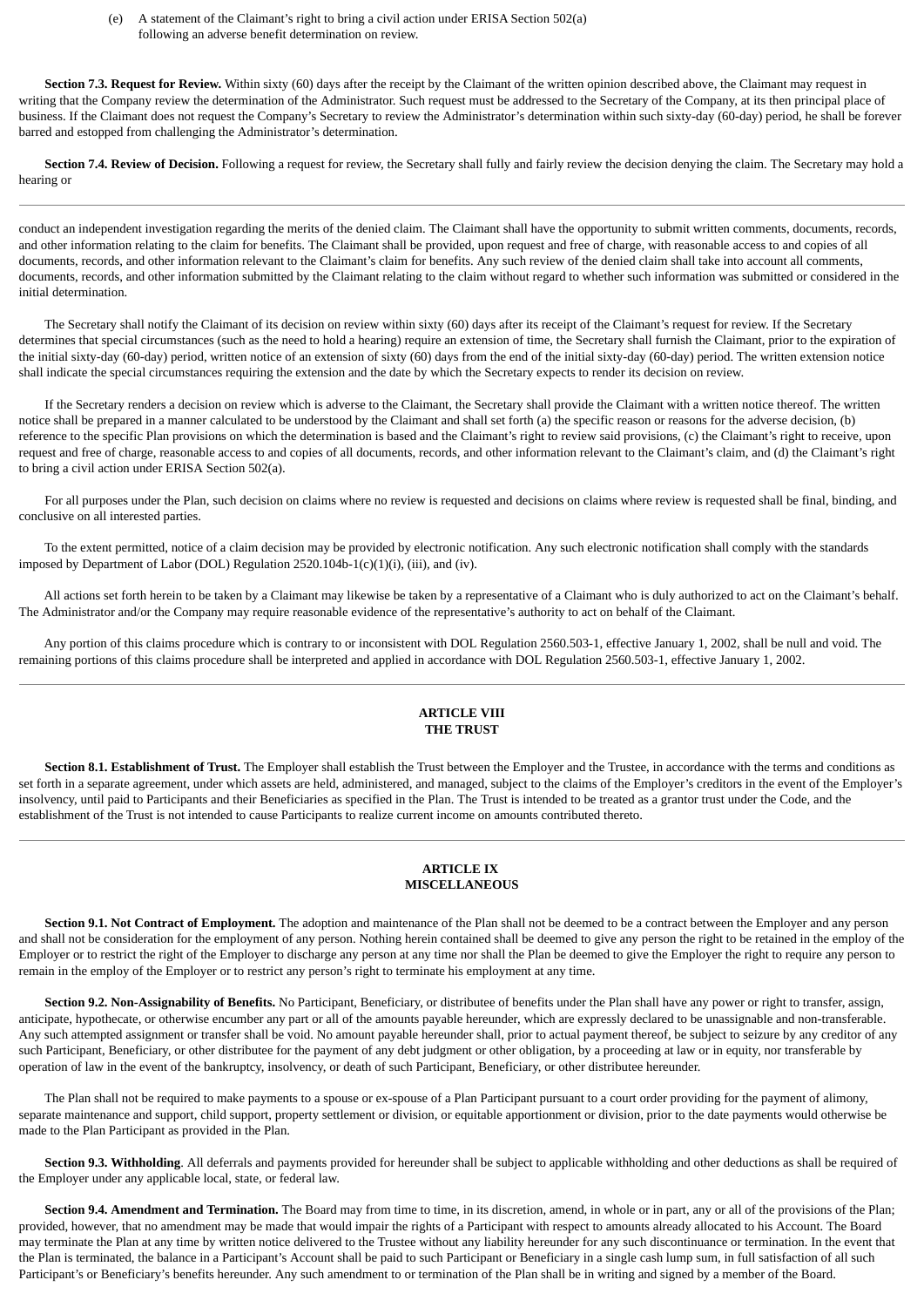(e) A statement of the Claimant's right to bring a civil action under ERISA Section 502(a) following an adverse benefit determination on review.

Section 7.3. Request for Review. Within sixty (60) days after the receipt by the Claimant of the written opinion described above, the Claimant may request in writing that the Company review the determination of the Administrator. Such request must be addressed to the Secretary of the Company, at its then principal place of business. If the Claimant does not request the Company's Secretary to review the Administrator's determination within such sixty-day (60-day) period, he shall be forever barred and estopped from challenging the Administrator's determination.

Section 7.4. Review of Decision. Following a request for review, the Secretary shall fully and fairly review the decision denying the claim. The Secretary may hold a hearing or

conduct an independent investigation regarding the merits of the denied claim. The Claimant shall have the opportunity to submit written comments, documents, records, and other information relating to the claim for benefits. The Claimant shall be provided, upon request and free of charge, with reasonable access to and copies of all documents, records, and other information relevant to the Claimant's claim for benefits. Any such review of the denied claim shall take into account all comments, documents, records, and other information submitted by the Claimant relating to the claim without regard to whether such information was submitted or considered in the initial determination.

 The Secretary shall notify the Claimant of its decision on review within sixty (60) days after its receipt of the Claimant's request for review. If the Secretary determines that special circumstances (such as the need to hold a hearing) require an extension of time, the Secretary shall furnish the Claimant, prior to the expiration of the initial sixty-day (60-day) period, written notice of an extension of sixty (60) days from the end of the initial sixty-day (60-day) period. The written extension notice shall indicate the special circumstances requiring the extension and the date by which the Secretary expects to render its decision on review.

 If the Secretary renders a decision on review which is adverse to the Claimant, the Secretary shall provide the Claimant with a written notice thereof. The written notice shall be prepared in a manner calculated to be understood by the Claimant and shall set forth (a) the specific reason or reasons for the adverse decision, (b) reference to the specific Plan provisions on which the determination is based and the Claimant's right to review said provisions, (c) the Claimant's right to receive, upon request and free of charge, reasonable access to and copies of all documents, records, and other information relevant to the Claimant's claim, and (d) the Claimant's right to bring a civil action under ERISA Section 502(a).

For all purposes under the Plan, such decision on claims where no review is requested and decisions on claims where review is requested shall be final, binding, and conclusive on all interested parties.

 To the extent permitted, notice of a claim decision may be provided by electronic notification. Any such electronic notification shall comply with the standards imposed by Department of Labor (DOL) Regulation  $2520.104b-1(c)(1)(i)$ , (iii), and (iv).

 All actions set forth herein to be taken by a Claimant may likewise be taken by a representative of a Claimant who is duly authorized to act on the Claimant's behalf. The Administrator and/or the Company may require reasonable evidence of the representative's authority to act on behalf of the Claimant.

 Any portion of this claims procedure which is contrary to or inconsistent with DOL Regulation 2560.503-1, effective January 1, 2002, shall be null and void. The remaining portions of this claims procedure shall be interpreted and applied in accordance with DOL Regulation 2560.503-1, effective January 1, 2002.

# **ARTICLE VIII THE TRUST**

Section 8.1. Establishment of Trust. The Employer shall establish the Trust between the Employer and the Trustee, in accordance with the terms and conditions as set forth in a separate agreement, under which assets are held, administered, and managed, subject to the claims of the Employer's creditors in the event of the Employer's insolvency, until paid to Participants and their Beneficiaries as specified in the Plan. The Trust is intended to be treated as a grantor trust under the Code, and the establishment of the Trust is not intended to cause Participants to realize current income on amounts contributed thereto.

# **ARTICLE IX MISCELLANEOUS**

 **Section 9.1. Not Contract of Employment.** The adoption and maintenance of the Plan shall not be deemed to be a contract between the Employer and any person and shall not be consideration for the employment of any person. Nothing herein contained shall be deemed to give any person the right to be retained in the employ of the Employer or to restrict the right of the Employer to discharge any person at any time nor shall the Plan be deemed to give the Employer the right to require any person to remain in the employ of the Employer or to restrict any person's right to terminate his employment at any time.

 **Section 9.2. Non-Assignability of Benefits.** No Participant, Beneficiary, or distributee of benefits under the Plan shall have any power or right to transfer, assign, anticipate, hypothecate, or otherwise encumber any part or all of the amounts payable hereunder, which are expressly declared to be unassignable and non-transferable. Any such attempted assignment or transfer shall be void. No amount payable hereunder shall, prior to actual payment thereof, be subject to seizure by any creditor of any such Participant. Beneficiary, or other distributee for the payment of any debt judgment or other obligation, by a proceeding at law or in equity, nor transferable by operation of law in the event of the bankruptcy, insolvency, or death of such Participant, Beneficiary, or other distributee hereunder.

 The Plan shall not be required to make payments to a spouse or ex-spouse of a Plan Participant pursuant to a court order providing for the payment of alimony, separate maintenance and support, child support, property settlement or division, or equitable apportionment or division, prior to the date payments would otherwise be made to the Plan Participant as provided in the Plan.

 **Section 9.3. Withholding**. All deferrals and payments provided for hereunder shall be subject to applicable withholding and other deductions as shall be required of the Employer under any applicable local, state, or federal law.

Section 9.4. Amendment and Termination. The Board may from time to time, in its discretion, amend, in whole or in part, any or all of the provisions of the Plan; provided, however, that no amendment may be made that would impair the rights of a Participant with respect to amounts already allocated to his Account. The Board may terminate the Plan at any time by written notice delivered to the Trustee without any liability hereunder for any such discontinuance or termination. In the event that the Plan is terminated, the balance in a Participant's Account shall be paid to such Participant or Beneficiary in a single cash lump sum, in full satisfaction of all such Participant's or Beneficiary's benefits hereunder. Any such amendment to or termination of the Plan shall be in writing and signed by a member of the Board.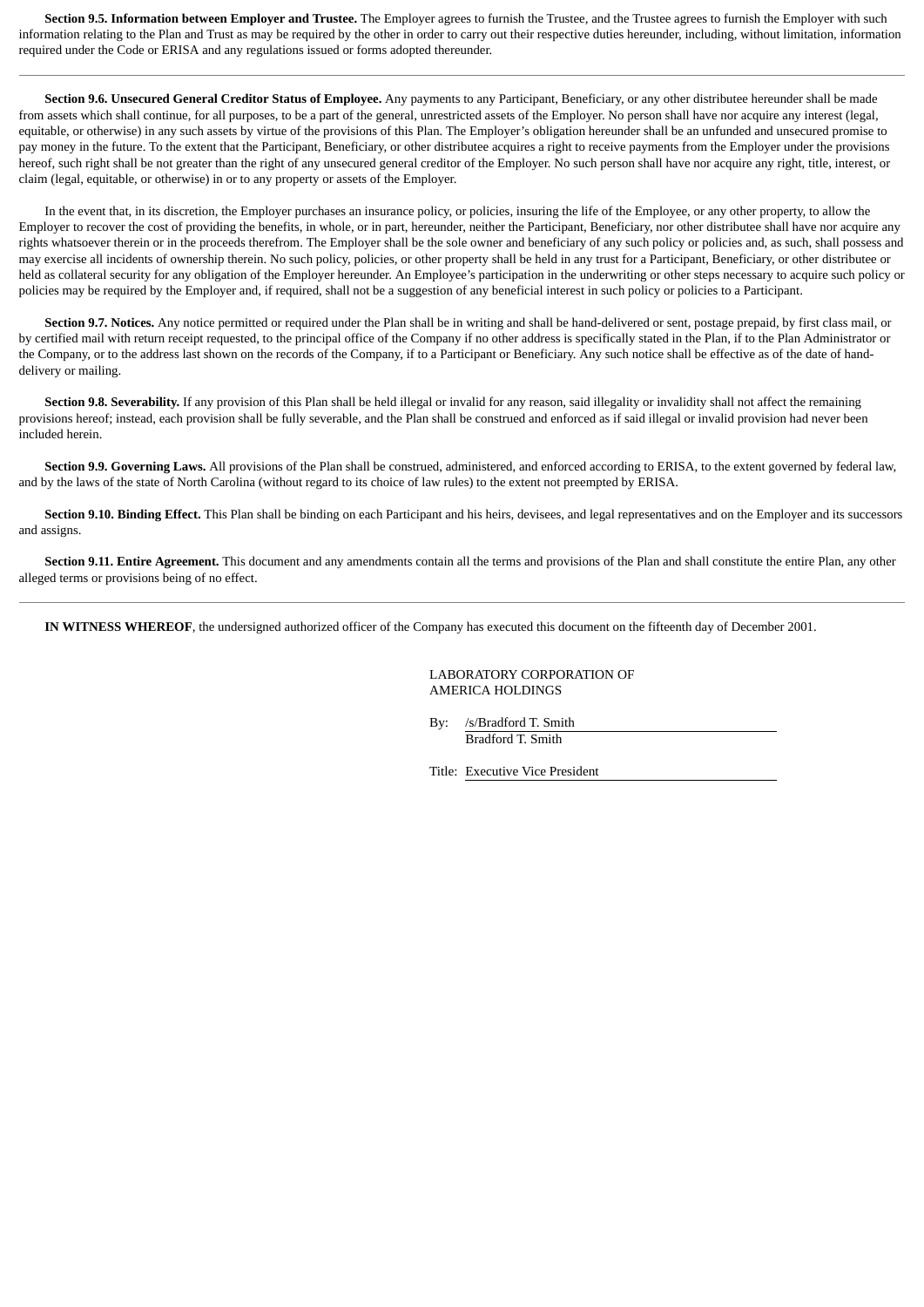**Section 9.5. Information between Employer and Trustee.** The Employer agrees to furnish the Trustee, and the Trustee agrees to furnish the Employer with such information relating to the Plan and Trust as may be required by the other in order to carry out their respective duties hereunder, including, without limitation, information required under the Code or ERISA and any regulations issued or forms adopted thereunder.

 **Section 9.6. Unsecured General Creditor Status of Employee.** Any payments to any Participant, Beneficiary, or any other distributee hereunder shall be made from assets which shall continue, for all purposes, to be a part of the general, unrestricted assets of the Employer. No person shall have nor acquire any interest (legal, equitable, or otherwise) in any such assets by virtue of the provisions of this Plan. The Employer's obligation hereunder shall be an unfunded and unsecured promise to pay money in the future. To the extent that the Participant, Beneficiary, or other distributee acquires a right to receive payments from the Employer under the provisions hereof, such right shall be not greater than the right of any unsecured general creditor of the Employer. No such person shall have nor acquire any right, title, interest, or claim (legal, equitable, or otherwise) in or to any property or assets of the Employer.

 In the event that, in its discretion, the Employer purchases an insurance policy, or policies, insuring the life of the Employee, or any other property, to allow the Employer to recover the cost of providing the benefits, in whole, or in part, hereunder, neither the Participant, Beneficiary, nor other distributee shall have nor acquire any rights whatsoever therein or in the proceeds therefrom. The Employer shall be the sole owner and beneficiary of any such policy or policies and, as such, shall possess and may exercise all incidents of ownership therein. No such policy, policies, or other property shall be held in any trust for a Participant, Beneficiary, or other distributee or held as collateral security for any obligation of the Employer hereunder. An Employee's participation in the underwriting or other steps necessary to acquire such policy or policies may be required by the Employer and, if required, shall not be a suggestion of any beneficial interest in such policy or policies to a Participant.

 **Section 9.7. Notices.** Any notice permitted or required under the Plan shall be in writing and shall be hand-delivered or sent, postage prepaid, by first class mail, or by certified mail with return receipt requested, to the principal office of the Company if no other address is specifically stated in the Plan, if to the Plan Administrator or the Company, or to the address last shown on the records of the Company, if to a Participant or Beneficiary. Any such notice shall be effective as of the date of handdelivery or mailing.

**Section 9.8. Severability.** If any provision of this Plan shall be held illegal or invalid for any reason, said illegality or invalidity shall not affect the remaining provisions hereof; instead, each provision shall be fully severable, and the Plan shall be construed and enforced as if said illegal or invalid provision had never been included herein.

Section 9.9. Governing Laws. All provisions of the Plan shall be construed, administered, and enforced according to ERISA, to the extent governed by federal law, and by the laws of the state of North Carolina (without regard to its choice of law rules) to the extent not preempted by ERISA.

 **Section 9.10. Binding Effect.** This Plan shall be binding on each Participant and his heirs, devisees, and legal representatives and on the Employer and its successors and assigns.

 **Section 9.11. Entire Agreement.** This document and any amendments contain all the terms and provisions of the Plan and shall constitute the entire Plan, any other alleged terms or provisions being of no effect.

**IN WITNESS WHEREOF**, the undersigned authorized officer of the Company has executed this document on the fifteenth day of December 2001.

LABORATORY CORPORATION OF AMERICA HOLDINGS

By: /s/Bradford T. Smith Bradford T. Smith

Title: Executive Vice President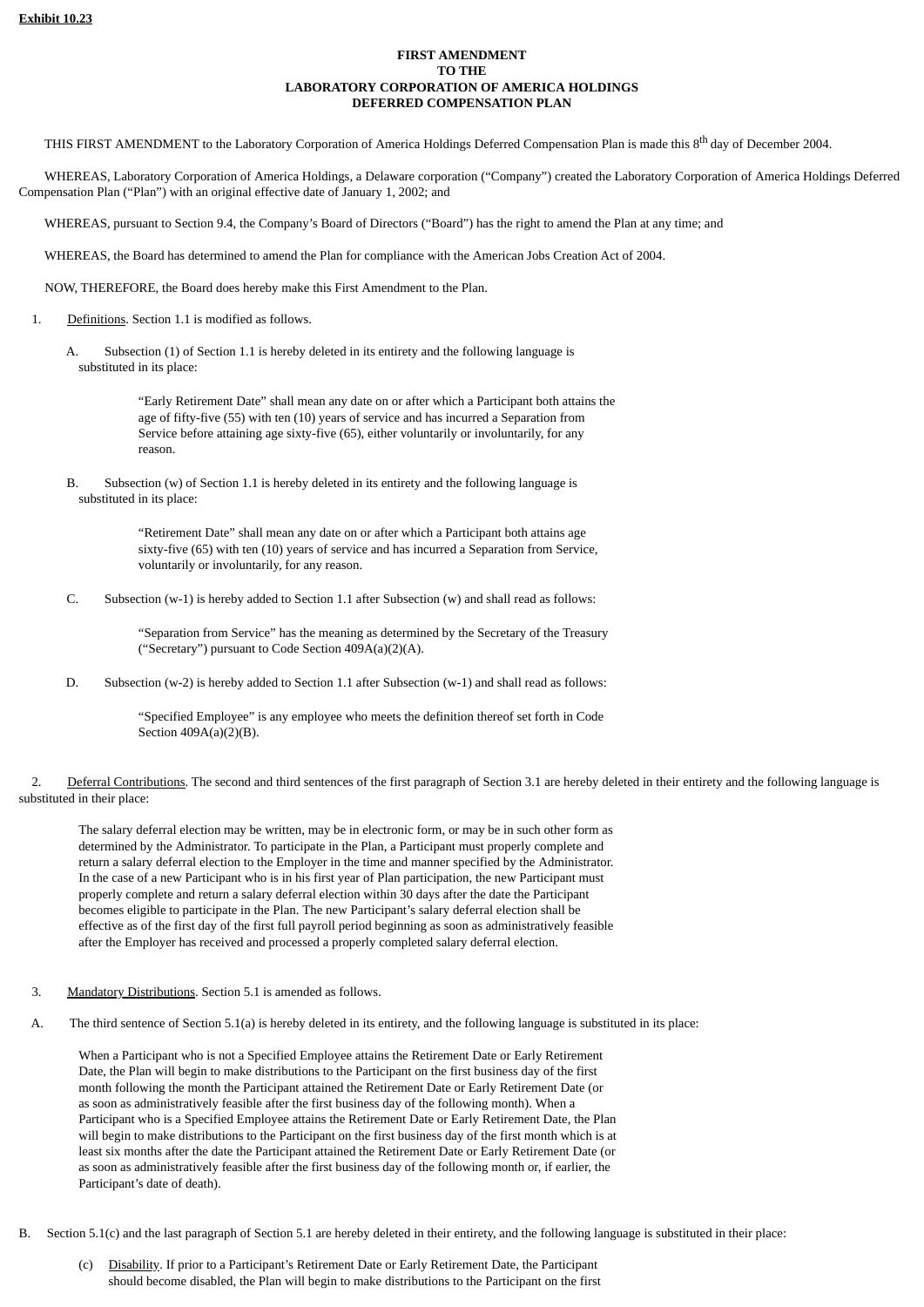## **FIRST AMENDMENT TO THE LABORATORY CORPORATION OF AMERICA HOLDINGS DEFERRED COMPENSATION PLAN**

THIS FIRST AMENDMENT to the Laboratory Corporation of America Holdings Deferred Compensation Plan is made this 8<sup>th</sup> day of December 2004.

 WHEREAS, Laboratory Corporation of America Holdings, a Delaware corporation ("Company") created the Laboratory Corporation of America Holdings Deferred Compensation Plan ("Plan") with an original effective date of January 1, 2002; and

WHEREAS, pursuant to Section 9.4, the Company's Board of Directors ("Board") has the right to amend the Plan at any time; and

WHEREAS, the Board has determined to amend the Plan for compliance with the American Jobs Creation Act of 2004.

NOW, THEREFORE, the Board does hereby make this First Amendment to the Plan.

- 1. Definitions. Section 1.1 is modified as follows.
	- A. Subsection (1) of Section 1.1 is hereby deleted in its entirety and the following language is substituted in its place:

"Early Retirement Date" shall mean any date on or after which a Participant both attains the age of fifty-five (55) with ten (10) years of service and has incurred a Separation from Service before attaining age sixty-five (65), either voluntarily or involuntarily, for any reason.

B. Subsection (w) of Section 1.1 is hereby deleted in its entirety and the following language is substituted in its place:

> "Retirement Date" shall mean any date on or after which a Participant both attains age sixty-five (65) with ten (10) years of service and has incurred a Separation from Service, voluntarily or involuntarily, for any reason.

C. Subsection (w-1) is hereby added to Section 1.1 after Subsection (w) and shall read as follows:

"Separation from Service" has the meaning as determined by the Secretary of the Treasury ("Secretary") pursuant to Code Section 409A(a)(2)(A).

D. Subsection (w-2) is hereby added to Section 1.1 after Subsection (w-1) and shall read as follows:

"Specified Employee" is any employee who meets the definition thereof set forth in Code Section 409A(a)(2)(B).

2. Deferral Contributions. The second and third sentences of the first paragraph of Section 3.1 are hereby deleted in their entirety and the following language is substituted in their place:

The salary deferral election may be written, may be in electronic form, or may be in such other form as determined by the Administrator. To participate in the Plan, a Participant must properly complete and return a salary deferral election to the Employer in the time and manner specified by the Administrator. In the case of a new Participant who is in his first year of Plan participation, the new Participant must properly complete and return a salary deferral election within 30 days after the date the Participant becomes eligible to participate in the Plan. The new Participant's salary deferral election shall be effective as of the first day of the first full payroll period beginning as soon as administratively feasible after the Employer has received and processed a properly completed salary deferral election.

- 3. Mandatory Distributions. Section 5.1 is amended as follows.
- A. The third sentence of Section 5.1(a) is hereby deleted in its entirety, and the following language is substituted in its place:

When a Participant who is not a Specified Employee attains the Retirement Date or Early Retirement Date, the Plan will begin to make distributions to the Participant on the first business day of the first month following the month the Participant attained the Retirement Date or Early Retirement Date (or as soon as administratively feasible after the first business day of the following month). When a Participant who is a Specified Employee attains the Retirement Date or Early Retirement Date, the Plan will begin to make distributions to the Participant on the first business day of the first month which is at least six months after the date the Participant attained the Retirement Date or Early Retirement Date (or as soon as administratively feasible after the first business day of the following month or, if earlier, the Participant's date of death).

- B. Section 5.1(c) and the last paragraph of Section 5.1 are hereby deleted in their entirety, and the following language is substituted in their place:
	- (c) Disability. If prior to a Participant's Retirement Date or Early Retirement Date, the Participant should become disabled, the Plan will begin to make distributions to the Participant on the first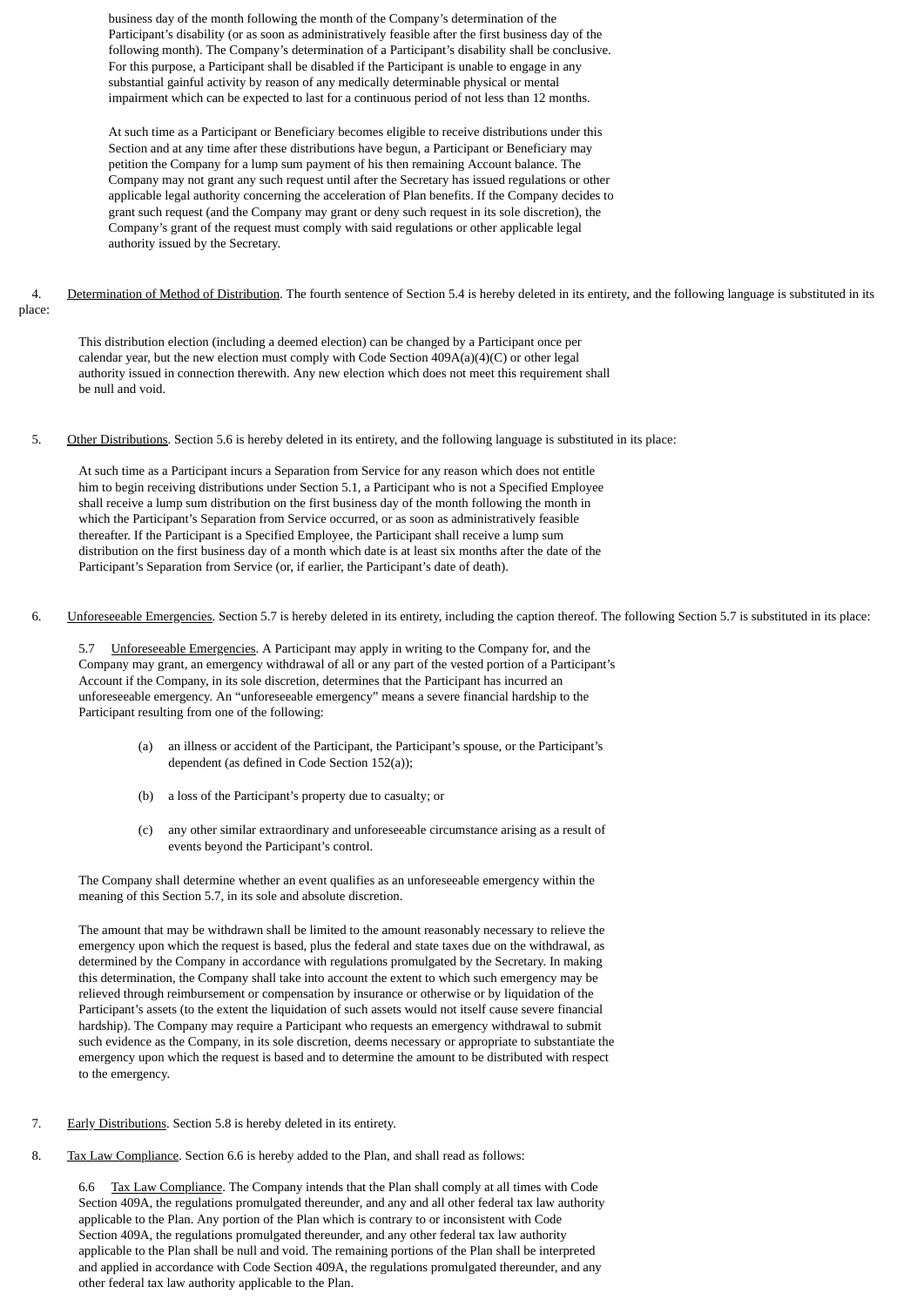business day of the month following the month of the Company's determination of the Participant's disability (or as soon as administratively feasible after the first business day of the following month). The Company's determination of a Participant's disability shall be conclusive. For this purpose, a Participant shall be disabled if the Participant is unable to engage in any substantial gainful activity by reason of any medically determinable physical or mental impairment which can be expected to last for a continuous period of not less than 12 months.

At such time as a Participant or Beneficiary becomes eligible to receive distributions under this Section and at any time after these distributions have begun, a Participant or Beneficiary may petition the Company for a lump sum payment of his then remaining Account balance. The Company may not grant any such request until after the Secretary has issued regulations or other applicable legal authority concerning the acceleration of Plan benefits. If the Company decides to grant such request (and the Company may grant or deny such request in its sole discretion), the Company's grant of the request must comply with said regulations or other applicable legal authority issued by the Secretary.

### 4. Determination of Method of Distribution. The fourth sentence of Section 5.4 is hereby deleted in its entirety, and the following language is substituted in its

place:

This distribution election (including a deemed election) can be changed by a Participant once per calendar year, but the new election must comply with Code Section 409A(a)(4)(C) or other legal authority issued in connection therewith. Any new election which does not meet this requirement shall be null and void.

5. Other Distributions. Section 5.6 is hereby deleted in its entirety, and the following language is substituted in its place:

At such time as a Participant incurs a Separation from Service for any reason which does not entitle him to begin receiving distributions under Section 5.1, a Participant who is not a Specified Employee shall receive a lump sum distribution on the first business day of the month following the month in which the Participant's Separation from Service occurred, or as soon as administratively feasible thereafter. If the Participant is a Specified Employee, the Participant shall receive a lump sum distribution on the first business day of a month which date is at least six months after the date of the Participant's Separation from Service (or, if earlier, the Participant's date of death).

6. Unforeseeable Emergencies. Section 5.7 is hereby deleted in its entirety, including the caption thereof. The following Section 5.7 is substituted in its place:

5.7 Unforeseeable Emergencies. A Participant may apply in writing to the Company for, and the Company may grant, an emergency withdrawal of all or any part of the vested portion of a Participant's Account if the Company, in its sole discretion, determines that the Participant has incurred an unforeseeable emergency. An "unforeseeable emergency" means a severe financial hardship to the Participant resulting from one of the following:

- (a) an illness or accident of the Participant, the Participant's spouse, or the Participant's dependent (as defined in Code Section 152(a));
- (b) a loss of the Participant's property due to casualty; or
- (c) any other similar extraordinary and unforeseeable circumstance arising as a result of events beyond the Participant's control.

The Company shall determine whether an event qualifies as an unforeseeable emergency within the meaning of this Section 5.7, in its sole and absolute discretion.

The amount that may be withdrawn shall be limited to the amount reasonably necessary to relieve the emergency upon which the request is based, plus the federal and state taxes due on the withdrawal, as determined by the Company in accordance with regulations promulgated by the Secretary. In making this determination, the Company shall take into account the extent to which such emergency may be relieved through reimbursement or compensation by insurance or otherwise or by liquidation of the Participant's assets (to the extent the liquidation of such assets would not itself cause severe financial hardship). The Company may require a Participant who requests an emergency withdrawal to submit such evidence as the Company, in its sole discretion, deems necessary or appropriate to substantiate the emergency upon which the request is based and to determine the amount to be distributed with respect to the emergency.

- 7. Early Distributions. Section 5.8 is hereby deleted in its entirety.
- 8. Tax Law Compliance. Section 6.6 is hereby added to the Plan, and shall read as follows:

6.6 Tax Law Compliance. The Company intends that the Plan shall comply at all times with Code Section 409A, the regulations promulgated thereunder, and any and all other federal tax law authority applicable to the Plan. Any portion of the Plan which is contrary to or inconsistent with Code Section 409A, the regulations promulgated thereunder, and any other federal tax law authority applicable to the Plan shall be null and void. The remaining portions of the Plan shall be interpreted and applied in accordance with Code Section 409A, the regulations promulgated thereunder, and any other federal tax law authority applicable to the Plan.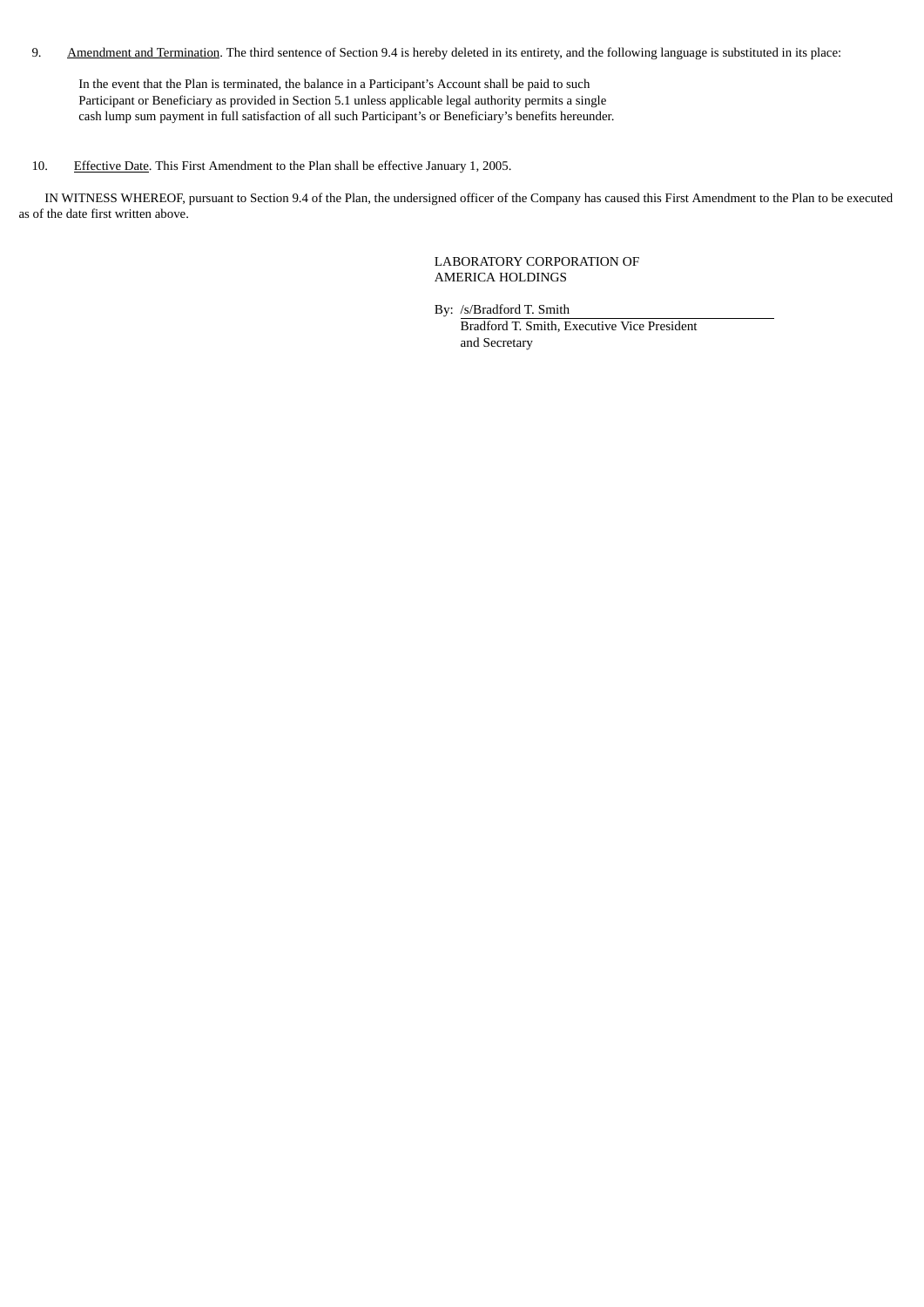9. Amendment and Termination. The third sentence of Section 9.4 is hereby deleted in its entirety, and the following language is substituted in its place:

In the event that the Plan is terminated, the balance in a Participant's Account shall be paid to such Participant or Beneficiary as provided in Section 5.1 unless applicable legal authority permits a single cash lump sum payment in full satisfaction of all such Participant's or Beneficiary's benefits hereunder.

### 10. Effective Date. This First Amendment to the Plan shall be effective January 1, 2005.

 IN WITNESS WHEREOF, pursuant to Section 9.4 of the Plan, the undersigned officer of the Company has caused this First Amendment to the Plan to be executed as of the date first written above.

> LABORATORY CORPORATION OF AMERICA HOLDINGS

By: /s/Bradford T. Smith

Bradford T. Smith, Executive Vice President and Secretary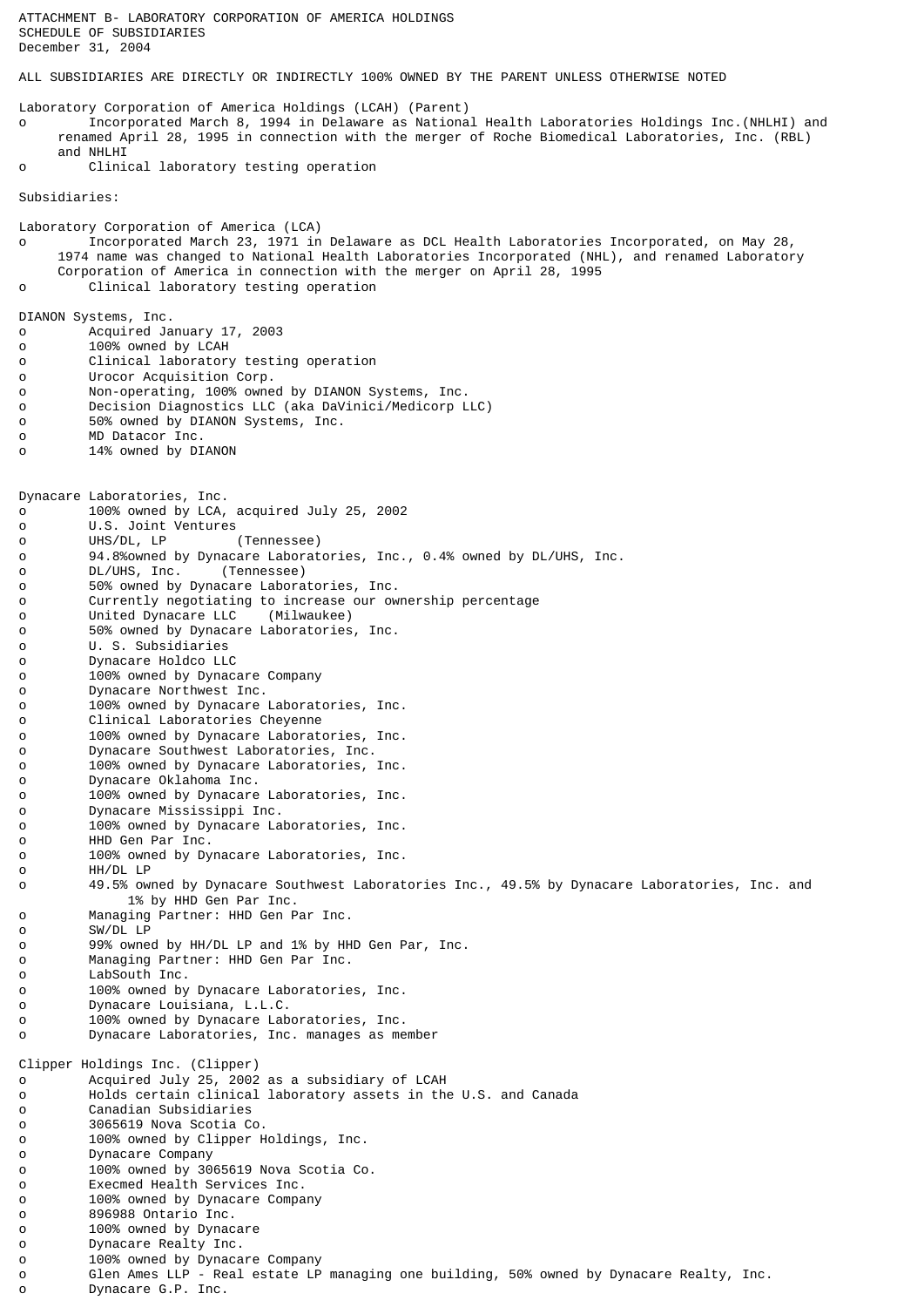SCHEDULE OF SUBSIDIARIES December 31, 2004 ALL SUBSIDIARIES ARE DIRECTLY OR INDIRECTLY 100% OWNED BY THE PARENT UNLESS OTHERWISE NOTED Laboratory Corporation of America Holdings (LCAH) (Parent) o Incorporated March 8, 1994 in Delaware as National Health Laboratories Holdings Inc.(NHLHI) and renamed April 28, 1995 in connection with the merger of Roche Biomedical Laboratories, Inc. (RBL) and NHI HT o Clinical laboratory testing operation Subsidiaries: Laboratory Corporation of America (LCA) Incorporated March 23, 1971 in Delaware as DCL Health Laboratories Incorporated, on May 28, 1974 name was changed to National Health Laboratories Incorporated (NHL), and renamed Laboratory Corporation of America in connection with the merger on April 28, 1995 o Clinical laboratory testing operation DIANON Systems, Inc. o Acquired January 17, 2003 o 100% owned by LCAH o Clinical laboratory testing operation o Urocor Acquisition Corp. o Non-operating, 100% owned by DIANON Systems, Inc. o Decision Diagnostics LLC (aka DaVinici/Medicorp LLC) o 50% owned by DIANON Systems, Inc. o MD Datacor Inc. o 14% owned by DIANON Dynacare Laboratories, Inc. o 100% owned by LCA, acquired July 25, 2002 o U.S. Joint Ventures o UHS/DL, LP (Tennessee) o 94.8%owned by Dynacare Laboratories, Inc., 0.4% owned by DL/UHS, Inc.  $O$  DL/UHS,  $Inc.$ o 50% owned by Dynacare Laboratories, Inc. Currently negotiating to increase our ownership percentage o United Dynacare LLC (Milwaukee) o 50% owned by Dynacare Laboratories, Inc. o U. S. Subsidiaries o Dynacare Holdco LLC o 100% owned by Dynacare Company o Dynacare Northwest Inc. 100% owned by Dynacare Laboratories, Inc. o Clinical Laboratories Cheyenne o 100% owned by Dynacare Laboratories, Inc. o Dynacare Southwest Laboratories, Inc. o 100% owned by Dynacare Laboratories, Inc. o Dynacare Oklahoma Inc. o 100% owned by Dynacare Laboratories, Inc.<br>o Dynacare Mississippi Inc. Dynacare Mississippi Inc. o 100% owned by Dynacare Laboratories, Inc. o HHD Gen Par Inc. o 100% owned by Dynacare Laboratories, Inc. o HH/DL LP o 49.5% owned by Dynacare Southwest Laboratories Inc., 49.5% by Dynacare Laboratories, Inc. and 1% by HHD Gen Par Inc. o Managing Partner: HHD Gen Par Inc. o SW/DL LP o 99% owned by HH/DL LP and 1% by HHD Gen Par, Inc. o Managing Partner: HHD Gen Par Inc. o LabSouth Inc. o 100% owned by Dynacare Laboratories, Inc. o Dynacare Louisiana, L.L.C. o 100% owned by Dynacare Laboratories, Inc. o Dynacare Laboratories, Inc. manages as member Clipper Holdings Inc. (Clipper) o Acquired July 25, 2002 as a subsidiary of LCAH o Holds certain clinical laboratory assets in the U.S. and Canada o Canadian Subsidiaries o 3065619 Nova Scotia Co. o 100% owned by Clipper Holdings, Inc. o Dynacare Company o 100% owned by 3065619 Nova Scotia Co. o Execmed Health Services Inc. o 100% owned by Dynacare Company o 896988 Ontario Inc. o 100% owned by Dynacare o Dynacare Realty Inc. o 100% owned by Dynacare Company o Glen Ames LLP - Real estate LP managing one building, 50% owned by Dynacare Realty, Inc. o Dynacare G.P. Inc.

ATTACHMENT B- LABORATORY CORPORATION OF AMERICA HOLDINGS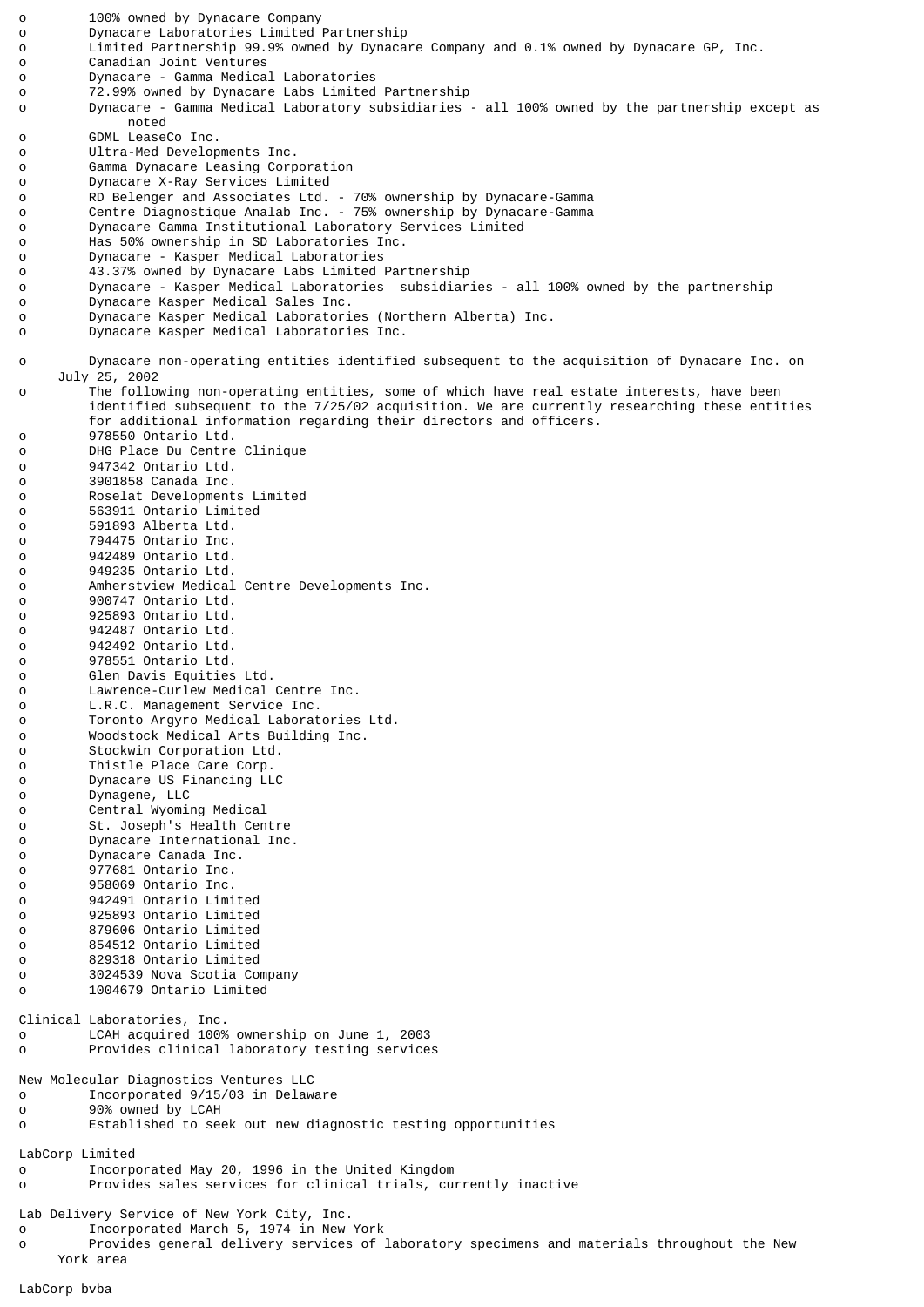o 100% owned by Dynacare Company o Dynacare Laboratories Limited Partnership o Limited Partnership 99.9% owned by Dynacare Company and 0.1% owned by Dynacare GP, Inc. o Canadian Joint Ventures o Dynacare - Gamma Medical Laboratories o 72.99% owned by Dynacare Labs Limited Partnership o Dynacare - Gamma Medical Laboratory subsidiaries - all 100% owned by the partnership except as noted o GDML LeaseCo Inc. o Ultra-Med Developments Inc. o Gamma Dynacare Leasing Corporation o Dynacare X-Ray Services Limited o RD Belenger and Associates Ltd. - 70% ownership by Dynacare-Gamma o Centre Diagnostique Analab Inc. - 75% ownership by Dynacare-Gamma o Dynacare Gamma Institutional Laboratory Services Limited o Has 50% ownership in SD Laboratories Inc. o Dynacare - Kasper Medical Laboratories o 43.37% owned by Dynacare Labs Limited Partnership o Dynacare - Kasper Medical Laboratories subsidiaries - all 100% owned by the partnership o Dynacare Kasper Medical Sales Inc. o Dynacare Kasper Medical Laboratories (Northern Alberta) Inc. o Dynacare Kasper Medical Laboratories Inc. o Dynacare non-operating entities identified subsequent to the acquisition of Dynacare Inc. on July 25, 2002 o The following non-operating entities, some of which have real estate interests, have been identified subsequent to the 7/25/02 acquisition. We are currently researching these entities for additional information regarding their directors and officers. o 978550 Ontario Ltd. o DHG Place Du Centre Clinique o 947342 Ontario Ltd. o 3901858 Canada Inc. o Roselat Developments Limited o 563911 Ontario Limited o 591893 Alberta Ltd. o 794475 Ontario Inc. o 942489 Ontario Ltd. o 949235 Ontario Ltd. o Amherstview Medical Centre Developments Inc. 900747 Ontario Ltd. o 925893 Ontario Ltd. o 942487 Ontario Ltd. o 942492 Ontario Ltd. o 978551 Ontario Ltd. o Glen Davis Equities Ltd. o Lawrence-Curlew Medical Centre Inc. L.R.C. Management Service Inc. o Toronto Argyro Medical Laboratories Ltd. o Woodstock Medical Arts Building Inc. o Stockwin Corporation Ltd. o Thistle Place Care Corp. o Dynacare US Financing LLC o Dynagene, LLC<br>o Central Wyomi Central Wyoming Medical o St. Joseph's Health Centre o Dynacare International Inc. o Dynacare Canada Inc. o 977681 Ontario Inc. o 958069 Ontario Inc. o 942491 Ontario Limited 925893 Ontario Limited o 879606 Ontario Limited o 854512 Ontario Limited o 829318 Ontario Limited o 3024539 Nova Scotia Company o 1004679 Ontario Limited Clinical Laboratories, Inc. o LCAH acquired 100% ownership on June 1, 2003 o Provides clinical laboratory testing services New Molecular Diagnostics Ventures LLC o Incorporated 9/15/03 in Delaware o 90% owned by LCAH o Established to seek out new diagnostic testing opportunities LabCorp Limited o Incorporated May 20, 1996 in the United Kingdom o Provides sales services for clinical trials, currently inactive Lab Delivery Service of New York City, Inc. o Incorporated March 5, 1974 in New York o Provides general delivery services of laboratory specimens and materials throughout the New York area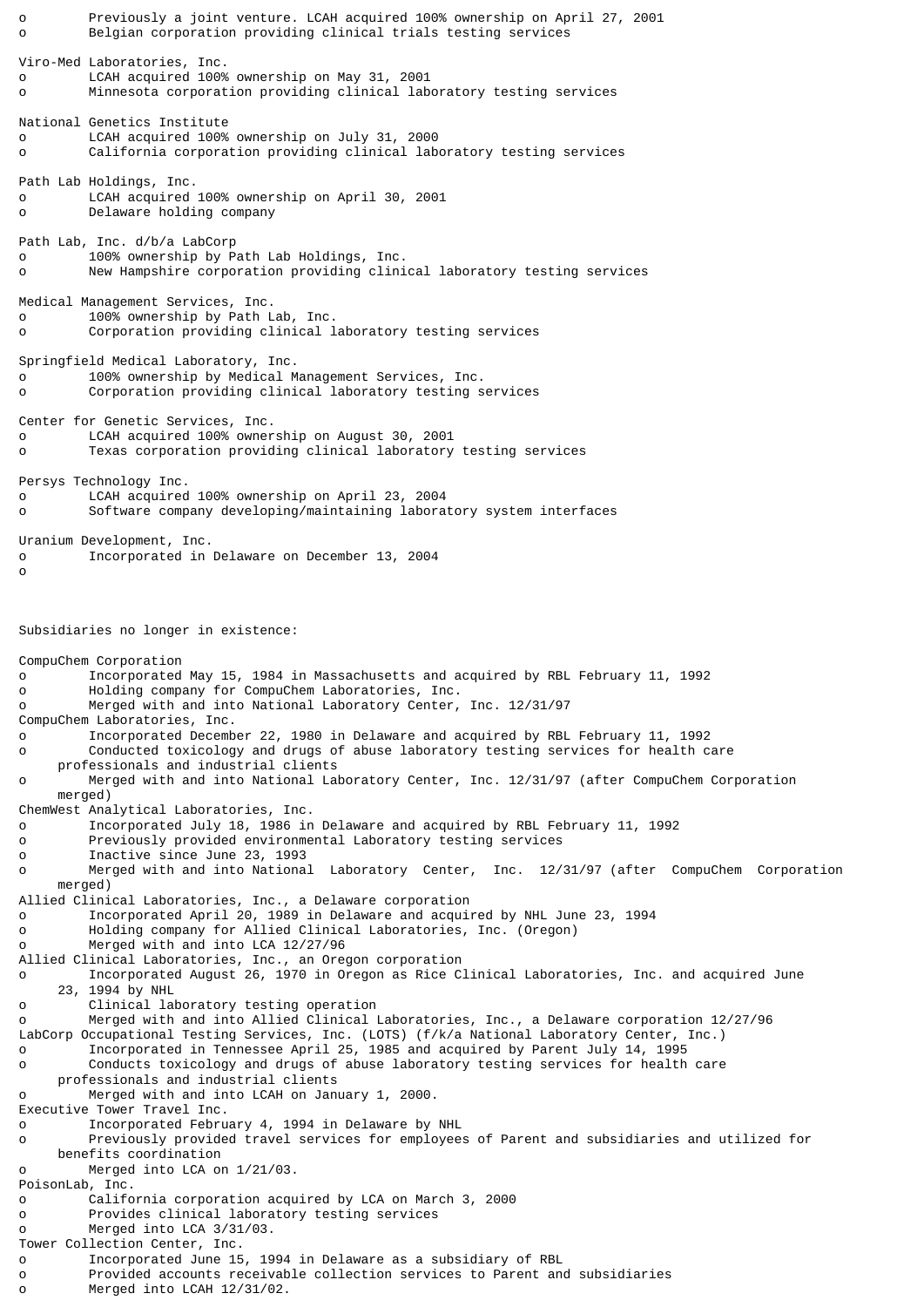o Previously a joint venture. LCAH acquired 100% ownership on April 27, 2001 o Belgian corporation providing clinical trials testing services Viro-Med Laboratories, Inc. o LCAH acquired 100% ownership on May 31, 2001 o Minnesota corporation providing clinical laboratory testing services National Genetics Institute o LCAH acquired 100% ownership on July 31, 2000 o California corporation providing clinical laboratory testing services Path Lab Holdings, Inc. o LCAH acquired 100% ownership on April 30, 2001 o Delaware holding company Path Lab, Inc. d/b/a LabCorp 100% ownership by Path Lab Holdings, Inc. o New Hampshire corporation providing clinical laboratory testing services Medical Management Services, Inc. o 100% ownership by Path Lab, Inc. o Corporation providing clinical laboratory testing services Springfield Medical Laboratory, Inc. o 100% ownership by Medical Management Services, Inc. o Corporation providing clinical laboratory testing services Center for Genetic Services, Inc. o LCAH acquired 100% ownership on August 30, 2001 o Texas corporation providing clinical laboratory testing services Persys Technology Inc. o LCAH acquired 100% ownership on April 23, 2004 o Software company developing/maintaining laboratory system interfaces Uranium Development, Inc. o Incorporated in Delaware on December 13, 2004 o Subsidiaries no longer in existence: CompuChem Corporation o Incorporated May 15, 1984 in Massachusetts and acquired by RBL February 11, 1992 o Holding company for CompuChem Laboratories, Inc. Merged with and into National Laboratory Center, Inc. 12/31/97 CompuChem Laboratories, Inc. o Incorporated December 22, 1980 in Delaware and acquired by RBL February 11, 1992 o Conducted toxicology and drugs of abuse laboratory testing services for health care professionals and industrial clients o Merged with and into National Laboratory Center, Inc. 12/31/97 (after CompuChem Corporation merged) ChemWest Analytical Laboratories, Inc. o Incorporated July 18, 1986 in Delaware and acquired by RBL February 11, 1992 o Previously provided environmental Laboratory testing services o Inactive since June 23, 1993 o Merged with and into National Laboratory Center, Inc. 12/31/97 (after CompuChem Corporation merged) Allied Clinical Laboratories, Inc., a Delaware corporation o Incorporated April 20, 1989 in Delaware and acquired by NHL June 23, 1994 o Holding company for Allied Clinical Laboratories, Inc. (Oregon) o Merged with and into LCA 12/27/96 Allied Clinical Laboratories, Inc., an Oregon corporation o Incorporated August 26, 1970 in Oregon as Rice Clinical Laboratories, Inc. and acquired June 23, 1994 by NHL o Clinical laboratory testing operation o Merged with and into Allied Clinical Laboratories, Inc., a Delaware corporation 12/27/96 LabCorp Occupational Testing Services, Inc. (LOTS) (f/k/a National Laboratory Center, Inc.) o Incorporated in Tennessee April 25, 1985 and acquired by Parent July 14, 1995 o Conducts toxicology and drugs of abuse laboratory testing services for health care professionals and industrial clients o Merged with and into LCAH on January 1, 2000. Executive Tower Travel Inc. o Incorporated February 4, 1994 in Delaware by NHL o Previously provided travel services for employees of Parent and subsidiaries and utilized for benefits coordination o Merged into LCA on 1/21/03. PoisonLab, Inc. o California corporation acquired by LCA on March 3, 2000 o Provides clinical laboratory testing services o Merged into LCA 3/31/03. Tower Collection Center, Inc. o Incorporated June 15, 1994 in Delaware as a subsidiary of RBL o Provided accounts receivable collection services to Parent and subsidiaries

o Merged into LCAH 12/31/02.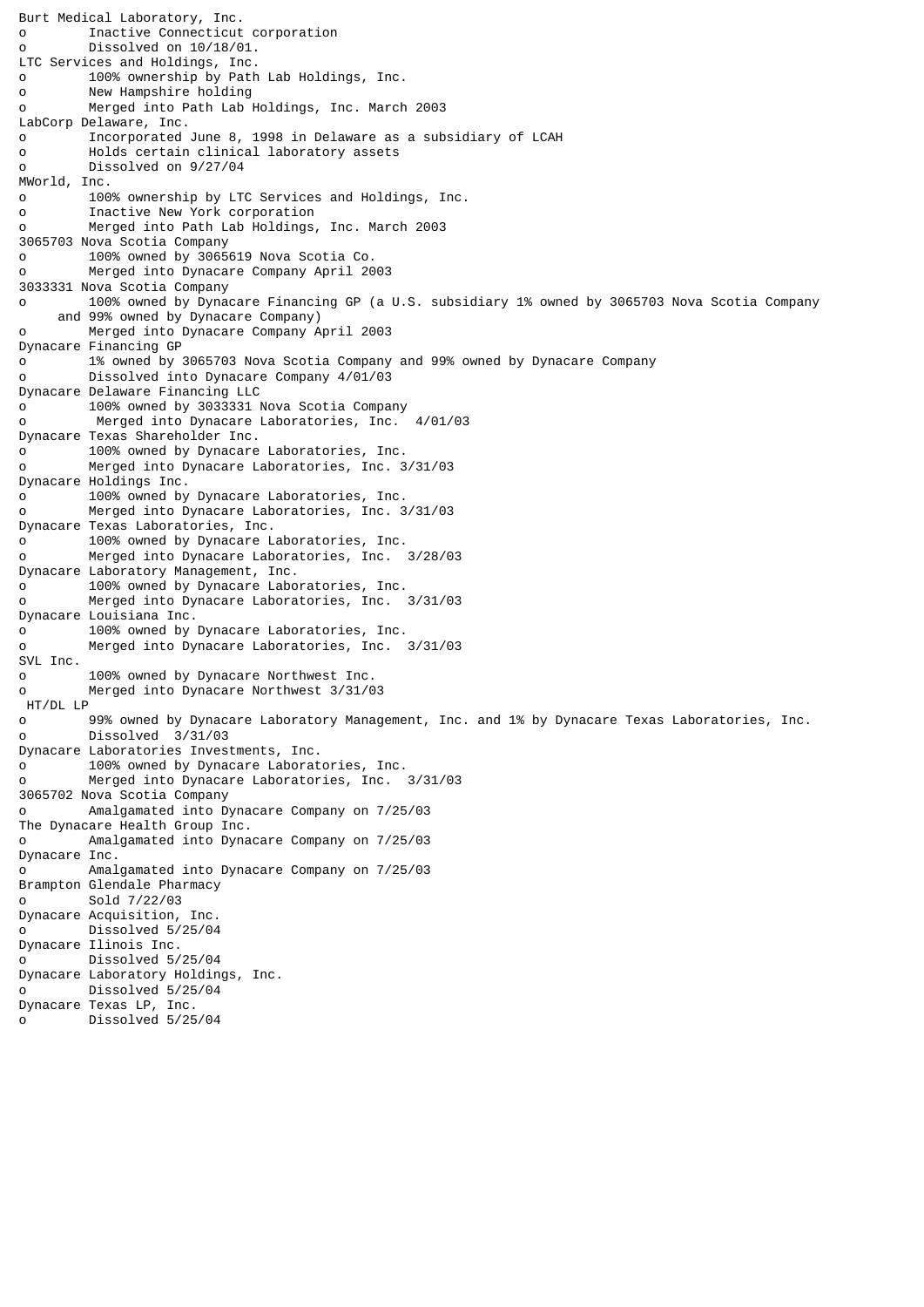Burt Medical Laboratory, Inc. o Inactive Connecticut corporation o Dissolved on 10/18/01. LTC Services and Holdings, Inc. o 100% ownership by Path Lab Holdings, Inc. o New Hampshire holding o Merged into Path Lab Holdings, Inc. March 2003 LabCorp Delaware, Inc. o Incorporated June 8, 1998 in Delaware as a subsidiary of LCAH o Holds certain clinical laboratory assets o Dissolved on 9/27/04 MWorld, Inc. o 100% ownership by LTC Services and Holdings, Inc. o Inactive New York corporation o Merged into Path Lab Holdings, Inc. March 2003 3065703 Nova Scotia Company o 100% owned by 3065619 Nova Scotia Co. o Merged into Dynacare Company April 2003 3033331 Nova Scotia Company o 100% owned by Dynacare Financing GP (a U.S. subsidiary 1% owned by 3065703 Nova Scotia Company and 99% owned by Dynacare Company) o Merged into Dynacare Company April 2003 Dynacare Financing GP o 1% owned by 3065703 Nova Scotia Company and 99% owned by Dynacare Company o Dissolved into Dynacare Company 4/01/03 Dynacare Delaware Financing LLC o 100% owned by 3033331 Nova Scotia Company o Merged into Dynacare Laboratories, Inc. 4/01/03 Dynacare Texas Shareholder Inc. o 100% owned by Dynacare Laboratories, Inc. o Merged into Dynacare Laboratories, Inc. 3/31/03 Dynacare Holdings Inc. o 100% owned by Dynacare Laboratories, Inc. o Merged into Dynacare Laboratories, Inc. 3/31/03 Dynacare Texas Laboratories, Inc. o 100% owned by Dynacare Laboratories, Inc. o Merged into Dynacare Laboratories, Inc. 3/28/03 Dynacare Laboratory Management, Inc. o 100% owned by Dynacare Laboratories, Inc. Merged into Dynacare Laboratories, Inc. 3/31/03 Dynacare Louisiana Inc. o 100% owned by Dynacare Laboratories, Inc. o Merged into Dynacare Laboratories, Inc. 3/31/03 SVL Inc. o 100% owned by Dynacare Northwest Inc. o Merged into Dynacare Northwest 3/31/03 HT/DL LP o 99% owned by Dynacare Laboratory Management, Inc. and 1% by Dynacare Texas Laboratories, Inc. o Dissolved 3/31/03 Dynacare Laboratories Investments, Inc. o 100% owned by Dynacare Laboratories, Inc. o Merged into Dynacare Laboratories, Inc. 3/31/03 3065702 Nova Scotia Company o Amalgamated into Dynacare Company on 7/25/03 The Dynacare Health Group Inc. o Amalgamated into Dynacare Company on 7/25/03 Dynacare Inc. o Amalgamated into Dynacare Company on 7/25/03 Brampton Glendale Pharmacy o Sold 7/22/03 Dynacare Acquisition, Inc. o Dissolved 5/25/04 Dynacare Ilinois Inc. o Dissolved 5/25/04 Dynacare Laboratory Holdings, Inc. o Dissolved 5/25/04 Dynacare Texas LP, Inc. o Dissolved 5/25/04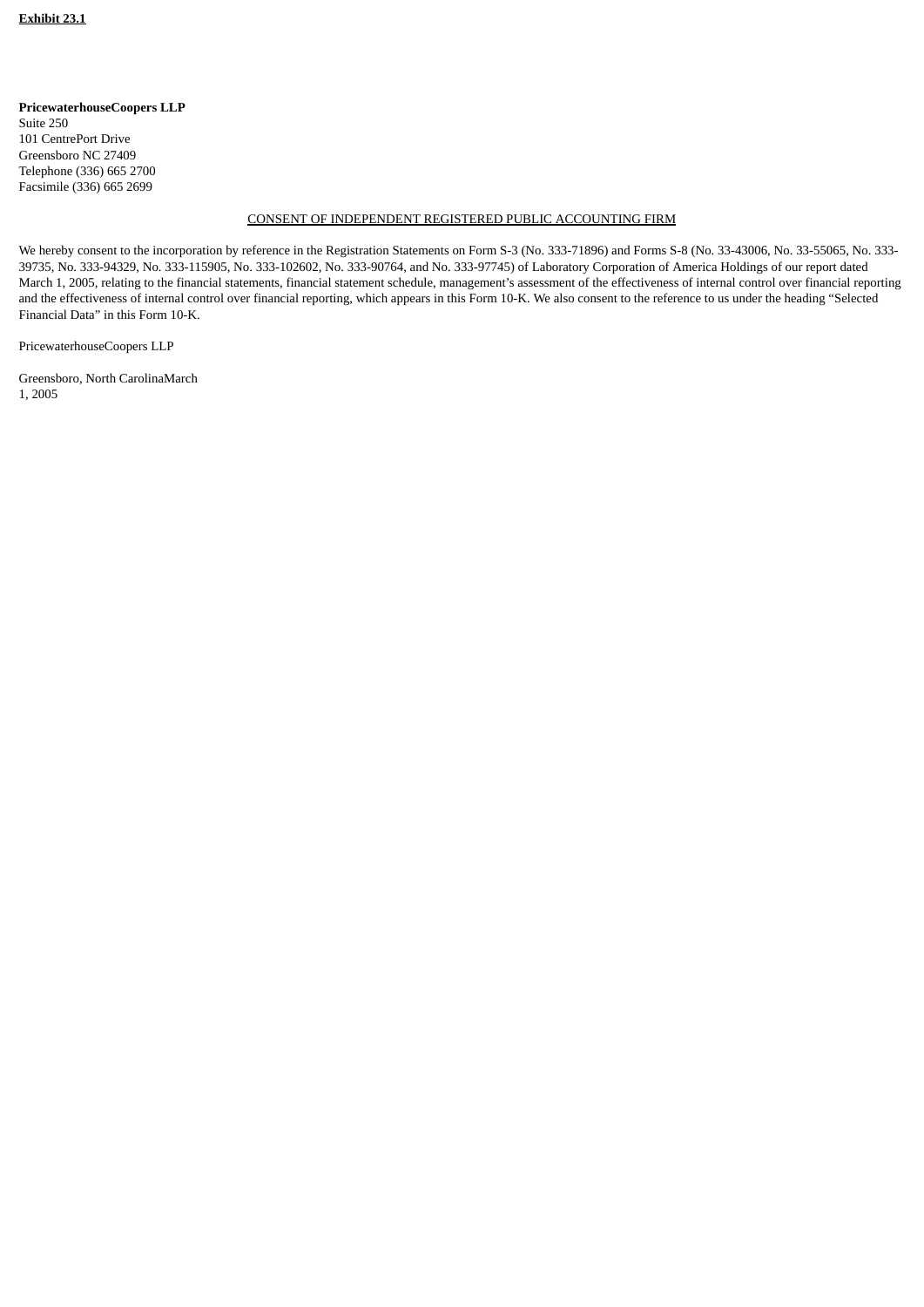**PricewaterhouseCoopers LLP** Suite 250 101 CentrePort Drive Greensboro NC 27409 Telephone (336) 665 2700 Facsimile (336) 665 2699

# CONSENT OF INDEPENDENT REGISTERED PUBLIC ACCOUNTING FIRM

We hereby consent to the incorporation by reference in the Registration Statements on Form S-3 (No. 333-71896) and Forms S-8 (No. 33-43006, No. 33-55065, No. 333- 39735, No. 333-94329, No. 333-115905, No. 333-102602, No. 333-90764, and No. 333-97745) of Laboratory Corporation of America Holdings of our report dated March 1, 2005, relating to the financial statements, financial statement schedule, management's assessment of the effectiveness of internal control over financial reporting and the effectiveness of internal control over financial reporting, which appears in this Form 10-K. We also consent to the reference to us under the heading "Selected Financial Data" in this Form 10-K.

PricewaterhouseCoopers LLP

Greensboro, North CarolinaMarch 1, 2005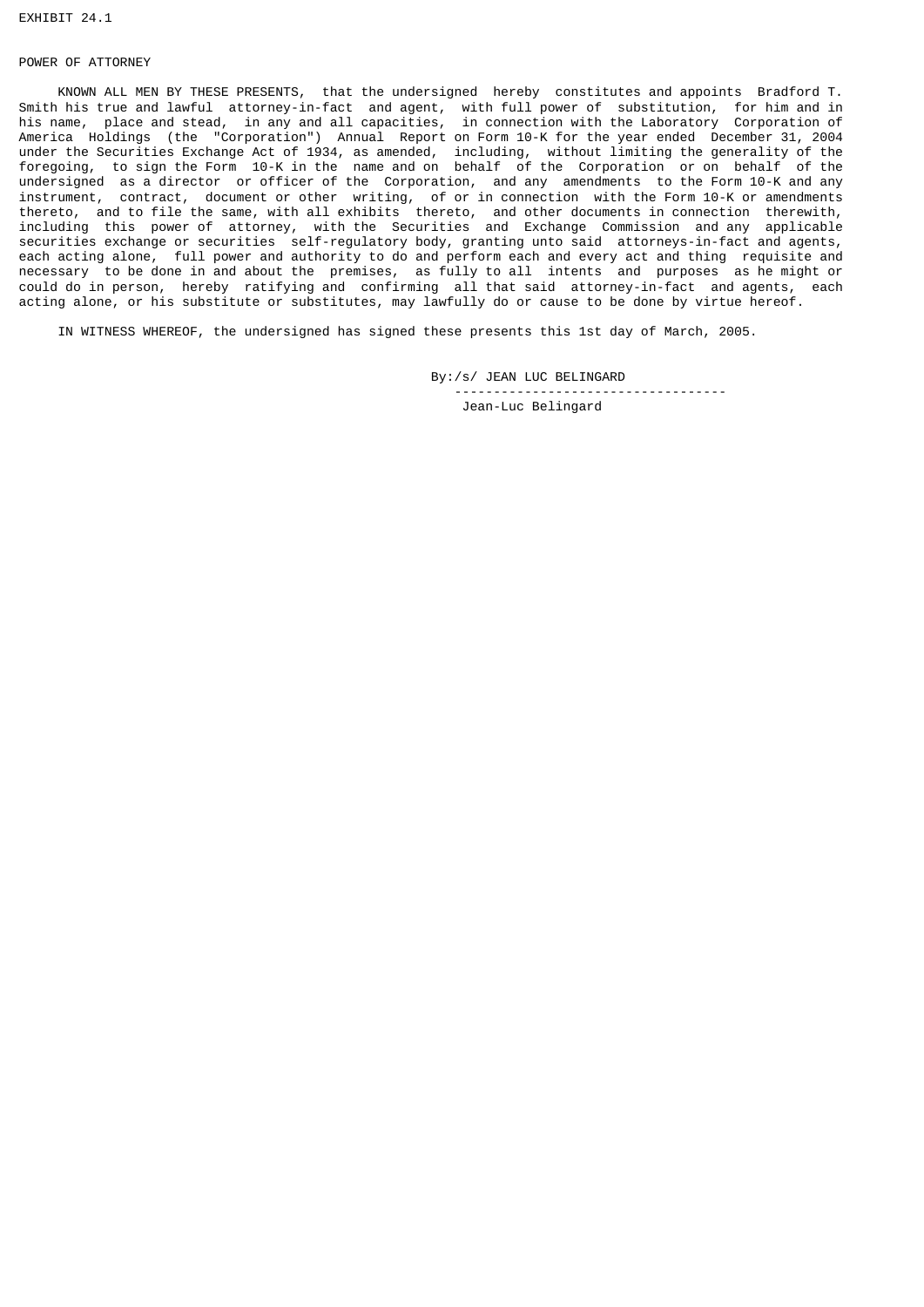KNOWN ALL MEN BY THESE PRESENTS, that the undersigned hereby constitutes and appoints Bradford T. Smith his true and lawful attorney-in-fact and agent, with full power of substitution, for him and in his name, place and stead, in any and all capacities, in connection with the Laboratory Corporation of America Holdings (the "Corporation") Annual Report on Form 10-K for the year ended December 31, 2004 under the Securities Exchange Act of 1934, as amended, including, without limiting the generality of the foregoing, to sign the Form 10-K in the name and on behalf of the Corporation or on behalf of the undersigned as a director or officer of the Corporation, and any amendments to the Form 10-K and any instrument, contract, document or other writing, of or in connection with the Form 10-K or amendments thereto, and to file the same, with all exhibits thereto, and other documents in connection therewith, including this power of attorney, with the Securities and Exchange Commission and any applicable securities exchange or securities self-regulatory body, granting unto said attorneys-in-fact and agents, each acting alone, full power and authority to do and perform each and every act and thing requisite and necessary to be done in and about the premises, as fully to all intents and purposes as he might or could do in person, hereby ratifying and confirming all that said attorney-in-fact and agents, each acting alone, or his substitute or substitutes, may lawfully do or cause to be done by virtue hereof.

IN WITNESS WHEREOF, the undersigned has signed these presents this 1st day of March, 2005.

 By:/s/ JEAN LUC BELINGARD ----------------------------------- Jean-Luc Belingard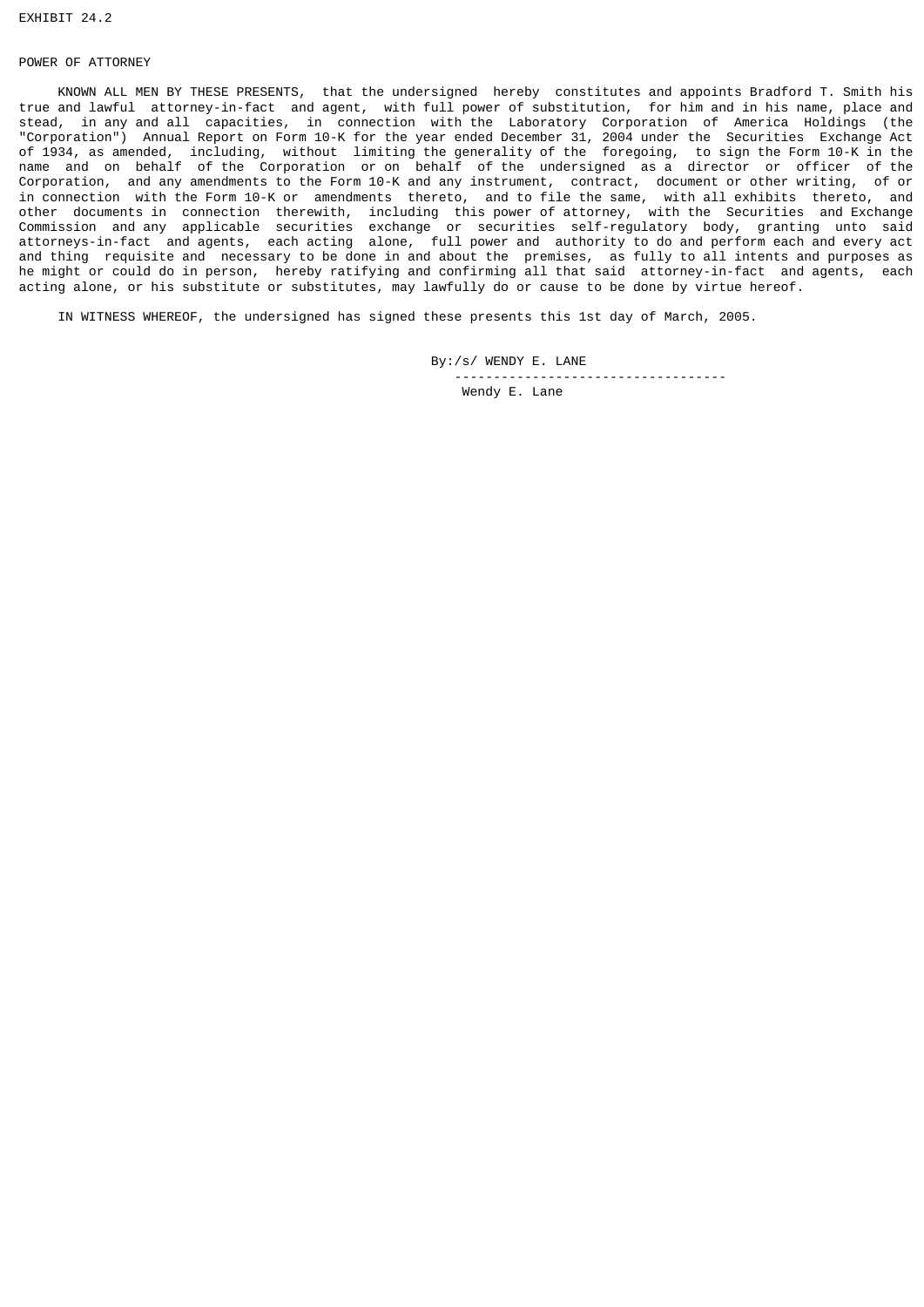KNOWN ALL MEN BY THESE PRESENTS, that the undersigned hereby constitutes and appoints Bradford T. Smith his true and lawful attorney-in-fact and agent, with full power of substitution, for him and in his name, place and stead, in any and all capacities, in connection with the Laboratory Corporation of America Holdings (the "Corporation") Annual Report on Form 10-K for the year ended December 31, 2004 under the Securities Exchange Act of 1934, as amended, including, without limiting the generality of the foregoing, to sign the Form 10-K in the name and on behalf of the Corporation or on behalf of the undersigned as a director or officer of the Corporation, and any amendments to the Form 10-K and any instrument, contract, document or other writing, of or in connection with the Form 10-K or amendments thereto, and to file the same, with all exhibits thereto, and other documents in connection therewith, including this power of attorney, with the Securities and Exchange Commission and any applicable securities exchange or securities self-regulatory body, granting unto said attorneys-in-fact and agents, each acting alone, full power and authority to do and perform each and every act and thing requisite and necessary to be done in and about the premises, as fully to all intents and purposes as he might or could do in person, hereby ratifying and confirming all that said attorney-in-fact and agents, each acting alone, or his substitute or substitutes, may lawfully do or cause to be done by virtue hereof.

IN WITNESS WHEREOF, the undersigned has signed these presents this 1st day of March, 2005.

 By:/s/ WENDY E. LANE ----------------------------------- Wendy E. Lane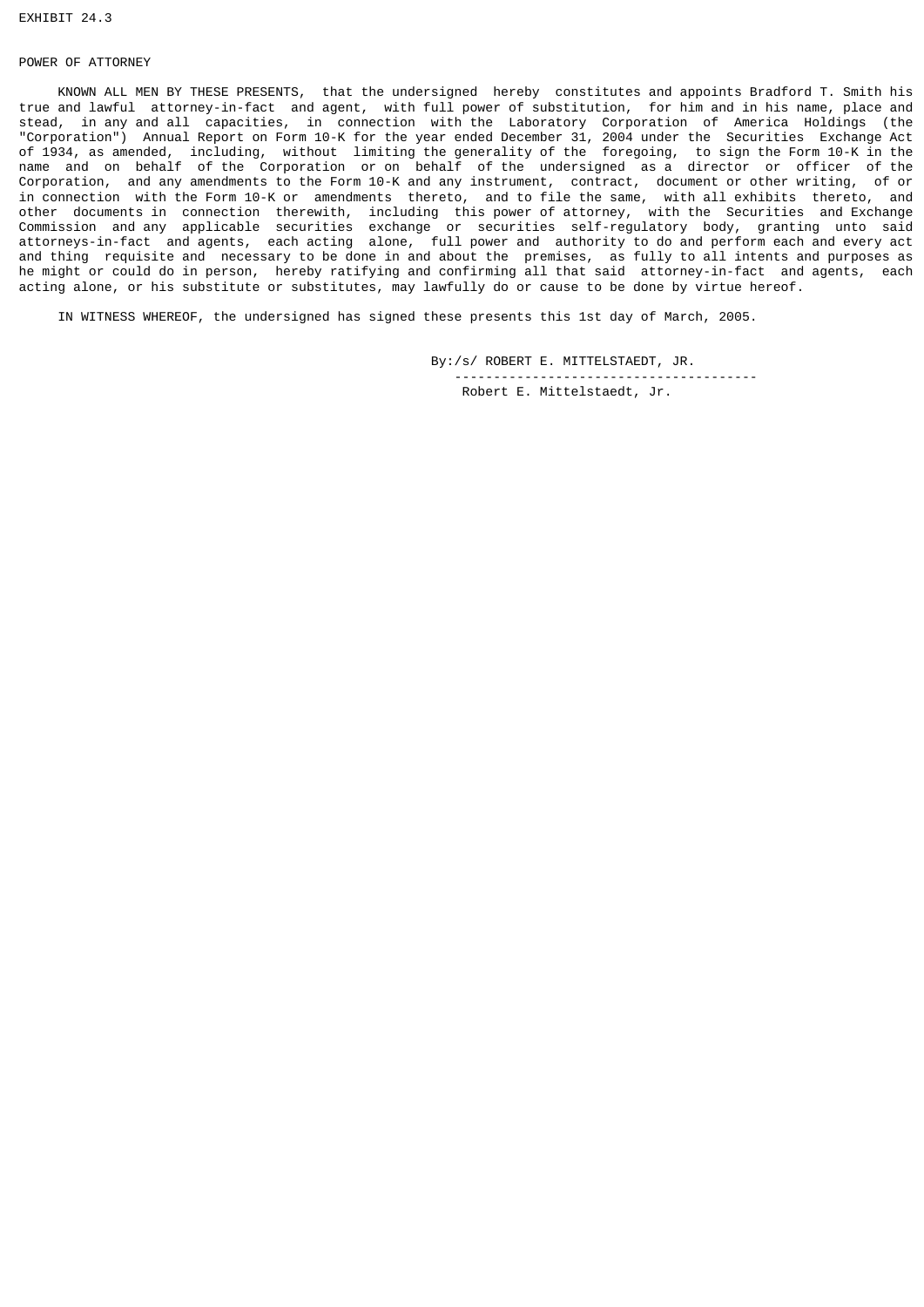KNOWN ALL MEN BY THESE PRESENTS, that the undersigned hereby constitutes and appoints Bradford T. Smith his true and lawful attorney-in-fact and agent, with full power of substitution, for him and in his name, place and stead, in any and all capacities, in connection with the Laboratory Corporation of America Holdings (the "Corporation") Annual Report on Form 10-K for the year ended December 31, 2004 under the Securities Exchange Act of 1934, as amended, including, without limiting the generality of the foregoing, to sign the Form 10-K in the name and on behalf of the Corporation or on behalf of the undersigned as a director or officer of the Corporation, and any amendments to the Form 10-K and any instrument, contract, document or other writing, of or in connection with the Form 10-K or amendments thereto, and to file the same, with all exhibits thereto, and other documents in connection therewith, including this power of attorney, with the Securities and Exchange Commission and any applicable securities exchange or securities self-regulatory body, granting unto said attorneys-in-fact and agents, each acting alone, full power and authority to do and perform each and every act and thing requisite and necessary to be done in and about the premises, as fully to all intents and purposes as he might or could do in person, hereby ratifying and confirming all that said attorney-in-fact and agents, each acting alone, or his substitute or substitutes, may lawfully do or cause to be done by virtue hereof.

IN WITNESS WHEREOF, the undersigned has signed these presents this 1st day of March, 2005.

 By:/s/ ROBERT E. MITTELSTAEDT, JR. --------------------------------------- Robert E. Mittelstaedt, Jr.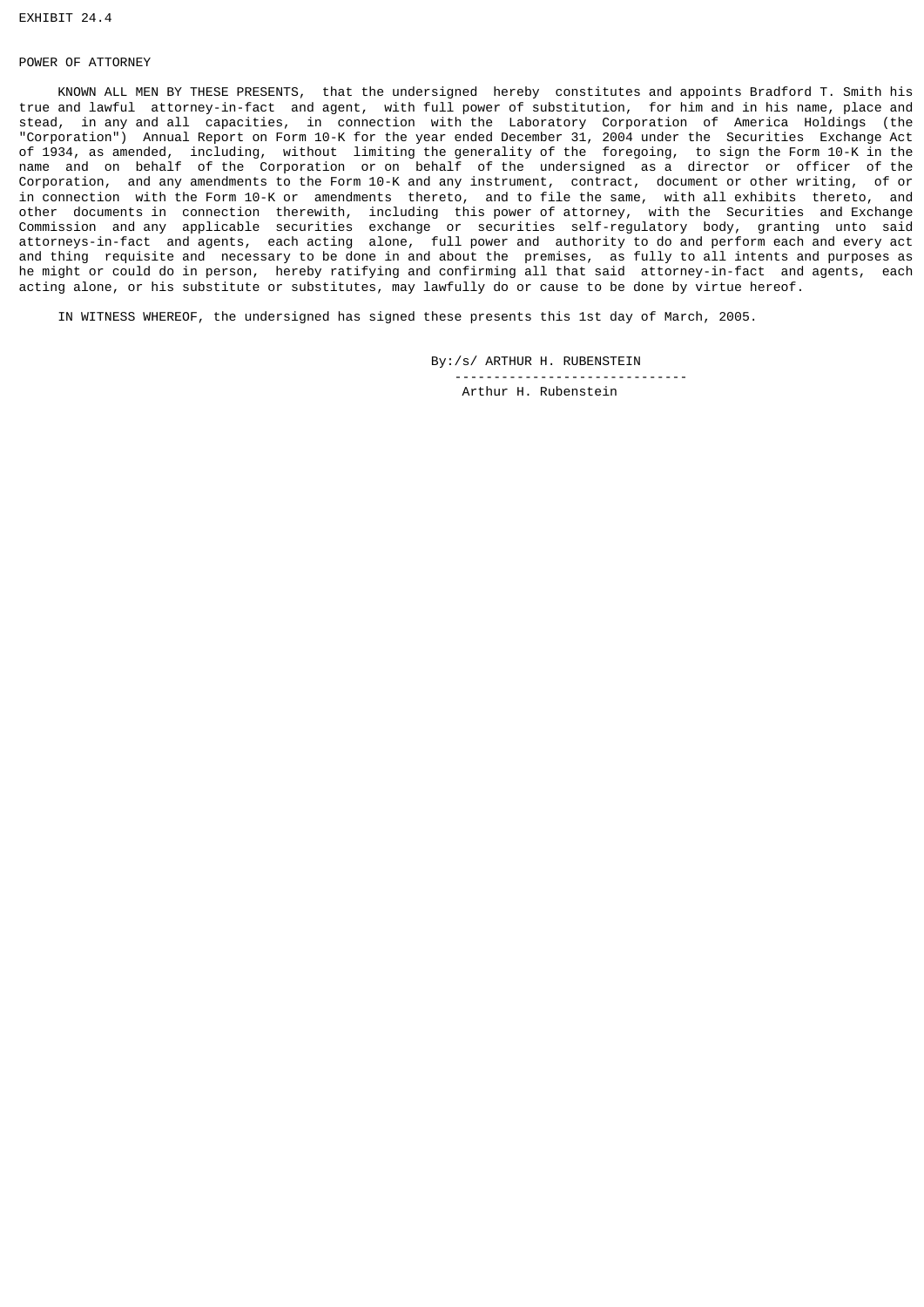KNOWN ALL MEN BY THESE PRESENTS, that the undersigned hereby constitutes and appoints Bradford T. Smith his true and lawful attorney-in-fact and agent, with full power of substitution, for him and in his name, place and stead, in any and all capacities, in connection with the Laboratory Corporation of America Holdings (the "Corporation") Annual Report on Form 10-K for the year ended December 31, 2004 under the Securities Exchange Act of 1934, as amended, including, without limiting the generality of the foregoing, to sign the Form 10-K in the name and on behalf of the Corporation or on behalf of the undersigned as a director or officer of the Corporation, and any amendments to the Form 10-K and any instrument, contract, document or other writing, of or in connection with the Form 10-K or amendments thereto, and to file the same, with all exhibits thereto, and other documents in connection therewith, including this power of attorney, with the Securities and Exchange Commission and any applicable securities exchange or securities self-regulatory body, granting unto said attorneys-in-fact and agents, each acting alone, full power and authority to do and perform each and every act and thing requisite and necessary to be done in and about the premises, as fully to all intents and purposes as he might or could do in person, hereby ratifying and confirming all that said attorney-in-fact and agents, each acting alone, or his substitute or substitutes, may lawfully do or cause to be done by virtue hereof.

IN WITNESS WHEREOF, the undersigned has signed these presents this 1st day of March, 2005.

 By:/s/ ARTHUR H. RUBENSTEIN ------------------------------ Arthur H. Rubenstein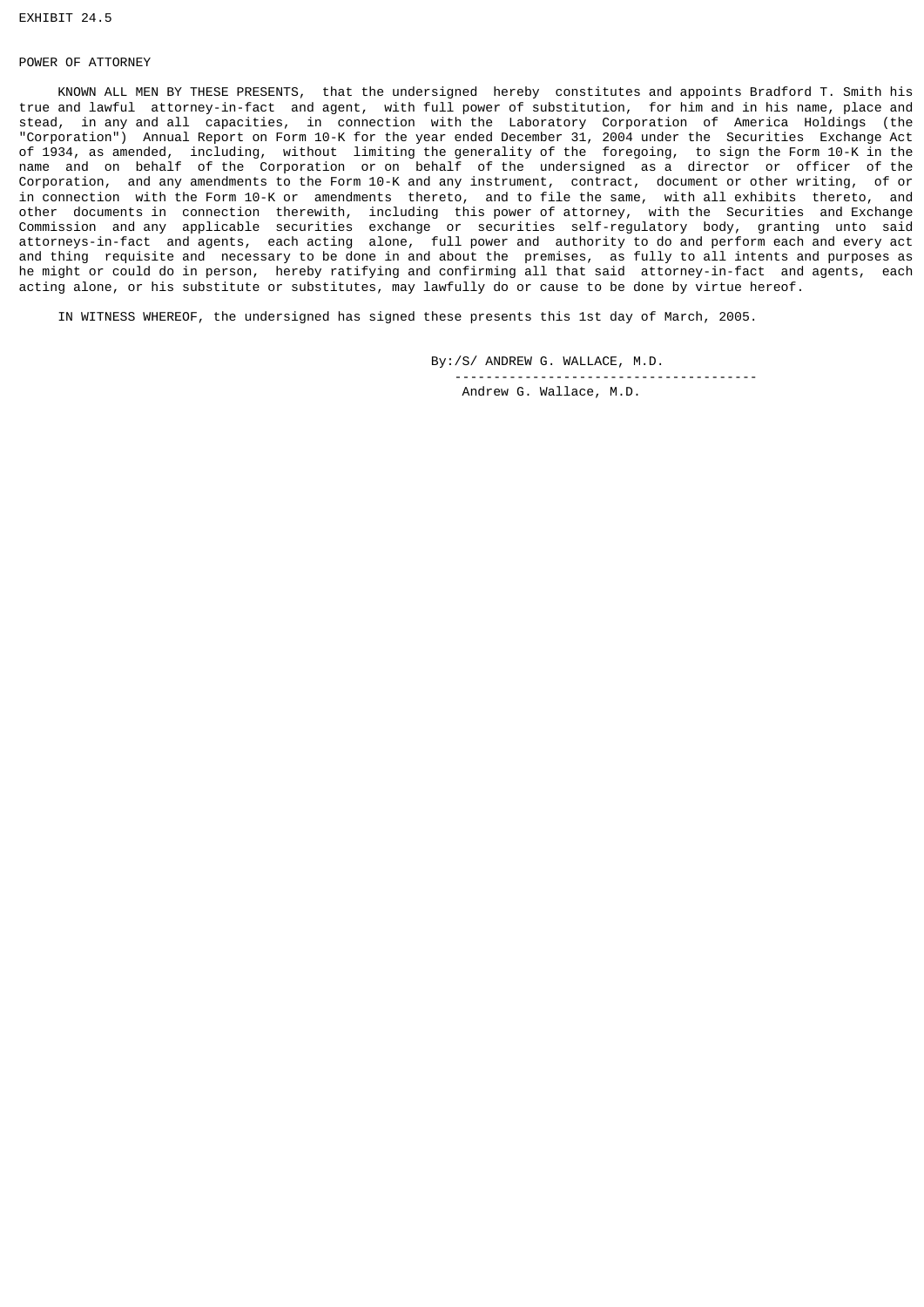KNOWN ALL MEN BY THESE PRESENTS, that the undersigned hereby constitutes and appoints Bradford T. Smith his true and lawful attorney-in-fact and agent, with full power of substitution, for him and in his name, place and stead, in any and all capacities, in connection with the Laboratory Corporation of America Holdings (the "Corporation") Annual Report on Form 10-K for the year ended December 31, 2004 under the Securities Exchange Act of 1934, as amended, including, without limiting the generality of the foregoing, to sign the Form 10-K in the name and on behalf of the Corporation or on behalf of the undersigned as a director or officer of the Corporation, and any amendments to the Form 10-K and any instrument, contract, document or other writing, of or in connection with the Form 10-K or amendments thereto, and to file the same, with all exhibits thereto, and other documents in connection therewith, including this power of attorney, with the Securities and Exchange Commission and any applicable securities exchange or securities self-regulatory body, granting unto said attorneys-in-fact and agents, each acting alone, full power and authority to do and perform each and every act and thing requisite and necessary to be done in and about the premises, as fully to all intents and purposes as he might or could do in person, hereby ratifying and confirming all that said attorney-in-fact and agents, each acting alone, or his substitute or substitutes, may lawfully do or cause to be done by virtue hereof.

IN WITNESS WHEREOF, the undersigned has signed these presents this 1st day of March, 2005.

 By:/S/ ANDREW G. WALLACE, M.D. --------------------------------------- Andrew G. Wallace, M.D.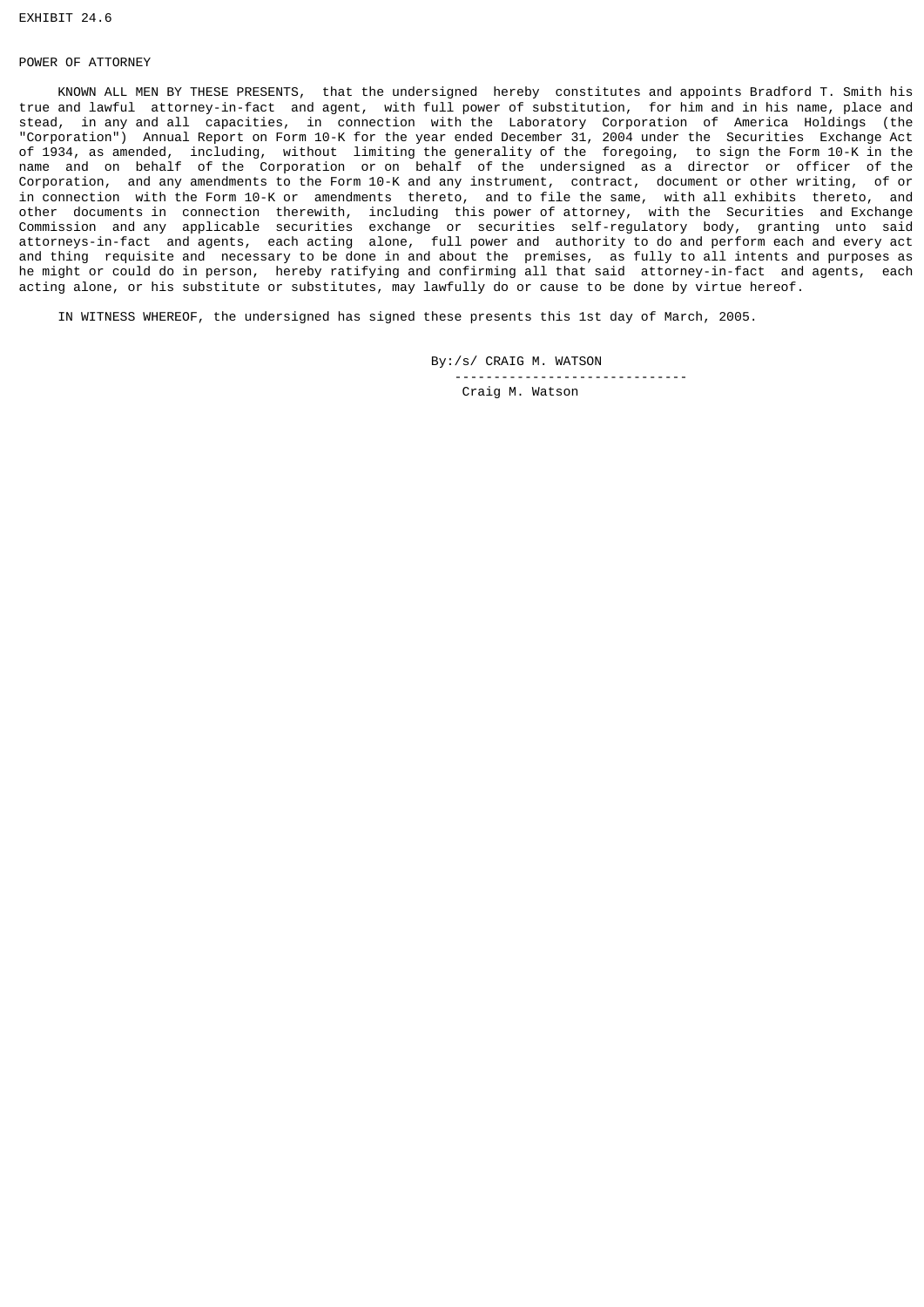KNOWN ALL MEN BY THESE PRESENTS, that the undersigned hereby constitutes and appoints Bradford T. Smith his true and lawful attorney-in-fact and agent, with full power of substitution, for him and in his name, place and stead, in any and all capacities, in connection with the Laboratory Corporation of America Holdings (the "Corporation") Annual Report on Form 10-K for the year ended December 31, 2004 under the Securities Exchange Act of 1934, as amended, including, without limiting the generality of the foregoing, to sign the Form 10-K in the name and on behalf of the Corporation or on behalf of the undersigned as a director or officer of the Corporation, and any amendments to the Form 10-K and any instrument, contract, document or other writing, of or in connection with the Form 10-K or amendments thereto, and to file the same, with all exhibits thereto, and other documents in connection therewith, including this power of attorney, with the Securities and Exchange Commission and any applicable securities exchange or securities self-regulatory body, granting unto said attorneys-in-fact and agents, each acting alone, full power and authority to do and perform each and every act and thing requisite and necessary to be done in and about the premises, as fully to all intents and purposes as he might or could do in person, hereby ratifying and confirming all that said attorney-in-fact and agents, each acting alone, or his substitute or substitutes, may lawfully do or cause to be done by virtue hereof.

IN WITNESS WHEREOF, the undersigned has signed these presents this 1st day of March, 2005.

 By:/s/ CRAIG M. WATSON ------------------------------ Craig M. Watson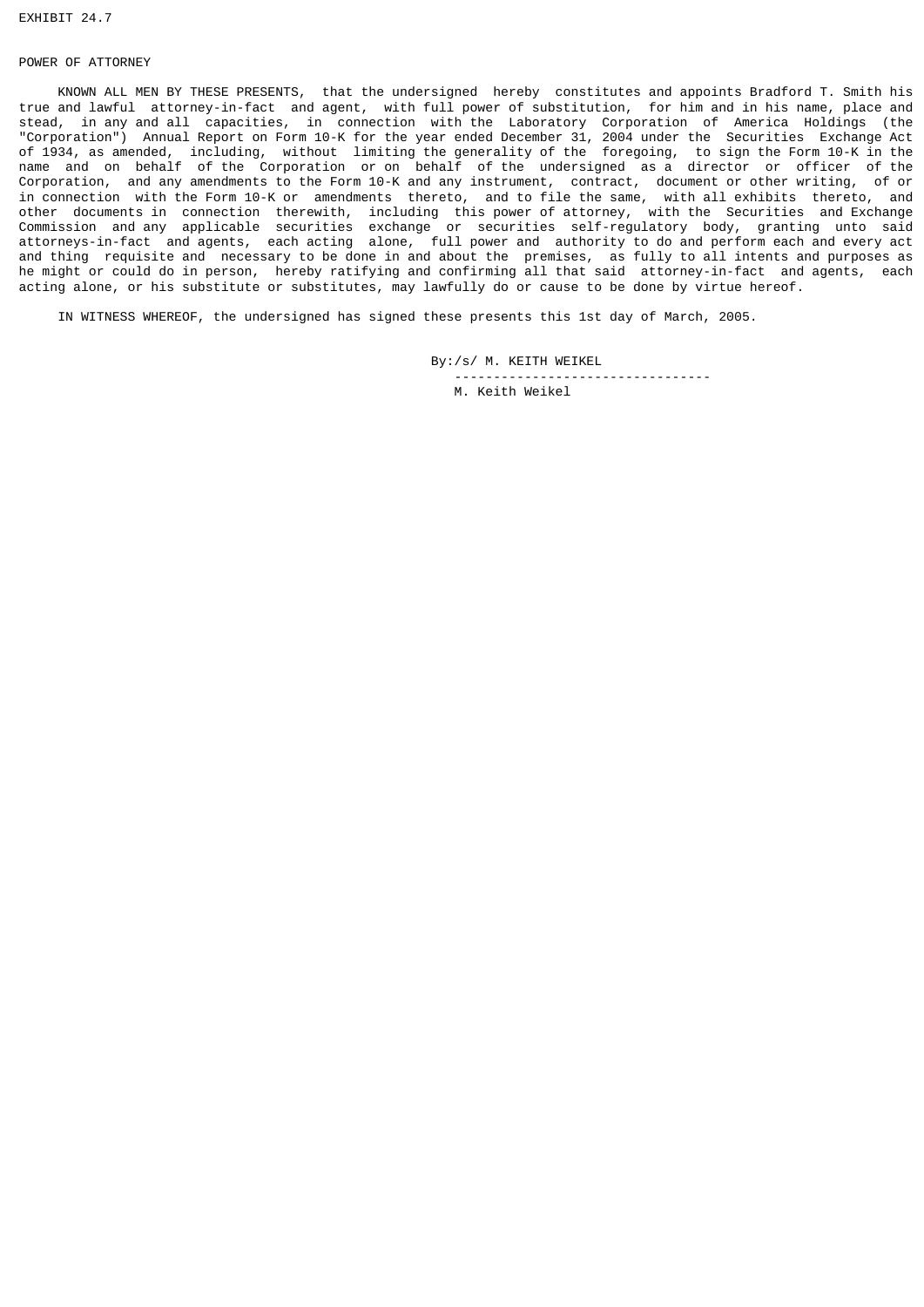KNOWN ALL MEN BY THESE PRESENTS, that the undersigned hereby constitutes and appoints Bradford T. Smith his true and lawful attorney-in-fact and agent, with full power of substitution, for him and in his name, place and stead, in any and all capacities, in connection with the Laboratory Corporation of America Holdings (the "Corporation") Annual Report on Form 10-K for the year ended December 31, 2004 under the Securities Exchange Act of 1934, as amended, including, without limiting the generality of the foregoing, to sign the Form 10-K in the name and on behalf of the Corporation or on behalf of the undersigned as a director or officer of the Corporation, and any amendments to the Form 10-K and any instrument, contract, document or other writing, of or in connection with the Form 10-K or amendments thereto, and to file the same, with all exhibits thereto, and other documents in connection therewith, including this power of attorney, with the Securities and Exchange Commission and any applicable securities exchange or securities self-regulatory body, granting unto said attorneys-in-fact and agents, each acting alone, full power and authority to do and perform each and every act and thing requisite and necessary to be done in and about the premises, as fully to all intents and purposes as he might or could do in person, hereby ratifying and confirming all that said attorney-in-fact and agents, each acting alone, or his substitute or substitutes, may lawfully do or cause to be done by virtue hereof.

IN WITNESS WHEREOF, the undersigned has signed these presents this 1st day of March, 2005.

 By:/s/ M. KEITH WEIKEL --------------------------------- M. Keith Weikel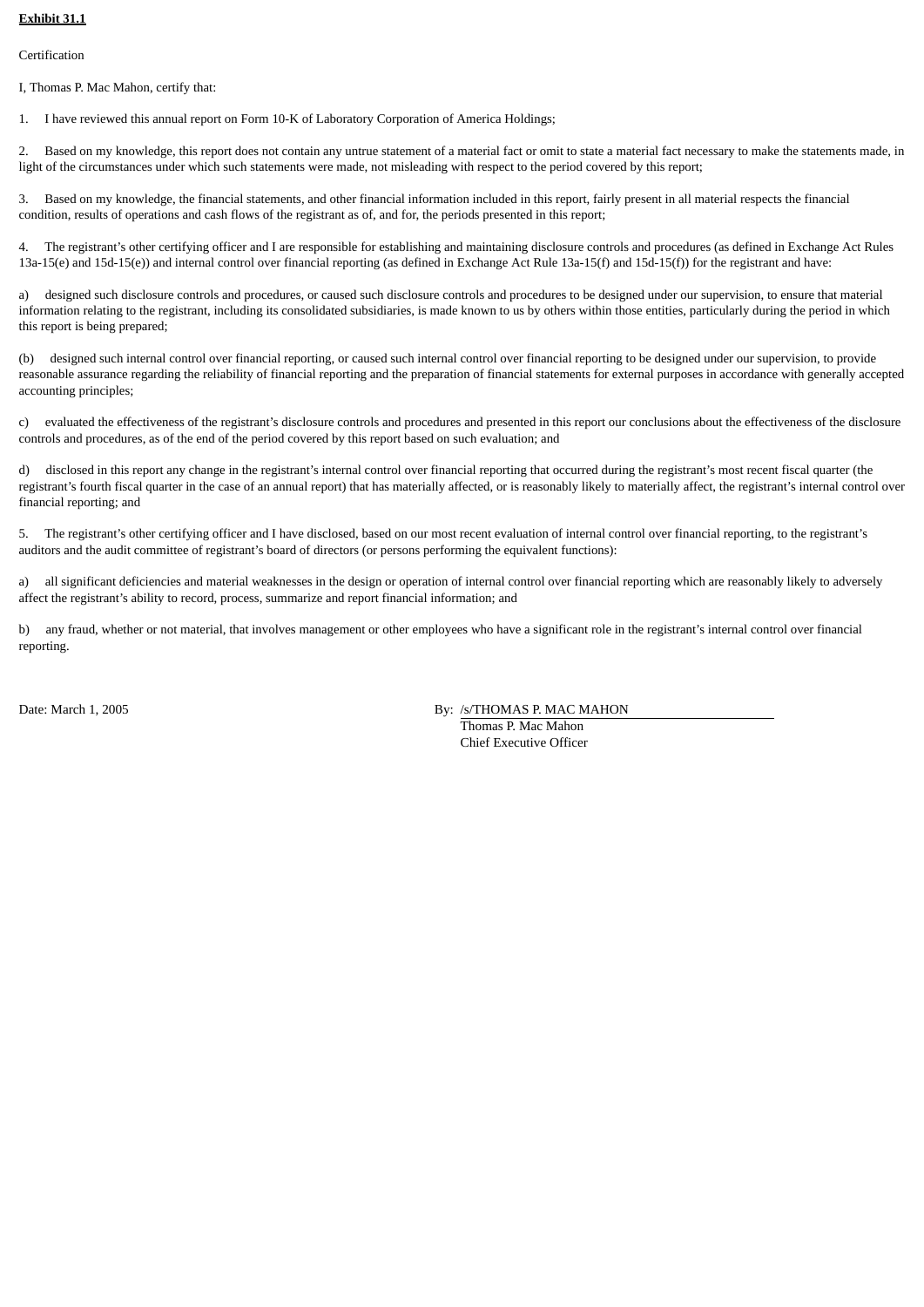# **Exhibit 31.1**

Certification

I, Thomas P. Mac Mahon, certify that:

1. I have reviewed this annual report on Form 10-K of Laboratory Corporation of America Holdings;

2. Based on my knowledge, this report does not contain any untrue statement of a material fact or omit to state a material fact necessary to make the statements made, in light of the circumstances under which such statements were made, not misleading with respect to the period covered by this report;

3. Based on my knowledge, the financial statements, and other financial information included in this report, fairly present in all material respects the financial condition, results of operations and cash flows of the registrant as of, and for, the periods presented in this report;

4. The registrant's other certifying officer and I are responsible for establishing and maintaining disclosure controls and procedures (as defined in Exchange Act Rules 13a-15(e) and 15d-15(e)) and internal control over financial reporting (as defined in Exchange Act Rule 13a-15(f) and 15d-15(f)) for the registrant and have:

designed such disclosure controls and procedures, or caused such disclosure controls and procedures to be designed under our supervision, to ensure that material information relating to the registrant, including its consolidated subsidiaries, is made known to us by others within those entities, particularly during the period in which this report is being prepared;

(b) designed such internal control over financial reporting, or caused such internal control over financial reporting to be designed under our supervision, to provide reasonable assurance regarding the reliability of financial reporting and the preparation of financial statements for external purposes in accordance with generally accepted accounting principles;

c) evaluated the effectiveness of the registrant's disclosure controls and procedures and presented in this report our conclusions about the effectiveness of the disclosure controls and procedures, as of the end of the period covered by this report based on such evaluation; and

d) disclosed in this report any change in the registrant's internal control over financial reporting that occurred during the registrant's most recent fiscal quarter (the registrant's fourth fiscal quarter in the case of an annual report) that has materially affected, or is reasonably likely to materially affect, the registrant's internal control over financial reporting; and

5. The registrant's other certifying officer and I have disclosed, based on our most recent evaluation of internal control over financial reporting, to the registrant's auditors and the audit committee of registrant's board of directors (or persons performing the equivalent functions):

a) all significant deficiencies and material weaknesses in the design or operation of internal control over financial reporting which are reasonably likely to adversely affect the registrant's ability to record, process, summarize and report financial information; and

b) any fraud, whether or not material, that involves management or other employees who have a significant role in the registrant's internal control over financial reporting.

Date: March 1, 2005 By: /s/THOMAS P. MAC MAHON

Thomas P. Mac Mahon Chief Executive Officer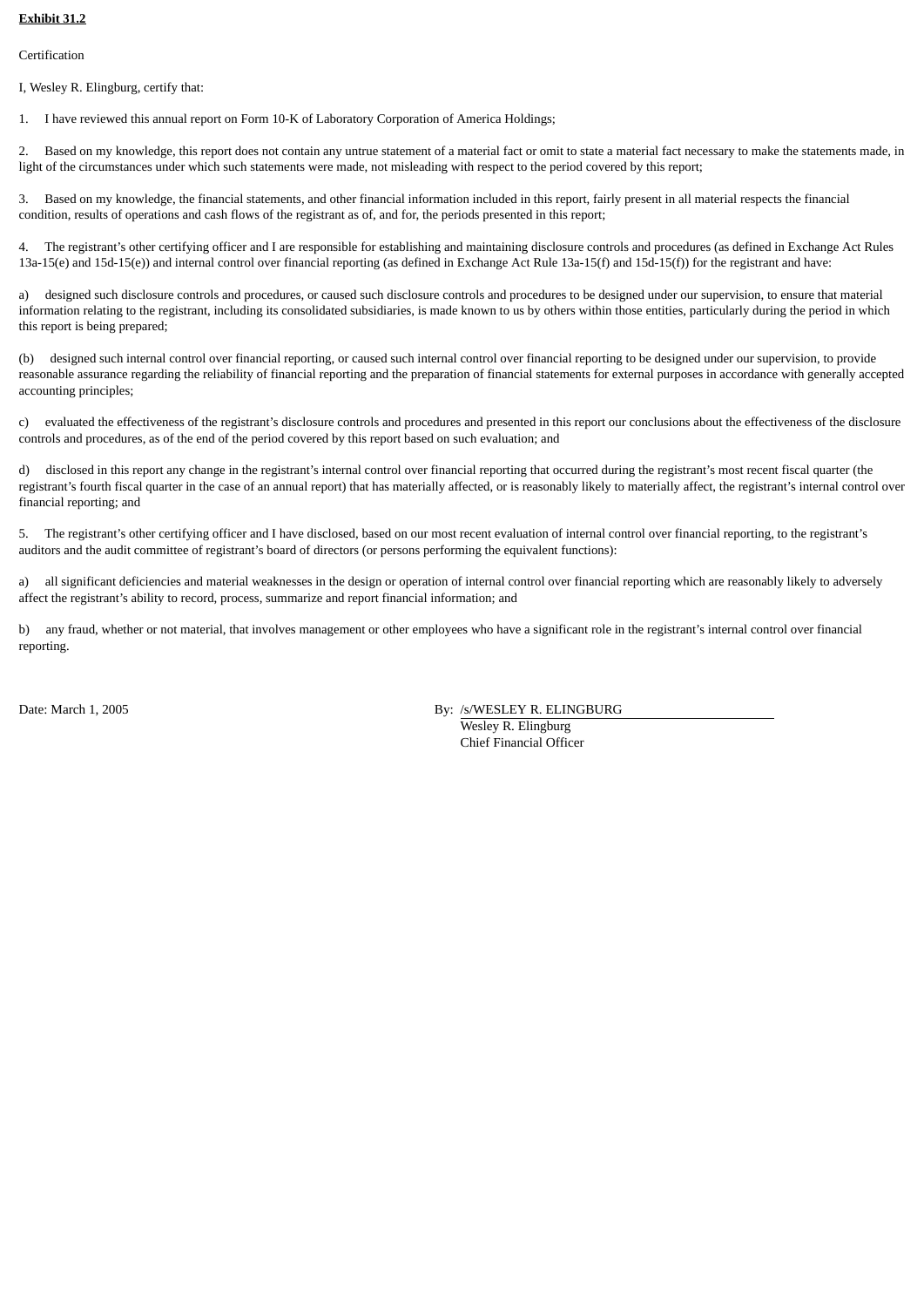# **Exhibit 31.2**

Certification

I, Wesley R. Elingburg, certify that:

1. I have reviewed this annual report on Form 10-K of Laboratory Corporation of America Holdings;

2. Based on my knowledge, this report does not contain any untrue statement of a material fact or omit to state a material fact necessary to make the statements made, in light of the circumstances under which such statements were made, not misleading with respect to the period covered by this report;

3. Based on my knowledge, the financial statements, and other financial information included in this report, fairly present in all material respects the financial condition, results of operations and cash flows of the registrant as of, and for, the periods presented in this report;

4. The registrant's other certifying officer and I are responsible for establishing and maintaining disclosure controls and procedures (as defined in Exchange Act Rules 13a-15(e) and 15d-15(e)) and internal control over financial reporting (as defined in Exchange Act Rule 13a-15(f) and 15d-15(f)) for the registrant and have:

a) designed such disclosure controls and procedures, or caused such disclosure controls and procedures to be designed under our supervision, to ensure that material information relating to the registrant, including its consolidated subsidiaries, is made known to us by others within those entities, particularly during the period in which this report is being prepared;

(b) designed such internal control over financial reporting, or caused such internal control over financial reporting to be designed under our supervision, to provide reasonable assurance regarding the reliability of financial reporting and the preparation of financial statements for external purposes in accordance with generally accepted accounting principles;

c) evaluated the effectiveness of the registrant's disclosure controls and procedures and presented in this report our conclusions about the effectiveness of the disclosure controls and procedures, as of the end of the period covered by this report based on such evaluation; and

d) disclosed in this report any change in the registrant's internal control over financial reporting that occurred during the registrant's most recent fiscal quarter (the registrant's fourth fiscal quarter in the case of an annual report) that has materially affected, or is reasonably likely to materially affect, the registrant's internal control over financial reporting; and

5. The registrant's other certifying officer and I have disclosed, based on our most recent evaluation of internal control over financial reporting, to the registrant's auditors and the audit committee of registrant's board of directors (or persons performing the equivalent functions):

a) all significant deficiencies and material weaknesses in the design or operation of internal control over financial reporting which are reasonably likely to adversely affect the registrant's ability to record, process, summarize and report financial information; and

b) any fraud, whether or not material, that involves management or other employees who have a significant role in the registrant's internal control over financial reporting.

Date: March 1, 2005 By: /s/WESLEY R. ELINGBURG

Wesley R. Elingburg Chief Financial Officer